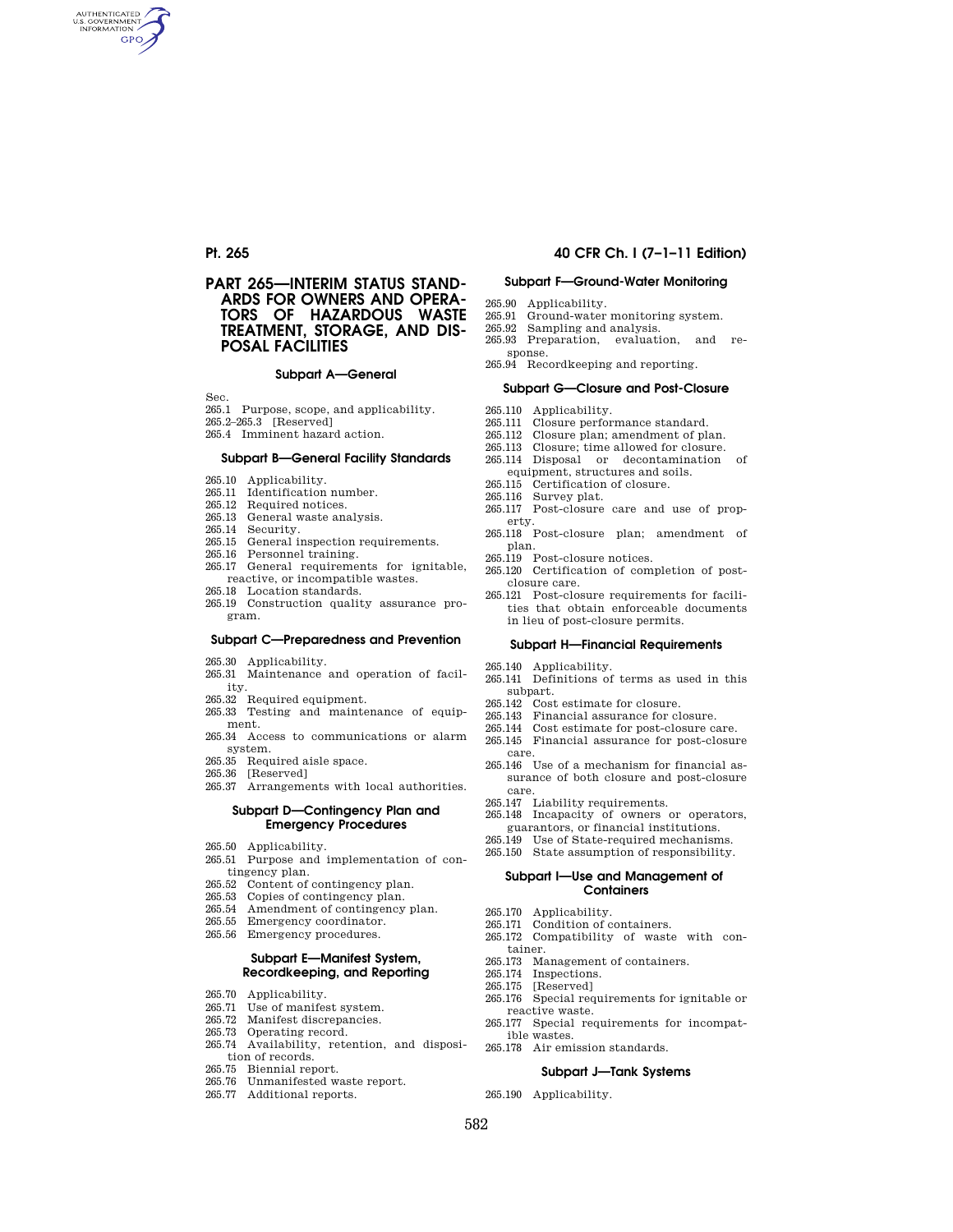AUTHENTICATED GPO

# **PART 265—INTERIM STATUS STAND-ARDS FOR OWNERS AND OPERA-TORS OF HAZARDOUS WASTE TREATMENT, STORAGE, AND DIS-POSAL FACILITIES**

## **Subpart A—General**

Sec.

- 265.1 Purpose, scope, and applicability.
- 265.2–265.3 [Reserved]
- 265.4 Imminent hazard action.

## **Subpart B—General Facility Standards**

- 265.10 Applicability.
- 265.11 Identification number.
- 265.12 Required notices.
- 265.13 General waste analysis.
- 265.14 Security.
- 265.15 General inspection requirements.
- 265.16 Personnel training.
- 265.17 General requirements for ignitable, reactive, or incompatible wastes.
- 265.18 Location standards.
- 265.19 Construction quality assurance program.

## **Subpart C—Preparedness and Prevention**

- 265.30 Applicability.
- 265.31 Maintenance and operation of facility.
- 265.32 Required equipment.
- 265.33 Testing and maintenance of equipment.
- 265.34 Access to communications or alarm system.
- 265.35 Required aisle space.
- 265.36 [Reserved]
- 265.37 Arrangements with local authorities.

## **Subpart D—Contingency Plan and Emergency Procedures**

- 265.50 Applicability.
- 265.51 Purpose and implementation of contingency plan.
- 265.52 Content of contingency plan.
- 265.53 Copies of contingency plan.
- 265.54 Amendment of contingency plan.
- 265.55 Emergency coordinator.
- 265.56 Emergency procedures.

## **Subpart E—Manifest System, Recordkeeping, and Reporting**

- 265.70 Applicability.
- 265.71 Use of manifest system.
- 265.72 Manifest discrepancies.
- 265.73 Operating record.
- 265.74 Availability, retention, and disposition of records.
- 265.75 Biennial report.
- 265.76 Unmanifested waste report.
- 265.77 Additional reports.

# **Pt. 265 40 CFR Ch. I (7–1–11 Edition)**

## **Subpart F—Ground-Water Monitoring**

- 265.90 Applicability.
- 265.91 Ground-water monitoring system.
- 265.92 Sampling and analysis.
- 265.93 Preparation, evaluation, and response.
- 265.94 Recordkeeping and reporting.

#### **Subpart G—Closure and Post-Closure**

- 265.110 Applicability.
- 265.111 Closure performance standard.
- Closure plan; amendment of plan.
- 265.113 Closure; time allowed for closure.
- 265.114 Disposal or decontamination of equipment, structures and soils.
- 265.115 Certification of closure.
- 265.116 Survey plat.
- 265.117 Post-closure care and use of prop-
- erty. 265.118 Post-closure plan; amendment of plan.
- 265.119 Post-closure notices.
- 265.120 Certification of completion of postclosure care.
- 265.121 Post-closure requirements for facilities that obtain enforceable documents in lieu of post-closure permits.

## **Subpart H—Financial Requirements**

- 265.140 Applicability.
- 265.141 Definitions of terms as used in this subpart.
- 265.142 Cost estimate for closure.
- Financial assurance for closure.
- 265.144 Cost estimate for post-closure care.
- 265.145 Financial assurance for post-closure care.
- 265.146 Use of a mechanism for financial assurance of both closure and post-closure care.
- 265.147 Liability requirements.
- 265.148 Incapacity of owners or operators, guarantors, or financial institutions.
- 265.149 Use of State-required mechanisms.
- 265.150 State assumption of responsibility.

#### **Subpart I—Use and Management of Containers**

- 265.170 Applicability.
- 265.171 Condition of containers.
- 265.172 Compatibility of waste with container.
- 265.173 Management of containers.
- Inspections.
- 265.175 [Reserved]
- 265.176 Special requirements for ignitable or reactive waste.
- 265.177 Special requirements for incompatible wastes.
- 265.178 Air emission standards.

#### **Subpart J—Tank Systems**

265.190 Applicability.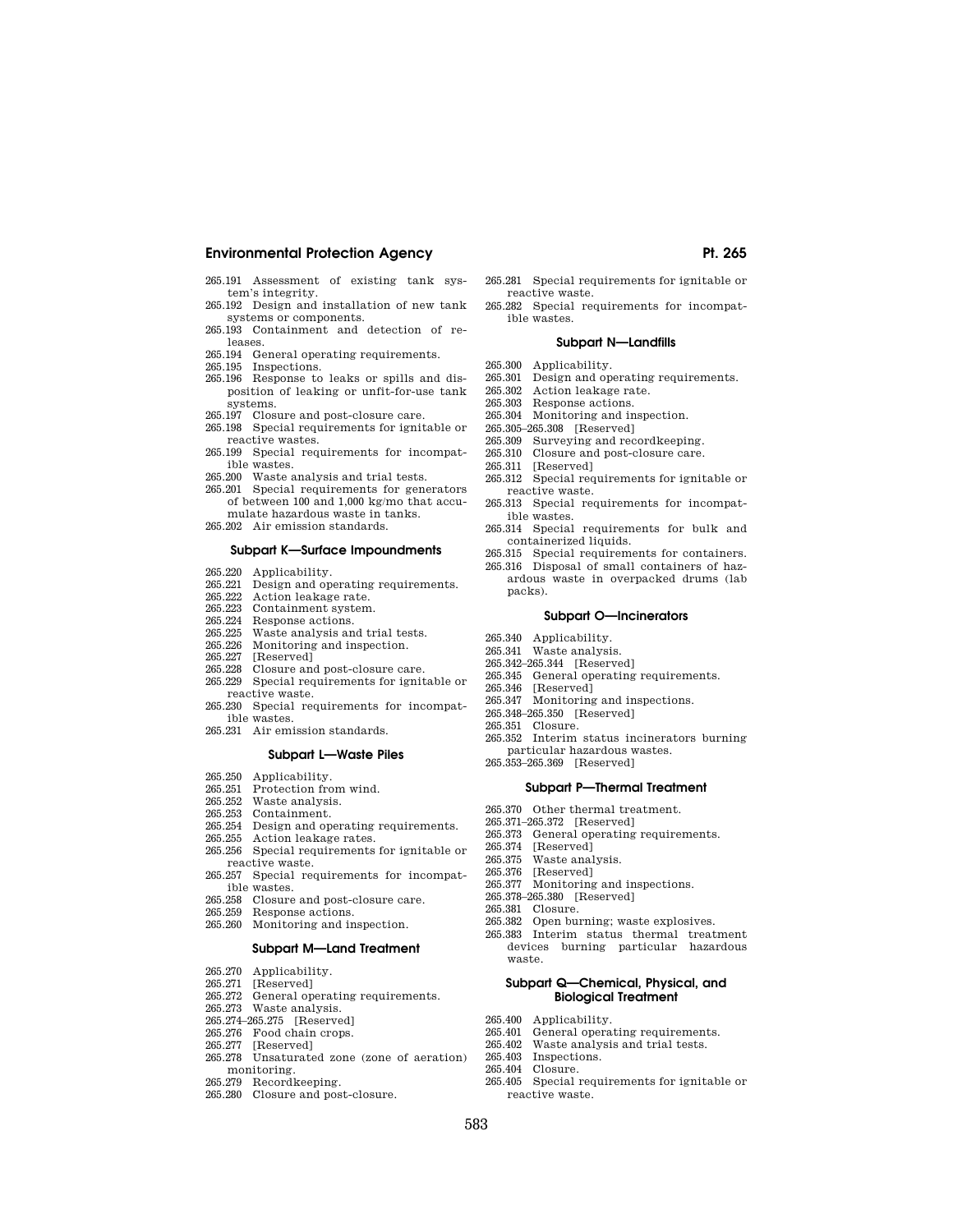- 265.191 Assessment of existing tank system's integrity.
- 265.192 Design and installation of new tank systems or components.
- 265.193 Containment and detection of releases.
- 265.194 General operating requirements.
- 265.195 Inspections.
- 265.196 Response to leaks or spills and disposition of leaking or unfit-for-use tank systems.
- 265.197 Closure and post-closure care.
- 265.198 Special requirements for ignitable or reactive wastes.
- 265.199 Special requirements for incompatible wastes.
- 265.200 Waste analysis and trial tests.
- 265.201 Special requirements for generators of between 100 and 1,000 kg/mo that accumulate hazardous waste in tanks.
- 265.202 Air emission standards.

## **Subpart K—Surface Impoundments**

- 265.220 Applicability.<br>265.221 Design and op
- 265.221 Design and operating requirements.<br>265.222 Action leakage rate.
- 265.222 Action leakage rate.
- 265.223 Containment system.<br>265.224 Response actions.
- 265.224 Response actions.<br>265.225 Waste analysis an
- 265.225 Waste analysis and trial tests.
- 265.226 Monitoring and inspection.<br>265.227 [Reserved]
- $265.227$  [Reserved]<br>265.228 Closure and
- 265.228 Closure and post-closure care.<br>265.229 Special requirements for ignit Special requirements for ignitable or
- reactive waste.
- 265.230 Special requirements for incompatible wastes.
- 265.231 Air emission standards.

## **Subpart L—Waste Piles**

- 265.250 Applicability.<br>265.251 Protection fro
- 265.251 Protection from wind.<br>265.252 Waste analysis.
- 265.252 Waste analysis.
- Containment.
- 265.254 Design and operating requirements.<br>265.255 Action leakage rates
- Action leakage rates.
- 265.256 Special requirements for ignitable or reactive waste.
- 265.257 Special requirements for incompatible wastes.
- 265.258 Closure and post-closure care.
- Response actions.
- 265.260 Monitoring and inspection.

#### **Subpart M—Land Treatment**

- 265.270 Applicability.<br>265.271 [Reserved]
- [Reserved]
- 265.272 General operating requirements. 265.273 Waste analysis.
- 
- 265.274–265.275 [Reserved]
- 265.276 Food chain crops.
- 265.277 [Reserved]
- 265.278 Unsaturated zone (zone of aeration) monitoring.
- 265.279 Recordkeeping.
- 265.280 Closure and post-closure.
- 265.281 Special requirements for ignitable or reactive waste.
- 265.282 Special requirements for incompatible wastes.

#### **Subpart N—Landfills**

- 265.300 Applicability.
- Design and operating requirements.
- 265.302 Action leakage rate.<br>265.303 Response actions.
- Response actions.
- 265.304 Monitoring and inspection.
- 265.305–265.308 [Reserved]
- 265.309 Surveying and recordkeeping.
- 265.310 Closure and post-closure care.
- 265.311 [Reserved]
- 265.312 Special requirements for ignitable or reactive waste.
- 265.313 Special requirements for incompatible wastes.
- 265.314 Special requirements for bulk and containerized liquids.
- 265.315 Special requirements for containers.
- 265.316 Disposal of small containers of hazardous waste in overpacked drums (lab packs).

## **Subpart O—Incinerators**

- 265.340 Applicability.
- 265.341 Waste analysis.
- 265.342–265.344 [Reserved]
- 265.345 General operating requirements.
- 265.346 [Reserved]
- 265.347 Monitoring and inspections.
- 265.348–265.350 [Reserved]
- 265.351 Closure.
- 265.352 Interim status incinerators burning
- particular hazardous wastes.
- 265.353–265.369 [Reserved]

## **Subpart P—Thermal Treatment**

- 265.370 Other thermal treatment.
- 265.371–265.372 [Reserved]
- 265.373 General operating requirements.
- [Reserved]
- 265.375 Waste analysis.
- 265.376 [Reserved]<br>265.377 Monitoring Monitoring and inspections.
- 
- 265.378–265.380 [Reserved]
- 265.381 Closure.<br>265.382 Open but
- Open burning; waste explosives.
- 265.383 Interim status thermal treatment devices burning particular hazardous waste.

## **Subpart Q—Chemical, Physical, and Biological Treatment**

- 265.400 Applicability.
- 265.401 General operating requirements.
- 265.402 Waste analysis and trial tests.
- 265.403 Inspections.
- 265.404 Closure.
- 265.405 Special requirements for ignitable or reactive waste.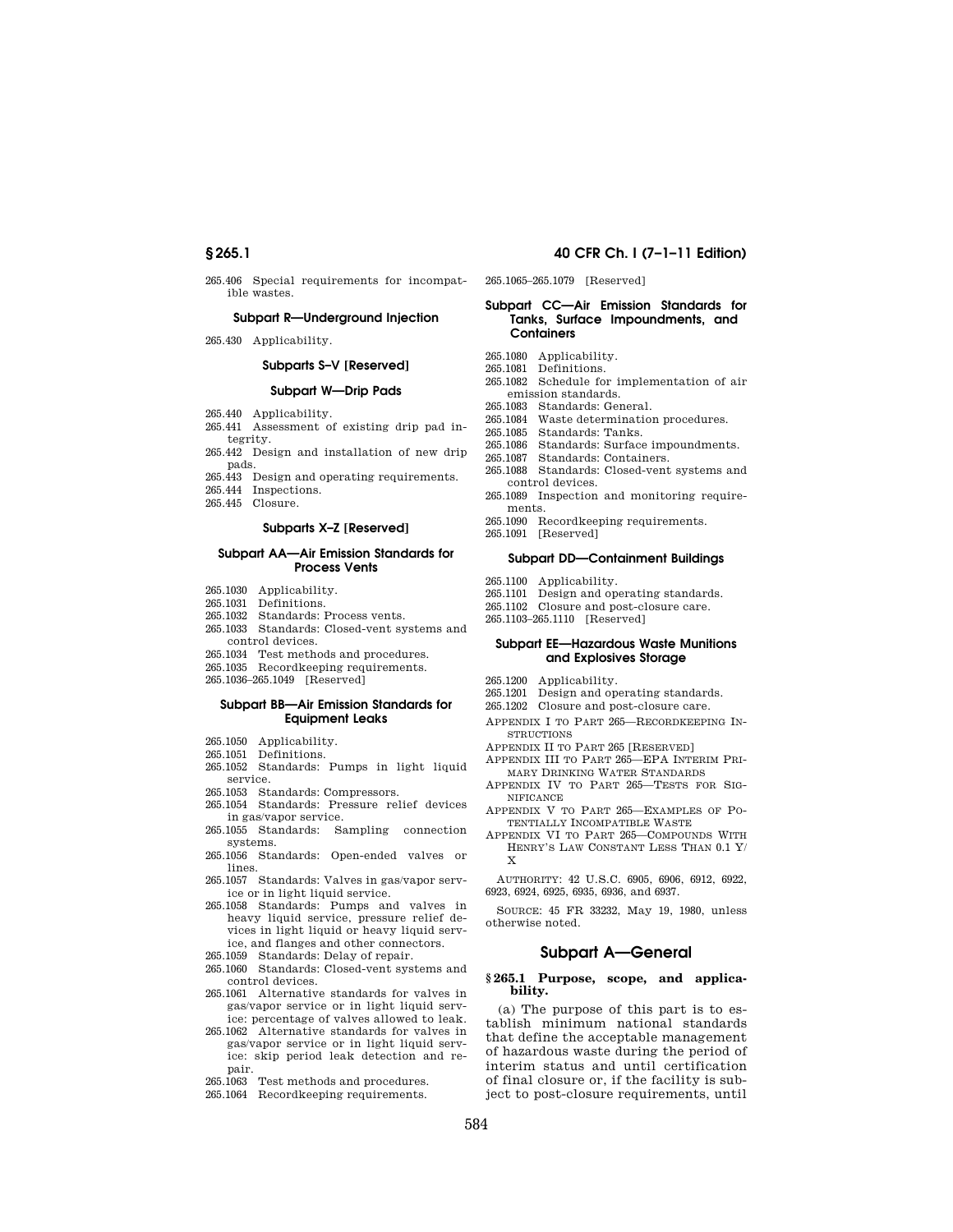265.406 Special requirements for incompatible wastes.

# **Subpart R—Underground Injection**

265.430 Applicability.

## **Subparts S–V [Reserved]**

## **Subpart W—Drip Pads**

- 265.440 Applicability.
- 265.441 Assessment of existing drip pad integrity.
- 265.442 Design and installation of new drip pads.
- 265.443 Design and operating requirements.
- 265.444 Inspections.
- 265.445 Closure.

## **Subparts X–Z [Reserved]**

## **Subpart AA—Air Emission Standards for Process Vents**

- 265.1030 Applicability.
- 265.1031 Definitions.
- 265.1032 Standards: Process vents.
- 265.1033 Standards: Closed-vent systems and control devices.
- 265.1034 Test methods and procedures.
- 265.1035 Recordkeeping requirements.
- 265.1036–265.1049 [Reserved]

#### **Subpart BB—Air Emission Standards for Equipment Leaks**

- 265.1050 Applicability.
- 265.1051 Definitions.
- 265.1052 Standards: Pumps in light liquid service.
- 265.1053 Standards: Compressors. 265.1054 Standards: Pressure relief devices
- in gas/vapor service.
- 265.1055 Standards: Sampling connection systems.
- 265.1056 Standards: Open-ended valves or lines.
- 265.1057 Standards: Valves in gas/vapor service or in light liquid service.
- 265.1058 Standards: Pumps and valves in heavy liquid service, pressure relief devices in light liquid or heavy liquid service, and flanges and other connectors.
- 265.1059 Standards: Delay of repair.
- 265.1060 Standards: Closed-vent systems and control devices.
- 265.1061 Alternative standards for valves in gas/vapor service or in light liquid service: percentage of valves allowed to leak.
- 265.1062 Alternative standards for valves in gas/vapor service or in light liquid service: skip period leak detection and repair.
- 265.1063 Test methods and procedures.
- 265.1064 Recordkeeping requirements.

## **§ 265.1 40 CFR Ch. I (7–1–11 Edition)**

# 265.1065–265.1079 [Reserved]

## **Subpart CC—Air Emission Standards for Tanks, Surface Impoundments, and Containers**

- 265.1080 Applicability. 265.1081 Definitions.
- 265.1082 Schedule for implementation of air emission standards.
- 
- 265.1083 Standards: General. Waste determination procedures.
- 265.1085 Standards: Tanks.<br>265.1086 Standards: Surface
- Standards: Surface impoundments.
- 265.1087 Standards: Containers.
- 265.1088 Standards: Closed-vent systems and control devices.
- 265.1089 Inspection and monitoring requirements.
- 265.1090 Recordkeeping requirements.
- 265.1091 [Reserved]

## **Subpart DD—Containment Buildings**

- 265.1100 Applicability.
- 265.1101 Design and operating standards.
- 265.1102 Closure and post-closure care.
- 265.1103–265.1110 [Reserved]

## **Subpart EE—Hazardous Waste Munitions and Explosives Storage**

- 265.1200 Applicability.
- 265.1201 Design and operating standards.
- 265.1202 Closure and post-closure care.
- APPENDIX I TO PART 265—RECORDKEEPING IN-**STRUCTIONS**
- APPENDIX II TO PART 265 [RESERVED]
- APPENDIX III TO PART 265—EPA INTERIM PRI-MARY DRINKING WATER STANDARDS
- APPENDIX IV TO PART 265—TESTS FOR SIG-NIFICANCE APPENDIX V TO PART 265—EXAMPLES OF PO-
- TENTIALLY INCOMPATIBLE WASTE
- APPENDIX VI TO PART 265—COMPOUNDS WITH HENRY'S LAW CONSTANT LESS THAN 0.1 Y/ X

AUTHORITY: 42 U.S.C. 6905, 6906, 6912, 6922, 6923, 6924, 6925, 6935, 6936, and 6937.

SOURCE: 45 FR 33232, May 19, 1980, unless otherwise noted.

## **Subpart A—General**

#### **§ 265.1 Purpose, scope, and applicability.**

(a) The purpose of this part is to establish minimum national standards that define the acceptable management of hazardous waste during the period of interim status and until certification of final closure or, if the facility is subject to post-closure requirements, until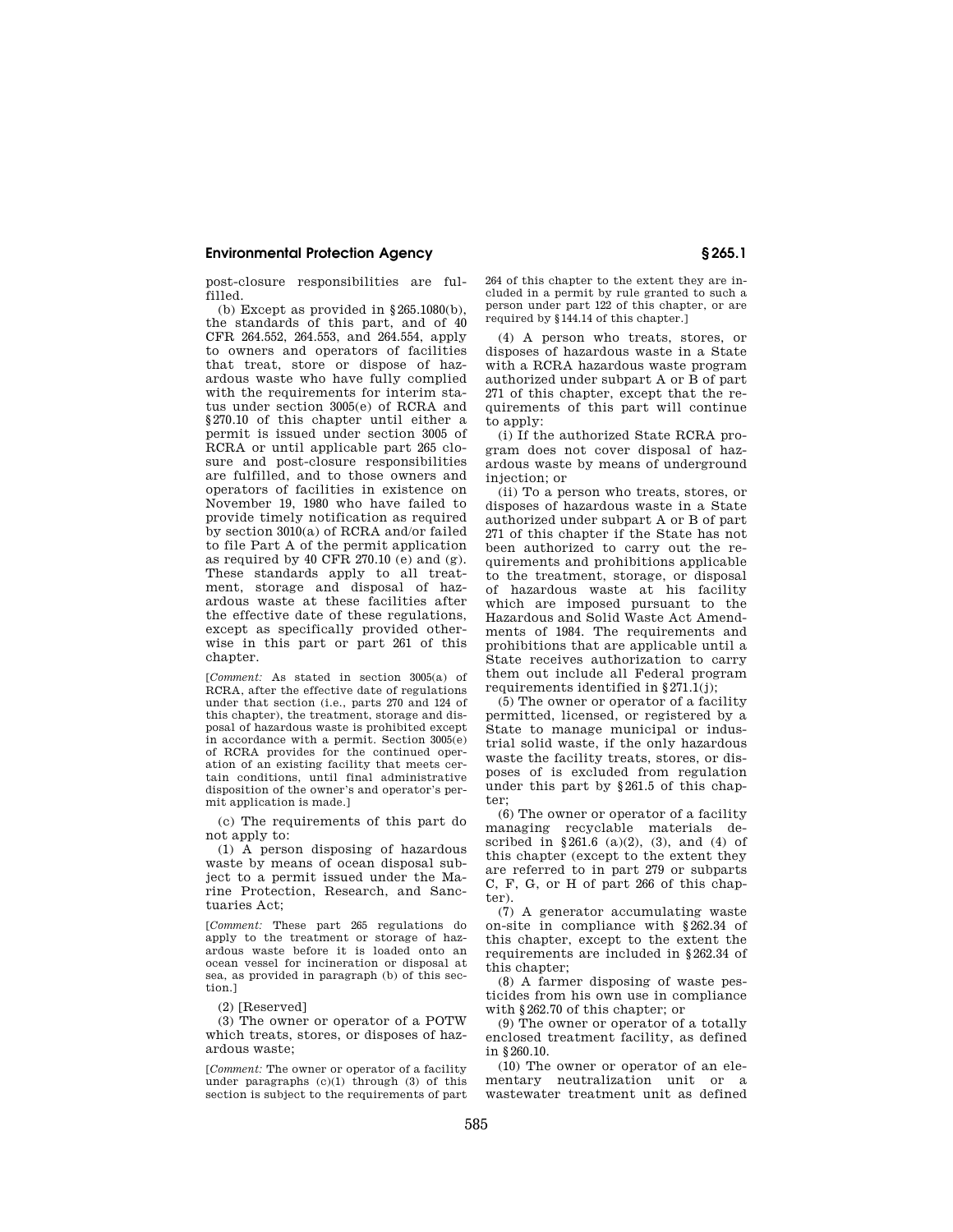post-closure responsibilities are fulfilled.

(b) Except as provided in §265.1080(b), the standards of this part, and of 40 CFR 264.552, 264.553, and 264.554, apply to owners and operators of facilities that treat, store or dispose of hazardous waste who have fully complied with the requirements for interim status under section 3005(e) of RCRA and §270.10 of this chapter until either a permit is issued under section 3005 of RCRA or until applicable part 265 closure and post-closure responsibilities are fulfilled, and to those owners and operators of facilities in existence on November 19, 1980 who have failed to provide timely notification as required by section 3010(a) of RCRA and/or failed to file Part A of the permit application as required by 40 CFR 270.10 (e) and (g). These standards apply to all treatment, storage and disposal of hazardous waste at these facilities after the effective date of these regulations, except as specifically provided otherwise in this part or part 261 of this chapter.

[*Comment:* As stated in section 3005(a) of RCRA, after the effective date of regulations under that section (i.e., parts 270 and 124 of this chapter), the treatment, storage and disposal of hazardous waste is prohibited except in accordance with a permit. Section 3005(e) of RCRA provides for the continued operation of an existing facility that meets certain conditions, until final administrative disposition of the owner's and operator's permit application is made.]

(c) The requirements of this part do not apply to:

(1) A person disposing of hazardous waste by means of ocean disposal subject to a permit issued under the Marine Protection, Research, and Sanctuaries Act;

[*Comment:* These part 265 regulations do apply to the treatment or storage of hazardous waste before it is loaded onto an ocean vessel for incineration or disposal at sea, as provided in paragraph (b) of this section.]

(2) [Reserved]

(3) The owner or operator of a POTW which treats, stores, or disposes of hazardous waste;

[*Comment:* The owner or operator of a facility under paragraphs (c)(1) through (3) of this section is subject to the requirements of part 264 of this chapter to the extent they are included in a permit by rule granted to such a person under part 122 of this chapter, or are required by §144.14 of this chapter.]

(4) A person who treats, stores, or disposes of hazardous waste in a State with a RCRA hazardous waste program authorized under subpart A or B of part 271 of this chapter, except that the requirements of this part will continue to apply:

(i) If the authorized State RCRA program does not cover disposal of hazardous waste by means of underground injection; or

(ii) To a person who treats, stores, or disposes of hazardous waste in a State authorized under subpart A or B of part 271 of this chapter if the State has not been authorized to carry out the requirements and prohibitions applicable to the treatment, storage, or disposal of hazardous waste at his facility which are imposed pursuant to the Hazardous and Solid Waste Act Amendments of 1984. The requirements and prohibitions that are applicable until a State receives authorization to carry them out include all Federal program requirements identified in §271.1(j);

(5) The owner or operator of a facility permitted, licensed, or registered by a State to manage municipal or industrial solid waste, if the only hazardous waste the facility treats, stores, or disposes of is excluded from regulation under this part by §261.5 of this chapter;

(6) The owner or operator of a facility managing recyclable materials described in §261.6 (a)(2), (3), and (4) of this chapter (except to the extent they are referred to in part 279 or subparts C, F, G, or H of part 266 of this chapter).

(7) A generator accumulating waste on-site in compliance with §262.34 of this chapter, except to the extent the requirements are included in §262.34 of this chapter;

(8) A farmer disposing of waste pesticides from his own use in compliance with §262.70 of this chapter; or

(9) The owner or operator of a totally enclosed treatment facility, as defined in §260.10.

(10) The owner or operator of an elementary neutralization unit or a wastewater treatment unit as defined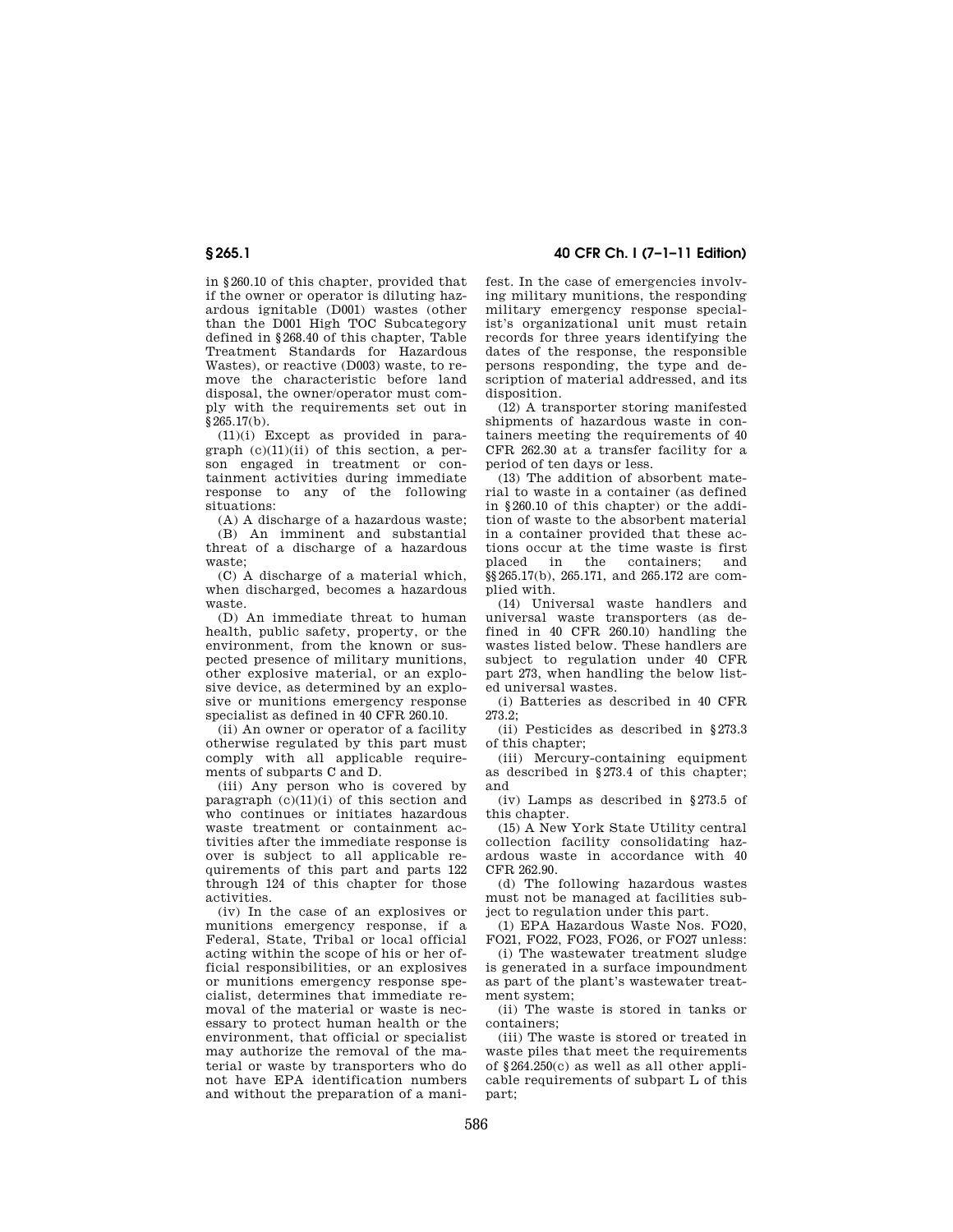in §260.10 of this chapter, provided that if the owner or operator is diluting hazardous ignitable (D001) wastes (other than the D001 High TOC Subcategory defined in §268.40 of this chapter, Table Treatment Standards for Hazardous Wastes), or reactive (D003) waste, to remove the characteristic before land disposal, the owner/operator must comply with the requirements set out in §265.17(b).

(11)(i) Except as provided in paragraph (c)(11)(ii) of this section, a person engaged in treatment or containment activities during immediate response to any of the following situations:

(A) A discharge of a hazardous waste; (B) An imminent and substantial threat of a discharge of a hazardous waste;

(C) A discharge of a material which, when discharged, becomes a hazardous waste.

(D) An immediate threat to human health, public safety, property, or the environment, from the known or suspected presence of military munitions, other explosive material, or an explosive device, as determined by an explosive or munitions emergency response specialist as defined in 40 CFR 260.10.

(ii) An owner or operator of a facility otherwise regulated by this part must comply with all applicable requirements of subparts C and D.

(iii) Any person who is covered by paragraph (c)(11)(i) of this section and who continues or initiates hazardous waste treatment or containment activities after the immediate response is over is subject to all applicable requirements of this part and parts 122 through 124 of this chapter for those activities.

(iv) In the case of an explosives or munitions emergency response, if a Federal, State, Tribal or local official acting within the scope of his or her official responsibilities, or an explosives or munitions emergency response specialist, determines that immediate removal of the material or waste is necessary to protect human health or the environment, that official or specialist may authorize the removal of the material or waste by transporters who do not have EPA identification numbers and without the preparation of a mani-

**§ 265.1 40 CFR Ch. I (7–1–11 Edition)** 

fest. In the case of emergencies involving military munitions, the responding military emergency response specialist's organizational unit must retain records for three years identifying the dates of the response, the responsible persons responding, the type and description of material addressed, and its disposition.

(12) A transporter storing manifested shipments of hazardous waste in containers meeting the requirements of 40 CFR 262.30 at a transfer facility for a period of ten days or less.

(13) The addition of absorbent material to waste in a container (as defined in §260.10 of this chapter) or the addition of waste to the absorbent material in a container provided that these actions occur at the time waste is first<br>placed in the containers; and containers; and §§265.17(b), 265.171, and 265.172 are complied with.

(14) Universal waste handlers and universal waste transporters (as defined in 40 CFR 260.10) handling the wastes listed below. These handlers are subject to regulation under 40 CFR part 273, when handling the below listed universal wastes.

(i) Batteries as described in 40 CFR 273.2;

(ii) Pesticides as described in §273.3 of this chapter;

(iii) Mercury-containing equipment as described in §273.4 of this chapter; and

(iv) Lamps as described in §273.5 of this chapter.

(15) A New York State Utility central collection facility consolidating hazardous waste in accordance with 40 CFR 262.90.

(d) The following hazardous wastes must not be managed at facilities subject to regulation under this part.

(1) EPA Hazardous Waste Nos. FO20, FO21, FO22, FO23, FO26, or FO27 unless:

(i) The wastewater treatment sludge is generated in a surface impoundment as part of the plant's wastewater treatment system;

(ii) The waste is stored in tanks or containers;

(iii) The waste is stored or treated in waste piles that meet the requirements of §264.250(c) as well as all other applicable requirements of subpart L of this part;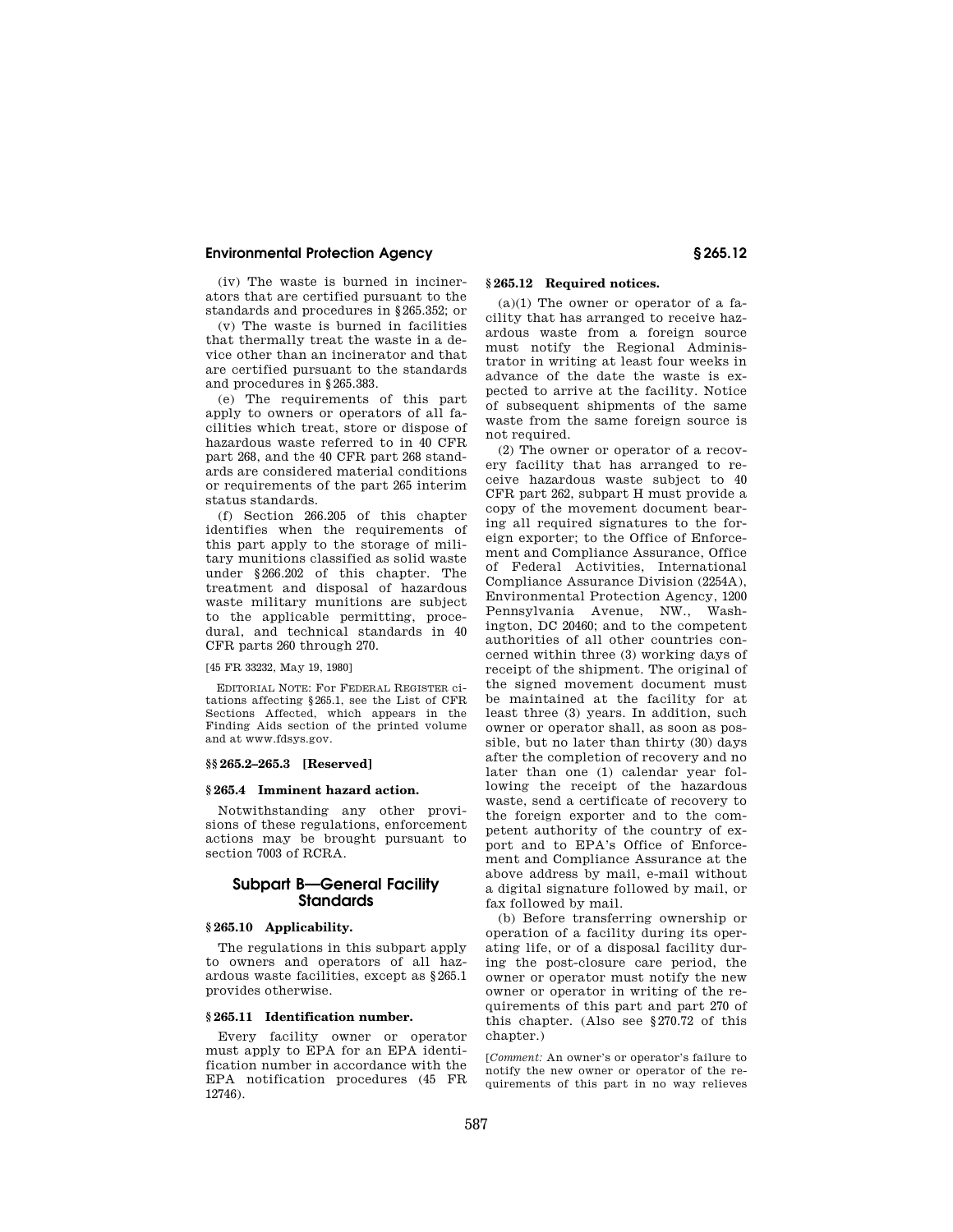(iv) The waste is burned in incinerators that are certified pursuant to the standards and procedures in §265.352; or

(v) The waste is burned in facilities that thermally treat the waste in a device other than an incinerator and that are certified pursuant to the standards and procedures in §265.383.

(e) The requirements of this part apply to owners or operators of all facilities which treat, store or dispose of hazardous waste referred to in 40 CFR part 268, and the 40 CFR part 268 standards are considered material conditions or requirements of the part 265 interim status standards.

(f) Section 266.205 of this chapter identifies when the requirements of this part apply to the storage of military munitions classified as solid waste under §266.202 of this chapter. The treatment and disposal of hazardous waste military munitions are subject to the applicable permitting, procedural, and technical standards in 40 CFR parts 260 through 270.

### [45 FR 33232, May 19, 1980]

EDITORIAL NOTE: For FEDERAL REGISTER citations affecting §265.1, see the List of CFR Sections Affected, which appears in the Finding Aids section of the printed volume and at www.fdsys.gov.

### **§§ 265.2–265.3 [Reserved]**

#### **§ 265.4 Imminent hazard action.**

Notwithstanding any other provisions of these regulations, enforcement actions may be brought pursuant to section 7003 of RCRA.

# **Subpart B—General Facility Standards**

#### **§ 265.10 Applicability.**

The regulations in this subpart apply to owners and operators of all hazardous waste facilities, except as §265.1 provides otherwise.

## **§ 265.11 Identification number.**

Every facility owner or operator must apply to EPA for an EPA identification number in accordance with the EPA notification procedures (45 FR 12746).

# **§ 265.12 Required notices.**

 $(a)(1)$  The owner or operator of a facility that has arranged to receive hazardous waste from a foreign source must notify the Regional Administrator in writing at least four weeks in advance of the date the waste is expected to arrive at the facility. Notice of subsequent shipments of the same waste from the same foreign source is not required.

(2) The owner or operator of a recovery facility that has arranged to receive hazardous waste subject to 40 CFR part 262, subpart H must provide a copy of the movement document bearing all required signatures to the foreign exporter; to the Office of Enforcement and Compliance Assurance, Office of Federal Activities, International Compliance Assurance Division (2254A), Environmental Protection Agency, 1200 Pennsylvania Avenue, NW., Washington, DC 20460; and to the competent authorities of all other countries concerned within three (3) working days of receipt of the shipment. The original of the signed movement document must be maintained at the facility for at least three (3) years. In addition, such owner or operator shall, as soon as possible, but no later than thirty (30) days after the completion of recovery and no later than one (1) calendar year following the receipt of the hazardous waste, send a certificate of recovery to the foreign exporter and to the competent authority of the country of export and to EPA's Office of Enforcement and Compliance Assurance at the above address by mail, e-mail without a digital signature followed by mail, or fax followed by mail.

(b) Before transferring ownership or operation of a facility during its operating life, or of a disposal facility during the post-closure care period, the owner or operator must notify the new owner or operator in writing of the requirements of this part and part 270 of this chapter. (Also see §270.72 of this chapter.)

[*Comment:* An owner's or operator's failure to notify the new owner or operator of the requirements of this part in no way relieves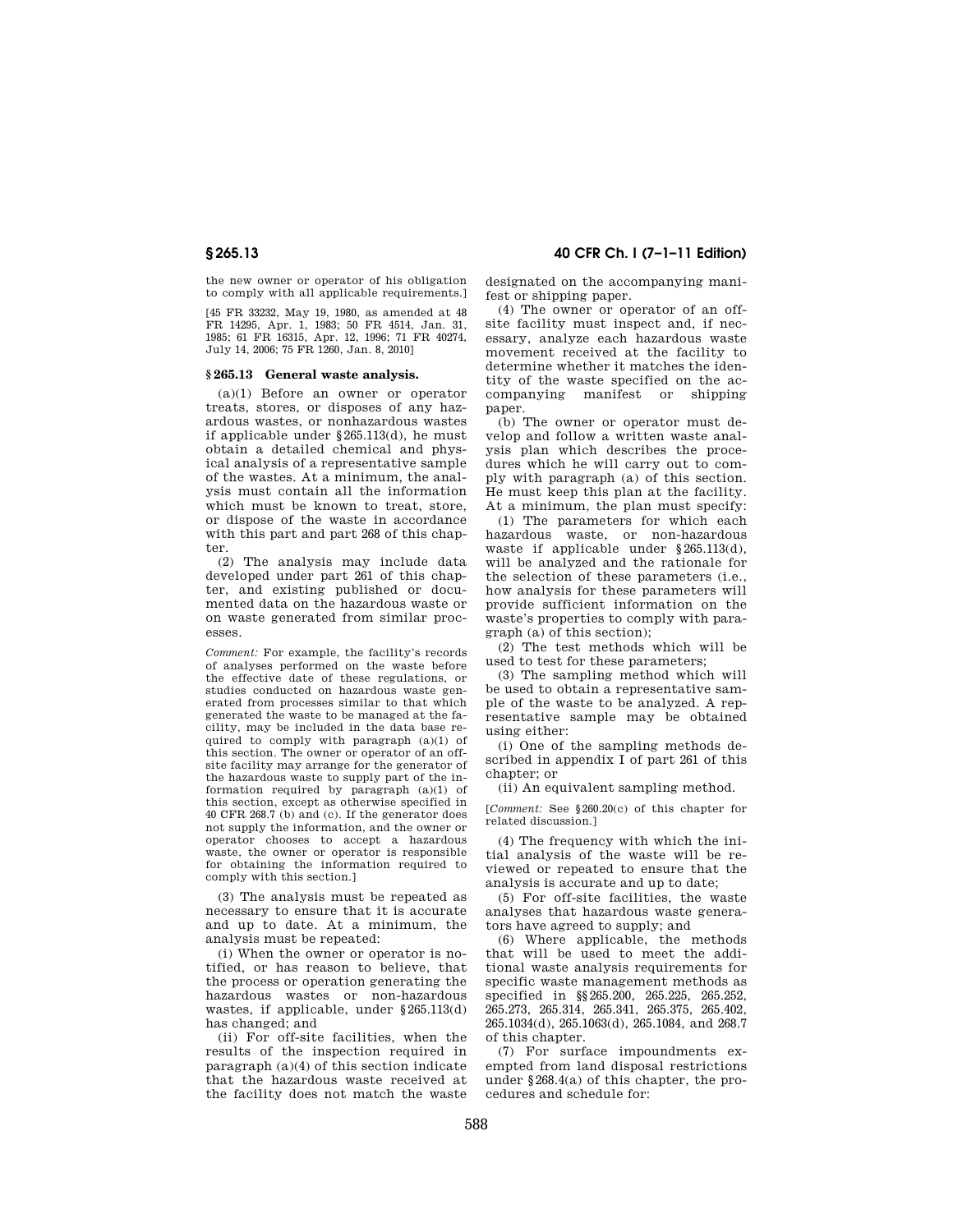the new owner or operator of his obligation to comply with all applicable requirements.]

[45 FR 33232, May 19, 1980, as amended at 48 FR 14295, Apr. 1, 1983; 50 FR 4514, Jan. 31, 1985; 61 FR 16315, Apr. 12, 1996; 71 FR 40274, July 14, 2006; 75 FR 1260, Jan. 8, 2010]

## **§ 265.13 General waste analysis.**

(a)(1) Before an owner or operator treats, stores, or disposes of any hazardous wastes, or nonhazardous wastes if applicable under §265.113(d), he must obtain a detailed chemical and physical analysis of a representative sample of the wastes. At a minimum, the analysis must contain all the information which must be known to treat, store, or dispose of the waste in accordance with this part and part 268 of this chapter.

(2) The analysis may include data developed under part 261 of this chapter, and existing published or documented data on the hazardous waste or on waste generated from similar processes.

*Comment:* For example, the facility's records of analyses performed on the waste before the effective date of these regulations, or studies conducted on hazardous waste generated from processes similar to that which generated the waste to be managed at the facility, may be included in the data base required to comply with paragraph (a)(1) of this section. The owner or operator of an offsite facility may arrange for the generator of the hazardous waste to supply part of the information required by paragraph (a)(1) of this section, except as otherwise specified in 40 CFR 268.7 (b) and (c). If the generator does not supply the information, and the owner or operator chooses to accept a hazardous waste, the owner or operator is responsible for obtaining the information required to comply with this section.]

(3) The analysis must be repeated as necessary to ensure that it is accurate and up to date. At a minimum, the analysis must be repeated:

(i) When the owner or operator is notified, or has reason to believe, that the process or operation generating the hazardous wastes or non-hazardous wastes, if applicable, under §265.113(d) has changed; and

(ii) For off-site facilities, when the results of the inspection required in paragraph (a)(4) of this section indicate that the hazardous waste received at the facility does not match the waste

**§ 265.13 40 CFR Ch. I (7–1–11 Edition)** 

designated on the accompanying manifest or shipping paper.

(4) The owner or operator of an offsite facility must inspect and, if necessary, analyze each hazardous waste movement received at the facility to determine whether it matches the identity of the waste specified on the accompanying manifest or shipping paper.

(b) The owner or operator must develop and follow a written waste analysis plan which describes the procedures which he will carry out to comply with paragraph (a) of this section. He must keep this plan at the facility. At a minimum, the plan must specify:

(1) The parameters for which each hazardous waste, or non-hazardous waste if applicable under §265.113(d), will be analyzed and the rationale for the selection of these parameters (i.e., how analysis for these parameters will provide sufficient information on the waste's properties to comply with paragraph (a) of this section);

(2) The test methods which will be used to test for these parameters;

(3) The sampling method which will be used to obtain a representative sample of the waste to be analyzed. A representative sample may be obtained using either:

(i) One of the sampling methods described in appendix I of part 261 of this chapter; or

(ii) An equivalent sampling method.

[*Comment:* See §260.20(c) of this chapter for related discussion.]

(4) The frequency with which the initial analysis of the waste will be reviewed or repeated to ensure that the analysis is accurate and up to date;

(5) For off-site facilities, the waste analyses that hazardous waste generators have agreed to supply; and

(6) Where applicable, the methods that will be used to meet the additional waste analysis requirements for specific waste management methods as specified in §§265.200, 265.225, 265.252, 265.273, 265.314, 265.341, 265.375, 265.402, 265.1034(d), 265.1063(d), 265.1084, and 268.7 of this chapter.

(7) For surface impoundments exempted from land disposal restrictions under §268.4(a) of this chapter, the procedures and schedule for: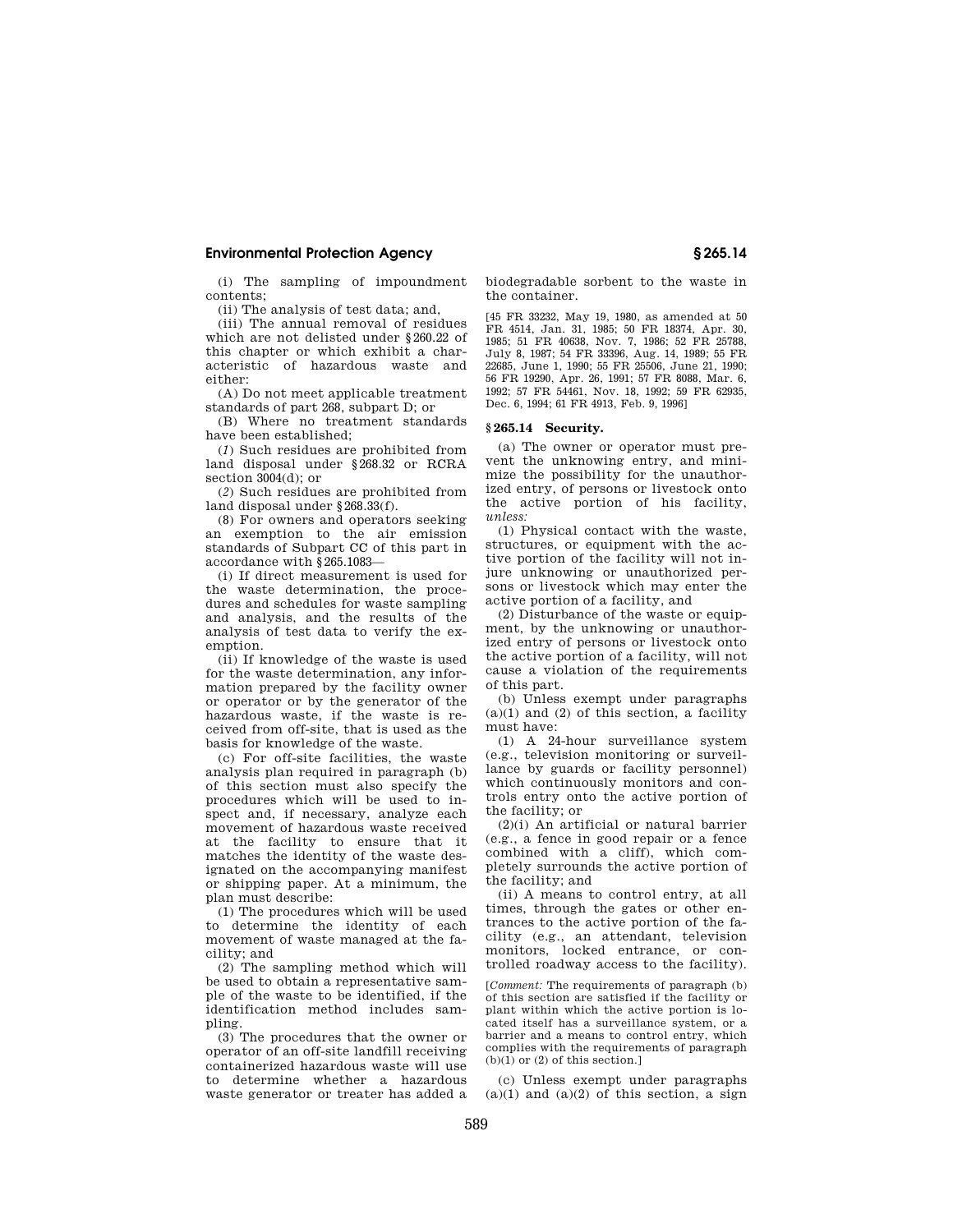(i) The sampling of impoundment contents;

(ii) The analysis of test data; and,

(iii) The annual removal of residues which are not delisted under §260.22 of this chapter or which exhibit a characteristic of hazardous waste and either:

(A) Do not meet applicable treatment standards of part 268, subpart D; or

(B) Where no treatment standards have been established;

(*1*) Such residues are prohibited from land disposal under §268.32 or RCRA section  $3004(d)$ ; or

(*2*) Such residues are prohibited from land disposal under §268.33(f).

(8) For owners and operators seeking an exemption to the air emission standards of Subpart CC of this part in accordance with §265.1083—

(i) If direct measurement is used for the waste determination, the procedures and schedules for waste sampling and analysis, and the results of the analysis of test data to verify the exemption.

(ii) If knowledge of the waste is used for the waste determination, any information prepared by the facility owner or operator or by the generator of the hazardous waste, if the waste is received from off-site, that is used as the basis for knowledge of the waste.

(c) For off-site facilities, the waste analysis plan required in paragraph (b) of this section must also specify the procedures which will be used to inspect and, if necessary, analyze each movement of hazardous waste received at the facility to ensure that it matches the identity of the waste designated on the accompanying manifest or shipping paper. At a minimum, the plan must describe:

(1) The procedures which will be used to determine the identity of each movement of waste managed at the facility; and

(2) The sampling method which will be used to obtain a representative sample of the waste to be identified, if the identification method includes sampling.

(3) The procedures that the owner or operator of an off-site landfill receiving containerized hazardous waste will use to determine whether a hazardous waste generator or treater has added a biodegradable sorbent to the waste in the container.

[45 FR 33232, May 19, 1980, as amended at 50 FR 4514, Jan. 31, 1985; 50 FR 18374, Apr. 30, 1985; 51 FR 40638, Nov. 7, 1986; 52 FR 25788, July 8, 1987; 54 FR 33396, Aug. 14, 1989; 55 FR 22685, June 1, 1990; 55 FR 25506, June 21, 1990; 56 FR 19290, Apr. 26, 1991; 57 FR 8088, Mar. 6, 1992; 57 FR 54461, Nov. 18, 1992; 59 FR 62935, Dec. 6, 1994; 61 FR 4913, Feb. 9, 1996]

# **§ 265.14 Security.**

(a) The owner or operator must prevent the unknowing entry, and minimize the possibility for the unauthorized entry, of persons or livestock onto the active portion of his facility, *unless:* 

(1) Physical contact with the waste, structures, or equipment with the active portion of the facility will not injure unknowing or unauthorized persons or livestock which may enter the active portion of a facility, and

(2) Disturbance of the waste or equipment, by the unknowing or unauthorized entry of persons or livestock onto the active portion of a facility, will not cause a violation of the requirements of this part.

(b) Unless exempt under paragraphs  $(a)(1)$  and  $(2)$  of this section, a facility must have:

(1) A 24-hour surveillance system (e.g., television monitoring or surveillance by guards or facility personnel) which continuously monitors and controls entry onto the active portion of the facility; or

(2)(i) An artificial or natural barrier (e.g., a fence in good repair or a fence combined with a cliff), which completely surrounds the active portion of the facility; and

(ii) A means to control entry, at all times, through the gates or other entrances to the active portion of the facility (e.g., an attendant, television monitors, locked entrance, or controlled roadway access to the facility).

[*Comment:* The requirements of paragraph (b) of this section are satisfied if the facility or plant within which the active portion is located itself has a surveillance system, or a barrier and a means to control entry, which complies with the requirements of paragraph  $(b)(1)$  or  $(2)$  of this section.]

(c) Unless exempt under paragraphs  $(a)(1)$  and  $(a)(2)$  of this section, a sign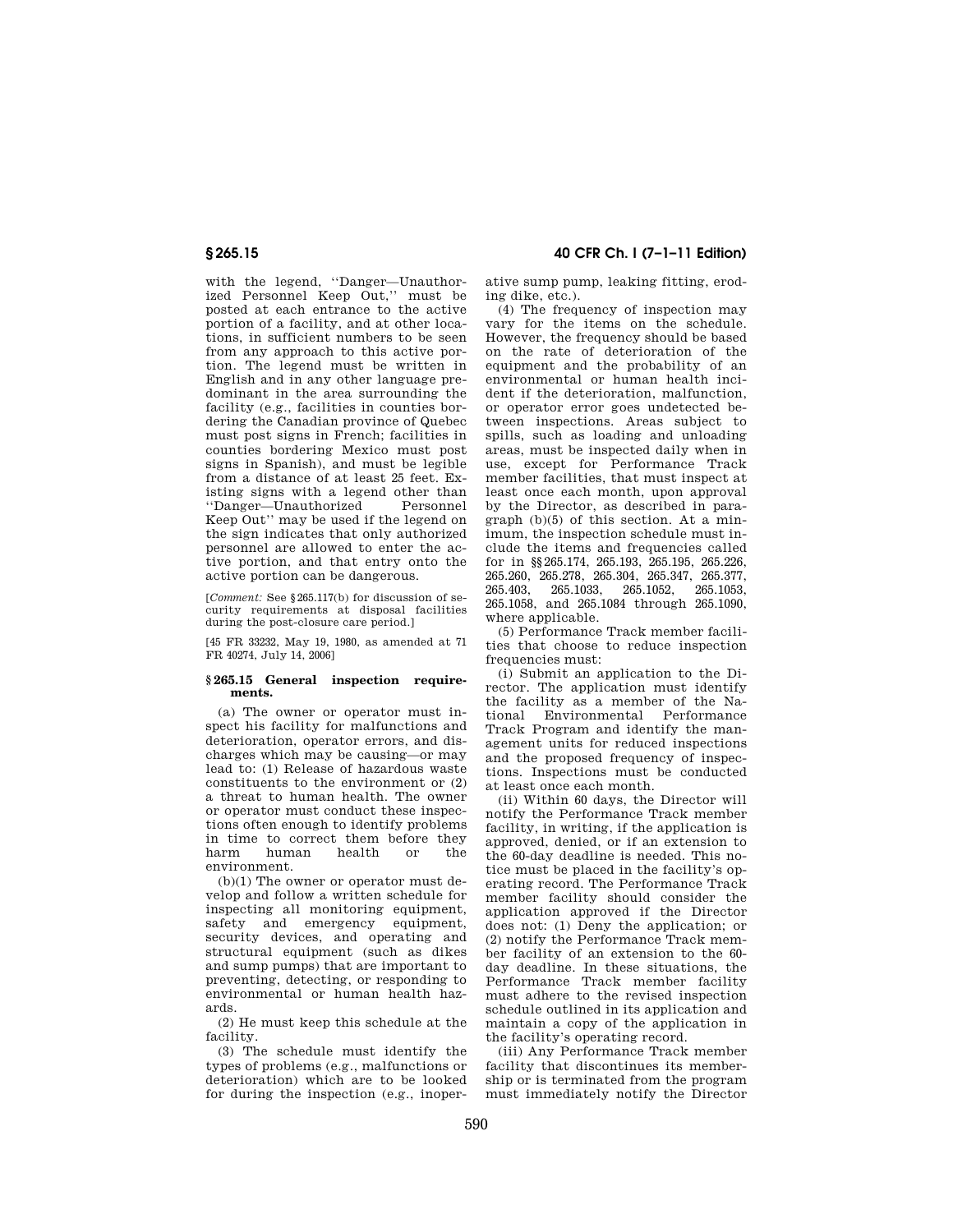with the legend, ''Danger—Unauthorized Personnel Keep Out,'' must be posted at each entrance to the active portion of a facility, and at other locations, in sufficient numbers to be seen from any approach to this active portion. The legend must be written in English and in any other language predominant in the area surrounding the facility (e.g., facilities in counties bordering the Canadian province of Quebec must post signs in French; facilities in counties bordering Mexico must post signs in Spanish), and must be legible from a distance of at least 25 feet. Existing signs with a legend other than<br>"Danger—Unauthorized Personnel" "Danger-Unauthorized Keep Out'' may be used if the legend on the sign indicates that only authorized personnel are allowed to enter the active portion, and that entry onto the active portion can be dangerous.

[*Comment:* See §265.117(b) for discussion of security requirements at disposal facilities during the post-closure care period.]

[45 FR 33232, May 19, 1980, as amended at 71 FR 40274, July 14, 2006]

#### **§ 265.15 General inspection requirements.**

(a) The owner or operator must inspect his facility for malfunctions and deterioration, operator errors, and discharges which may be causing—or may lead to: (1) Release of hazardous waste constituents to the environment or (2) a threat to human health. The owner or operator must conduct these inspections often enough to identify problems in time to correct them before they harm human health or the environment.

(b)(1) The owner or operator must develop and follow a written schedule for inspecting all monitoring equipment, safety and emergency security devices, and operating and structural equipment (such as dikes and sump pumps) that are important to preventing, detecting, or responding to environmental or human health hazards.

(2) He must keep this schedule at the facility.

(3) The schedule must identify the types of problems (e.g., malfunctions or deterioration) which are to be looked for during the inspection (e.g., inoper-

**§ 265.15 40 CFR Ch. I (7–1–11 Edition)** 

ative sump pump, leaking fitting, eroding dike, etc.).

(4) The frequency of inspection may vary for the items on the schedule. However, the frequency should be based on the rate of deterioration of the equipment and the probability of an environmental or human health incident if the deterioration, malfunction, or operator error goes undetected between inspections. Areas subject to spills, such as loading and unloading areas, must be inspected daily when in use, except for Performance Track member facilities, that must inspect at least once each month, upon approval by the Director, as described in paragraph (b)(5) of this section. At a minimum, the inspection schedule must include the items and frequencies called for in §§265.174, 265.193, 265.195, 265.226, 265.260, 265.278, 265.304, 265.347, 265.377, 265.403, 265.1033, 265.1053, 265.403, 265.1033, 265.1052, 265.1053, 265.1058, and 265.1084 through 265.1090, where applicable.

(5) Performance Track member facilities that choose to reduce inspection frequencies must:

(i) Submit an application to the Director. The application must identify the facility as a member of the National Environmental Performance Track Program and identify the management units for reduced inspections and the proposed frequency of inspections. Inspections must be conducted at least once each month.

(ii) Within 60 days, the Director will notify the Performance Track member facility, in writing, if the application is approved, denied, or if an extension to the 60-day deadline is needed. This notice must be placed in the facility's operating record. The Performance Track member facility should consider the application approved if the Director does not: (1) Deny the application; or (2) notify the Performance Track member facility of an extension to the 60 day deadline. In these situations, the Performance Track member facility must adhere to the revised inspection schedule outlined in its application and maintain a copy of the application in the facility's operating record.

(iii) Any Performance Track member facility that discontinues its membership or is terminated from the program must immediately notify the Director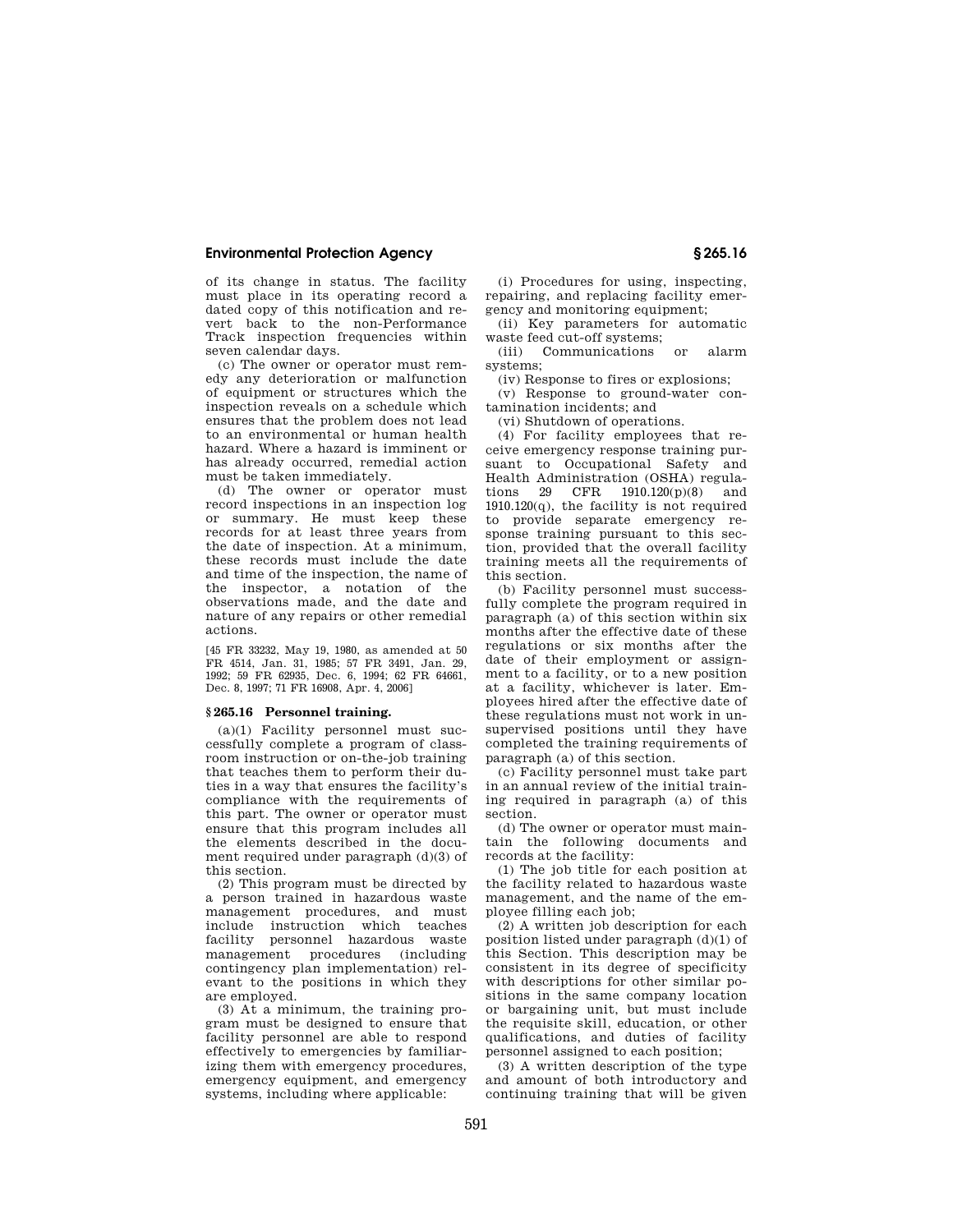of its change in status. The facility must place in its operating record a dated copy of this notification and revert back to the non-Performance Track inspection frequencies within seven calendar days.

(c) The owner or operator must remedy any deterioration or malfunction of equipment or structures which the inspection reveals on a schedule which ensures that the problem does not lead to an environmental or human health hazard. Where a hazard is imminent or has already occurred, remedial action must be taken immediately.

(d) The owner or operator must record inspections in an inspection log or summary. He must keep these records for at least three years from the date of inspection. At a minimum, these records must include the date and time of the inspection, the name of the inspector, a notation of the observations made, and the date and nature of any repairs or other remedial actions.

[45 FR 33232, May 19, 1980, as amended at 50 FR 4514, Jan. 31, 1985; 57 FR 3491, Jan. 29, 1992; 59 FR 62935, Dec. 6, 1994; 62 FR 64661, Dec. 8, 1997; 71 FR 16908, Apr. 4, 2006]

# **§ 265.16 Personnel training.**

(a)(1) Facility personnel must successfully complete a program of classroom instruction or on-the-job training that teaches them to perform their duties in a way that ensures the facility's compliance with the requirements of this part. The owner or operator must ensure that this program includes all the elements described in the document required under paragraph (d)(3) of this section.

(2) This program must be directed by a person trained in hazardous waste management procedures, and must include instruction which teaches facility personnel hazardous waste management procedures (including contingency plan implementation) relevant to the positions in which they are employed.

(3) At a minimum, the training program must be designed to ensure that facility personnel are able to respond effectively to emergencies by familiarizing them with emergency procedures, emergency equipment, and emergency systems, including where applicable:

(i) Procedures for using, inspecting, repairing, and replacing facility emergency and monitoring equipment;

(ii) Key parameters for automatic waste feed cut-off systems;

(iii) Communications or alarm systems;

(iv) Response to fires or explosions;

(v) Response to ground-water contamination incidents; and

(vi) Shutdown of operations.

(4) For facility employees that receive emergency response training pursuant to Occupational Safety and Health Administration (OSHA) regulations 29 CFR 1910.120(p)(8) and  $1910.120(q)$ , the facility is not required to provide separate emergency response training pursuant to this section, provided that the overall facility training meets all the requirements of this section.

(b) Facility personnel must successfully complete the program required in paragraph (a) of this section within six months after the effective date of these regulations or six months after the date of their employment or assignment to a facility, or to a new position at a facility, whichever is later. Employees hired after the effective date of these regulations must not work in unsupervised positions until they have completed the training requirements of paragraph (a) of this section.

(c) Facility personnel must take part in an annual review of the initial training required in paragraph (a) of this section.

(d) The owner or operator must maintain the following documents and records at the facility:

(1) The job title for each position at the facility related to hazardous waste management, and the name of the employee filling each job;

(2) A written job description for each position listed under paragraph (d)(1) of this Section. This description may be consistent in its degree of specificity with descriptions for other similar positions in the same company location or bargaining unit, but must include the requisite skill, education, or other qualifications, and duties of facility personnel assigned to each position;

 $(3)$  A written description of the type and amount of both introductory and continuing training that will be given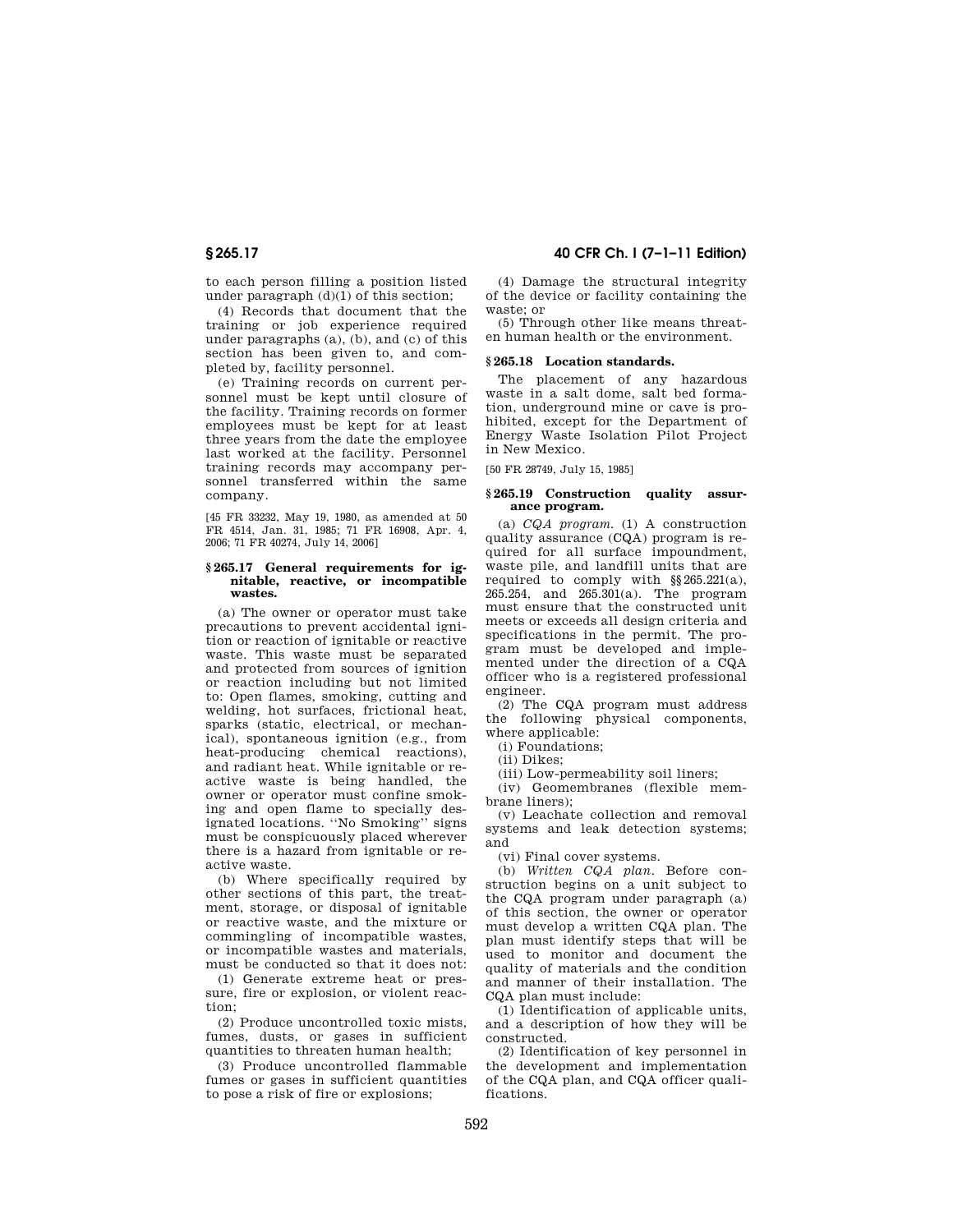to each person filling a position listed under paragraph  $(d)(1)$  of this section;

(4) Records that document that the training or job experience required under paragraphs (a), (b), and (c) of this section has been given to, and completed by, facility personnel.

(e) Training records on current personnel must be kept until closure of the facility. Training records on former employees must be kept for at least three years from the date the employee last worked at the facility. Personnel training records may accompany personnel transferred within the same company.

[45 FR 33232, May 19, 1980, as amended at 50 FR 4514, Jan. 31, 1985; 71 FR 16908, Apr. 4, 2006; 71 FR 40274, July 14, 2006]

#### **§ 265.17 General requirements for ignitable, reactive, or incompatible wastes.**

(a) The owner or operator must take precautions to prevent accidental ignition or reaction of ignitable or reactive waste. This waste must be separated and protected from sources of ignition or reaction including but not limited to: Open flames, smoking, cutting and welding, hot surfaces, frictional heat, sparks (static, electrical, or mechanical), spontaneous ignition (e.g., from heat-producing chemical reactions), and radiant heat. While ignitable or reactive waste is being handled, the owner or operator must confine smoking and open flame to specially designated locations. ''No Smoking'' signs must be conspicuously placed wherever there is a hazard from ignitable or reactive waste.

(b) Where specifically required by other sections of this part, the treatment, storage, or disposal of ignitable or reactive waste, and the mixture or commingling of incompatible wastes, or incompatible wastes and materials, must be conducted so that it does not:

(1) Generate extreme heat or pressure, fire or explosion, or violent reaction;

(2) Produce uncontrolled toxic mists, fumes, dusts, or gases in sufficient quantities to threaten human health;

(3) Produce uncontrolled flammable fumes or gases in sufficient quantities to pose a risk of fire or explosions;

# **§ 265.17 40 CFR Ch. I (7–1–11 Edition)**

(4) Damage the structural integrity of the device or facility containing the waste; or

(5) Through other like means threaten human health or the environment.

#### **§ 265.18 Location standards.**

The placement of any hazardous waste in a salt dome, salt bed formation, underground mine or cave is prohibited, except for the Department of Energy Waste Isolation Pilot Project in New Mexico.

[50 FR 28749, July 15, 1985]

## **§ 265.19 Construction quality assurance program.**

(a) *CQA program.* (1) A construction quality assurance (CQA) program is required for all surface impoundment, waste pile, and landfill units that are required to comply with §§265.221(a), 265.254, and 265.301(a). The program must ensure that the constructed unit meets or exceeds all design criteria and specifications in the permit. The program must be developed and implemented under the direction of a CQA officer who is a registered professional engineer.

(2) The CQA program must address the following physical components, where applicable:

(i) Foundations;

(ii) Dikes;

(iii) Low-permeability soil liners;

(iv) Geomembranes (flexible membrane liners);

(v) Leachate collection and removal systems and leak detection systems; and

(vi) Final cover systems.

(b) *Written CQA plan.* Before construction begins on a unit subject to the CQA program under paragraph (a) of this section, the owner or operator must develop a written CQA plan. The plan must identify steps that will be used to monitor and document the quality of materials and the condition and manner of their installation. The CQA plan must include:

(1) Identification of applicable units, and a description of how they will be constructed.

(2) Identification of key personnel in the development and implementation of the CQA plan, and CQA officer qualifications.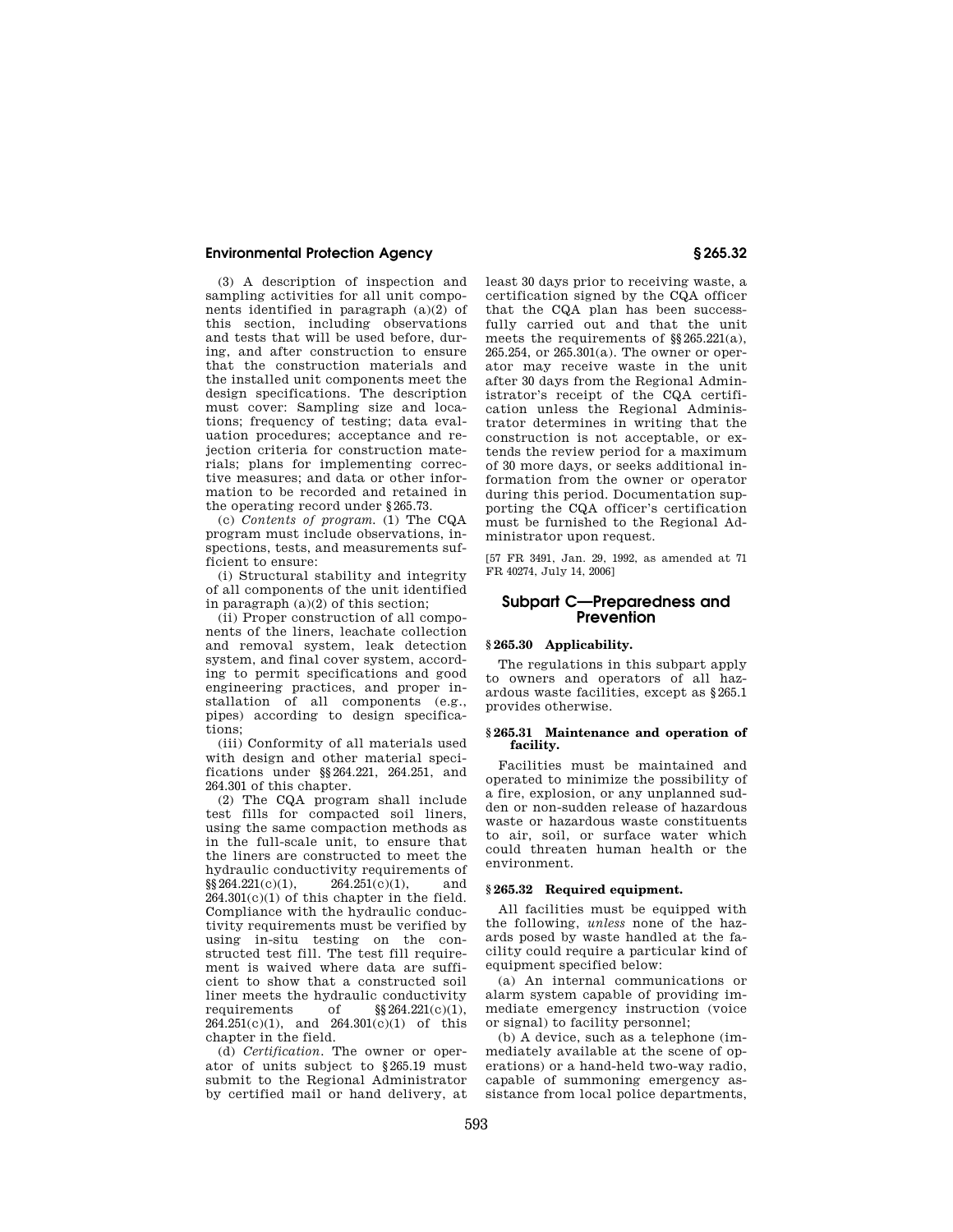(3) A description of inspection and sampling activities for all unit components identified in paragraph (a)(2) of this section, including observations and tests that will be used before, during, and after construction to ensure that the construction materials and the installed unit components meet the design specifications. The description must cover: Sampling size and locations; frequency of testing; data evaluation procedures; acceptance and rejection criteria for construction materials; plans for implementing corrective measures; and data or other information to be recorded and retained in the operating record under §265.73.

(c) *Contents of program.* (1) The CQA program must include observations, inspections, tests, and measurements sufficient to ensure:

(i) Structural stability and integrity of all components of the unit identified in paragraph (a)(2) of this section;

(ii) Proper construction of all components of the liners, leachate collection and removal system, leak detection system, and final cover system, according to permit specifications and good engineering practices, and proper installation of all components (e.g., pipes) according to design specifications;

(iii) Conformity of all materials used with design and other material specifications under §§264.221, 264.251, and 264.301 of this chapter.

(2) The CQA program shall include test fills for compacted soil liners, using the same compaction methods as in the full-scale unit, to ensure that the liners are constructed to meet the hydraulic conductivity requirements of<br> $\S(264.221(c)(1), 264.251(c)(1),$  and  $\S$ §264.221(c)(1), 264.251(c)(1), and  $264.301(c)(1)$  of this chapter in the field. Compliance with the hydraulic conductivity requirements must be verified by using in-situ testing on the constructed test fill. The test fill requirement is waived where data are sufficient to show that a constructed soil liner meets the hydraulic conductivity<br>requirements of  $\S\$ 264.221(c)(1).  $§$ §264.221(c)(1), 264.251(c)(1), and 264.301(c)(1) of this chapter in the field.

(d) *Certification.* The owner or operator of units subject to §265.19 must submit to the Regional Administrator by certified mail or hand delivery, at least 30 days prior to receiving waste, a certification signed by the CQA officer that the CQA plan has been successfully carried out and that the unit meets the requirements of §§265.221(a), 265.254, or 265.301(a). The owner or operator may receive waste in the unit after 30 days from the Regional Administrator's receipt of the CQA certification unless the Regional Administrator determines in writing that the construction is not acceptable, or extends the review period for a maximum of 30 more days, or seeks additional information from the owner or operator during this period. Documentation supporting the CQA officer's certification must be furnished to the Regional Administrator upon request.

[57 FR 3491, Jan. 29, 1992, as amended at 71 FR 40274, July 14, 2006]

# **Subpart C—Preparedness and Prevention**

### **§ 265.30 Applicability.**

The regulations in this subpart apply to owners and operators of all hazardous waste facilities, except as §265.1 provides otherwise.

### **§ 265.31 Maintenance and operation of facility.**

Facilities must be maintained and operated to minimize the possibility of a fire, explosion, or any unplanned sudden or non-sudden release of hazardous waste or hazardous waste constituents to air, soil, or surface water which could threaten human health or the environment.

## **§ 265.32 Required equipment.**

All facilities must be equipped with the following, *unless* none of the hazards posed by waste handled at the facility could require a particular kind of equipment specified below:

(a) An internal communications or alarm system capable of providing immediate emergency instruction (voice or signal) to facility personnel;

(b) A device, such as a telephone (immediately available at the scene of operations) or a hand-held two-way radio, capable of summoning emergency assistance from local police departments,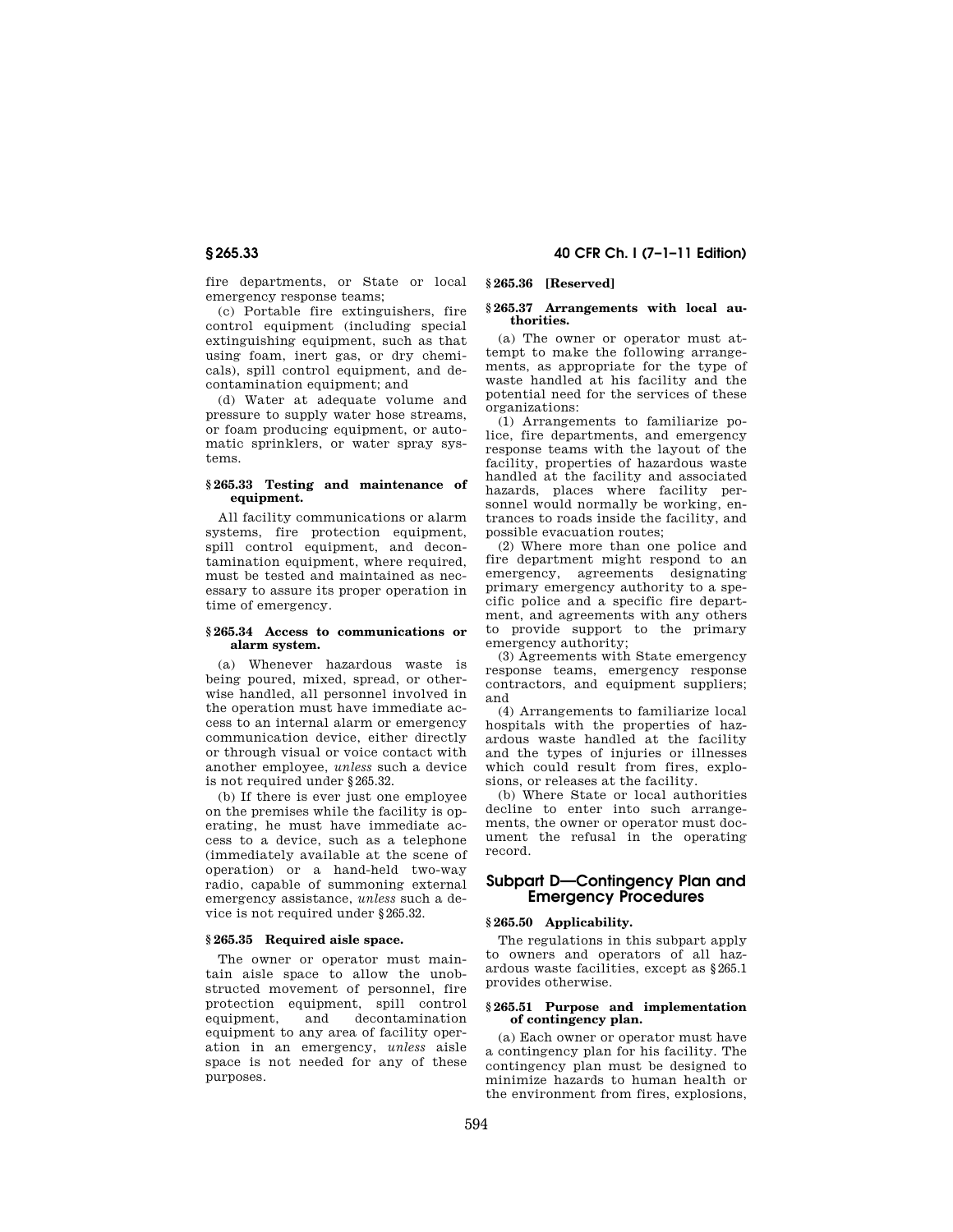fire departments, or State or local emergency response teams;

(c) Portable fire extinguishers, fire control equipment (including special extinguishing equipment, such as that using foam, inert gas, or dry chemicals), spill control equipment, and decontamination equipment; and

(d) Water at adequate volume and pressure to supply water hose streams, or foam producing equipment, or automatic sprinklers, or water spray systems.

## **§ 265.33 Testing and maintenance of equipment.**

All facility communications or alarm systems, fire protection equipment, spill control equipment, and decontamination equipment, where required, must be tested and maintained as necessary to assure its proper operation in time of emergency.

### **§ 265.34 Access to communications or alarm system.**

(a) Whenever hazardous waste is being poured, mixed, spread, or otherwise handled, all personnel involved in the operation must have immediate access to an internal alarm or emergency communication device, either directly or through visual or voice contact with another employee, *unless* such a device is not required under §265.32.

(b) If there is ever just one employee on the premises while the facility is operating, he must have immediate access to a device, such as a telephone (immediately available at the scene of operation) or a hand-held two-way radio, capable of summoning external emergency assistance, *unless* such a device is not required under §265.32.

## **§ 265.35 Required aisle space.**

The owner or operator must maintain aisle space to allow the unobstructed movement of personnel, fire protection equipment, spill control equipment, and decontamination equipment to any area of facility operation in an emergency, *unless* aisle space is not needed for any of these purposes.

# **§ 265.33 40 CFR Ch. I (7–1–11 Edition)**

## **§ 265.36 [Reserved]**

#### **§ 265.37 Arrangements with local authorities.**

(a) The owner or operator must attempt to make the following arrangements, as appropriate for the type of waste handled at his facility and the potential need for the services of these organizations:

(1) Arrangements to familiarize police, fire departments, and emergency response teams with the layout of the facility, properties of hazardous waste handled at the facility and associated hazards, places where facility personnel would normally be working, entrances to roads inside the facility, and possible evacuation routes;

(2) Where more than one police and fire department might respond to an emergency, agreements designating primary emergency authority to a specific police and a specific fire department, and agreements with any others to provide support to the primary emergency authority;

(3) Agreements with State emergency response teams, emergency response contractors, and equipment suppliers; and

(4) Arrangements to familiarize local hospitals with the properties of hazardous waste handled at the facility and the types of injuries or illnesses which could result from fires, explosions, or releases at the facility.

(b) Where State or local authorities decline to enter into such arrangements, the owner or operator must document the refusal in the operating record.

# **Subpart D—Contingency Plan and Emergency Procedures**

## **§ 265.50 Applicability.**

The regulations in this subpart apply to owners and operators of all hazardous waste facilities, except as §265.1 provides otherwise.

## **§ 265.51 Purpose and implementation of contingency plan.**

(a) Each owner or operator must have a contingency plan for his facility. The contingency plan must be designed to minimize hazards to human health or the environment from fires, explosions,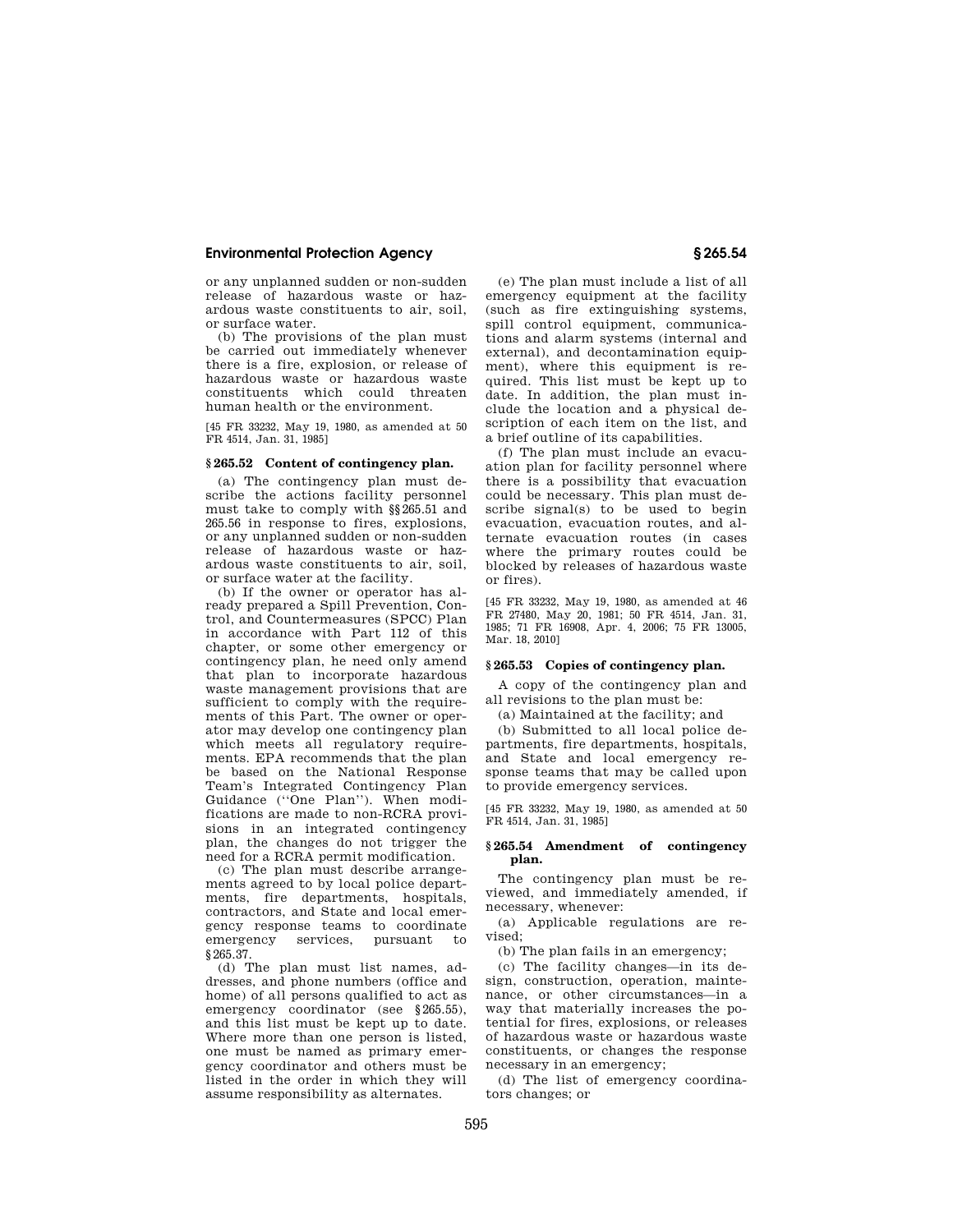or any unplanned sudden or non-sudden release of hazardous waste or hazardous waste constituents to air, soil, or surface water.

(b) The provisions of the plan must be carried out immediately whenever there is a fire, explosion, or release of hazardous waste or hazardous waste constituents which could threaten human health or the environment.

[45 FR 33232, May 19, 1980, as amended at 50 FR 4514, Jan. 31, 1985]

## **§ 265.52 Content of contingency plan.**

(a) The contingency plan must describe the actions facility personnel must take to comply with §§265.51 and 265.56 in response to fires, explosions, or any unplanned sudden or non-sudden release of hazardous waste or hazardous waste constituents to air, soil, or surface water at the facility.

(b) If the owner or operator has already prepared a Spill Prevention, Control, and Countermeasures (SPCC) Plan in accordance with Part 112 of this chapter, or some other emergency or contingency plan, he need only amend that plan to incorporate hazardous waste management provisions that are sufficient to comply with the requirements of this Part. The owner or operator may develop one contingency plan which meets all regulatory requirements. EPA recommends that the plan be based on the National Response Team's Integrated Contingency Plan Guidance (''One Plan''). When modifications are made to non-RCRA provisions in an integrated contingency plan, the changes do not trigger the need for a RCRA permit modification.

(c) The plan must describe arrangements agreed to by local police departments, fire departments, hospitals, contractors, and State and local emergency response teams to coordinate emergency services, pursuant to § 265.37.

(d) The plan must list names, addresses, and phone numbers (office and home) of all persons qualified to act as emergency coordinator (see §265.55), and this list must be kept up to date. Where more than one person is listed, one must be named as primary emergency coordinator and others must be listed in the order in which they will assume responsibility as alternates.

(e) The plan must include a list of all emergency equipment at the facility (such as fire extinguishing systems, spill control equipment, communications and alarm systems (internal and external), and decontamination equipment), where this equipment is required. This list must be kept up to date. In addition, the plan must include the location and a physical description of each item on the list, and a brief outline of its capabilities.

(f) The plan must include an evacuation plan for facility personnel where there is a possibility that evacuation could be necessary. This plan must describe signal(s) to be used to begin evacuation, evacuation routes, and alternate evacuation routes (in cases where the primary routes could be blocked by releases of hazardous waste or fires).

[45 FR 33232, May 19, 1980, as amended at 46 FR 27480, May 20, 1981; 50 FR 4514, Jan. 31, 1985; 71 FR 16908, Apr. 4, 2006; 75 FR 13005, Mar. 18, 2010]

## **§ 265.53 Copies of contingency plan.**

A copy of the contingency plan and all revisions to the plan must be:

(a) Maintained at the facility; and

(b) Submitted to all local police departments, fire departments, hospitals, and State and local emergency response teams that may be called upon to provide emergency services.

[45 FR 33232, May 19, 1980, as amended at 50 FR 4514, Jan. 31, 1985]

## **§ 265.54 Amendment of contingency plan.**

The contingency plan must be reviewed, and immediately amended, if necessary, whenever:

(a) Applicable regulations are revised;

(b) The plan fails in an emergency;

(c) The facility changes—in its design, construction, operation, maintenance, or other circumstances—in a way that materially increases the potential for fires, explosions, or releases of hazardous waste or hazardous waste constituents, or changes the response necessary in an emergency;

(d) The list of emergency coordinators changes; or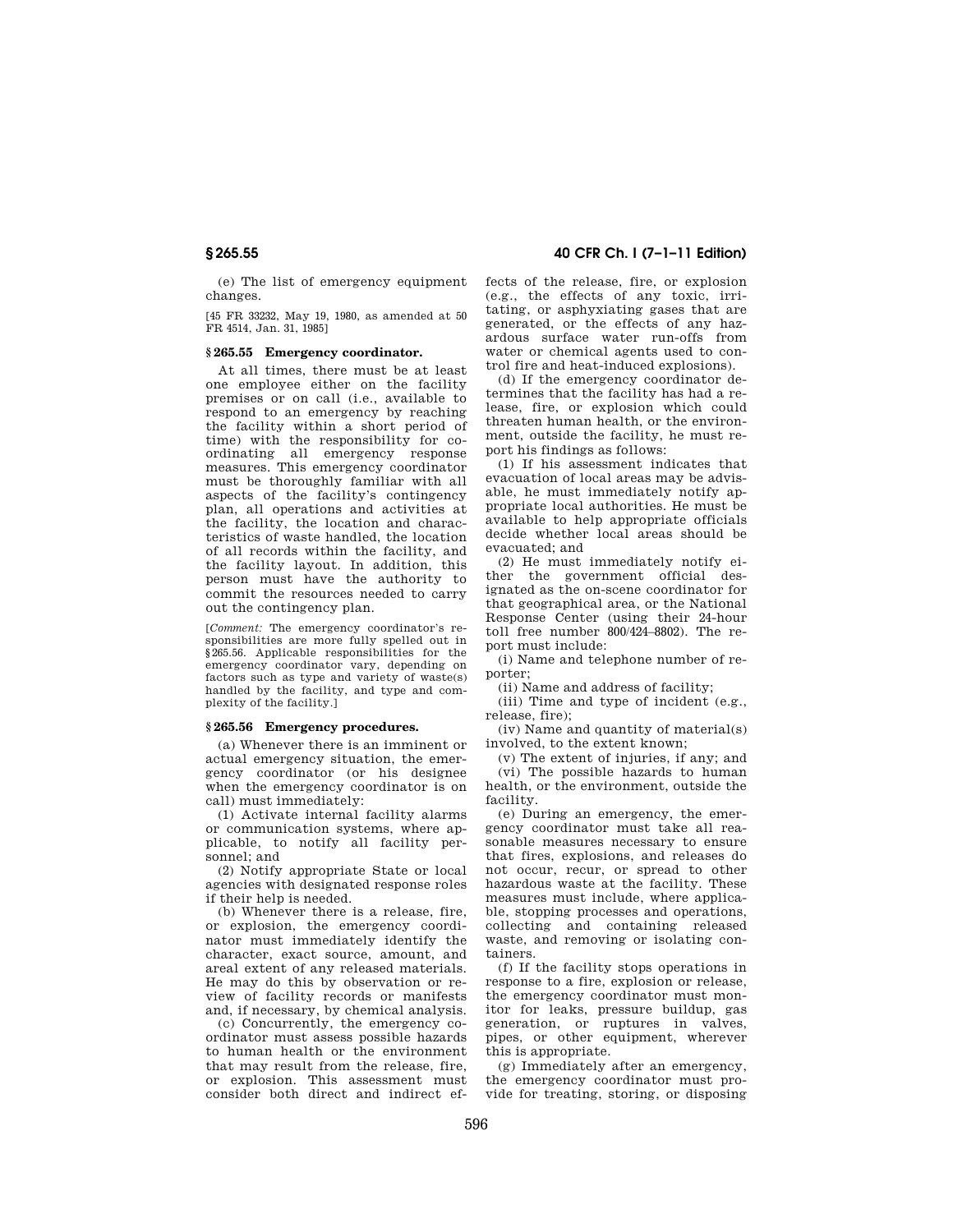(e) The list of emergency equipment changes.

[45 FR 33232, May 19, 1980, as amended at 50 FR 4514, Jan. 31, 1985]

## **§ 265.55 Emergency coordinator.**

At all times, there must be at least one employee either on the facility premises or on call (i.e., available to respond to an emergency by reaching the facility within a short period of time) with the responsibility for coordinating all emergency response measures. This emergency coordinator must be thoroughly familiar with all aspects of the facility's contingency plan, all operations and activities at the facility, the location and characteristics of waste handled, the location of all records within the facility, and the facility layout. In addition, this person must have the authority to commit the resources needed to carry out the contingency plan.

[*Comment:* The emergency coordinator's responsibilities are more fully spelled out in §265.56. Applicable responsibilities for the emergency coordinator vary, depending on factors such as type and variety of waste(s) handled by the facility, and type and complexity of the facility.]

#### **§ 265.56 Emergency procedures.**

(a) Whenever there is an imminent or actual emergency situation, the emergency coordinator (or his designee when the emergency coordinator is on call) must immediately:

(1) Activate internal facility alarms or communication systems, where applicable, to notify all facility personnel; and

(2) Notify appropriate State or local agencies with designated response roles if their help is needed.

(b) Whenever there is a release, fire, or explosion, the emergency coordinator must immediately identify the character, exact source, amount, and areal extent of any released materials. He may do this by observation or review of facility records or manifests and, if necessary, by chemical analysis.

(c) Concurrently, the emergency coordinator must assess possible hazards to human health or the environment that may result from the release, fire or explosion. This assessment must consider both direct and indirect ef-

**§ 265.55 40 CFR Ch. I (7–1–11 Edition)** 

fects of the release, fire, or explosion (e.g., the effects of any toxic, irritating, or asphyxiating gases that are generated, or the effects of any hazardous surface water run-offs from water or chemical agents used to control fire and heat-induced explosions).

(d) If the emergency coordinator determines that the facility has had a release, fire, or explosion which could threaten human health, or the environment, outside the facility, he must report his findings as follows:

(1) If his assessment indicates that evacuation of local areas may be advisable, he must immediately notify appropriate local authorities. He must be available to help appropriate officials decide whether local areas should be evacuated; and

(2) He must immediately notify either the government official designated as the on-scene coordinator for that geographical area, or the National Response Center (using their 24-hour toll free number 800/424–8802). The report must include:

(i) Name and telephone number of reporter;

(ii) Name and address of facility;

(iii) Time and type of incident (e.g., release, fire);

(iv) Name and quantity of material(s) involved, to the extent known;

(v) The extent of injuries, if any; and (vi) The possible hazards to human health, or the environment, outside the facility.

(e) During an emergency, the emergency coordinator must take all reasonable measures necessary to ensure that fires, explosions, and releases do not occur, recur, or spread to other hazardous waste at the facility. These measures must include, where applicable, stopping processes and operations, collecting and containing released waste, and removing or isolating containers.

(f) If the facility stops operations in response to a fire, explosion or release, the emergency coordinator must monitor for leaks, pressure buildup, gas generation, or ruptures in valves, pipes, or other equipment, wherever this is appropriate.

(g) Immediately after an emergency, the emergency coordinator must provide for treating, storing, or disposing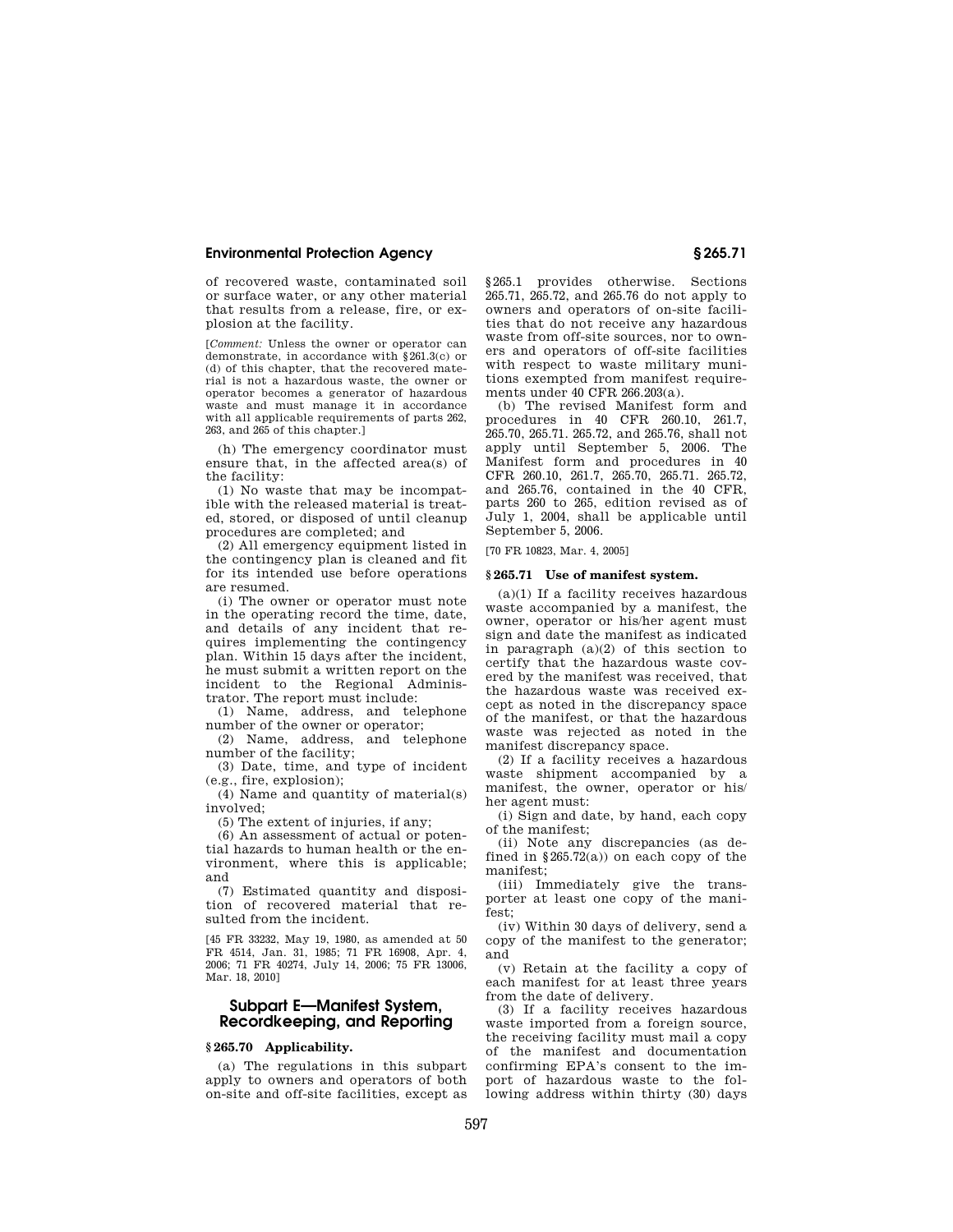of recovered waste, contaminated soil or surface water, or any other material that results from a release, fire, or explosion at the facility.

[*Comment:* Unless the owner or operator can demonstrate, in accordance with §261.3(c) or (d) of this chapter, that the recovered material is not a hazardous waste, the owner or operator becomes a generator of hazardous waste and must manage it in accordance with all applicable requirements of parts 262, 263, and 265 of this chapter.]

(h) The emergency coordinator must ensure that, in the affected area(s) of the facility:

(1) No waste that may be incompatible with the released material is treated, stored, or disposed of until cleanup procedures are completed; and

(2) All emergency equipment listed in the contingency plan is cleaned and fit for its intended use before operations are resumed.

(i) The owner or operator must note in the operating record the time, date, and details of any incident that requires implementing the contingency plan. Within 15 days after the incident, he must submit a written report on the incident to the Regional Administrator. The report must include:

(1) Name, address, and telephone number of the owner or operator;

(2) Name, address, and telephone number of the facility;

(3) Date, time, and type of incident (e.g., fire, explosion);

(4) Name and quantity of material(s) involved;

(5) The extent of injuries, if any;

(6) An assessment of actual or potential hazards to human health or the environment, where this is applicable; and

(7) Estimated quantity and disposition of recovered material that resulted from the incident.

[45 FR 33232, May 19, 1980, as amended at 50 FR 4514, Jan. 31, 1985; 71 FR 16908, Apr. 4, 2006; 71 FR 40274, July 14, 2006; 75 FR 13006, Mar. 18, 2010]

# **Subpart E—Manifest System, Recordkeeping, and Reporting**

## **§ 265.70 Applicability.**

(a) The regulations in this subpart apply to owners and operators of both on-site and off-site facilities, except as

§265.1 provides otherwise. Sections 265.71, 265.72, and 265.76 do not apply to owners and operators of on-site facilities that do not receive any hazardous waste from off-site sources, nor to owners and operators of off-site facilities with respect to waste military munitions exempted from manifest requirements under 40 CFR 266.203(a).

(b) The revised Manifest form and procedures in 40 CFR 260.10, 261.7, 265.70, 265.71. 265.72, and 265.76, shall not apply until September 5, 2006. The Manifest form and procedures in 40 CFR 260.10, 261.7, 265.70, 265.71. 265.72, and 265.76, contained in the 40 CFR, parts 260 to 265, edition revised as of July 1, 2004, shall be applicable until September 5, 2006.

[70 FR 10823, Mar. 4, 2005]

## **§ 265.71 Use of manifest system.**

(a)(1) If a facility receives hazardous waste accompanied by a manifest, the owner, operator or his/her agent must sign and date the manifest as indicated in paragraph  $(a)(2)$  of this section to certify that the hazardous waste covered by the manifest was received, that the hazardous waste was received except as noted in the discrepancy space of the manifest, or that the hazardous waste was rejected as noted in the manifest discrepancy space.

(2) If a facility receives a hazardous waste shipment accompanied by a manifest, the owner, operator or his/ her agent must:

(i) Sign and date, by hand, each copy of the manifest;

(ii) Note any discrepancies (as defined in  $\S 265.72(a)$  on each copy of the manifest;

(iii) Immediately give the transporter at least one copy of the manifest;

(iv) Within 30 days of delivery, send a copy of the manifest to the generator; and

(v) Retain at the facility a copy of each manifest for at least three years from the date of delivery.

(3) If a facility receives hazardous waste imported from a foreign source the receiving facility must mail a copy of the manifest and documentation confirming EPA's consent to the import of hazardous waste to the following address within thirty (30) days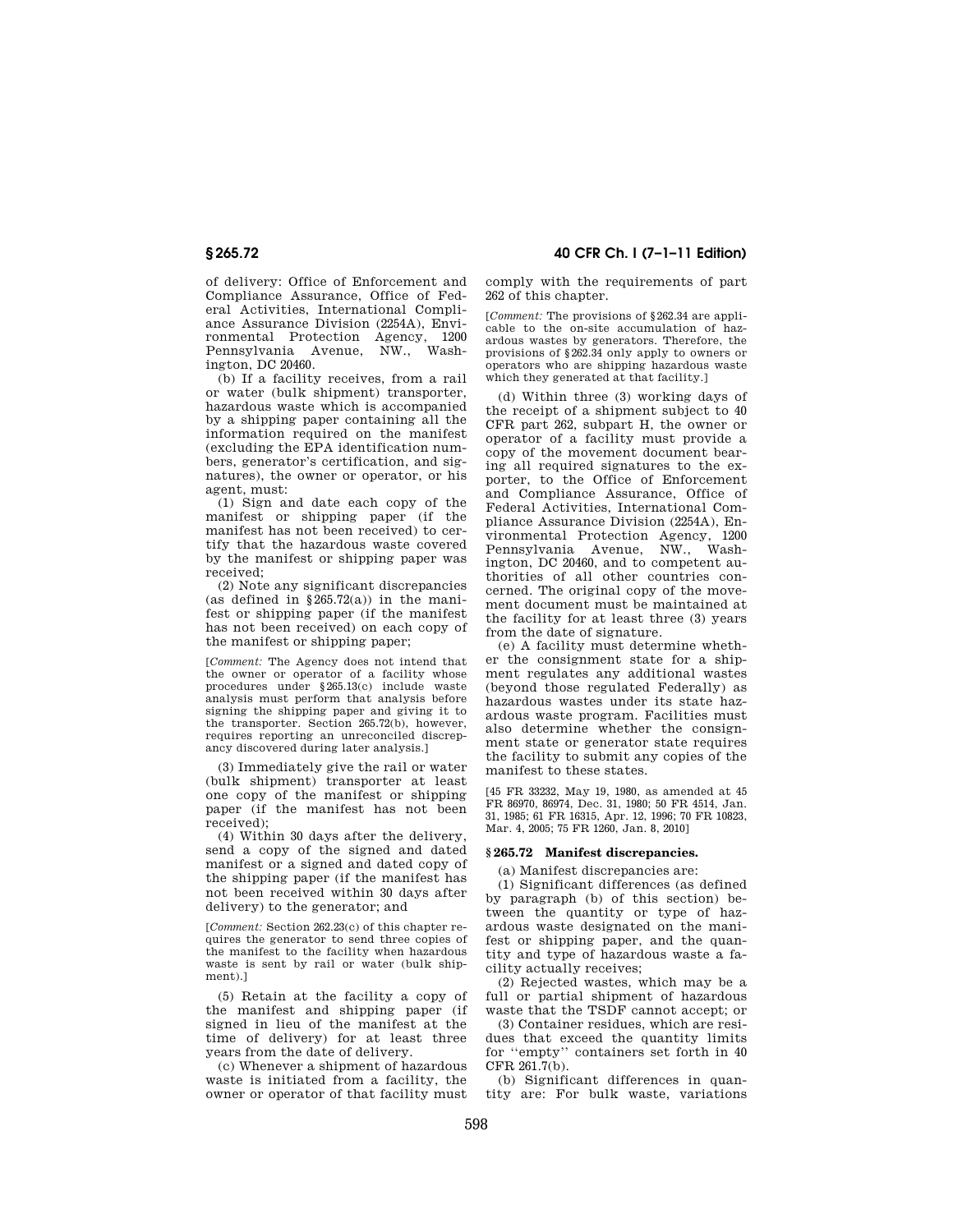of delivery: Office of Enforcement and Compliance Assurance, Office of Federal Activities, International Compliance Assurance Division (2254A), Environmental Protection Agency, 1200 Pennsylvania Avenue, NW., Washington, DC 20460.

(b) If a facility receives, from a rail or water (bulk shipment) transporter, hazardous waste which is accompanied by a shipping paper containing all the information required on the manifest (excluding the EPA identification numbers, generator's certification, and signatures), the owner or operator, or his agent, must:

(1) Sign and date each copy of the manifest or shipping paper (if the manifest has not been received) to certify that the hazardous waste covered by the manifest or shipping paper was received;

(2) Note any significant discrepancies (as defined in  $§265.72(a)$ ) in the manifest or shipping paper (if the manifest has not been received) on each copy of the manifest or shipping paper;

[*Comment:* The Agency does not intend that the owner or operator of a facility whose procedures under §265.13(c) include waste analysis must perform that analysis before signing the shipping paper and giving it to the transporter. Section 265.72(b), however, requires reporting an unreconciled discrepancy discovered during later analysis.]

(3) Immediately give the rail or water (bulk shipment) transporter at least one copy of the manifest or shipping paper (if the manifest has not been received);

(4) Within 30 days after the delivery, send a copy of the signed and dated manifest or a signed and dated copy of the shipping paper (if the manifest has not been received within 30 days after delivery) to the generator; and

[*Comment:* Section 262.23(c) of this chapter requires the generator to send three copies of the manifest to the facility when hazardous waste is sent by rail or water (bulk shipment).]

(5) Retain at the facility a copy of the manifest and shipping paper (if signed in lieu of the manifest at the time of delivery) for at least three years from the date of delivery.

(c) Whenever a shipment of hazardous waste is initiated from a facility, the owner or operator of that facility must

**§ 265.72 40 CFR Ch. I (7–1–11 Edition)** 

comply with the requirements of part 262 of this chapter.

[*Comment:* The provisions of §262.34 are applicable to the on-site accumulation of hazardous wastes by generators. Therefore, the provisions of §262.34 only apply to owners or operators who are shipping hazardous waste which they generated at that facility.]

(d) Within three (3) working days of the receipt of a shipment subject to 40 CFR part 262, subpart H, the owner or operator of a facility must provide a copy of the movement document bearing all required signatures to the exporter, to the Office of Enforcement and Compliance Assurance, Office of Federal Activities, International Compliance Assurance Division (2254A), Environmental Protection Agency, 1200 Pennsylvania Avenue, NW., ington, DC 20460, and to competent authorities of all other countries concerned. The original copy of the movement document must be maintained at the facility for at least three (3) years from the date of signature.

(e) A facility must determine whether the consignment state for a shipment regulates any additional wastes (beyond those regulated Federally) as hazardous wastes under its state hazardous waste program. Facilities must also determine whether the consignment state or generator state requires the facility to submit any copies of the manifest to these states.

[45 FR 33232, May 19, 1980, as amended at 45 FR 86970, 86974, Dec. 31, 1980; 50 FR 4514, Jan. 31, 1985; 61 FR 16315, Apr. 12, 1996; 70 FR 10823, Mar. 4, 2005; 75 FR 1260, Jan. 8, 2010]

## **§ 265.72 Manifest discrepancies.**

(a) Manifest discrepancies are:

(1) Significant differences (as defined by paragraph (b) of this section) between the quantity or type of hazardous waste designated on the manifest or shipping paper, and the quantity and type of hazardous waste a facility actually receives;

(2) Rejected wastes, which may be a full or partial shipment of hazardous waste that the TSDF cannot accept; or

(3) Container residues, which are residues that exceed the quantity limits for ''empty'' containers set forth in 40 CFR 261.7(b).

(b) Significant differences in quantity are: For bulk waste, variations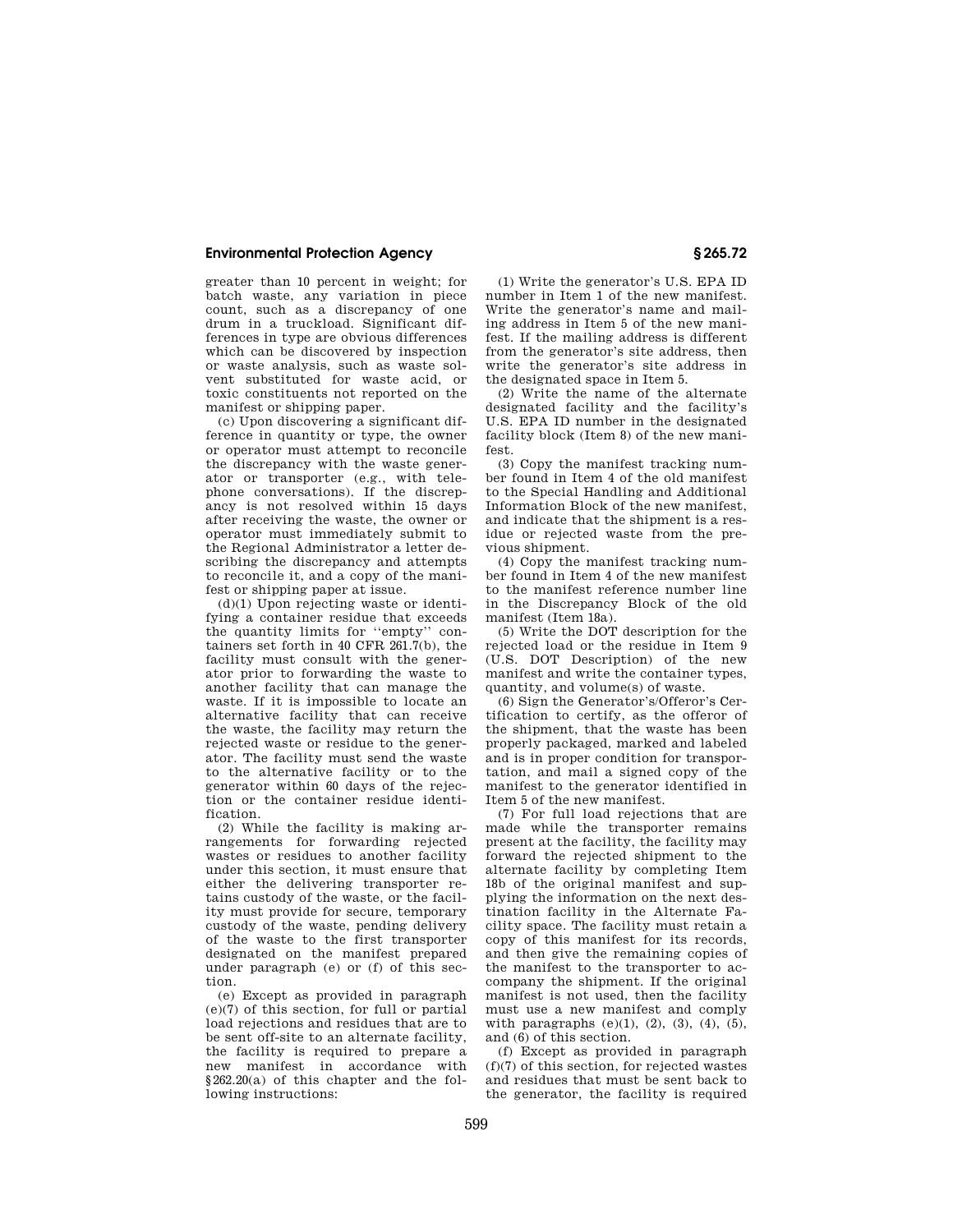greater than 10 percent in weight; for batch waste, any variation in piece count, such as a discrepancy of one drum in a truckload. Significant differences in type are obvious differences which can be discovered by inspection or waste analysis, such as waste solvent substituted for waste acid, or toxic constituents not reported on the manifest or shipping paper.

(c) Upon discovering a significant difference in quantity or type, the owner or operator must attempt to reconcile the discrepancy with the waste generator or transporter (e.g., with telephone conversations). If the discrepancy is not resolved within 15 days after receiving the waste, the owner or operator must immediately submit to the Regional Administrator a letter describing the discrepancy and attempts to reconcile it, and a copy of the manifest or shipping paper at issue.

 $(d)(1)$  Upon rejecting waste or identifying a container residue that exceeds the quantity limits for ''empty'' containers set forth in 40 CFR 261.7(b), the facility must consult with the generator prior to forwarding the waste to another facility that can manage the waste. If it is impossible to locate an alternative facility that can receive the waste, the facility may return the rejected waste or residue to the generator. The facility must send the waste to the alternative facility or to the generator within 60 days of the rejection or the container residue identification.

(2) While the facility is making arrangements for forwarding rejected wastes or residues to another facility under this section, it must ensure that either the delivering transporter retains custody of the waste, or the facility must provide for secure, temporary custody of the waste, pending delivery of the waste to the first transporter designated on the manifest prepared under paragraph (e) or (f) of this section.

(e) Except as provided in paragraph (e)(7) of this section, for full or partial load rejections and residues that are to be sent off-site to an alternate facility, the facility is required to prepare a new manifest in accordance with §262.20(a) of this chapter and the following instructions:

(1) Write the generator's U.S. EPA ID number in Item 1 of the new manifest. Write the generator's name and mailing address in Item 5 of the new manifest. If the mailing address is different from the generator's site address, then write the generator's site address in the designated space in Item 5.

(2) Write the name of the alternate designated facility and the facility's U.S. EPA ID number in the designated facility block (Item 8) of the new manifest.

(3) Copy the manifest tracking number found in Item 4 of the old manifest to the Special Handling and Additional Information Block of the new manifest, and indicate that the shipment is a residue or rejected waste from the previous shipment.

(4) Copy the manifest tracking number found in Item 4 of the new manifest to the manifest reference number line in the Discrepancy Block of the old manifest (Item 18a).

(5) Write the DOT description for the rejected load or the residue in Item 9 (U.S. DOT Description) of the new manifest and write the container types, quantity, and volume(s) of waste.

(6) Sign the Generator's/Offeror's Certification to certify, as the offeror of the shipment, that the waste has been properly packaged, marked and labeled and is in proper condition for transportation, and mail a signed copy of the manifest to the generator identified in Item 5 of the new manifest.

(7) For full load rejections that are made while the transporter remains present at the facility, the facility may forward the rejected shipment to the alternate facility by completing Item 18b of the original manifest and supplying the information on the next destination facility in the Alternate Facility space. The facility must retain a copy of this manifest for its records, and then give the remaining copies of the manifest to the transporter to accompany the shipment. If the original manifest is not used, then the facility must use a new manifest and comply with paragraphs  $(e)(1)$ ,  $(2)$ ,  $(3)$ ,  $(4)$ ,  $(5)$ , and (6) of this section.

(f) Except as provided in paragraph (f)(7) of this section, for rejected wastes and residues that must be sent back to the generator, the facility is required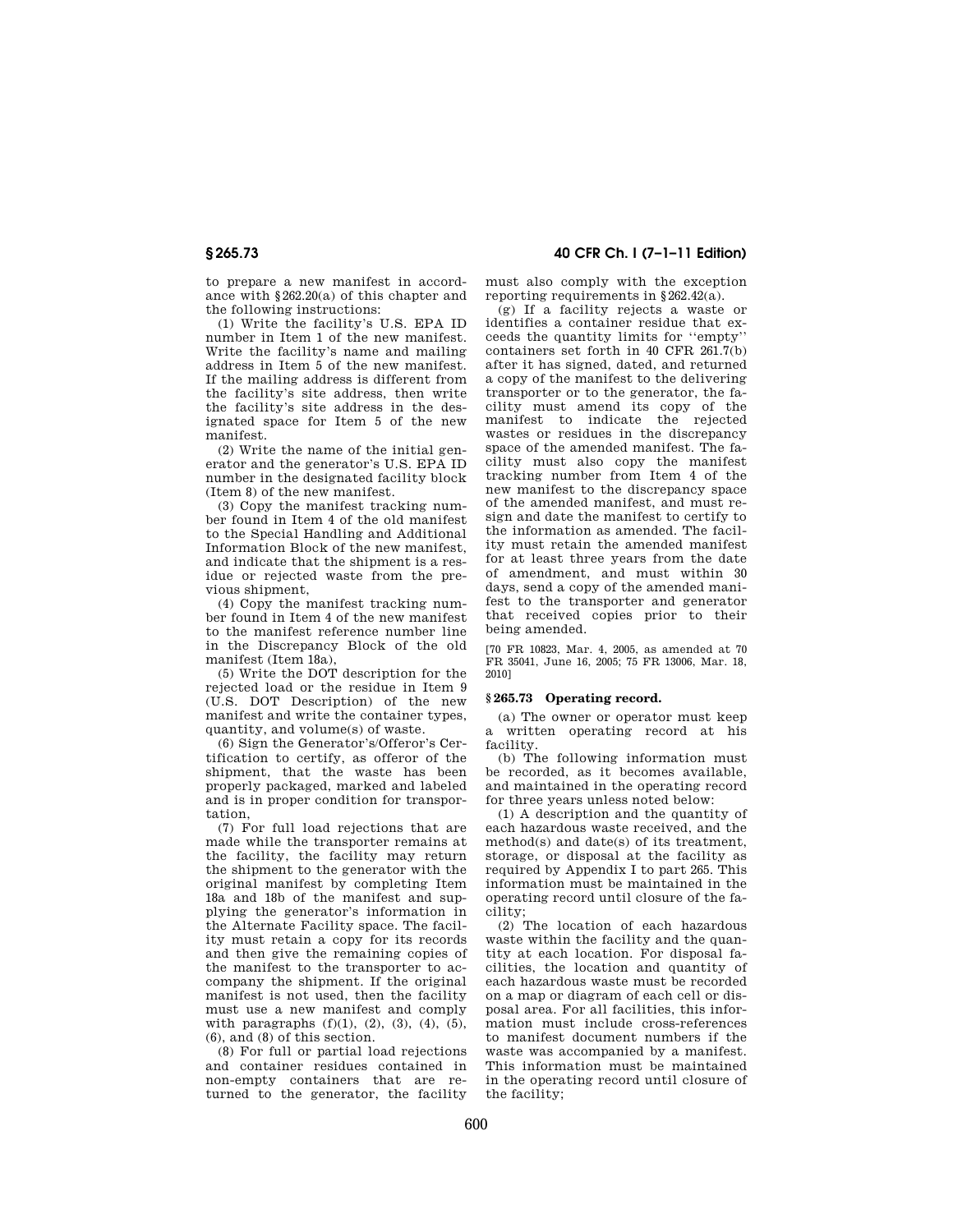to prepare a new manifest in accordance with §262.20(a) of this chapter and the following instructions:

(1) Write the facility's U.S. EPA ID number in Item 1 of the new manifest. Write the facility's name and mailing address in Item 5 of the new manifest. If the mailing address is different from the facility's site address, then write the facility's site address in the designated space for Item 5 of the new manifest.

 $(2)$  Write the name of the initial generator and the generator's U.S. EPA ID number in the designated facility block (Item 8) of the new manifest.

(3) Copy the manifest tracking number found in Item 4 of the old manifest to the Special Handling and Additional Information Block of the new manifest, and indicate that the shipment is a residue or rejected waste from the previous shipment,

(4) Copy the manifest tracking number found in Item 4 of the new manifest to the manifest reference number line in the Discrepancy Block of the old manifest (Item 18a),

(5) Write the DOT description for the rejected load or the residue in Item 9 (U.S. DOT Description) of the new manifest and write the container types, quantity, and volume(s) of waste.

(6) Sign the Generator's/Offeror's Certification to certify, as offeror of the shipment, that the waste has been properly packaged, marked and labeled and is in proper condition for transportation,

(7) For full load rejections that are made while the transporter remains at the facility, the facility may return the shipment to the generator with the original manifest by completing Item 18a and 18b of the manifest and supplying the generator's information in the Alternate Facility space. The facility must retain a copy for its records and then give the remaining copies of the manifest to the transporter to accompany the shipment. If the original manifest is not used, then the facility must use a new manifest and comply with paragraphs  $(f)(1)$ ,  $(2)$ ,  $(3)$ ,  $(4)$ ,  $(5)$ , (6), and (8) of this section.

(8) For full or partial load rejections and container residues contained in non-empty containers that are returned to the generator, the facility

**§ 265.73 40 CFR Ch. I (7–1–11 Edition)** 

must also comply with the exception reporting requirements in  $§ 262.42(a)$ .

(g) If a facility rejects a waste or identifies a container residue that exceeds the quantity limits for ''empty'' containers set forth in 40 CFR 261.7(b) after it has signed, dated, and returned a copy of the manifest to the delivering transporter or to the generator, the facility must amend its copy of the manifest to indicate the rejected wastes or residues in the discrepancy space of the amended manifest. The facility must also copy the manifest tracking number from Item 4 of the new manifest to the discrepancy space of the amended manifest, and must resign and date the manifest to certify to the information as amended. The facility must retain the amended manifest for at least three years from the date of amendment, and must within 30 days, send a copy of the amended manifest to the transporter and generator that received copies prior to their being amended.

[70 FR 10823, Mar. 4, 2005, as amended at 70 FR 35041, June 16, 2005; 75 FR 13006, Mar. 18, 2010]

#### **§ 265.73 Operating record.**

(a) The owner or operator must keep a written operating record at his facility.

(b) The following information must be recorded, as it becomes available, and maintained in the operating record for three years unless noted below:

(1) A description and the quantity of each hazardous waste received, and the method(s) and date(s) of its treatment, storage, or disposal at the facility as required by Appendix I to part 265. This information must be maintained in the operating record until closure of the facility;

(2) The location of each hazardous waste within the facility and the quantity at each location. For disposal facilities, the location and quantity of each hazardous waste must be recorded on a map or diagram of each cell or disposal area. For all facilities, this information must include cross-references to manifest document numbers if the waste was accompanied by a manifest. This information must be maintained in the operating record until closure of the facility;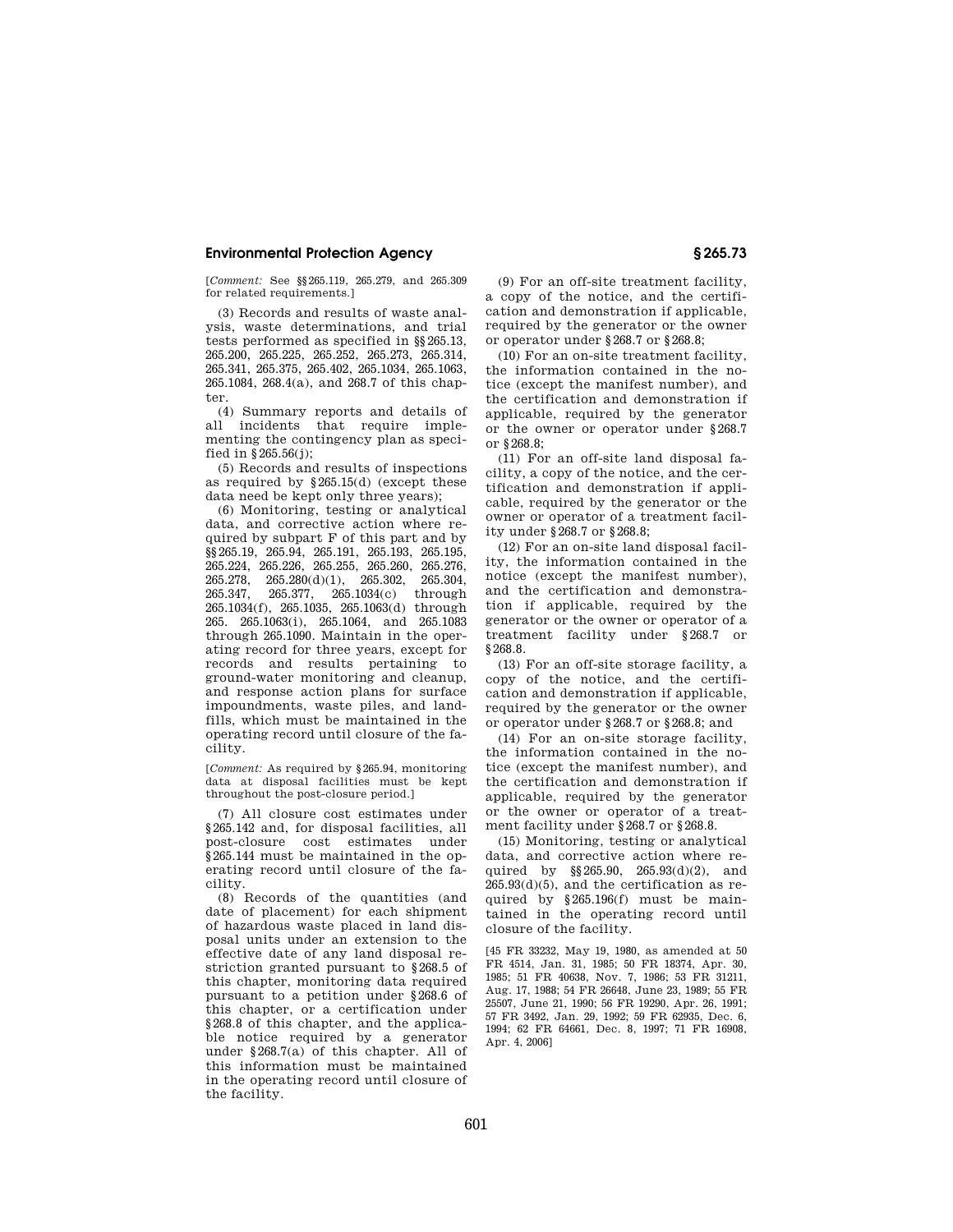[*Comment:* See §§265.119, 265.279, and 265.309 for related requirements.]

(3) Records and results of waste analysis, waste determinations, and trial tests performed as specified in §§265.13, 265.200, 265.225, 265.252, 265.273, 265.314, 265.341, 265.375, 265.402, 265.1034, 265.1063, 265.1084, 268.4(a), and 268.7 of this chapter.

(4) Summary reports and details of all incidents that require implementing the contingency plan as specified in §265.56(j);

(5) Records and results of inspections as required by §265.15(d) (except these data need be kept only three years);

(6) Monitoring, testing or analytical data, and corrective action where required by subpart F of this part and by §§265.19, 265.94, 265.191, 265.193, 265.195, 265.224, 265.226, 265.255, 265.260, 265.276, 265.278, 265.280(d)(1), 265.302, 265.304, 265.347, 265.377, 265.1034(c) through 265.1034(f), 265.1035, 265.1063(d) through 265. 265.1063(i), 265.1064, and 265.1083 through 265.1090. Maintain in the operating record for three years, except for records and results pertaining to ground-water monitoring and cleanup, and response action plans for surface impoundments, waste piles, and landfills, which must be maintained in the operating record until closure of the facility.

[*Comment:* As required by §265.94, monitoring data at disposal facilities must be kept throughout the post-closure period.]

(7) All closure cost estimates under §265.142 and, for disposal facilities, all post-closure cost estimates under §265.144 must be maintained in the operating record until closure of the facility.

(8) Records of the quantities (and date of placement) for each shipment of hazardous waste placed in land disposal units under an extension to the effective date of any land disposal restriction granted pursuant to §268.5 of this chapter, monitoring data required pursuant to a petition under §268.6 of this chapter, or a certification under §268.8 of this chapter, and the applicable notice required by a generator under §268.7(a) of this chapter. All of this information must be maintained in the operating record until closure of the facility.

(9) For an off-site treatment facility, a copy of the notice, and the certification and demonstration if applicable, required by the generator or the owner or operator under §268.7 or §268.8;

(10) For an on-site treatment facility, the information contained in the notice (except the manifest number), and the certification and demonstration if applicable, required by the generator or the owner or operator under §268.7 or §268.8;

(11) For an off-site land disposal facility, a copy of the notice, and the certification and demonstration if applicable, required by the generator or the owner or operator of a treatment facility under §268.7 or §268.8;

(12) For an on-site land disposal facility, the information contained in the notice (except the manifest number), and the certification and demonstration if applicable, required by the generator or the owner or operator of a treatment facility under §268.7 or §268.8.

(13) For an off-site storage facility, a copy of the notice, and the certification and demonstration if applicable, required by the generator or the owner or operator under §268.7 or §268.8; and

(14) For an on-site storage facility, the information contained in the notice (except the manifest number), and the certification and demonstration if applicable, required by the generator or the owner or operator of a treatment facility under §268.7 or §268.8.

(15) Monitoring, testing or analytical data, and corrective action where required by §§265.90, 265.93(d)(2), and 265.93(d)(5), and the certification as required by §265.196(f) must be maintained in the operating record until closure of the facility.

[45 FR 33232, May 19, 1980, as amended at 50 FR 4514, Jan. 31, 1985; 50 FR 18374, Apr. 30, 1985; 51 FR 40638, Nov. 7, 1986; 53 FR 31211, Aug. 17, 1988; 54 FR 26648, June 23, 1989; 55 FR 25507, June 21, 1990; 56 FR 19290, Apr. 26, 1991; 57 FR 3492, Jan. 29, 1992; 59 FR 62935, Dec. 6, 1994; 62 FR 64661, Dec. 8, 1997; 71 FR 16908, Apr. 4, 2006]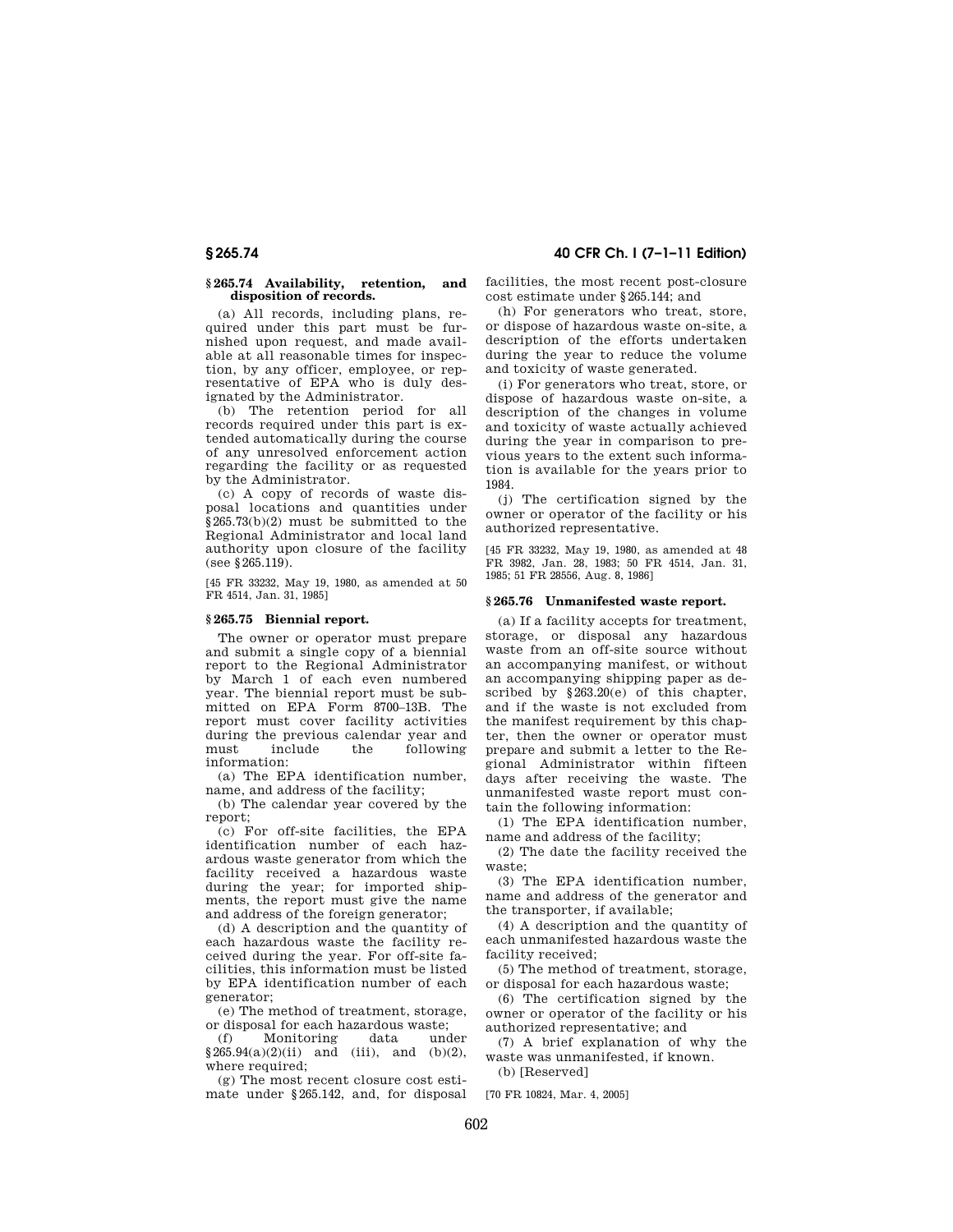# **§ 265.74 40 CFR Ch. I (7–1–11 Edition)**

#### **§ 265.74 Availability, retention, and disposition of records.**

(a) All records, including plans, required under this part must be furnished upon request, and made available at all reasonable times for inspection, by any officer, employee, or representative of EPA who is duly designated by the Administrator.

(b) The retention period for all records required under this part is extended automatically during the course of any unresolved enforcement action regarding the facility or as requested by the Administrator.

(c) A copy of records of waste disposal locations and quantities under §265.73(b)(2) must be submitted to the Regional Administrator and local land authority upon closure of the facility (see §265.119).

[45 FR 33232, May 19, 1980, as amended at 50 FR 4514, Jan. 31, 1985]

#### **§ 265.75 Biennial report.**

The owner or operator must prepare and submit a single copy of a biennial report to the Regional Administrator by March 1 of each even numbered year. The biennial report must be submitted on EPA Form 8700–13B. The report must cover facility activities during the previous calendar year and must include the following information:

(a) The EPA identification number, name, and address of the facility;

(b) The calendar year covered by the report;

(c) For off-site facilities, the EPA identification number of each hazardous waste generator from which the facility received a hazardous waste during the year; for imported shipments, the report must give the name and address of the foreign generator;

(d) A description and the quantity of each hazardous waste the facility received during the year. For off-site facilities, this information must be listed by EPA identification number of each generator;

(e) The method of treatment, storage, or disposal for each hazardous waste;

(f) Monitoring data under  $$265.94(a)(2)(ii)$  and (iii), and (b)(2), where required;

(g) The most recent closure cost estimate under §265.142, and, for disposal facilities, the most recent post-closure cost estimate under §265.144; and

(h) For generators who treat, store, or dispose of hazardous waste on-site, a description of the efforts undertaken during the year to reduce the volume and toxicity of waste generated.

(i) For generators who treat, store, or dispose of hazardous waste on-site, a description of the changes in volume and toxicity of waste actually achieved during the year in comparison to previous years to the extent such information is available for the years prior to 1984.

(j) The certification signed by the owner or operator of the facility or his authorized representative.

[45 FR 33232, May 19, 1980, as amended at 48 FR 3982, Jan. 28, 1983; 50 FR 4514, Jan. 31, 1985; 51 FR 28556, Aug. 8, 1986]

#### **§ 265.76 Unmanifested waste report.**

(a) If a facility accepts for treatment, storage, or disposal any hazardous waste from an off-site source without an accompanying manifest, or without an accompanying shipping paper as described by §263.20(e) of this chapter, and if the waste is not excluded from the manifest requirement by this chapter, then the owner or operator must prepare and submit a letter to the Regional Administrator within fifteen days after receiving the waste. The unmanifested waste report must contain the following information:

(1) The EPA identification number, name and address of the facility;

(2) The date the facility received the waste;

(3) The EPA identification number, name and address of the generator and the transporter, if available;

(4) A description and the quantity of each unmanifested hazardous waste the facility received;

(5) The method of treatment, storage, or disposal for each hazardous waste;

(6) The certification signed by the owner or operator of the facility or his authorized representative; and

(7) A brief explanation of why the waste was unmanifested, if known. (b) [Reserved]

[70 FR 10824, Mar. 4, 2005]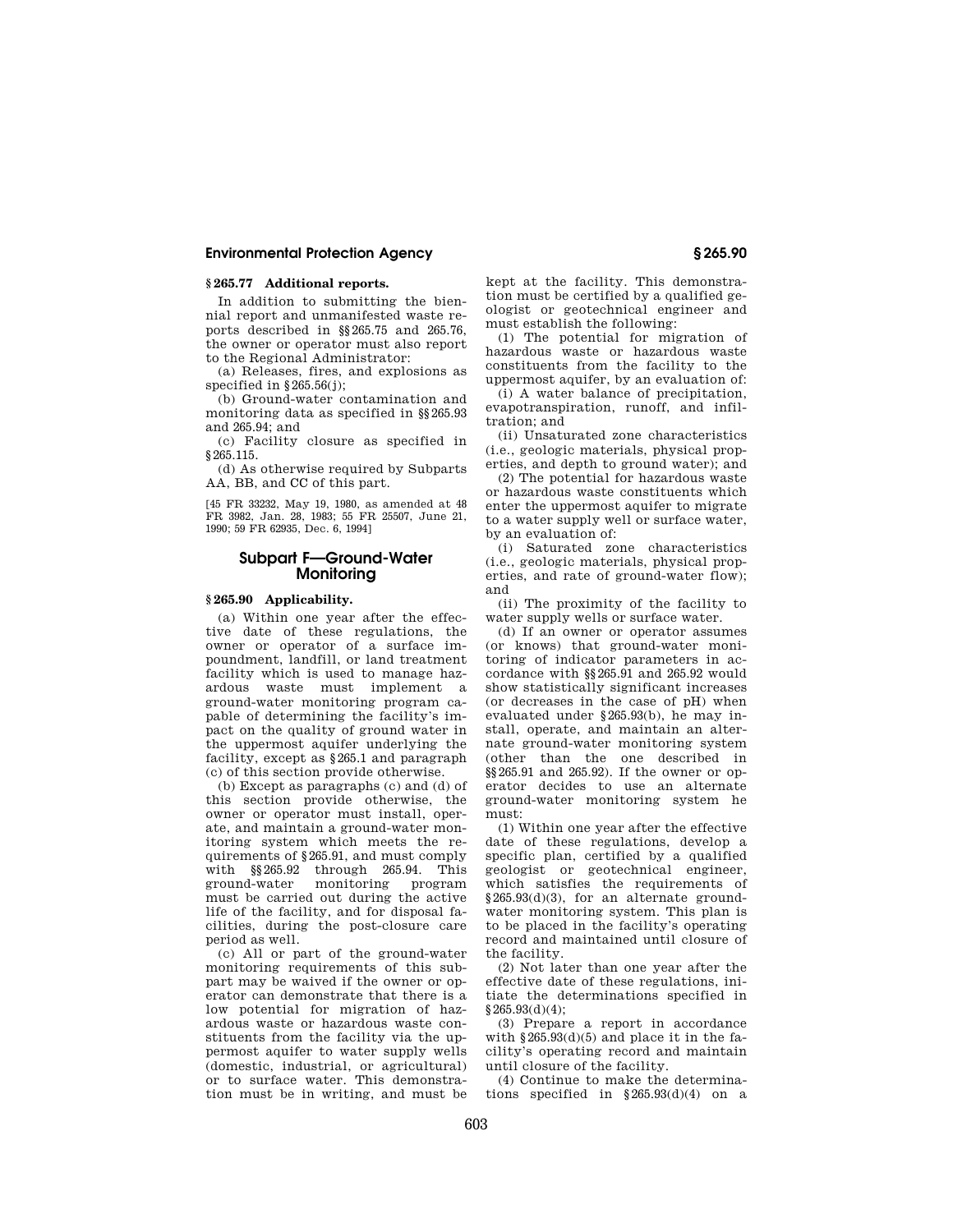# **§ 265.77 Additional reports.**

In addition to submitting the biennial report and unmanifested waste reports described in §§265.75 and 265.76, the owner or operator must also report to the Regional Administrator:

(a) Releases, fires, and explosions as specified in  $§265.56(j);$ 

(b) Ground-water contamination and monitoring data as specified in §§265.93 and 265.94; and

(c) Facility closure as specified in §265.115.

(d) As otherwise required by Subparts AA, BB, and CC of this part.

[45 FR 33232, May 19, 1980, as amended at 48 FR 3982, Jan. 28, 1983; 55 FR 25507, June 21, 1990; 59 FR 62935, Dec. 6, 1994]

# **Subpart F—Ground-Water Monitoring**

## **§ 265.90 Applicability.**

(a) Within one year after the effective date of these regulations, the owner or operator of a surface impoundment, landfill, or land treatment facility which is used to manage hazardous waste must implement a ground-water monitoring program capable of determining the facility's impact on the quality of ground water in the uppermost aquifer underlying the facility, except as §265.1 and paragraph (c) of this section provide otherwise.

(b) Except as paragraphs (c) and (d) of this section provide otherwise, the owner or operator must install, operate, and maintain a ground-water monitoring system which meets the requirements of §265.91, and must comply with §§265.92 through 265.94. This<br>ground-water monitoring program monitoring program must be carried out during the active life of the facility, and for disposal facilities, during the post-closure care period as well.

(c) All or part of the ground-water monitoring requirements of this subpart may be waived if the owner or operator can demonstrate that there is a low potential for migration of hazardous waste or hazardous waste constituents from the facility via the uppermost aquifer to water supply wells (domestic, industrial, or agricultural) or to surface water. This demonstration must be in writing, and must be

kept at the facility. This demonstration must be certified by a qualified geologist or geotechnical engineer and must establish the following:

(1) The potential for migration of hazardous waste or hazardous waste constituents from the facility to the uppermost aquifer, by an evaluation of:

(i) A water balance of precipitation, evapotranspiration, runoff, and infiltration; and

(ii) Unsaturated zone characteristics (i.e., geologic materials, physical properties, and depth to ground water); and

(2) The potential for hazardous waste or hazardous waste constituents which enter the uppermost aquifer to migrate to a water supply well or surface water, by an evaluation of:

(i) Saturated zone characteristics (i.e., geologic materials, physical properties, and rate of ground-water flow); and

(ii) The proximity of the facility to water supply wells or surface water.

(d) If an owner or operator assumes (or knows) that ground-water monitoring of indicator parameters in accordance with §§265.91 and 265.92 would show statistically significant increases (or decreases in the case of pH) when evaluated under §265.93(b), he may install, operate, and maintain an alternate ground-water monitoring system (other than the one described in §§265.91 and 265.92). If the owner or operator decides to use an alternate ground-water monitoring system he must:

(1) Within one year after the effective date of these regulations, develop a specific plan, certified by a qualified geologist or geotechnical engineer, which satisfies the requirements of §265.93(d)(3), for an alternate groundwater monitoring system. This plan is to be placed in the facility's operating record and maintained until closure of the facility.

(2) Not later than one year after the effective date of these regulations, initiate the determinations specified in §265.93(d)(4);

(3) Prepare a report in accordance with  $§265.93(d)(5)$  and place it in the facility's operating record and maintain until closure of the facility.

(4) Continue to make the determinations specified in §265.93(d)(4) on a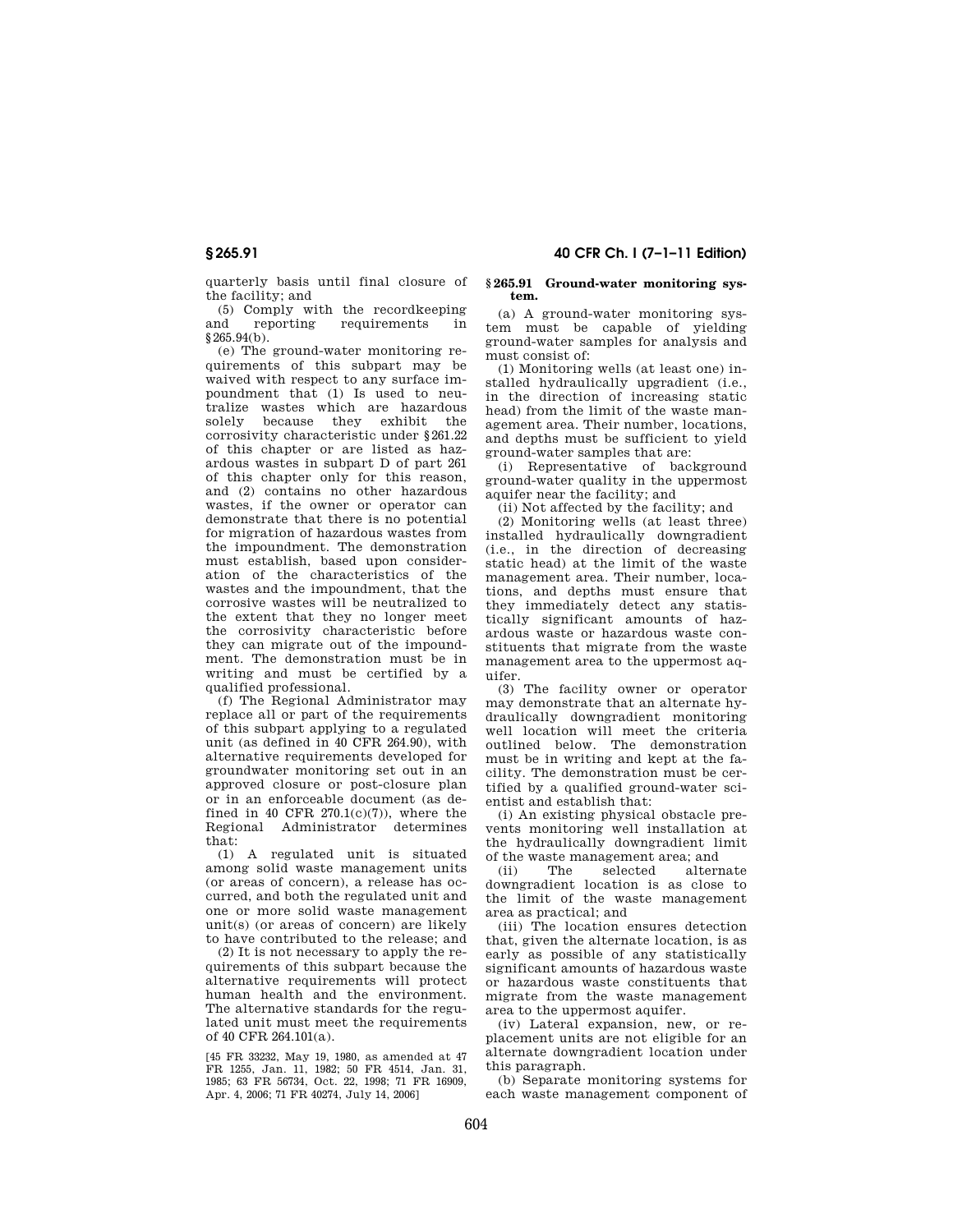quarterly basis until final closure of the facility; and

(5) Comply with the recordkeeping and reporting requirements in §265.94(b).

(e) The ground-water monitoring requirements of this subpart may be waived with respect to any surface impoundment that (1) Is used to neutralize wastes which are hazardous solely because they exhibit the corrosivity characteristic under §261.22 of this chapter or are listed as hazardous wastes in subpart D of part 261 of this chapter only for this reason, and (2) contains no other hazardous wastes, if the owner or operator can demonstrate that there is no potential for migration of hazardous wastes from the impoundment. The demonstration must establish, based upon consideration of the characteristics of the wastes and the impoundment, that the corrosive wastes will be neutralized to the extent that they no longer meet the corrosivity characteristic before they can migrate out of the impoundment. The demonstration must be in writing and must be certified by a qualified professional.

(f) The Regional Administrator may replace all or part of the requirements of this subpart applying to a regulated unit (as defined in 40 CFR 264.90), with alternative requirements developed for groundwater monitoring set out in an approved closure or post-closure plan or in an enforceable document (as defined in 40 CFR  $270.1(c)(7)$ , where the Regional Administrator determines that:

(1) A regulated unit is situated among solid waste management units (or areas of concern), a release has occurred, and both the regulated unit and one or more solid waste management unit(s) (or areas of concern) are likely to have contributed to the release; and

(2) It is not necessary to apply the requirements of this subpart because the alternative requirements will protect human health and the environment. The alternative standards for the regulated unit must meet the requirements of 40 CFR 264.101(a).

[45 FR 33232, May 19, 1980, as amended at 47 FR 1255, Jan. 11, 1982; 50 FR 4514, Jan. 31, 1985; 63 FR 56734, Oct. 22, 1998; 71 FR 16909, Apr. 4, 2006; 71 FR 40274, July 14, 2006]

# **§ 265.91 40 CFR Ch. I (7–1–11 Edition)**

#### **§ 265.91 Ground-water monitoring system.**

(a) A ground-water monitoring system must be capable of yielding ground-water samples for analysis and must consist of:

(1) Monitoring wells (at least one) installed hydraulically upgradient (i.e., in the direction of increasing static head) from the limit of the waste management area. Their number, locations, and depths must be sufficient to yield ground-water samples that are:

(i) Representative of background ground-water quality in the uppermost aquifer near the facility; and

(ii) Not affected by the facility; and

(2) Monitoring wells (at least three) installed hydraulically downgradient (i.e., in the direction of decreasing static head) at the limit of the waste management area. Their number, locations, and depths must ensure that they immediately detect any statistically significant amounts of hazardous waste or hazardous waste constituents that migrate from the waste management area to the uppermost aquifer.

(3) The facility owner or operator may demonstrate that an alternate hydraulically downgradient monitoring well location will meet the criteria outlined below. The demonstration must be in writing and kept at the facility. The demonstration must be certified by a qualified ground-water scientist and establish that:

(i) An existing physical obstacle prevents monitoring well installation at the hydraulically downgradient limit of the waste management area; and<br>(ii) The selected alternate

selected downgradient location is as close to the limit of the waste management area as practical; and

(iii) The location ensures detection that, given the alternate location, is as early as possible of any statistically significant amounts of hazardous waste or hazardous waste constituents that migrate from the waste management area to the uppermost aquifer.

(iv) Lateral expansion, new, or replacement units are not eligible for an alternate downgradient location under this paragraph.

(b) Separate monitoring systems for each waste management component of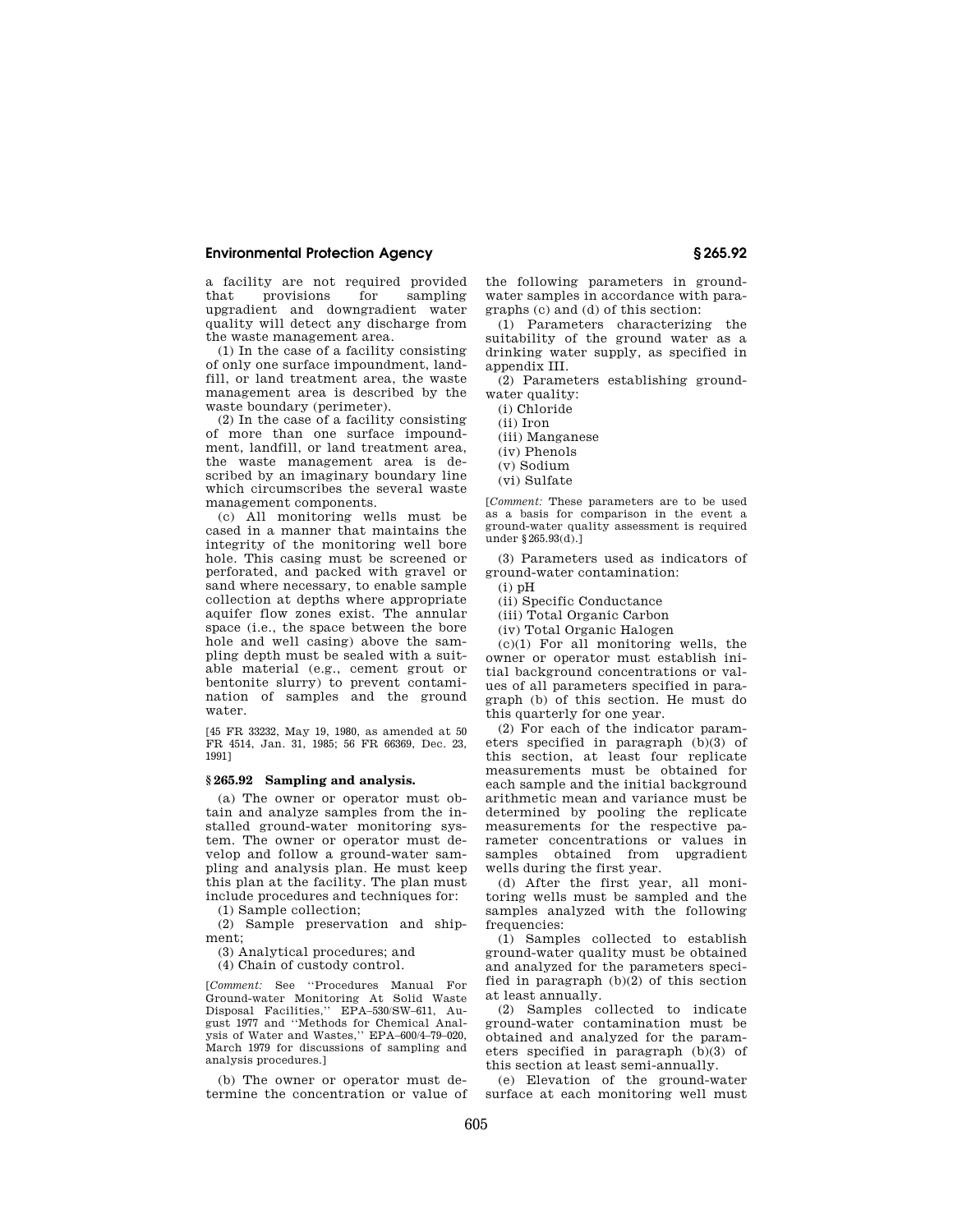a facility are not required provided that provisions for sampling upgradient and downgradient water quality will detect any discharge from the waste management area.

(1) In the case of a facility consisting of only one surface impoundment, landfill, or land treatment area, the waste management area is described by the waste boundary (perimeter).

(2) In the case of a facility consisting of more than one surface impoundment, landfill, or land treatment area, the waste management area is described by an imaginary boundary line which circumscribes the several waste management components.

(c) All monitoring wells must be cased in a manner that maintains the integrity of the monitoring well bore hole. This casing must be screened or perforated, and packed with gravel or sand where necessary, to enable sample collection at depths where appropriate aquifer flow zones exist. The annular space (i.e., the space between the bore hole and well casing) above the sampling depth must be sealed with a suitable material (e.g., cement grout or bentonite slurry) to prevent contamination of samples and the ground water.

[45 FR 33232, May 19, 1980, as amended at 50 FR 4514, Jan. 31, 1985; 56 FR 66369, Dec. 23, 1991]

### **§ 265.92 Sampling and analysis.**

(a) The owner or operator must obtain and analyze samples from the installed ground-water monitoring system. The owner or operator must develop and follow a ground-water sampling and analysis plan. He must keep this plan at the facility. The plan must include procedures and techniques for:

(1) Sample collection;

(2) Sample preservation and shipment;

(3) Analytical procedures; and

(4) Chain of custody control.

[*Comment:* See ''Procedures Manual For Ground-water Monitoring At Solid Waste Disposal Facilities,'' EPA–530/SW–611, August 1977 and ''Methods for Chemical Analysis of Water and Wastes,'' EPA–600/4–79–020, March 1979 for discussions of sampling and analysis procedures.]

(b) The owner or operator must determine the concentration or value of

the following parameters in groundwater samples in accordance with paragraphs (c) and (d) of this section:

(1) Parameters characterizing the suitability of the ground water as a drinking water supply, as specified in appendix III.

(2) Parameters establishing groundwater quality:

- (i) Chloride
- (ii) Iron
- (iii) Manganese
- (iv) Phenols
- (v) Sodium
- (vi) Sulfate

[*Comment:* These parameters are to be used as a basis for comparison in the event a ground-water quality assessment is required under  $§265.93(d).$ ]

(3) Parameters used as indicators of ground-water contamination:

(i) pH

- (ii) Specific Conductance
- (iii) Total Organic Carbon

(iv) Total Organic Halogen

(c)(1) For all monitoring wells, the owner or operator must establish initial background concentrations or values of all parameters specified in paragraph (b) of this section. He must do this quarterly for one year.

(2) For each of the indicator parameters specified in paragraph (b)(3) of this section, at least four replicate measurements must be obtained for each sample and the initial background arithmetic mean and variance must be determined by pooling the replicate measurements for the respective parameter concentrations or values in samples obtained from upgradient wells during the first year.

(d) After the first year, all monitoring wells must be sampled and the samples analyzed with the following frequencies:

(1) Samples collected to establish ground-water quality must be obtained and analyzed for the parameters specified in paragraph (b)(2) of this section at least annually.

(2) Samples collected to indicate ground-water contamination must be obtained and analyzed for the parameters specified in paragraph (b)(3) of this section at least semi-annually.

(e) Elevation of the ground-water surface at each monitoring well must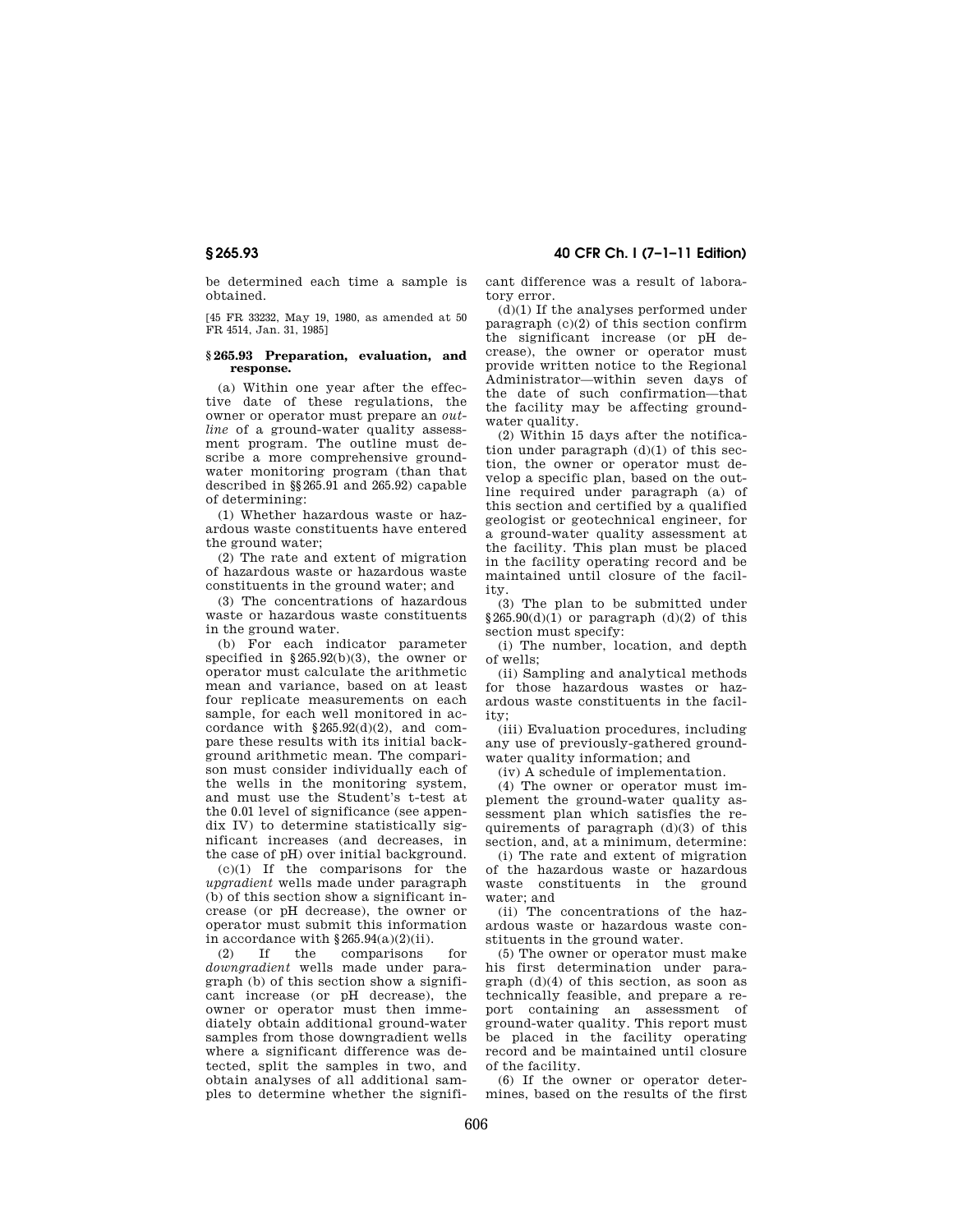be determined each time a sample is obtained.

[45 FR 33232, May 19, 1980, as amended at 50 FR 4514, Jan. 31, 1985]

### **§ 265.93 Preparation, evaluation, and response.**

(a) Within one year after the effective date of these regulations, the owner or operator must prepare an *outline* of a ground-water quality assessment program. The outline must describe a more comprehensive groundwater monitoring program (than that described in §§265.91 and 265.92) capable of determining:

(1) Whether hazardous waste or hazardous waste constituents have entered the ground water;

(2) The rate and extent of migration of hazardous waste or hazardous waste constituents in the ground water; and

(3) The concentrations of hazardous waste or hazardous waste constituents in the ground water.

(b) For each indicator parameter specified in §265.92(b)(3), the owner or operator must calculate the arithmetic mean and variance, based on at least four replicate measurements on each sample, for each well monitored in accordance with  $§265.92(d)(2)$ , and compare these results with its initial background arithmetic mean. The comparison must consider individually each of the wells in the monitoring system, and must use the Student's t-test at the 0.01 level of significance (see appendix IV) to determine statistically significant increases (and decreases, in the case of pH) over initial background.

(c)(1) If the comparisons for the *upgradient* wells made under paragraph (b) of this section show a significant increase (or pH decrease), the owner or operator must submit this information in accordance with  $§265.94(a)(2)(ii)$ .

(2) If the comparisons for *downgradient* wells made under paragraph (b) of this section show a significant increase (or pH decrease), the owner or operator must then immediately obtain additional ground-water samples from those downgradient wells where a significant difference was detected, split the samples in two, and obtain analyses of all additional samples to determine whether the signifi-

# **§ 265.93 40 CFR Ch. I (7–1–11 Edition)**

cant difference was a result of laboratory error.

 $(d)(1)$  If the analyses performed under paragraph (c)(2) of this section confirm the significant increase (or pH decrease), the owner or operator must provide written notice to the Regional Administrator—within seven days of the date of such confirmation—that the facility may be affecting groundwater quality.

(2) Within 15 days after the notification under paragraph (d)(1) of this section, the owner or operator must develop a specific plan, based on the outline required under paragraph (a) of this section and certified by a qualified geologist or geotechnical engineer, for a ground-water quality assessment at the facility. This plan must be placed in the facility operating record and be maintained until closure of the facility.

(3) The plan to be submitted under  $§265.90(d)(1)$  or paragraph (d)(2) of this section must specify:

(i) The number, location, and depth of wells;

(ii) Sampling and analytical methods for those hazardous wastes or hazardous waste constituents in the facility;

(iii) Evaluation procedures, including any use of previously-gathered groundwater quality information; and

(iv) A schedule of implementation.

(4) The owner or operator must implement the ground-water quality assessment plan which satisfies the requirements of paragraph (d)(3) of this section, and, at a minimum, determine:

(i) The rate and extent of migration of the hazardous waste or hazardous waste constituents in the ground water; and

(ii) The concentrations of the hazardous waste or hazardous waste constituents in the ground water.

(5) The owner or operator must make his first determination under paragraph (d)(4) of this section, as soon as technically feasible, and prepare a report containing an assessment of ground-water quality. This report must be placed in the facility operating record and be maintained until closure of the facility.

(6) If the owner or operator determines, based on the results of the first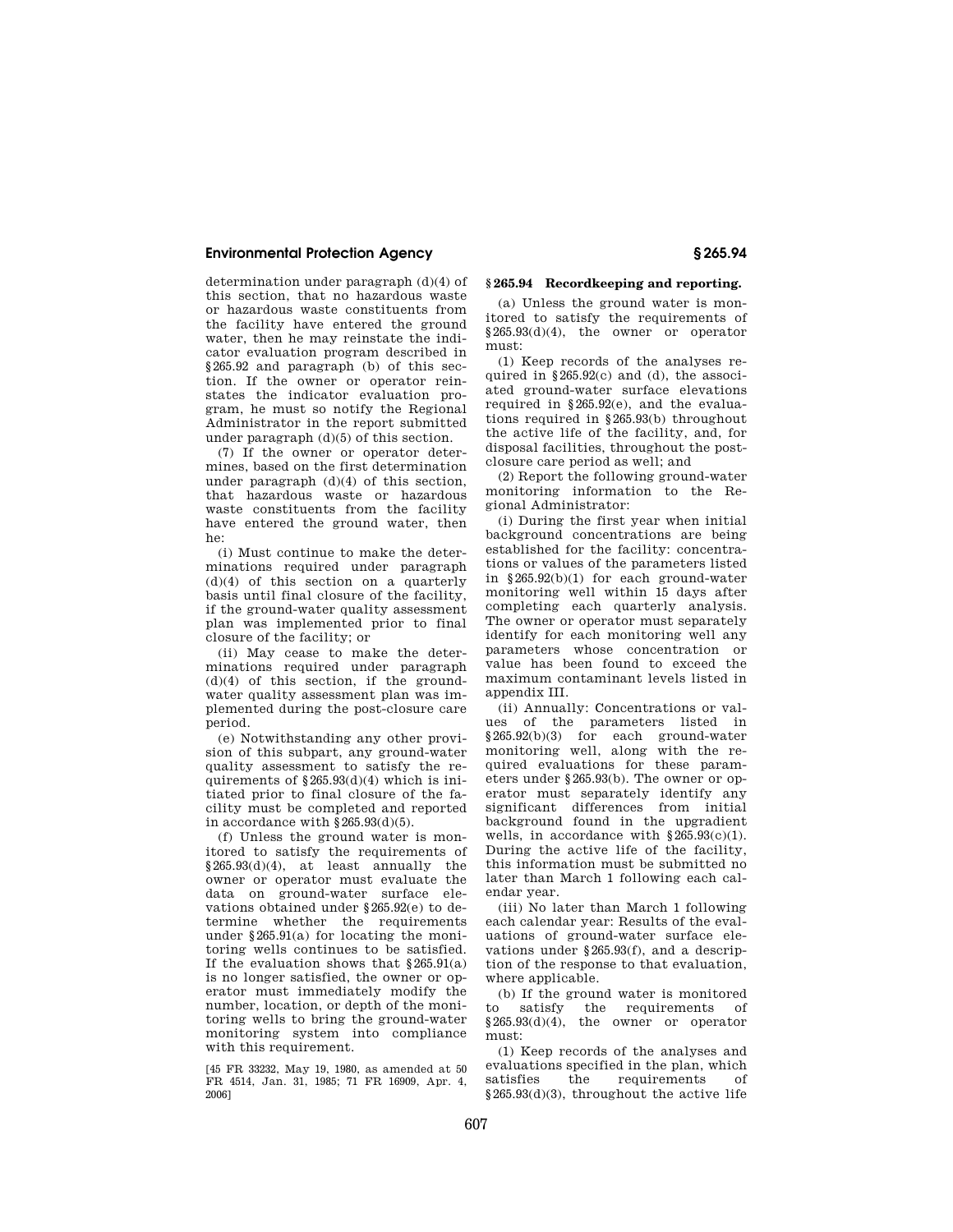determination under paragraph (d)(4) of this section, that no hazardous waste or hazardous waste constituents from the facility have entered the ground water, then he may reinstate the indicator evaluation program described in §265.92 and paragraph (b) of this section. If the owner or operator reinstates the indicator evaluation program, he must so notify the Regional Administrator in the report submitted under paragraph (d)(5) of this section.

(7) If the owner or operator determines, based on the first determination under paragraph (d)(4) of this section, that hazardous waste or hazardous waste constituents from the facility have entered the ground water, then he:

(i) Must continue to make the determinations required under paragraph (d)(4) of this section on a quarterly basis until final closure of the facility, if the ground-water quality assessment plan was implemented prior to final closure of the facility; or

(ii) May cease to make the determinations required under paragraph  $(d)(4)$  of this section, if the groundwater quality assessment plan was implemented during the post-closure care period.

(e) Notwithstanding any other provision of this subpart, any ground-water quality assessment to satisfy the requirements of §265.93(d)(4) which is initiated prior to final closure of the facility must be completed and reported in accordance with  $\S 265.93(d)(5)$ .

(f) Unless the ground water is monitored to satisfy the requirements of §265.93(d)(4), at least annually the owner or operator must evaluate the data on ground-water surface elevations obtained under §265.92(e) to determine whether the requirements under §265.91(a) for locating the monitoring wells continues to be satisfied. If the evaluation shows that  $\S 265.91(a)$ is no longer satisfied, the owner or operator must immediately modify the number, location, or depth of the monitoring wells to bring the ground-water monitoring system into compliance with this requirement.

[45 FR 33232, May 19, 1980, as amended at 50 FR 4514, Jan. 31, 1985; 71 FR 16909, Apr. 4, 2006]

# **§ 265.94 Recordkeeping and reporting.**

(a) Unless the ground water is monitored to satisfy the requirements of §265.93(d)(4), the owner or operator must:

(1) Keep records of the analyses required in §265.92(c) and (d), the associated ground-water surface elevations required in §265.92(e), and the evaluations required in §265.93(b) throughout the active life of the facility, and, for disposal facilities, throughout the postclosure care period as well; and

(2) Report the following ground-water monitoring information to the Regional Administrator:

(i) During the first year when initial background concentrations are being established for the facility: concentrations or values of the parameters listed in §265.92(b)(1) for each ground-water monitoring well within 15 days after completing each quarterly analysis. The owner or operator must separately identify for each monitoring well any parameters whose concentration or value has been found to exceed the maximum contaminant levels listed in appendix III.

(ii) Annually: Concentrations or values of the parameters listed in §265.92(b)(3) for each ground-water monitoring well, along with the required evaluations for these parameters under §265.93(b). The owner or operator must separately identify any significant differences from initial background found in the upgradient wells, in accordance with  $$265.93(c)(1)$ . During the active life of the facility, this information must be submitted no later than March 1 following each calendar year.

(iii) No later than March 1 following each calendar year: Results of the evaluations of ground-water surface elevations under §265.93(f), and a description of the response to that evaluation, where applicable.

(b) If the ground water is monitored to satisfy the requirements of §265.93(d)(4), the owner or operator must:

(1) Keep records of the analyses and evaluations specified in the plan, which satisfies the requirements of §265.93(d)(3), throughout the active life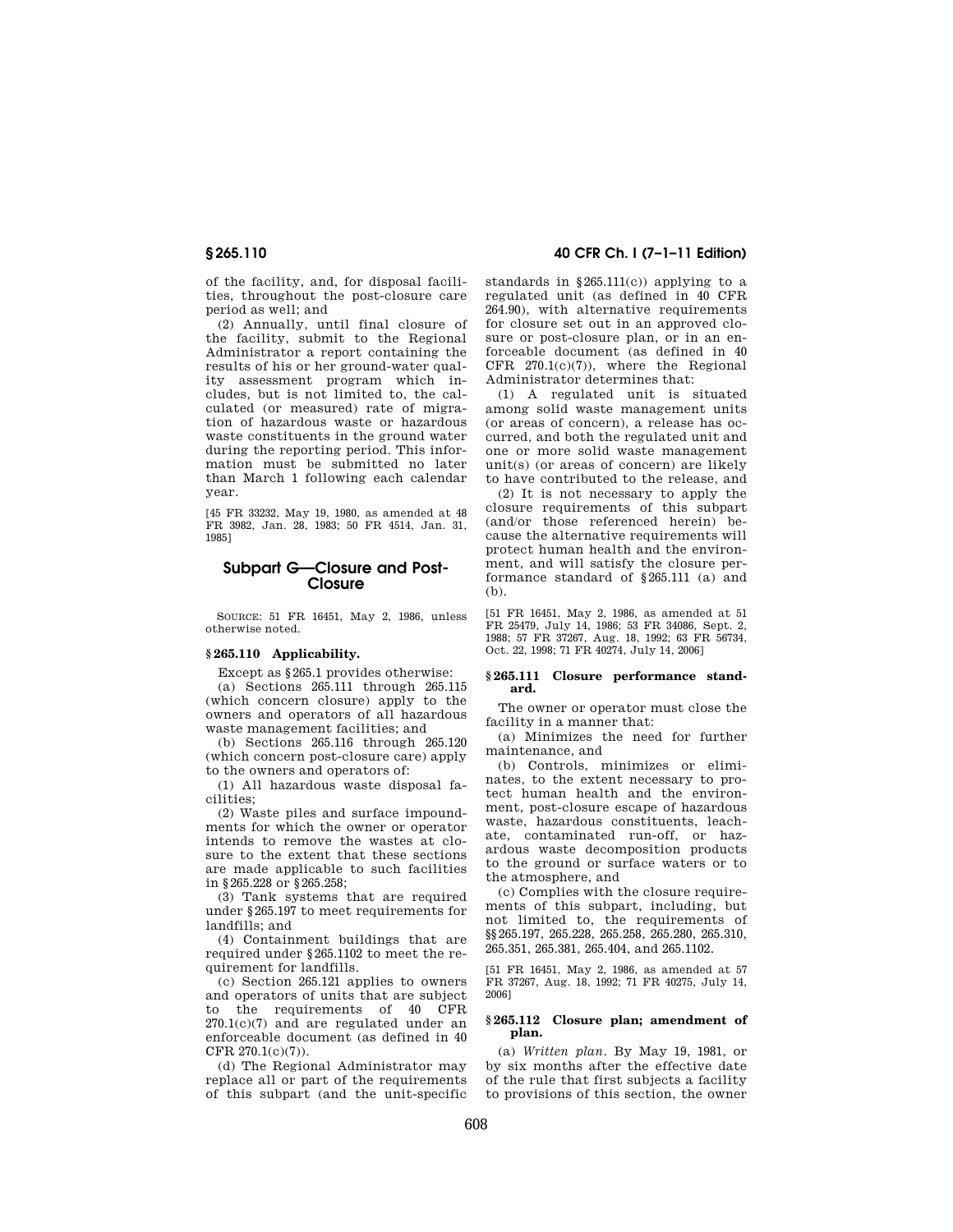of the facility, and, for disposal facilities, throughout the post-closure care period as well; and

(2) Annually, until final closure of the facility, submit to the Regional Administrator a report containing the results of his or her ground-water quality assessment program which includes, but is not limited to, the calculated (or measured) rate of migration of hazardous waste or hazardous waste constituents in the ground water during the reporting period. This information must be submitted no later than March 1 following each calendar year.

[45 FR 33232, May 19, 1980, as amended at 48 FR 3982, Jan. 28, 1983; 50 FR 4514, Jan. 31, 1985]

# **Subpart G—Closure and Post-Closure**

SOURCE: 51 FR 16451, May 2, 1986, unless otherwise noted.

## **§ 265.110 Applicability.**

Except as §265.1 provides otherwise:

(a) Sections 265.111 through 265.115 (which concern closure) apply to the owners and operators of all hazardous waste management facilities; and

(b) Sections 265.116 through 265.120 (which concern post-closure care) apply to the owners and operators of:

(1) All hazardous waste disposal facilities;

(2) Waste piles and surface impoundments for which the owner or operator intends to remove the wastes at closure to the extent that these sections are made applicable to such facilities in §265.228 or §265.258;

(3) Tank systems that are required under §265.197 to meet requirements for landfills; and

(4) Containment buildings that are required under §265.1102 to meet the requirement for landfills.

(c) Section 265.121 applies to owners and operators of units that are subject to the requirements of 40 CFR 270.1(c)(7) and are regulated under an enforceable document (as defined in 40 CFR 270.1(c)(7)).

(d) The Regional Administrator may replace all or part of the requirements of this subpart (and the unit-specific

# **§ 265.110 40 CFR Ch. I (7–1–11 Edition)**

standards in §265.111(c)) applying to a regulated unit (as defined in 40 CFR 264.90), with alternative requirements for closure set out in an approved closure or post-closure plan, or in an enforceable document (as defined in 40 CFR  $270.1(c)(7)$ , where the Regional Administrator determines that:

(1) A regulated unit is situated among solid waste management units (or areas of concern), a release has occurred, and both the regulated unit and one or more solid waste management unit(s) (or areas of concern) are likely to have contributed to the release, and

(2) It is not necessary to apply the closure requirements of this subpart (and/or those referenced herein) because the alternative requirements will protect human health and the environment, and will satisfy the closure performance standard of §265.111 (a) and (b).

[51 FR 16451, May 2, 1986, as amended at 51 FR 25479, July 14, 1986; 53 FR 34086, Sept. 2, 1988; 57 FR 37267, Aug. 18, 1992; 63 FR 56734, Oct. 22, 1998; 71 FR 40274, July 14, 2006]

#### **§ 265.111 Closure performance standard.**

The owner or operator must close the facility in a manner that:

(a) Minimizes the need for further maintenance, and

(b) Controls, minimizes or eliminates, to the extent necessary to protect human health and the environment, post-closure escape of hazardous waste, hazardous constituents, leachate, contaminated run-off, or hazardous waste decomposition products to the ground or surface waters or to the atmosphere, and

(c) Complies with the closure requirements of this subpart, including, but not limited to, the requirements of §§265.197, 265.228, 265.258, 265.280, 265.310, 265.351, 265.381, 265.404, and 265.1102.

[51 FR 16451, May 2, 1986, as amended at 57 FR 37267, Aug. 18, 1992; 71 FR 40275, July 14, 2006]

## **§ 265.112 Closure plan; amendment of plan.**

(a) *Written plan.* By May 19, 1981, or by six months after the effective date of the rule that first subjects a facility to provisions of this section, the owner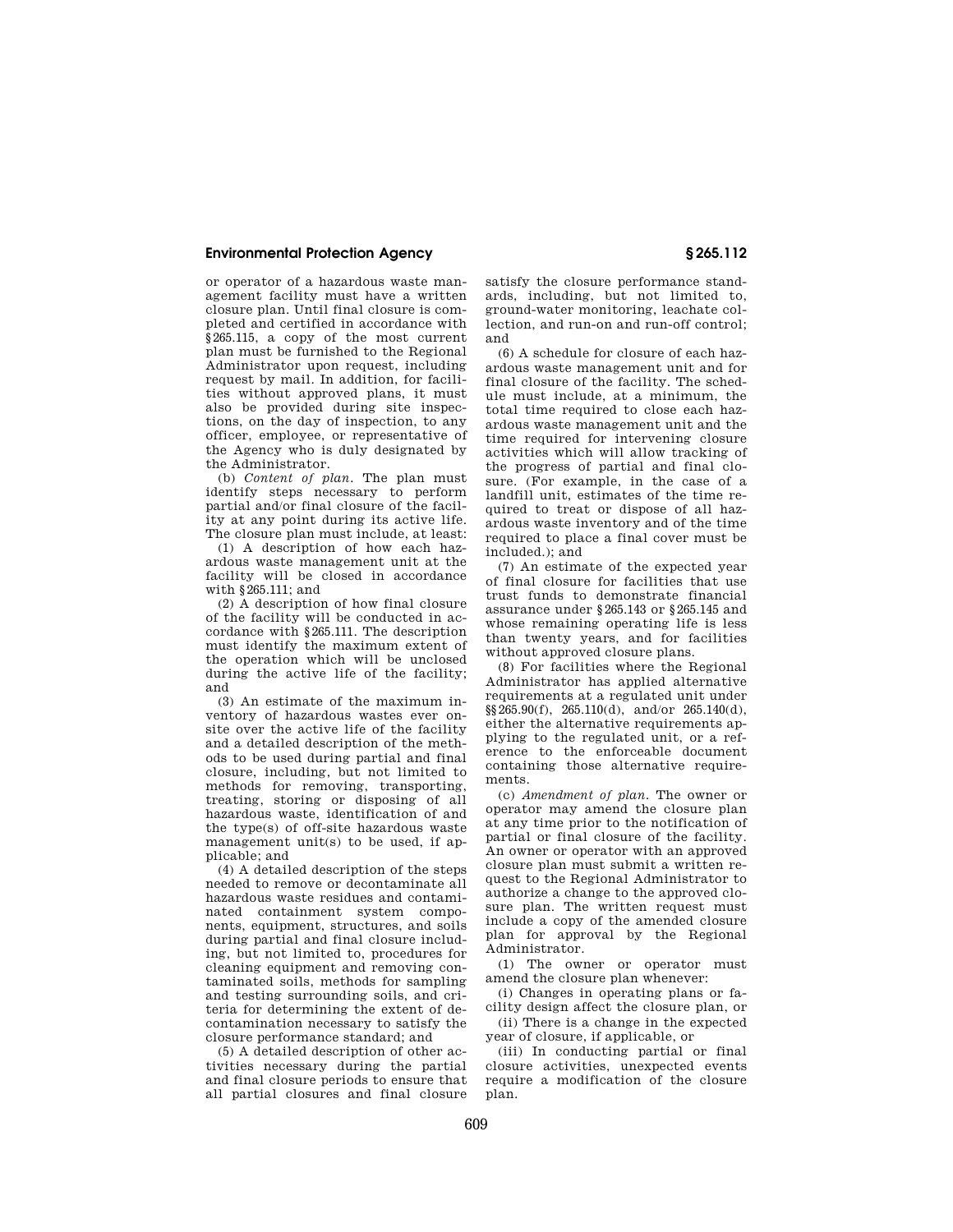or operator of a hazardous waste management facility must have a written closure plan. Until final closure is completed and certified in accordance with §265.115, a copy of the most current plan must be furnished to the Regional Administrator upon request, including request by mail. In addition, for facilities without approved plans, it must also be provided during site inspections, on the day of inspection, to any officer, employee, or representative of the Agency who is duly designated by the Administrator.

(b) *Content of plan.* The plan must identify steps necessary to perform partial and/or final closure of the facility at any point during its active life. The closure plan must include, at least:

(1) A description of how each hazardous waste management unit at the facility will be closed in accordance with §265.111; and

(2) A description of how final closure of the facility will be conducted in accordance with §265.111. The description must identify the maximum extent of the operation which will be unclosed during the active life of the facility; and

(3) An estimate of the maximum inventory of hazardous wastes ever onsite over the active life of the facility and a detailed description of the methods to be used during partial and final closure, including, but not limited to methods for removing, transporting, treating, storing or disposing of all hazardous waste, identification of and the type(s) of off-site hazardous waste management unit(s) to be used, if applicable; and

(4) A detailed description of the steps needed to remove or decontaminate all hazardous waste residues and contaminated containment system components, equipment, structures, and soils during partial and final closure including, but not limited to, procedures for cleaning equipment and removing contaminated soils, methods for sampling and testing surrounding soils, and criteria for determining the extent of decontamination necessary to satisfy the closure performance standard; and

(5) A detailed description of other activities necessary during the partial and final closure periods to ensure that all partial closures and final closure satisfy the closure performance standards, including, but not limited to, ground-water monitoring, leachate collection, and run-on and run-off control; and

(6) A schedule for closure of each hazardous waste management unit and for final closure of the facility. The schedule must include, at a minimum, the total time required to close each hazardous waste management unit and the time required for intervening closure activities which will allow tracking of the progress of partial and final closure. (For example, in the case of a landfill unit, estimates of the time required to treat or dispose of all hazardous waste inventory and of the time required to place a final cover must be included.); and

(7) An estimate of the expected year of final closure for facilities that use trust funds to demonstrate financial assurance under §265.143 or §265.145 and whose remaining operating life is less than twenty years, and for facilities without approved closure plans.

(8) For facilities where the Regional Administrator has applied alternative requirements at a regulated unit under §§265.90(f), 265.110(d), and/or 265.140(d), either the alternative requirements applying to the regulated unit, or a reference to the enforceable document containing those alternative requirements.

(c) *Amendment of plan.* The owner or operator may amend the closure plan at any time prior to the notification of partial or final closure of the facility. An owner or operator with an approved closure plan must submit a written request to the Regional Administrator to authorize a change to the approved closure plan. The written request must include a copy of the amended closure plan for approval by the Regional Administrator.

(1) The owner or operator must amend the closure plan whenever:

(i) Changes in operating plans or facility design affect the closure plan, or

(ii) There is a change in the expected year of closure, if applicable, or

(iii) In conducting partial or final closure activities, unexpected events require a modification of the closure plan.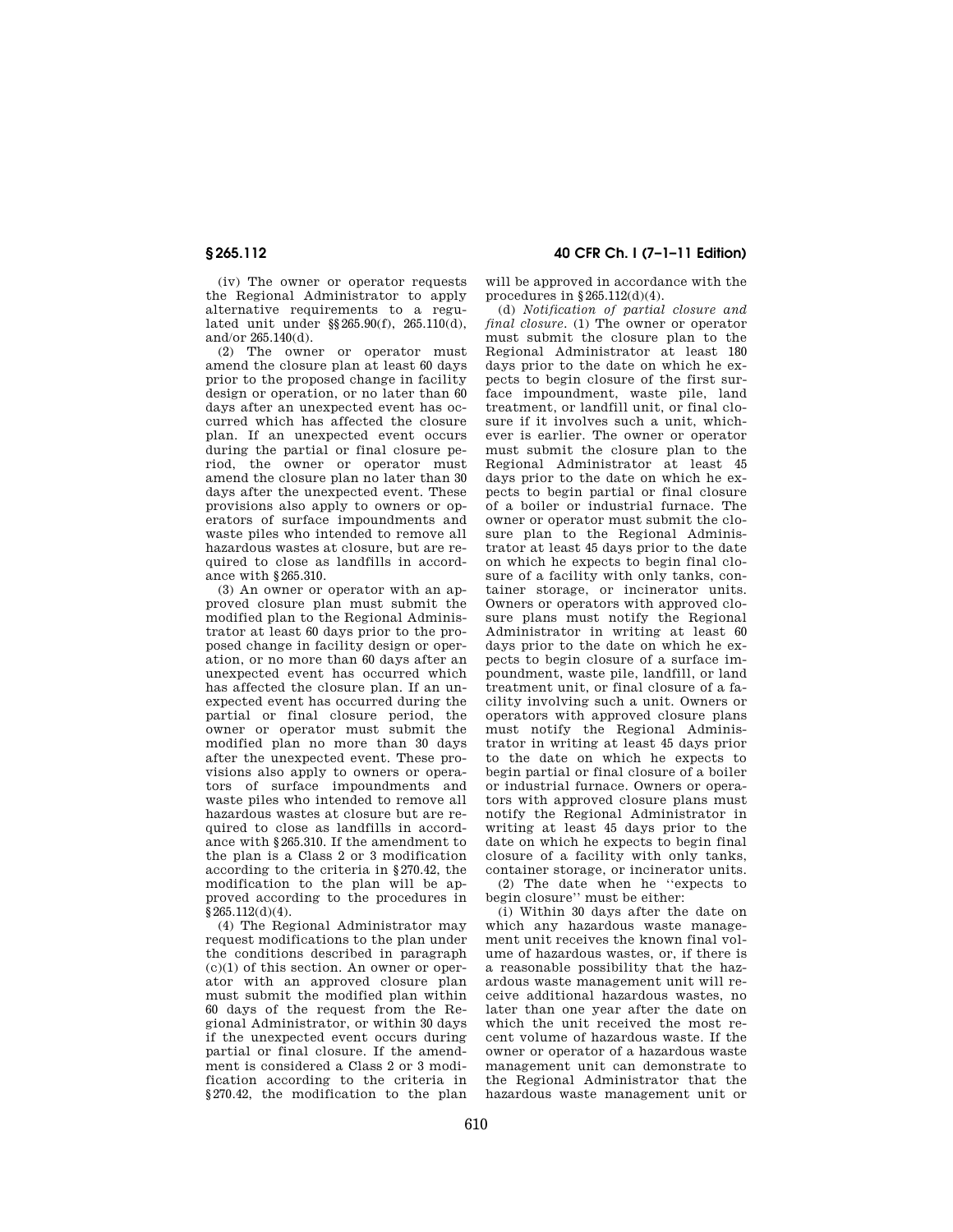(iv) The owner or operator requests the Regional Administrator to apply alternative requirements to a regulated unit under §§265.90(f), 265.110(d), and/or 265.140(d).

(2) The owner or operator must amend the closure plan at least 60 days prior to the proposed change in facility design or operation, or no later than 60 days after an unexpected event has occurred which has affected the closure plan. If an unexpected event occurs during the partial or final closure period, the owner or operator must amend the closure plan no later than 30 days after the unexpected event. These provisions also apply to owners or operators of surface impoundments and waste piles who intended to remove all hazardous wastes at closure, but are required to close as landfills in accordance with §265.310.

(3) An owner or operator with an approved closure plan must submit the modified plan to the Regional Administrator at least 60 days prior to the proposed change in facility design or operation, or no more than 60 days after an unexpected event has occurred which has affected the closure plan. If an unexpected event has occurred during the partial or final closure period, the owner or operator must submit the modified plan no more than 30 days after the unexpected event. These provisions also apply to owners or operators of surface impoundments and waste piles who intended to remove all hazardous wastes at closure but are required to close as landfills in accordance with §265.310. If the amendment to the plan is a Class 2 or 3 modification according to the criteria in §270.42, the modification to the plan will be approved according to the procedures in §265.112(d)(4).

(4) The Regional Administrator may request modifications to the plan under the conditions described in paragraph  $(c)(1)$  of this section. An owner or operator with an approved closure plan must submit the modified plan within 60 days of the request from the Regional Administrator, or within 30 days if the unexpected event occurs during partial or final closure. If the amendment is considered a Class 2 or 3 modification according to the criteria in §270.42, the modification to the plan

# **§ 265.112 40 CFR Ch. I (7–1–11 Edition)**

will be approved in accordance with the procedures in  $§265.112(d)(4)$ .

(d) *Notification of partial closure and final closure.* (1) The owner or operator must submit the closure plan to the Regional Administrator at least 180 days prior to the date on which he expects to begin closure of the first surface impoundment, waste pile, land treatment, or landfill unit, or final closure if it involves such a unit, whichever is earlier. The owner or operator must submit the closure plan to the Regional Administrator at least 45 days prior to the date on which he expects to begin partial or final closure of a boiler or industrial furnace. The owner or operator must submit the closure plan to the Regional Administrator at least 45 days prior to the date on which he expects to begin final closure of a facility with only tanks, container storage, or incinerator units. Owners or operators with approved closure plans must notify the Regional Administrator in writing at least 60 days prior to the date on which he expects to begin closure of a surface impoundment, waste pile, landfill, or land treatment unit, or final closure of a facility involving such a unit. Owners or operators with approved closure plans must notify the Regional Administrator in writing at least 45 days prior to the date on which he expects to begin partial or final closure of a boiler or industrial furnace. Owners or operators with approved closure plans must notify the Regional Administrator in writing at least 45 days prior to the date on which he expects to begin final closure of a facility with only tanks, container storage, or incinerator units.

(2) The date when he ''expects to begin closure'' must be either:

(i) Within 30 days after the date on which any hazardous waste management unit receives the known final volume of hazardous wastes, or, if there is a reasonable possibility that the hazardous waste management unit will receive additional hazardous wastes, no later than one year after the date on which the unit received the most recent volume of hazardous waste. If the owner or operator of a hazardous waste management unit can demonstrate to the Regional Administrator that the hazardous waste management unit or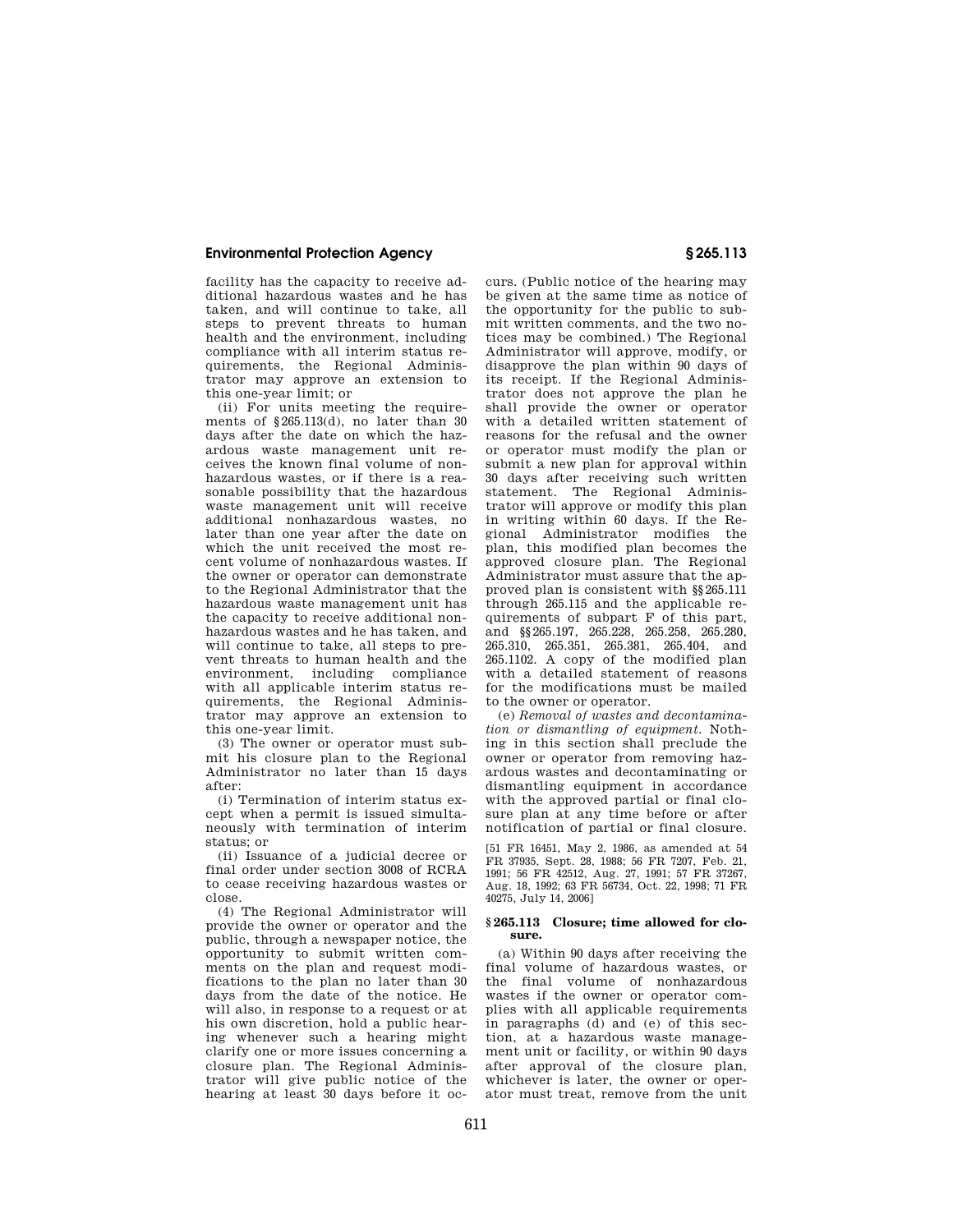facility has the capacity to receive additional hazardous wastes and he has taken, and will continue to take, all steps to prevent threats to human health and the environment, including compliance with all interim status requirements, the Regional Administrator may approve an extension to this one-year limit; or

(ii) For units meeting the requirements of §265.113(d), no later than 30 days after the date on which the hazardous waste management unit receives the known final volume of nonhazardous wastes, or if there is a reasonable possibility that the hazardous waste management unit will receive additional nonhazardous wastes, no later than one year after the date on which the unit received the most recent volume of nonhazardous wastes. If the owner or operator can demonstrate to the Regional Administrator that the hazardous waste management unit has the capacity to receive additional nonhazardous wastes and he has taken, and will continue to take, all steps to prevent threats to human health and the environment, including compliance with all applicable interim status requirements, the Regional Administrator may approve an extension to this one-year limit.

(3) The owner or operator must submit his closure plan to the Regional Administrator no later than 15 days after:

(i) Termination of interim status except when a permit is issued simultaneously with termination of interim status; or

(ii) Issuance of a judicial decree or final order under section 3008 of RCRA to cease receiving hazardous wastes or close.

(4) The Regional Administrator will provide the owner or operator and the public, through a newspaper notice, the opportunity to submit written comments on the plan and request modifications to the plan no later than 30 days from the date of the notice. He will also, in response to a request or at his own discretion, hold a public hearing whenever such a hearing might clarify one or more issues concerning a closure plan. The Regional Administrator will give public notice of the hearing at least 30 days before it oc-

curs. (Public notice of the hearing may be given at the same time as notice of the opportunity for the public to submit written comments, and the two notices may be combined.) The Regional Administrator will approve, modify, or disapprove the plan within 90 days of its receipt. If the Regional Administrator does not approve the plan he shall provide the owner or operator with a detailed written statement of reasons for the refusal and the owner or operator must modify the plan or submit a new plan for approval within 30 days after receiving such written statement. The Regional Administrator will approve or modify this plan in writing within 60 days. If the Regional Administrator modifies the plan, this modified plan becomes the approved closure plan. The Regional Administrator must assure that the approved plan is consistent with §§265.111 through 265.115 and the applicable requirements of subpart F of this part, and §§265.197, 265.228, 265.258, 265.280, 265.310, 265.351, 265.381, 265.404, and 265.1102. A copy of the modified plan with a detailed statement of reasons for the modifications must be mailed to the owner or operator.

(e) *Removal of wastes and decontamination or dismantling of equipment.* Nothing in this section shall preclude the owner or operator from removing hazardous wastes and decontaminating or dismantling equipment in accordance with the approved partial or final closure plan at any time before or after notification of partial or final closure.

[51 FR 16451, May 2, 1986, as amended at 54 FR 37935, Sept. 28, 1988; 56 FR 7207, Feb. 21, 1991; 56 FR 42512, Aug. 27, 1991; 57 FR 37267, Aug. 18, 1992; 63 FR 56734, Oct. 22, 1998; 71 FR 40275, July 14, 2006]

#### **§ 265.113 Closure; time allowed for closure.**

(a) Within 90 days after receiving the final volume of hazardous wastes, or the final volume of nonhazardous wastes if the owner or operator complies with all applicable requirements in paragraphs  $(d)$  and  $(e)$  of this section, at a hazardous waste management unit or facility, or within 90 days after approval of the closure plan, whichever is later, the owner or operator must treat, remove from the unit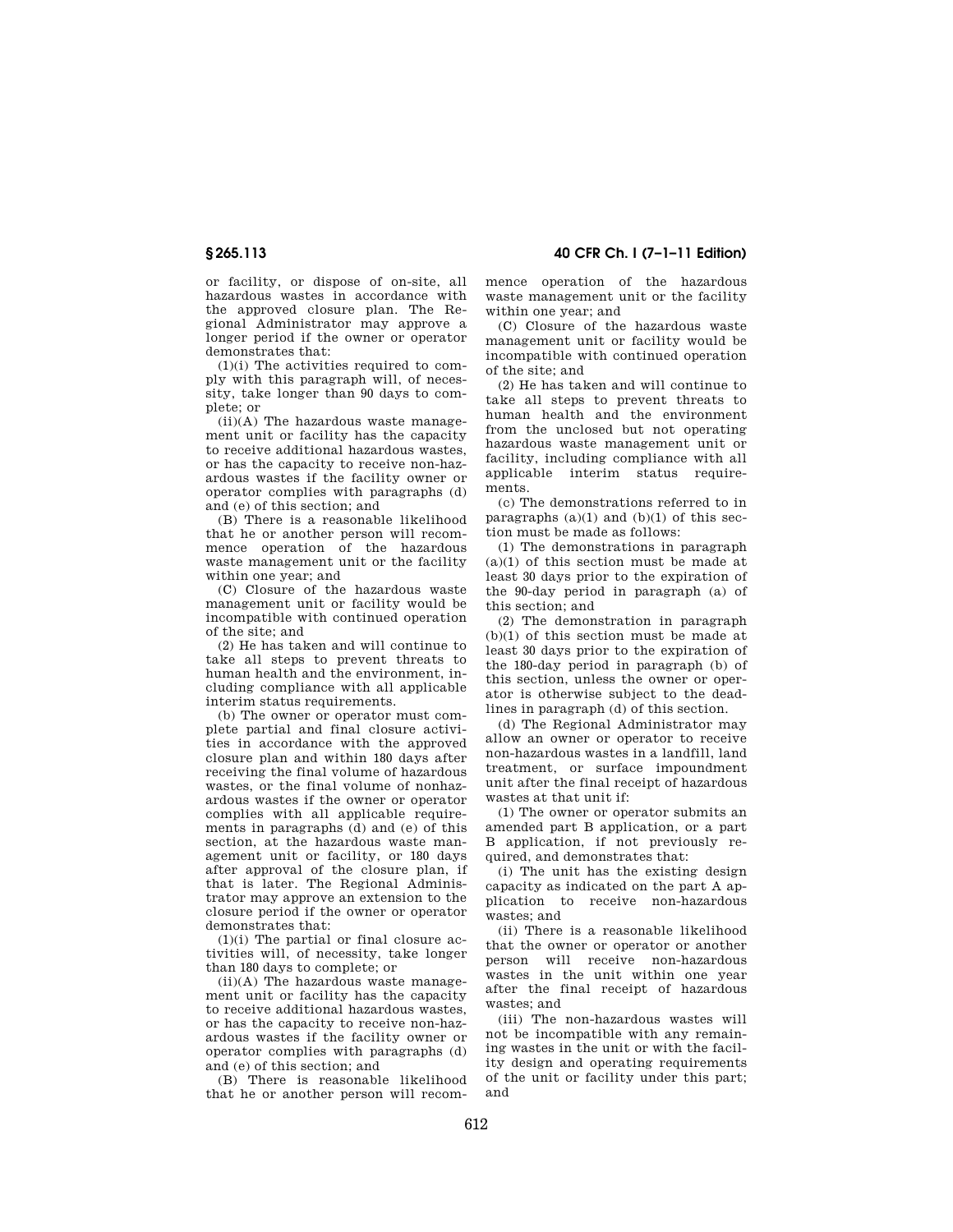or facility, or dispose of on-site, all hazardous wastes in accordance with the approved closure plan. The Regional Administrator may approve a longer period if the owner or operator demonstrates that:

(1)(i) The activities required to comply with this paragraph will, of necessity, take longer than 90 days to complete; or

 $(ii)(A)$  The hazardous waste management unit or facility has the capacity to receive additional hazardous wastes, or has the capacity to receive non-hazardous wastes if the facility owner or operator complies with paragraphs (d) and (e) of this section; and

(B) There is a reasonable likelihood that he or another person will recommence operation of the hazardous waste management unit or the facility within one year; and

(C) Closure of the hazardous waste management unit or facility would be incompatible with continued operation of the site; and

(2) He has taken and will continue to take all steps to prevent threats to human health and the environment, including compliance with all applicable interim status requirements.

(b) The owner or operator must complete partial and final closure activities in accordance with the approved closure plan and within 180 days after receiving the final volume of hazardous wastes, or the final volume of nonhazardous wastes if the owner or operator complies with all applicable requirements in paragraphs (d) and (e) of this section, at the hazardous waste management unit or facility, or 180 days after approval of the closure plan, if that is later. The Regional Administrator may approve an extension to the closure period if the owner or operator demonstrates that:

(1)(i) The partial or final closure activities will, of necessity, take longer than 180 days to complete; or

(ii)(A) The hazardous waste management unit or facility has the capacity to receive additional hazardous wastes, or has the capacity to receive non-hazardous wastes if the facility owner or operator complies with paragraphs (d) and (e) of this section; and

(B) There is reasonable likelihood that he or another person will recom-

**§ 265.113 40 CFR Ch. I (7–1–11 Edition)** 

mence operation of the hazardous waste management unit or the facility within one year; and

(C) Closure of the hazardous waste management unit or facility would be incompatible with continued operation of the site; and

(2) He has taken and will continue to take all steps to prevent threats to human health and the environment from the unclosed but not operating hazardous waste management unit or facility, including compliance with all applicable interim status requirements.

(c) The demonstrations referred to in paragraphs  $(a)(1)$  and  $(b)(1)$  of this section must be made as follows:

(1) The demonstrations in paragraph  $(a)(1)$  of this section must be made at least 30 days prior to the expiration of the 90-day period in paragraph (a) of this section; and

(2) The demonstration in paragraph (b)(1) of this section must be made at least 30 days prior to the expiration of the 180-day period in paragraph (b) of this section, unless the owner or operator is otherwise subject to the deadlines in paragraph (d) of this section.

(d) The Regional Administrator may allow an owner or operator to receive non-hazardous wastes in a landfill, land treatment, or surface impoundment unit after the final receipt of hazardous wastes at that unit if:

(1) The owner or operator submits an amended part B application, or a part B application, if not previously required, and demonstrates that:

(i) The unit has the existing design capacity as indicated on the part A application to receive non-hazardous wastes; and

(ii) There is a reasonable likelihood that the owner or operator or another person will receive non-hazardous wastes in the unit within one year after the final receipt of hazardous wastes; and

(iii) The non-hazardous wastes will not be incompatible with any remaining wastes in the unit or with the facility design and operating requirements of the unit or facility under this part; and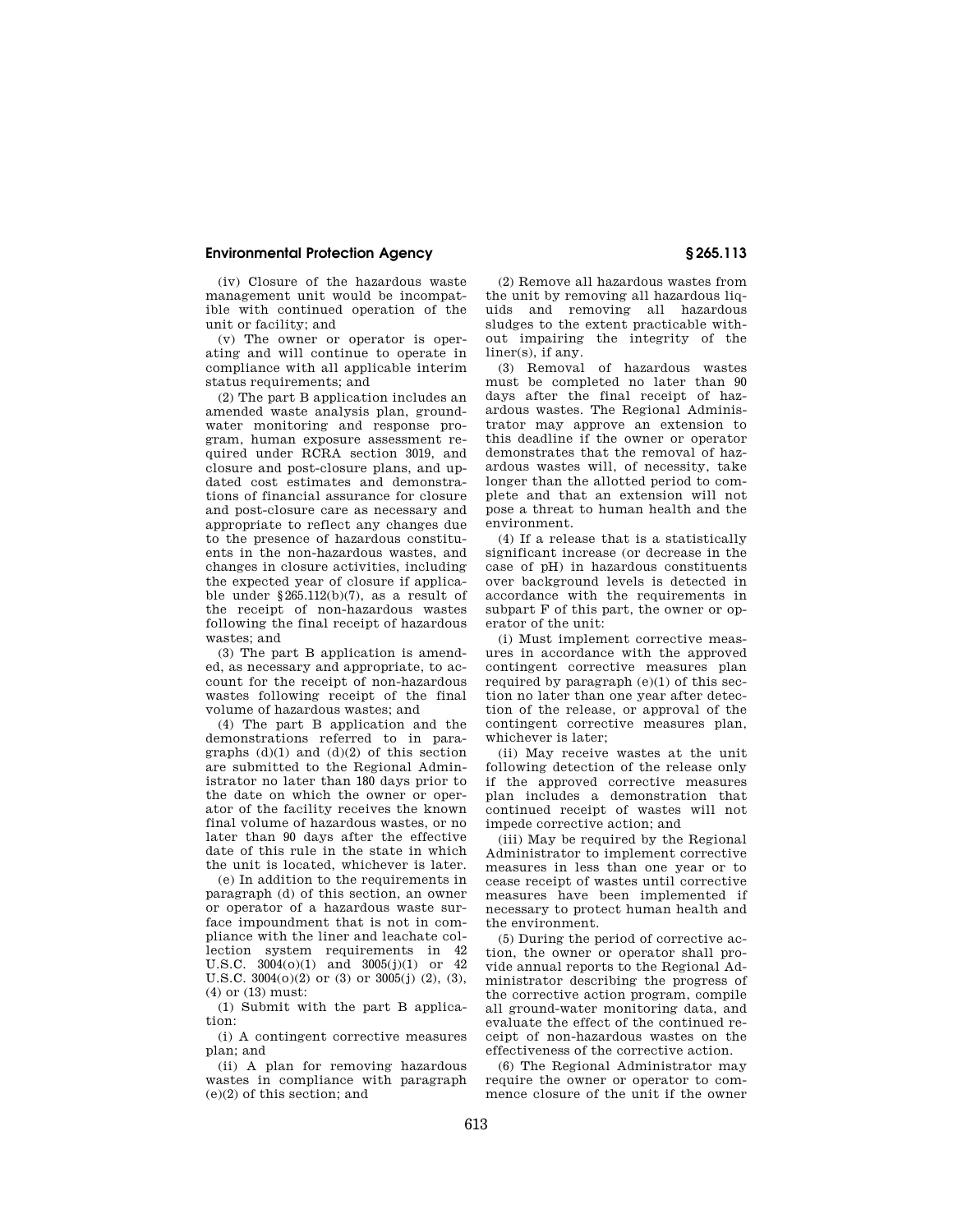(iv) Closure of the hazardous waste management unit would be incompatible with continued operation of the unit or facility; and

(v) The owner or operator is operating and will continue to operate in compliance with all applicable interim status requirements; and

(2) The part B application includes an amended waste analysis plan, groundwater monitoring and response program, human exposure assessment required under RCRA section 3019, and closure and post-closure plans, and updated cost estimates and demonstrations of financial assurance for closure and post-closure care as necessary and appropriate to reflect any changes due to the presence of hazardous constituents in the non-hazardous wastes, and changes in closure activities, including the expected year of closure if applicable under  $$265.112(b)(7)$ , as a result of the receipt of non-hazardous wastes following the final receipt of hazardous wastes; and

(3) The part B application is amended, as necessary and appropriate, to account for the receipt of non-hazardous wastes following receipt of the final volume of hazardous wastes; and

(4) The part B application and the demonstrations referred to in paragraphs  $(d)(1)$  and  $(d)(2)$  of this section are submitted to the Regional Administrator no later than 180 days prior to the date on which the owner or operator of the facility receives the known final volume of hazardous wastes, or no later than 90 days after the effective date of this rule in the state in which the unit is located, whichever is later.

(e) In addition to the requirements in paragraph (d) of this section, an owner or operator of a hazardous waste surface impoundment that is not in compliance with the liner and leachate collection system requirements in 42 U.S.C. 3004(o)(1) and 3005(j)(1) or 42 U.S.C.  $3004(0)(2)$  or  $(3)$  or  $3005(j)$   $(2)$ ,  $(3)$ , (4) or (13) must:

(1) Submit with the part B application:

(i) A contingent corrective measures plan; and

(ii) A plan for removing hazardous wastes in compliance with paragraph (e)(2) of this section; and

(2) Remove all hazardous wastes from the unit by removing all hazardous liquids and removing all hazardous sludges to the extent practicable without impairing the integrity of the liner(s), if any.

(3) Removal of hazardous wastes must be completed no later than 90 days after the final receipt of hazardous wastes. The Regional Administrator may approve an extension to this deadline if the owner or operator demonstrates that the removal of hazardous wastes will, of necessity, take longer than the allotted period to complete and that an extension will not pose a threat to human health and the environment.

(4) If a release that is a statistically significant increase (or decrease in the case of pH) in hazardous constituents over background levels is detected in accordance with the requirements in subpart F of this part, the owner or operator of the unit:

(i) Must implement corrective measures in accordance with the approved contingent corrective measures plan required by paragraph  $(e)(1)$  of this section no later than one year after detection of the release, or approval of the contingent corrective measures plan, whichever is later;

(ii) May receive wastes at the unit following detection of the release only if the approved corrective measures plan includes a demonstration that continued receipt of wastes will not impede corrective action; and

(iii) May be required by the Regional Administrator to implement corrective measures in less than one year or to cease receipt of wastes until corrective measures have been implemented if necessary to protect human health and the environment.

(5) During the period of corrective action, the owner or operator shall provide annual reports to the Regional Administrator describing the progress of the corrective action program, compile all ground-water monitoring data, and evaluate the effect of the continued receipt of non-hazardous wastes on the effectiveness of the corrective action.

(6) The Regional Administrator may require the owner or operator to commence closure of the unit if the owner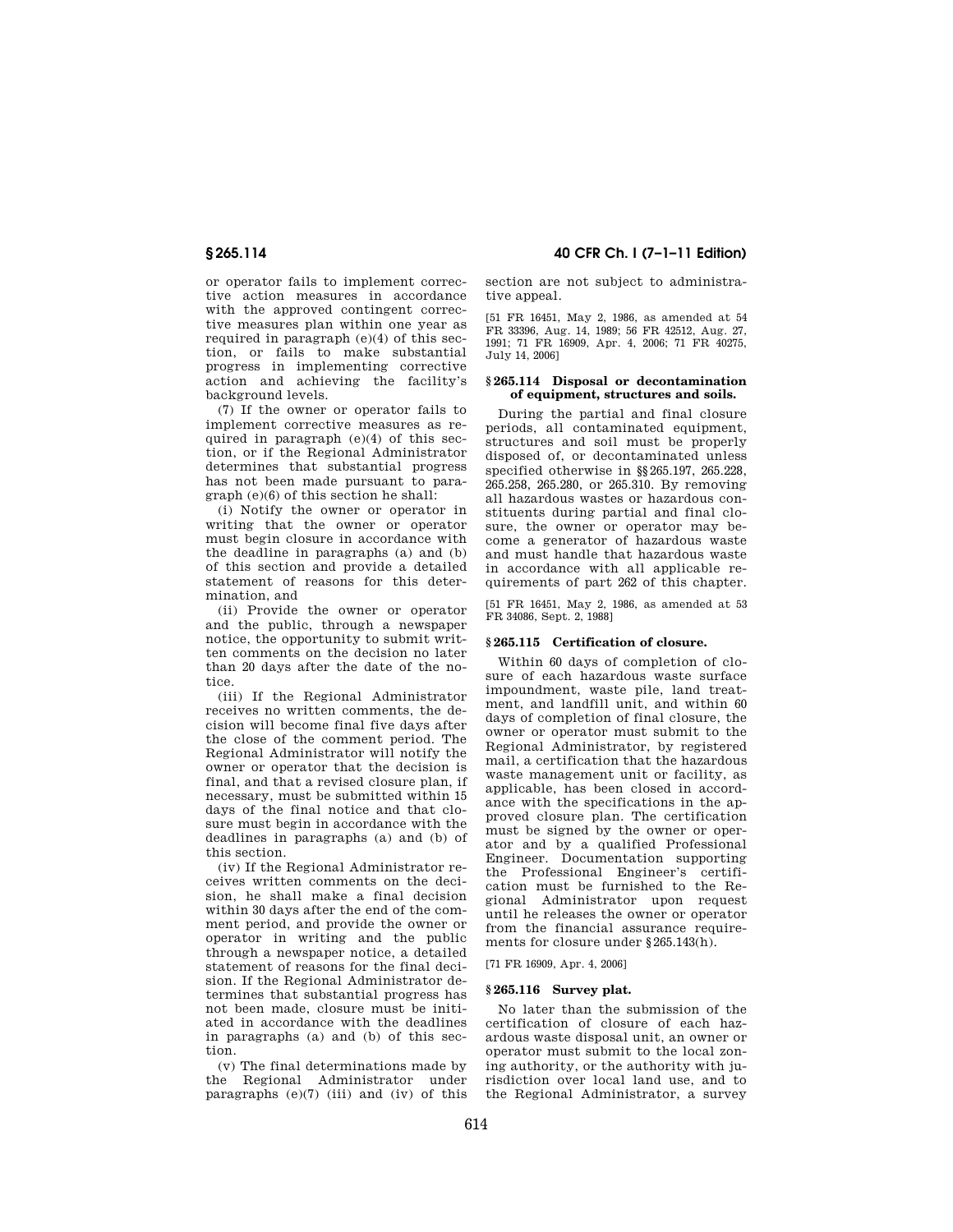or operator fails to implement corrective action measures in accordance with the approved contingent corrective measures plan within one year as required in paragraph (e)(4) of this section, or fails to make substantial progress in implementing corrective action and achieving the facility's background levels.

(7) If the owner or operator fails to implement corrective measures as required in paragraph (e)(4) of this section, or if the Regional Administrator determines that substantial progress has not been made pursuant to paragraph (e)(6) of this section he shall:

(i) Notify the owner or operator in writing that the owner or operator must begin closure in accordance with the deadline in paragraphs (a) and (b) of this section and provide a detailed statement of reasons for this determination, and

(ii) Provide the owner or operator and the public, through a newspaper notice, the opportunity to submit written comments on the decision no later than 20 days after the date of the notice.

(iii) If the Regional Administrator receives no written comments, the decision will become final five days after the close of the comment period. The Regional Administrator will notify the owner or operator that the decision is final, and that a revised closure plan, if necessary, must be submitted within 15 days of the final notice and that closure must begin in accordance with the deadlines in paragraphs (a) and (b) of this section.

(iv) If the Regional Administrator receives written comments on the decision, he shall make a final decision within 30 days after the end of the comment period, and provide the owner or operator in writing and the public through a newspaper notice, a detailed statement of reasons for the final decision. If the Regional Administrator determines that substantial progress has not been made, closure must be initiated in accordance with the deadlines in paragraphs (a) and (b) of this section.

(v) The final determinations made by the Regional Administrator under paragraphs  $(e)(7)$  (iii) and (iv) of this

**§ 265.114 40 CFR Ch. I (7–1–11 Edition)** 

section are not subject to administrative appeal.

[51 FR 16451, May 2, 1986, as amended at 54 FR 33396, Aug. 14, 1989; 56 FR 42512, Aug. 27, 1991; 71 FR 16909, Apr. 4, 2006; 71 FR 40275, July 14, 2006]

### **§ 265.114 Disposal or decontamination of equipment, structures and soils.**

During the partial and final closure periods, all contaminated equipment, structures and soil must be properly disposed of, or decontaminated unless specified otherwise in §§265.197, 265.228, 265.258, 265.280, or 265.310. By removing all hazardous wastes or hazardous constituents during partial and final closure, the owner or operator may become a generator of hazardous waste and must handle that hazardous waste in accordance with all applicable requirements of part 262 of this chapter.

[51 FR 16451, May 2, 1986, as amended at 53 FR 34086, Sept. 2, 1988]

#### **§ 265.115 Certification of closure.**

Within 60 days of completion of closure of each hazardous waste surface impoundment, waste pile, land treatment, and landfill unit, and within 60 days of completion of final closure, the owner or operator must submit to the Regional Administrator, by registered mail, a certification that the hazardous waste management unit or facility, as applicable, has been closed in accordance with the specifications in the approved closure plan. The certification must be signed by the owner or operator and by a qualified Professional Engineer. Documentation supporting the Professional Engineer's certification must be furnished to the Regional Administrator upon request until he releases the owner or operator from the financial assurance requirements for closure under §265.143(h).

[71 FR 16909, Apr. 4, 2006]

## **§ 265.116 Survey plat.**

No later than the submission of the certification of closure of each hazardous waste disposal unit, an owner or operator must submit to the local zoning authority, or the authority with jurisdiction over local land use, and to the Regional Administrator, a survey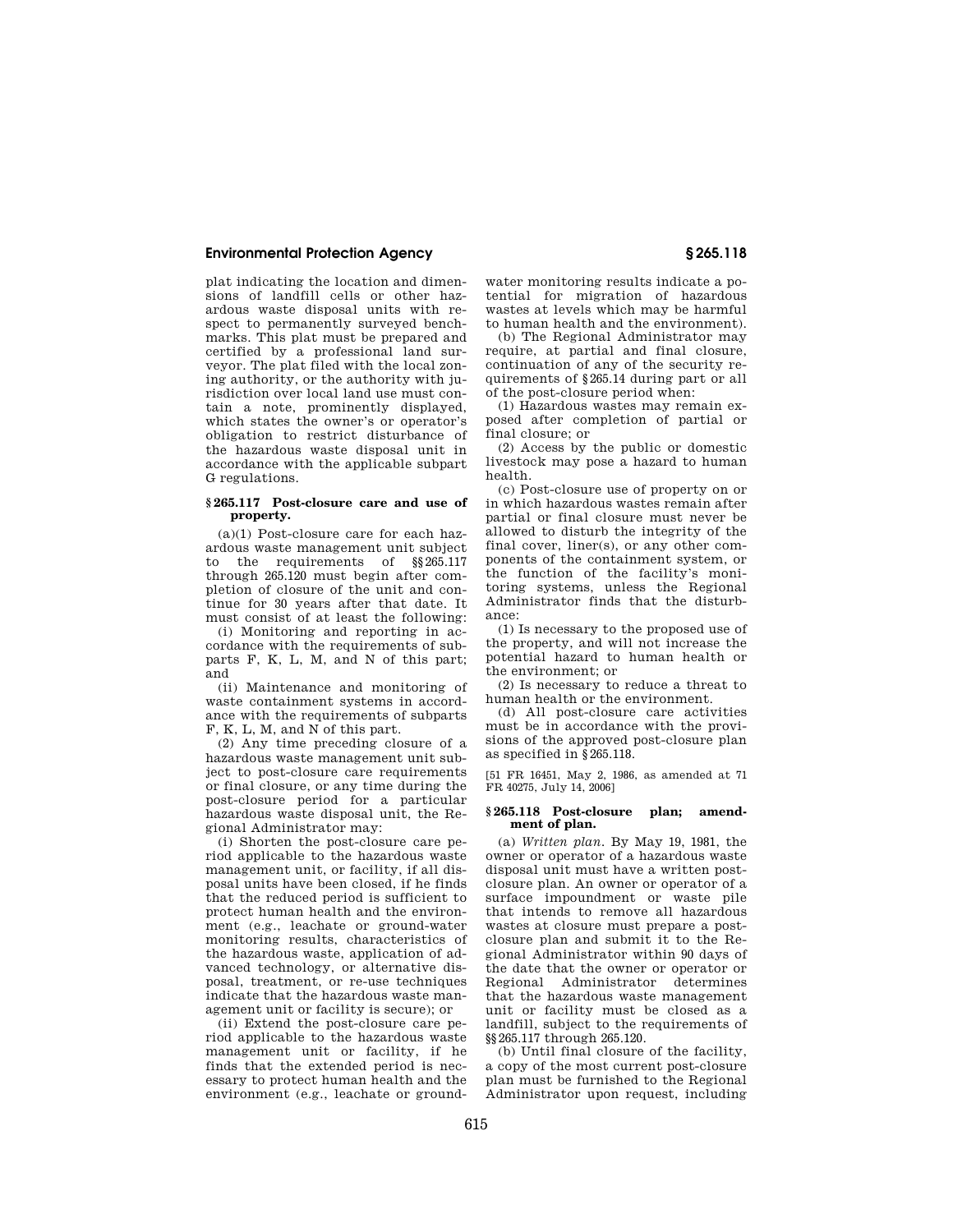plat indicating the location and dimensions of landfill cells or other hazardous waste disposal units with respect to permanently surveyed benchmarks. This plat must be prepared and certified by a professional land surveyor. The plat filed with the local zoning authority, or the authority with jurisdiction over local land use must contain a note, prominently displayed, which states the owner's or operator's obligation to restrict disturbance of the hazardous waste disposal unit in accordance with the applicable subpart G regulations.

### **§ 265.117 Post-closure care and use of property.**

(a)(1) Post-closure care for each hazardous waste management unit subject to the requirements of §§265.117 through 265.120 must begin after completion of closure of the unit and continue for 30 years after that date. It must consist of at least the following:

(i) Monitoring and reporting in accordance with the requirements of subparts F, K, L, M, and N of this part; and

(ii) Maintenance and monitoring of waste containment systems in accordance with the requirements of subparts F, K, L, M, and N of this part.

(2) Any time preceding closure of a hazardous waste management unit subject to post-closure care requirements or final closure, or any time during the post-closure period for a particular hazardous waste disposal unit, the Regional Administrator may:

(i) Shorten the post-closure care period applicable to the hazardous waste management unit, or facility, if all disposal units have been closed, if he finds that the reduced period is sufficient to protect human health and the environment (e.g., leachate or ground-water monitoring results, characteristics of the hazardous waste, application of advanced technology, or alternative disposal, treatment, or re-use techniques indicate that the hazardous waste management unit or facility is secure); or

(ii) Extend the post-closure care period applicable to the hazardous waste management unit or facility, if he finds that the extended period is necessary to protect human health and the environment (e.g., leachate or groundwater monitoring results indicate a potential for migration of hazardous wastes at levels which may be harmful to human health and the environment).

(b) The Regional Administrator may require, at partial and final closure, continuation of any of the security requirements of §265.14 during part or all of the post-closure period when:

(1) Hazardous wastes may remain exposed after completion of partial or final closure; or

(2) Access by the public or domestic livestock may pose a hazard to human health.

(c) Post-closure use of property on or in which hazardous wastes remain after partial or final closure must never be allowed to disturb the integrity of the final cover, liner(s), or any other components of the containment system, or the function of the facility's monitoring systems, unless the Regional Administrator finds that the disturbance:

(1) Is necessary to the proposed use of the property, and will not increase the potential hazard to human health or the environment; or

(2) Is necessary to reduce a threat to human health or the environment.

(d) All post-closure care activities must be in accordance with the provisions of the approved post-closure plan as specified in §265.118.

[51 FR 16451, May 2, 1986, as amended at 71 FR 40275, July 14, 2006]

## **§ 265.118 Post-closure plan; amendment of plan.**

(a) *Written plan.* By May 19, 1981, the owner or operator of a hazardous waste disposal unit must have a written postclosure plan. An owner or operator of a surface impoundment or waste pile that intends to remove all hazardous wastes at closure must prepare a postclosure plan and submit it to the Regional Administrator within 90 days of the date that the owner or operator or Regional Administrator determines that the hazardous waste management unit or facility must be closed as a landfill, subject to the requirements of §§265.117 through 265.120.

(b) Until final closure of the facility, a copy of the most current post-closure plan must be furnished to the Regional Administrator upon request, including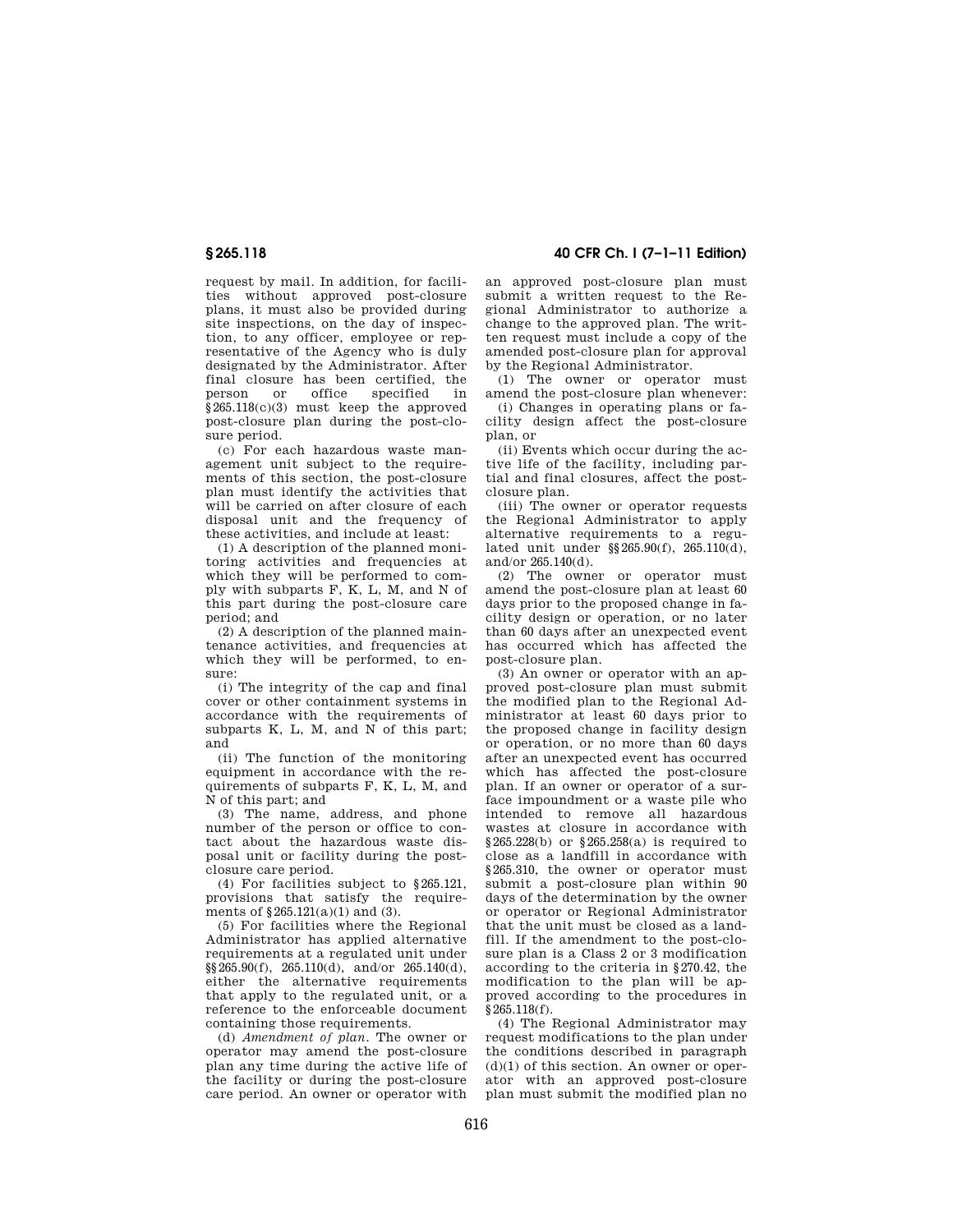# **§ 265.118 40 CFR Ch. I (7–1–11 Edition)**

request by mail. In addition, for facilities without approved post-closure plans, it must also be provided during site inspections, on the day of inspection, to any officer, employee or representative of the Agency who is duly designated by the Administrator. After final closure has been certified, the<br>person or office specified in specified in §265.118(c)(3) must keep the approved post-closure plan during the post-closure period.

(c) For each hazardous waste management unit subject to the requirements of this section, the post-closure plan must identify the activities that will be carried on after closure of each disposal unit and the frequency of these activities, and include at least:

(1) A description of the planned monitoring activities and frequencies at which they will be performed to comply with subparts F, K, L, M, and N of this part during the post-closure care period; and

(2) A description of the planned maintenance activities, and frequencies at which they will be performed, to ensure:

(i) The integrity of the cap and final cover or other containment systems in accordance with the requirements of subparts K, L, M, and N of this part; and

(ii) The function of the monitoring equipment in accordance with the requirements of subparts F, K, L, M, and N of this part; and

(3) The name, address, and phone number of the person or office to contact about the hazardous waste disposal unit or facility during the postclosure care period.

(4) For facilities subject to §265.121, provisions that satisfy the requirements of §265.121(a)(1) and (3).

(5) For facilities where the Regional Administrator has applied alternative requirements at a regulated unit under §§265.90(f), 265.110(d), and/or 265.140(d), either the alternative requirements that apply to the regulated unit, or a reference to the enforceable document containing those requirements.

(d) *Amendment of plan.* The owner or operator may amend the post-closure plan any time during the active life of the facility or during the post-closure care period. An owner or operator with

an approved post-closure plan must submit a written request to the Regional Administrator to authorize a change to the approved plan. The written request must include a copy of the amended post-closure plan for approval by the Regional Administrator.

(1) The owner or operator must amend the post-closure plan whenever:

(i) Changes in operating plans or facility design affect the post-closure plan, or

(ii) Events which occur during the active life of the facility, including partial and final closures, affect the postclosure plan.

(iii) The owner or operator requests the Regional Administrator to apply alternative requirements to a regulated unit under §§265.90(f), 265.110(d), and/or 265.140(d).

(2) The owner or operator must amend the post-closure plan at least 60 days prior to the proposed change in facility design or operation, or no later than 60 days after an unexpected event has occurred which has affected the post-closure plan.

(3) An owner or operator with an approved post-closure plan must submit the modified plan to the Regional Administrator at least 60 days prior to the proposed change in facility design or operation, or no more than 60 days after an unexpected event has occurred which has affected the post-closure plan. If an owner or operator of a surface impoundment or a waste pile who intended to remove all hazardous wastes at closure in accordance with §265.228(b) or §265.258(a) is required to close as a landfill in accordance with §265.310, the owner or operator must submit a post-closure plan within 90 days of the determination by the owner or operator or Regional Administrator that the unit must be closed as a landfill. If the amendment to the post-closure plan is a Class 2 or 3 modification according to the criteria in §270.42, the modification to the plan will be approved according to the procedures in  $§265.118(f).$ 

(4) The Regional Administrator may request modifications to the plan under the conditions described in paragraph  $(d)(1)$  of this section. An owner or operator with an approved post-closure plan must submit the modified plan no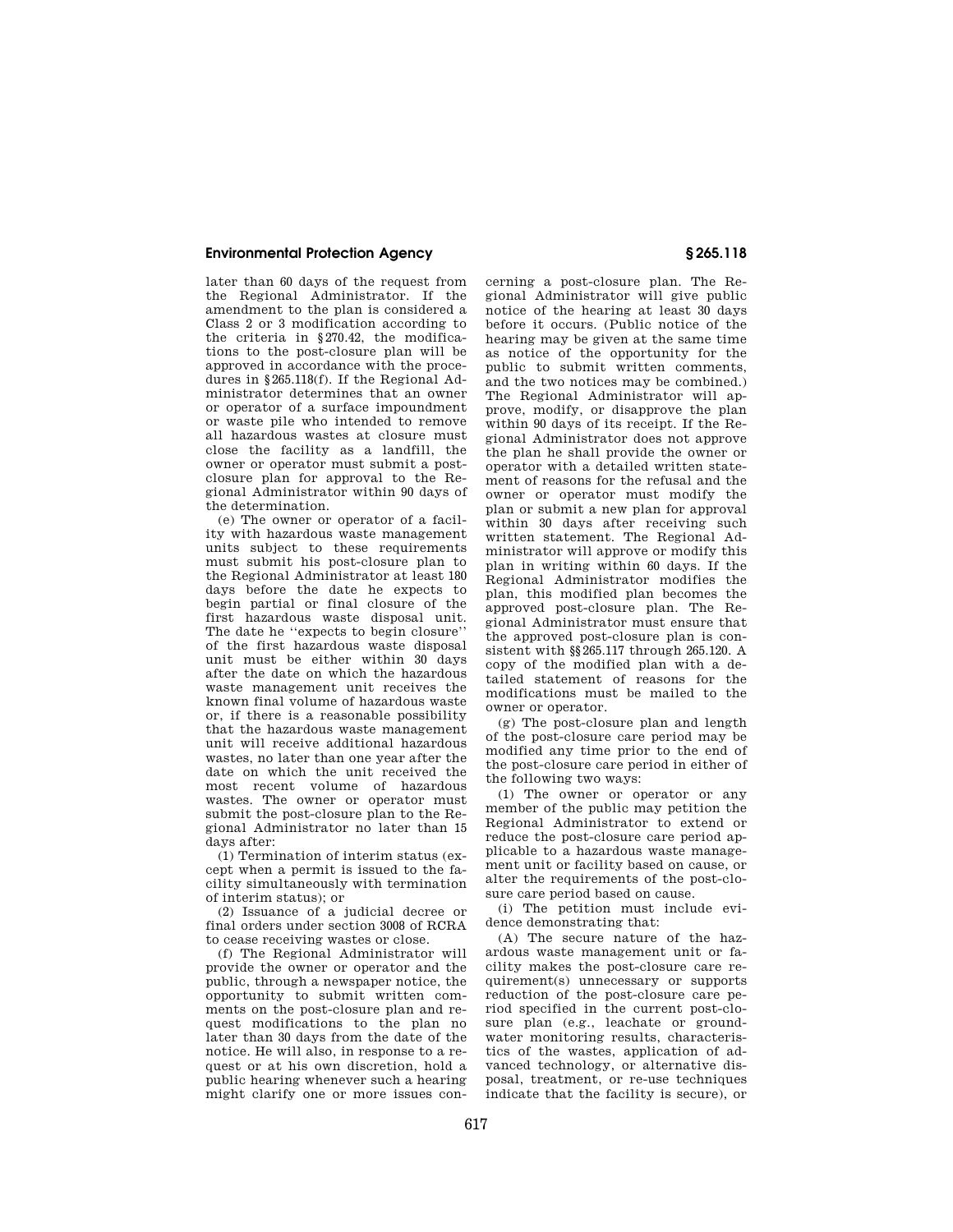later than 60 days of the request from the Regional Administrator. If the amendment to the plan is considered a Class 2 or 3 modification according to the criteria in §270.42, the modifications to the post-closure plan will be approved in accordance with the procedures in §265.118(f). If the Regional Administrator determines that an owner or operator of a surface impoundment or waste pile who intended to remove all hazardous wastes at closure must close the facility as a landfill, the owner or operator must submit a postclosure plan for approval to the Regional Administrator within 90 days of the determination.

(e) The owner or operator of a facility with hazardous waste management units subject to these requirements must submit his post-closure plan to the Regional Administrator at least 180 days before the date he expects to begin partial or final closure of the first hazardous waste disposal unit. The date he ''expects to begin closure'' of the first hazardous waste disposal unit must be either within 30 days after the date on which the hazardous waste management unit receives the known final volume of hazardous waste or, if there is a reasonable possibility that the hazardous waste management unit will receive additional hazardous wastes, no later than one year after the date on which the unit received the most recent volume of hazardous wastes. The owner or operator must submit the post-closure plan to the Regional Administrator no later than 15 days after:

(1) Termination of interim status (except when a permit is issued to the facility simultaneously with termination of interim status); or

(2) Issuance of a judicial decree or final orders under section 3008 of RCRA to cease receiving wastes or close.

(f) The Regional Administrator will provide the owner or operator and the public, through a newspaper notice, the opportunity to submit written comments on the post-closure plan and request modifications to the plan no later than 30 days from the date of the notice. He will also, in response to a request or at his own discretion, hold a public hearing whenever such a hearing might clarify one or more issues concerning a post-closure plan. The Regional Administrator will give public notice of the hearing at least 30 days before it occurs. (Public notice of the hearing may be given at the same time as notice of the opportunity for the public to submit written comments, and the two notices may be combined.) The Regional Administrator will approve, modify, or disapprove the plan within 90 days of its receipt. If the Regional Administrator does not approve the plan he shall provide the owner or operator with a detailed written statement of reasons for the refusal and the owner or operator must modify the plan or submit a new plan for approval within 30 days after receiving such written statement. The Regional Administrator will approve or modify this plan in writing within 60 days. If the Regional Administrator modifies the plan, this modified plan becomes the approved post-closure plan. The Regional Administrator must ensure that the approved post-closure plan is consistent with §§265.117 through 265.120. A copy of the modified plan with a detailed statement of reasons for the modifications must be mailed to the owner or operator.

(g) The post-closure plan and length of the post-closure care period may be modified any time prior to the end of the post-closure care period in either of the following two ways:

(1) The owner or operator or any member of the public may petition the Regional Administrator to extend or reduce the post-closure care period applicable to a hazardous waste management unit or facility based on cause, or alter the requirements of the post-closure care period based on cause.

(i) The petition must include evidence demonstrating that:

(A) The secure nature of the hazardous waste management unit or facility makes the post-closure care requirement(s) unnecessary or supports reduction of the post-closure care period specified in the current post-closure plan (e.g., leachate or groundwater monitoring results, characteristics of the wastes, application of advanced technology, or alternative disposal, treatment, or re-use techniques indicate that the facility is secure), or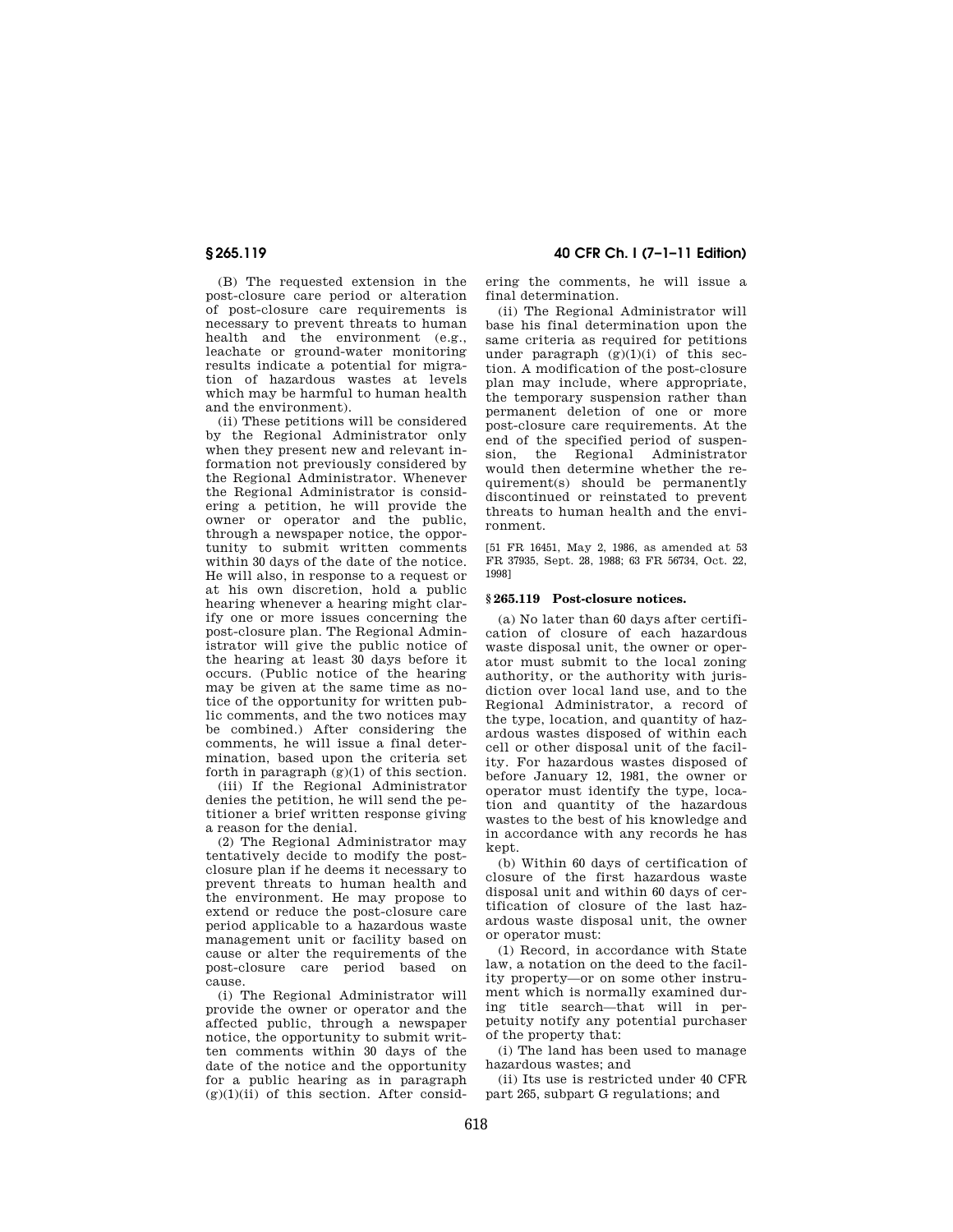(B) The requested extension in the post-closure care period or alteration of post-closure care requirements is necessary to prevent threats to human health and the environment (e.g., leachate or ground-water monitoring results indicate a potential for migration of hazardous wastes at levels which may be harmful to human health and the environment).

(ii) These petitions will be considered by the Regional Administrator only when they present new and relevant information not previously considered by the Regional Administrator. Whenever the Regional Administrator is considering a petition, he will provide the owner or operator and the public, through a newspaper notice, the opportunity to submit written comments within 30 days of the date of the notice. He will also, in response to a request or at his own discretion, hold a public hearing whenever a hearing might clarify one or more issues concerning the post-closure plan. The Regional Administrator will give the public notice of the hearing at least 30 days before it occurs. (Public notice of the hearing may be given at the same time as notice of the opportunity for written public comments, and the two notices may be combined.) After considering the comments, he will issue a final determination, based upon the criteria set forth in paragraph  $(g)(1)$  of this section.

(iii) If the Regional Administrator denies the petition, he will send the petitioner a brief written response giving a reason for the denial.

(2) The Regional Administrator may tentatively decide to modify the postclosure plan if he deems it necessary to prevent threats to human health and the environment. He may propose to extend or reduce the post-closure care period applicable to a hazardous waste management unit or facility based on cause or alter the requirements of the post-closure care period based on cause.

(i) The Regional Administrator will provide the owner or operator and the affected public, through a newspaper notice, the opportunity to submit written comments within 30 days of the date of the notice and the opportunity for a public hearing as in paragraph  $(g)(1)(ii)$  of this section. After consid-

# **§ 265.119 40 CFR Ch. I (7–1–11 Edition)**

ering the comments, he will issue a final determination.

(ii) The Regional Administrator will base his final determination upon the same criteria as required for petitions under paragraph  $(g)(1)(i)$  of this section. A modification of the post-closure plan may include, where appropriate, the temporary suspension rather than permanent deletion of one or more post-closure care requirements. At the end of the specified period of suspension, the Regional Administrator would then determine whether the requirement(s) should be permanently discontinued or reinstated to prevent threats to human health and the environment.

[51 FR 16451, May 2, 1986, as amended at 53 FR 37935, Sept. 28, 1988; 63 FR 56734, Oct. 22, 1998]

#### **§ 265.119 Post-closure notices.**

(a) No later than 60 days after certification of closure of each hazardous waste disposal unit, the owner or operator must submit to the local zoning authority, or the authority with jurisdiction over local land use, and to the Regional Administrator, a record of the type, location, and quantity of hazardous wastes disposed of within each cell or other disposal unit of the facility. For hazardous wastes disposed of before January 12, 1981, the owner or operator must identify the type, location and quantity of the hazardous wastes to the best of his knowledge and in accordance with any records he has kept.

(b) Within 60 days of certification of closure of the first hazardous waste disposal unit and within 60 days of certification of closure of the last hazardous waste disposal unit, the owner or operator must:

(1) Record, in accordance with State law, a notation on the deed to the facility property—or on some other instrument which is normally examined during title search—that will in perpetuity notify any potential purchaser of the property that:

(i) The land has been used to manage hazardous wastes; and

(ii) Its use is restricted under 40 CFR part 265, subpart G regulations; and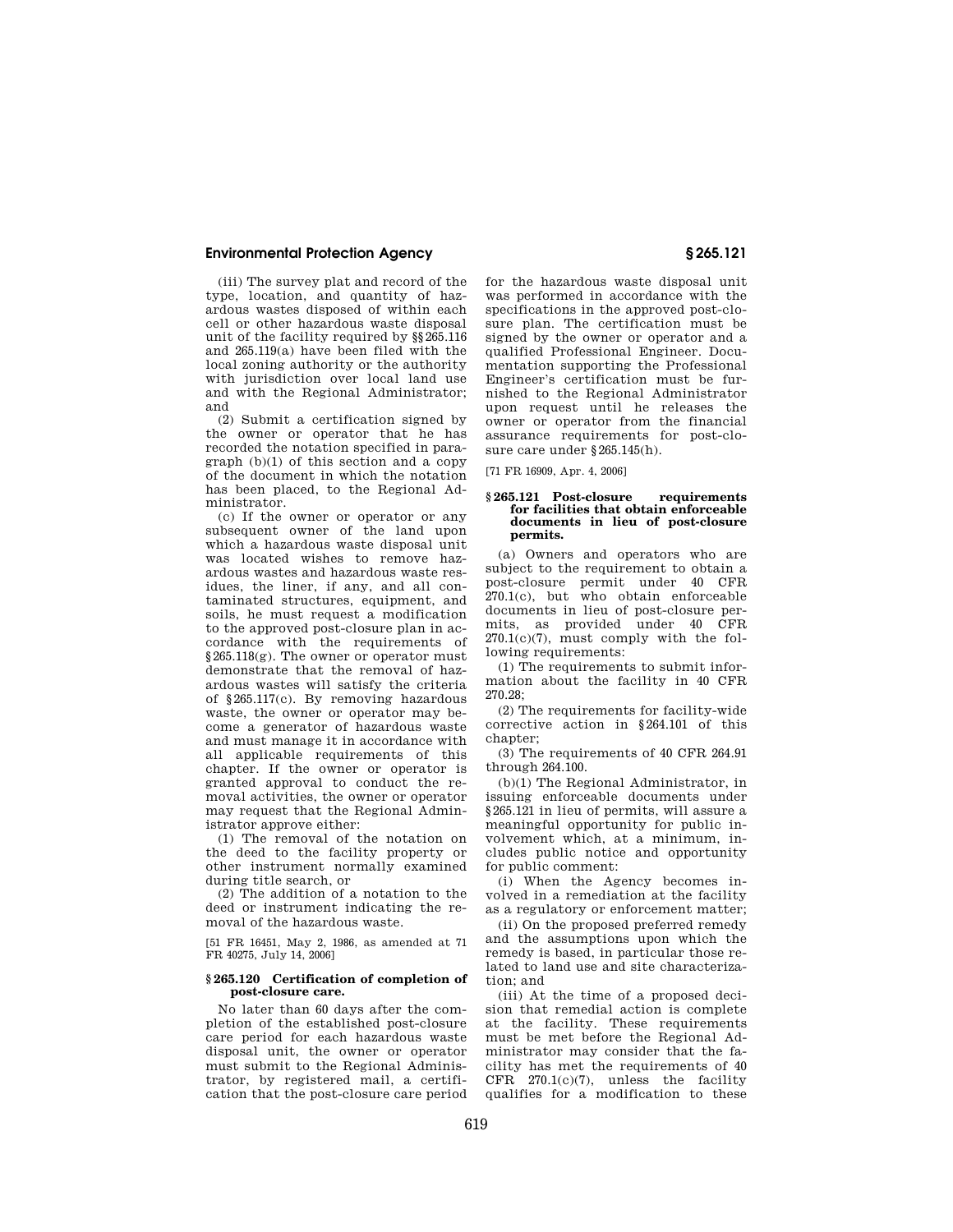(iii) The survey plat and record of the type, location, and quantity of hazardous wastes disposed of within each cell or other hazardous waste disposal unit of the facility required by §§265.116 and 265.119(a) have been filed with the local zoning authority or the authority with jurisdiction over local land use and with the Regional Administrator; and

(2) Submit a certification signed by the owner or operator that he has recorded the notation specified in paragraph (b)(1) of this section and a copy of the document in which the notation has been placed, to the Regional Administrator.

(c) If the owner or operator or any subsequent owner of the land upon which a hazardous waste disposal unit was located wishes to remove hazardous wastes and hazardous waste residues, the liner, if any, and all contaminated structures, equipment, and soils, he must request a modification to the approved post-closure plan in accordance with the requirements of §265.118(g). The owner or operator must demonstrate that the removal of hazardous wastes will satisfy the criteria of §265.117(c). By removing hazardous waste, the owner or operator may become a generator of hazardous waste and must manage it in accordance with all applicable requirements of this chapter. If the owner or operator is granted approval to conduct the removal activities, the owner or operator may request that the Regional Administrator approve either:

(1) The removal of the notation on the deed to the facility property or other instrument normally examined during title search, or

(2) The addition of a notation to the deed or instrument indicating the removal of the hazardous waste.

[51 FR 16451, May 2, 1986, as amended at 71 FR 40275, July 14, 2006]

#### **§ 265.120 Certification of completion of post-closure care.**

No later than 60 days after the completion of the established post-closure care period for each hazardous waste disposal unit, the owner or operator must submit to the Regional Administrator, by registered mail, a certification that the post-closure care period

for the hazardous waste disposal unit was performed in accordance with the specifications in the approved post-closure plan. The certification must be signed by the owner or operator and a qualified Professional Engineer. Documentation supporting the Professional Engineer's certification must be furnished to the Regional Administrator upon request until he releases the owner or operator from the financial assurance requirements for post-closure care under §265.145(h).

[71 FR 16909, Apr. 4, 2006]

#### **§ 265.121 Post-closure requirements for facilities that obtain enforceable documents in lieu of post-closure permits.**

(a) Owners and operators who are subject to the requirement to obtain a post-closure permit under 40 CFR  $270.1(c)$ , but who obtain enforceable documents in lieu of post-closure permits, as provided under 40 CFR 270.1(c)(7), must comply with the following requirements:

(1) The requirements to submit information about the facility in 40 CFR 270.28;

(2) The requirements for facility-wide corrective action in §264.101 of this chapter;

(3) The requirements of 40 CFR 264.91 through 264.100.

(b)(1) The Regional Administrator, in issuing enforceable documents under §265.121 in lieu of permits, will assure a meaningful opportunity for public involvement which, at a minimum, includes public notice and opportunity for public comment:

(i) When the Agency becomes involved in a remediation at the facility as a regulatory or enforcement matter;

(ii) On the proposed preferred remedy and the assumptions upon which the remedy is based, in particular those related to land use and site characterization; and

(iii) At the time of a proposed decision that remedial action is complete at the facility. These requirements must be met before the Regional Administrator may consider that the facility has met the requirements of 40 CFR 270.1(c)(7), unless the facility qualifies for a modification to these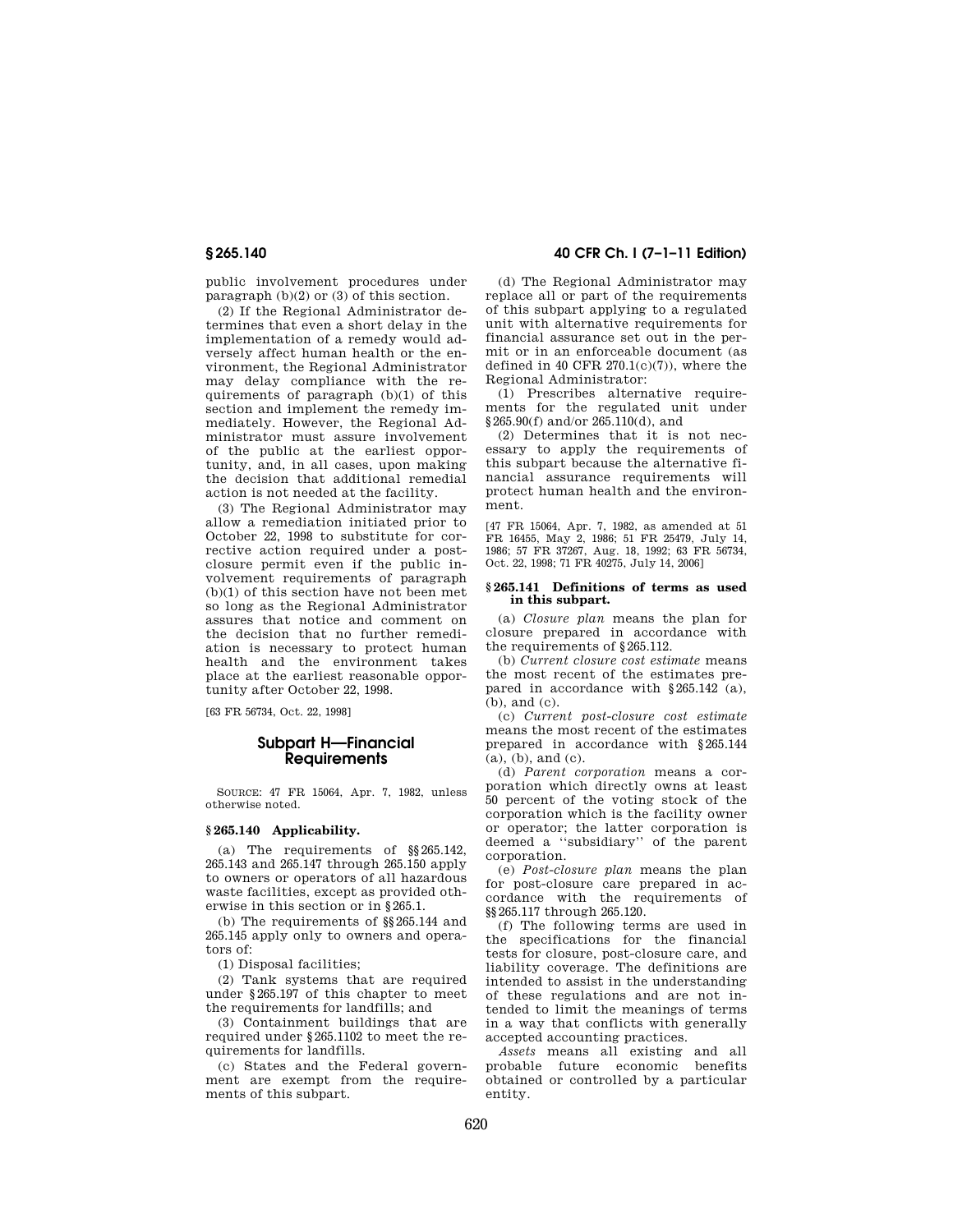public involvement procedures under paragraph  $(b)(2)$  or  $(3)$  of this section.

(2) If the Regional Administrator determines that even a short delay in the implementation of a remedy would adversely affect human health or the environment, the Regional Administrator may delay compliance with the requirements of paragraph (b)(1) of this section and implement the remedy immediately. However, the Regional Administrator must assure involvement of the public at the earliest opportunity, and, in all cases, upon making the decision that additional remedial action is not needed at the facility.

(3) The Regional Administrator may allow a remediation initiated prior to October 22, 1998 to substitute for corrective action required under a postclosure permit even if the public involvement requirements of paragraph (b)(1) of this section have not been met so long as the Regional Administrator assures that notice and comment on the decision that no further remediation is necessary to protect human health and the environment takes place at the earliest reasonable opportunity after October 22, 1998.

[63 FR 56734, Oct. 22, 1998]

# **Subpart H—Financial Requirements**

SOURCE: 47 FR 15064, Apr. 7, 1982, unless otherwise noted.

#### **§ 265.140 Applicability.**

(a) The requirements of §§265.142, 265.143 and 265.147 through 265.150 apply to owners or operators of all hazardous waste facilities, except as provided otherwise in this section or in §265.1.

(b) The requirements of §§265.144 and 265.145 apply only to owners and operators of:

(1) Disposal facilities;

(2) Tank systems that are required under §265.197 of this chapter to meet the requirements for landfills; and

(3) Containment buildings that are required under §265.1102 to meet the requirements for landfills.

(c) States and the Federal government are exempt from the requirements of this subpart.

# **§ 265.140 40 CFR Ch. I (7–1–11 Edition)**

(d) The Regional Administrator may replace all or part of the requirements of this subpart applying to a regulated unit with alternative requirements for financial assurance set out in the permit or in an enforceable document (as defined in 40 CFR  $270.1(c)(7)$ , where the Regional Administrator:

(1) Prescribes alternative requirements for the regulated unit under §265.90(f) and/or 265.110(d), and

(2) Determines that it is not necessary to apply the requirements of this subpart because the alternative financial assurance requirements will protect human health and the environment.

[47 FR 15064, Apr. 7, 1982, as amended at 51 FR 16455, May 2, 1986; 51 FR 25479, July 14, 1986; 57 FR 37267, Aug. 18, 1992; 63 FR 56734, Oct. 22, 1998; 71 FR 40275, July 14, 2006]

#### **§ 265.141 Definitions of terms as used in this subpart.**

(a) *Closure plan* means the plan for closure prepared in accordance with the requirements of §265.112.

(b) *Current closure cost estimate* means the most recent of the estimates prepared in accordance with §265.142 (a), (b), and (c).

(c) *Current post-closure cost estimate*  means the most recent of the estimates prepared in accordance with §265.144 (a), (b), and (c).

(d) *Parent corporation* means a corporation which directly owns at least 50 percent of the voting stock of the corporation which is the facility owner or operator; the latter corporation is deemed a ''subsidiary'' of the parent corporation.

(e) *Post-closure plan* means the plan for post-closure care prepared in accordance with the requirements of §§265.117 through 265.120.

(f) The following terms are used in the specifications for the financial tests for closure, post-closure care, and liability coverage. The definitions are intended to assist in the understanding of these regulations and are not intended to limit the meanings of terms in a way that conflicts with generally accepted accounting practices.

*Assets* means all existing and all probable future economic benefits obtained or controlled by a particular entity.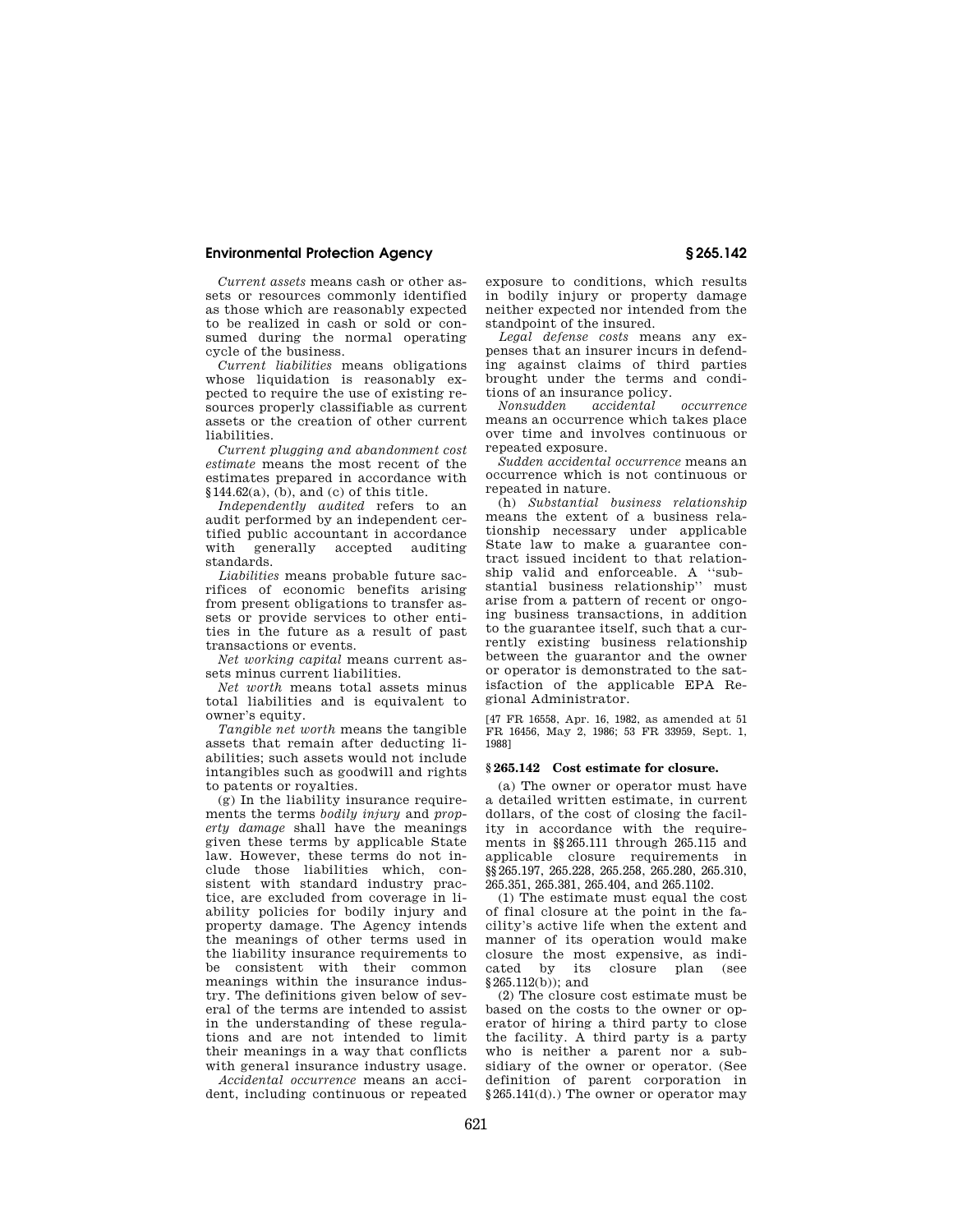*Current assets* means cash or other assets or resources commonly identified as those which are reasonably expected to be realized in cash or sold or consumed during the normal operating cycle of the business.

*Current liabilities* means obligations whose liquidation is reasonably expected to require the use of existing resources properly classifiable as current assets or the creation of other current liabilities.

*Current plugging and abandonment cost estimate* means the most recent of the estimates prepared in accordance with  $§144.62(a)$ , (b), and (c) of this title.

*Independently audited* refers to an audit performed by an independent certified public accountant in accordance with generally accepted auditing standards.

*Liabilities* means probable future sacrifices of economic benefits arising from present obligations to transfer assets or provide services to other entities in the future as a result of past transactions or events.

*Net working capital* means current assets minus current liabilities.

*Net worth* means total assets minus total liabilities and is equivalent to owner's equity.

*Tangible net worth* means the tangible assets that remain after deducting liabilities; such assets would not include intangibles such as goodwill and rights to patents or royalties.

(g) In the liability insurance requirements the terms *bodily injury* and *property damage* shall have the meanings given these terms by applicable State law. However, these terms do not include those liabilities which, consistent with standard industry practice, are excluded from coverage in liability policies for bodily injury and property damage. The Agency intends the meanings of other terms used in the liability insurance requirements to be consistent with their common meanings within the insurance industry. The definitions given below of several of the terms are intended to assist in the understanding of these regulations and are not intended to limit their meanings in a way that conflicts with general insurance industry usage.

*Accidental occurrence* means an accident, including continuous or repeated

exposure to conditions, which results in bodily injury or property damage neither expected nor intended from the standpoint of the insured.

*Legal defense costs* means any expenses that an insurer incurs in defending against claims of third parties brought under the terms and conditions of an insurance policy.

*Nonsudden accidental occurrence*  means an occurrence which takes place over time and involves continuous or repeated exposure.

*Sudden accidental occurrence* means an occurrence which is not continuous or repeated in nature.

(h) *Substantial business relationship*  means the extent of a business relationship necessary under applicable State law to make a guarantee contract issued incident to that relationship valid and enforceable. A ''substantial business relationship'' must arise from a pattern of recent or ongoing business transactions, in addition to the guarantee itself, such that a currently existing business relationship between the guarantor and the owner or operator is demonstrated to the satisfaction of the applicable EPA Regional Administrator.

[47 FR 16558, Apr. 16, 1982, as amended at 51 FR 16456, May 2, 1986; 53 FR 33959, Sept. 1, 1988]

## **§ 265.142 Cost estimate for closure.**

(a) The owner or operator must have a detailed written estimate, in current dollars, of the cost of closing the facility in accordance with the requirements in §§265.111 through 265.115 and applicable closure requirements in §§265.197, 265.228, 265.258, 265.280, 265.310, 265.351, 265.381, 265.404, and 265.1102.

(1) The estimate must equal the cost of final closure at the point in the facility's active life when the extent and manner of its operation would make closure the most expensive, as indicated by its closure plan (see §265.112(b)); and

(2) The closure cost estimate must be based on the costs to the owner or operator of hiring a third party to close the facility. A third party is a party who is neither a parent nor a subsidiary of the owner or operator. (See definition of parent corporation in §265.141(d).) The owner or operator may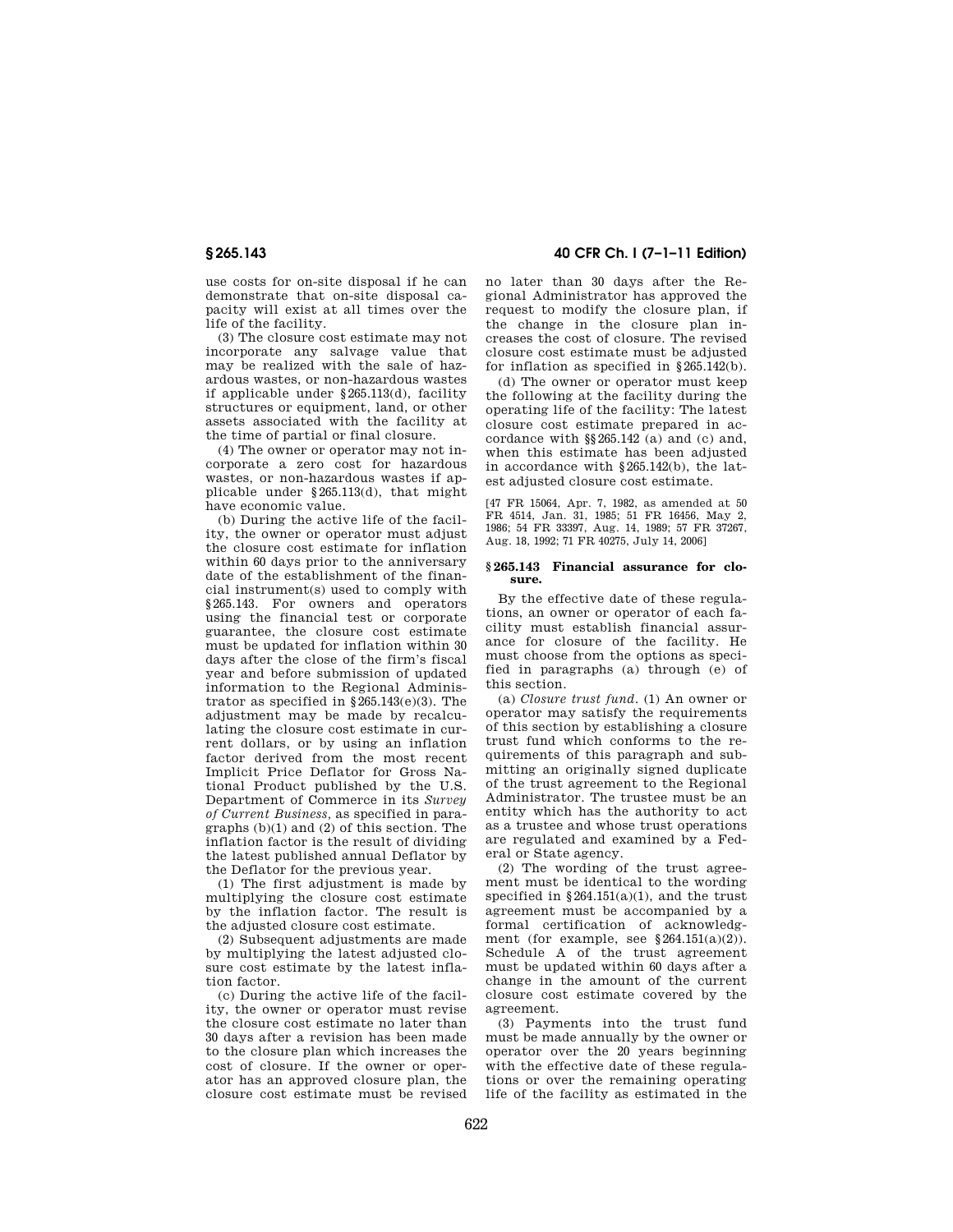use costs for on-site disposal if he can demonstrate that on-site disposal capacity will exist at all times over the life of the facility.

(3) The closure cost estimate may not incorporate any salvage value that may be realized with the sale of hazardous wastes, or non-hazardous wastes if applicable under §265.113(d), facility structures or equipment, land, or other assets associated with the facility at the time of partial or final closure.

(4) The owner or operator may not incorporate a zero cost for hazardous wastes, or non-hazardous wastes if applicable under §265.113(d), that might have economic value.

(b) During the active life of the facility, the owner or operator must adjust the closure cost estimate for inflation within 60 days prior to the anniversary date of the establishment of the financial instrument(s) used to comply with §265.143. For owners and operators using the financial test or corporate guarantee, the closure cost estimate must be updated for inflation within 30 days after the close of the firm's fiscal year and before submission of updated information to the Regional Administrator as specified in  $§265.143(e)(3)$ . The adjustment may be made by recalculating the closure cost estimate in current dollars, or by using an inflation factor derived from the most recent Implicit Price Deflator for Gross National Product published by the U.S. Department of Commerce in its *Survey of Current Business,* as specified in paragraphs (b)(1) and (2) of this section. The inflation factor is the result of dividing the latest published annual Deflator by the Deflator for the previous year.

(1) The first adjustment is made by multiplying the closure cost estimate by the inflation factor. The result is the adjusted closure cost estimate.

(2) Subsequent adjustments are made by multiplying the latest adjusted closure cost estimate by the latest inflation factor.

(c) During the active life of the facility, the owner or operator must revise the closure cost estimate no later than 30 days after a revision has been made to the closure plan which increases the cost of closure. If the owner or operator has an approved closure plan, the closure cost estimate must be revised

# **§ 265.143 40 CFR Ch. I (7–1–11 Edition)**

no later than 30 days after the Regional Administrator has approved the request to modify the closure plan, if the change in the closure plan increases the cost of closure. The revised closure cost estimate must be adjusted for inflation as specified in §265.142(b).

(d) The owner or operator must keep the following at the facility during the operating life of the facility: The latest closure cost estimate prepared in accordance with §§265.142 (a) and (c) and, when this estimate has been adjusted in accordance with §265.142(b), the latest adjusted closure cost estimate.

[47 FR 15064, Apr. 7, 1982, as amended at 50 FR 4514, Jan. 31, 1985; 51 FR 16456, May 2, 1986; 54 FR 33397, Aug. 14, 1989; 57 FR 37267, Aug. 18, 1992; 71 FR 40275, July 14, 2006]

#### **§ 265.143 Financial assurance for closure.**

By the effective date of these regulations, an owner or operator of each facility must establish financial assurance for closure of the facility. He must choose from the options as specified in paragraphs (a) through (e) of this section.

(a) *Closure trust fund.* (1) An owner or operator may satisfy the requirements of this section by establishing a closure trust fund which conforms to the requirements of this paragraph and submitting an originally signed duplicate of the trust agreement to the Regional Administrator. The trustee must be an entity which has the authority to act as a trustee and whose trust operations are regulated and examined by a Federal or State agency.

(2) The wording of the trust agreement must be identical to the wording specified in §264.151(a)(1), and the trust agreement must be accompanied by a formal certification of acknowledgment (for example, see  $§264.151(a)(2)$ ). Schedule A of the trust agreement must be updated within 60 days after a change in the amount of the current closure cost estimate covered by the agreement.

(3) Payments into the trust fund must be made annually by the owner or operator over the 20 years beginning with the effective date of these regulations or over the remaining operating life of the facility as estimated in the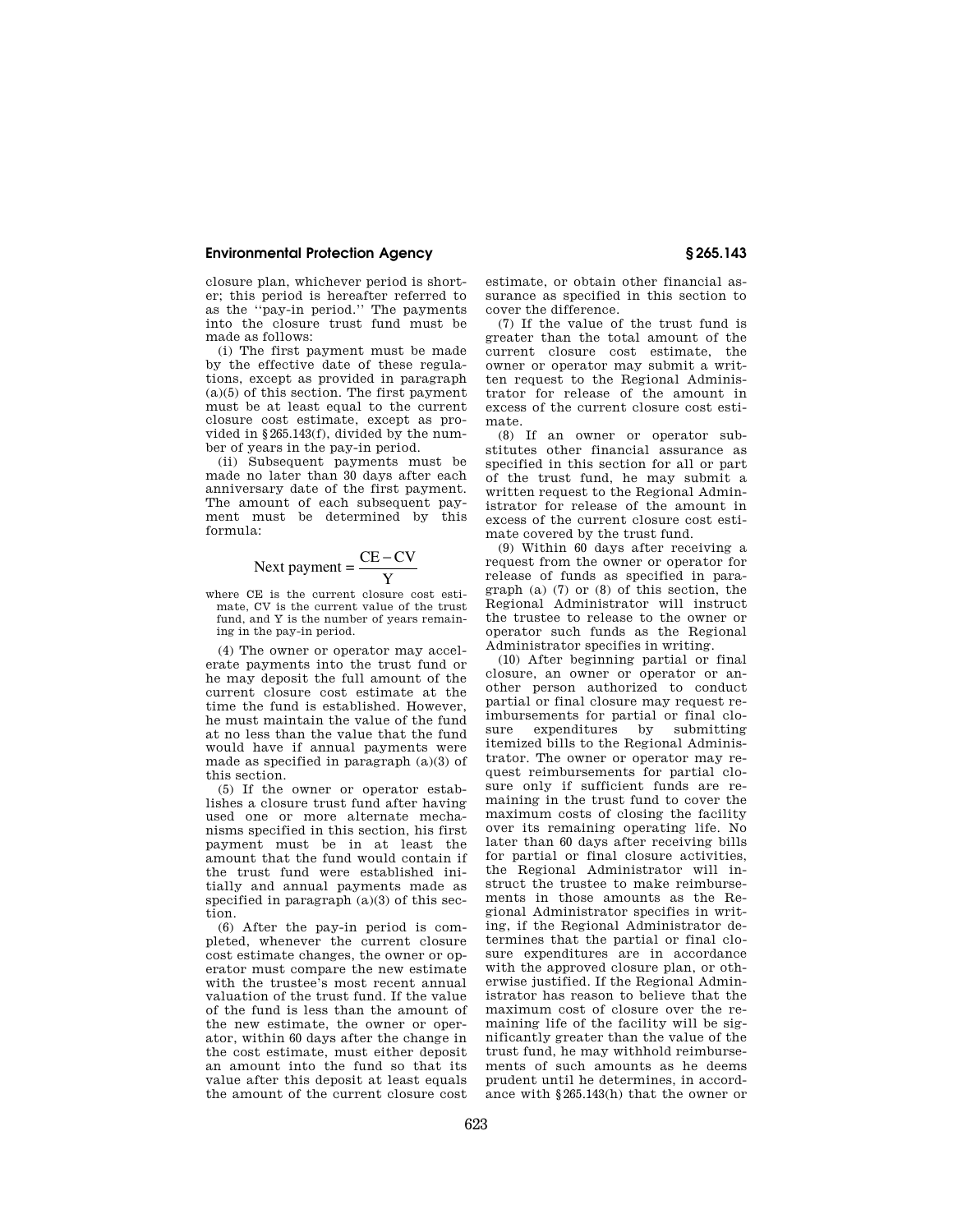closure plan, whichever period is shorter; this period is hereafter referred to as the ''pay-in period.'' The payments into the closure trust fund must be made as follows:

(i) The first payment must be made by the effective date of these regulations, except as provided in paragraph  $(a)(5)$  of this section. The first payment must be at least equal to the current closure cost estimate, except as provided in §265.143(f), divided by the number of years in the pay-in period.

(ii) Subsequent payments must be made no later than 30 days after each anniversary date of the first payment. The amount of each subsequent payment must be determined by this formula:

Next payment = 
$$
\frac{CE - CV}{Y}
$$

where CE is the current closure cost estimate, CV is the current value of the trust fund, and Y is the number of years remaining in the pay-in period.

(4) The owner or operator may accelerate payments into the trust fund or he may deposit the full amount of the current closure cost estimate at the time the fund is established. However, he must maintain the value of the fund at no less than the value that the fund would have if annual payments were made as specified in paragraph (a)(3) of this section.

(5) If the owner or operator establishes a closure trust fund after having used one or more alternate mechanisms specified in this section, his first payment must be in at least the amount that the fund would contain if the trust fund were established initially and annual payments made as specified in paragraph  $(a)(3)$  of this section.

(6) After the pay-in period is completed, whenever the current closure cost estimate changes, the owner or operator must compare the new estimate with the trustee's most recent annual valuation of the trust fund. If the value of the fund is less than the amount of the new estimate, the owner or operator, within 60 days after the change in the cost estimate, must either deposit an amount into the fund so that its value after this deposit at least equals the amount of the current closure cost

estimate, or obtain other financial assurance as specified in this section to cover the difference.

(7) If the value of the trust fund is greater than the total amount of the current closure cost estimate, the owner or operator may submit a written request to the Regional Administrator for release of the amount in excess of the current closure cost estimate.

(8) If an owner or operator substitutes other financial assurance as specified in this section for all or part of the trust fund, he may submit a written request to the Regional Administrator for release of the amount in excess of the current closure cost estimate covered by the trust fund.

(9) Within 60 days after receiving a request from the owner or operator for release of funds as specified in paragraph (a) (7) or (8) of this section, the Regional Administrator will instruct the trustee to release to the owner or operator such funds as the Regional Administrator specifies in writing.

(10) After beginning partial or final closure, an owner or operator or another person authorized to conduct partial or final closure may request reimbursements for partial or final closure expenditures by submitting itemized bills to the Regional Administrator. The owner or operator may request reimbursements for partial closure only if sufficient funds are remaining in the trust fund to cover the maximum costs of closing the facility over its remaining operating life. No later than 60 days after receiving bills for partial or final closure activities, the Regional Administrator will instruct the trustee to make reimbursements in those amounts as the Regional Administrator specifies in writing, if the Regional Administrator determines that the partial or final closure expenditures are in accordance with the approved closure plan, or otherwise justified. If the Regional Administrator has reason to believe that the maximum cost of closure over the remaining life of the facility will be significantly greater than the value of the trust fund, he may withhold reimbursements of such amounts as he deems prudent until he determines, in accordance with §265.143(h) that the owner or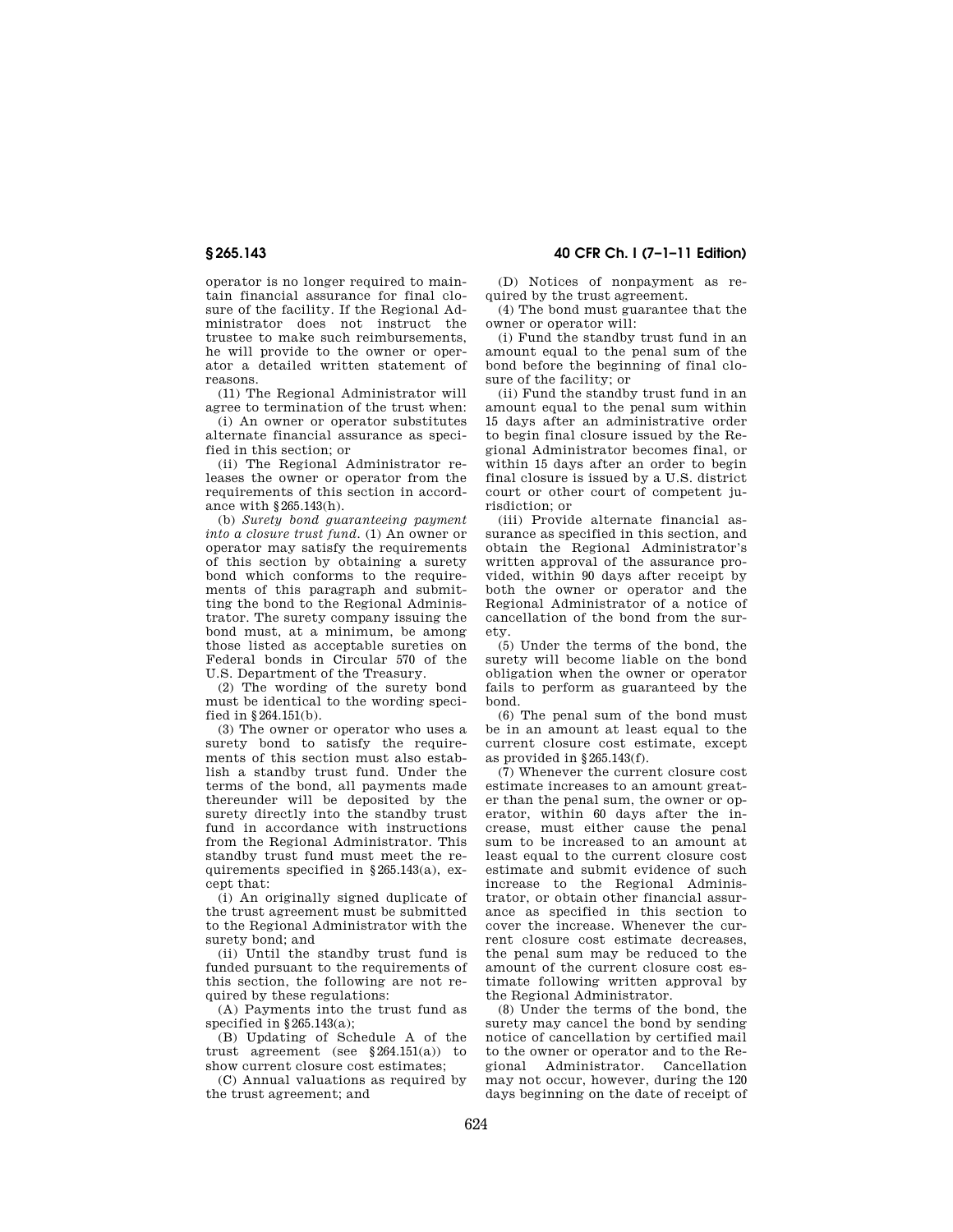operator is no longer required to maintain financial assurance for final closure of the facility. If the Regional Administrator does not instruct the trustee to make such reimbursements, he will provide to the owner or operator a detailed written statement of reasons.

(11) The Regional Administrator will agree to termination of the trust when:

(i) An owner or operator substitutes alternate financial assurance as specified in this section; or

(ii) The Regional Administrator releases the owner or operator from the requirements of this section in accordance with §265.143(h).

(b) *Surety bond guaranteeing payment into a closure trust fund.* (1) An owner or operator may satisfy the requirements of this section by obtaining a surety bond which conforms to the requirements of this paragraph and submitting the bond to the Regional Administrator. The surety company issuing the bond must, at a minimum, be among those listed as acceptable sureties on Federal bonds in Circular 570 of the U.S. Department of the Treasury.

(2) The wording of the surety bond must be identical to the wording specified in §264.151(b).

(3) The owner or operator who uses a surety bond to satisfy the requirements of this section must also establish a standby trust fund. Under the terms of the bond, all payments made thereunder will be deposited by the surety directly into the standby trust fund in accordance with instructions from the Regional Administrator. This standby trust fund must meet the requirements specified in §265.143(a), except that:

(i) An originally signed duplicate of the trust agreement must be submitted to the Regional Administrator with the surety bond; and

(ii) Until the standby trust fund is funded pursuant to the requirements of this section, the following are not required by these regulations:

(A) Payments into the trust fund as specified in §265.143(a):

(B) Updating of Schedule A of the trust agreement (see  $$264.151(a)$ ) to show current closure cost estimates;

(C) Annual valuations as required by the trust agreement; and

# **§ 265.143 40 CFR Ch. I (7–1–11 Edition)**

(D) Notices of nonpayment as required by the trust agreement.

(4) The bond must guarantee that the owner or operator will:

(i) Fund the standby trust fund in an amount equal to the penal sum of the bond before the beginning of final closure of the facility; or

(ii) Fund the standby trust fund in an amount equal to the penal sum within 15 days after an administrative order to begin final closure issued by the Regional Administrator becomes final, or within 15 days after an order to begin final closure is issued by a U.S. district court or other court of competent jurisdiction; or

(iii) Provide alternate financial assurance as specified in this section, and obtain the Regional Administrator's written approval of the assurance provided, within 90 days after receipt by both the owner or operator and the Regional Administrator of a notice of cancellation of the bond from the surety.

(5) Under the terms of the bond, the surety will become liable on the bond obligation when the owner or operator fails to perform as guaranteed by the bond.

(6) The penal sum of the bond must be in an amount at least equal to the current closure cost estimate, except as provided in §265.143(f).

(7) Whenever the current closure cost estimate increases to an amount greater than the penal sum, the owner or operator, within 60 days after the increase, must either cause the penal sum to be increased to an amount at least equal to the current closure cost estimate and submit evidence of such increase to the Regional Administrator, or obtain other financial assurance as specified in this section to cover the increase. Whenever the current closure cost estimate decreases, the penal sum may be reduced to the amount of the current closure cost estimate following written approval by the Regional Administrator.

(8) Under the terms of the bond, the surety may cancel the bond by sending notice of cancellation by certified mail to the owner or operator and to the Regional Administrator. Cancellation may not occur, however, during the 120 days beginning on the date of receipt of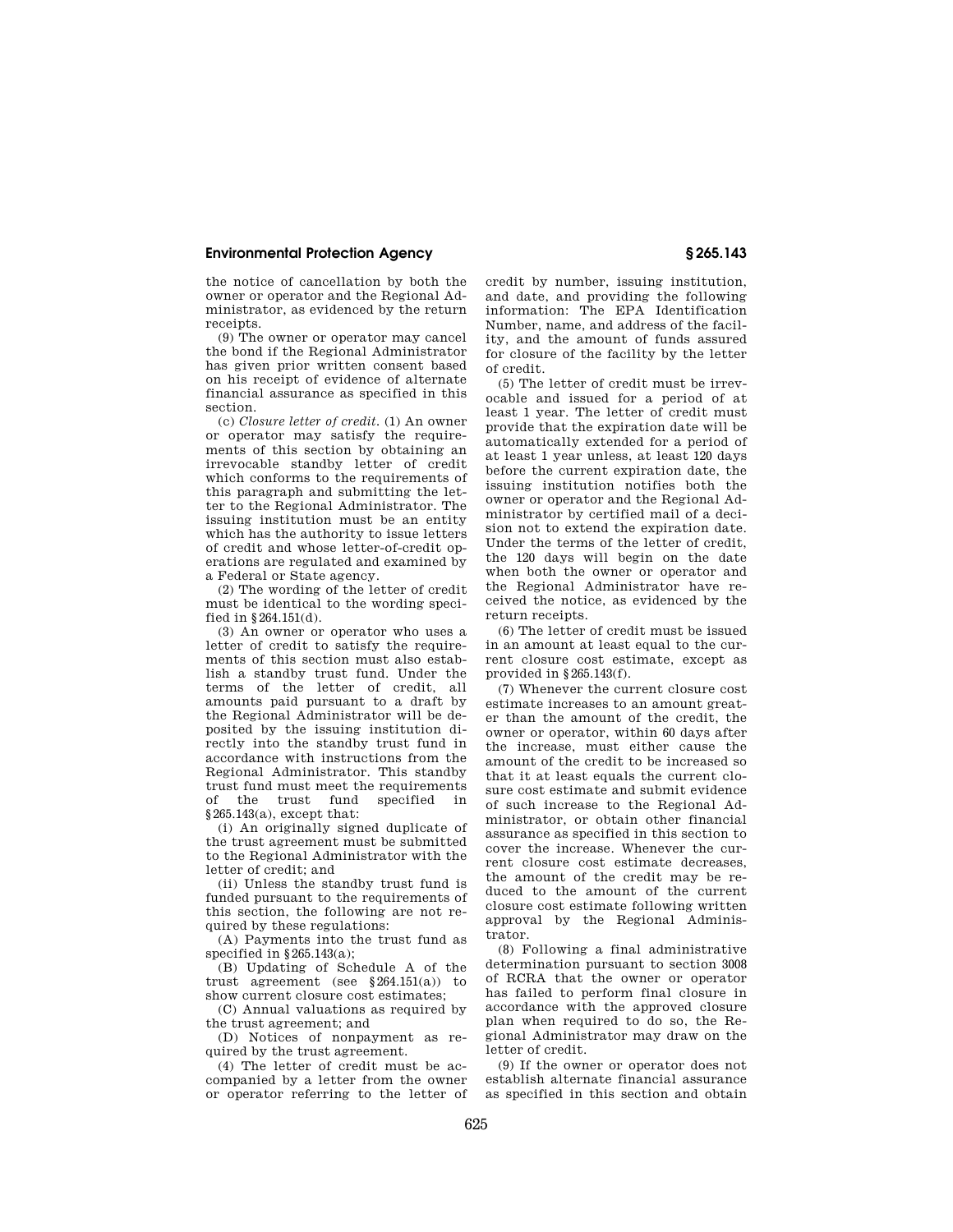the notice of cancellation by both the owner or operator and the Regional Administrator, as evidenced by the return receipts.

(9) The owner or operator may cancel the bond if the Regional Administrator has given prior written consent based on his receipt of evidence of alternate financial assurance as specified in this section.

(c) *Closure letter of credit.* (1) An owner or operator may satisfy the requirements of this section by obtaining an irrevocable standby letter of credit which conforms to the requirements of this paragraph and submitting the letter to the Regional Administrator. The issuing institution must be an entity which has the authority to issue letters of credit and whose letter-of-credit operations are regulated and examined by a Federal or State agency.

(2) The wording of the letter of credit must be identical to the wording specified in §264.151(d).

(3) An owner or operator who uses a letter of credit to satisfy the requirements of this section must also establish a standby trust fund. Under the terms of the letter of credit, all amounts paid pursuant to a draft by the Regional Administrator will be deposited by the issuing institution directly into the standby trust fund in accordance with instructions from the Regional Administrator. This standby trust fund must meet the requirements<br>of the trust fund specified in the trust fund specified in §265.143(a), except that:

(i) An originally signed duplicate of the trust agreement must be submitted to the Regional Administrator with the letter of credit; and

(ii) Unless the standby trust fund is funded pursuant to the requirements of this section, the following are not required by these regulations:

(A) Payments into the trust fund as specified in §265.143(a):

(B) Updating of Schedule A of the trust agreement (see  $§264.151(a)$ ) to show current closure cost estimates;

(C) Annual valuations as required by the trust agreement; and

(D) Notices of nonpayment as required by the trust agreement.

(4) The letter of credit must be accompanied by a letter from the owner or operator referring to the letter of credit by number, issuing institution, and date, and providing the following information: The EPA Identification Number, name, and address of the facility, and the amount of funds assured for closure of the facility by the letter of credit.

(5) The letter of credit must be irrevocable and issued for a period of at least 1 year. The letter of credit must provide that the expiration date will be automatically extended for a period of at least 1 year unless, at least 120 days before the current expiration date, the issuing institution notifies both the owner or operator and the Regional Administrator by certified mail of a decision not to extend the expiration date. Under the terms of the letter of credit, the 120 days will begin on the date when both the owner or operator and the Regional Administrator have received the notice, as evidenced by the return receipts.

(6) The letter of credit must be issued in an amount at least equal to the current closure cost estimate, except as provided in §265.143(f).

(7) Whenever the current closure cost estimate increases to an amount greater than the amount of the credit, the owner or operator, within 60 days after the increase, must either cause the amount of the credit to be increased so that it at least equals the current closure cost estimate and submit evidence of such increase to the Regional Administrator, or obtain other financial assurance as specified in this section to cover the increase. Whenever the current closure cost estimate decreases, the amount of the credit may be reduced to the amount of the current closure cost estimate following written approval by the Regional Administrator.

(8) Following a final administrative determination pursuant to section 3008 of RCRA that the owner or operator has failed to perform final closure in accordance with the approved closure plan when required to do so, the Regional Administrator may draw on the letter of credit.

(9) If the owner or operator does not establish alternate financial assurance as specified in this section and obtain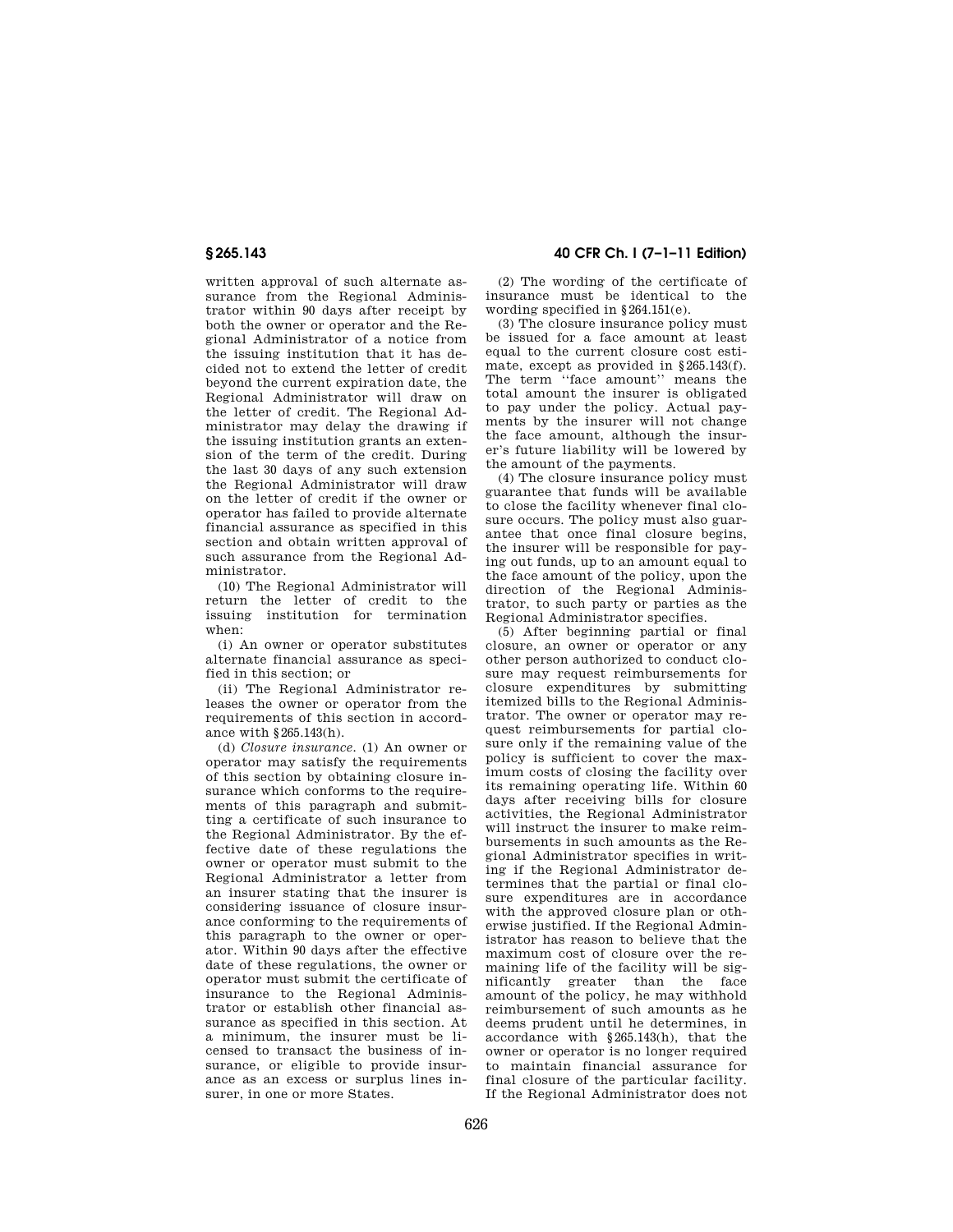written approval of such alternate assurance from the Regional Administrator within 90 days after receipt by both the owner or operator and the Regional Administrator of a notice from the issuing institution that it has decided not to extend the letter of credit beyond the current expiration date, the Regional Administrator will draw on the letter of credit. The Regional Administrator may delay the drawing if the issuing institution grants an extension of the term of the credit. During the last 30 days of any such extension the Regional Administrator will draw on the letter of credit if the owner or operator has failed to provide alternate financial assurance as specified in this section and obtain written approval of such assurance from the Regional Administrator.

(10) The Regional Administrator will return the letter of credit to the issuing institution for termination when:

(i) An owner or operator substitutes alternate financial assurance as specified in this section; or

(ii) The Regional Administrator releases the owner or operator from the requirements of this section in accordance with §265.143(h).

(d) *Closure insurance.* (1) An owner or operator may satisfy the requirements of this section by obtaining closure insurance which conforms to the requirements of this paragraph and submitting a certificate of such insurance to the Regional Administrator. By the effective date of these regulations the owner or operator must submit to the Regional Administrator a letter from an insurer stating that the insurer is considering issuance of closure insurance conforming to the requirements of this paragraph to the owner or operator. Within 90 days after the effective date of these regulations, the owner or operator must submit the certificate of insurance to the Regional Administrator or establish other financial assurance as specified in this section. At a minimum, the insurer must be licensed to transact the business of insurance, or eligible to provide insurance as an excess or surplus lines insurer, in one or more States.

# **§ 265.143 40 CFR Ch. I (7–1–11 Edition)**

(2) The wording of the certificate of insurance must be identical to the wording specified in §264.151(e).

(3) The closure insurance policy must be issued for a face amount at least equal to the current closure cost estimate, except as provided in §265.143(f). The term "face amount" means the total amount the insurer is obligated to pay under the policy. Actual payments by the insurer will not change the face amount, although the insurer's future liability will be lowered by the amount of the payments.

(4) The closure insurance policy must guarantee that funds will be available to close the facility whenever final closure occurs. The policy must also guarantee that once final closure begins, the insurer will be responsible for paying out funds, up to an amount equal to the face amount of the policy, upon the direction of the Regional Administrator, to such party or parties as the Regional Administrator specifies.

(5) After beginning partial or final closure, an owner or operator or any other person authorized to conduct closure may request reimbursements for closure expenditures by submitting itemized bills to the Regional Administrator. The owner or operator may request reimbursements for partial closure only if the remaining value of the policy is sufficient to cover the maximum costs of closing the facility over its remaining operating life. Within 60 days after receiving bills for closure activities, the Regional Administrator will instruct the insurer to make reimbursements in such amounts as the Regional Administrator specifies in writing if the Regional Administrator determines that the partial or final closure expenditures are in accordance with the approved closure plan or otherwise justified. If the Regional Administrator has reason to believe that the maximum cost of closure over the remaining life of the facility will be significantly greater than the face amount of the policy, he may withhold reimbursement of such amounts as he deems prudent until he determines, in accordance with §265.143(h), that the owner or operator is no longer required to maintain financial assurance for final closure of the particular facility. If the Regional Administrator does not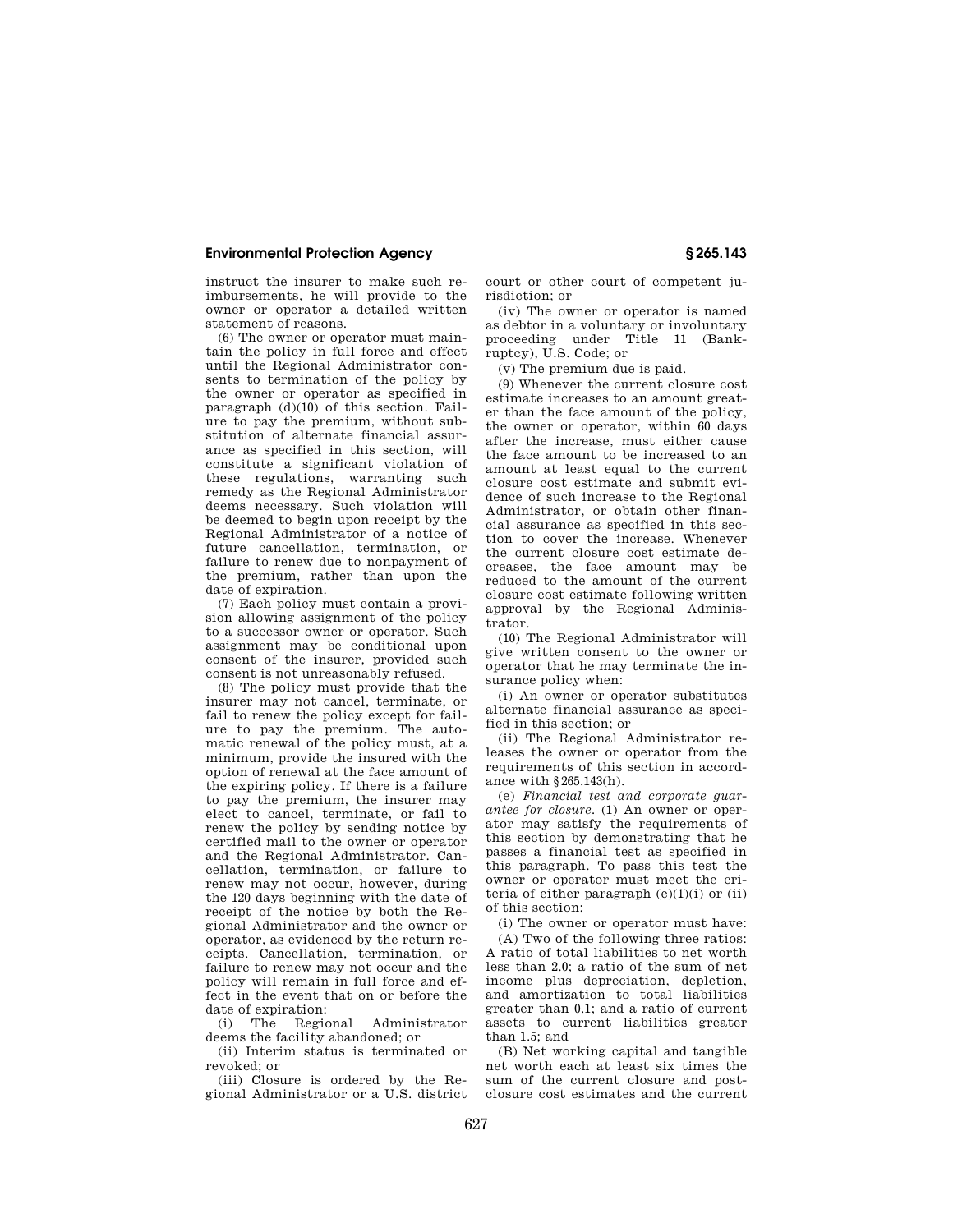instruct the insurer to make such reimbursements, he will provide to the owner or operator a detailed written statement of reasons.

(6) The owner or operator must maintain the policy in full force and effect until the Regional Administrator consents to termination of the policy by the owner or operator as specified in paragraph (d)(10) of this section. Failure to pay the premium, without substitution of alternate financial assurance as specified in this section, will constitute a significant violation of these regulations, warranting such remedy as the Regional Administrator deems necessary. Such violation will be deemed to begin upon receipt by the Regional Administrator of a notice of future cancellation, termination, or failure to renew due to nonpayment of the premium, rather than upon the date of expiration.

(7) Each policy must contain a provision allowing assignment of the policy to a successor owner or operator. Such assignment may be conditional upon consent of the insurer, provided such consent is not unreasonably refused.

(8) The policy must provide that the insurer may not cancel, terminate, or fail to renew the policy except for failure to pay the premium. The automatic renewal of the policy must, at a minimum, provide the insured with the option of renewal at the face amount of the expiring policy. If there is a failure to pay the premium, the insurer may elect to cancel, terminate, or fail to renew the policy by sending notice by certified mail to the owner or operator and the Regional Administrator. Cancellation, termination, or failure to renew may not occur, however, during the 120 days beginning with the date of receipt of the notice by both the Regional Administrator and the owner or operator, as evidenced by the return receipts. Cancellation, termination, or failure to renew may not occur and the policy will remain in full force and effect in the event that on or before the date of expiration:

(i) The Regional Administrator deems the facility abandoned; or

(ii) Interim status is terminated or revoked; or

(iii) Closure is ordered by the Regional Administrator or a U.S. district court or other court of competent jurisdiction; or

(iv) The owner or operator is named as debtor in a voluntary or involuntary proceeding under Title 11 (Bankruptcy), U.S. Code; or

(v) The premium due is paid.

(9) Whenever the current closure cost estimate increases to an amount greater than the face amount of the policy, the owner or operator, within 60 days after the increase, must either cause the face amount to be increased to an amount at least equal to the current closure cost estimate and submit evidence of such increase to the Regional Administrator, or obtain other financial assurance as specified in this section to cover the increase. Whenever the current closure cost estimate decreases, the face amount may be reduced to the amount of the current closure cost estimate following written approval by the Regional Administrator.

(10) The Regional Administrator will give written consent to the owner or operator that he may terminate the insurance policy when:

(i) An owner or operator substitutes alternate financial assurance as specified in this section; or

(ii) The Regional Administrator releases the owner or operator from the requirements of this section in accordance with §265.143(h).

(e) *Financial test and corporate guarantee for closure.* (1) An owner or operator may satisfy the requirements of this section by demonstrating that he passes a financial test as specified in this paragraph. To pass this test the owner or operator must meet the criteria of either paragraph  $(e)(1)(i)$  or  $(ii)$ of this section:

(i) The owner or operator must have:

(A) Two of the following three ratios: A ratio of total liabilities to net worth less than 2.0; a ratio of the sum of net income plus depreciation, depletion, and amortization to total liabilities greater than 0.1; and a ratio of current assets to current liabilities greater than  $1.5$ ; and

(B) Net working capital and tangible net worth each at least six times the sum of the current closure and postclosure cost estimates and the current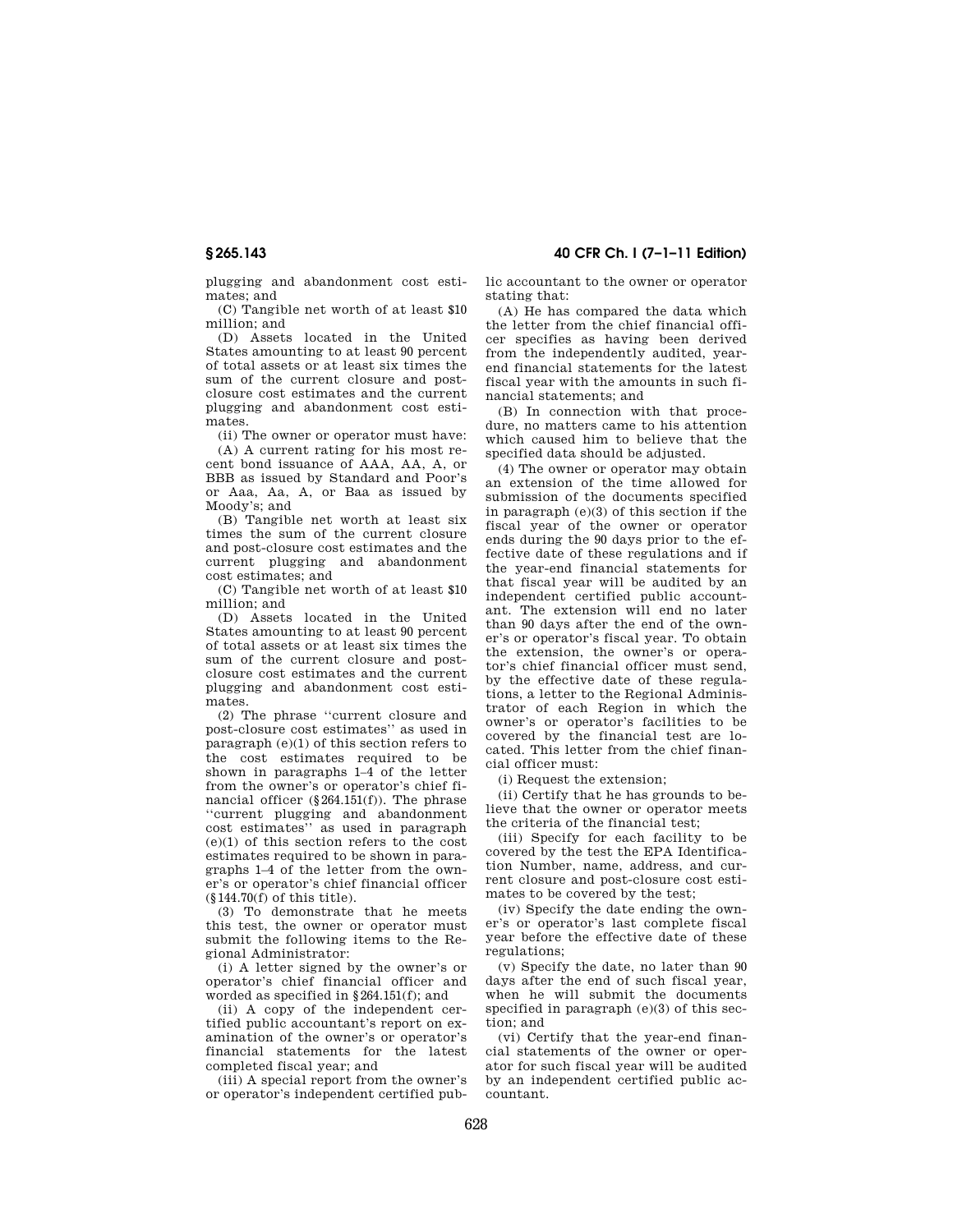plugging and abandonment cost estimates; and

(C) Tangible net worth of at least \$10 million; and

(D) Assets located in the United States amounting to at least 90 percent of total assets or at least six times the sum of the current closure and postclosure cost estimates and the current plugging and abandonment cost estimates.

(ii) The owner or operator must have:

(A) A current rating for his most recent bond issuance of AAA, AA, A, or BBB as issued by Standard and Poor's or Aaa, Aa, A, or Baa as issued by Moody's; and

(B) Tangible net worth at least six times the sum of the current closure and post-closure cost estimates and the current plugging and abandonment cost estimates; and

(C) Tangible net worth of at least \$10 million; and

(D) Assets located in the United States amounting to at least 90 percent of total assets or at least six times the sum of the current closure and postclosure cost estimates and the current plugging and abandonment cost estimates.

(2) The phrase ''current closure and post-closure cost estimates'' as used in paragraph (e)(1) of this section refers to the cost estimates required to be shown in paragraphs 1–4 of the letter from the owner's or operator's chief financial officer  $(\S 264.151(f))$ . The phrase ''current plugging and abandonment cost estimates'' as used in paragraph (e)(1) of this section refers to the cost estimates required to be shown in paragraphs 1–4 of the letter from the owner's or operator's chief financial officer (§144.70(f) of this title).

(3) To demonstrate that he meets this test, the owner or operator must submit the following items to the Regional Administrator:

(i) A letter signed by the owner's or operator's chief financial officer and worded as specified in §264.151(f); and

(ii) A copy of the independent certified public accountant's report on examination of the owner's or operator's financial statements for the latest completed fiscal year; and

(iii) A special report from the owner's or operator's independent certified pub-

**§ 265.143 40 CFR Ch. I (7–1–11 Edition)** 

lic accountant to the owner or operator stating that:

(A) He has compared the data which the letter from the chief financial officer specifies as having been derived from the independently audited, yearend financial statements for the latest fiscal year with the amounts in such financial statements; and

(B) In connection with that procedure, no matters came to his attention which caused him to believe that the specified data should be adjusted.

(4) The owner or operator may obtain an extension of the time allowed for submission of the documents specified in paragraph (e)(3) of this section if the fiscal year of the owner or operator ends during the 90 days prior to the effective date of these regulations and if the year-end financial statements for that fiscal year will be audited by an independent certified public accountant. The extension will end no later than 90 days after the end of the owner's or operator's fiscal year. To obtain the extension, the owner's or operator's chief financial officer must send, by the effective date of these regulations, a letter to the Regional Administrator of each Region in which the owner's or operator's facilities to be covered by the financial test are located. This letter from the chief financial officer must:

(i) Request the extension;

(ii) Certify that he has grounds to believe that the owner or operator meets the criteria of the financial test;

(iii) Specify for each facility to be covered by the test the EPA Identification Number, name, address, and current closure and post-closure cost estimates to be covered by the test;

(iv) Specify the date ending the owner's or operator's last complete fiscal year before the effective date of these regulations;

(v) Specify the date, no later than 90 days after the end of such fiscal year, when he will submit the documents specified in paragraph (e)(3) of this section; and

(vi) Certify that the year-end financial statements of the owner or operator for such fiscal year will be audited by an independent certified public accountant.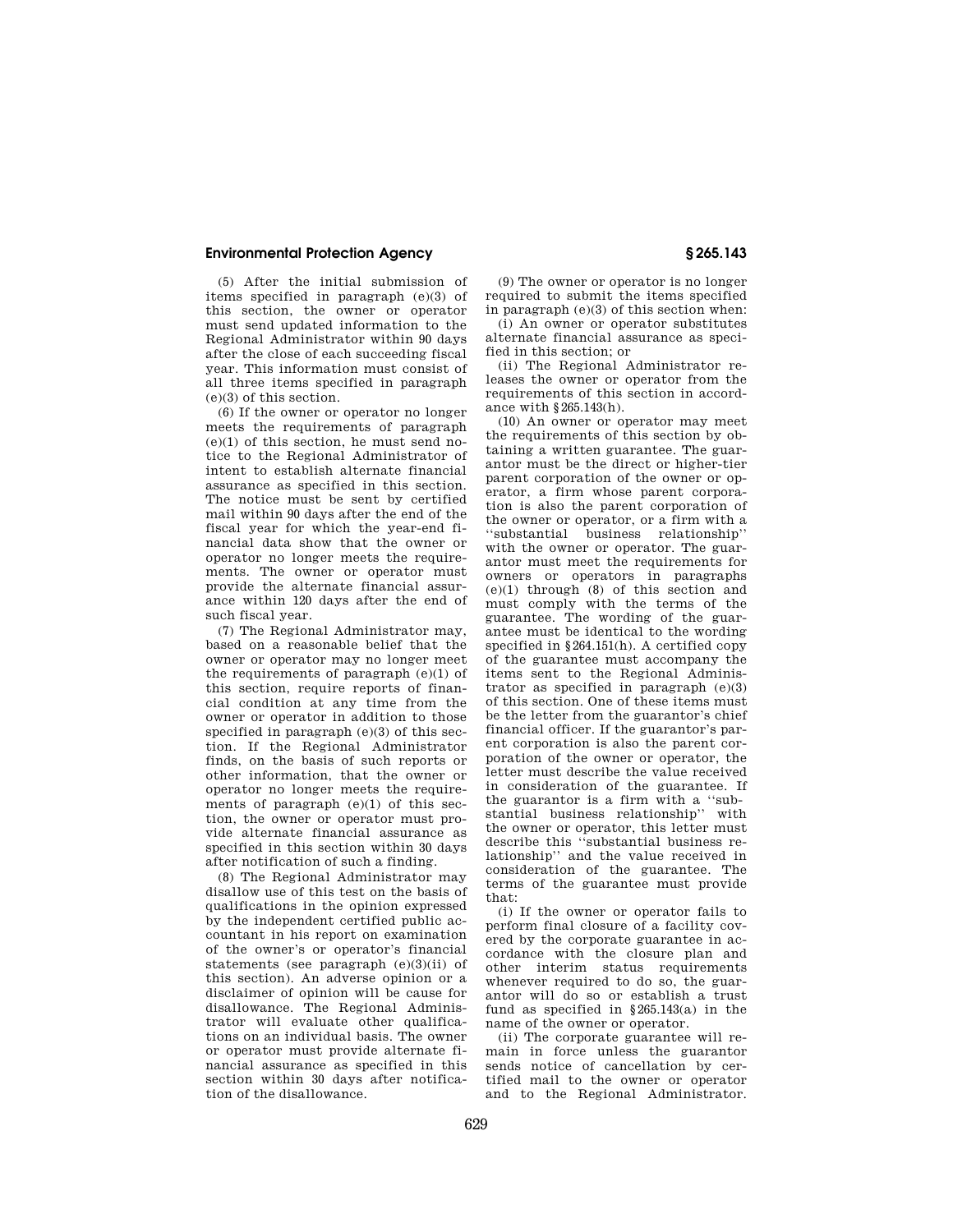(5) After the initial submission of items specified in paragraph (e)(3) of this section, the owner or operator must send updated information to the Regional Administrator within 90 days after the close of each succeeding fiscal year. This information must consist of all three items specified in paragraph (e)(3) of this section.

(6) If the owner or operator no longer meets the requirements of paragraph  $(e)(1)$  of this section, he must send notice to the Regional Administrator of intent to establish alternate financial assurance as specified in this section. The notice must be sent by certified mail within 90 days after the end of the fiscal year for which the year-end financial data show that the owner or operator no longer meets the requirements. The owner or operator must provide the alternate financial assurance within 120 days after the end of such fiscal year.

(7) The Regional Administrator may, based on a reasonable belief that the owner or operator may no longer meet the requirements of paragraph (e)(1) of this section, require reports of financial condition at any time from the owner or operator in addition to those specified in paragraph (e)(3) of this section. If the Regional Administrator finds, on the basis of such reports or other information, that the owner or operator no longer meets the requirements of paragraph (e)(1) of this section, the owner or operator must provide alternate financial assurance as specified in this section within 30 days after notification of such a finding.

(8) The Regional Administrator may disallow use of this test on the basis of qualifications in the opinion expressed by the independent certified public accountant in his report on examination of the owner's or operator's financial statements (see paragraph (e)(3)(ii) of this section). An adverse opinion or a disclaimer of opinion will be cause for disallowance. The Regional Administrator will evaluate other qualifications on an individual basis. The owner or operator must provide alternate financial assurance as specified in this section within 30 days after notification of the disallowance.

(9) The owner or operator is no longer required to submit the items specified in paragraph (e)(3) of this section when:

(i) An owner or operator substitutes alternate financial assurance as specified in this section; or

(ii) The Regional Administrator releases the owner or operator from the requirements of this section in accordance with §265.143(h).

(10) An owner or operator may meet the requirements of this section by obtaining a written guarantee. The guarantor must be the direct or higher-tier parent corporation of the owner or operator, a firm whose parent corporation is also the parent corporation of the owner or operator, or a firm with a ''substantial business relationship'' with the owner or operator. The guarantor must meet the requirements for owners or operators in paragraphs (e)(1) through (8) of this section and must comply with the terms of the guarantee. The wording of the guarantee must be identical to the wording specified in §264.151(h). A certified copy of the guarantee must accompany the items sent to the Regional Administrator as specified in paragraph  $(e)(3)$ of this section. One of these items must be the letter from the guarantor's chief financial officer. If the guarantor's parent corporation is also the parent corporation of the owner or operator, the letter must describe the value received in consideration of the guarantee. If the guarantor is a firm with a ''substantial business relationship'' with the owner or operator, this letter must describe this ''substantial business relationship'' and the value received in consideration of the guarantee. The terms of the guarantee must provide that:

(i) If the owner or operator fails to perform final closure of a facility covered by the corporate guarantee in accordance with the closure plan and other interim status requirements whenever required to do so, the guarantor will do so or establish a trust fund as specified in §265.143(a) in the name of the owner or operator.

(ii) The corporate guarantee will remain in force unless the guarantor sends notice of cancellation by certified mail to the owner or operator and to the Regional Administrator.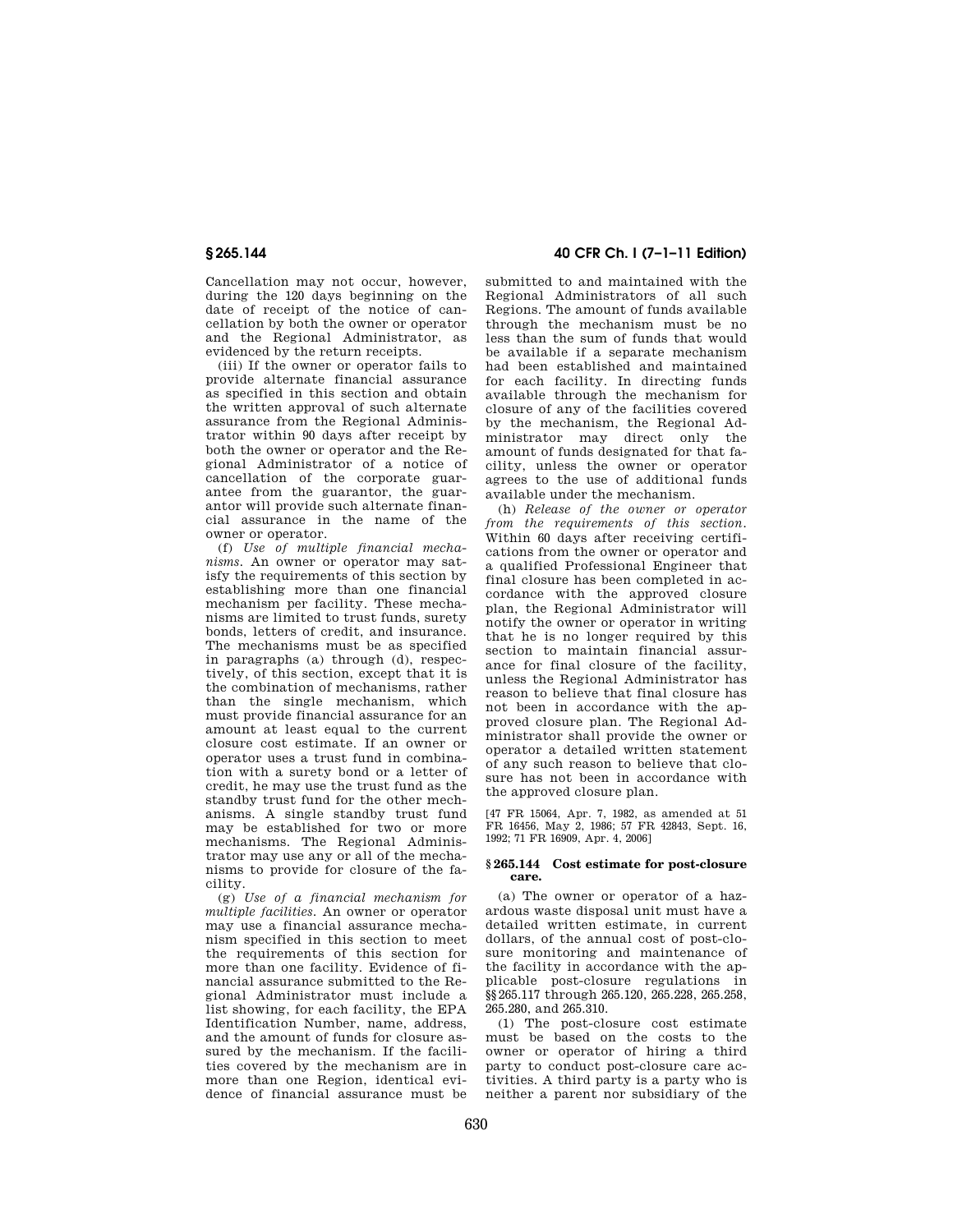Cancellation may not occur, however, during the 120 days beginning on the date of receipt of the notice of cancellation by both the owner or operator and the Regional Administrator, as evidenced by the return receipts.

(iii) If the owner or operator fails to provide alternate financial assurance as specified in this section and obtain the written approval of such alternate assurance from the Regional Administrator within 90 days after receipt by both the owner or operator and the Regional Administrator of a notice of cancellation of the corporate guarantee from the guarantor, the guarantor will provide such alternate financial assurance in the name of the owner or operator.

(f) *Use of multiple financial mechanisms.* An owner or operator may satisfy the requirements of this section by establishing more than one financial mechanism per facility. These mechanisms are limited to trust funds, surety bonds, letters of credit, and insurance. The mechanisms must be as specified in paragraphs (a) through (d), respectively, of this section, except that it is the combination of mechanisms, rather than the single mechanism, which must provide financial assurance for an amount at least equal to the current closure cost estimate. If an owner or operator uses a trust fund in combination with a surety bond or a letter of credit, he may use the trust fund as the standby trust fund for the other mechanisms. A single standby trust fund may be established for two or more mechanisms. The Regional Administrator may use any or all of the mechanisms to provide for closure of the facility.

(g) *Use of a financial mechanism for multiple facilities.* An owner or operator may use a financial assurance mechanism specified in this section to meet the requirements of this section for more than one facility. Evidence of financial assurance submitted to the Regional Administrator must include a list showing, for each facility, the EPA Identification Number, name, address, and the amount of funds for closure assured by the mechanism. If the facilities covered by the mechanism are in more than one Region, identical evidence of financial assurance must be

# **§ 265.144 40 CFR Ch. I (7–1–11 Edition)**

submitted to and maintained with the Regional Administrators of all such Regions. The amount of funds available through the mechanism must be no less than the sum of funds that would be available if a separate mechanism had been established and maintained for each facility. In directing funds available through the mechanism for closure of any of the facilities covered by the mechanism, the Regional Administrator may direct only the amount of funds designated for that facility, unless the owner or operator agrees to the use of additional funds available under the mechanism.

(h) *Release of the owner or operator from the requirements of this section.*  Within 60 days after receiving certifications from the owner or operator and a qualified Professional Engineer that final closure has been completed in accordance with the approved closure plan, the Regional Administrator will notify the owner or operator in writing that he is no longer required by this section to maintain financial assurance for final closure of the facility, unless the Regional Administrator has reason to believe that final closure has not been in accordance with the approved closure plan. The Regional Administrator shall provide the owner or operator a detailed written statement of any such reason to believe that closure has not been in accordance with the approved closure plan.

[47 FR 15064, Apr. 7, 1982, as amended at 51 FR 16456, May 2, 1986; 57 FR 42843, Sept. 16, 1992; 71 FR 16909, Apr. 4, 2006]

#### **§ 265.144 Cost estimate for post-closure care.**

(a) The owner or operator of a hazardous waste disposal unit must have a detailed written estimate, in current dollars, of the annual cost of post-closure monitoring and maintenance of the facility in accordance with the applicable post-closure regulations in §§265.117 through 265.120, 265.228, 265.258, 265.280, and 265.310.

(1) The post-closure cost estimate must be based on the costs to the owner or operator of hiring a third party to conduct post-closure care activities. A third party is a party who is neither a parent nor subsidiary of the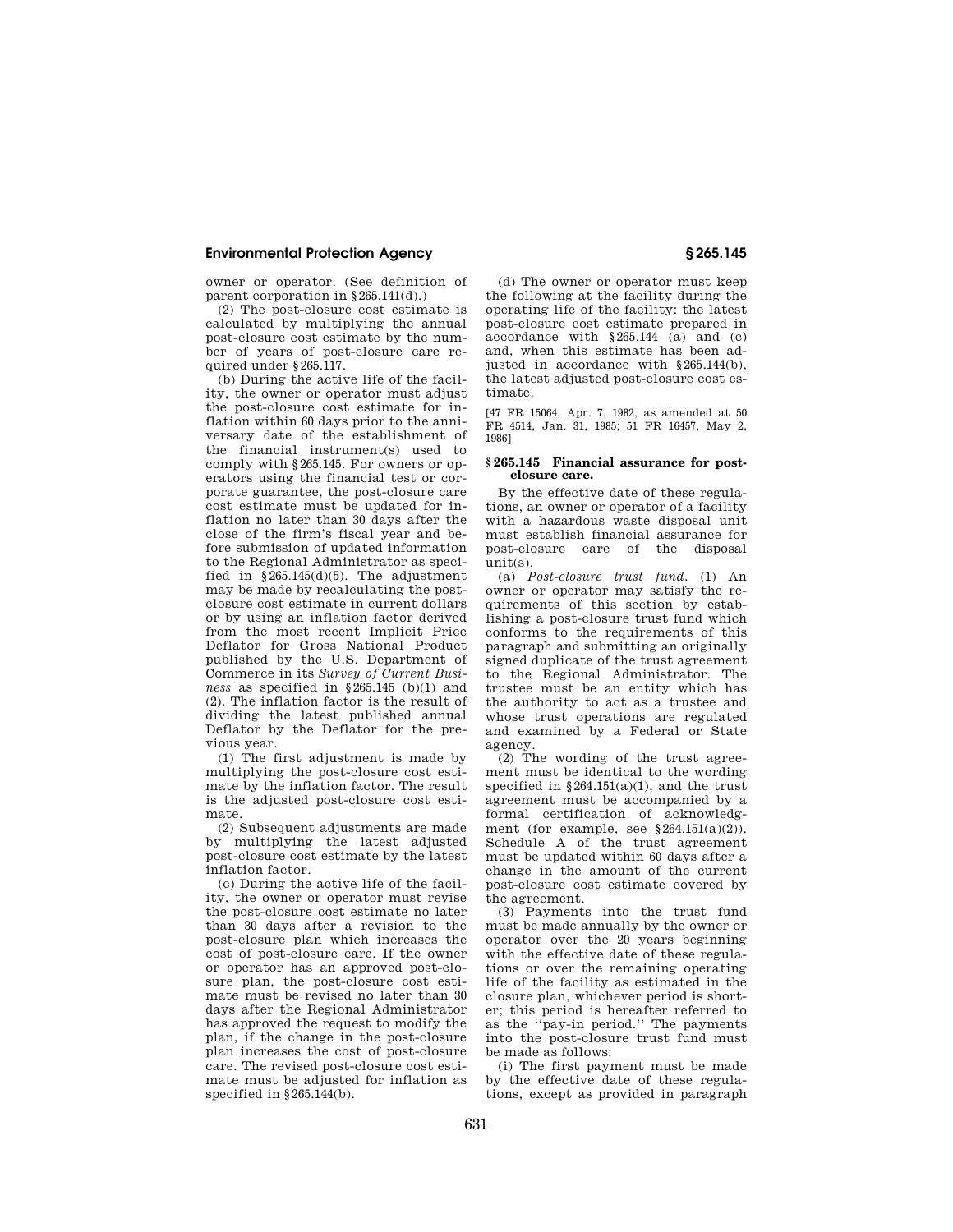owner or operator. (See definition of parent corporation in §265.141(d).)

(2) The post-closure cost estimate is calculated by multiplying the annual post-closure cost estimate by the number of years of post-closure care required under §265.117.

(b) During the active life of the facility, the owner or operator must adjust the post-closure cost estimate for inflation within 60 days prior to the anniversary date of the establishment of the financial instrument(s) used to comply with §265.145. For owners or operators using the financial test or corporate guarantee, the post-closure care cost estimate must be updated for inflation no later than 30 days after the close of the firm's fiscal year and before submission of updated information to the Regional Administrator as specified in  $§265.145(d)(5)$ . The adjustment may be made by recalculating the postclosure cost estimate in current dollars or by using an inflation factor derived from the most recent Implicit Price Deflator for Gross National Product published by the U.S. Department of Commerce in its *Survey of Current Business* as specified in §265.145 (b)(1) and (2). The inflation factor is the result of dividing the latest published annual Deflator by the Deflator for the previous year.

(1) The first adjustment is made by multiplying the post-closure cost estimate by the inflation factor. The result is the adjusted post-closure cost estimate.

(2) Subsequent adjustments are made by multiplying the latest adjusted post-closure cost estimate by the latest inflation factor.

(c) During the active life of the facility, the owner or operator must revise the post-closure cost estimate no later than 30 days after a revision to the post-closure plan which increases the cost of post-closure care. If the owner or operator has an approved post-closure plan, the post-closure cost estimate must be revised no later than 30 days after the Regional Administrator has approved the request to modify the plan, if the change in the post-closure plan increases the cost of post-closure care. The revised post-closure cost estimate must be adjusted for inflation as specified in §265.144(b).

(d) The owner or operator must keep the following at the facility during the operating life of the facility: the latest post-closure cost estimate prepared in accordance with §265.144 (a) and (c) and, when this estimate has been adjusted in accordance with §265.144(b), the latest adjusted post-closure cost estimate.

[47 FR 15064, Apr. 7, 1982, as amended at 50 FR 4514, Jan. 31, 1985; 51 FR 16457, May 2, 1986]

#### **§ 265.145 Financial assurance for postclosure care.**

By the effective date of these regulations, an owner or operator of a facility with a hazardous waste disposal unit must establish financial assurance for post-closure care of the disposal unit(s).

(a) *Post-closure trust fund.* (1) An owner or operator may satisfy the requirements of this section by establishing a post-closure trust fund which conforms to the requirements of this paragraph and submitting an originally signed duplicate of the trust agreement to the Regional Administrator. The trustee must be an entity which has the authority to act as a trustee and whose trust operations are regulated and examined by a Federal or State agency.

(2) The wording of the trust agreement must be identical to the wording specified in  $\S 264.151(a)(1)$ , and the trust agreement must be accompanied by a formal certification of acknowledgment (for example, see §264.151(a)(2)). Schedule A of the trust agreement must be updated within 60 days after a change in the amount of the current post-closure cost estimate covered by the agreement.

(3) Payments into the trust fund must be made annually by the owner or operator over the 20 years beginning with the effective date of these regulations or over the remaining operating life of the facility as estimated in the closure plan, whichever period is shorter; this period is hereafter referred to as the ''pay-in period.'' The payments into the post-closure trust fund must be made as follows:

(i) The first payment must be made by the effective date of these regulations, except as provided in paragraph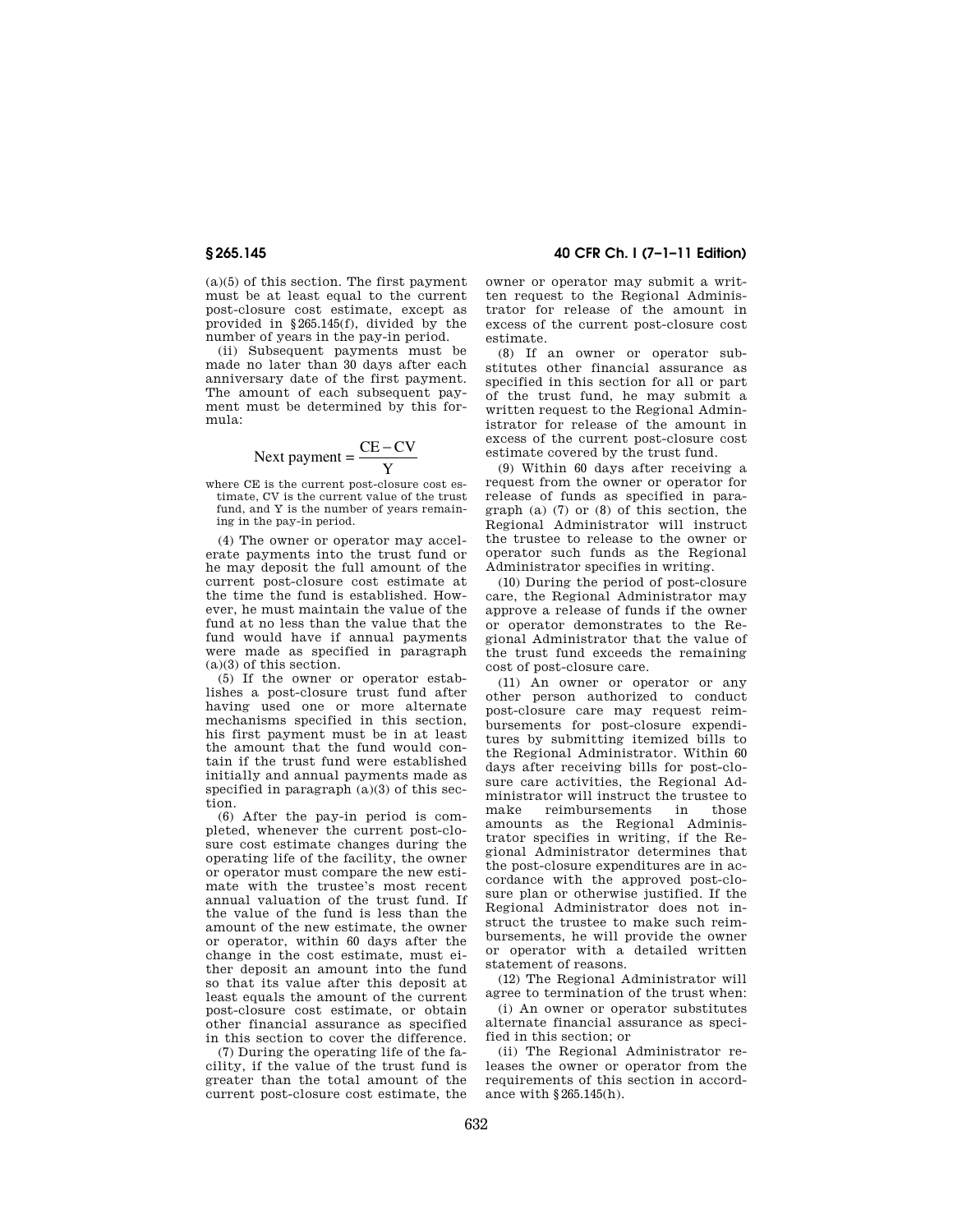$(a)(5)$  of this section. The first payment must be at least equal to the current post-closure cost estimate, except as provided in §265.145(f), divided by the number of years in the pay-in period.

(ii) Subsequent payments must be made no later than 30 days after each anniversary date of the first payment. The amount of each subsequent payment must be determined by this formula:

Next payment = 
$$
\frac{CE - CV}{Y}
$$

where CE is the current post-closure cost estimate, CV is the current value of the trust fund, and Y is the number of years remaining in the pay-in period.

(4) The owner or operator may accelerate payments into the trust fund or he may deposit the full amount of the current post-closure cost estimate at the time the fund is established. However, he must maintain the value of the fund at no less than the value that the fund would have if annual payments were made as specified in paragraph (a)(3) of this section.

(5) If the owner or operator establishes a post-closure trust fund after having used one or more alternate mechanisms specified in this section, his first payment must be in at least the amount that the fund would contain if the trust fund were established initially and annual payments made as specified in paragraph (a)(3) of this section.

(6) After the pay-in period is completed, whenever the current post-closure cost estimate changes during the operating life of the facility, the owner or operator must compare the new estimate with the trustee's most recent annual valuation of the trust fund. If the value of the fund is less than the amount of the new estimate, the owner or operator, within 60 days after the change in the cost estimate, must either deposit an amount into the fund so that its value after this deposit at least equals the amount of the current post-closure cost estimate, or obtain other financial assurance as specified in this section to cover the difference.

(7) During the operating life of the facility, if the value of the trust fund is greater than the total amount of the current post-closure cost estimate, the

**§ 265.145 40 CFR Ch. I (7–1–11 Edition)** 

owner or operator may submit a written request to the Regional Administrator for release of the amount in excess of the current post-closure cost estimate.

(8) If an owner or operator substitutes other financial assurance as specified in this section for all or part of the trust fund, he may submit a written request to the Regional Administrator for release of the amount in excess of the current post-closure cost estimate covered by the trust fund.

(9) Within 60 days after receiving a request from the owner or operator for release of funds as specified in paragraph (a) (7) or (8) of this section, the Regional Administrator will instruct the trustee to release to the owner or operator such funds as the Regional Administrator specifies in writing.

(10) During the period of post-closure care, the Regional Administrator may approve a release of funds if the owner or operator demonstrates to the Regional Administrator that the value of the trust fund exceeds the remaining cost of post-closure care.

(11) An owner or operator or any other person authorized to conduct post-closure care may request reimbursements for post-closure expenditures by submitting itemized bills to the Regional Administrator. Within 60 days after receiving bills for post-closure care activities, the Regional Administrator will instruct the trustee to make reimbursements in those amounts as the Regional Administrator specifies in writing, if the Regional Administrator determines that the post-closure expenditures are in accordance with the approved post-closure plan or otherwise justified. If the Regional Administrator does not instruct the trustee to make such reimbursements, he will provide the owner or operator with a detailed written statement of reasons.

(12) The Regional Administrator will agree to termination of the trust when:

(i) An owner or operator substitutes alternate financial assurance as specified in this section; or

(ii) The Regional Administrator releases the owner or operator from the requirements of this section in accordance with §265.145(h).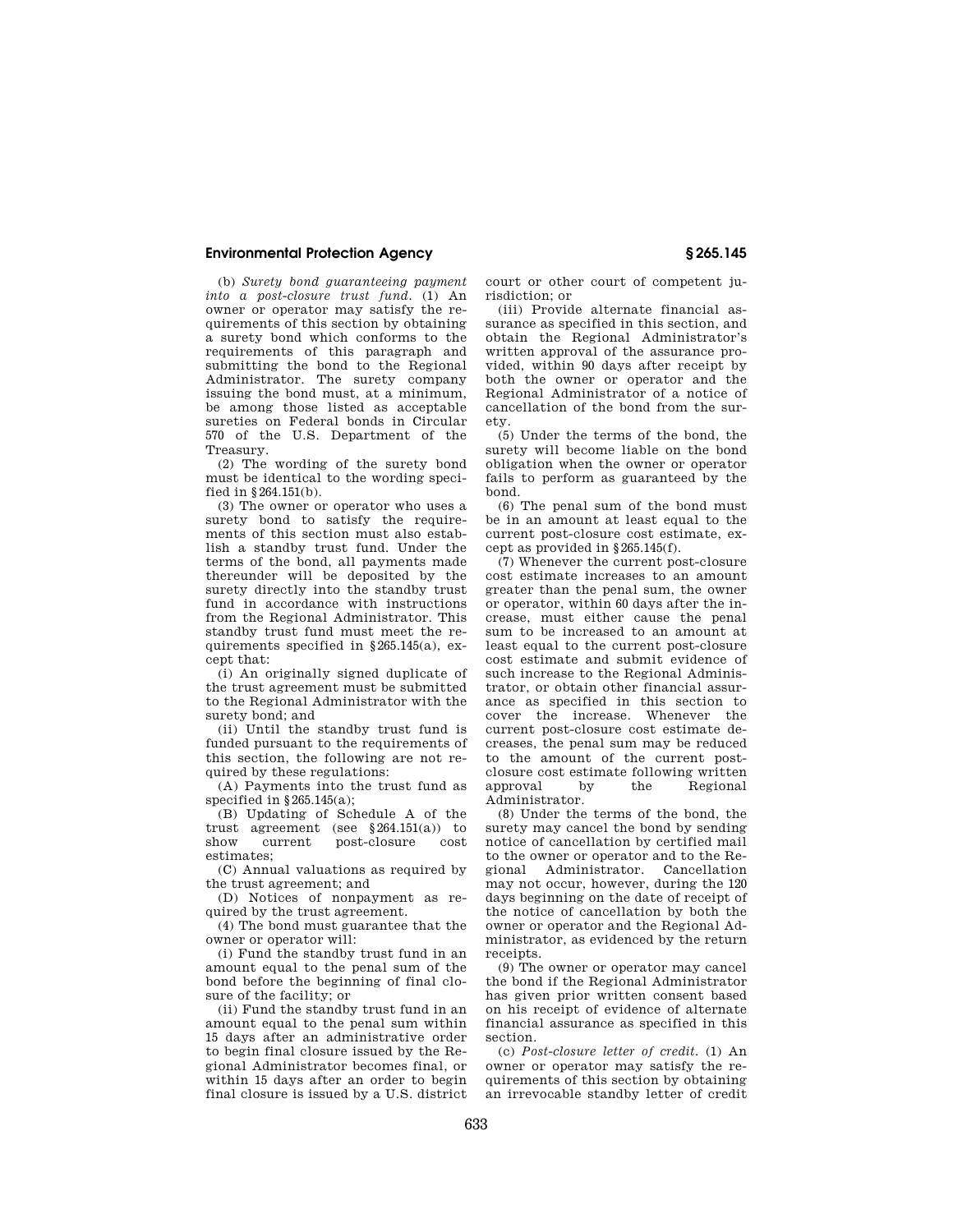(b) *Surety bond guaranteeing payment into a post-closure trust fund.* (1) An owner or operator may satisfy the requirements of this section by obtaining a surety bond which conforms to the requirements of this paragraph and submitting the bond to the Regional Administrator. The surety company issuing the bond must, at a minimum, be among those listed as acceptable sureties on Federal bonds in Circular 570 of the U.S. Department of the Treasury.

(2) The wording of the surety bond must be identical to the wording specified in §264.151(b).

(3) The owner or operator who uses a surety bond to satisfy the requirements of this section must also establish a standby trust fund. Under the terms of the bond, all payments made thereunder will be deposited by the surety directly into the standby trust fund in accordance with instructions from the Regional Administrator. This standby trust fund must meet the requirements specified in §265.145(a), except that:

(i) An originally signed duplicate of the trust agreement must be submitted to the Regional Administrator with the surety bond; and

(ii) Until the standby trust fund is funded pursuant to the requirements of this section, the following are not required by these regulations:

(A) Payments into the trust fund as specified in §265.145(a);

(B) Updating of Schedule A of the trust agreement (see §264.151(a)) to show current post-closure cost estimates;

(C) Annual valuations as required by the trust agreement; and

(D) Notices of nonpayment as required by the trust agreement.

(4) The bond must guarantee that the owner or operator will:

(i) Fund the standby trust fund in an amount equal to the penal sum of the bond before the beginning of final closure of the facility; or

(ii) Fund the standby trust fund in an amount equal to the penal sum within 15 days after an administrative order to begin final closure issued by the Regional Administrator becomes final, or within 15 days after an order to begin final closure is issued by a U.S. district court or other court of competent jurisdiction; or

(iii) Provide alternate financial assurance as specified in this section, and obtain the Regional Administrator's written approval of the assurance provided, within 90 days after receipt by both the owner or operator and the Regional Administrator of a notice of cancellation of the bond from the surety.

(5) Under the terms of the bond, the surety will become liable on the bond obligation when the owner or operator fails to perform as guaranteed by the bond.

(6) The penal sum of the bond must be in an amount at least equal to the current post-closure cost estimate, except as provided in §265.145(f).

(7) Whenever the current post-closure cost estimate increases to an amount greater than the penal sum, the owner or operator, within 60 days after the increase, must either cause the penal sum to be increased to an amount at least equal to the current post-closure cost estimate and submit evidence of such increase to the Regional Administrator, or obtain other financial assurance as specified in this section to cover the increase. Whenever the current post-closure cost estimate decreases, the penal sum may be reduced to the amount of the current postclosure cost estimate following written<br>annoval by the Regional the Regional Administrator.

(8) Under the terms of the bond, the surety may cancel the bond by sending notice of cancellation by certified mail to the owner or operator and to the Regional Administrator. Cancellation may not occur, however, during the 120 days beginning on the date of receipt of the notice of cancellation by both the owner or operator and the Regional Administrator, as evidenced by the return receipts.

(9) The owner or operator may cancel the bond if the Regional Administrator has given prior written consent based on his receipt of evidence of alternate financial assurance as specified in this section.

(c) *Post-closure letter of credit.* (1) An owner or operator may satisfy the requirements of this section by obtaining an irrevocable standby letter of credit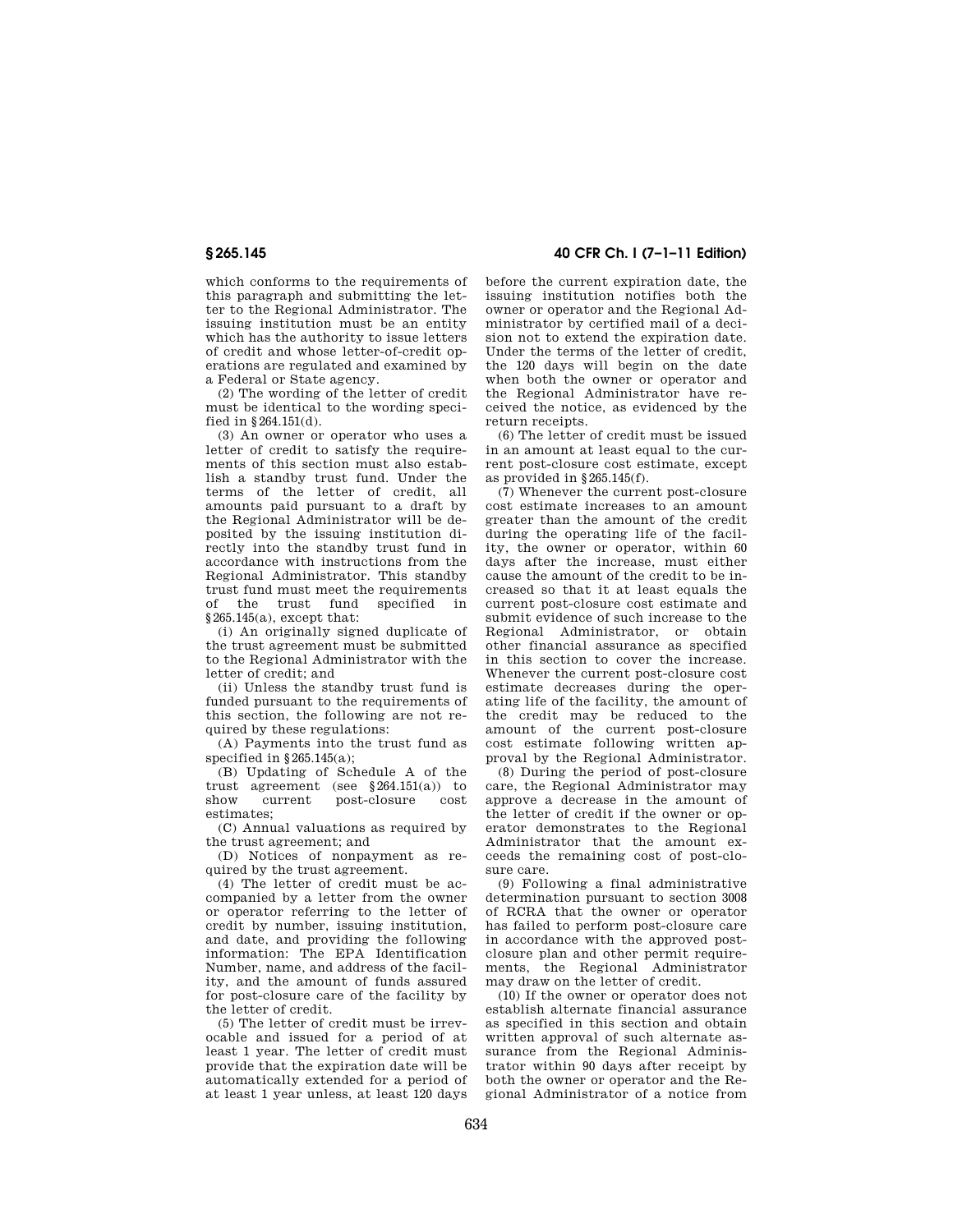which conforms to the requirements of this paragraph and submitting the letter to the Regional Administrator. The issuing institution must be an entity which has the authority to issue letters of credit and whose letter-of-credit operations are regulated and examined by a Federal or State agency.

(2) The wording of the letter of credit must be identical to the wording specified in §264.151(d).

(3) An owner or operator who uses a letter of credit to satisfy the requirements of this section must also establish a standby trust fund. Under the terms of the letter of credit, all amounts paid pursuant to a draft by the Regional Administrator will be deposited by the issuing institution directly into the standby trust fund in accordance with instructions from the Regional Administrator. This standby trust fund must meet the requirements of the trust fund specified in  $§265.145(a)$ , except that:

(i) An originally signed duplicate of the trust agreement must be submitted to the Regional Administrator with the letter of credit; and

(ii) Unless the standby trust fund is funded pursuant to the requirements of this section, the following are not required by these regulations:

(A) Payments into the trust fund as specified in §265.145(a);

(B) Updating of Schedule A of the trust agreement (see §264.151(a)) to show current post-closure cost estimates;

(C) Annual valuations as required by the trust agreement; and

(D) Notices of nonpayment as required by the trust agreement.

(4) The letter of credit must be accompanied by a letter from the owner or operator referring to the letter of credit by number, issuing institution, and date, and providing the following information: The EPA Identification Number, name, and address of the facility, and the amount of funds assured for post-closure care of the facility by the letter of credit.

(5) The letter of credit must be irrevocable and issued for a period of at least 1 year. The letter of credit must provide that the expiration date will be automatically extended for a period of at least 1 year unless, at least 120 days

**§ 265.145 40 CFR Ch. I (7–1–11 Edition)** 

before the current expiration date, the issuing institution notifies both the owner or operator and the Regional Administrator by certified mail of a decision not to extend the expiration date. Under the terms of the letter of credit, the 120 days will begin on the date when both the owner or operator and the Regional Administrator have received the notice, as evidenced by the return receipts.

(6) The letter of credit must be issued in an amount at least equal to the current post-closure cost estimate, except as provided in  $$265.145(f)$ .

(7) Whenever the current post-closure cost estimate increases to an amount greater than the amount of the credit during the operating life of the facility, the owner or operator, within 60 days after the increase, must either cause the amount of the credit to be increased so that it at least equals the current post-closure cost estimate and submit evidence of such increase to the Regional Administrator, or obtain other financial assurance as specified in this section to cover the increase. Whenever the current post-closure cost estimate decreases during the operating life of the facility, the amount of the credit may be reduced to the amount of the current post-closure cost estimate following written approval by the Regional Administrator.

(8) During the period of post-closure care, the Regional Administrator may approve a decrease in the amount of the letter of credit if the owner or operator demonstrates to the Regional Administrator that the amount exceeds the remaining cost of post-closure care.

(9) Following a final administrative determination pursuant to section 3008 of RCRA that the owner or operator has failed to perform post-closure care in accordance with the approved postclosure plan and other permit requirements, the Regional Administrator may draw on the letter of credit.

(10) If the owner or operator does not establish alternate financial assurance as specified in this section and obtain written approval of such alternate assurance from the Regional Administrator within 90 days after receipt by both the owner or operator and the Regional Administrator of a notice from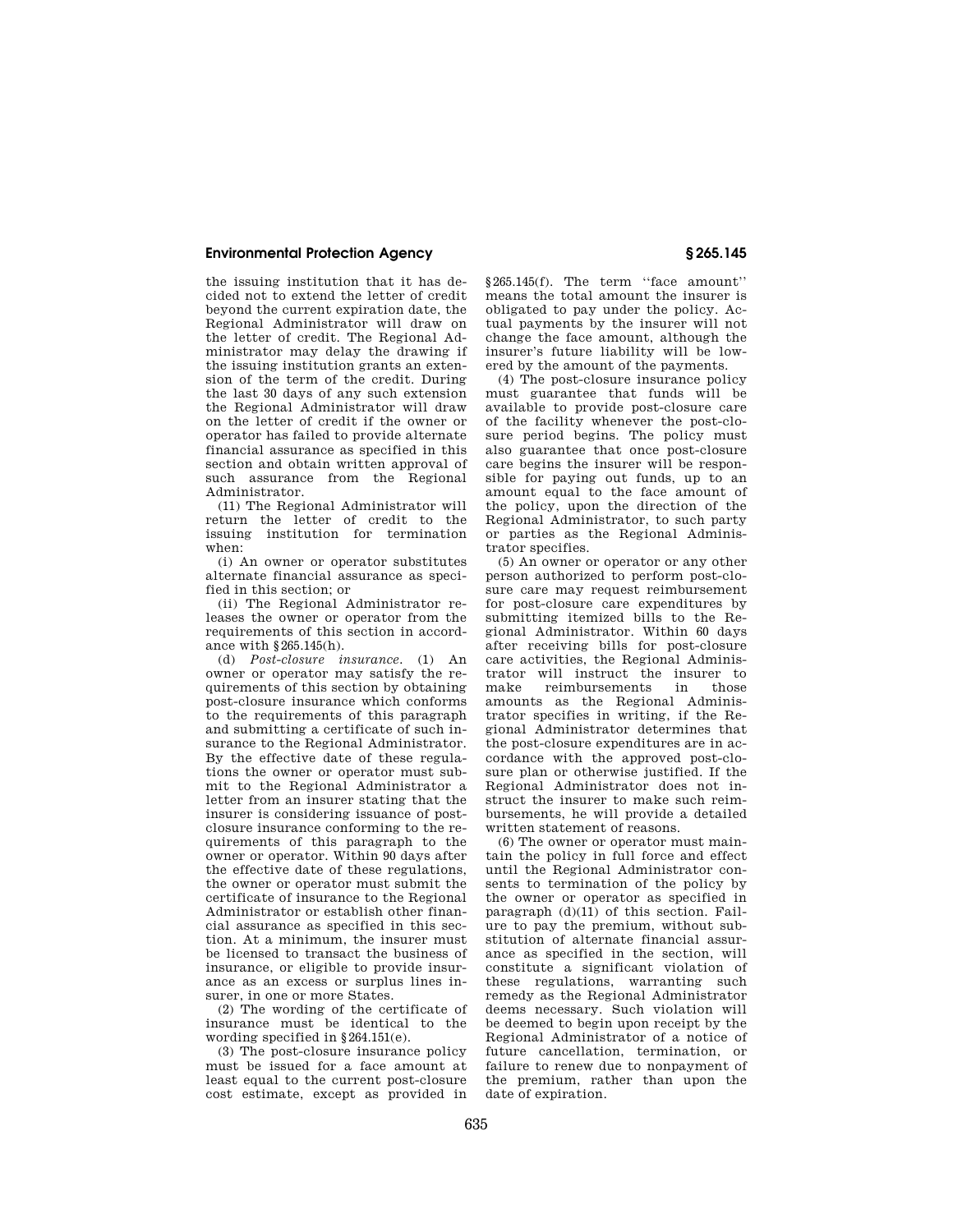the issuing institution that it has decided not to extend the letter of credit beyond the current expiration date, the Regional Administrator will draw on the letter of credit. The Regional Administrator may delay the drawing if the issuing institution grants an extension of the term of the credit. During the last 30 days of any such extension the Regional Administrator will draw on the letter of credit if the owner or operator has failed to provide alternate financial assurance as specified in this section and obtain written approval of such assurance from the Regional Administrator.

(11) The Regional Administrator will return the letter of credit to the issuing institution for termination when:

(i) An owner or operator substitutes alternate financial assurance as specified in this section; or

(ii) The Regional Administrator releases the owner or operator from the requirements of this section in accordance with §265.145(h).

(d) *Post-closure insurance.* (1) An owner or operator may satisfy the requirements of this section by obtaining post-closure insurance which conforms to the requirements of this paragraph and submitting a certificate of such insurance to the Regional Administrator. By the effective date of these regulations the owner or operator must submit to the Regional Administrator a letter from an insurer stating that the insurer is considering issuance of postclosure insurance conforming to the requirements of this paragraph to the owner or operator. Within 90 days after the effective date of these regulations, the owner or operator must submit the certificate of insurance to the Regional Administrator or establish other financial assurance as specified in this section. At a minimum, the insurer must be licensed to transact the business of insurance, or eligible to provide insurance as an excess or surplus lines insurer, in one or more States.

(2) The wording of the certificate of insurance must be identical to the wording specified in §264.151(e).

(3) The post-closure insurance policy must be issued for a face amount at least equal to the current post-closure cost estimate, except as provided in

§265.145(f). The term "face amount" means the total amount the insurer is obligated to pay under the policy. Actual payments by the insurer will not change the face amount, although the insurer's future liability will be lowered by the amount of the payments.

(4) The post-closure insurance policy must guarantee that funds will be available to provide post-closure care of the facility whenever the post-closure period begins. The policy must also guarantee that once post-closure care begins the insurer will be responsible for paying out funds, up to an amount equal to the face amount of the policy, upon the direction of the Regional Administrator, to such party or parties as the Regional Administrator specifies.

(5) An owner or operator or any other person authorized to perform post-closure care may request reimbursement for post-closure care expenditures by submitting itemized bills to the Regional Administrator. Within 60 days after receiving bills for post-closure care activities, the Regional Administrator will instruct the insurer to make reimbursements in those amounts as the Regional Administrator specifies in writing, if the Regional Administrator determines that the post-closure expenditures are in accordance with the approved post-closure plan or otherwise justified. If the Regional Administrator does not instruct the insurer to make such reimbursements, he will provide a detailed written statement of reasons.

(6) The owner or operator must maintain the policy in full force and effect until the Regional Administrator consents to termination of the policy by the owner or operator as specified in paragraph (d)(11) of this section. Failure to pay the premium, without substitution of alternate financial assurance as specified in the section, will constitute a significant violation of these regulations, warranting such remedy as the Regional Administrator deems necessary. Such violation will be deemed to begin upon receipt by the Regional Administrator of a notice of future cancellation, termination, or failure to renew due to nonpayment of the premium, rather than upon the date of expiration.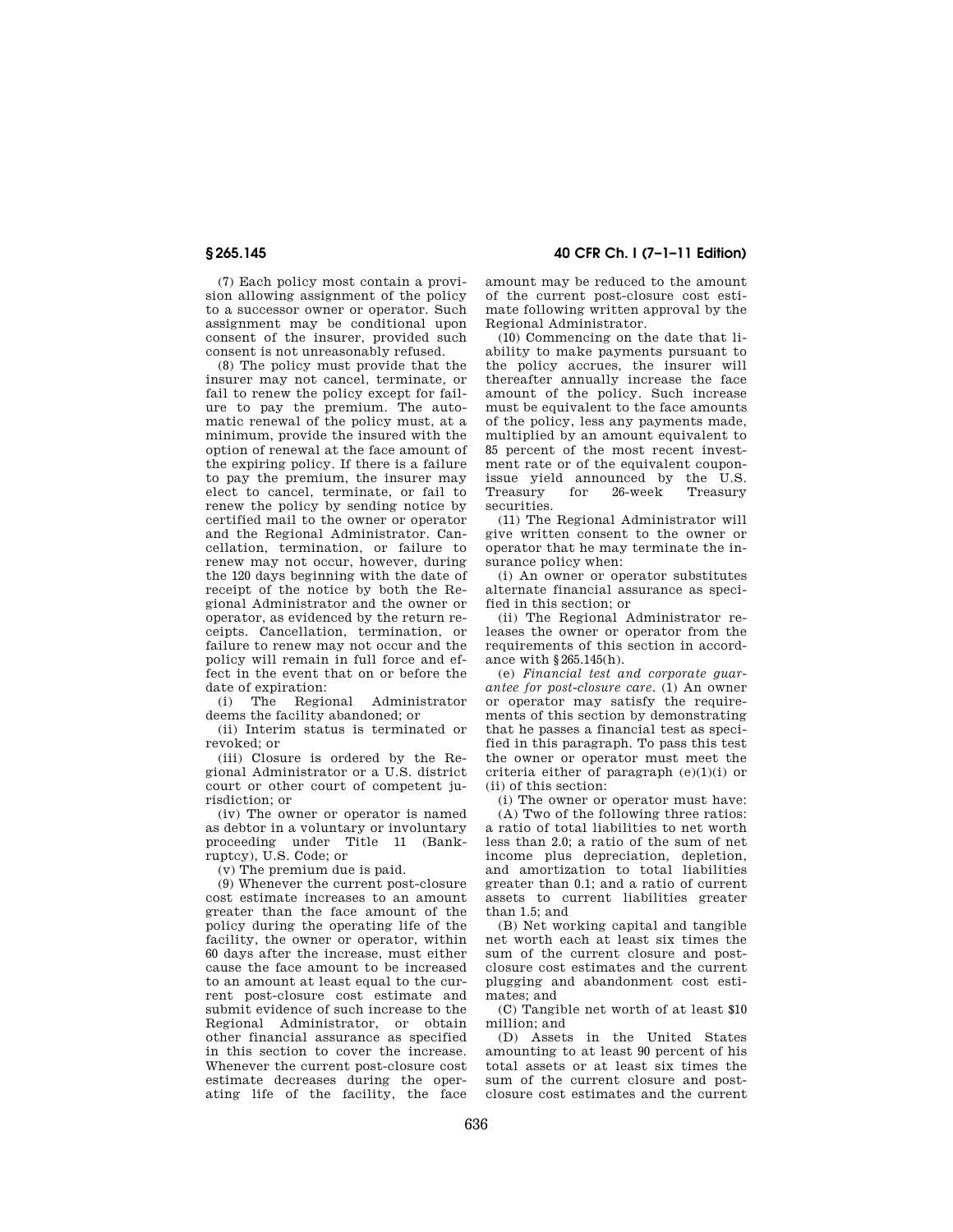(7) Each policy most contain a provision allowing assignment of the policy to a successor owner or operator. Such assignment may be conditional upon consent of the insurer, provided such consent is not unreasonably refused.

(8) The policy must provide that the insurer may not cancel, terminate, or fail to renew the policy except for failure to pay the premium. The automatic renewal of the policy must, at a minimum, provide the insured with the option of renewal at the face amount of the expiring policy. If there is a failure to pay the premium, the insurer may elect to cancel, terminate, or fail to renew the policy by sending notice by certified mail to the owner or operator and the Regional Administrator. Cancellation, termination, or failure to renew may not occur, however, during the 120 days beginning with the date of receipt of the notice by both the Regional Administrator and the owner or operator, as evidenced by the return receipts. Cancellation, termination, or failure to renew may not occur and the policy will remain in full force and effect in the event that on or before the date of expiration:

(i) The Regional Administrator deems the facility abandoned; or

(ii) Interim status is terminated or revoked; or

(iii) Closure is ordered by the Regional Administrator or a U.S. district court or other court of competent jurisdiction; or

(iv) The owner or operator is named as debtor in a voluntary or involuntary proceeding under Title 11 (Bankruptcy), U.S. Code; or

(v) The premium due is paid.

(9) Whenever the current post-closure cost estimate increases to an amount greater than the face amount of the policy during the operating life of the facility, the owner or operator, within 60 days after the increase, must either cause the face amount to be increased to an amount at least equal to the current post-closure cost estimate and submit evidence of such increase to the Regional Administrator, or obtain other financial assurance as specified in this section to cover the increase. Whenever the current post-closure cost estimate decreases during the operating life of the facility, the face

**§ 265.145 40 CFR Ch. I (7–1–11 Edition)** 

amount may be reduced to the amount of the current post-closure cost estimate following written approval by the Regional Administrator.

(10) Commencing on the date that liability to make payments pursuant to the policy accrues, the insurer will thereafter annually increase the face amount of the policy. Such increase must be equivalent to the face amounts of the policy, less any payments made, multiplied by an amount equivalent to 85 percent of the most recent investment rate or of the equivalent couponissue yield announced by the U.S. Treasury for 26-week Treasury securities.

(11) The Regional Administrator will give written consent to the owner or operator that he may terminate the insurance policy when:

(i) An owner or operator substitutes alternate financial assurance as specified in this section; or

(ii) The Regional Administrator releases the owner or operator from the requirements of this section in accordance with §265.145(h).

(e) *Financial test and corporate guarantee for post-closure care.* (1) An owner or operator may satisfy the requirements of this section by demonstrating that he passes a financial test as specified in this paragraph. To pass this test the owner or operator must meet the criteria either of paragraph (e)(1)(i) or (ii) of this section:

(i) The owner or operator must have: (A) Two of the following three ratios: a ratio of total liabilities to net worth less than 2.0; a ratio of the sum of net income plus depreciation, depletion, and amortization to total liabilities greater than 0.1; and a ratio of current assets to current liabilities greater than  $1.5$ ; and

(B) Net working capital and tangible net worth each at least six times the sum of the current closure and postclosure cost estimates and the current plugging and abandonment cost estimates; and

(C) Tangible net worth of at least \$10 million; and

(D) Assets in the United States amounting to at least 90 percent of his total assets or at least six times the sum of the current closure and postclosure cost estimates and the current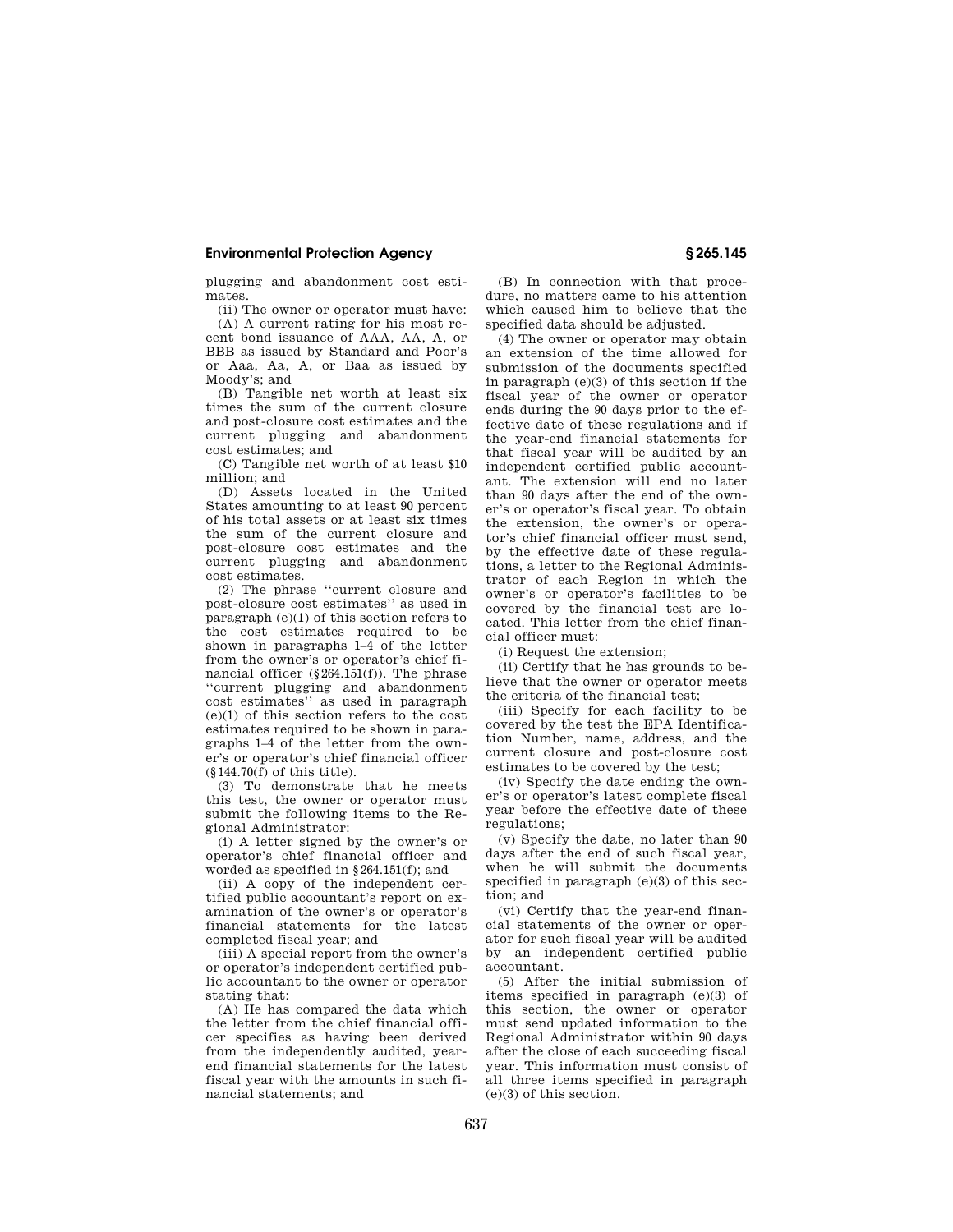plugging and abandonment cost estimates.

(ii) The owner or operator must have:

(A) A current rating for his most recent bond issuance of AAA, AA, A, or BBB as issued by Standard and Poor's or Aaa, Aa, A, or Baa as issued by Moody's; and

(B) Tangible net worth at least six times the sum of the current closure and post-closure cost estimates and the current plugging and abandonment cost estimates; and

(C) Tangible net worth of at least \$10 million; and

(D) Assets located in the United States amounting to at least 90 percent of his total assets or at least six times the sum of the current closure and post-closure cost estimates and the current plugging and abandonment cost estimates.

(2) The phrase ''current closure and post-closure cost estimates'' as used in paragraph (e)(1) of this section refers to the cost estimates required to be shown in paragraphs 1–4 of the letter from the owner's or operator's chief financial officer  $(\S 264.151(f))$ . The phrase ''current plugging and abandonment cost estimates'' as used in paragraph (e)(1) of this section refers to the cost estimates required to be shown in paragraphs 1–4 of the letter from the owner's or operator's chief financial officer  $(\S 144.70(f)$  of this title).

(3) To demonstrate that he meets this test, the owner or operator must submit the following items to the Regional Administrator:

(i) A letter signed by the owner's or operator's chief financial officer and worded as specified in §264.151(f); and

(ii) A copy of the independent certified public accountant's report on examination of the owner's or operator's financial statements for the latest completed fiscal year; and

(iii) A special report from the owner's or operator's independent certified public accountant to the owner or operator stating that:

(A) He has compared the data which the letter from the chief financial officer specifies as having been derived from the independently audited, yearend financial statements for the latest fiscal year with the amounts in such financial statements; and

(B) In connection with that procedure, no matters came to his attention which caused him to believe that the specified data should be adjusted.

(4) The owner or operator may obtain an extension of the time allowed for submission of the documents specified in paragraph (e)(3) of this section if the fiscal year of the owner or operator ends during the 90 days prior to the effective date of these regulations and if the year-end financial statements for that fiscal year will be audited by an independent certified public accountant. The extension will end no later than 90 days after the end of the owner's or operator's fiscal year. To obtain the extension, the owner's or operator's chief financial officer must send, by the effective date of these regulations, a letter to the Regional Administrator of each Region in which the owner's or operator's facilities to be covered by the financial test are located. This letter from the chief financial officer must:

(i) Request the extension;

(ii) Certify that he has grounds to believe that the owner or operator meets the criteria of the financial test;

(iii) Specify for each facility to be covered by the test the EPA Identification Number, name, address, and the current closure and post-closure cost estimates to be covered by the test;

(iv) Specify the date ending the owner's or operator's latest complete fiscal year before the effective date of these regulations;

(v) Specify the date, no later than 90 days after the end of such fiscal year, when he will submit the documents specified in paragraph (e)(3) of this section; and

(vi) Certify that the year-end financial statements of the owner or operator for such fiscal year will be audited by an independent certified public accountant.

(5) After the initial submission of items specified in paragraph (e)(3) of this section, the owner or operator must send updated information to the Regional Administrator within 90 days after the close of each succeeding fiscal year. This information must consist of all three items specified in paragraph  $(e)(3)$  of this section.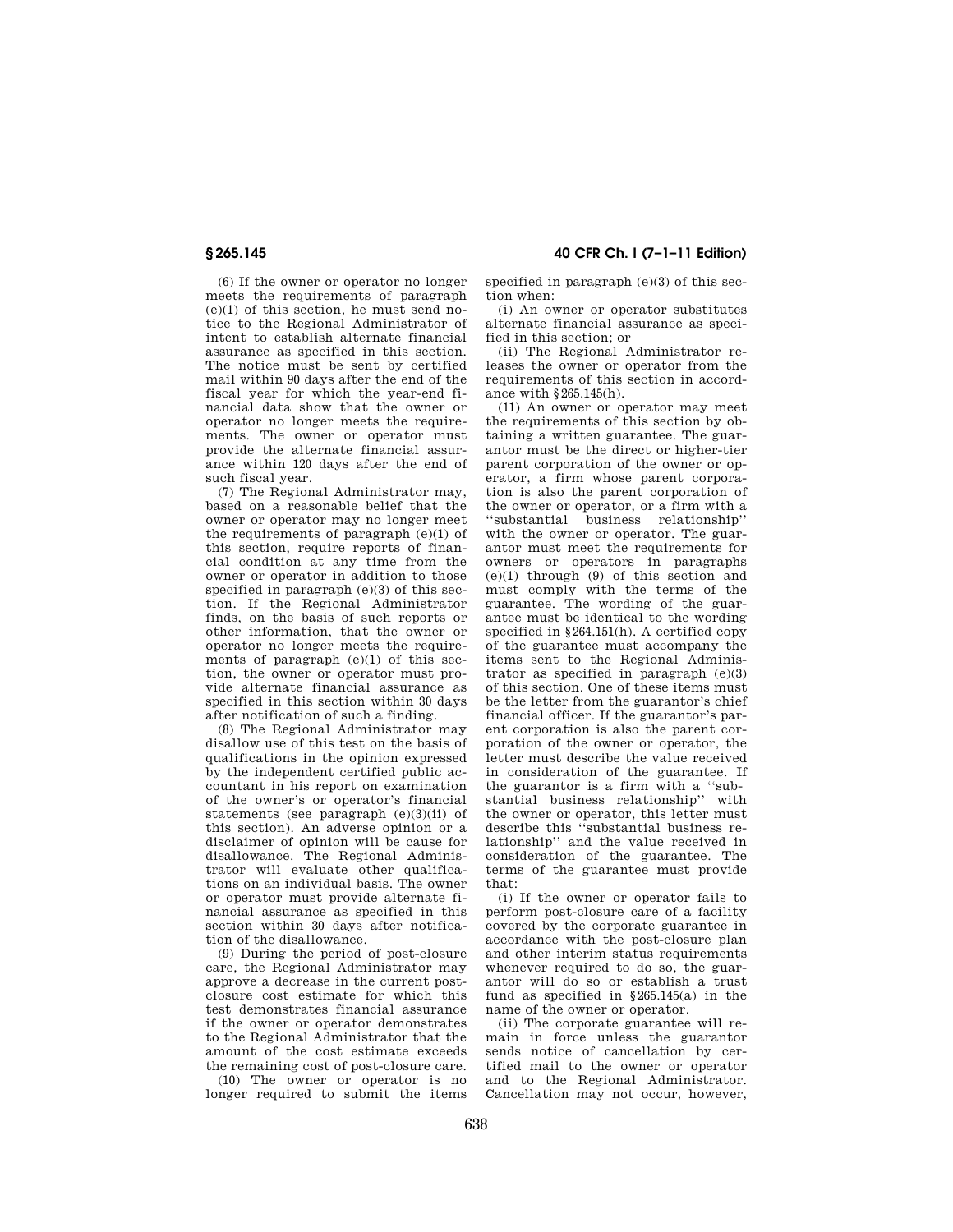**§ 265.145 40 CFR Ch. I (7–1–11 Edition)** 

(6) If the owner or operator no longer meets the requirements of paragraph (e)(1) of this section, he must send notice to the Regional Administrator of intent to establish alternate financial assurance as specified in this section. The notice must be sent by certified mail within 90 days after the end of the fiscal year for which the year-end financial data show that the owner or operator no longer meets the requirements. The owner or operator must provide the alternate financial assurance within 120 days after the end of such fiscal year.

(7) The Regional Administrator may, based on a reasonable belief that the owner or operator may no longer meet the requirements of paragraph (e)(1) of this section, require reports of financial condition at any time from the owner or operator in addition to those specified in paragraph (e)(3) of this section. If the Regional Administrator finds, on the basis of such reports or other information, that the owner or operator no longer meets the requirements of paragraph  $(e)(1)$  of this section, the owner or operator must provide alternate financial assurance as specified in this section within 30 days after notification of such a finding.

(8) The Regional Administrator may disallow use of this test on the basis of qualifications in the opinion expressed by the independent certified public accountant in his report on examination of the owner's or operator's financial statements (see paragraph (e)(3)(ii) of this section). An adverse opinion or a disclaimer of opinion will be cause for disallowance. The Regional Administrator will evaluate other qualifications on an individual basis. The owner or operator must provide alternate financial assurance as specified in this section within 30 days after notification of the disallowance.

(9) During the period of post-closure care, the Regional Administrator may approve a decrease in the current postclosure cost estimate for which this test demonstrates financial assurance if the owner or operator demonstrates to the Regional Administrator that the amount of the cost estimate exceeds the remaining cost of post-closure care.

(10) The owner or operator is no longer required to submit the items specified in paragraph (e)(3) of this section when:

(i) An owner or operator substitutes alternate financial assurance as specified in this section; or

(ii) The Regional Administrator releases the owner or operator from the requirements of this section in accordance with §265.145(h).

(11) An owner or operator may meet the requirements of this section by obtaining a written guarantee. The guarantor must be the direct or higher-tier parent corporation of the owner or operator, a firm whose parent corporation is also the parent corporation of the owner or operator, or a firm with a ''substantial business relationship'' with the owner or operator. The guarantor must meet the requirements for owners or operators in paragraphs (e)(1) through (9) of this section and must comply with the terms of the guarantee. The wording of the guarantee must be identical to the wording specified in §264.151(h). A certified copy of the guarantee must accompany the items sent to the Regional Administrator as specified in paragraph  $(e)(3)$ of this section. One of these items must be the letter from the guarantor's chief financial officer. If the guarantor's parent corporation is also the parent corporation of the owner or operator, the letter must describe the value received in consideration of the guarantee. If the guarantor is a firm with a ''substantial business relationship'' with the owner or operator, this letter must describe this ''substantial business relationship'' and the value received in consideration of the guarantee. The terms of the guarantee must provide that:

(i) If the owner or operator fails to perform post-closure care of a facility covered by the corporate guarantee in accordance with the post-closure plan and other interim status requirements whenever required to do so, the guarantor will do so or establish a trust fund as specified in §265.145(a) in the name of the owner or operator.

(ii) The corporate guarantee will remain in force unless the guarantor sends notice of cancellation by certified mail to the owner or operator and to the Regional Administrator. Cancellation may not occur, however,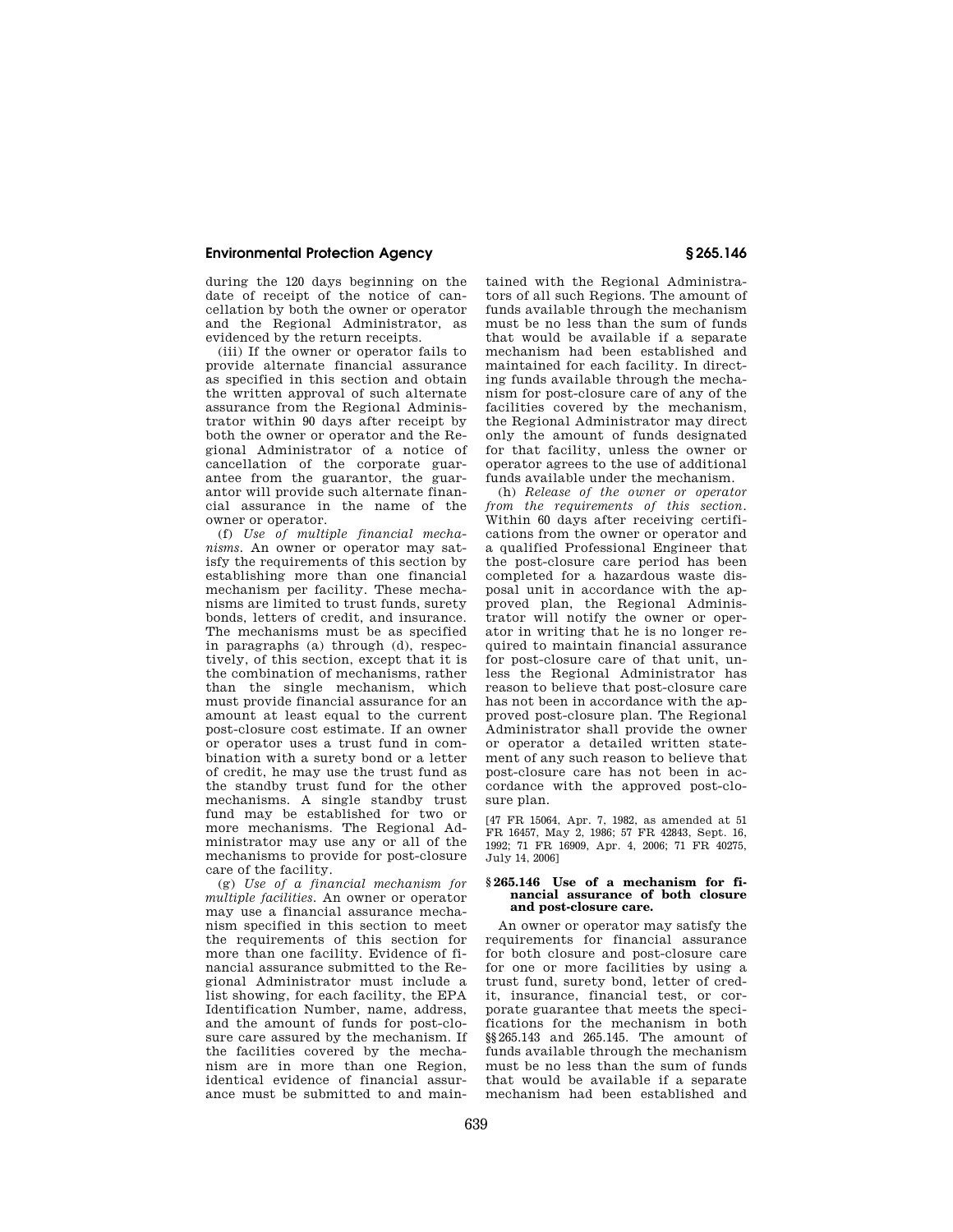during the 120 days beginning on the date of receipt of the notice of cancellation by both the owner or operator and the Regional Administrator, as evidenced by the return receipts.

(iii) If the owner or operator fails to provide alternate financial assurance as specified in this section and obtain the written approval of such alternate assurance from the Regional Administrator within 90 days after receipt by both the owner or operator and the Regional Administrator of a notice of cancellation of the corporate guarantee from the guarantor, the guarantor will provide such alternate financial assurance in the name of the owner or operator.

(f) *Use of multiple financial mechanisms.* An owner or operator may satisfy the requirements of this section by establishing more than one financial mechanism per facility. These mechanisms are limited to trust funds, surety bonds, letters of credit, and insurance. The mechanisms must be as specified in paragraphs (a) through (d), respectively, of this section, except that it is the combination of mechanisms, rather than the single mechanism, which must provide financial assurance for an amount at least equal to the current post-closure cost estimate. If an owner or operator uses a trust fund in combination with a surety bond or a letter of credit, he may use the trust fund as the standby trust fund for the other mechanisms. A single standby trust fund may be established for two or more mechanisms. The Regional Administrator may use any or all of the mechanisms to provide for post-closure care of the facility.

(g) *Use of a financial mechanism for multiple facilities.* An owner or operator may use a financial assurance mechanism specified in this section to meet the requirements of this section for more than one facility. Evidence of financial assurance submitted to the Regional Administrator must include a list showing, for each facility, the EPA Identification Number, name, address, and the amount of funds for post-closure care assured by the mechanism. If the facilities covered by the mechanism are in more than one Region, identical evidence of financial assurance must be submitted to and main-

tained with the Regional Administrators of all such Regions. The amount of funds available through the mechanism must be no less than the sum of funds that would be available if a separate mechanism had been established and maintained for each facility. In directing funds available through the mechanism for post-closure care of any of the facilities covered by the mechanism, the Regional Administrator may direct only the amount of funds designated for that facility, unless the owner or operator agrees to the use of additional funds available under the mechanism.

(h) *Release of the owner or operator from the requirements of this section.*  Within 60 days after receiving certifications from the owner or operator and a qualified Professional Engineer that the post-closure care period has been completed for a hazardous waste disposal unit in accordance with the approved plan, the Regional Administrator will notify the owner or operator in writing that he is no longer required to maintain financial assurance for post-closure care of that unit, unless the Regional Administrator has reason to believe that post-closure care has not been in accordance with the approved post-closure plan. The Regional Administrator shall provide the owner or operator a detailed written statement of any such reason to believe that post-closure care has not been in accordance with the approved post-closure plan.

[47 FR 15064, Apr. 7, 1982, as amended at 51 FR 16457, May 2, 1986; 57 FR 42843, Sept. 16, 1992; 71 FR 16909, Apr. 4, 2006; 71 FR 40275, July 14, 2006]

#### **§ 265.146 Use of a mechanism for financial assurance of both closure and post-closure care.**

An owner or operator may satisfy the requirements for financial assurance for both closure and post-closure care for one or more facilities by using a trust fund, surety bond, letter of credit, insurance, financial test, or corporate guarantee that meets the specifications for the mechanism in both §§265.143 and 265.145. The amount of funds available through the mechanism must be no less than the sum of funds that would be available if a separate mechanism had been established and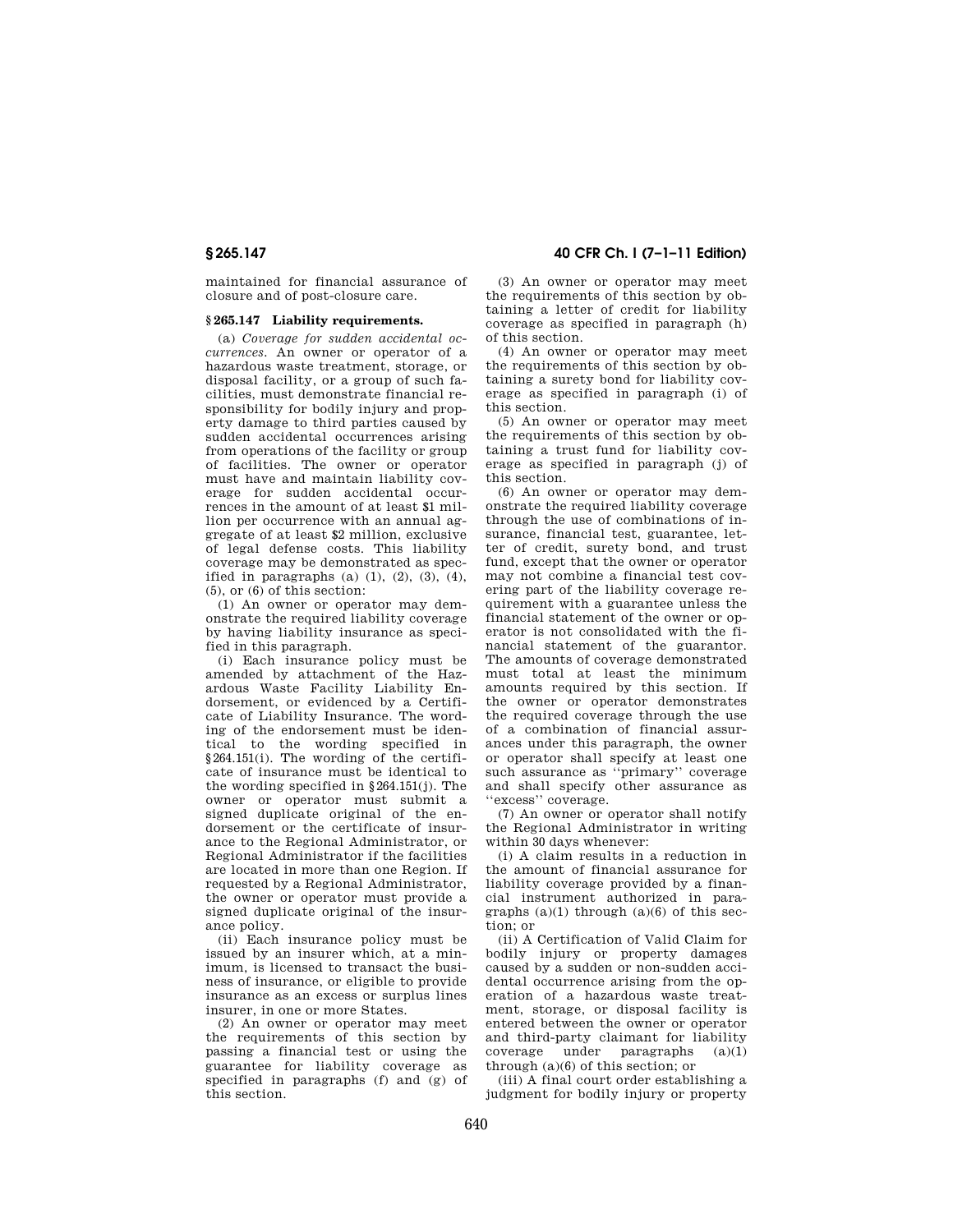maintained for financial assurance of closure and of post-closure care.

## **§ 265.147 Liability requirements.**

(a) *Coverage for sudden accidental occurrences.* An owner or operator of a hazardous waste treatment, storage, or disposal facility, or a group of such facilities, must demonstrate financial responsibility for bodily injury and property damage to third parties caused by sudden accidental occurrences arising from operations of the facility or group of facilities. The owner or operator must have and maintain liability coverage for sudden accidental occurrences in the amount of at least \$1 million per occurrence with an annual aggregate of at least \$2 million, exclusive of legal defense costs. This liability coverage may be demonstrated as specified in paragraphs  $(a)$   $(1)$ ,  $(2)$ ,  $(3)$ ,  $(4)$ ,  $(5)$ , or  $(6)$  of this section:

(1) An owner or operator may demonstrate the required liability coverage by having liability insurance as specified in this paragraph.

(i) Each insurance policy must be amended by attachment of the Hazardous Waste Facility Liability Endorsement, or evidenced by a Certificate of Liability Insurance. The wording of the endorsement must be identical to the wording specified in §264.151(i). The wording of the certificate of insurance must be identical to the wording specified in §264.151(j). The owner or operator must submit a signed duplicate original of the endorsement or the certificate of insurance to the Regional Administrator, or Regional Administrator if the facilities are located in more than one Region. If requested by a Regional Administrator, the owner or operator must provide a signed duplicate original of the insurance policy.

(ii) Each insurance policy must be issued by an insurer which, at a minimum, is licensed to transact the business of insurance, or eligible to provide insurance as an excess or surplus lines insurer, in one or more States.

(2) An owner or operator may meet the requirements of this section by passing a financial test or using the guarantee for liability coverage as specified in paragraphs (f) and (g) of this section.

(3) An owner or operator may meet the requirements of this section by obtaining a letter of credit for liability coverage as specified in paragraph (h) of this section.

(4) An owner or operator may meet the requirements of this section by obtaining a surety bond for liability coverage as specified in paragraph (i) of this section.

(5) An owner or operator may meet the requirements of this section by obtaining a trust fund for liability coverage as specified in paragraph (j) of this section.

(6) An owner or operator may demonstrate the required liability coverage through the use of combinations of insurance, financial test, guarantee, letter of credit, surety bond, and trust fund, except that the owner or operator may not combine a financial test covering part of the liability coverage requirement with a guarantee unless the financial statement of the owner or operator is not consolidated with the financial statement of the guarantor. The amounts of coverage demonstrated must total at least the minimum amounts required by this section. If the owner or operator demonstrates the required coverage through the use of a combination of financial assurances under this paragraph, the owner or operator shall specify at least one such assurance as ''primary'' coverage and shall specify other assurance as ''excess'' coverage.

(7) An owner or operator shall notify the Regional Administrator in writing within 30 days whenever:

(i) A claim results in a reduction in the amount of financial assurance for liability coverage provided by a financial instrument authorized in paragraphs  $(a)(1)$  through  $(a)(6)$  of this section; or

(ii) A Certification of Valid Claim for bodily injury or property damages caused by a sudden or non-sudden accidental occurrence arising from the operation of a hazardous waste treatment, storage, or disposal facility is entered between the owner or operator and third-party claimant for liability  $coverage$  under paragraphs  $(a)(1)$ through  $(a)(6)$  of this section; or

(iii) A final court order establishing a judgment for bodily injury or property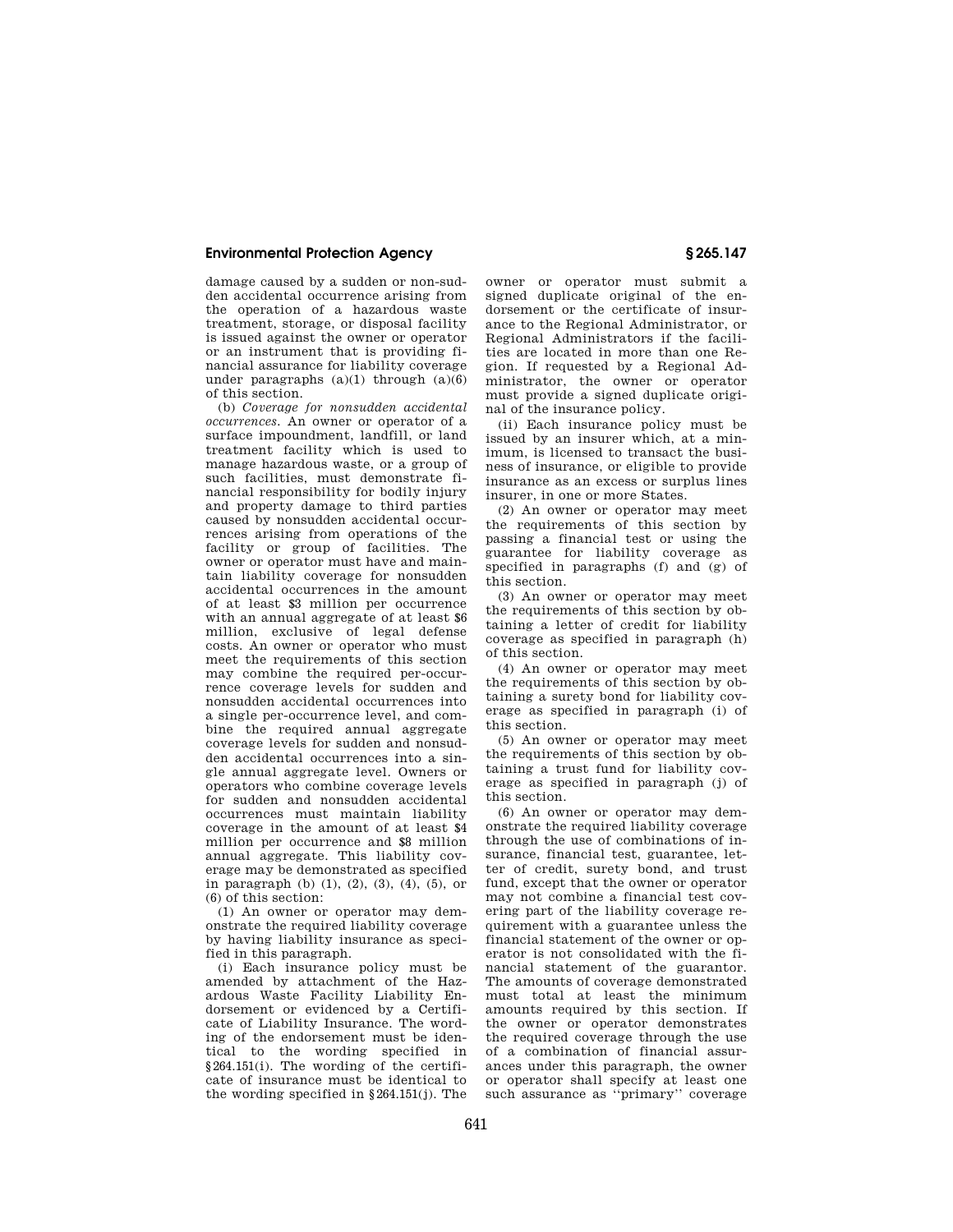damage caused by a sudden or non-sudden accidental occurrence arising from the operation of a hazardous waste treatment, storage, or disposal facility is issued against the owner or operator or an instrument that is providing financial assurance for liability coverage under paragraphs  $(a)(1)$  through  $(a)(6)$ of this section.

(b) *Coverage for nonsudden accidental occurrences.* An owner or operator of a surface impoundment, landfill, or land treatment facility which is used to manage hazardous waste, or a group of such facilities, must demonstrate financial responsibility for bodily injury and property damage to third parties caused by nonsudden accidental occurrences arising from operations of the facility or group of facilities. The owner or operator must have and maintain liability coverage for nonsudden accidental occurrences in the amount of at least \$3 million per occurrence with an annual aggregate of at least \$6 million, exclusive of legal defense costs. An owner or operator who must meet the requirements of this section may combine the required per-occurrence coverage levels for sudden and nonsudden accidental occurrences into a single per-occurrence level, and combine the required annual aggregate coverage levels for sudden and nonsudden accidental occurrences into a single annual aggregate level. Owners or operators who combine coverage levels for sudden and nonsudden accidental occurrences must maintain liability coverage in the amount of at least \$4 million per occurrence and \$8 million annual aggregate. This liability coverage may be demonstrated as specified in paragraph (b)  $(1)$ ,  $(2)$ ,  $(3)$ ,  $(4)$ ,  $(5)$ , or (6) of this section:

(1) An owner or operator may demonstrate the required liability coverage by having liability insurance as specified in this paragraph.

(i) Each insurance policy must be amended by attachment of the Hazardous Waste Facility Liability Endorsement or evidenced by a Certificate of Liability Insurance. The wording of the endorsement must be identical to the wording specified in §264.151(i). The wording of the certificate of insurance must be identical to the wording specified in §264.151(j). The owner or operator must submit a signed duplicate original of the endorsement or the certificate of insurance to the Regional Administrator, or Regional Administrators if the facilities are located in more than one Region. If requested by a Regional Administrator, the owner or operator must provide a signed duplicate original of the insurance policy.

(ii) Each insurance policy must be issued by an insurer which, at a minimum, is licensed to transact the business of insurance, or eligible to provide insurance as an excess or surplus lines insurer, in one or more States.

(2) An owner or operator may meet the requirements of this section by passing a financial test or using the guarantee for liability coverage as specified in paragraphs (f) and (g) of this section.

(3) An owner or operator may meet the requirements of this section by obtaining a letter of credit for liability coverage as specified in paragraph (h) of this section.

(4) An owner or operator may meet the requirements of this section by obtaining a surety bond for liability coverage as specified in paragraph (i) of this section.

(5) An owner or operator may meet the requirements of this section by obtaining a trust fund for liability coverage as specified in paragraph (j) of this section.

(6) An owner or operator may demonstrate the required liability coverage through the use of combinations of insurance, financial test, guarantee, letter of credit, surety bond, and trust fund, except that the owner or operator may not combine a financial test covering part of the liability coverage requirement with a guarantee unless the financial statement of the owner or operator is not consolidated with the financial statement of the guarantor. The amounts of coverage demonstrated must total at least the minimum amounts required by this section. If the owner or operator demonstrates the required coverage through the use of a combination of financial assurances under this paragraph, the owner or operator shall specify at least one such assurance as ''primary'' coverage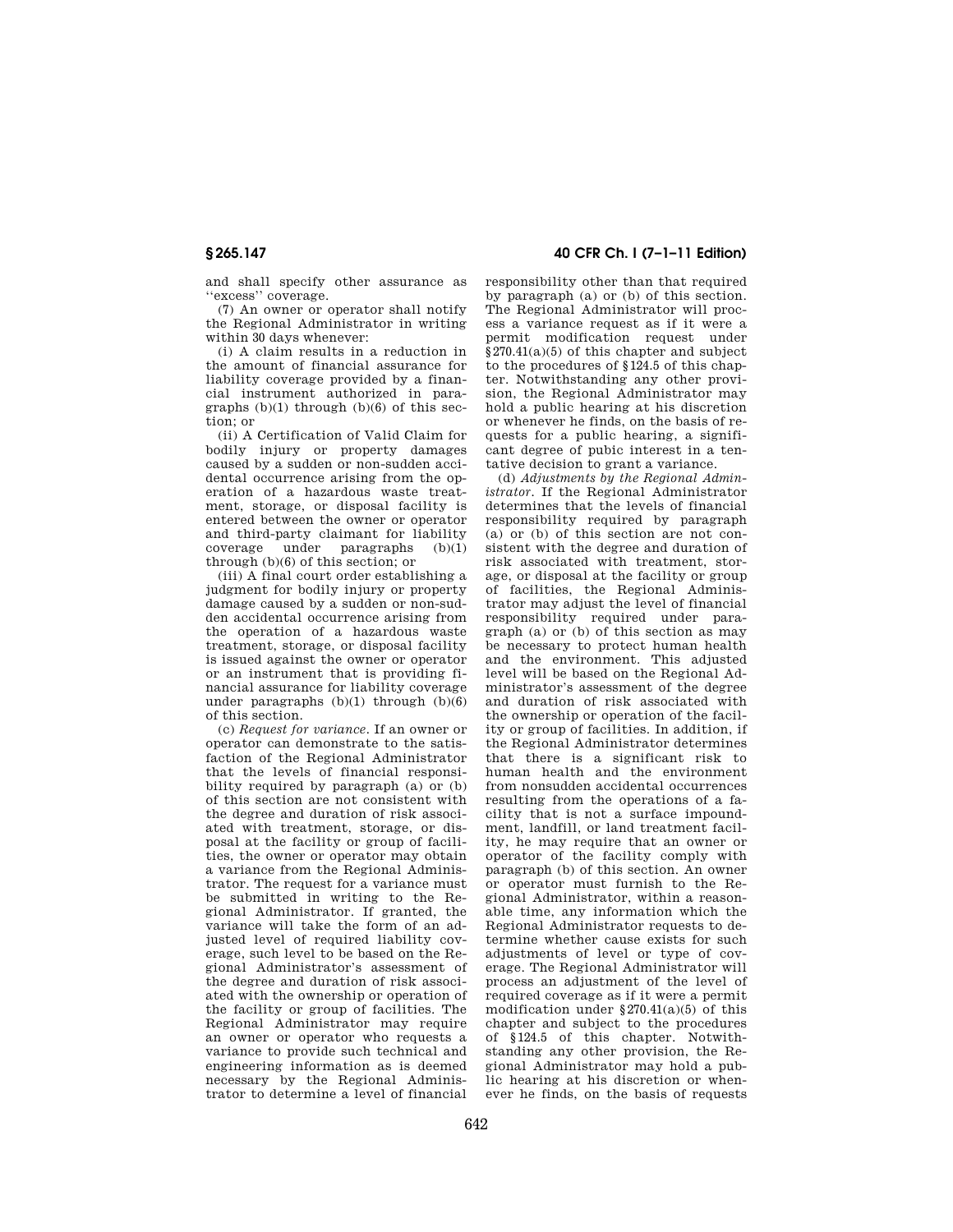and shall specify other assurance as ''excess'' coverage.

(7) An owner or operator shall notify the Regional Administrator in writing within 30 days whenever:

(i) A claim results in a reduction in the amount of financial assurance for liability coverage provided by a financial instrument authorized in paragraphs  $(b)(1)$  through  $(b)(6)$  of this section; or

(ii) A Certification of Valid Claim for bodily injury or property damages caused by a sudden or non-sudden accidental occurrence arising from the operation of a hazardous waste treatment, storage, or disposal facility is entered between the owner or operator and third-party claimant for liability coverage under paragraphs (b)(1) through (b)(6) of this section; or

(iii) A final court order establishing a judgment for bodily injury or property damage caused by a sudden or non-sudden accidental occurrence arising from the operation of a hazardous waste treatment, storage, or disposal facility is issued against the owner or operator or an instrument that is providing financial assurance for liability coverage under paragraphs  $(b)(1)$  through  $(b)(6)$ of this section.

(c) *Request for variance.* If an owner or operator can demonstrate to the satisfaction of the Regional Administrator that the levels of financial responsibility required by paragraph  $(a)$  or  $(b)$ of this section are not consistent with the degree and duration of risk associated with treatment, storage, or disposal at the facility or group of facilities, the owner or operator may obtain a variance from the Regional Administrator. The request for a variance must be submitted in writing to the Regional Administrator. If granted, the variance will take the form of an adjusted level of required liability coverage, such level to be based on the Regional Administrator's assessment of the degree and duration of risk associated with the ownership or operation of the facility or group of facilities. The Regional Administrator may require an owner or operator who requests a variance to provide such technical and engineering information as is deemed necessary by the Regional Administrator to determine a level of financial

# **§ 265.147 40 CFR Ch. I (7–1–11 Edition)**

responsibility other than that required by paragraph (a) or (b) of this section. The Regional Administrator will process a variance request as if it were a permit modification request under §270.41(a)(5) of this chapter and subject to the procedures of §124.5 of this chapter. Notwithstanding any other provision, the Regional Administrator may hold a public hearing at his discretion or whenever he finds, on the basis of requests for a public hearing, a significant degree of pubic interest in a tentative decision to grant a variance.

(d) *Adjustments by the Regional Administrator.* If the Regional Administrator determines that the levels of financial responsibility required by paragraph (a) or (b) of this section are not consistent with the degree and duration of risk associated with treatment, storage, or disposal at the facility or group of facilities, the Regional Administrator may adjust the level of financial responsibility required under paragraph (a) or (b) of this section as may be necessary to protect human health and the environment. This adjusted level will be based on the Regional Administrator's assessment of the degree and duration of risk associated with the ownership or operation of the facility or group of facilities. In addition, if the Regional Administrator determines that there is a significant risk to human health and the environment from nonsudden accidental occurrences resulting from the operations of a facility that is not a surface impoundment, landfill, or land treatment facility, he may require that an owner or operator of the facility comply with paragraph (b) of this section. An owner or operator must furnish to the Regional Administrator, within a reasonable time, any information which the Regional Administrator requests to determine whether cause exists for such adjustments of level or type of coverage. The Regional Administrator will process an adjustment of the level of required coverage as if it were a permit modification under  $\S 270.41(a)(5)$  of this chapter and subject to the procedures of §124.5 of this chapter. Notwithstanding any other provision, the Regional Administrator may hold a public hearing at his discretion or whenever he finds, on the basis of requests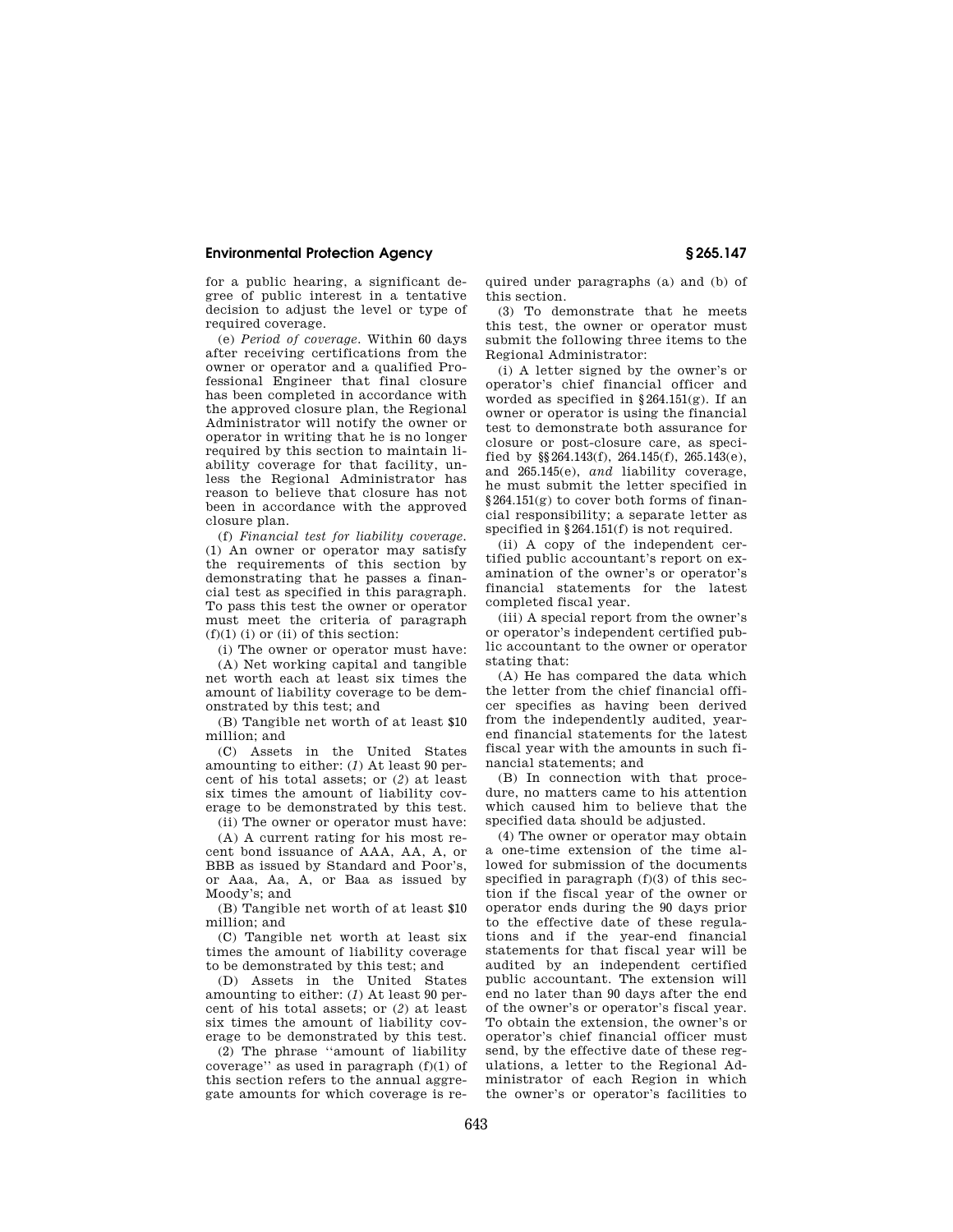for a public hearing, a significant degree of public interest in a tentative decision to adjust the level or type of required coverage.

(e) *Period of coverage.* Within 60 days after receiving certifications from the owner or operator and a qualified Professional Engineer that final closure has been completed in accordance with the approved closure plan, the Regional Administrator will notify the owner or operator in writing that he is no longer required by this section to maintain liability coverage for that facility, unless the Regional Administrator has reason to believe that closure has not been in accordance with the approved closure plan.

(f) *Financial test for liability coverage.*  (1) An owner or operator may satisfy the requirements of this section by demonstrating that he passes a financial test as specified in this paragraph. To pass this test the owner or operator must meet the criteria of paragraph  $(f)(1)$  (i) or (ii) of this section:

(i) The owner or operator must have:

(A) Net working capital and tangible net worth each at least six times the amount of liability coverage to be demonstrated by this test; and

(B) Tangible net worth of at least \$10 million; and

(C) Assets in the United States amounting to either: (*1*) At least 90 percent of his total assets; or (*2*) at least six times the amount of liability coverage to be demonstrated by this test.

(ii) The owner or operator must have:

(A) A current rating for his most recent bond issuance of AAA, AA, A, or BBB as issued by Standard and Poor's, or Aaa, Aa, A, or Baa as issued by Moody's; and

(B) Tangible net worth of at least \$10 million; and

(C) Tangible net worth at least six times the amount of liability coverage to be demonstrated by this test; and

(D) Assets in the United States amounting to either: (*1*) At least 90 percent of his total assets; or (*2*) at least six times the amount of liability coverage to be demonstrated by this test.

(2) The phrase ''amount of liability coverage'' as used in paragraph (f)(1) of this section refers to the annual aggregate amounts for which coverage is required under paragraphs (a) and (b) of this section.

(3) To demonstrate that he meets this test, the owner or operator must submit the following three items to the Regional Administrator:

(i) A letter signed by the owner's or operator's chief financial officer and worded as specified in §264.151(g). If an owner or operator is using the financial test to demonstrate both assurance for closure or post-closure care, as specified by §§264.143(f), 264.145(f), 265.143(e), and 265.145(e), *and* liability coverage, he must submit the letter specified in §264.151(g) to cover both forms of financial responsibility; a separate letter as specified in §264.151(f) is not required.

(ii) A copy of the independent certified public accountant's report on examination of the owner's or operator's financial statements for the latest completed fiscal year.

(iii) A special report from the owner's or operator's independent certified public accountant to the owner or operator stating that:

(A) He has compared the data which the letter from the chief financial officer specifies as having been derived from the independently audited, yearend financial statements for the latest fiscal year with the amounts in such financial statements; and

(B) In connection with that procedure, no matters came to his attention which caused him to believe that the specified data should be adjusted.

(4) The owner or operator may obtain a one-time extension of the time allowed for submission of the documents specified in paragraph (f)(3) of this section if the fiscal year of the owner or operator ends during the 90 days prior to the effective date of these regulations and if the year-end financial statements for that fiscal year will be audited by an independent certified public accountant. The extension will end no later than 90 days after the end of the owner's or operator's fiscal year. To obtain the extension, the owner's or operator's chief financial officer must send, by the effective date of these regulations, a letter to the Regional Administrator of each Region in which the owner's or operator's facilities to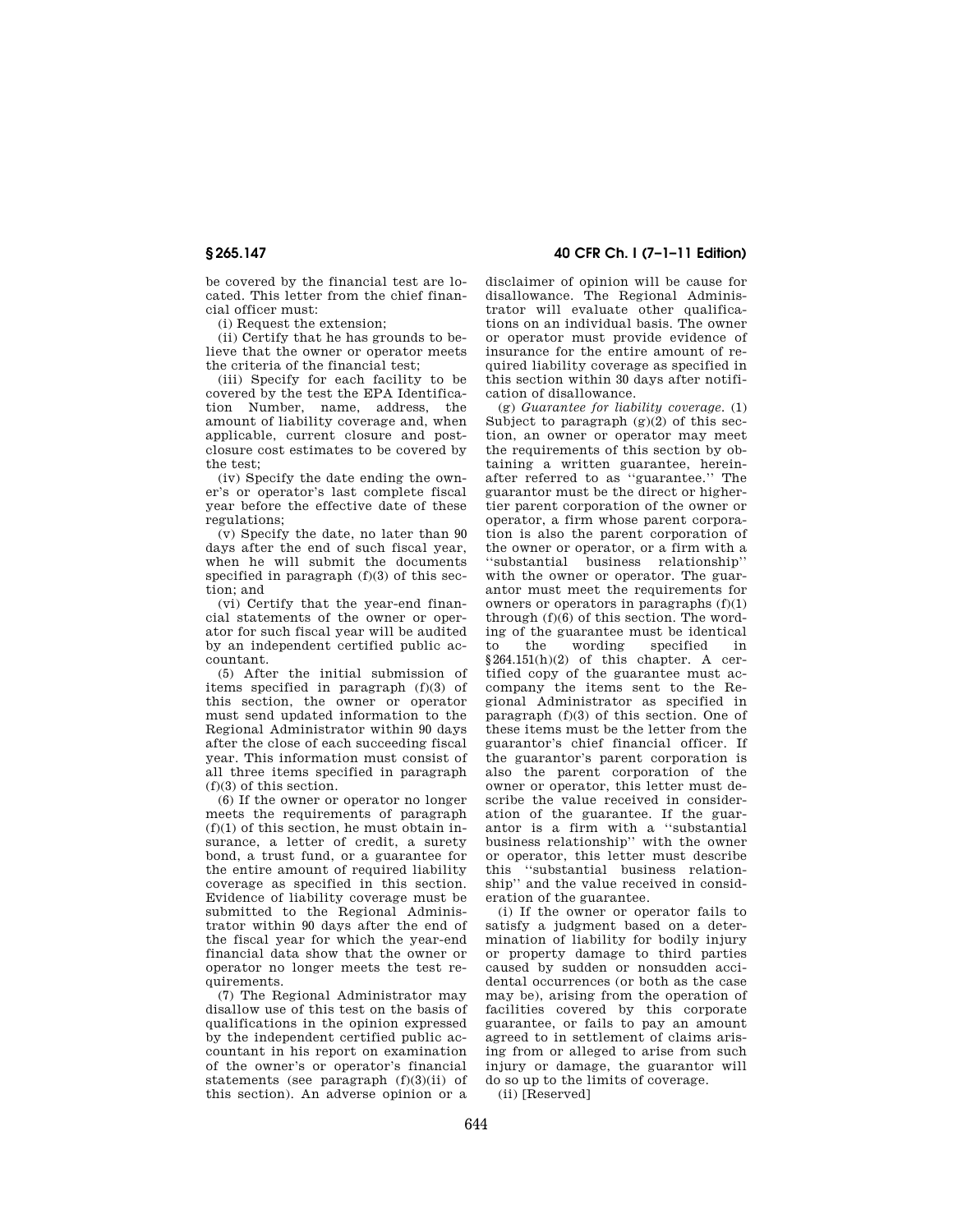be covered by the financial test are located. This letter from the chief financial officer must:

(i) Request the extension;

(ii) Certify that he has grounds to believe that the owner or operator meets the criteria of the financial test;

(iii) Specify for each facility to be covered by the test the EPA Identification Number, name, address, the amount of liability coverage and, when applicable, current closure and postclosure cost estimates to be covered by the test;

(iv) Specify the date ending the owner's or operator's last complete fiscal year before the effective date of these regulations;

(v) Specify the date, no later than 90 days after the end of such fiscal year, when he will submit the documents specified in paragraph  $(f)(3)$  of this section; and

(vi) Certify that the year-end financial statements of the owner or operator for such fiscal year will be audited by an independent certified public accountant.

(5) After the initial submission of items specified in paragraph  $(f)(3)$  of this section, the owner or operator must send updated information to the Regional Administrator within 90 days after the close of each succeeding fiscal year. This information must consist of all three items specified in paragraph (f)(3) of this section.

(6) If the owner or operator no longer meets the requirements of paragraph (f)(1) of this section, he must obtain insurance, a letter of credit, a surety bond, a trust fund, or a guarantee for the entire amount of required liability coverage as specified in this section. Evidence of liability coverage must be submitted to the Regional Administrator within 90 days after the end of the fiscal year for which the year-end financial data show that the owner or operator no longer meets the test requirements.

(7) The Regional Administrator may disallow use of this test on the basis of qualifications in the opinion expressed by the independent certified public accountant in his report on examination of the owner's or operator's financial statements (see paragraph (f)(3)(ii) of this section). An adverse opinion or a

# **§ 265.147 40 CFR Ch. I (7–1–11 Edition)**

disclaimer of opinion will be cause for disallowance. The Regional Administrator will evaluate other qualifications on an individual basis. The owner or operator must provide evidence of insurance for the entire amount of required liability coverage as specified in this section within 30 days after notification of disallowance.

(g) *Guarantee for liability coverage.* (1) Subject to paragraph  $(g)(2)$  of this section, an owner or operator may meet the requirements of this section by obtaining a written guarantee, hereinafter referred to as ''guarantee.'' The guarantor must be the direct or highertier parent corporation of the owner or operator, a firm whose parent corporation is also the parent corporation of the owner or operator, or a firm with a ''substantial business relationship'' with the owner or operator. The guarantor must meet the requirements for owners or operators in paragraphs  $(f)(1)$ through  $(f)(6)$  of this section. The wording of the guarantee must be identical to the wording specified in §264.151(h)(2) of this chapter. A certified copy of the guarantee must accompany the items sent to the Regional Administrator as specified in paragraph (f)(3) of this section. One of these items must be the letter from the guarantor's chief financial officer. If the guarantor's parent corporation is also the parent corporation of the owner or operator, this letter must describe the value received in consideration of the guarantee. If the guarantor is a firm with a ''substantial business relationship'' with the owner or operator, this letter must describe this ''substantial business relationship'' and the value received in consideration of the guarantee.

(i) If the owner or operator fails to satisfy a judgment based on a determination of liability for bodily injury or property damage to third parties caused by sudden or nonsudden accidental occurrences (or both as the case may be), arising from the operation of facilities covered by this corporate guarantee, or fails to pay an amount agreed to in settlement of claims arising from or alleged to arise from such injury or damage, the guarantor will do so up to the limits of coverage.

(ii) [Reserved]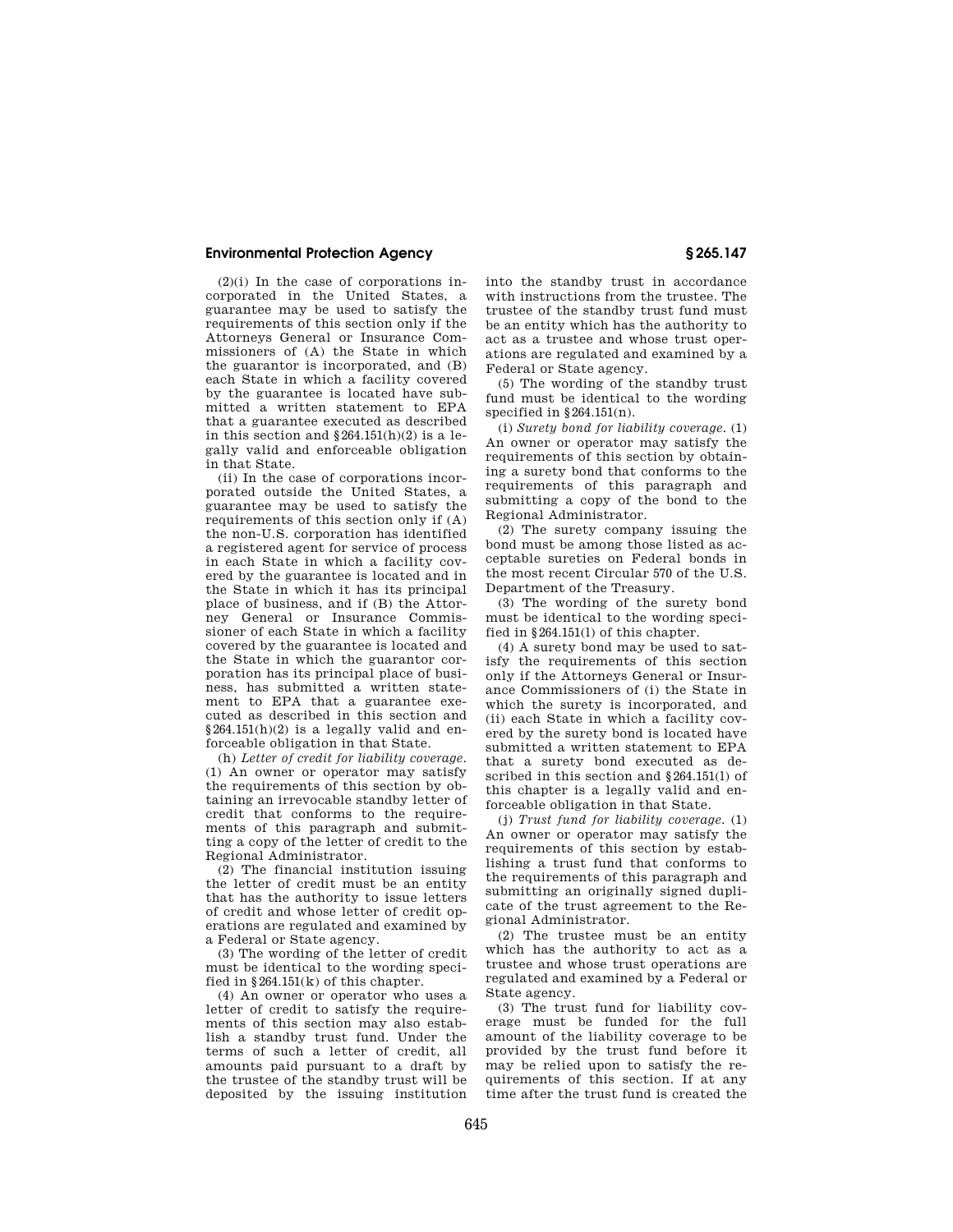$(2)(i)$  In the case of corporations incorporated in the United States, a guarantee may be used to satisfy the requirements of this section only if the Attorneys General or Insurance Commissioners of (A) the State in which the guarantor is incorporated, and (B) each State in which a facility covered by the guarantee is located have submitted a written statement to EPA that a guarantee executed as described in this section and  $\S 264.151(h)(2)$  is a legally valid and enforceable obligation in that State.

(ii) In the case of corporations incorporated outside the United States, a guarantee may be used to satisfy the requirements of this section only if  $(A)$ the non-U.S. corporation has identified a registered agent for service of process in each State in which a facility covered by the guarantee is located and in the State in which it has its principal place of business, and if (B) the Attorney General or Insurance Commissioner of each State in which a facility covered by the guarantee is located and the State in which the guarantor corporation has its principal place of business, has submitted a written statement to EPA that a guarantee executed as described in this section and §264.151(h)(2) is a legally valid and enforceable obligation in that State.

(h) *Letter of credit for liability coverage.*  (1) An owner or operator may satisfy the requirements of this section by obtaining an irrevocable standby letter of credit that conforms to the requirements of this paragraph and submitting a copy of the letter of credit to the Regional Administrator.

(2) The financial institution issuing the letter of credit must be an entity that has the authority to issue letters of credit and whose letter of credit operations are regulated and examined by a Federal or State agency.

(3) The wording of the letter of credit must be identical to the wording specified in §264.151(k) of this chapter.

(4) An owner or operator who uses a letter of credit to satisfy the requirements of this section may also establish a standby trust fund. Under the terms of such a letter of credit, all amounts paid pursuant to a draft by the trustee of the standby trust will be deposited by the issuing institution

into the standby trust in accordance with instructions from the trustee. The trustee of the standby trust fund must be an entity which has the authority to act as a trustee and whose trust operations are regulated and examined by a Federal or State agency.

(5) The wording of the standby trust fund must be identical to the wording specified in  $§264.151(n)$ .

(i) *Surety bond for liability coverage.* (1) An owner or operator may satisfy the requirements of this section by obtaining a surety bond that conforms to the requirements of this paragraph and submitting a copy of the bond to the Regional Administrator.

(2) The surety company issuing the bond must be among those listed as acceptable sureties on Federal bonds in the most recent Circular 570 of the U.S. Department of the Treasury.

(3) The wording of the surety bond must be identical to the wording specified in §264.151(l) of this chapter.

(4) A surety bond may be used to satisfy the requirements of this section only if the Attorneys General or Insurance Commissioners of (i) the State in which the surety is incorporated, and (ii) each State in which a facility covered by the surety bond is located have submitted a written statement to EPA that a surety bond executed as described in this section and §264.151(l) of this chapter is a legally valid and enforceable obligation in that State.

(j) *Trust fund for liability coverage.* (1) An owner or operator may satisfy the requirements of this section by establishing a trust fund that conforms to the requirements of this paragraph and submitting an originally signed duplicate of the trust agreement to the Regional Administrator.

(2) The trustee must be an entity which has the authority to act as a trustee and whose trust operations are regulated and examined by a Federal or State agency.

(3) The trust fund for liability coverage must be funded for the full amount of the liability coverage to be provided by the trust fund before it may be relied upon to satisfy the requirements of this section. If at any time after the trust fund is created the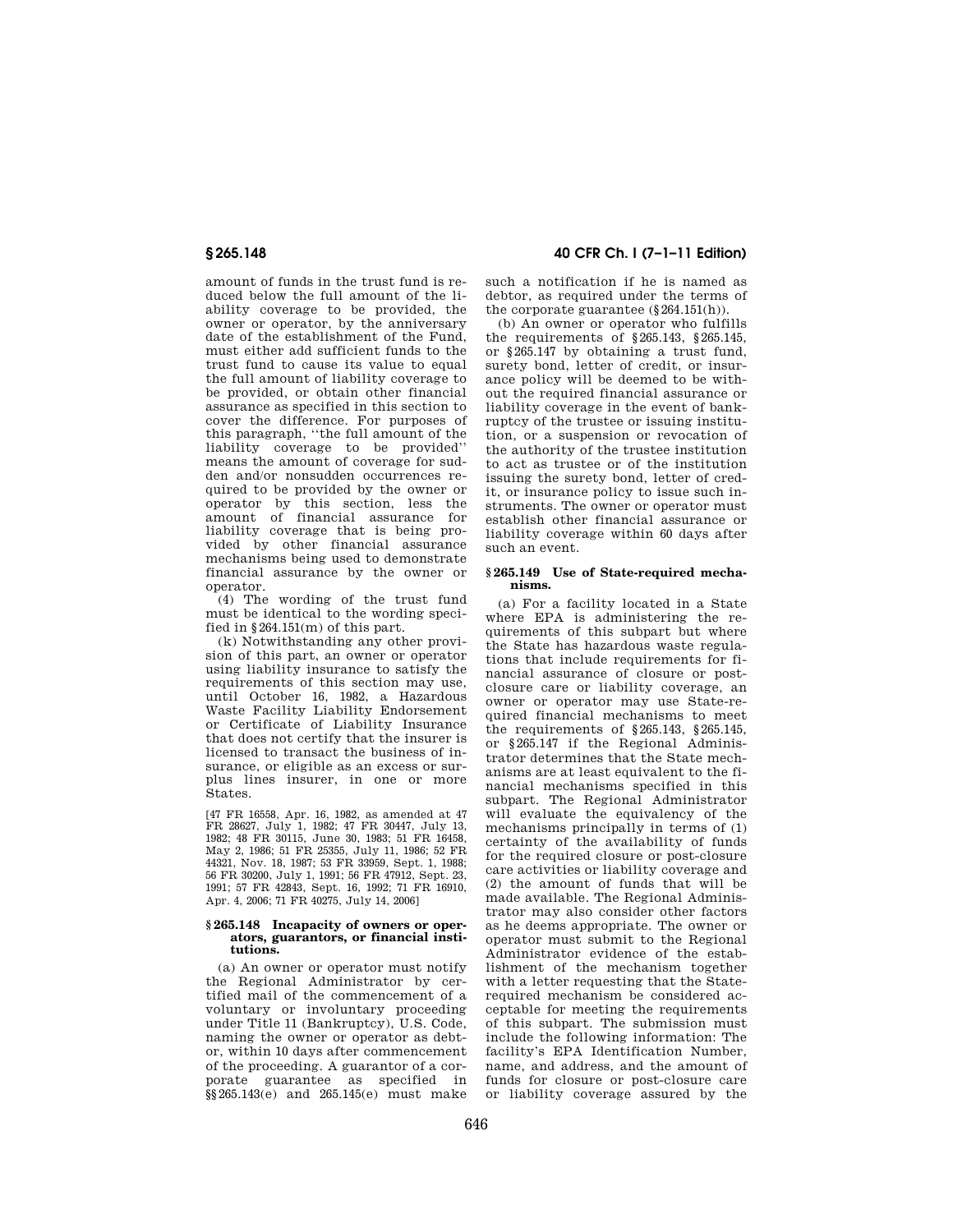amount of funds in the trust fund is reduced below the full amount of the liability coverage to be provided, the owner or operator, by the anniversary date of the establishment of the Fund, must either add sufficient funds to the trust fund to cause its value to equal the full amount of liability coverage to be provided, or obtain other financial assurance as specified in this section to cover the difference. For purposes of this paragraph, ''the full amount of the liability coverage to be provided'' means the amount of coverage for sudden and/or nonsudden occurrences required to be provided by the owner or operator by this section, less the amount of financial assurance for liability coverage that is being provided by other financial assurance mechanisms being used to demonstrate financial assurance by the owner or operator.

(4) The wording of the trust fund must be identical to the wording specified in §264.151(m) of this part.

(k) Notwithstanding any other provision of this part, an owner or operator using liability insurance to satisfy the requirements of this section may use, until October 16, 1982, a Hazardous Waste Facility Liability Endorsement or Certificate of Liability Insurance that does not certify that the insurer is licensed to transact the business of insurance, or eligible as an excess or surplus lines insurer, in one or more States.

[47 FR 16558, Apr. 16, 1982, as amended at 47 FR 28627, July 1, 1982; 47 FR 30447, July 13, 1982; 48 FR 30115, June 30, 1983; 51 FR 16458, May 2, 1986; 51 FR 25355, July 11, 1986; 52 FR 44321, Nov. 18, 1987; 53 FR 33959, Sept. 1, 1988; 56 FR 30200, July 1, 1991; 56 FR 47912, Sept. 23, 1991; 57 FR 42843, Sept. 16, 1992; 71 FR 16910, Apr. 4, 2006; 71 FR 40275, July 14, 2006]

#### **§ 265.148 Incapacity of owners or operators, guarantors, or financial institutions.**

(a) An owner or operator must notify the Regional Administrator by certified mail of the commencement of a voluntary or involuntary proceeding under Title 11 (Bankruptcy), U.S. Code, naming the owner or operator as debtor, within 10 days after commencement of the proceeding. A guarantor of a corporate guarantee as specified in  $\S$ §265.143(e) and 265.145(e) must make

# **§ 265.148 40 CFR Ch. I (7–1–11 Edition)**

such a notification if he is named as debtor, as required under the terms of the corporate guarantee  $(\S 264.151(h))$ .

(b) An owner or operator who fulfills the requirements of §265.143, §265.145, or §265.147 by obtaining a trust fund, surety bond, letter of credit, or insurance policy will be deemed to be without the required financial assurance or liability coverage in the event of bankruptcy of the trustee or issuing institution, or a suspension or revocation of the authority of the trustee institution to act as trustee or of the institution issuing the surety bond, letter of credit, or insurance policy to issue such instruments. The owner or operator must establish other financial assurance or liability coverage within 60 days after such an event.

#### **§ 265.149 Use of State-required mechanisms.**

(a) For a facility located in a State where EPA is administering the requirements of this subpart but where the State has hazardous waste regulations that include requirements for financial assurance of closure or postclosure care or liability coverage, an owner or operator may use State-required financial mechanisms to meet the requirements of §265.143, §265.145, or §265.147 if the Regional Administrator determines that the State mechanisms are at least equivalent to the financial mechanisms specified in this subpart. The Regional Administrator will evaluate the equivalency of the mechanisms principally in terms of (1) certainty of the availability of funds for the required closure or post-closure care activities or liability coverage and (2) the amount of funds that will be made available. The Regional Administrator may also consider other factors as he deems appropriate. The owner or operator must submit to the Regional Administrator evidence of the establishment of the mechanism together with a letter requesting that the Staterequired mechanism be considered acceptable for meeting the requirements of this subpart. The submission must include the following information: The facility's EPA Identification Number, name, and address, and the amount of funds for closure or post-closure care or liability coverage assured by the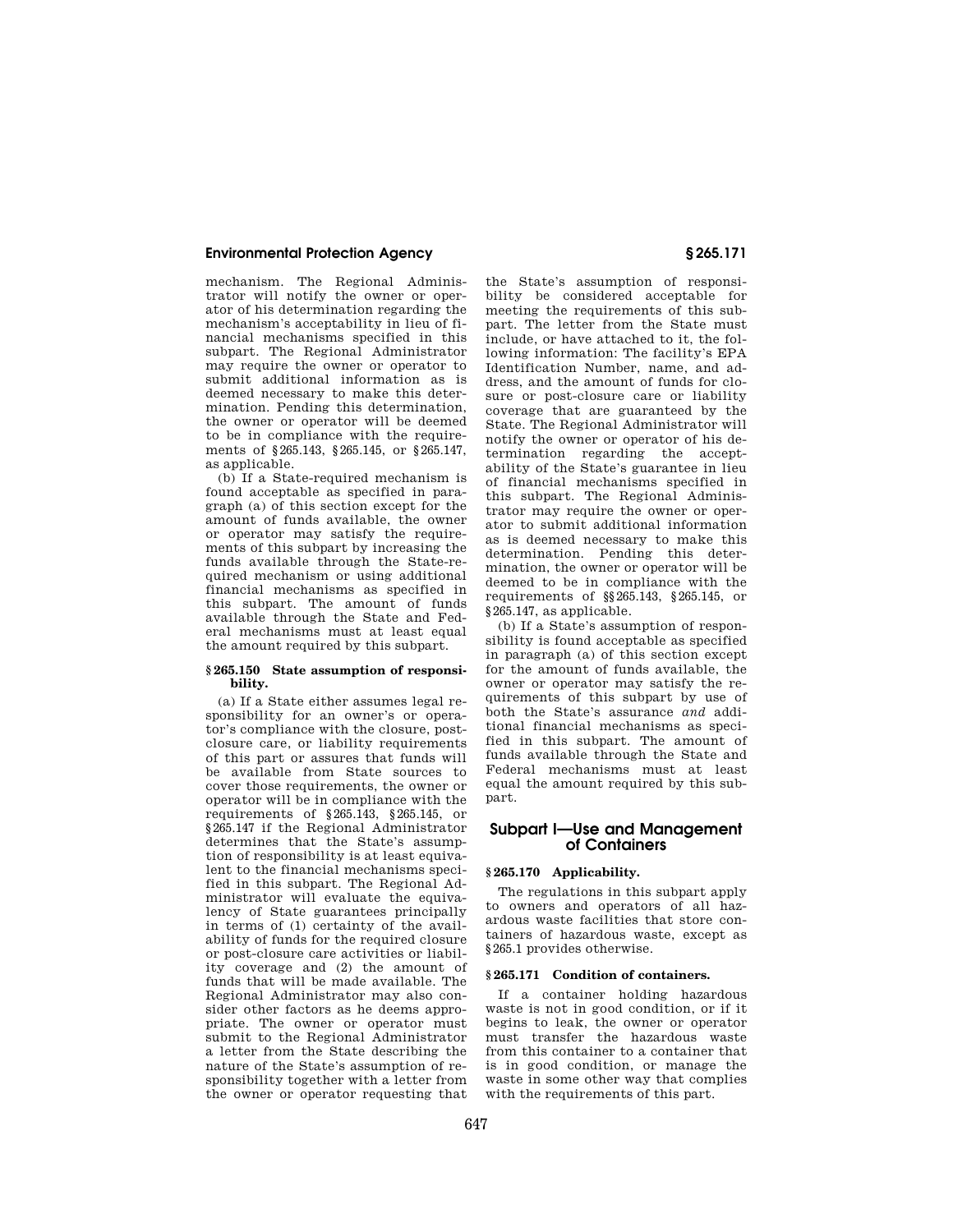mechanism. The Regional Administrator will notify the owner or operator of his determination regarding the mechanism's acceptability in lieu of financial mechanisms specified in this subpart. The Regional Administrator may require the owner or operator to submit additional information as is deemed necessary to make this determination. Pending this determination, the owner or operator will be deemed to be in compliance with the requirements of §265.143, §265.145, or §265.147, as applicable.

(b) If a State-required mechanism is found acceptable as specified in paragraph (a) of this section except for the amount of funds available, the owner or operator may satisfy the requirements of this subpart by increasing the funds available through the State-required mechanism or using additional financial mechanisms as specified in this subpart. The amount of funds available through the State and Federal mechanisms must at least equal the amount required by this subpart.

#### **§ 265.150 State assumption of responsibility.**

(a) If a State either assumes legal responsibility for an owner's or operator's compliance with the closure, postclosure care, or liability requirements of this part or assures that funds will be available from State sources to cover those requirements, the owner or operator will be in compliance with the requirements of §265.143, §265.145, or §265.147 if the Regional Administrator determines that the State's assumption of responsibility is at least equivalent to the financial mechanisms specified in this subpart. The Regional Administrator will evaluate the equivalency of State guarantees principally in terms of (1) certainty of the availability of funds for the required closure or post-closure care activities or liability coverage and (2) the amount of funds that will be made available. The Regional Administrator may also consider other factors as he deems appropriate. The owner or operator must submit to the Regional Administrator a letter from the State describing the nature of the State's assumption of responsibility together with a letter from the owner or operator requesting that

the State's assumption of responsibility be considered acceptable for meeting the requirements of this subpart. The letter from the State must include, or have attached to it, the following information: The facility's EPA Identification Number, name, and address, and the amount of funds for closure or post-closure care or liability coverage that are guaranteed by the State. The Regional Administrator will notify the owner or operator of his determination regarding the acceptability of the State's guarantee in lieu of financial mechanisms specified in this subpart. The Regional Administrator may require the owner or operator to submit additional information as is deemed necessary to make this determination. Pending this determination, the owner or operator will be deemed to be in compliance with the requirements of §§265.143, §265.145, or §265.147, as applicable.

(b) If a State's assumption of responsibility is found acceptable as specified in paragraph (a) of this section except for the amount of funds available, the owner or operator may satisfy the requirements of this subpart by use of both the State's assurance *and* additional financial mechanisms as specified in this subpart. The amount of funds available through the State and Federal mechanisms must at least equal the amount required by this subpart.

# **Subpart I—Use and Management of Containers**

# **§ 265.170 Applicability.**

The regulations in this subpart apply to owners and operators of all hazardous waste facilities that store containers of hazardous waste, except as §265.1 provides otherwise.

## **§ 265.171 Condition of containers.**

If a container holding hazardous waste is not in good condition, or if it begins to leak, the owner or operator must transfer the hazardous waste from this container to a container that is in good condition, or manage the waste in some other way that complies with the requirements of this part.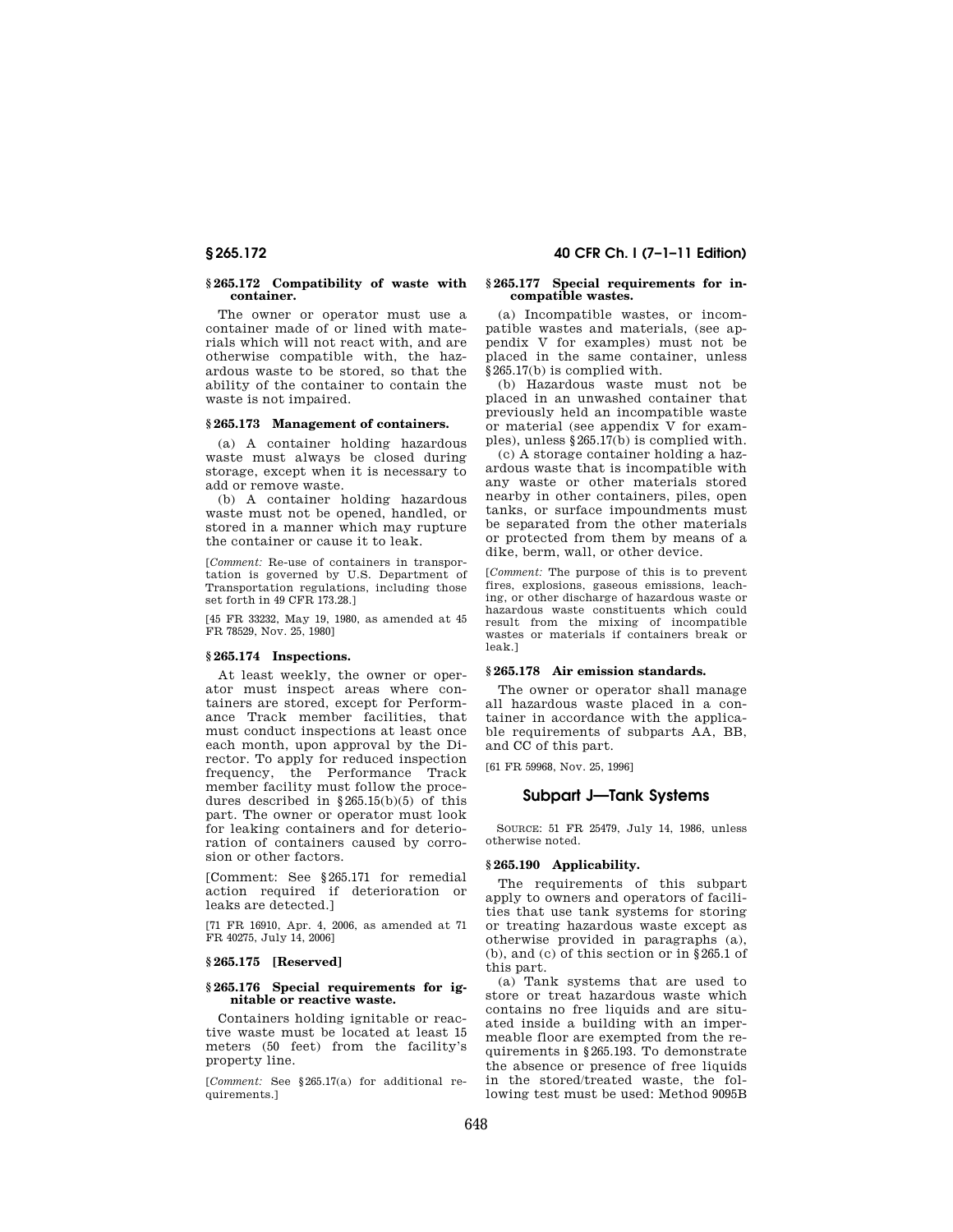#### **§ 265.172 Compatibility of waste with container.**

The owner or operator must use a container made of or lined with materials which will not react with, and are otherwise compatible with, the hazardous waste to be stored, so that the ability of the container to contain the waste is not impaired.

# **§ 265.173 Management of containers.**

(a) A container holding hazardous waste must always be closed during storage, except when it is necessary to add or remove waste.

(b) A container holding hazardous waste must not be opened, handled, or stored in a manner which may rupture the container or cause it to leak.

[*Comment:* Re-use of containers in transportation is governed by U.S. Department of Transportation regulations, including those set forth in 49 CFR 173.28.]

[45 FR 33232, May 19, 1980, as amended at 45 FR 78529, Nov. 25, 1980]

#### **§ 265.174 Inspections.**

At least weekly, the owner or operator must inspect areas where containers are stored, except for Performance Track member facilities, that must conduct inspections at least once each month, upon approval by the Director. To apply for reduced inspection frequency, the Performance Track member facility must follow the procedures described in §265.15(b)(5) of this part. The owner or operator must look for leaking containers and for deterioration of containers caused by corrosion or other factors.

[Comment: See §265.171 for remedial action required if deterioration or leaks are detected.]

[71 FR 16910, Apr. 4, 2006, as amended at 71 FR 40275, July 14, 2006]

#### **§ 265.175 [Reserved]**

#### **§ 265.176 Special requirements for ignitable or reactive waste.**

Containers holding ignitable or reactive waste must be located at least 15 meters (50 feet) from the facility's property line.

[*Comment:* See §265.17(a) for additional requirements.]

# **§ 265.172 40 CFR Ch. I (7–1–11 Edition)**

#### **§ 265.177 Special requirements for incompatible wastes.**

(a) Incompatible wastes, or incompatible wastes and materials, (see appendix V for examples) must not be placed in the same container, unless §265.17(b) is complied with.

(b) Hazardous waste must not be placed in an unwashed container that previously held an incompatible waste or material (see appendix V for examples), unless  $$265.17(b)$  is complied with.

(c) A storage container holding a hazardous waste that is incompatible with any waste or other materials stored nearby in other containers, piles, open tanks, or surface impoundments must be separated from the other materials or protected from them by means of a dike, berm, wall, or other device.

[*Comment:* The purpose of this is to prevent fires, explosions, gaseous emissions, leaching, or other discharge of hazardous waste or hazardous waste constituents which could result from the mixing of incompatible wastes or materials if containers break or leak.]

#### **§ 265.178 Air emission standards.**

The owner or operator shall manage all hazardous waste placed in a container in accordance with the applicable requirements of subparts AA, BB, and CC of this part.

[61 FR 59968, Nov. 25, 1996]

## **Subpart J—Tank Systems**

SOURCE: 51 FR 25479, July 14, 1986, unless otherwise noted.

#### **§ 265.190 Applicability.**

The requirements of this subpart apply to owners and operators of facilities that use tank systems for storing or treating hazardous waste except as otherwise provided in paragraphs (a), (b), and (c) of this section or in §265.1 of this part.

(a) Tank systems that are used to store or treat hazardous waste which contains no free liquids and are situated inside a building with an impermeable floor are exempted from the requirements in §265.193. To demonstrate the absence or presence of free liquids in the stored/treated waste, the following test must be used: Method 9095B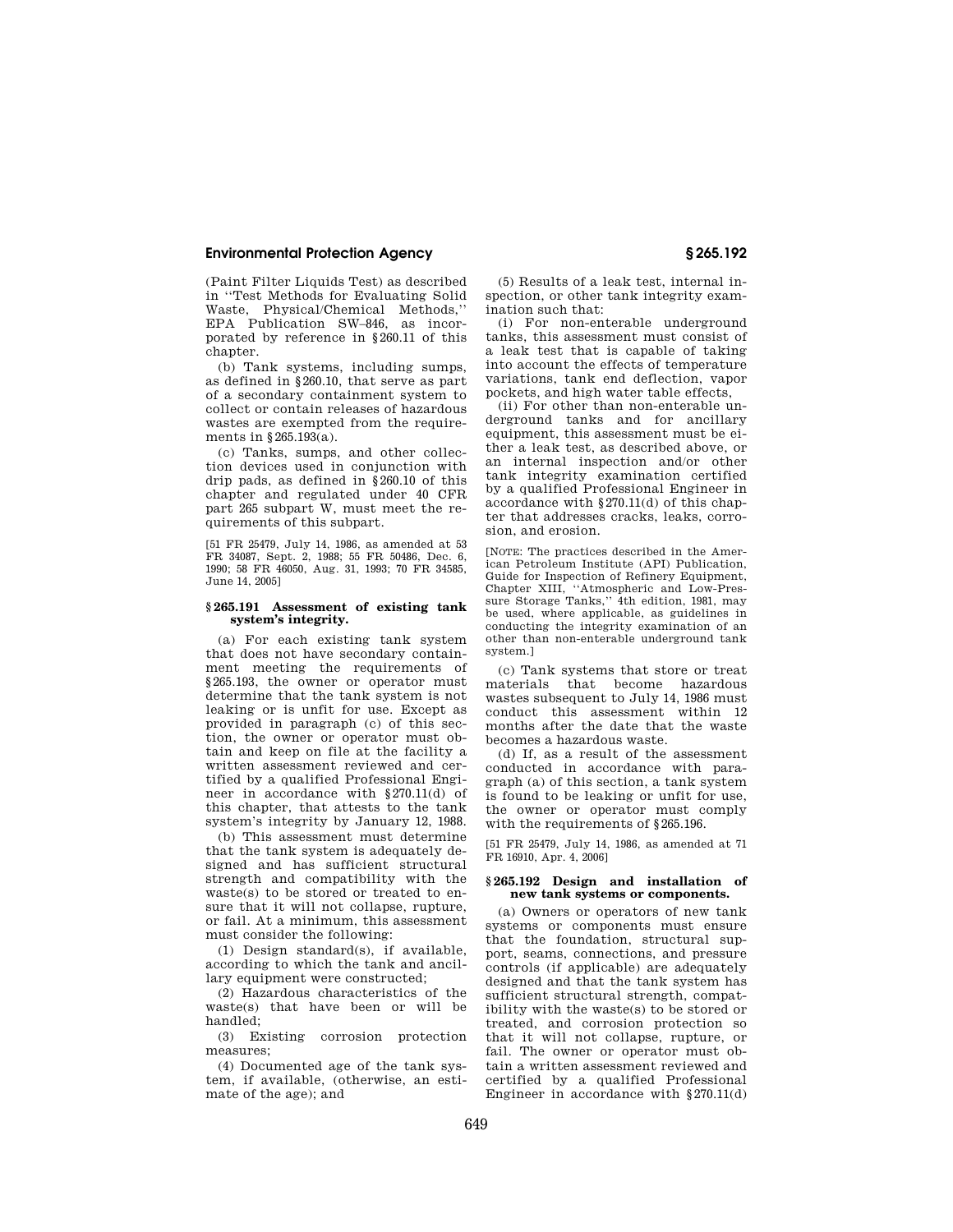(Paint Filter Liquids Test) as described in ''Test Methods for Evaluating Solid Waste, Physical/Chemical Methods,'' EPA Publication SW–846, as incorporated by reference in §260.11 of this chapter.

(b) Tank systems, including sumps, as defined in §260.10, that serve as part of a secondary containment system to collect or contain releases of hazardous wastes are exempted from the requirements in §265.193(a).

(c) Tanks, sumps, and other collection devices used in conjunction with drip pads, as defined in §260.10 of this chapter and regulated under 40 CFR part 265 subpart W, must meet the requirements of this subpart.

[51 FR 25479, July 14, 1986, as amended at 53 FR 34087, Sept. 2, 1988; 55 FR 50486, Dec. 6, 1990; 58 FR 46050, Aug. 31, 1993; 70 FR 34585, June 14, 2005]

#### **§ 265.191 Assessment of existing tank system's integrity.**

(a) For each existing tank system that does not have secondary containment meeting the requirements of §265.193, the owner or operator must determine that the tank system is not leaking or is unfit for use. Except as provided in paragraph (c) of this section, the owner or operator must obtain and keep on file at the facility a written assessment reviewed and certified by a qualified Professional Engineer in accordance with §270.11(d) of this chapter, that attests to the tank system's integrity by January 12, 1988.

(b) This assessment must determine that the tank system is adequately designed and has sufficient structural strength and compatibility with the waste(s) to be stored or treated to ensure that it will not collapse, rupture, or fail. At a minimum, this assessment must consider the following:

(1) Design standard(s), if available, according to which the tank and ancillary equipment were constructed;

(2) Hazardous characteristics of the waste(s) that have been or will be handled;

(3) Existing corrosion protection measures;

(4) Documented age of the tank system, if available, (otherwise, an estimate of the age); and

(5) Results of a leak test, internal inspection, or other tank integrity examination such that:

(i) For non-enterable underground tanks, this assessment must consist of a leak test that is capable of taking into account the effects of temperature variations, tank end deflection, vapor pockets, and high water table effects,

(ii) For other than non-enterable underground tanks and for ancillary equipment, this assessment must be either a leak test, as described above, or an internal inspection and/or other tank integrity examination certified by a qualified Professional Engineer in accordance with §270.11(d) of this chapter that addresses cracks, leaks, corrosion, and erosion.

[NOTE: The practices described in the American Petroleum Institute (API) Publication, Guide for Inspection of Refinery Equipment, Chapter XIII, ''Atmospheric and Low-Pressure Storage Tanks,'' 4th edition, 1981, may be used, where applicable, as guidelines in conducting the integrity examination of an other than non-enterable underground tank system.]

(c) Tank systems that store or treat materials that become hazardous wastes subsequent to July 14, 1986 must conduct this assessment within 12 months after the date that the waste becomes a hazardous waste.

(d) If, as a result of the assessment conducted in accordance with paragraph (a) of this section, a tank system is found to be leaking or unfit for use, the owner or operator must comply with the requirements of §265.196.

[51 FR 25479, July 14, 1986, as amended at 71 FR 16910, Apr. 4, 2006]

#### **§ 265.192 Design and installation of new tank systems or components.**

(a) Owners or operators of new tank systems or components must ensure that the foundation, structural support, seams, connections, and pressure controls (if applicable) are adequately designed and that the tank system has sufficient structural strength, compatibility with the waste(s) to be stored or treated, and corrosion protection so that it will not collapse, rupture, or fail. The owner or operator must obtain a written assessment reviewed and certified by a qualified Professional Engineer in accordance with  $$270.11(d)$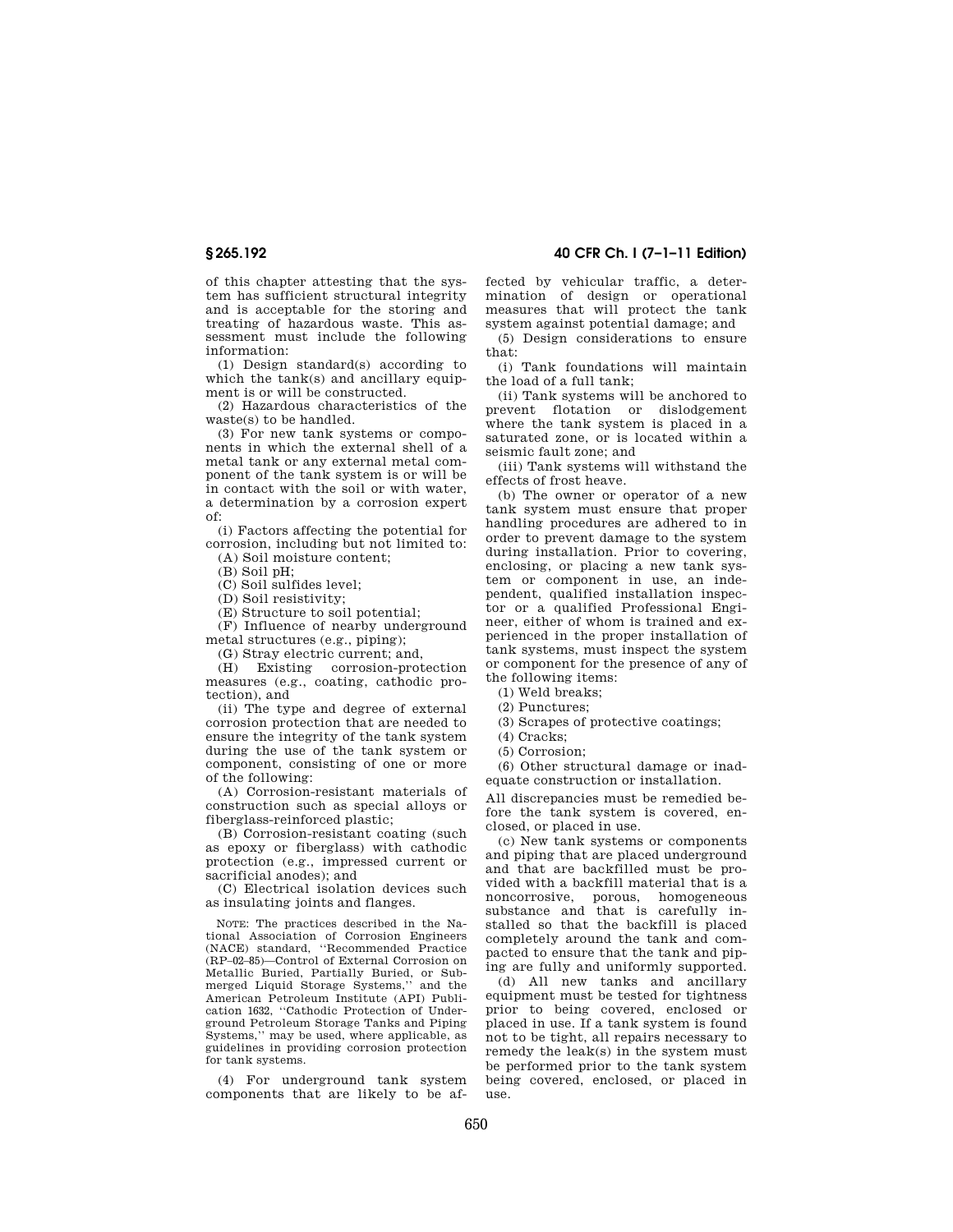of this chapter attesting that the system has sufficient structural integrity and is acceptable for the storing and treating of hazardous waste. This assessment must include the following information:

(1) Design standard(s) according to which the tank(s) and ancillary equipment is or will be constructed.

(2) Hazardous characteristics of the waste(s) to be handled.

(3) For new tank systems or components in which the external shell of a metal tank or any external metal component of the tank system is or will be in contact with the soil or with water, a determination by a corrosion expert of:

(i) Factors affecting the potential for corrosion, including but not limited to:

(A) Soil moisture content; (B) Soil pH;

(C) Soil sulfides level;

(D) Soil resistivity; (E) Structure to soil potential;

(F) Influence of nearby underground metal structures (e.g., piping);

(G) Stray electric current; and,

(H) Existing corrosion-protection measures (e.g., coating, cathodic protection), and

(ii) The type and degree of external corrosion protection that are needed to ensure the integrity of the tank system during the use of the tank system or component, consisting of one or more of the following:

(A) Corrosion-resistant materials of construction such as special alloys or fiberglass-reinforced plastic;

(B) Corrosion-resistant coating (such as epoxy or fiberglass) with cathodic protection (e.g., impressed current or sacrificial anodes); and

(C) Electrical isolation devices such as insulating joints and flanges.

NOTE: The practices described in the National Association of Corrosion Engineers (NACE) standard, ''Recommended Practice (RP–02–85)—Control of External Corrosion on Metallic Buried, Partially Buried, or Submerged Liquid Storage Systems," American Petroleum Institute (API) Publication 1632, ''Cathodic Protection of Underground Petroleum Storage Tanks and Piping Systems,'' may be used, where applicable, as guidelines in providing corrosion protection for tank systems.

(4) For underground tank system components that are likely to be af-

**§ 265.192 40 CFR Ch. I (7–1–11 Edition)** 

fected by vehicular traffic, a determination of design or operational measures that will protect the tank system against potential damage; and

(5) Design considerations to ensure that:

(i) Tank foundations will maintain the load of a full tank;

(ii) Tank systems will be anchored to prevent flotation or dislodgement where the tank system is placed in a saturated zone, or is located within a seismic fault zone; and

(iii) Tank systems will withstand the effects of frost heave.

(b) The owner or operator of a new tank system must ensure that proper handling procedures are adhered to in order to prevent damage to the system during installation. Prior to covering, enclosing, or placing a new tank system or component in use, an independent, qualified installation inspector or a qualified Professional Engineer, either of whom is trained and experienced in the proper installation of tank systems, must inspect the system or component for the presence of any of the following items:

(1) Weld breaks;

(2) Punctures;

- (3) Scrapes of protective coatings;
- (4) Cracks;
- (5) Corrosion;

(6) Other structural damage or inadequate construction or installation.

All discrepancies must be remedied before the tank system is covered, enclosed, or placed in use.

(c) New tank systems or components and piping that are placed underground and that are backfilled must be provided with a backfill material that is a noncorrosive, porous, homogeneous substance and that is carefully installed so that the backfill is placed completely around the tank and compacted to ensure that the tank and piping are fully and uniformly supported.

(d) All new tanks and ancillary equipment must be tested for tightness prior to being covered, enclosed or placed in use. If a tank system is found not to be tight, all repairs necessary to remedy the leak(s) in the system must be performed prior to the tank system being covered, enclosed, or placed in use.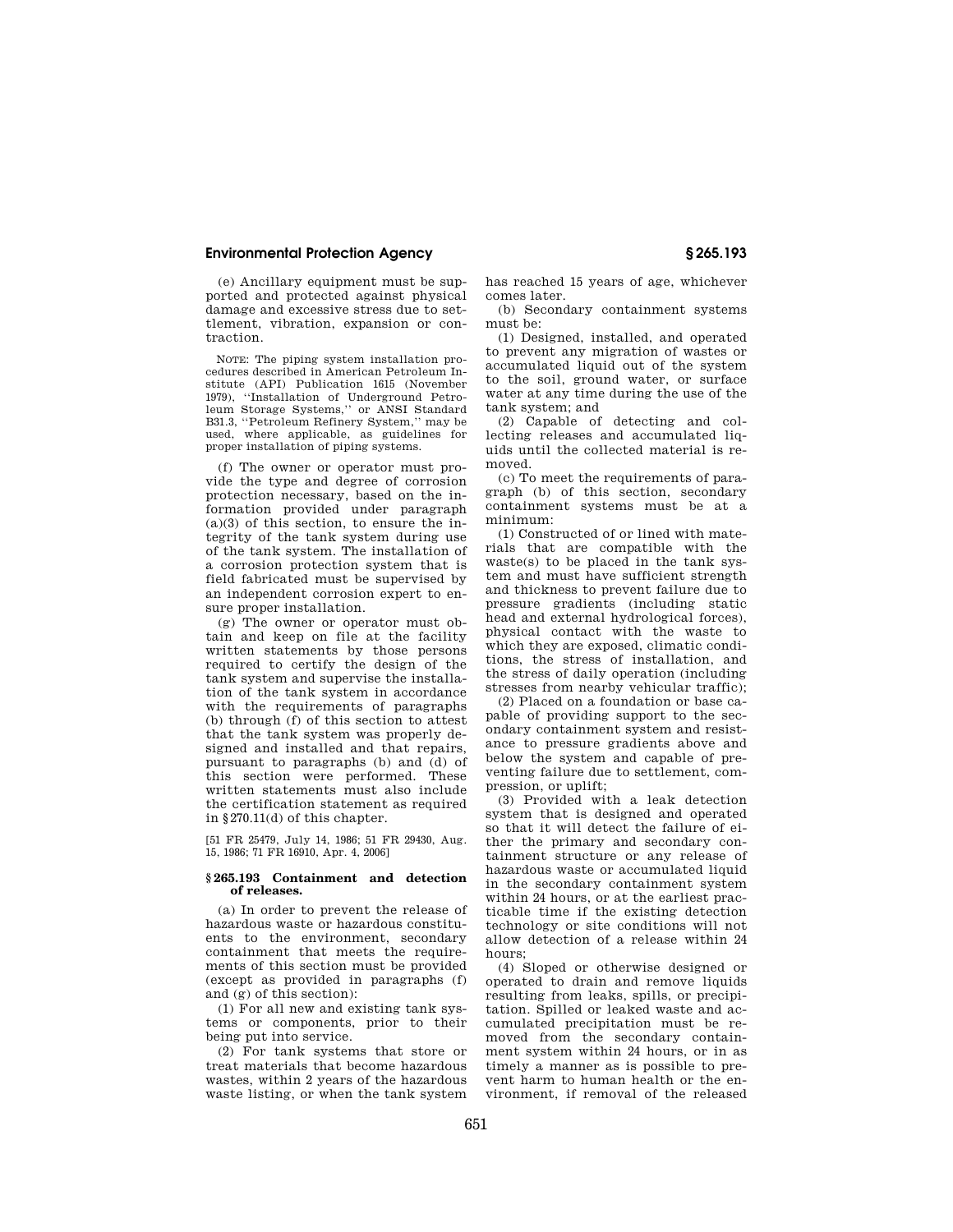(e) Ancillary equipment must be supported and protected against physical damage and excessive stress due to settlement, vibration, expansion or contraction.

NOTE: The piping system installation procedures described in American Petroleum Institute (API) Publication 1615 (November 1979), ''Installation of Underground Petroleum Storage Systems,'' or ANSI Standard B31.3, ''Petroleum Refinery System,'' may be used, where applicable, as guidelines for proper installation of piping systems.

(f) The owner or operator must provide the type and degree of corrosion protection necessary, based on the information provided under paragraph  $(a)(3)$  of this section, to ensure the integrity of the tank system during use of the tank system. The installation of a corrosion protection system that is field fabricated must be supervised by an independent corrosion expert to ensure proper installation.

(g) The owner or operator must obtain and keep on file at the facility written statements by those persons required to certify the design of the tank system and supervise the installation of the tank system in accordance with the requirements of paragraphs (b) through (f) of this section to attest that the tank system was properly designed and installed and that repairs, pursuant to paragraphs (b) and (d) of this section were performed. These written statements must also include the certification statement as required in §270.11(d) of this chapter.

[51 FR 25479, July 14, 1986; 51 FR 29430, Aug. 15, 1986; 71 FR 16910, Apr. 4, 2006]

#### **§ 265.193 Containment and detection of releases.**

(a) In order to prevent the release of hazardous waste or hazardous constituents to the environment, secondary containment that meets the requirements of this section must be provided (except as provided in paragraphs (f) and (g) of this section):

(1) For all new and existing tank systems or components, prior to their being put into service.

(2) For tank systems that store or treat materials that become hazardous wastes, within 2 years of the hazardous waste listing, or when the tank system has reached 15 years of age, whichever comes later.

(b) Secondary containment systems must be:

(1) Designed, installed, and operated to prevent any migration of wastes or accumulated liquid out of the system to the soil, ground water, or surface water at any time during the use of the tank system; and

(2) Capable of detecting and collecting releases and accumulated liquids until the collected material is removed.

(c) To meet the requirements of paragraph (b) of this section, secondary containment systems must be at a minimum:

(1) Constructed of or lined with materials that are compatible with the waste(s) to be placed in the tank system and must have sufficient strength and thickness to prevent failure due to pressure gradients (including static head and external hydrological forces), physical contact with the waste to which they are exposed, climatic conditions, the stress of installation, and the stress of daily operation (including stresses from nearby vehicular traffic);

(2) Placed on a foundation or base capable of providing support to the secondary containment system and resistance to pressure gradients above and below the system and capable of preventing failure due to settlement, compression, or uplift;

(3) Provided with a leak detection system that is designed and operated so that it will detect the failure of either the primary and secondary containment structure or any release of hazardous waste or accumulated liquid in the secondary containment system within 24 hours, or at the earliest practicable time if the existing detection technology or site conditions will not allow detection of a release within 24 hours;

(4) Sloped or otherwise designed or operated to drain and remove liquids resulting from leaks, spills, or precipitation. Spilled or leaked waste and accumulated precipitation must be removed from the secondary containment system within 24 hours, or in as timely a manner as is possible to prevent harm to human health or the environment, if removal of the released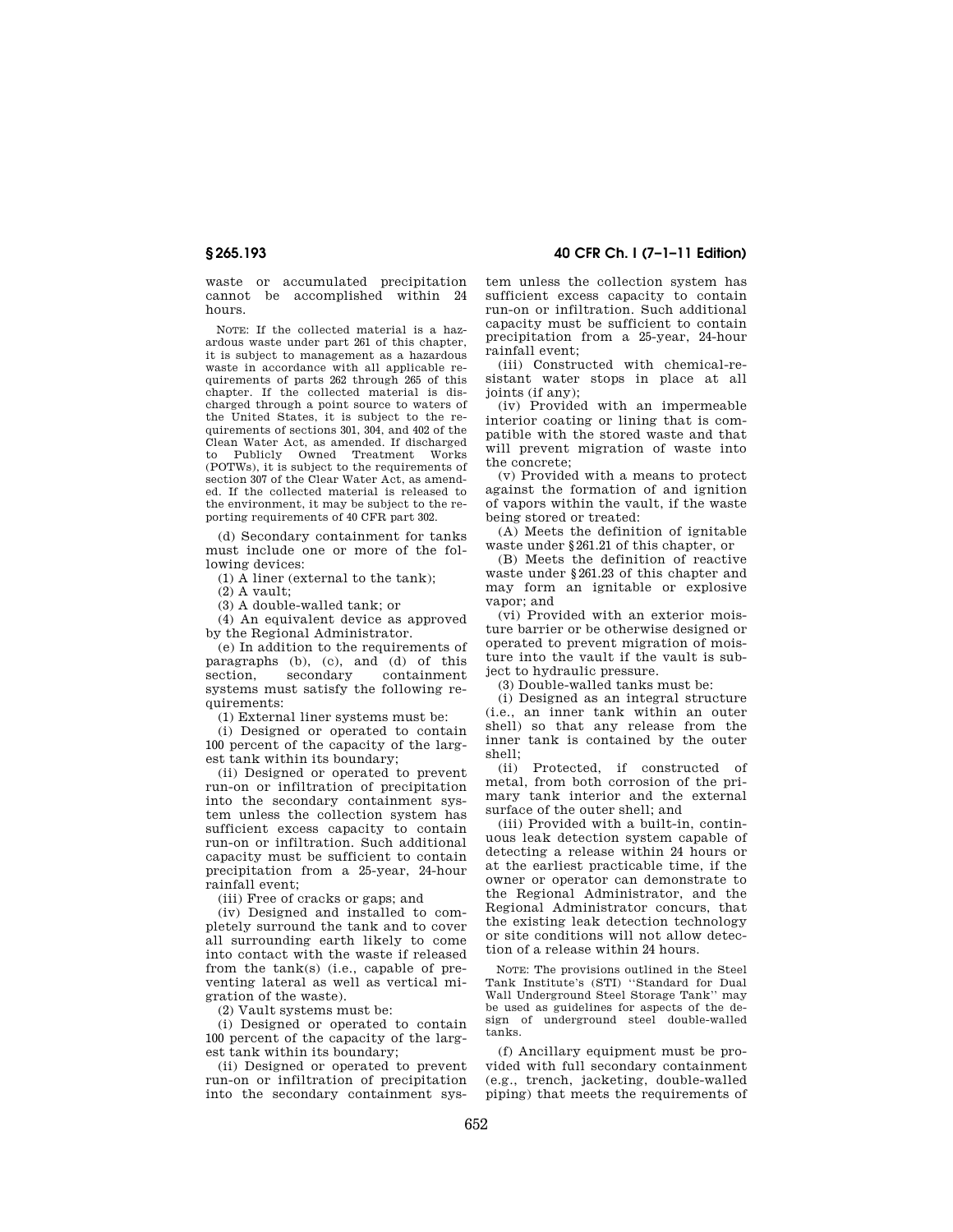waste or accumulated precipitation cannot be accomplished within 24 hours.

NOTE: If the collected material is a hazardous waste under part 261 of this chapter, it is subject to management as a hazardous waste in accordance with all applicable requirements of parts 262 through 265 of this chapter. If the collected material is discharged through a point source to waters of the United States, it is subject to the requirements of sections 301, 304, and 402 of the Clean Water Act, as amended. If discharged to Publicly Owned Treatment Works (POTWs), it is subject to the requirements of section 307 of the Clear Water Act, as amended. If the collected material is released to the environment, it may be subject to the reporting requirements of 40 CFR part 302.

(d) Secondary containment for tanks must include one or more of the following devices:

(1) A liner (external to the tank);

(2) A vault;

(3) A double-walled tank; or

(4) An equivalent device as approved by the Regional Administrator.

(e) In addition to the requirements of paragraphs (b), (c), and (d) of this<br>section secondary containment section, secondary systems must satisfy the following requirements:

(1) External liner systems must be:

(i) Designed or operated to contain 100 percent of the capacity of the largest tank within its boundary;

(ii) Designed or operated to prevent run-on or infiltration of precipitation into the secondary containment system unless the collection system has sufficient excess capacity to contain run-on or infiltration. Such additional capacity must be sufficient to contain precipitation from a 25-year, 24-hour rainfall event;

(iii) Free of cracks or gaps; and

(iv) Designed and installed to completely surround the tank and to cover all surrounding earth likely to come into contact with the waste if released from the tank(s) (i.e., capable of preventing lateral as well as vertical migration of the waste).

(2) Vault systems must be:

(i) Designed or operated to contain 100 percent of the capacity of the largest tank within its boundary;

(ii) Designed or operated to prevent run-on or infiltration of precipitation into the secondary containment sys-

**§ 265.193 40 CFR Ch. I (7–1–11 Edition)** 

tem unless the collection system has sufficient excess capacity to contain run-on or infiltration. Such additional capacity must be sufficient to contain precipitation from a 25-year, 24-hour rainfall event;

(iii) Constructed with chemical-resistant water stops in place at all joints (if any);

(iv) Provided with an impermeable interior coating or lining that is compatible with the stored waste and that will prevent migration of waste into the concrete;

(v) Provided with a means to protect against the formation of and ignition of vapors within the vault, if the waste being stored or treated:

(A) Meets the definition of ignitable waste under §261.21 of this chapter, or

(B) Meets the definition of reactive waste under §261.23 of this chapter and may form an ignitable or explosive vapor; and

(vi) Provided with an exterior moisture barrier or be otherwise designed or operated to prevent migration of moisture into the vault if the vault is subject to hydraulic pressure.

(3) Double-walled tanks must be:

(i) Designed as an integral structure (i.e., an inner tank within an outer shell) so that any release from the inner tank is contained by the outer shell;

(ii) Protected, if constructed of metal, from both corrosion of the primary tank interior and the external surface of the outer shell; and

(iii) Provided with a built-in, continuous leak detection system capable of detecting a release within 24 hours or at the earliest practicable time, if the owner or operator can demonstrate to the Regional Administrator, and the Regional Administrator concurs, that the existing leak detection technology or site conditions will not allow detection of a release within 24 hours.

NOTE: The provisions outlined in the Steel Tank Institute's (STI) ''Standard for Dual Wall Underground Steel Storage Tank'' may be used as guidelines for aspects of the design of underground steel double-walled tanks.

(f) Ancillary equipment must be provided with full secondary containment (e.g., trench, jacketing, double-walled piping) that meets the requirements of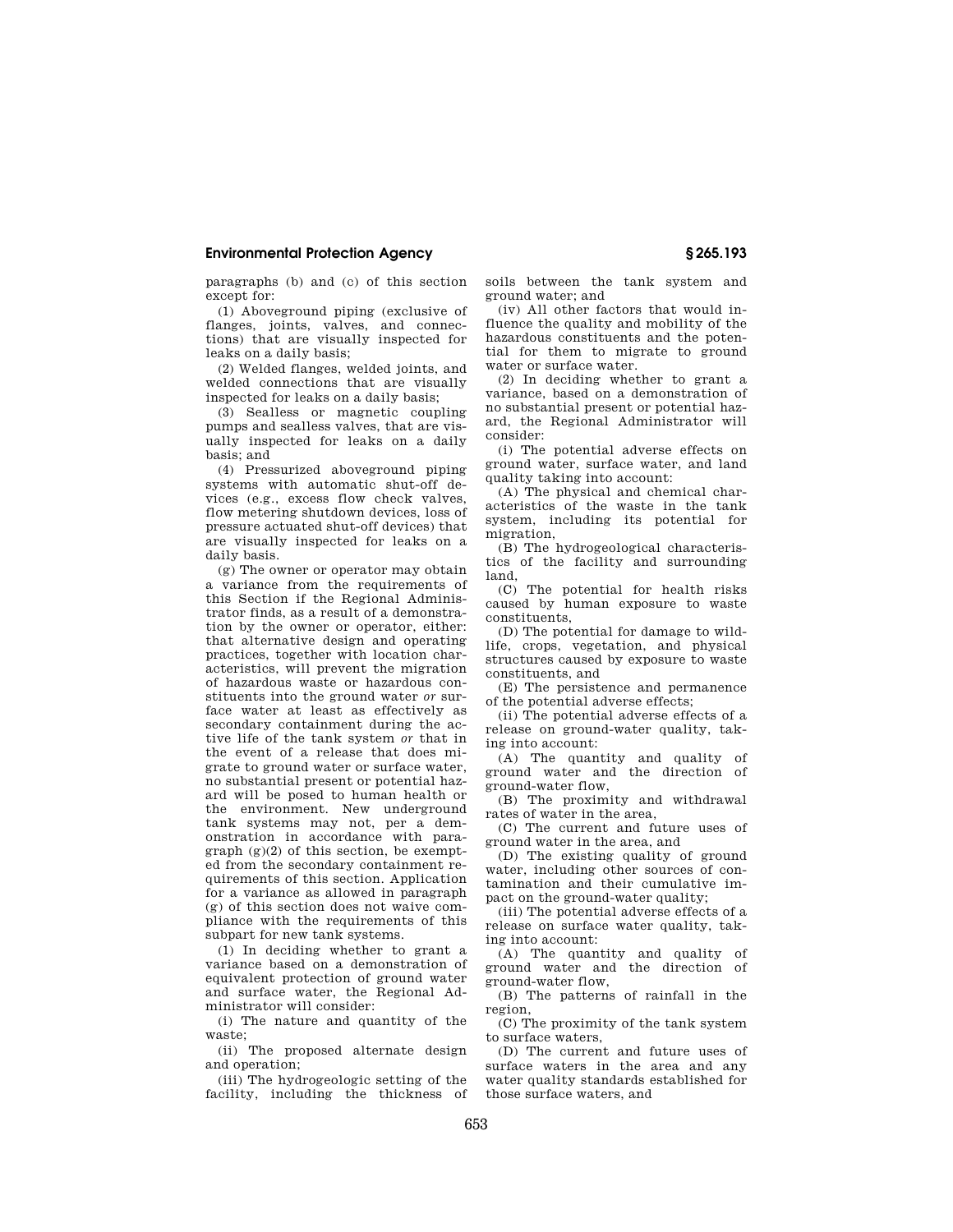paragraphs (b) and (c) of this section except for:

(1) Aboveground piping (exclusive of flanges, joints, valves, and connections) that are visually inspected for leaks on a daily basis;

(2) Welded flanges, welded joints, and welded connections that are visually inspected for leaks on a daily basis;

(3) Sealless or magnetic coupling pumps and sealless valves, that are visually inspected for leaks on a daily basis; and

(4) Pressurized aboveground piping systems with automatic shut-off devices (e.g., excess flow check valves, flow metering shutdown devices, loss of pressure actuated shut-off devices) that are visually inspected for leaks on a daily basis.

(g) The owner or operator may obtain a variance from the requirements of this Section if the Regional Administrator finds, as a result of a demonstration by the owner or operator, either: that alternative design and operating practices, together with location characteristics, will prevent the migration of hazardous waste or hazardous constituents into the ground water *or* surface water at least as effectively as secondary containment during the active life of the tank system *or* that in the event of a release that does migrate to ground water or surface water, no substantial present or potential hazard will be posed to human health or the environment. New underground tank systems may not, per a demonstration in accordance with paragraph  $(g)(2)$  of this section, be exempted from the secondary containment requirements of this section. Application for a variance as allowed in paragraph (g) of this section does not waive compliance with the requirements of this subpart for new tank systems.

(1) In deciding whether to grant a variance based on a demonstration of equivalent protection of ground water and surface water, the Regional Administrator will consider:

(i) The nature and quantity of the waste;

(ii) The proposed alternate design and operation;

(iii) The hydrogeologic setting of the facility, including the thickness of soils between the tank system and ground water; and

(iv) All other factors that would influence the quality and mobility of the hazardous constituents and the potential for them to migrate to ground water or surface water.

(2) In deciding whether to grant a variance, based on a demonstration of no substantial present or potential hazard, the Regional Administrator will consider:

(i) The potential adverse effects on ground water, surface water, and land quality taking into account:

(A) The physical and chemical characteristics of the waste in the tank system, including its potential for migration,

(B) The hydrogeological characteristics of the facility and surrounding land,

(C) The potential for health risks caused by human exposure to waste constituents,

(D) The potential for damage to wildlife, crops, vegetation, and physical structures caused by exposure to waste constituents, and

(E) The persistence and permanence of the potential adverse effects;

(ii) The potential adverse effects of a release on ground-water quality, taking into account:

(A) The quantity and quality of ground water and the direction of ground-water flow,

(B) The proximity and withdrawal rates of water in the area,

(C) The current and future uses of ground water in the area, and

(D) The existing quality of ground water, including other sources of contamination and their cumulative impact on the ground-water quality;

(iii) The potential adverse effects of a release on surface water quality, taking into account:

(A) The quantity and quality of ground water and the direction of ground-water flow,

(B) The patterns of rainfall in the region,

(C) The proximity of the tank system to surface waters,

(D) The current and future uses of surface waters in the area and any water quality standards established for those surface waters, and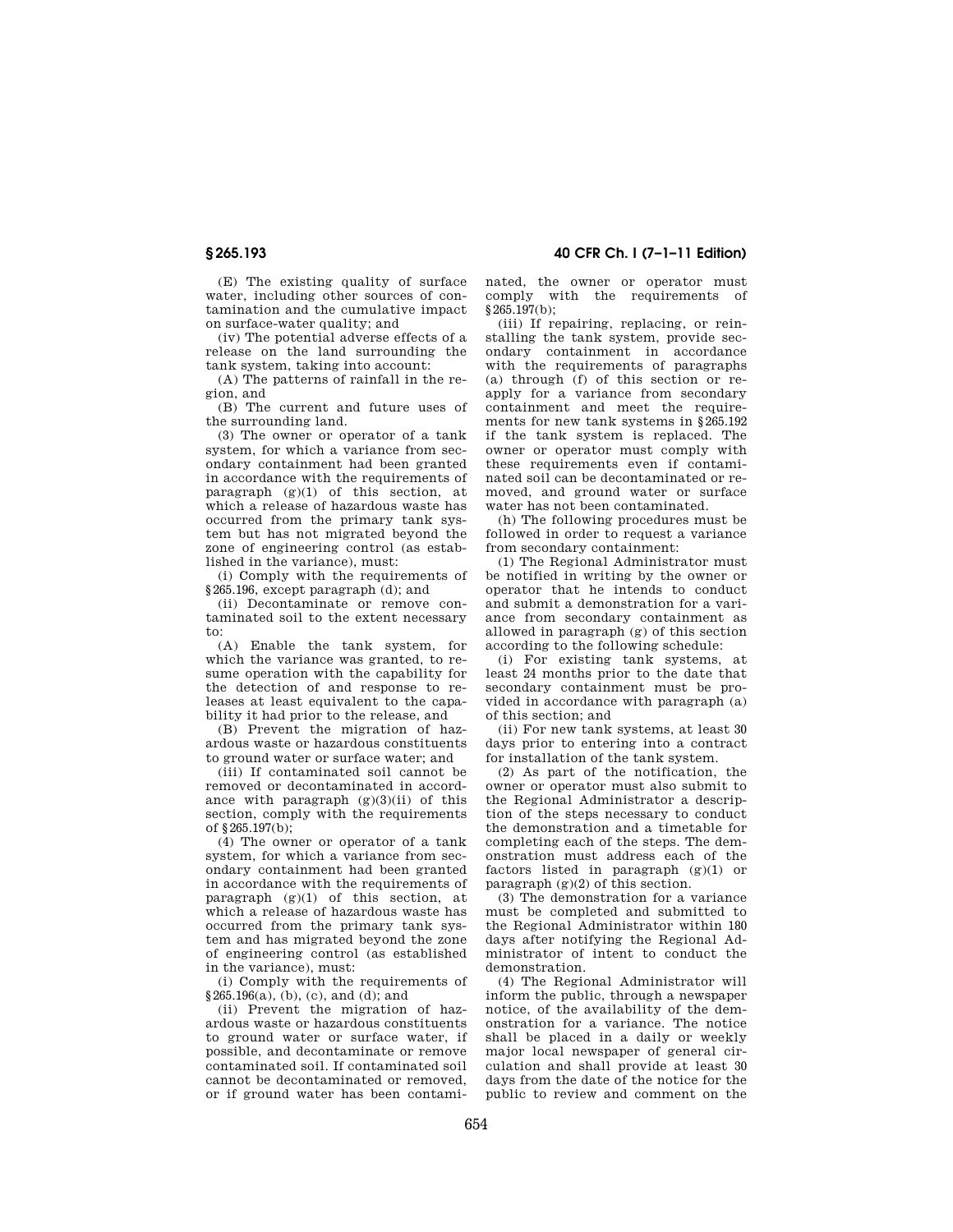(E) The existing quality of surface water, including other sources of contamination and the cumulative impact on surface-water quality; and

(iv) The potential adverse effects of a release on the land surrounding the tank system, taking into account:

(A) The patterns of rainfall in the region, and

(B) The current and future uses of the surrounding land.

(3) The owner or operator of a tank system, for which a variance from secondary containment had been granted in accordance with the requirements of paragraph  $(g)(1)$  of this section, at which a release of hazardous waste has occurred from the primary tank system but has not migrated beyond the zone of engineering control (as established in the variance), must:

(i) Comply with the requirements of §265.196, except paragraph (d); and

(ii) Decontaminate or remove contaminated soil to the extent necessary to:

(A) Enable the tank system, for which the variance was granted, to resume operation with the capability for the detection of and response to releases at least equivalent to the capability it had prior to the release, and

(B) Prevent the migration of hazardous waste or hazardous constituents to ground water or surface water; and

(iii) If contaminated soil cannot be removed or decontaminated in accordance with paragraph  $(g)(3)(ii)$  of this section, comply with the requirements of  $8.265.197(h)$ ;

(4) The owner or operator of a tank system, for which a variance from secondary containment had been granted in accordance with the requirements of paragraph (g)(1) of this section, at which a release of hazardous waste has occurred from the primary tank system and has migrated beyond the zone of engineering control (as established in the variance), must:

(i) Comply with the requirements of §265.196(a), (b), (c), and (d); and

(ii) Prevent the migration of hazardous waste or hazardous constituents to ground water or surface water, if possible, and decontaminate or remove contaminated soil. If contaminated soil cannot be decontaminated or removed, or if ground water has been contami-

**§ 265.193 40 CFR Ch. I (7–1–11 Edition)** 

nated, the owner or operator must comply with the requirements of  $§265.197(b);$ 

(iii) If repairing, replacing, or reinstalling the tank system, provide secondary containment in accordance with the requirements of paragraphs (a) through (f) of this section or reapply for a variance from secondary containment and meet the requirements for new tank systems in §265.192 if the tank system is replaced. The owner or operator must comply with these requirements even if contaminated soil can be decontaminated or removed, and ground water or surface water has not been contaminated.

(h) The following procedures must be followed in order to request a variance from secondary containment:

(1) The Regional Administrator must be notified in writing by the owner or operator that he intends to conduct and submit a demonstration for a variance from secondary containment as allowed in paragraph (g) of this section according to the following schedule:

(i) For existing tank systems, at least 24 months prior to the date that secondary containment must be provided in accordance with paragraph (a) of this section; and

(ii) For new tank systems, at least 30 days prior to entering into a contract for installation of the tank system.

(2) As part of the notification, the owner or operator must also submit to the Regional Administrator a description of the steps necessary to conduct the demonstration and a timetable for completing each of the steps. The demonstration must address each of the factors listed in paragraph (g)(1) or paragraph  $(g)(2)$  of this section.

(3) The demonstration for a variance must be completed and submitted to the Regional Administrator within 180 days after notifying the Regional Administrator of intent to conduct the demonstration.

(4) The Regional Administrator will inform the public, through a newspaper notice, of the availability of the demonstration for a variance. The notice shall be placed in a daily or weekly major local newspaper of general circulation and shall provide at least 30 days from the date of the notice for the public to review and comment on the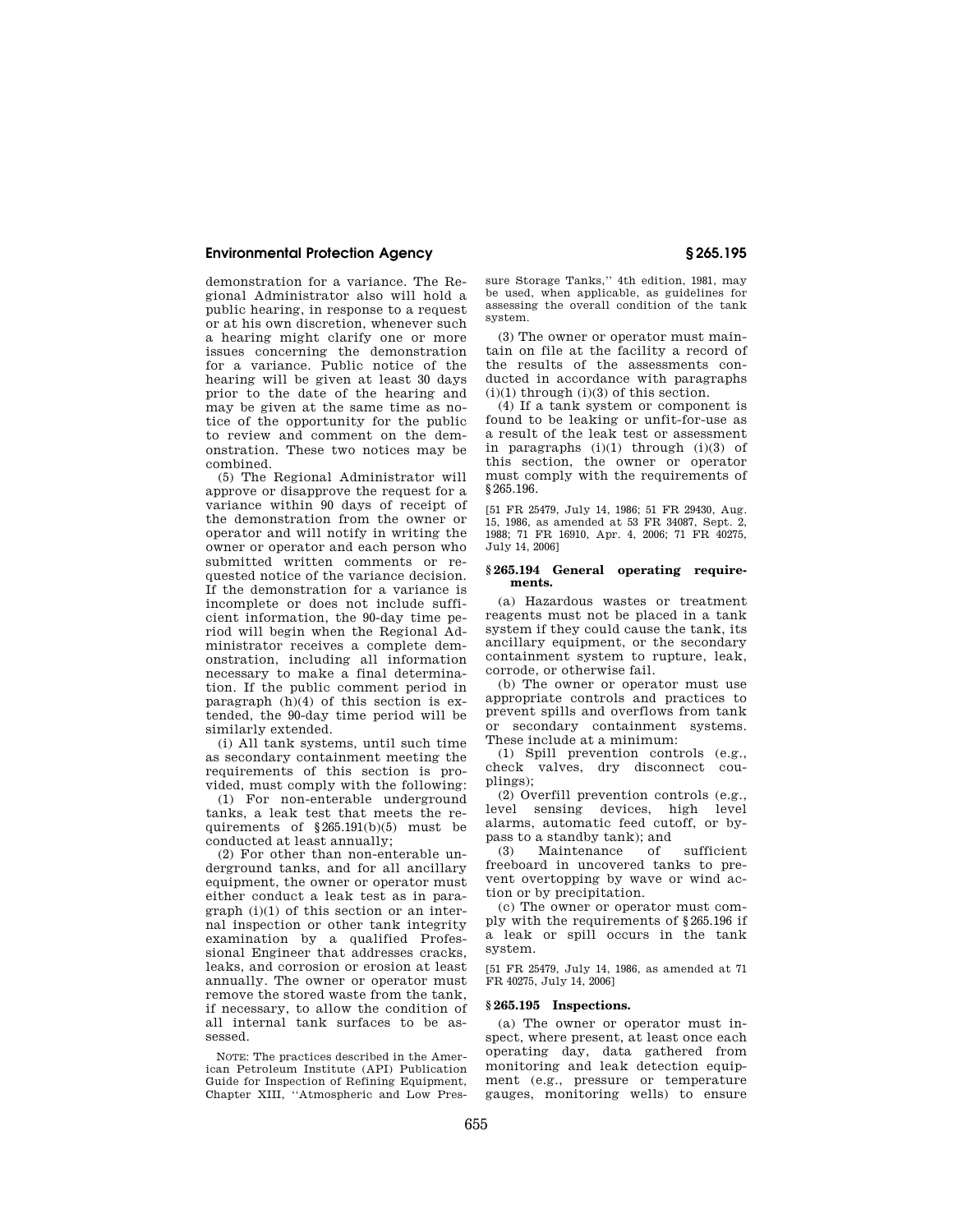demonstration for a variance. The Regional Administrator also will hold a public hearing, in response to a request or at his own discretion, whenever such a hearing might clarify one or more issues concerning the demonstration for a variance. Public notice of the hearing will be given at least 30 days prior to the date of the hearing and may be given at the same time as notice of the opportunity for the public to review and comment on the demonstration. These two notices may be combined.

(5) The Regional Administrator will approve or disapprove the request for a variance within 90 days of receipt of the demonstration from the owner or operator and will notify in writing the owner or operator and each person who submitted written comments or requested notice of the variance decision. If the demonstration for a variance is incomplete or does not include sufficient information, the 90-day time period will begin when the Regional Administrator receives a complete demonstration, including all information necessary to make a final determination. If the public comment period in paragraph  $(h)(4)$  of this section is extended, the 90-day time period will be similarly extended.

(i) All tank systems, until such time as secondary containment meeting the requirements of this section is provided, must comply with the following:

(1) For non-enterable underground tanks, a leak test that meets the requirements of §265.191(b)(5) must be conducted at least annually;

(2) For other than non-enterable underground tanks, and for all ancillary equipment, the owner or operator must either conduct a leak test as in paragraph (i)(1) of this section or an internal inspection or other tank integrity examination by a qualified Professional Engineer that addresses cracks, leaks, and corrosion or erosion at least annually. The owner or operator must remove the stored waste from the tank, if necessary, to allow the condition of all internal tank surfaces to be assessed.

NOTE: The practices described in the American Petroleum Institute (API) Publication Guide for Inspection of Refining Equipment, Chapter XIII, ''Atmospheric and Low Pres-

sure Storage Tanks,'' 4th edition, 1981, may be used, when applicable, as guidelines for assessing the overall condition of the tank system.

(3) The owner or operator must maintain on file at the facility a record of the results of the assessments conducted in accordance with paragraphs  $(i)(1)$  through  $(i)(3)$  of this section.

(4) If a tank system or component is found to be leaking or unfit-for-use as a result of the leak test or assessment in paragraphs  $(i)(1)$  through  $(i)(3)$  of this section, the owner or operator must comply with the requirements of §265.196.

[51 FR 25479, July 14, 1986; 51 FR 29430, Aug. 15, 1986, as amended at 53 FR 34087, Sept. 2, 1988; 71 FR 16910, Apr. 4, 2006; 71 FR 40275, July 14, 2006]

#### **§ 265.194 General operating requirements.**

(a) Hazardous wastes or treatment reagents must not be placed in a tank system if they could cause the tank, its ancillary equipment, or the secondary containment system to rupture, leak, corrode, or otherwise fail.

(b) The owner or operator must use appropriate controls and practices to prevent spills and overflows from tank or secondary containment systems. These include at a minimum:

(1) Spill prevention controls (e.g., check valves, dry disconnect couplings);

(2) Overfill prevention controls (e.g., level sensing devices, high level alarms, automatic feed cutoff, or bypass to a standby tank); and<br>(3) Maintenance of

Maintenance of sufficient freeboard in uncovered tanks to prevent overtopping by wave or wind action or by precipitation.

(c) The owner or operator must comply with the requirements of §265.196 if a leak or spill occurs in the tank system.

[51 FR 25479, July 14, 1986, as amended at 71 FR 40275, July 14, 2006]

#### **§ 265.195 Inspections.**

(a) The owner or operator must inspect, where present, at least once each operating day, data gathered from monitoring and leak detection equipment (e.g., pressure or temperature gauges, monitoring wells) to ensure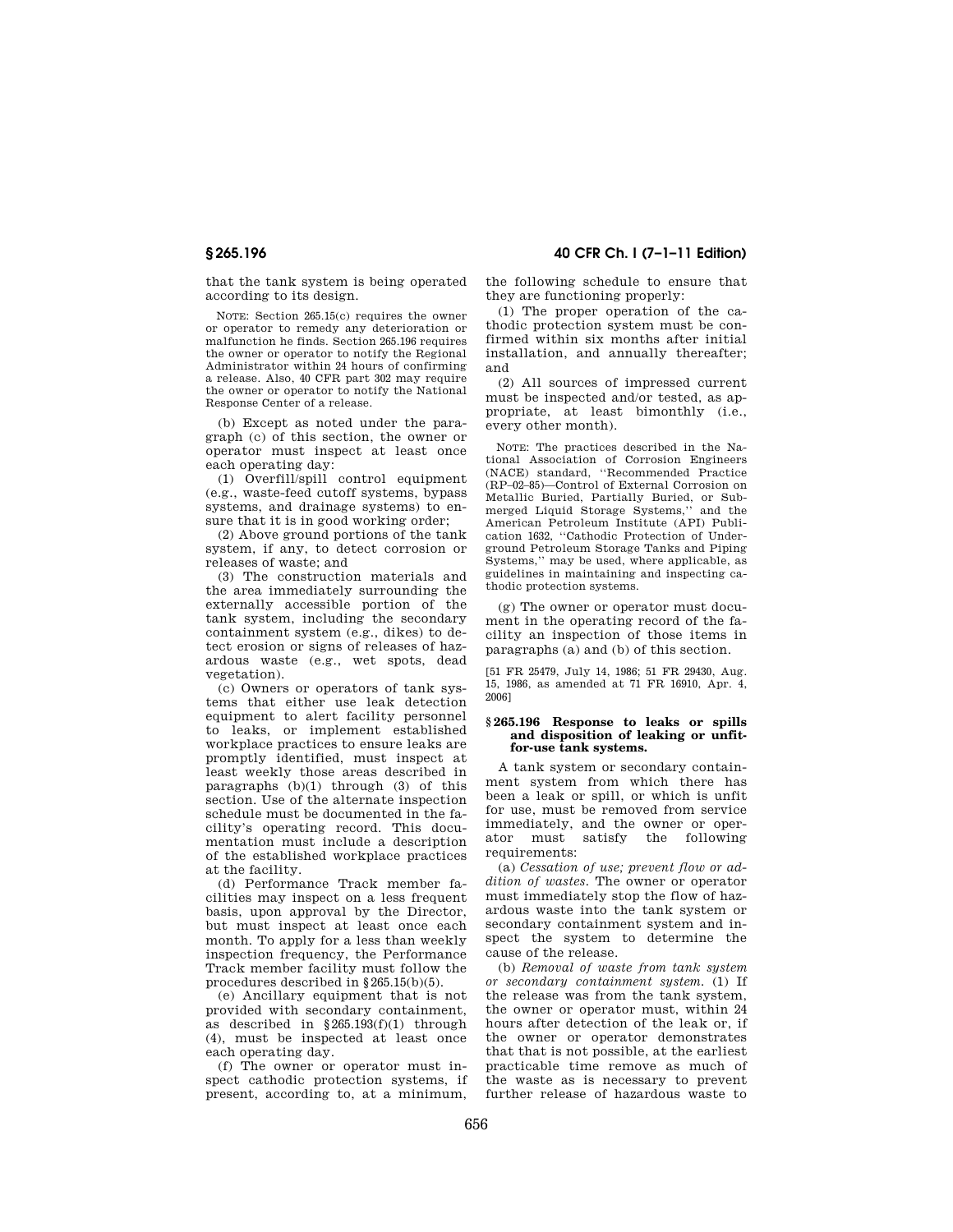that the tank system is being operated according to its design.

NOTE: Section 265.15(c) requires the owner or operator to remedy any deterioration or malfunction he finds. Section 265.196 requires the owner or operator to notify the Regional Administrator within 24 hours of confirming a release. Also, 40 CFR part 302 may require the owner or operator to notify the National Response Center of a release.

(b) Except as noted under the paragraph (c) of this section, the owner or operator must inspect at least once each operating day:

(1) Overfill/spill control equipment (e.g., waste-feed cutoff systems, bypass systems, and drainage systems) to ensure that it is in good working order;

(2) Above ground portions of the tank system, if any, to detect corrosion or releases of waste; and

(3) The construction materials and the area immediately surrounding the externally accessible portion of the tank system, including the secondary containment system (e.g., dikes) to detect erosion or signs of releases of hazardous waste (e.g., wet spots, dead vegetation).

(c) Owners or operators of tank systems that either use leak detection equipment to alert facility personnel to leaks, or implement established workplace practices to ensure leaks are promptly identified, must inspect at least weekly those areas described in paragraphs (b)(1) through (3) of this section. Use of the alternate inspection schedule must be documented in the facility's operating record. This documentation must include a description of the established workplace practices at the facility.

(d) Performance Track member facilities may inspect on a less frequent basis, upon approval by the Director, but must inspect at least once each month. To apply for a less than weekly inspection frequency, the Performance Track member facility must follow the procedures described in §265.15(b)(5).

(e) Ancillary equipment that is not provided with secondary containment, as described in §265.193(f)(1) through (4), must be inspected at least once each operating day.

(f) The owner or operator must inspect cathodic protection systems, if present, according to, at a minimum,

**§ 265.196 40 CFR Ch. I (7–1–11 Edition)** 

the following schedule to ensure that they are functioning properly:

(1) The proper operation of the cathodic protection system must be confirmed within six months after initial installation, and annually thereafter; and

(2) All sources of impressed current must be inspected and/or tested, as appropriate, at least bimonthly (i.e., every other month).

NOTE: The practices described in the National Association of Corrosion Engineers (NACE) standard, ''Recommended Practice (RP–02–85)—Control of External Corrosion on Metallic Buried, Partially Buried, or Submerged Liquid Storage Systems," and the American Petroleum Institute (API) Publication 1632, ''Cathodic Protection of Underground Petroleum Storage Tanks and Piping Systems,'' may be used, where applicable, as guidelines in maintaining and inspecting cathodic protection systems.

(g) The owner or operator must document in the operating record of the facility an inspection of those items in paragraphs (a) and (b) of this section.

[51 FR 25479, July 14, 1986; 51 FR 29430, Aug. 15, 1986, as amended at 71 FR 16910, Apr. 4, 2006]

#### **§ 265.196 Response to leaks or spills and disposition of leaking or unfitfor-use tank systems.**

A tank system or secondary containment system from which there has been a leak or spill, or which is unfit for use, must be removed from service immediately, and the owner or operator must satisfy the following requirements:

(a) *Cessation of use; prevent flow or addition of wastes.* The owner or operator must immediately stop the flow of hazardous waste into the tank system or secondary containment system and inspect the system to determine the cause of the release.

(b) *Removal of waste from tank system or secondary containment system.* (1) If the release was from the tank system, the owner or operator must, within 24 hours after detection of the leak or, if the owner or operator demonstrates that that is not possible, at the earliest practicable time remove as much of the waste as is necessary to prevent further release of hazardous waste to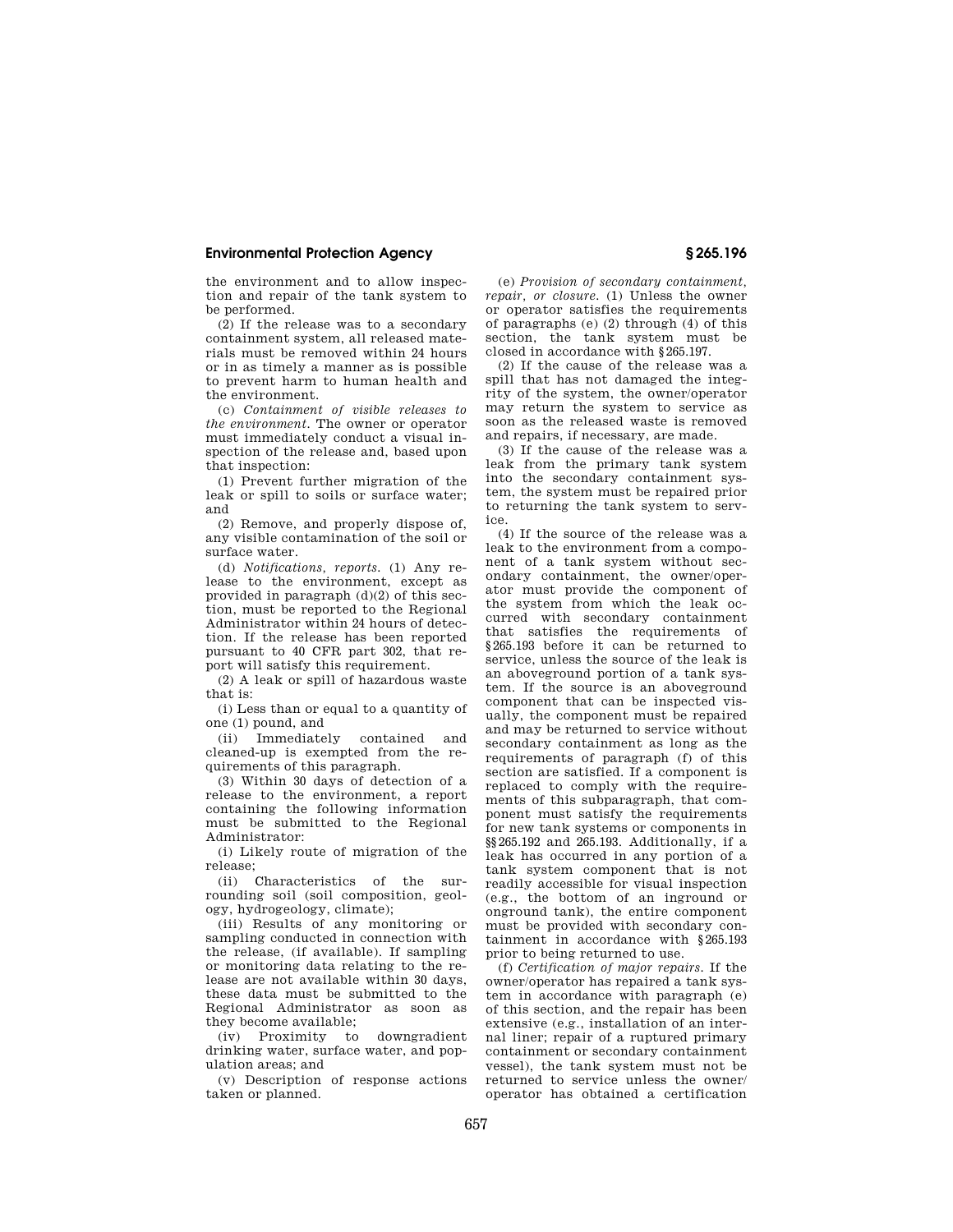the environment and to allow inspection and repair of the tank system to be performed.

(2) If the release was to a secondary containment system, all released materials must be removed within 24 hours or in as timely a manner as is possible to prevent harm to human health and the environment.

(c) *Containment of visible releases to the environment.* The owner or operator must immediately conduct a visual inspection of the release and, based upon that inspection:

(1) Prevent further migration of the leak or spill to soils or surface water; and

(2) Remove, and properly dispose of, any visible contamination of the soil or surface water.

(d) *Notifications, reports.* (1) Any release to the environment, except as provided in paragraph (d)(2) of this section, must be reported to the Regional Administrator within 24 hours of detection. If the release has been reported pursuant to 40 CFR part 302, that report will satisfy this requirement.

(2) A leak or spill of hazardous waste that is:

(i) Less than or equal to a quantity of one (1) pound, and

(ii) Immediately contained and cleaned-up is exempted from the requirements of this paragraph.

(3) Within 30 days of detection of a release to the environment, a report containing the following information must be submitted to the Regional Administrator:

(i) Likely route of migration of the release;

(ii) Characteristics of the surrounding soil (soil composition, geology, hydrogeology, climate);

(iii) Results of any monitoring or sampling conducted in connection with the release, (if available). If sampling or monitoring data relating to the release are not available within 30 days, these data must be submitted to the Regional Administrator as soon as they become available;

(iv) Proximity to downgradient drinking water, surface water, and population areas; and

(v) Description of response actions taken or planned.

(e) *Provision of secondary containment, repair, or closure.* (1) Unless the owner or operator satisfies the requirements of paragraphs (e) (2) through (4) of this section, the tank system must be closed in accordance with §265.197.

(2) If the cause of the release was a spill that has not damaged the integrity of the system, the owner/operator may return the system to service as soon as the released waste is removed and repairs, if necessary, are made.

(3) If the cause of the release was a leak from the primary tank system into the secondary containment system, the system must be repaired prior to returning the tank system to service.

(4) If the source of the release was a leak to the environment from a component of a tank system without secondary containment, the owner/operator must provide the component of the system from which the leak occurred with secondary containment that satisfies the requirements of §265.193 before it can be returned to service, unless the source of the leak is an aboveground portion of a tank system. If the source is an aboveground component that can be inspected visually, the component must be repaired and may be returned to service without secondary containment as long as the requirements of paragraph (f) of this section are satisfied. If a component is replaced to comply with the requirements of this subparagraph, that component must satisfy the requirements for new tank systems or components in §§265.192 and 265.193. Additionally, if a leak has occurred in any portion of a tank system component that is not readily accessible for visual inspection (e.g., the bottom of an inground or onground tank), the entire component must be provided with secondary containment in accordance with §265.193 prior to being returned to use.

(f) *Certification of major repairs.* If the owner/operator has repaired a tank system in accordance with paragraph (e) of this section, and the repair has been extensive  $(e, \sigma)$  installation of an internal liner; repair of a ruptured primary containment or secondary containment vessel), the tank system must not be returned to service unless the owner/ operator has obtained a certification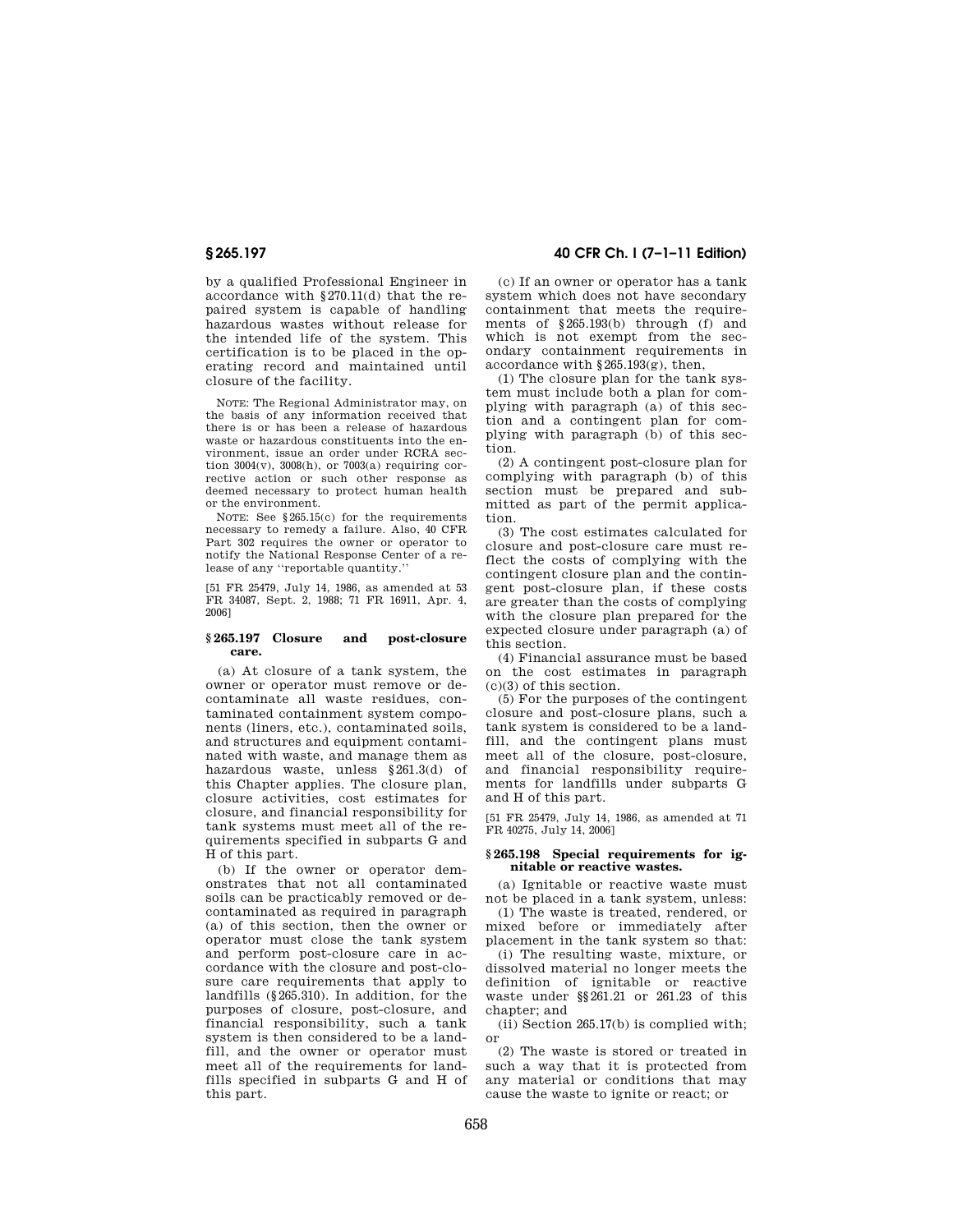by a qualified Professional Engineer in accordance with §270.11(d) that the repaired system is capable of handling hazardous wastes without release for the intended life of the system. This certification is to be placed in the operating record and maintained until closure of the facility.

NOTE: The Regional Administrator may, on the basis of any information received that there is or has been a release of hazardous waste or hazardous constituents into the environment, issue an order under RCRA section 3004(v), 3008(h), or 7003(a) requiring corrective action or such other response as deemed necessary to protect human health or the environment.

NOTE: See §265.15(c) for the requirements necessary to remedy a failure. Also, 40 CFR Part 302 requires the owner or operator to notify the National Response Center of a release of any ''reportable quantity.''

[51 FR 25479, July 14, 1986, as amended at 53 FR 34087, Sept. 2, 1988; 71 FR 16911, Apr. 4, 2006]

#### **§ 265.197 Closure and post-closure care.**

(a) At closure of a tank system, the owner or operator must remove or decontaminate all waste residues, contaminated containment system components (liners, etc.), contaminated soils, and structures and equipment contaminated with waste, and manage them as hazardous waste, unless §261.3(d) of this Chapter applies. The closure plan, closure activities, cost estimates for closure, and financial responsibility for tank systems must meet all of the requirements specified in subparts G and H of this part.

(b) If the owner or operator demonstrates that not all contaminated soils can be practicably removed or decontaminated as required in paragraph (a) of this section, then the owner or operator must close the tank system and perform post-closure care in accordance with the closure and post-closure care requirements that apply to landfills (§265.310). In addition, for the purposes of closure, post-closure, and financial responsibility, such a tank system is then considered to be a landfill, and the owner or operator must meet all of the requirements for landfills specified in subparts G and H of this part.

**§ 265.197 40 CFR Ch. I (7–1–11 Edition)** 

(c) If an owner or operator has a tank system which does not have secondary containment that meets the requirements of §265.193(b) through (f) and which is not exempt from the secondary containment requirements in accordance with §265.193(g), then,

(1) The closure plan for the tank system must include both a plan for complying with paragraph (a) of this section and a contingent plan for complying with paragraph (b) of this section.

(2) A contingent post-closure plan for complying with paragraph (b) of this section must be prepared and submitted as part of the permit application.

(3) The cost estimates calculated for closure and post-closure care must reflect the costs of complying with the contingent closure plan and the contingent post-closure plan, if these costs are greater than the costs of complying with the closure plan prepared for the expected closure under paragraph (a) of this section.

(4) Financial assurance must be based on the cost estimates in paragraph (c)(3) of this section.

(5) For the purposes of the contingent closure and post-closure plans, such a tank system is considered to be a landfill, and the contingent plans must meet all of the closure, post-closure, and financial responsibility requirements for landfills under subparts G and H of this part.

[51 FR 25479, July 14, 1986, as amended at 71 FR 40275, July 14, 2006]

#### **§ 265.198 Special requirements for ignitable or reactive wastes.**

(a) Ignitable or reactive waste must not be placed in a tank system, unless:

(1) The waste is treated, rendered, or mixed before or immediately after placement in the tank system so that:

(i) The resulting waste, mixture, or dissolved material no longer meets the definition of ignitable or reactive waste under §§261.21 or 261.23 of this chapter; and

(ii) Section 265.17(b) is complied with; or

(2) The waste is stored or treated in such a way that it is protected from any material or conditions that may cause the waste to ignite or react; or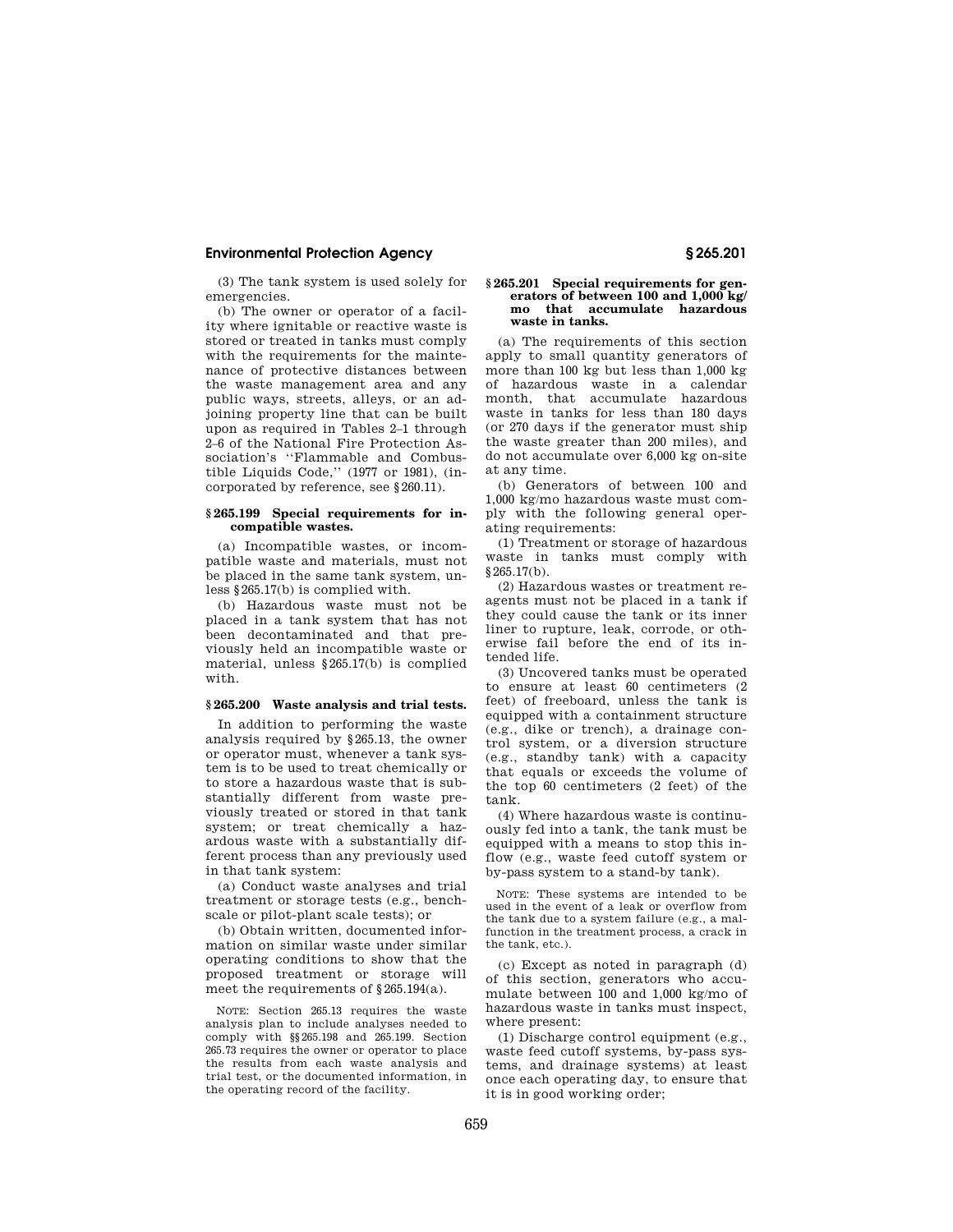(3) The tank system is used solely for emergencies.

(b) The owner or operator of a facility where ignitable or reactive waste is stored or treated in tanks must comply with the requirements for the maintenance of protective distances between the waste management area and any public ways, streets, alleys, or an adjoining property line that can be built upon as required in Tables 2–1 through 2–6 of the National Fire Protection Association's ''Flammable and Combustible Liquids Code,'' (1977 or 1981), (incorporated by reference, see §260.11).

#### **§ 265.199 Special requirements for incompatible wastes.**

(a) Incompatible wastes, or incompatible waste and materials, must not be placed in the same tank system, unless §265.17(b) is complied with.

(b) Hazardous waste must not be placed in a tank system that has not been decontaminated and that previously held an incompatible waste or material, unless §265.17(b) is complied with.

#### **§ 265.200 Waste analysis and trial tests.**

In addition to performing the waste analysis required by §265.13, the owner or operator must, whenever a tank system is to be used to treat chemically or to store a hazardous waste that is substantially different from waste previously treated or stored in that tank system; or treat chemically a hazardous waste with a substantially different process than any previously used in that tank system:

(a) Conduct waste analyses and trial treatment or storage tests (e.g., benchscale or pilot-plant scale tests); or

(b) Obtain written, documented information on similar waste under similar operating conditions to show that the proposed treatment or storage will meet the requirements of §265.194(a).

NOTE: Section 265.13 requires the waste analysis plan to include analyses needed to comply with §§265.198 and 265.199. Section 265.73 requires the owner or operator to place the results from each waste analysis and trial test, or the documented information, in the operating record of the facility.

#### **§ 265.201 Special requirements for generators of between 100 and 1,000 kg/ mo that accumulate hazardous waste in tanks.**

(a) The requirements of this section apply to small quantity generators of more than 100 kg but less than 1,000 kg of hazardous waste in a calendar month, that accumulate hazardous waste in tanks for less than 180 days (or 270 days if the generator must ship the waste greater than 200 miles), and do not accumulate over 6,000 kg on-site at any time.

(b) Generators of between 100 and 1,000 kg/mo hazardous waste must comply with the following general operating requirements:

(1) Treatment or storage of hazardous waste in tanks must comply with §265.17(b).

(2) Hazardous wastes or treatment reagents must not be placed in a tank if they could cause the tank or its inner liner to rupture, leak, corrode, or otherwise fail before the end of its intended life.

(3) Uncovered tanks must be operated to ensure at least 60 centimeters (2 feet) of freeboard, unless the tank is equipped with a containment structure (e.g., dike or trench), a drainage control system, or a diversion structure (e.g., standby tank) with a capacity that equals or exceeds the volume of the top 60 centimeters (2 feet) of the tank.

(4) Where hazardous waste is continuously fed into a tank, the tank must be equipped with a means to stop this inflow (e.g., waste feed cutoff system or by-pass system to a stand-by tank).

NOTE: These systems are intended to be used in the event of a leak or overflow from the tank due to a system failure (e.g., a malfunction in the treatment process, a crack in the tank, etc.).

(c) Except as noted in paragraph (d) of this section, generators who accumulate between 100 and 1,000 kg/mo of hazardous waste in tanks must inspect, where present:

(1) Discharge control equipment (e.g., waste feed cutoff systems, by-pass systems, and drainage systems) at least once each operating day, to ensure that it is in good working order;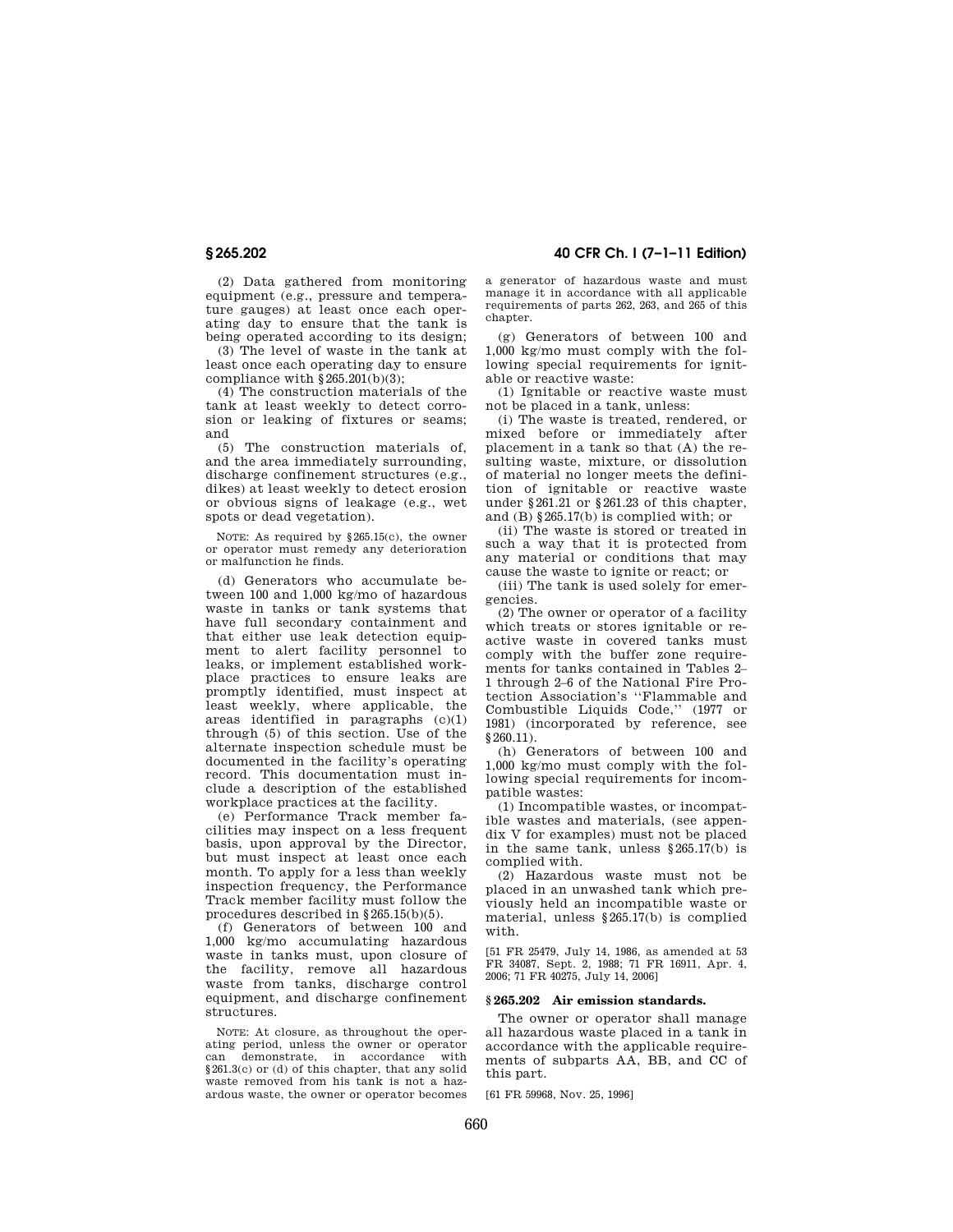(2) Data gathered from monitoring equipment (e.g., pressure and temperature gauges) at least once each operating day to ensure that the tank is being operated according to its design;

(3) The level of waste in the tank at least once each operating day to ensure compliance with  $§265.201(b)(3);$ 

(4) The construction materials of the tank at least weekly to detect corrosion or leaking of fixtures or seams; and

(5) The construction materials of, and the area immediately surrounding, discharge confinement structures (e.g., dikes) at least weekly to detect erosion or obvious signs of leakage (e.g., wet spots or dead vegetation).

NOTE: As required by §265.15(c), the owner or operator must remedy any deterioration or malfunction he finds.

(d) Generators who accumulate between 100 and 1,000 kg/mo of hazardous waste in tanks or tank systems that have full secondary containment and that either use leak detection equipment to alert facility personnel to leaks, or implement established workplace practices to ensure leaks are promptly identified, must inspect at least weekly, where applicable, the areas identified in paragraphs (c)(1) through (5) of this section. Use of the alternate inspection schedule must be documented in the facility's operating record. This documentation must include a description of the established workplace practices at the facility.

(e) Performance Track member facilities may inspect on a less frequent basis, upon approval by the Director, but must inspect at least once each month. To apply for a less than weekly inspection frequency, the Performance Track member facility must follow the procedures described in §265.15(b)(5).

(f) Generators of between 100 and 1,000 kg/mo accumulating hazardous waste in tanks must, upon closure of the facility, remove all hazardous waste from tanks, discharge control equipment, and discharge confinement structures.

NOTE: At closure, as throughout the operating period, unless the owner or operator can demonstrate, in accordance with §261.3(c) or (d) of this chapter, that any solid waste removed from his tank is not a hazardous waste, the owner or operator becomes

# **§ 265.202 40 CFR Ch. I (7–1–11 Edition)**

a generator of hazardous waste and must manage it in accordance with all applicable requirements of parts 262, 263, and 265 of this chapter.

(g) Generators of between 100 and 1,000 kg/mo must comply with the following special requirements for ignitable or reactive waste:

(1) Ignitable or reactive waste must not be placed in a tank, unless:

(i) The waste is treated, rendered, or mixed before or immediately after placement in a tank so that (A) the resulting waste, mixture, or dissolution of material no longer meets the definition of ignitable or reactive waste under §261.21 or §261.23 of this chapter, and (B) §265.17(b) is complied with; or

(ii) The waste is stored or treated in such a way that it is protected from any material or conditions that may cause the waste to ignite or react; or

(iii) The tank is used solely for emergencies.

(2) The owner or operator of a facility which treats or stores ignitable or reactive waste in covered tanks must comply with the buffer zone requirements for tanks contained in Tables 2– 1 through 2–6 of the National Fire Protection Association's ''Flammable and Combustible Liquids Code,'' (1977 or 1981) (incorporated by reference, see §260.11).

(h) Generators of between 100 and 1,000 kg/mo must comply with the following special requirements for incompatible wastes:

(1) Incompatible wastes, or incompatible wastes and materials, (see appendix V for examples) must not be placed in the same tank, unless §265.17(b) is complied with.

(2) Hazardous waste must not be placed in an unwashed tank which previously held an incompatible waste or material, unless §265.17(b) is complied with.

[51 FR 25479, July 14, 1986, as amended at 53 FR 34087, Sept. 2, 1988; 71 FR 16911, Apr. 4, 2006; 71 FR 40275, July 14, 2006]

#### **§ 265.202 Air emission standards.**

The owner or operator shall manage all hazardous waste placed in a tank in accordance with the applicable requirements of subparts AA, BB, and CC of this part.

[61 FR 59968, Nov. 25, 1996]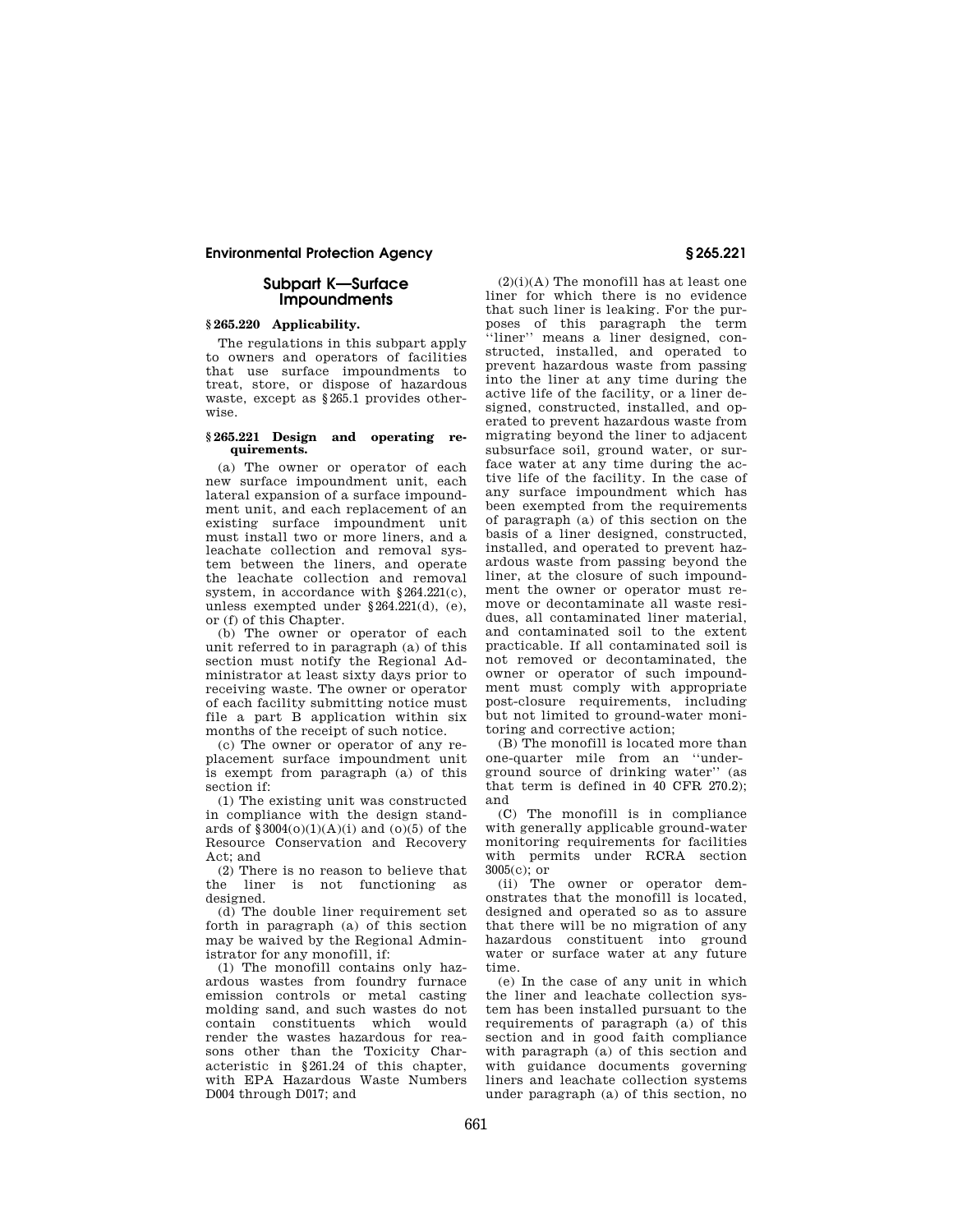# **Subpart K—Surface Impoundments**

# **§ 265.220 Applicability.**

The regulations in this subpart apply to owners and operators of facilities that use surface impoundments to treat, store, or dispose of hazardous waste, except as §265.1 provides otherwise.

#### **§ 265.221 Design and operating requirements.**

(a) The owner or operator of each new surface impoundment unit, each lateral expansion of a surface impoundment unit, and each replacement of an existing surface impoundment unit must install two or more liners, and a leachate collection and removal system between the liners, and operate the leachate collection and removal system, in accordance with §264.221(c), unless exempted under §264.221(d), (e), or (f) of this Chapter.

(b) The owner or operator of each unit referred to in paragraph (a) of this section must notify the Regional Administrator at least sixty days prior to receiving waste. The owner or operator of each facility submitting notice must file a part B application within six months of the receipt of such notice.

(c) The owner or operator of any replacement surface impoundment unit is exempt from paragraph (a) of this section if:

(1) The existing unit was constructed in compliance with the design standards of  $\$3004(0)(1)(A)(i)$  and (0)(5) of the Resource Conservation and Recovery Act; and

(2) There is no reason to believe that the liner is not functioning as designed.

(d) The double liner requirement set forth in paragraph (a) of this section may be waived by the Regional Administrator for any monofill, if:

(1) The monofill contains only hazardous wastes from foundry furnace emission controls or metal casting molding sand, and such wastes do not contain constituents which would render the wastes hazardous for reasons other than the Toxicity Characteristic in §261.24 of this chapter, with EPA Hazardous Waste Numbers D004 through D017; and

 $(2)(i)(A)$  The monofill has at least one liner for which there is no evidence that such liner is leaking. For the purposes of this paragraph the term 'liner'' means a liner designed, constructed, installed, and operated to prevent hazardous waste from passing into the liner at any time during the active life of the facility, or a liner designed, constructed, installed, and operated to prevent hazardous waste from migrating beyond the liner to adjacent subsurface soil, ground water, or surface water at any time during the active life of the facility. In the case of any surface impoundment which has been exempted from the requirements of paragraph (a) of this section on the basis of a liner designed, constructed, installed, and operated to prevent hazardous waste from passing beyond the liner, at the closure of such impoundment the owner or operator must remove or decontaminate all waste residues, all contaminated liner material, and contaminated soil to the extent practicable. If all contaminated soil is not removed or decontaminated, the owner or operator of such impoundment must comply with appropriate post-closure requirements, including but not limited to ground-water monitoring and corrective action;

(B) The monofill is located more than one-quarter mile from an ''underground source of drinking water'' (as that term is defined in  $\overline{40}$  CFR  $270.2$ ): and

(C) The monofill is in compliance with generally applicable ground-water monitoring requirements for facilities with permits under RCRA section 3005(c); or

(ii) The owner or operator demonstrates that the monofill is located, designed and operated so as to assure that there will be no migration of any hazardous constituent into ground water or surface water at any future time.

(e) In the case of any unit in which the liner and leachate collection system has been installed pursuant to the requirements of paragraph (a) of this section and in good faith compliance with paragraph (a) of this section and with guidance documents governing liners and leachate collection systems under paragraph (a) of this section, no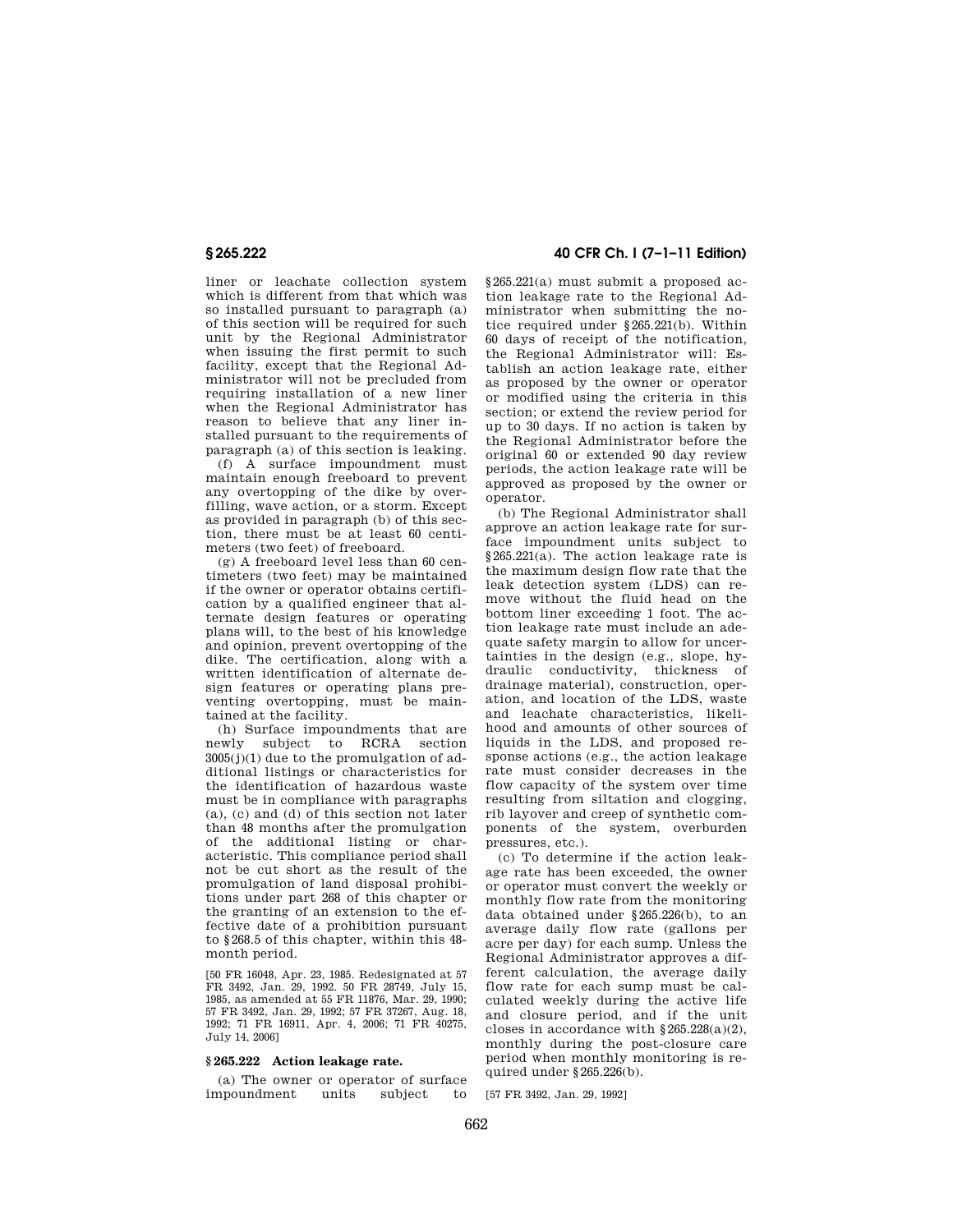liner or leachate collection system which is different from that which was so installed pursuant to paragraph (a) of this section will be required for such unit by the Regional Administrator when issuing the first permit to such facility, except that the Regional Administrator will not be precluded from requiring installation of a new liner when the Regional Administrator has reason to believe that any liner installed pursuant to the requirements of paragraph (a) of this section is leaking.

(f) A surface impoundment must maintain enough freeboard to prevent any overtopping of the dike by overfilling, wave action, or a storm. Except as provided in paragraph (b) of this section, there must be at least 60 centimeters (two feet) of freeboard.

(g) A freeboard level less than 60 centimeters (two feet) may be maintained if the owner or operator obtains certification by a qualified engineer that alternate design features or operating plans will, to the best of his knowledge and opinion, prevent overtopping of the dike. The certification, along with a written identification of alternate design features or operating plans preventing overtopping, must be maintained at the facility.

(h) Surface impoundments that are<br>newly subject to RCRA section subject to RCRA section  $3005(i)(1)$  due to the promulgation of additional listings or characteristics for the identification of hazardous waste must be in compliance with paragraphs (a), (c) and (d) of this section not later than 48 months after the promulgation of the additional listing or characteristic. This compliance period shall not be cut short as the result of the promulgation of land disposal prohibitions under part 268 of this chapter or the granting of an extension to the effective date of a prohibition pursuant to §268.5 of this chapter, within this 48 month period.

[50 FR 16048, Apr. 23, 1985. Redesignated at 57 FR 3492, Jan. 29, 1992. 50 FR 28749, July 15, 1985, as amended at 55 FR 11876, Mar. 29, 1990; 57 FR 3492, Jan. 29, 1992; 57 FR 37267, Aug. 18, 1992; 71 FR 16911, Apr. 4, 2006; 71 FR 40275, July 14, 2006]

#### **§ 265.222 Action leakage rate.**

(a) The owner or operator of surface impoundment units subject to

# **§ 265.222 40 CFR Ch. I (7–1–11 Edition)**

§265.221(a) must submit a proposed action leakage rate to the Regional Administrator when submitting the notice required under §265.221(b). Within 60 days of receipt of the notification, the Regional Administrator will: Establish an action leakage rate, either as proposed by the owner or operator or modified using the criteria in this section; or extend the review period for up to 30 days. If no action is taken by the Regional Administrator before the original 60 or extended 90 day review periods, the action leakage rate will be approved as proposed by the owner or operator.

(b) The Regional Administrator shall approve an action leakage rate for surface impoundment units subject to §265.221(a). The action leakage rate is the maximum design flow rate that the leak detection system (LDS) can remove without the fluid head on the bottom liner exceeding 1 foot. The action leakage rate must include an adequate safety margin to allow for uncertainties in the design (e.g., slope, hydraulic conductivity, thickness of drainage material), construction, operation, and location of the LDS, waste and leachate characteristics, likelihood and amounts of other sources of liquids in the LDS, and proposed response actions (e.g., the action leakage rate must consider decreases in the flow capacity of the system over time resulting from siltation and clogging, rib layover and creep of synthetic components of the system, overburden pressures, etc.).

(c) To determine if the action leakage rate has been exceeded, the owner or operator must convert the weekly or monthly flow rate from the monitoring data obtained under §265.226(b), to an average daily flow rate (gallons per acre per day) for each sump. Unless the Regional Administrator approves a different calculation, the average daily flow rate for each sump must be calculated weekly during the active life and closure period, and if the unit closes in accordance with  $§265.228(a)(2),$ monthly during the post-closure care period when monthly monitoring is required under §265.226(b).

[57 FR 3492, Jan. 29, 1992]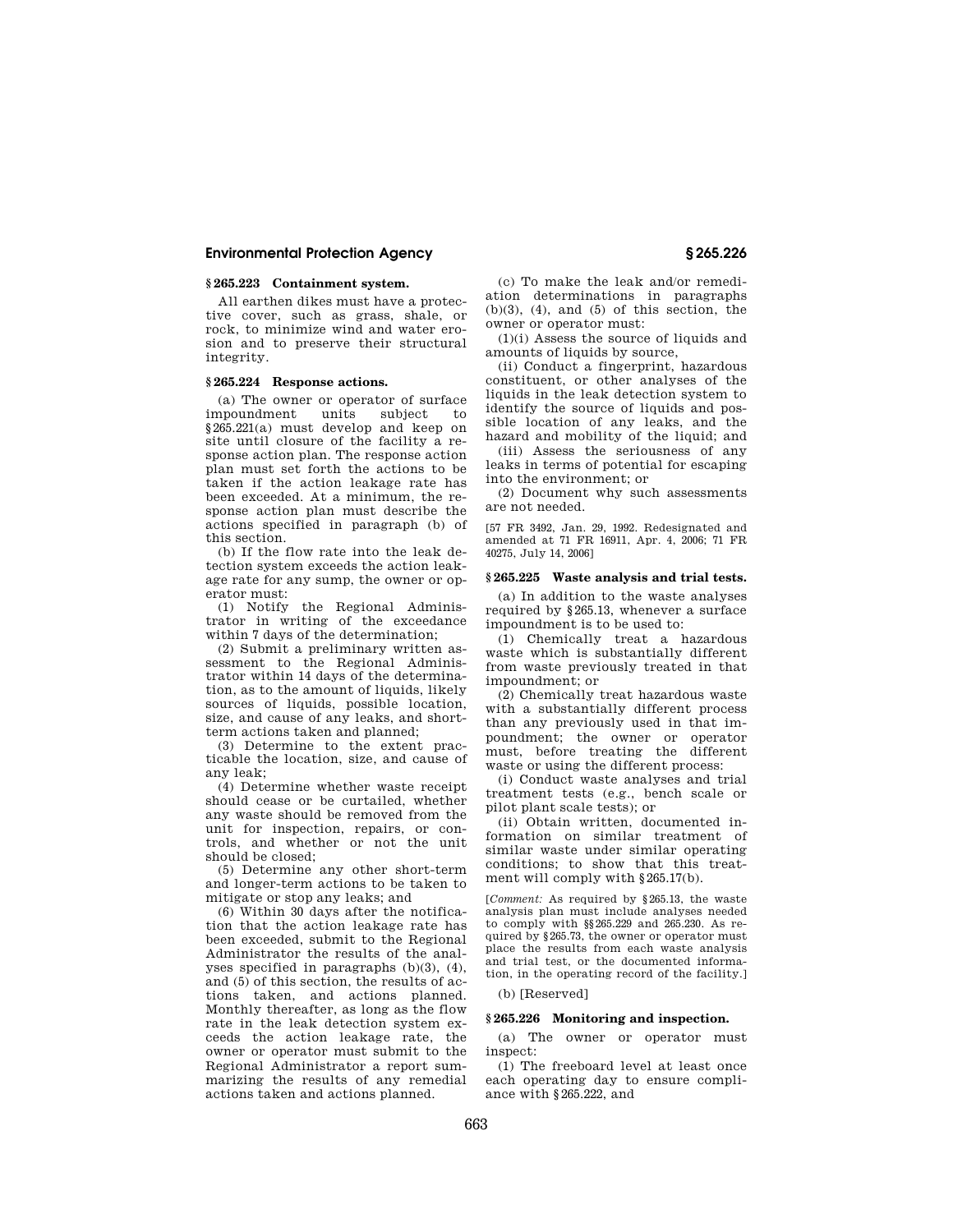# **§ 265.223 Containment system.**

All earthen dikes must have a protective cover, such as grass, shale, or rock, to minimize wind and water erosion and to preserve their structural integrity.

#### **§ 265.224 Response actions.**

(a) The owner or operator of surface impoundment units subject to §265.221(a) must develop and keep on site until closure of the facility a response action plan. The response action plan must set forth the actions to be taken if the action leakage rate has been exceeded. At a minimum, the response action plan must describe the actions specified in paragraph (b) of this section.

(b) If the flow rate into the leak detection system exceeds the action leakage rate for any sump, the owner or operator must:

(1) Notify the Regional Administrator in writing of the exceedance within 7 days of the determination;

(2) Submit a preliminary written assessment to the Regional Administrator within 14 days of the determination, as to the amount of liquids, likely sources of liquids, possible location, size, and cause of any leaks, and shortterm actions taken and planned;

(3) Determine to the extent practicable the location, size, and cause of any leak;

(4) Determine whether waste receipt should cease or be curtailed, whether any waste should be removed from the unit for inspection, repairs, or controls, and whether or not the unit should be closed;

(5) Determine any other short-term and longer-term actions to be taken to mitigate or stop any leaks; and

(6) Within 30 days after the notification that the action leakage rate has been exceeded, submit to the Regional Administrator the results of the analyses specified in paragraphs (b)(3), (4), and (5) of this section, the results of actions taken, and actions planned. Monthly thereafter, as long as the flow rate in the leak detection system exceeds the action leakage rate, the owner or operator must submit to the Regional Administrator a report summarizing the results of any remedial actions taken and actions planned.

(c) To make the leak and/or remediation determinations in paragraphs  $(b)(3)$ ,  $(4)$ , and  $(5)$  of this section, the owner or operator must:

(1)(i) Assess the source of liquids and amounts of liquids by source,

(ii) Conduct a fingerprint, hazardous constituent, or other analyses of the liquids in the leak detection system to identify the source of liquids and possible location of any leaks, and the hazard and mobility of the liquid; and

(iii) Assess the seriousness of any leaks in terms of potential for escaping into the environment; or

(2) Document why such assessments are not needed.

[57 FR 3492, Jan. 29, 1992. Redesignated and amended at 71 FR 16911, Apr. 4, 2006; 71 FR 40275, July 14, 2006]

#### **§ 265.225 Waste analysis and trial tests.**

(a) In addition to the waste analyses required by §265.13, whenever a surface impoundment is to be used to:

(1) Chemically treat a hazardous waste which is substantially different from waste previously treated in that impoundment; or

(2) Chemically treat hazardous waste with a substantially different process than any previously used in that impoundment; the owner or operator must, before treating the different waste or using the different process:

(i) Conduct waste analyses and trial treatment tests (e.g., bench scale or pilot plant scale tests); or

(ii) Obtain written, documented information on similar treatment of similar waste under similar operating conditions; to show that this treatment will comply with §265.17(b).

[*Comment:* As required by §265.13, the waste analysis plan must include analyses needed to comply with §§265.229 and 265.230. As required by §265.73, the owner or operator must place the results from each waste analysis and trial test, or the documented information, in the operating record of the facility.]

(b) [Reserved]

# **§ 265.226 Monitoring and inspection.**

(a) The owner or operator must inspect:

(1) The freeboard level at least once each operating day to ensure compliance with §265.222, and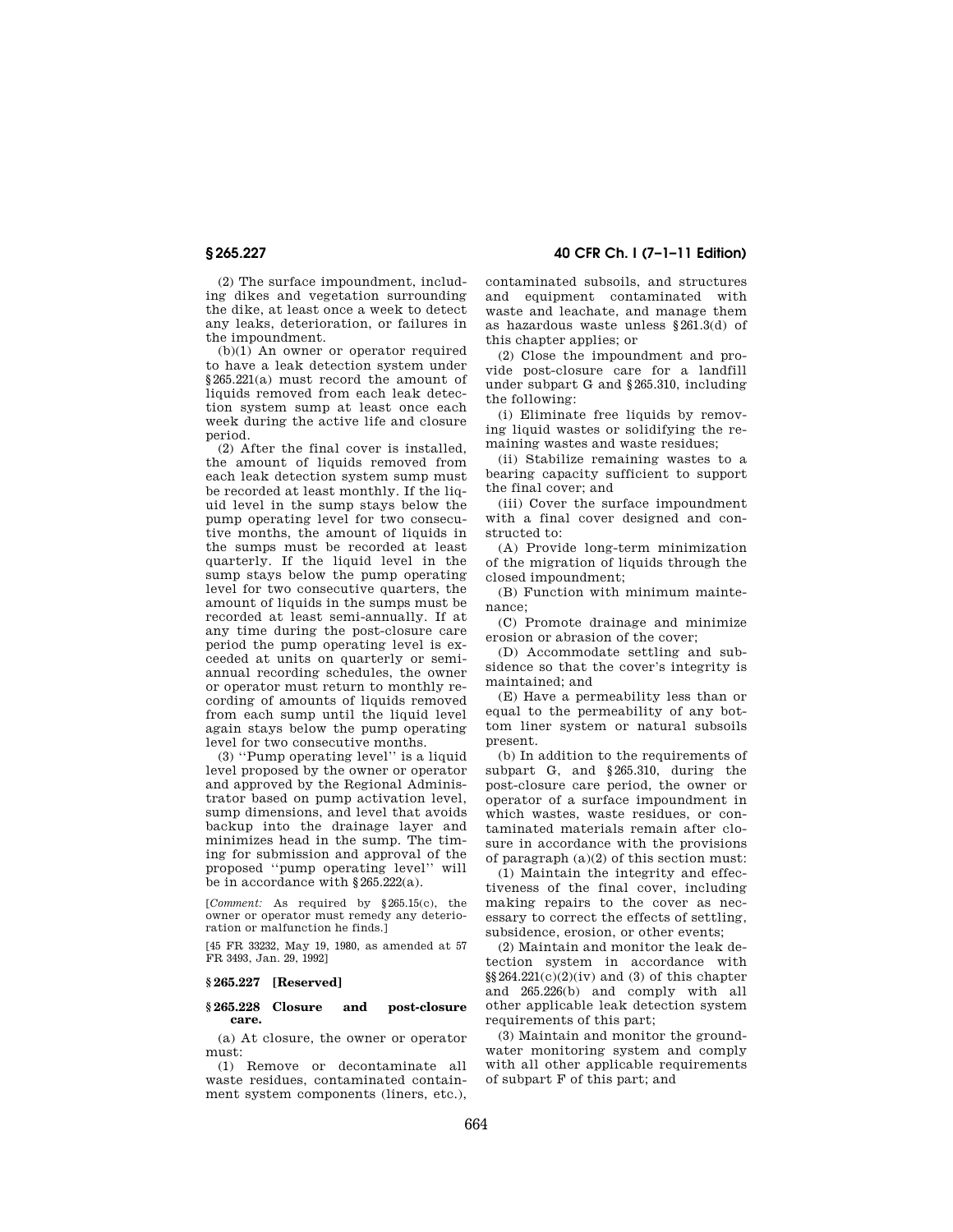**§ 265.227 40 CFR Ch. I (7–1–11 Edition)** 

(2) The surface impoundment, including dikes and vegetation surrounding the dike, at least once a week to detect any leaks, deterioration, or failures in the impoundment.

(b)(1) An owner or operator required to have a leak detection system under §265.221(a) must record the amount of liquids removed from each leak detection system sump at least once each week during the active life and closure period.

(2) After the final cover is installed, the amount of liquids removed from each leak detection system sump must be recorded at least monthly. If the liquid level in the sump stays below the pump operating level for two consecutive months, the amount of liquids in the sumps must be recorded at least quarterly. If the liquid level in the sump stays below the pump operating level for two consecutive quarters, the amount of liquids in the sumps must be recorded at least semi-annually. If at any time during the post-closure care period the pump operating level is exceeded at units on quarterly or semiannual recording schedules, the owner or operator must return to monthly recording of amounts of liquids removed from each sump until the liquid level again stays below the pump operating level for two consecutive months.

(3) ''Pump operating level'' is a liquid level proposed by the owner or operator and approved by the Regional Administrator based on pump activation level, sump dimensions, and level that avoids backup into the drainage layer and minimizes head in the sump. The timing for submission and approval of the proposed ''pump operating level'' will be in accordance with  $§ 265.222(a)$ .

[*Comment:* As required by §265.15(c), the owner or operator must remedy any deterioration or malfunction he finds.]

[45 FR 33232, May 19, 1980, as amended at 57 FR 3493, Jan. 29, 1992]

# **§ 265.227 [Reserved]**

#### **§ 265.228 Closure and post-closure care.**

(a) At closure, the owner or operator must:

(1) Remove or decontaminate all waste residues, contaminated containment system components (liners, etc.), contaminated subsoils, and structures and equipment contaminated with waste and leachate, and manage them as hazardous waste unless §261.3(d) of this chapter applies; or

(2) Close the impoundment and provide post-closure care for a landfill under subpart G and §265.310, including the following:

(i) Eliminate free liquids by removing liquid wastes or solidifying the remaining wastes and waste residues;

(ii) Stabilize remaining wastes to a bearing capacity sufficient to support the final cover; and

(iii) Cover the surface impoundment with a final cover designed and constructed to:

(A) Provide long-term minimization of the migration of liquids through the closed impoundment;

(B) Function with minimum maintenance;

(C) Promote drainage and minimize erosion or abrasion of the cover;

(D) Accommodate settling and subsidence so that the cover's integrity is maintained; and

(E) Have a permeability less than or equal to the permeability of any bottom liner system or natural subsoils present.

(b) In addition to the requirements of subpart G, and §265.310, during the post-closure care period, the owner or operator of a surface impoundment in which wastes, waste residues, or contaminated materials remain after closure in accordance with the provisions of paragraph (a)(2) of this section must:

(1) Maintain the integrity and effectiveness of the final cover, including making repairs to the cover as necessary to correct the effects of settling, subsidence, erosion, or other events;

(2) Maintain and monitor the leak detection system in accordance with §§264.221(c)(2)(iv) and (3) of this chapter and 265.226(b) and comply with all other applicable leak detection system requirements of this part;

(3) Maintain and monitor the groundwater monitoring system and comply with all other applicable requirements of subpart F of this part; and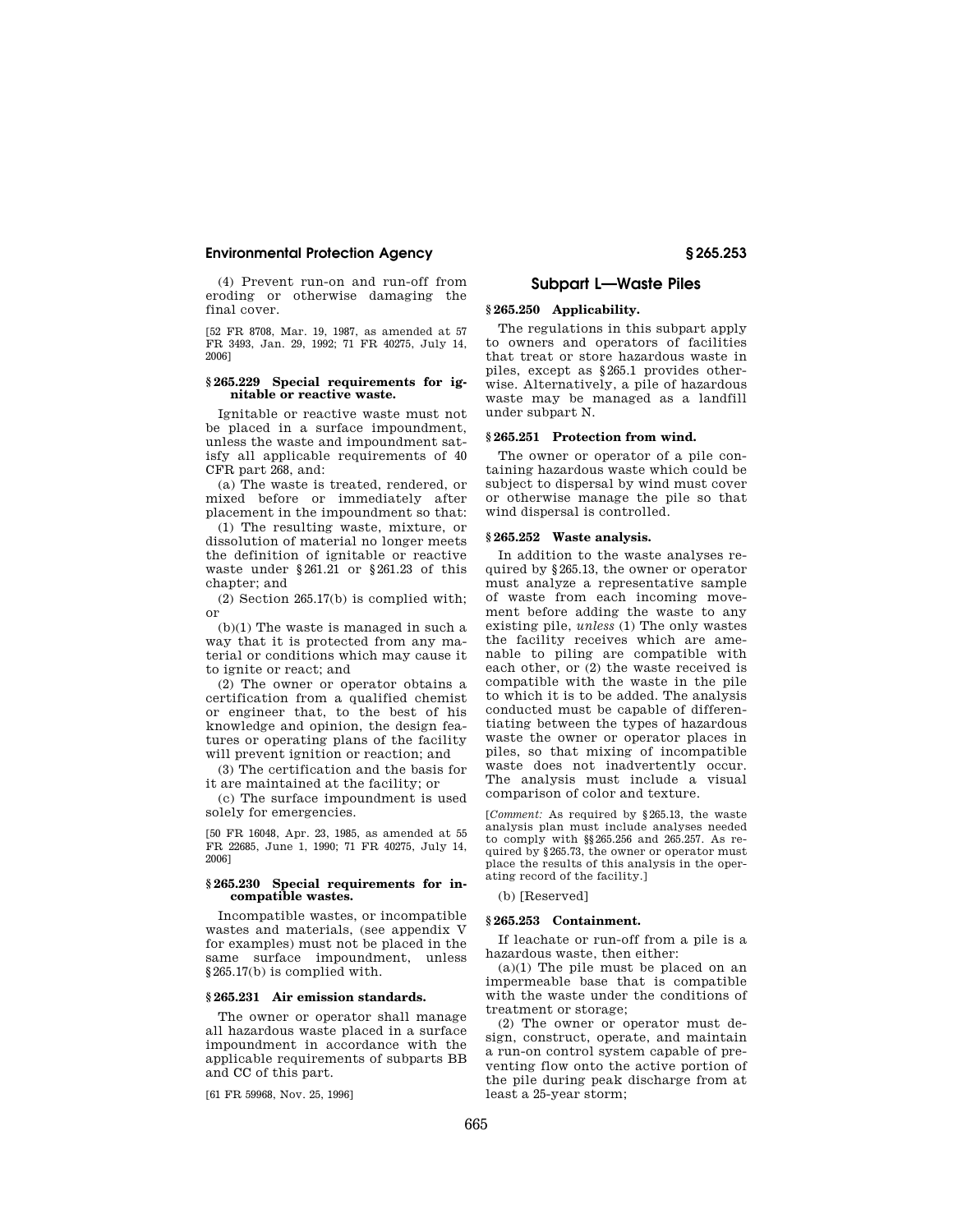(4) Prevent run-on and run-off from eroding or otherwise damaging the final cover.

[52 FR 8708, Mar. 19, 1987, as amended at 57 FR 3493, Jan. 29, 1992; 71 FR 40275, July 14, 2006]

# **§ 265.229 Special requirements for ignitable or reactive waste.**

Ignitable or reactive waste must not be placed in a surface impoundment, unless the waste and impoundment satisfy all applicable requirements of 40 CFR part 268, and:

(a) The waste is treated, rendered, or mixed before or immediately after placement in the impoundment so that:

(1) The resulting waste, mixture, or dissolution of material no longer meets the definition of ignitable or reactive waste under §261.21 or §261.23 of this chapter; and

(2) Section 265.17(b) is complied with; or

(b)(1) The waste is managed in such a way that it is protected from any material or conditions which may cause it to ignite or react; and

(2) The owner or operator obtains a certification from a qualified chemist or engineer that, to the best of his knowledge and opinion, the design features or operating plans of the facility will prevent ignition or reaction; and

(3) The certification and the basis for it are maintained at the facility; or

(c) The surface impoundment is used solely for emergencies.

[50 FR 16048, Apr. 23, 1985, as amended at 55 FR 22685, June 1, 1990; 71 FR 40275, July 14, 2006]

#### **§ 265.230 Special requirements for incompatible wastes.**

Incompatible wastes, or incompatible wastes and materials, (see appendix V for examples) must not be placed in the same surface impoundment, unless §265.17(b) is complied with.

# **§ 265.231 Air emission standards.**

The owner or operator shall manage all hazardous waste placed in a surface impoundment in accordance with the applicable requirements of subparts BB and CC of this part.

[61 FR 59968, Nov. 25, 1996]

# **Subpart L—Waste Piles**

# **§ 265.250 Applicability.**

The regulations in this subpart apply to owners and operators of facilities that treat or store hazardous waste in piles, except as §265.1 provides otherwise. Alternatively, a pile of hazardous waste may be managed as a landfill under subpart N.

#### **§ 265.251 Protection from wind.**

The owner or operator of a pile containing hazardous waste which could be subject to dispersal by wind must cover or otherwise manage the pile so that wind dispersal is controlled.

#### **§ 265.252 Waste analysis.**

In addition to the waste analyses required by §265.13, the owner or operator must analyze a representative sample of waste from each incoming movement before adding the waste to any existing pile, *unless* (1) The only wastes the facility receives which are amenable to piling are compatible with each other, or (2) the waste received is compatible with the waste in the pile to which it is to be added. The analysis conducted must be capable of differentiating between the types of hazardous waste the owner or operator places in piles, so that mixing of incompatible waste does not inadvertently occur. The analysis must include a visual comparison of color and texture.

[*Comment:* As required by §265.13, the waste analysis plan must include analyses needed to comply with §§265.256 and 265.257. As required by §265.73, the owner or operator must place the results of this analysis in the operating record of the facility.]

(b) [Reserved]

#### **§ 265.253 Containment.**

If leachate or run-off from a pile is a hazardous waste, then either:

(a)(1) The pile must be placed on an impermeable base that is compatible with the waste under the conditions of treatment or storage;

(2) The owner or operator must design, construct, operate, and maintain a run-on control system capable of preventing flow onto the active portion of the pile during peak discharge from at least a 25-year storm;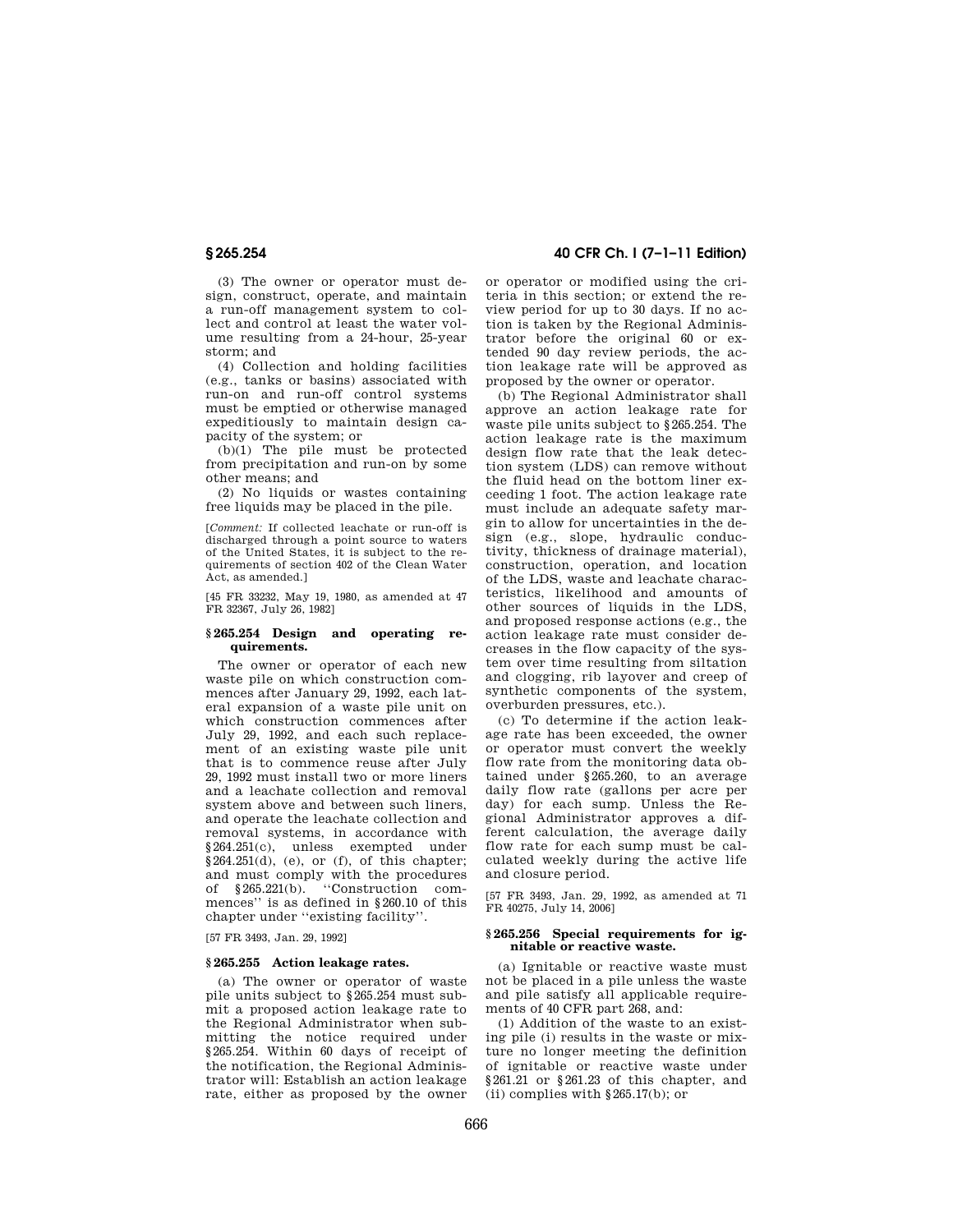# **§ 265.254 40 CFR Ch. I (7–1–11 Edition)**

(3) The owner or operator must de-

sign, construct, operate, and maintain a run-off management system to collect and control at least the water volume resulting from a 24-hour, 25-year storm; and

(4) Collection and holding facilities (e.g., tanks or basins) associated with run-on and run-off control systems must be emptied or otherwise managed expeditiously to maintain design capacity of the system; or

(b)(1) The pile must be protected from precipitation and run-on by some other means; and

(2) No liquids or wastes containing free liquids may be placed in the pile.

[*Comment:* If collected leachate or run-off is discharged through a point source to waters of the United States, it is subject to the requirements of section 402 of the Clean Water Act, as amended.]

[45 FR 33232, May 19, 1980, as amended at 47 FR 32367, July 26, 1982]

#### **§ 265.254 Design and operating requirements.**

The owner or operator of each new waste pile on which construction commences after January 29, 1992, each lateral expansion of a waste pile unit on which construction commences after July 29, 1992, and each such replacement of an existing waste pile unit that is to commence reuse after July 29, 1992 must install two or more liners and a leachate collection and removal system above and between such liners, and operate the leachate collection and removal systems, in accordance with §264.251(c), unless exempted under  $§264.251(d), (e), or (f), of this chapter;$ and must comply with the procedures of §265.221(b). ''Construction commences'' is as defined in §260.10 of this chapter under ''existing facility''.

[57 FR 3493, Jan. 29, 1992]

#### **§ 265.255 Action leakage rates.**

(a) The owner or operator of waste pile units subject to §265.254 must submit a proposed action leakage rate to the Regional Administrator when submitting the notice required under §265.254. Within 60 days of receipt of the notification, the Regional Administrator will: Establish an action leakage rate, either as proposed by the owner

or operator or modified using the criteria in this section; or extend the review period for up to 30 days. If no action is taken by the Regional Administrator before the original 60 or extended 90 day review periods, the action leakage rate will be approved as proposed by the owner or operator.

(b) The Regional Administrator shall approve an action leakage rate for waste pile units subject to §265.254. The action leakage rate is the maximum design flow rate that the leak detection system (LDS) can remove without the fluid head on the bottom liner exceeding 1 foot. The action leakage rate must include an adequate safety margin to allow for uncertainties in the design (e.g., slope, hydraulic conductivity, thickness of drainage material), construction, operation, and location of the LDS, waste and leachate characteristics, likelihood and amounts of other sources of liquids in the LDS, and proposed response actions (e.g., the action leakage rate must consider decreases in the flow capacity of the system over time resulting from siltation and clogging, rib layover and creep of synthetic components of the system, overburden pressures, etc.).

(c) To determine if the action leakage rate has been exceeded, the owner or operator must convert the weekly flow rate from the monitoring data obtained under §265.260, to an average daily flow rate (gallons per acre per day) for each sump. Unless the Regional Administrator approves a different calculation, the average daily flow rate for each sump must be calculated weekly during the active life and closure period.

[57 FR 3493, Jan. 29, 1992, as amended at 71 FR 40275, July 14, 2006]

#### **§ 265.256 Special requirements for ignitable or reactive waste.**

(a) Ignitable or reactive waste must not be placed in a pile unless the waste and pile satisfy all applicable requirements of 40 CFR part 268, and:

(1) Addition of the waste to an existing pile (i) results in the waste or mixture no longer meeting the definition of ignitable or reactive waste under §261.21 or §261.23 of this chapter, and (ii) complies with  $§265.17(b)$ ; or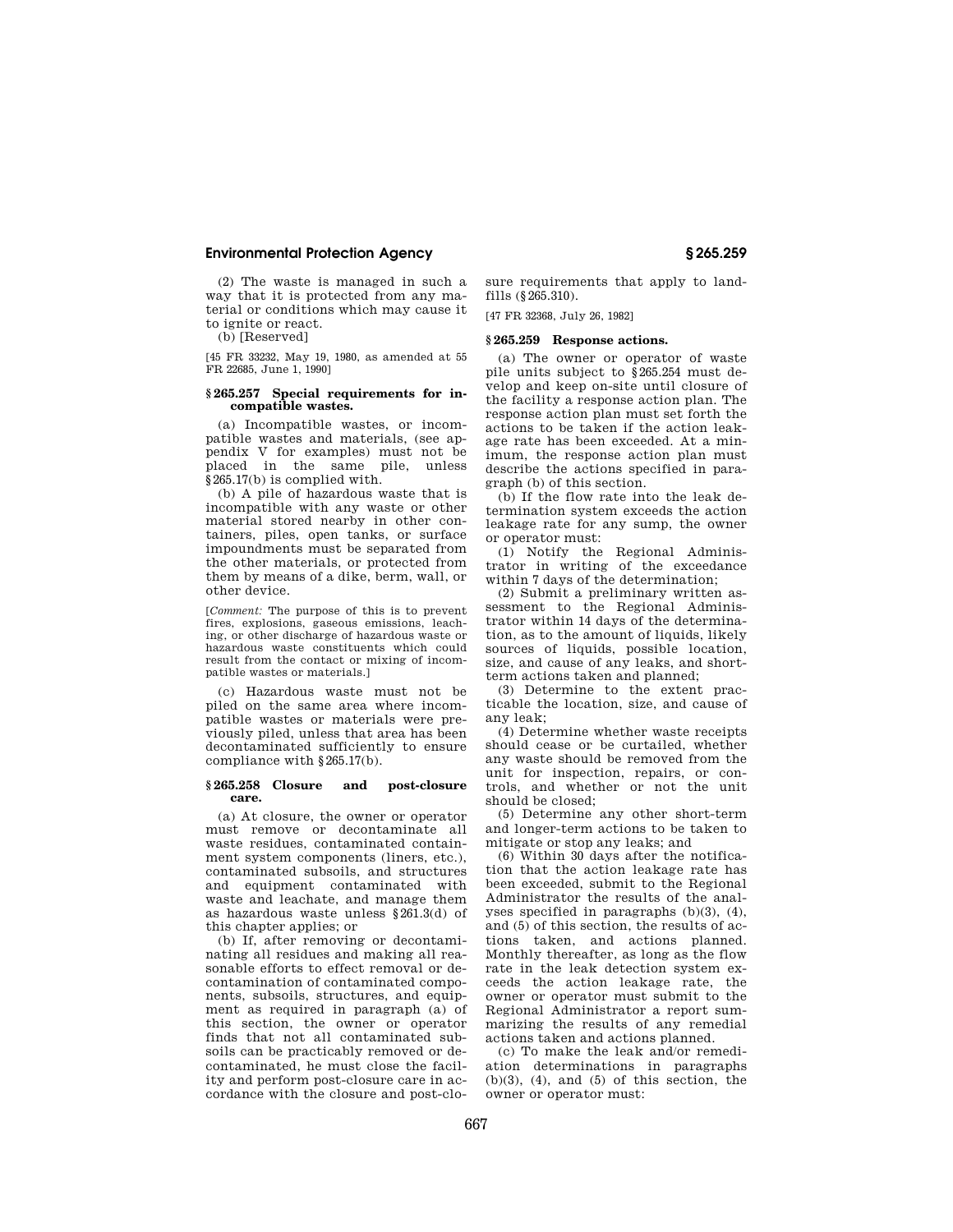(2) The waste is managed in such a way that it is protected from any material or conditions which may cause it to ignite or react.

(b) [Reserved]

[45 FR 33232, May 19, 1980, as amended at 55 FR 22685, June 1, 1990]

#### **§ 265.257 Special requirements for incompatible wastes.**

(a) Incompatible wastes, or incompatible wastes and materials, (see appendix V for examples) must not be placed in the same pile, unless §265.17(b) is complied with.

(b) A pile of hazardous waste that is incompatible with any waste or other material stored nearby in other containers, piles, open tanks, or surface impoundments must be separated from the other materials, or protected from them by means of a dike, berm, wall, or other device.

[*Comment:* The purpose of this is to prevent fires, explosions, gaseous emissions, leaching, or other discharge of hazardous waste or hazardous waste constituents which could result from the contact or mixing of incompatible wastes or materials.]

(c) Hazardous waste must not be piled on the same area where incompatible wastes or materials were previously piled, unless that area has been decontaminated sufficiently to ensure compliance with §265.17(b).

# **§ 265.258 Closure and post-closure care.**

(a) At closure, the owner or operator must remove or decontaminate all waste residues, contaminated containment system components (liners, etc.), contaminated subsoils, and structures and equipment contaminated with waste and leachate, and manage them as hazardous waste unless §261.3(d) of this chapter applies; or

(b) If, after removing or decontaminating all residues and making all reasonable efforts to effect removal or decontamination of contaminated components, subsoils, structures, and equipment as required in paragraph (a) of this section, the owner or operator finds that not all contaminated subsoils can be practicably removed or decontaminated, he must close the facility and perform post-closure care in accordance with the closure and post-closure requirements that apply to landfills (§265.310).

[47 FR 32368, July 26, 1982]

# **§ 265.259 Response actions.**

(a) The owner or operator of waste pile units subject to §265.254 must develop and keep on-site until closure of the facility a response action plan. The response action plan must set forth the actions to be taken if the action leakage rate has been exceeded. At a minimum, the response action plan must describe the actions specified in paragraph (b) of this section.

(b) If the flow rate into the leak determination system exceeds the action leakage rate for any sump, the owner or operator must:

(1) Notify the Regional Administrator in writing of the exceedance within 7 days of the determination;

(2) Submit a preliminary written assessment to the Regional Administrator within 14 days of the determination, as to the amount of liquids, likely sources of liquids, possible location, size, and cause of any leaks, and shortterm actions taken and planned;

(3) Determine to the extent practicable the location, size, and cause of any leak;

(4) Determine whether waste receipts should cease or be curtailed, whether any waste should be removed from the unit for inspection, repairs, or controls, and whether or not the unit should be closed;

(5) Determine any other short-term and longer-term actions to be taken to mitigate or stop any leaks; and

(6) Within 30 days after the notification that the action leakage rate has been exceeded, submit to the Regional Administrator the results of the analyses specified in paragraphs (b)(3), (4), and (5) of this section, the results of actions taken, and actions planned. Monthly thereafter, as long as the flow rate in the leak detection system exceeds the action leakage rate, the owner or operator must submit to the Regional Administrator a report summarizing the results of any remedial actions taken and actions planned.

(c) To make the leak and/or remediation determinations in paragraphs  $(b)(3)$ ,  $(4)$ , and  $(5)$  of this section, the owner or operator must: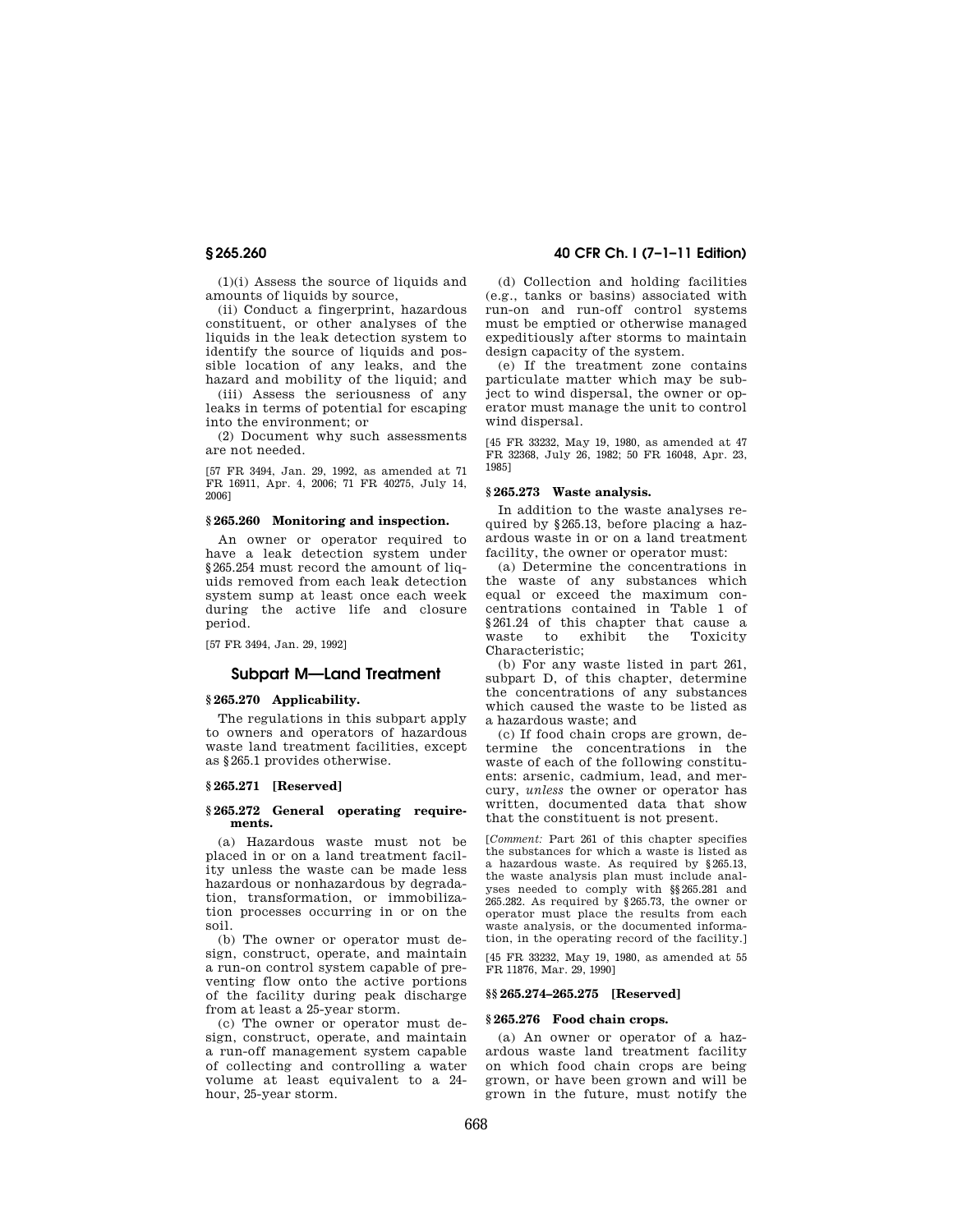$(1)(i)$  Assess the source of liquids and amounts of liquids by source,

(ii) Conduct a fingerprint, hazardous constituent, or other analyses of the liquids in the leak detection system to identify the source of liquids and possible location of any leaks, and the hazard and mobility of the liquid; and

(iii) Assess the seriousness of any leaks in terms of potential for escaping into the environment; or

(2) Document why such assessments are not needed.

[57 FR 3494, Jan. 29, 1992, as amended at 71 FR 16911, Apr. 4, 2006; 71 FR 40275, July 14, 2006]

# **§ 265.260 Monitoring and inspection.**

An owner or operator required to have a leak detection system under §265.254 must record the amount of liquids removed from each leak detection system sump at least once each week during the active life and closure period.

[57 FR 3494, Jan. 29, 1992]

# **Subpart M—Land Treatment**

# **§ 265.270 Applicability.**

The regulations in this subpart apply to owners and operators of hazardous waste land treatment facilities, except as §265.1 provides otherwise.

# **§ 265.271 [Reserved]**

#### **§ 265.272 General operating requirements.**

(a) Hazardous waste must not be placed in or on a land treatment facility unless the waste can be made less hazardous or nonhazardous by degradation, transformation, or immobilization processes occurring in or on the soil.

(b) The owner or operator must design, construct, operate, and maintain a run-on control system capable of preventing flow onto the active portions of the facility during peak discharge from at least a 25-year storm.

(c) The owner or operator must design, construct, operate, and maintain a run-off management system capable of collecting and controlling a water volume at least equivalent to a 24 hour, 25-year storm.

# **§ 265.260 40 CFR Ch. I (7–1–11 Edition)**

(d) Collection and holding facilities (e.g., tanks or basins) associated with run-on and run-off control systems must be emptied or otherwise managed expeditiously after storms to maintain design capacity of the system.

(e) If the treatment zone contains particulate matter which may be subject to wind dispersal, the owner or operator must manage the unit to control wind dispersal.

[45 FR 33232, May 19, 1980, as amended at 47 FR 32368, July 26, 1982; 50 FR 16048, Apr. 23, 1985]

# **§ 265.273 Waste analysis.**

In addition to the waste analyses required by §265.13, before placing a hazardous waste in or on a land treatment facility, the owner or operator must:

(a) Determine the concentrations in the waste of any substances which equal or exceed the maximum concentrations contained in Table 1 of §261.24 of this chapter that cause a waste to exhibit the Characteristic;

(b) For any waste listed in part 261, subpart D, of this chapter, determine the concentrations of any substances which caused the waste to be listed as a hazardous waste; and

(c) If food chain crops are grown, determine the concentrations in the waste of each of the following constituents: arsenic, cadmium, lead, and mercury, *unless* the owner or operator has written, documented data that show that the constituent is not present.

[*Comment:* Part 261 of this chapter specifies the substances for which a waste is listed as a hazardous waste. As required by §265.13, the waste analysis plan must include analyses needed to comply with §§265.281 and 265.282. As required by §265.73, the owner or operator must place the results from each waste analysis, or the documented information, in the operating record of the facility.] [45 FR 33232, May 19, 1980, as amended at 55

FR 11876, Mar. 29, 1990]

# **§§ 265.274–265.275 [Reserved]**

# **§ 265.276 Food chain crops.**

(a) An owner or operator of a hazardous waste land treatment facility on which food chain crops are being grown, or have been grown and will be grown in the future, must notify the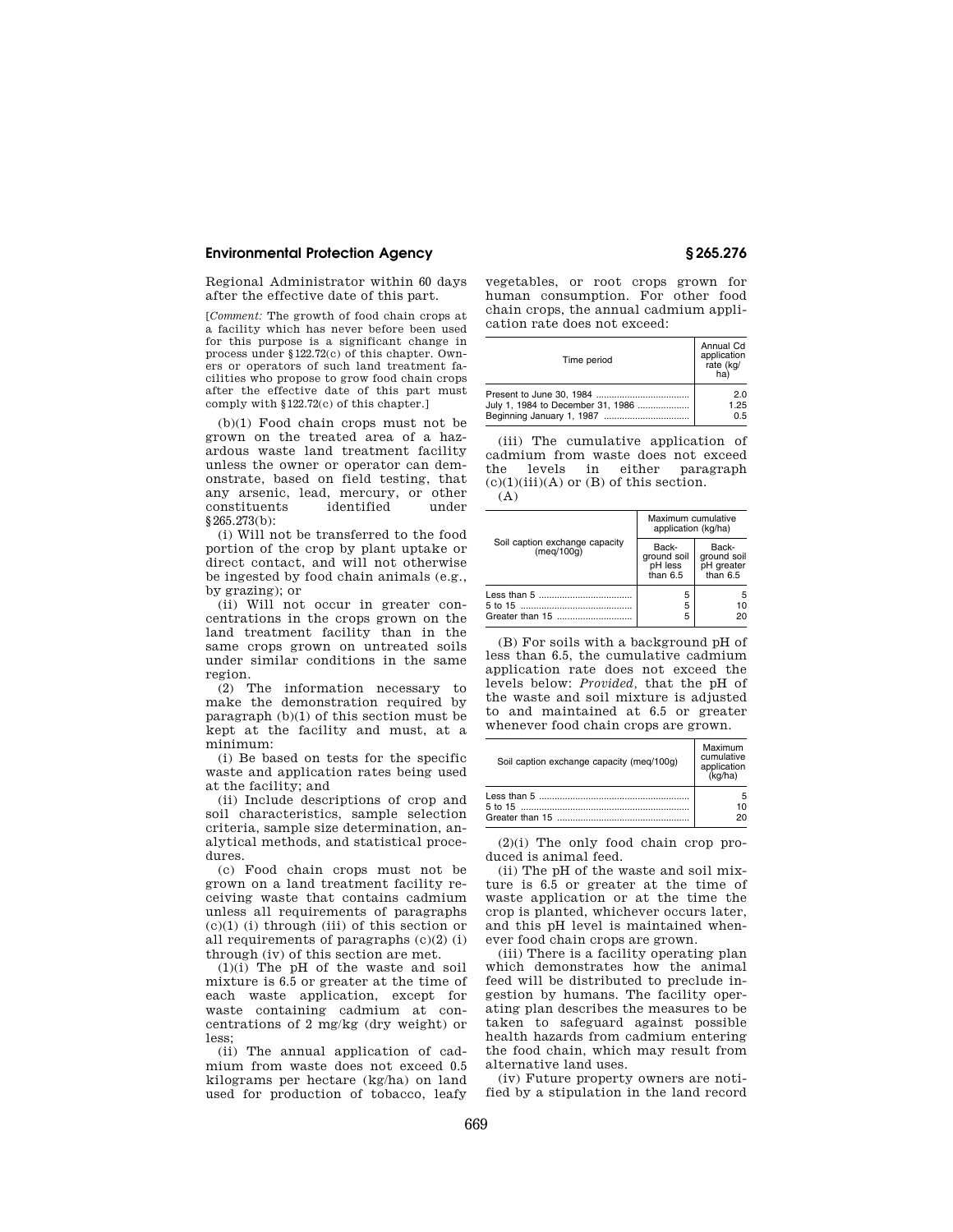Regional Administrator within 60 days after the effective date of this part.

[*Comment:* The growth of food chain crops at a facility which has never before been used for this purpose is a significant change in process under §122.72(c) of this chapter. Owners or operators of such land treatment facilities who propose to grow food chain crops after the effective date of this part must comply with §122.72(c) of this chapter.]

(b)(1) Food chain crops must not be grown on the treated area of a hazardous waste land treatment facility unless the owner or operator can demonstrate, based on field testing, that any arsenic, lead, mercury, or other<br>constituents identified under identified under §265.273(b):

(i) Will not be transferred to the food portion of the crop by plant uptake or direct contact, and will not otherwise be ingested by food chain animals (e.g., by grazing); or

(ii) Will not occur in greater concentrations in the crops grown on the land treatment facility than in the same crops grown on untreated soils under similar conditions in the same region.

(2) The information necessary to make the demonstration required by paragraph (b)(1) of this section must be kept at the facility and must, at a minimum:

(i) Be based on tests for the specific waste and application rates being used at the facility; and

(ii) Include descriptions of crop and soil characteristics, sample selection criteria, sample size determination, analytical methods, and statistical procedures.

(c) Food chain crops must not be grown on a land treatment facility receiving waste that contains cadmium unless all requirements of paragraphs  $(c)(1)$  (i) through (iii) of this section or all requirements of paragraphs (c)(2) (i) through (iv) of this section are met.

(1)(i) The pH of the waste and soil mixture is 6.5 or greater at the time of each waste application, except for waste containing cadmium at concentrations of 2 mg/kg (dry weight) or less;

(ii) The annual application of cadmium from waste does not exceed 0.5 kilograms per hectare (kg/ha) on land used for production of tobacco, leafy vegetables, or root crops grown for human consumption. For other food chain crops, the annual cadmium application rate does not exceed:

| Time period                       | Annual Cd<br>application<br>rate (kg/<br>ha) |
|-----------------------------------|----------------------------------------------|
|                                   | 2.0                                          |
| July 1, 1984 to December 31, 1986 | 1.25                                         |
| Beginning January 1, 1987         | 0.5                                          |

(iii) The cumulative application of cadmium from waste does not exceed the levels in either paragraph  $(c)(1)(iii)(A)$  or  $(B)$  of this section.

| Soil caption exchange capacity<br>(meq/100q) | Maximum cumulative<br>application (kg/ha)     |                                                  |
|----------------------------------------------|-----------------------------------------------|--------------------------------------------------|
|                                              | Back-<br>ground soil<br>pH less<br>than $6.5$ | Back-<br>ground soil<br>pH greater<br>than $6.5$ |
|                                              | 5<br>5<br>5                                   | 5<br>10                                          |

(B) For soils with a background pH of less than 6.5, the cumulative cadmium application rate does not exceed the levels below: *Provided,* that the pH of the waste and soil mixture is adjusted to and maintained at 6.5 or greater whenever food chain crops are grown.

| Soil caption exchange capacity (meg/100g) | Maximum<br>cumulative<br>application<br>(kq/ha) |
|-------------------------------------------|-------------------------------------------------|
|                                           | 10<br>20                                        |

 $(2)(i)$  The only food chain crop produced is animal feed.

(ii) The pH of the waste and soil mixture is 6.5 or greater at the time of waste application or at the time the crop is planted, whichever occurs later, and this pH level is maintained whenever food chain crops are grown.

(iii) There is a facility operating plan which demonstrates how the animal feed will be distributed to preclude ingestion by humans. The facility operating plan describes the measures to be taken to safeguard against possible health hazards from cadmium entering the food chain, which may result from alternative land uses.

(iv) Future property owners are notified by a stipulation in the land record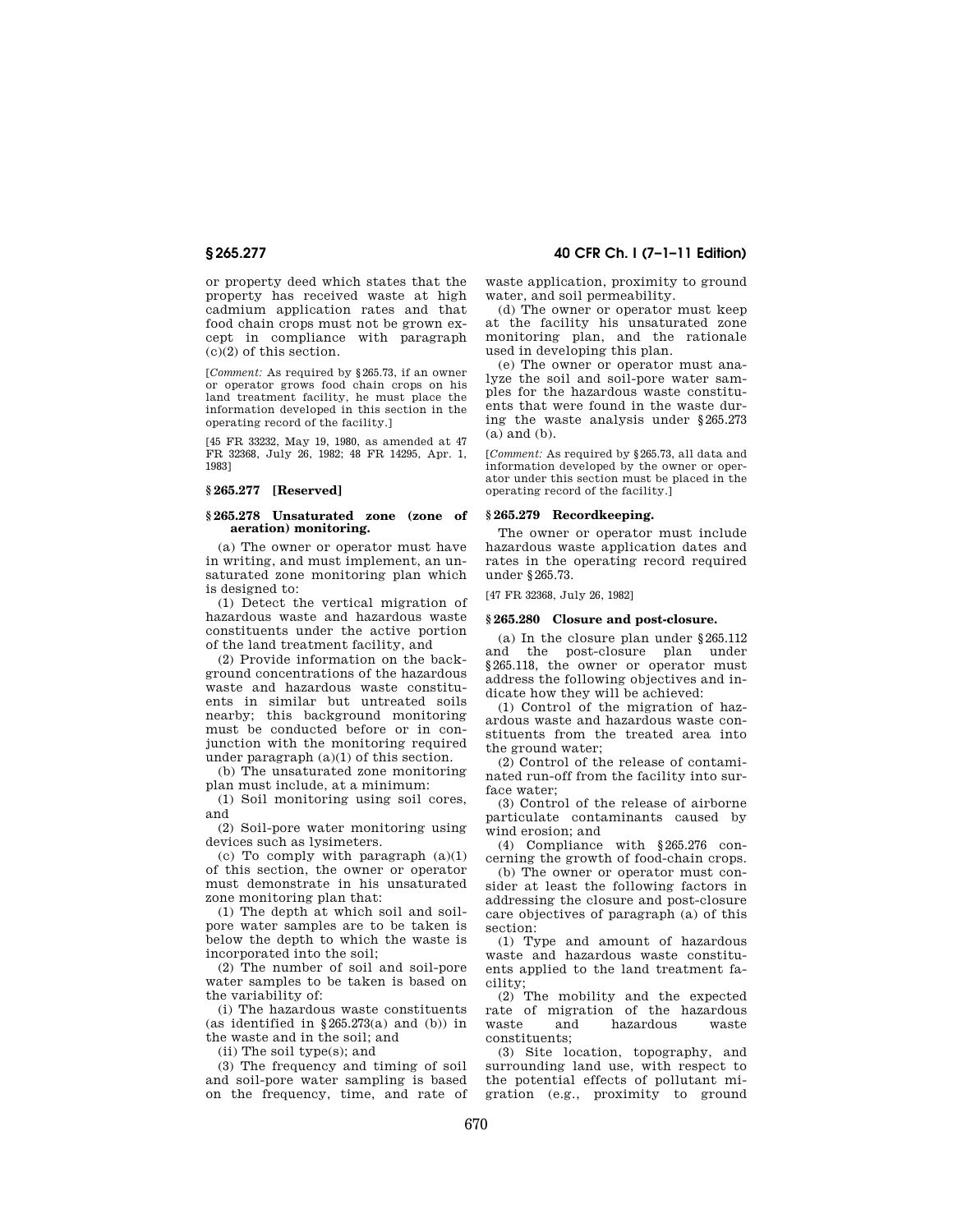or property deed which states that the property has received waste at high cadmium application rates and that food chain crops must not be grown except in compliance with paragraph (c)(2) of this section.

[*Comment:* As required by §265.73, if an owner or operator grows food chain crops on his land treatment facility, he must place the information developed in this section in the operating record of the facility.]

[45 FR 33232, May 19, 1980, as amended at 47 FR 32368, July 26, 1982; 48 FR 14295, Apr. 1, 1983]

#### **§ 265.277 [Reserved]**

#### **§ 265.278 Unsaturated zone (zone of aeration) monitoring.**

(a) The owner or operator must have in writing, and must implement, an unsaturated zone monitoring plan which is designed to:

(1) Detect the vertical migration of hazardous waste and hazardous waste constituents under the active portion of the land treatment facility, and

(2) Provide information on the background concentrations of the hazardous waste and hazardous waste constituents in similar but untreated soils nearby; this background monitoring must be conducted before or in conjunction with the monitoring required under paragraph  $(a)(1)$  of this section.

(b) The unsaturated zone monitoring plan must include, at a minimum:

(1) Soil monitoring using soil cores, and

(2) Soil-pore water monitoring using devices such as lysimeters.

(c) To comply with paragraph (a)(1) of this section, the owner or operator must demonstrate in his unsaturated zone monitoring plan that:

(1) The depth at which soil and soilpore water samples are to be taken is below the depth to which the waste is incorporated into the soil;

(2) The number of soil and soil-pore water samples to be taken is based on the variability of:

(i) The hazardous waste constituents (as identified in  $$265.273(a)$  and (b)) in the waste and in the soil; and

(ii) The soil type(s); and

(3) The frequency and timing of soil and soil-pore water sampling is based on the frequency, time, and rate of

**§ 265.277 40 CFR Ch. I (7–1–11 Edition)** 

waste application, proximity to ground water, and soil permeability.

(d) The owner or operator must keep at the facility his unsaturated zone monitoring plan, and the rationale used in developing this plan.

(e) The owner or operator must analyze the soil and soil-pore water samples for the hazardous waste constituents that were found in the waste during the waste analysis under §265.273 (a) and (b).

[*Comment:* As required by §265.73, all data and information developed by the owner or operator under this section must be placed in the operating record of the facility.]

# **§ 265.279 Recordkeeping.**

The owner or operator must include hazardous waste application dates and rates in the operating record required under §265.73.

[47 FR 32368, July 26, 1982]

#### **§ 265.280 Closure and post-closure.**

(a) In the closure plan under §265.112 and the post-closure plan under §265.118, the owner or operator must address the following objectives and indicate how they will be achieved:

(1) Control of the migration of hazardous waste and hazardous waste constituents from the treated area into the ground water;

(2) Control of the release of contaminated run-off from the facility into surface water;

(3) Control of the release of airborne particulate contaminants caused by wind erosion; and

(4) Compliance with §265.276 concerning the growth of food-chain crops.

(b) The owner or operator must consider at least the following factors in addressing the closure and post-closure care objectives of paragraph (a) of this section:

(1) Type and amount of hazardous waste and hazardous waste constituents applied to the land treatment facility;

(2) The mobility and the expected rate of migration of the hazardous waste and hazardous waste constituents;

(3) Site location, topography, and surrounding land use, with respect to the potential effects of pollutant migration (e.g., proximity to ground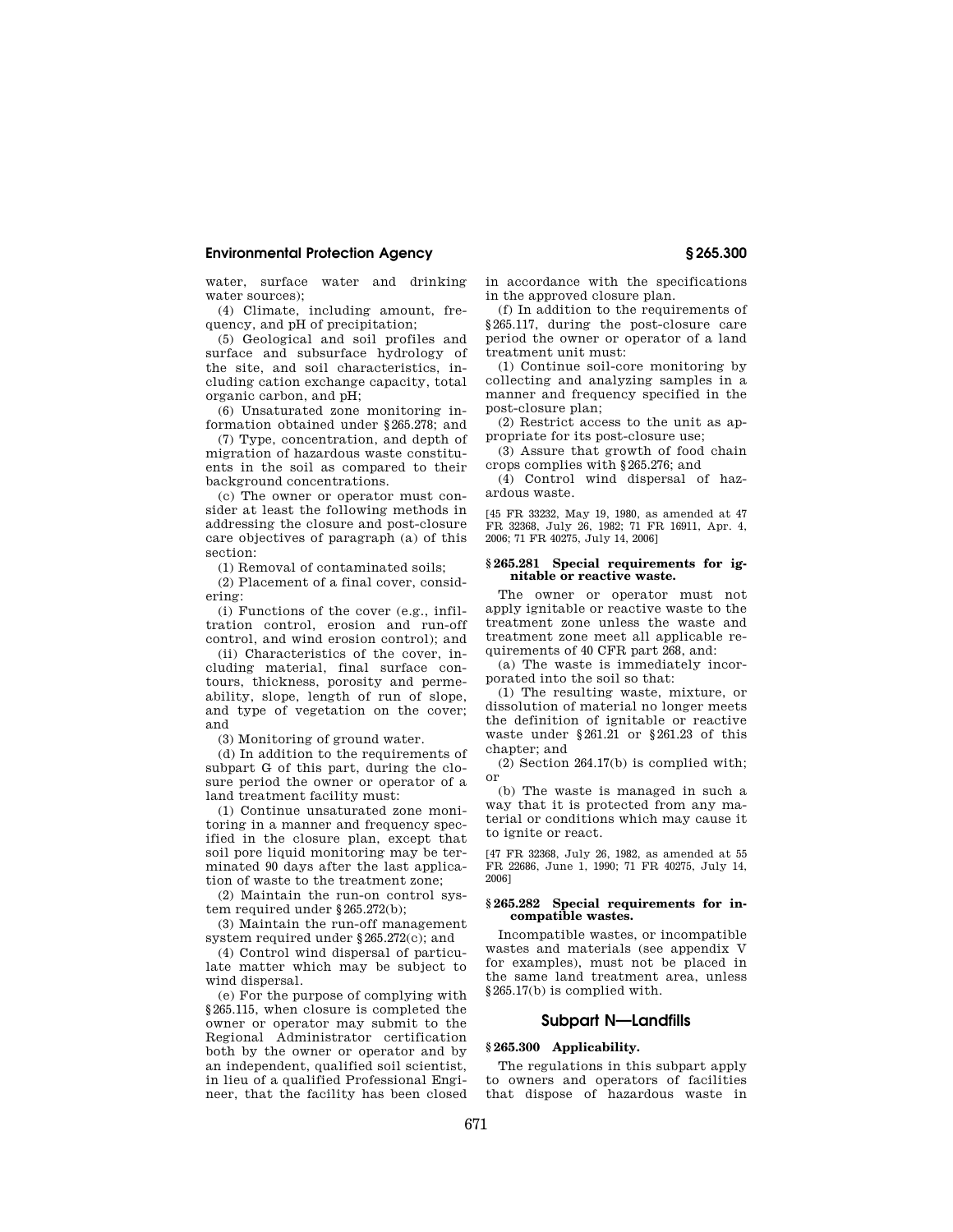water, surface water and drinking water sources);

(4) Climate, including amount, frequency, and pH of precipitation;

(5) Geological and soil profiles and surface and subsurface hydrology of the site, and soil characteristics, including cation exchange capacity, total organic carbon, and pH;

(6) Unsaturated zone monitoring information obtained under §265.278; and

(7) Type, concentration, and depth of migration of hazardous waste constituents in the soil as compared to their background concentrations.

(c) The owner or operator must consider at least the following methods in addressing the closure and post-closure care objectives of paragraph (a) of this section:

(1) Removal of contaminated soils;

(2) Placement of a final cover, considering:

(i) Functions of the cover (e.g., infiltration control, erosion and run-off control, and wind erosion control); and

(ii) Characteristics of the cover, including material, final surface contours, thickness, porosity and permeability, slope, length of run of slope, and type of vegetation on the cover; and

(3) Monitoring of ground water.

(d) In addition to the requirements of subpart G of this part, during the closure period the owner or operator of a land treatment facility must:

(1) Continue unsaturated zone monitoring in a manner and frequency specified in the closure plan, except that soil pore liquid monitoring may be terminated 90 days after the last application of waste to the treatment zone;

(2) Maintain the run-on control system required under §265.272(b);

(3) Maintain the run-off management system required under §265.272(c); and

(4) Control wind dispersal of particulate matter which may be subject to wind dispersal.

(e) For the purpose of complying with §265.115, when closure is completed the owner or operator may submit to the Regional Administrator certification both by the owner or operator and by an independent, qualified soil scientist, in lieu of a qualified Professional Engineer, that the facility has been closed

in accordance with the specifications in the approved closure plan.

(f) In addition to the requirements of §265.117, during the post-closure care period the owner or operator of a land treatment unit must:

(1) Continue soil-core monitoring by collecting and analyzing samples in a manner and frequency specified in the post-closure plan;

(2) Restrict access to the unit as appropriate for its post-closure use;

(3) Assure that growth of food chain crops complies with §265.276; and

(4) Control wind dispersal of hazardous waste.

[45 FR 33232, May 19, 1980, as amended at 47 FR 32368, July 26, 1982; 71 FR 16911, Apr. 4, 2006; 71 FR 40275, July 14, 2006]

#### **§ 265.281 Special requirements for ignitable or reactive waste.**

The owner or operator must not apply ignitable or reactive waste to the treatment zone unless the waste and treatment zone meet all applicable requirements of 40 CFR part 268, and:

(a) The waste is immediately incorporated into the soil so that:

(1) The resulting waste, mixture, or dissolution of material no longer meets the definition of ignitable or reactive waste under §261.21 or §261.23 of this chapter; and

(2) Section 264.17(b) is complied with; or

(b) The waste is managed in such a way that it is protected from any material or conditions which may cause it to ignite or react.

[47 FR 32368, July 26, 1982, as amended at 55 FR 22686, June 1, 1990; 71 FR 40275, July 14, 2006]

# **§ 265.282 Special requirements for incompatible wastes.**

Incompatible wastes, or incompatible wastes and materials (see appendix V for examples), must not be placed in the same land treatment area, unless §265.17(b) is complied with.

# **Subpart N—Landfills**

#### **§ 265.300 Applicability.**

The regulations in this subpart apply to owners and operators of facilities that dispose of hazardous waste in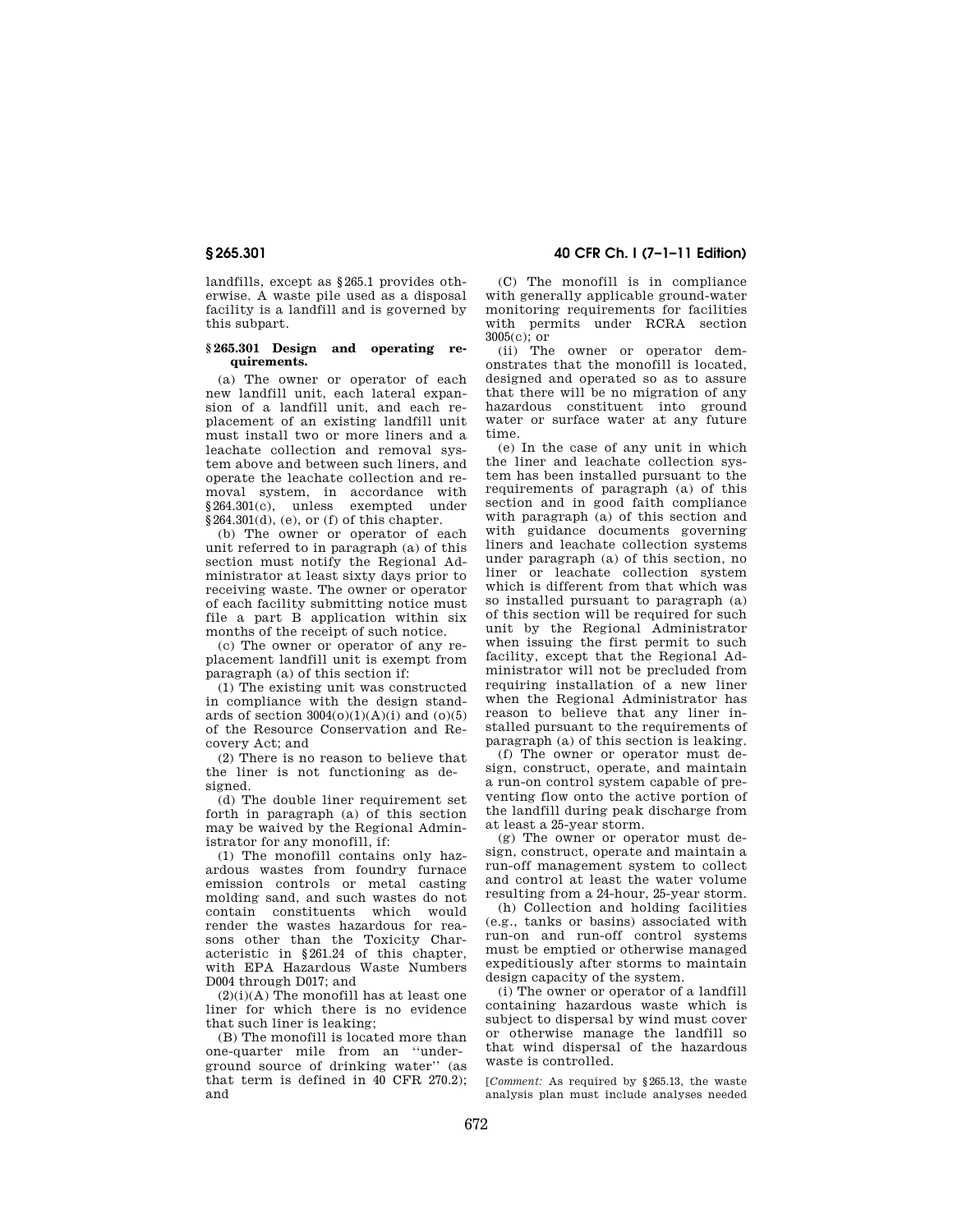landfills, except as §265.1 provides otherwise. A waste pile used as a disposal facility is a landfill and is governed by this subpart.

#### **§ 265.301 Design and operating requirements.**

(a) The owner or operator of each new landfill unit, each lateral expansion of a landfill unit, and each replacement of an existing landfill unit must install two or more liners and a leachate collection and removal system above and between such liners, and operate the leachate collection and removal system, in accordance with §264.301(c), unless exempted under §264.301(d), (e), or (f) of this chapter.

(b) The owner or operator of each unit referred to in paragraph (a) of this section must notify the Regional Administrator at least sixty days prior to receiving waste. The owner or operator of each facility submitting notice must file a part B application within six months of the receipt of such notice.

(c) The owner or operator of any replacement landfill unit is exempt from paragraph (a) of this section if:

(1) The existing unit was constructed in compliance with the design standards of section  $3004(0)(1)(A)(i)$  and  $(0)(5)$ of the Resource Conservation and Recovery Act; and

(2) There is no reason to believe that the liner is not functioning as designed.

(d) The double liner requirement set forth in paragraph (a) of this section may be waived by the Regional Administrator for any monofill, if:

(1) The monofill contains only hazardous wastes from foundry furnace emission controls or metal casting molding sand, and such wastes do not contain constituents which would render the wastes hazardous for reasons other than the Toxicity Characteristic in §261.24 of this chapter, with EPA Hazardous Waste Numbers D004 through D017; and

 $(2)(i)(A)$  The monofill has at least one liner for which there is no evidence that such liner is leaking;

(B) The monofill is located more than one-quarter mile from an ''underground source of drinking water'' (as that term is defined in 40 CFR 270.2); and

**§ 265.301 40 CFR Ch. I (7–1–11 Edition)** 

(C) The monofill is in compliance with generally applicable ground-water monitoring requirements for facilities with permits under RCRA section 3005(c); or

(ii) The owner or operator demonstrates that the monofill is located, designed and operated so as to assure that there will be no migration of any hazardous constituent into ground water or surface water at any future time.

(e) In the case of any unit in which the liner and leachate collection system has been installed pursuant to the requirements of paragraph (a) of this section and in good faith compliance with paragraph (a) of this section and with guidance documents governing liners and leachate collection systems under paragraph (a) of this section, no liner or leachate collection system which is different from that which was so installed pursuant to paragraph (a) of this section will be required for such unit by the Regional Administrator when issuing the first permit to such facility, except that the Regional Administrator will not be precluded from requiring installation of a new liner when the Regional Administrator has reason to believe that any liner installed pursuant to the requirements of paragraph (a) of this section is leaking.

(f) The owner or operator must design, construct, operate, and maintain a run-on control system capable of preventing flow onto the active portion of the landfill during peak discharge from at least a 25-year storm.

(g) The owner or operator must design, construct, operate and maintain a run-off management system to collect and control at least the water volume resulting from a 24-hour, 25-year storm.

(h) Collection and holding facilities (e.g., tanks or basins) associated with run-on and run-off control systems must be emptied or otherwise managed expeditiously after storms to maintain design capacity of the system.

(i) The owner or operator of a landfill containing hazardous waste which is subject to dispersal by wind must cover or otherwise manage the landfill so that wind dispersal of the hazardous waste is controlled.

[*Comment:* As required by §265.13, the waste analysis plan must include analyses needed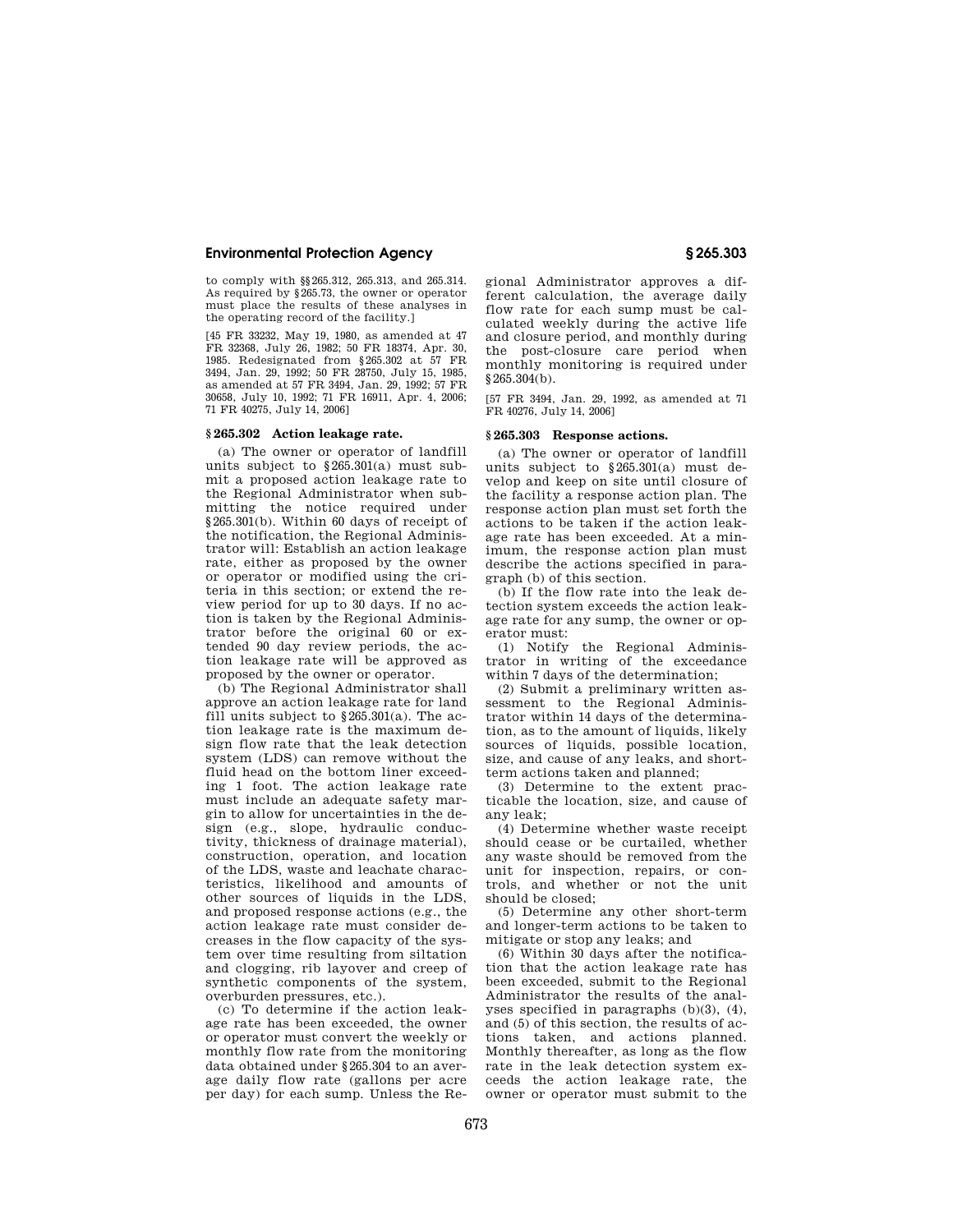to comply with §§265.312, 265.313, and 265.314. As required by §265.73, the owner or operator must place the results of these analyses in the operating record of the facility.]

[45 FR 33232, May 19, 1980, as amended at 47 FR 32368, July 26, 1982; 50 FR 18374, Apr. 30, 1985. Redesignated from §265.302 at 57 FR 3494, Jan. 29, 1992; 50 FR 28750, July 15, 1985, as amended at 57 FR 3494, Jan. 29, 1992; 57 FR 30658, July 10, 1992; 71 FR 16911, Apr. 4, 2006; 71 FR 40275, July 14, 2006]

# **§ 265.302 Action leakage rate.**

(a) The owner or operator of landfill units subject to §265.301(a) must submit a proposed action leakage rate to the Regional Administrator when submitting the notice required under §265.301(b). Within 60 days of receipt of the notification, the Regional Administrator will: Establish an action leakage rate, either as proposed by the owner or operator or modified using the criteria in this section; or extend the review period for up to 30 days. If no action is taken by the Regional Administrator before the original 60 or extended 90 day review periods, the action leakage rate will be approved as proposed by the owner or operator.

(b) The Regional Administrator shall approve an action leakage rate for land fill units subject to §265.301(a). The action leakage rate is the maximum design flow rate that the leak detection system (LDS) can remove without the fluid head on the bottom liner exceeding 1 foot. The action leakage rate must include an adequate safety margin to allow for uncertainties in the design (e.g., slope, hydraulic conductivity, thickness of drainage material), construction, operation, and location of the LDS, waste and leachate characteristics, likelihood and amounts of other sources of liquids in the LDS, and proposed response actions (e.g., the action leakage rate must consider decreases in the flow capacity of the system over time resulting from siltation and clogging, rib layover and creep of synthetic components of the system, overburden pressures, etc.).

(c) To determine if the action leakage rate has been exceeded, the owner or operator must convert the weekly or monthly flow rate from the monitoring data obtained under §265.304 to an average daily flow rate (gallons per acre per day) for each sump. Unless the Re-

gional Administrator approves a different calculation, the average daily flow rate for each sump must be calculated weekly during the active life and closure period, and monthly during the post-closure care period when monthly monitoring is required under  $§265.304(b).$ 

[57 FR 3494, Jan. 29, 1992, as amended at 71 FR 40276, July 14, 2006]

#### **§ 265.303 Response actions.**

(a) The owner or operator of landfill units subject to §265.301(a) must develop and keep on site until closure of the facility a response action plan. The response action plan must set forth the actions to be taken if the action leakage rate has been exceeded. At a minimum, the response action plan must describe the actions specified in paragraph (b) of this section.

(b) If the flow rate into the leak detection system exceeds the action leakage rate for any sump, the owner or operator must:

(1) Notify the Regional Administrator in writing of the exceedance within 7 days of the determination;

(2) Submit a preliminary written assessment to the Regional Administrator within 14 days of the determination, as to the amount of liquids, likely sources of liquids, possible location, size, and cause of any leaks, and shortterm actions taken and planned;

(3) Determine to the extent practicable the location, size, and cause of any leak;

(4) Determine whether waste receipt should cease or be curtailed, whether any waste should be removed from the unit for inspection, repairs, or controls, and whether or not the unit should be closed;

(5) Determine any other short-term and longer-term actions to be taken to mitigate or stop any leaks; and

(6) Within 30 days after the notification that the action leakage rate has been exceeded, submit to the Regional Administrator the results of the analyses specified in paragraphs (b)(3), (4), and (5) of this section, the results of actions taken, and actions planned. Monthly thereafter, as long as the flow rate in the leak detection system exceeds the action leakage rate, the owner or operator must submit to the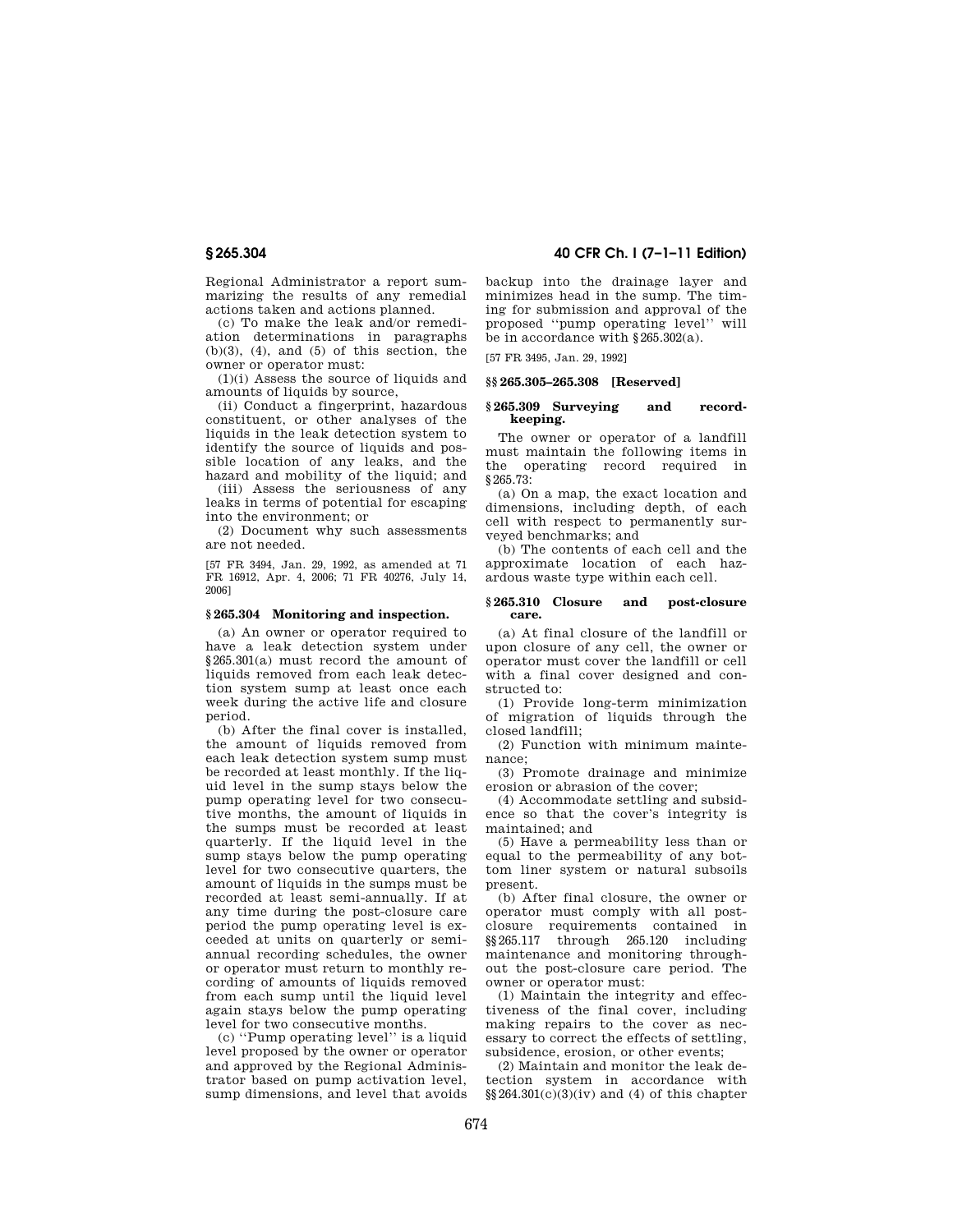Regional Administrator a report summarizing the results of any remedial actions taken and actions planned.

(c) To make the leak and/or remediation determinations in paragraphs  $(b)(3)$ ,  $(4)$ , and  $(5)$  of this section, the owner or operator must:

(1)(i) Assess the source of liquids and amounts of liquids by source,

(ii) Conduct a fingerprint, hazardous constituent, or other analyses of the liquids in the leak detection system to identify the source of liquids and possible location of any leaks, and the hazard and mobility of the liquid; and

(iii) Assess the seriousness of any leaks in terms of potential for escaping into the environment; or

(2) Document why such assessments are not needed.

[57 FR 3494, Jan. 29, 1992, as amended at 71 FR 16912, Apr. 4, 2006; 71 FR 40276, July 14, 2006]

#### **§ 265.304 Monitoring and inspection.**

(a) An owner or operator required to have a leak detection system under §265.301(a) must record the amount of liquids removed from each leak detection system sump at least once each week during the active life and closure period.

(b) After the final cover is installed, the amount of liquids removed from each leak detection system sump must be recorded at least monthly. If the liquid level in the sump stays below the pump operating level for two consecutive months, the amount of liquids in the sumps must be recorded at least quarterly. If the liquid level in the sump stays below the pump operating level for two consecutive quarters, the amount of liquids in the sumps must be recorded at least semi-annually. If at any time during the post-closure care period the pump operating level is exceeded at units on quarterly or semiannual recording schedules, the owner or operator must return to monthly recording of amounts of liquids removed from each sump until the liquid level again stays below the pump operating level for two consecutive months.

(c) ''Pump operating level'' is a liquid level proposed by the owner or operator and approved by the Regional Administrator based on pump activation level, sump dimensions, and level that avoids

# **§ 265.304 40 CFR Ch. I (7–1–11 Edition)**

backup into the drainage layer and minimizes head in the sump. The timing for submission and approval of the proposed ''pump operating level'' will be in accordance with §265.302(a).

[57 FR 3495, Jan. 29, 1992]

#### **§§ 265.305–265.308 [Reserved]**

#### **§ 265.309 Surveying and recordkeeping.**

The owner or operator of a landfill must maintain the following items in the operating record required in §265.73:

(a) On a map, the exact location and dimensions, including depth, of each cell with respect to permanently surveyed benchmarks; and

(b) The contents of each cell and the approximate location of each hazardous waste type within each cell.

#### **§ 265.310 Closure and post-closure care.**

(a) At final closure of the landfill or upon closure of any cell, the owner or operator must cover the landfill or cell with a final cover designed and constructed to:

(1) Provide long-term minimization of migration of liquids through the closed landfill;

(2) Function with minimum maintenance;

(3) Promote drainage and minimize erosion or abrasion of the cover;

(4) Accommodate settling and subsidence so that the cover's integrity is maintained; and

(5) Have a permeability less than or equal to the permeability of any bottom liner system or natural subsoils present.

(b) After final closure, the owner or operator must comply with all postclosure requirements contained in §§265.117 through 265.120 including maintenance and monitoring throughout the post-closure care period. The owner or operator must:

(1) Maintain the integrity and effectiveness of the final cover, including making repairs to the cover as necessary to correct the effects of settling, subsidence, erosion, or other events;

(2) Maintain and monitor the leak detection system in accordance with  $\S$ §264.301(c)(3)(iv) and (4) of this chapter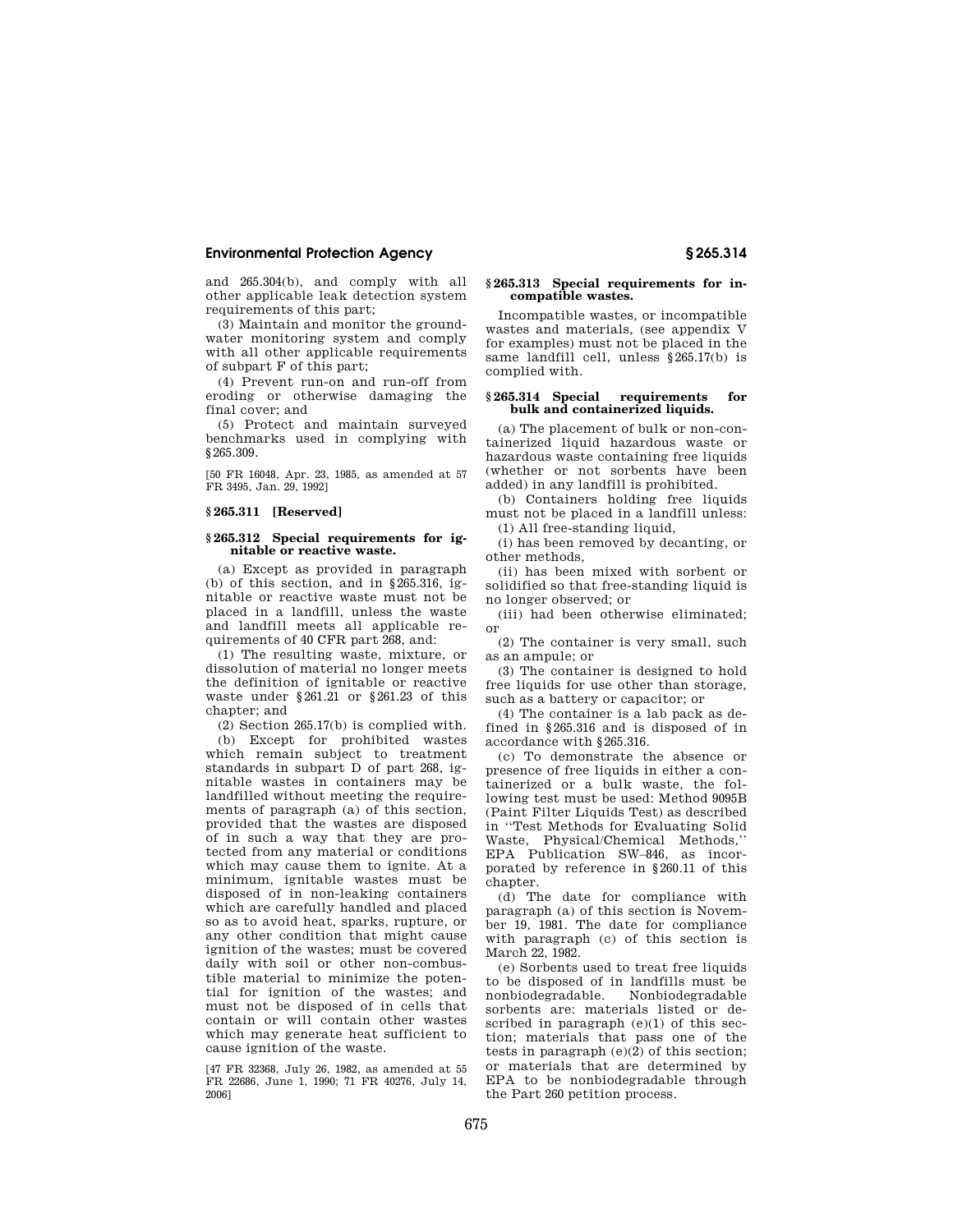and 265.304(b), and comply with all other applicable leak detection system requirements of this part;

(3) Maintain and monitor the groundwater monitoring system and comply with all other applicable requirements of subpart F of this part;

(4) Prevent run-on and run-off from eroding or otherwise damaging the final cover; and

(5) Protect and maintain surveyed benchmarks used in complying with §265.309.

[50 FR 16048, Apr. 23, 1985, as amended at 57 FR 3495, Jan. 29, 1992]

# **§ 265.311 [Reserved]**

#### **§ 265.312 Special requirements for ignitable or reactive waste.**

(a) Except as provided in paragraph (b) of this section, and in §265.316, ignitable or reactive waste must not be placed in a landfill, unless the waste and landfill meets all applicable requirements of 40 CFR part 268, and:

(1) The resulting waste, mixture, or dissolution of material no longer meets the definition of ignitable or reactive waste under §261.21 or §261.23 of this chapter; and

(2) Section 265.17(b) is complied with.

(b) Except for prohibited wastes which remain subject to treatment standards in subpart D of part 268, ignitable wastes in containers may be landfilled without meeting the requirements of paragraph (a) of this section, provided that the wastes are disposed of in such a way that they are protected from any material or conditions which may cause them to ignite. At a minimum, ignitable wastes must be disposed of in non-leaking containers which are carefully handled and placed so as to avoid heat, sparks, rupture, or any other condition that might cause ignition of the wastes; must be covered daily with soil or other non-combustible material to minimize the potential for ignition of the wastes; and must not be disposed of in cells that contain or will contain other wastes which may generate heat sufficient to cause ignition of the waste.

[47 FR 32368, July 26, 1982, as amended at 55 FR 22686, June 1, 1990; 71 FR 40276, July 14, 2006]

#### **§ 265.313 Special requirements for incompatible wastes.**

Incompatible wastes, or incompatible wastes and materials, (see appendix V for examples) must not be placed in the same landfill cell, unless §265.17(b) is complied with.

#### **§ 265.314 Special requirements for bulk and containerized liquids.**

(a) The placement of bulk or non-containerized liquid hazardous waste or hazardous waste containing free liquids (whether or not sorbents have been added) in any landfill is prohibited.

(b) Containers holding free liquids must not be placed in a landfill unless: (1) All free-standing liquid,

(i) has been removed by decanting, or other methods,

(ii) has been mixed with sorbent or solidified so that free-standing liquid is no longer observed; or

(iii) had been otherwise eliminated; or

(2) The container is very small, such as an ampule; or

(3) The container is designed to hold free liquids for use other than storage, such as a battery or capacitor; or

(4) The container is a lab pack as defined in §265.316 and is disposed of in accordance with §265.316.

(c) To demonstrate the absence or presence of free liquids in either a containerized or a bulk waste, the following test must be used: Method 9095B (Paint Filter Liquids Test) as described in ''Test Methods for Evaluating Solid Waste, Physical/Chemical Methods,'' EPA Publication SW–846, as incorporated by reference in §260.11 of this chapter.

(d) The date for compliance with paragraph (a) of this section is November 19, 1981. The date for compliance with paragraph (c) of this section is March 22, 1982.

(e) Sorbents used to treat free liquids to be disposed of in landfills must be nonbiodegradable. Nonbiodegradable sorbents are: materials listed or described in paragraph  $(e)(1)$  of this section; materials that pass one of the tests in paragraph  $(e)(2)$  of this section; or materials that are determined by EPA to be nonbiodegradable through the Part 260 petition process.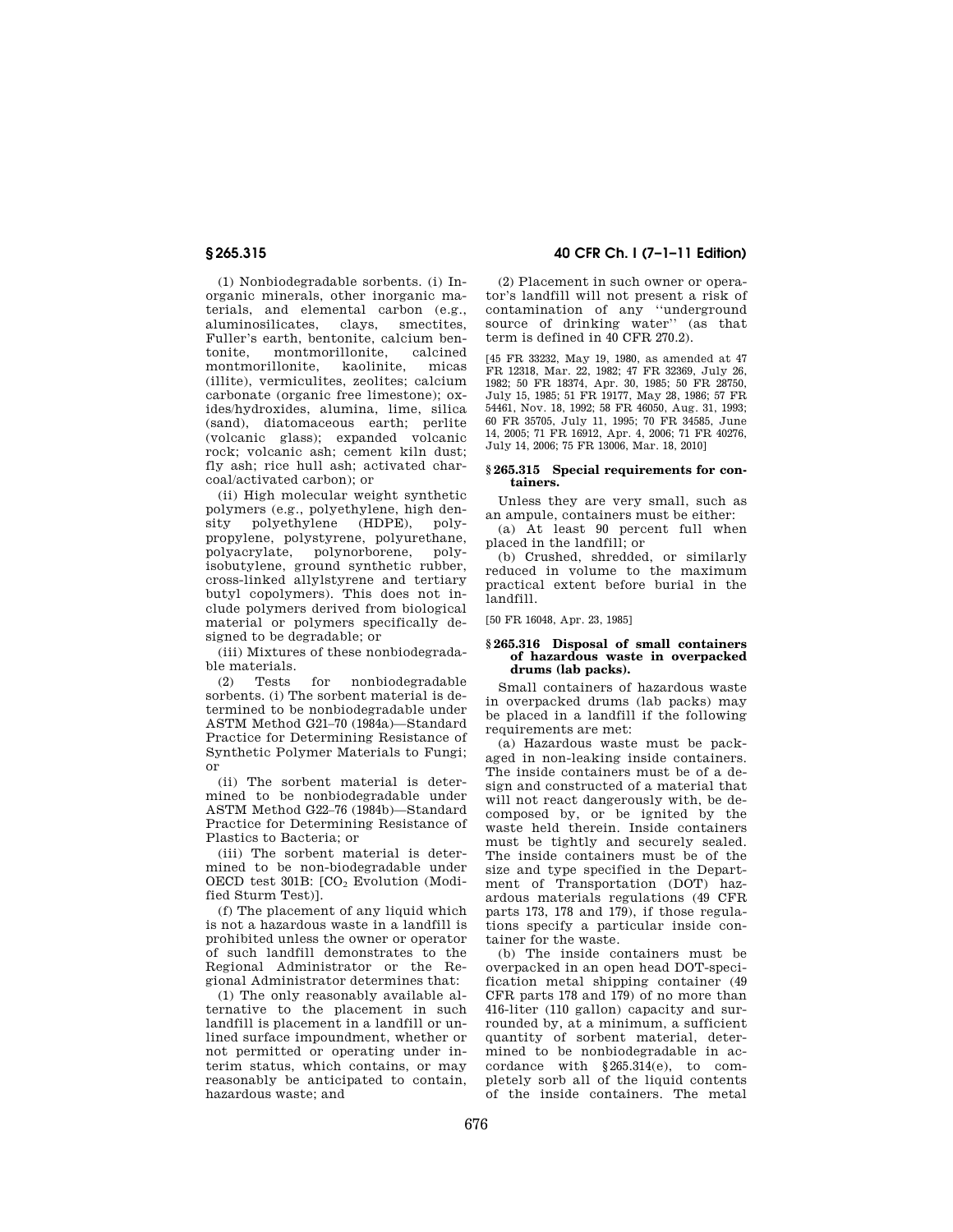(1) Nonbiodegradable sorbents. (i) Inorganic minerals, other inorganic materials, and elemental carbon (e.g., aluminosilicates, clays, smectites, Fuller's earth, bentonite, calcium bentonite, montmorillonite, calcined montmorillonite, kaolinite, micas (illite), vermiculites, zeolites; calcium carbonate (organic free limestone); oxides/hydroxides, alumina, lime, silica (sand), diatomaceous earth; perlite (volcanic glass); expanded volcanic rock; volcanic ash; cement kiln dust; fly ash; rice hull ash; activated charcoal/activated carbon); or

(ii) High molecular weight synthetic polymers (e.g., polyethylene, high density polyethylene (HDPE), polypropylene, polystyrene, polyurethane, polyacrylate, polynorborene, polyisobutylene, ground synthetic rubber, cross-linked allylstyrene and tertiary butyl copolymers). This does not include polymers derived from biological material or polymers specifically designed to be degradable; or

(iii) Mixtures of these nonbiodegradable materials.

(2) Tests for nonbiodegradable sorbents. (i) The sorbent material is determined to be nonbiodegradable under ASTM Method G21–70 (1984a)—Standard Practice for Determining Resistance of Synthetic Polymer Materials to Fungi; or

(ii) The sorbent material is determined to be nonbiodegradable under ASTM Method G22–76 (1984b)—Standard Practice for Determining Resistance of Plastics to Bacteria; or

(iii) The sorbent material is determined to be non-biodegradable under OECD test 301B: [CO<sub>2</sub> Evolution (Modified Sturm Test)].

(f) The placement of any liquid which is not a hazardous waste in a landfill is prohibited unless the owner or operator of such landfill demonstrates to the Regional Administrator or the Regional Administrator determines that:

(1) The only reasonably available alternative to the placement in such landfill is placement in a landfill or unlined surface impoundment, whether or not permitted or operating under interim status, which contains, or may reasonably be anticipated to contain, hazardous waste; and

**§ 265.315 40 CFR Ch. I (7–1–11 Edition)** 

(2) Placement in such owner or operator's landfill will not present a risk of contamination of any ''underground source of drinking water'' (as that term is defined in 40 CFR 270.2).

[45 FR 33232, May 19, 1980, as amended at 47 FR 12318, Mar. 22, 1982; 47 FR 32369, July 26, 1982; 50 FR 18374, Apr. 30, 1985; 50 FR 28750, July 15, 1985; 51 FR 19177, May 28, 1986; 57 FR 54461, Nov. 18, 1992; 58 FR 46050, Aug. 31, 1993; 60 FR 35705, July 11, 1995; 70 FR 34585, June 14, 2005; 71 FR 16912, Apr. 4, 2006; 71 FR 40276, July 14, 2006; 75 FR 13006, Mar. 18, 2010]

#### **§ 265.315 Special requirements for containers.**

Unless they are very small, such as an ampule, containers must be either:

(a) At least 90 percent full when placed in the landfill; or

(b) Crushed, shredded, or similarly reduced in volume to the maximum practical extent before burial in the landfill.

[50 FR 16048, Apr. 23, 1985]

#### **§ 265.316 Disposal of small containers of hazardous waste in overpacked drums (lab packs).**

Small containers of hazardous waste in overpacked drums (lab packs) may be placed in a landfill if the following requirements are met:

(a) Hazardous waste must be packaged in non-leaking inside containers. The inside containers must be of a design and constructed of a material that will not react dangerously with, be decomposed by, or be ignited by the waste held therein. Inside containers must be tightly and securely sealed. The inside containers must be of the size and type specified in the Department of Transportation (DOT) hazardous materials regulations (49 CFR parts 173, 178 and 179), if those regulations specify a particular inside container for the waste.

(b) The inside containers must be overpacked in an open head DOT-specification metal shipping container (49 CFR parts 178 and 179) of no more than 416-liter (110 gallon) capacity and surrounded by, at a minimum, a sufficient quantity of sorbent material, determined to be nonbiodegradable in accordance with §265.314(e), to completely sorb all of the liquid contents of the inside containers. The metal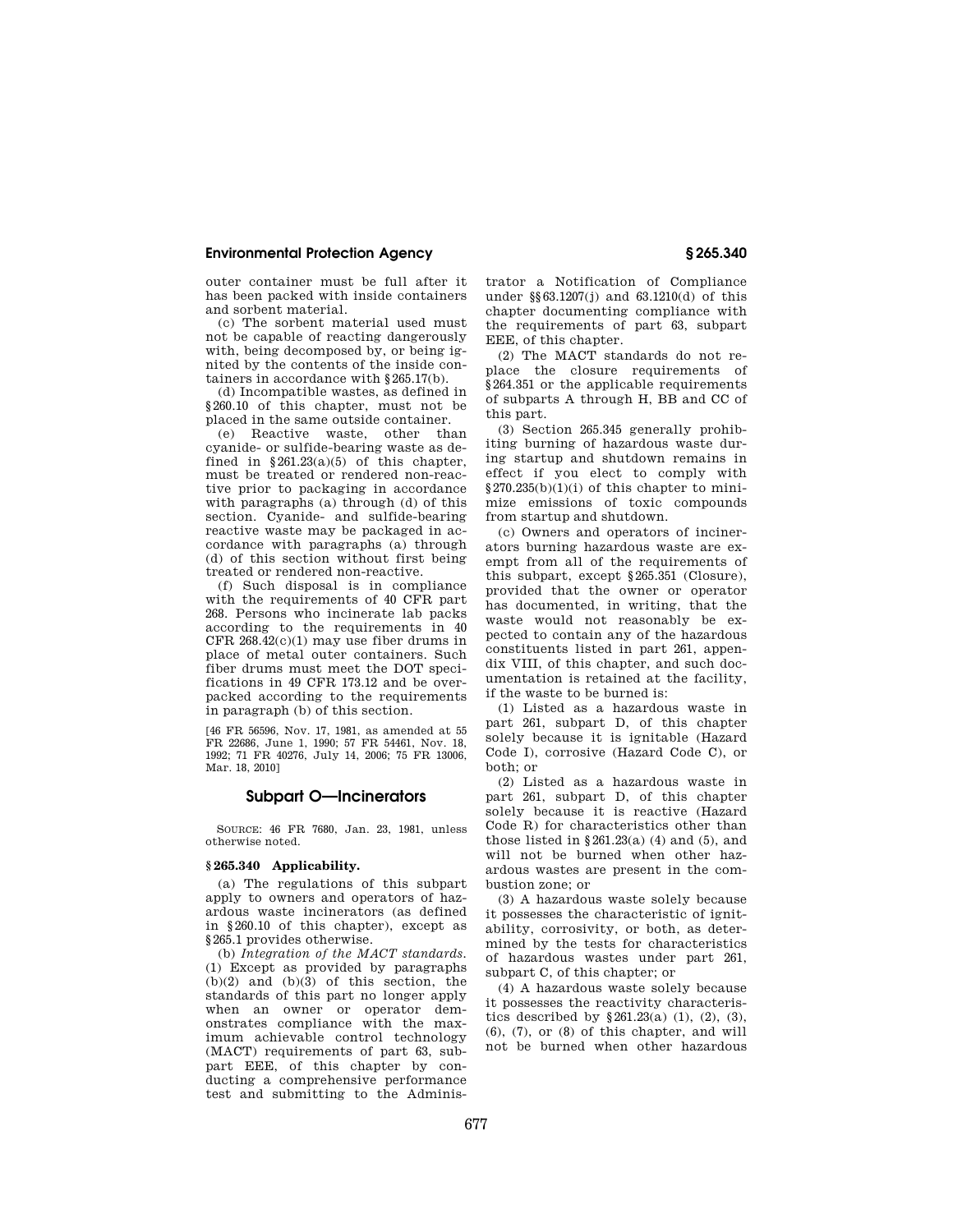outer container must be full after it has been packed with inside containers and sorbent material.

(c) The sorbent material used must not be capable of reacting dangerously with, being decomposed by, or being ignited by the contents of the inside containers in accordance with §265.17(b).

(d) Incompatible wastes, as defined in §260.10 of this chapter, must not be placed in the same outside container.

(e) Reactive waste, other than cyanide- or sulfide-bearing waste as defined in  $§261.23(a)(5)$  of this chapter, must be treated or rendered non-reactive prior to packaging in accordance with paragraphs (a) through (d) of this section. Cyanide- and sulfide-bearing reactive waste may be packaged in accordance with paragraphs (a) through (d) of this section without first being treated or rendered non-reactive.

(f) Such disposal is in compliance with the requirements of 40 CFR part 268. Persons who incinerate lab packs according to the requirements in 40 CFR 268.42(c)(1) may use fiber drums in place of metal outer containers. Such fiber drums must meet the DOT specifications in 49 CFR 173.12 and be overpacked according to the requirements in paragraph (b) of this section.

[46 FR 56596, Nov. 17, 1981, as amended at 55 FR 22686, June 1, 1990; 57 FR 54461, Nov. 18, 1992; 71 FR 40276, July 14, 2006; 75 FR 13006, Mar. 18, 2010]

# **Subpart O—Incinerators**

SOURCE: 46 FR 7680, Jan. 23, 1981, unless otherwise noted.

# **§ 265.340 Applicability.**

(a) The regulations of this subpart apply to owners and operators of hazardous waste incinerators (as defined in §260.10 of this chapter), except as §265.1 provides otherwise.

(b) *Integration of the MACT standards.*  (1) Except as provided by paragraphs  $(b)(2)$  and  $(b)(3)$  of this section, the standards of this part no longer apply when an owner or operator demonstrates compliance with the maximum achievable control technology (MACT) requirements of part 63, subpart EEE, of this chapter by conducting a comprehensive performance test and submitting to the Administrator a Notification of Compliance under §§63.1207(i) and 63.1210(d) of this chapter documenting compliance with the requirements of part 63, subpart EEE, of this chapter.

(2) The MACT standards do not replace the closure requirements of §264.351 or the applicable requirements of subparts A through H, BB and CC of this part.

(3) Section 265.345 generally prohibiting burning of hazardous waste during startup and shutdown remains in effect if you elect to comply with  $§270.235(b)(1)(i)$  of this chapter to minimize emissions of toxic compounds from startup and shutdown.

(c) Owners and operators of incinerators burning hazardous waste are exempt from all of the requirements of this subpart, except §265.351 (Closure), provided that the owner or operator has documented, in writing, that the waste would not reasonably be expected to contain any of the hazardous constituents listed in part 261, appendix VIII, of this chapter, and such documentation is retained at the facility, if the waste to be burned is:

(1) Listed as a hazardous waste in part 261, subpart D, of this chapter solely because it is ignitable (Hazard Code I), corrosive (Hazard Code C), or both; or

(2) Listed as a hazardous waste in part 261, subpart D, of this chapter solely because it is reactive (Hazard Code R) for characteristics other than those listed in  $§261.23(a)$  (4) and (5), and will not be burned when other hazardous wastes are present in the combustion zone; or

(3) A hazardous waste solely because it possesses the characteristic of ignitability, corrosivity, or both, as determined by the tests for characteristics of hazardous wastes under part 261, subpart C, of this chapter; or

(4) A hazardous waste solely because it possesses the reactivity characteristics described by  $§261.23(a)$  (1), (2), (3),  $(6)$ ,  $(7)$ , or  $(8)$  of this chapter, and will not be burned when other hazardous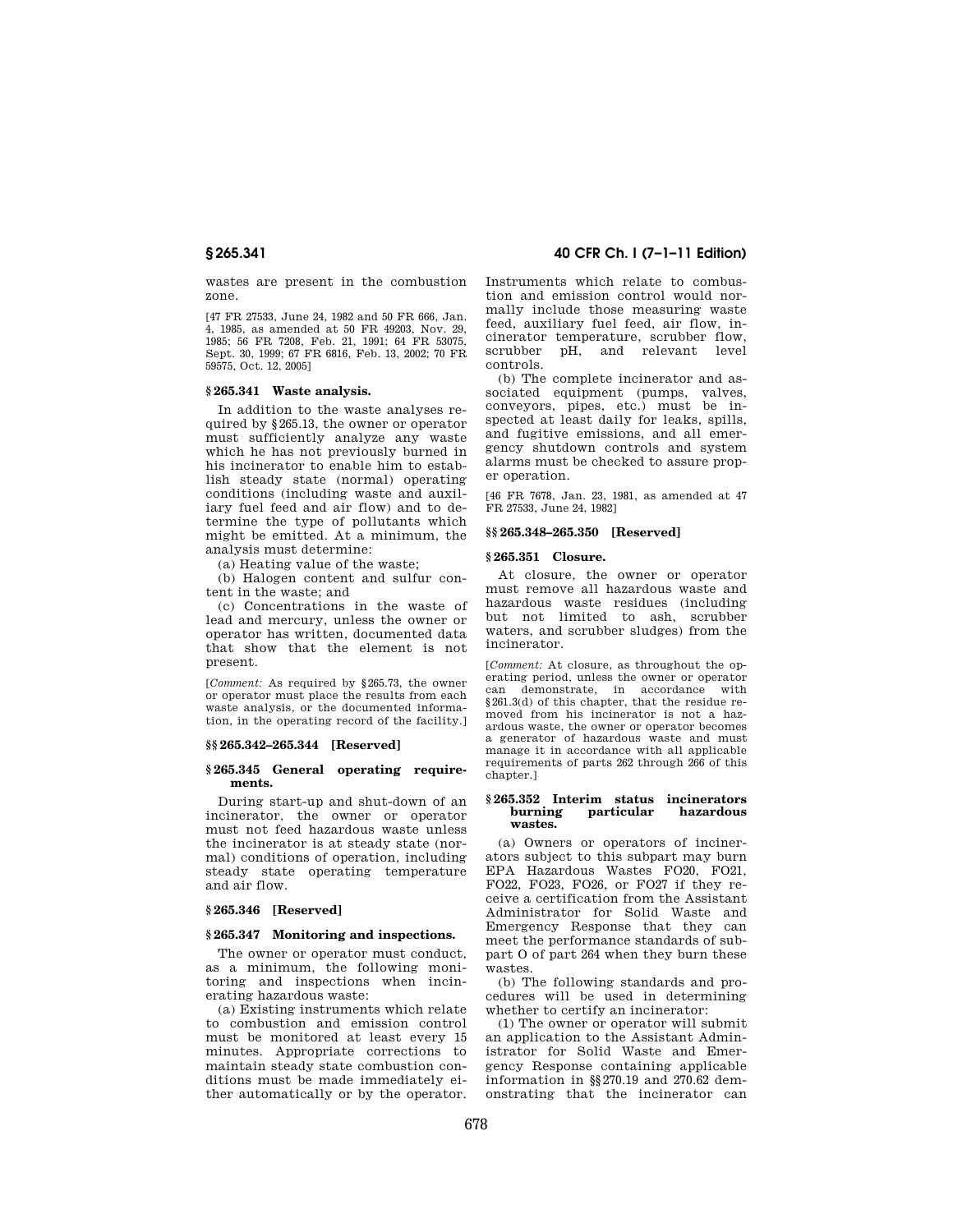wastes are present in the combustion zone.

[47 FR 27533, June 24, 1982 and 50 FR 666, Jan. 4, 1985, as amended at 50 FR 49203, Nov. 29, 1985; 56 FR 7208, Feb. 21, 1991; 64 FR 53075, Sept. 30, 1999; 67 FR 6816, Feb. 13, 2002; 70 FR 59575, Oct. 12, 2005]

#### **§ 265.341 Waste analysis.**

In addition to the waste analyses required by §265.13, the owner or operator must sufficiently analyze any waste which he has not previously burned in his incinerator to enable him to establish steady state (normal) operating conditions (including waste and auxiliary fuel feed and air flow) and to determine the type of pollutants which might be emitted. At a minimum, the analysis must determine:

(a) Heating value of the waste;

(b) Halogen content and sulfur content in the waste; and

(c) Concentrations in the waste of lead and mercury, unless the owner or operator has written, documented data that show that the element is not present.

[*Comment:* As required by §265.73, the owner or operator must place the results from each waste analysis, or the documented information, in the operating record of the facility.]

# **§§ 265.342–265.344 [Reserved]**

#### **§ 265.345 General operating requirements.**

During start-up and shut-down of an incinerator, the owner or operator must not feed hazardous waste unless the incinerator is at steady state (normal) conditions of operation, including steady state operating temperature and air flow.

#### **§ 265.346 [Reserved]**

#### **§ 265.347 Monitoring and inspections.**

The owner or operator must conduct, as a minimum, the following monitoring and inspections when incinerating hazardous waste:

(a) Existing instruments which relate to combustion and emission control must be monitored at least every 15 minutes. Appropriate corrections to maintain steady state combustion conditions must be made immediately either automatically or by the operator.

# **§ 265.341 40 CFR Ch. I (7–1–11 Edition)**

Instruments which relate to combustion and emission control would normally include those measuring waste feed, auxiliary fuel feed, air flow, incinerator temperature, scrubber flow, scrubber pH, and relevant level controls.

(b) The complete incinerator and associated equipment (pumps, valves, conveyors, pipes, etc.) must be inspected at least daily for leaks, spills, and fugitive emissions, and all emergency shutdown controls and system alarms must be checked to assure proper operation.

[46 FR 7678, Jan. 23, 1981, as amended at 47 FR 27533, June 24, 1982]

#### **§§ 265.348–265.350 [Reserved]**

#### **§ 265.351 Closure.**

At closure, the owner or operator must remove all hazardous waste and hazardous waste residues (including but not limited to ash, scrubber waters, and scrubber sludges) from the incinerator.

[*Comment:* At closure, as throughout the operating period, unless the owner or operator<br>can demonstrate, in accordance with can demonstrate, in accordance §261.3(d) of this chapter, that the residue removed from his incinerator is not a hazardous waste, the owner or operator becomes a generator of hazardous waste and must manage it in accordance with all applicable requirements of parts 262 through 266 of this chapter.]

#### **§ 265.352 Interim status incinerators particular wastes.**

(a) Owners or operators of incinerators subject to this subpart may burn EPA Hazardous Wastes FO20, FO21, FO22, FO23, FO26, or FO27 if they receive a certification from the Assistant Administrator for Solid Waste and Emergency Response that they can meet the performance standards of subpart O of part 264 when they burn these wastes.

(b) The following standards and procedures will be used in determining whether to certify an incinerator:

(1) The owner or operator will submit an application to the Assistant Administrator for Solid Waste and Emergency Response containing applicable information in §§270.19 and 270.62 demonstrating that the incinerator can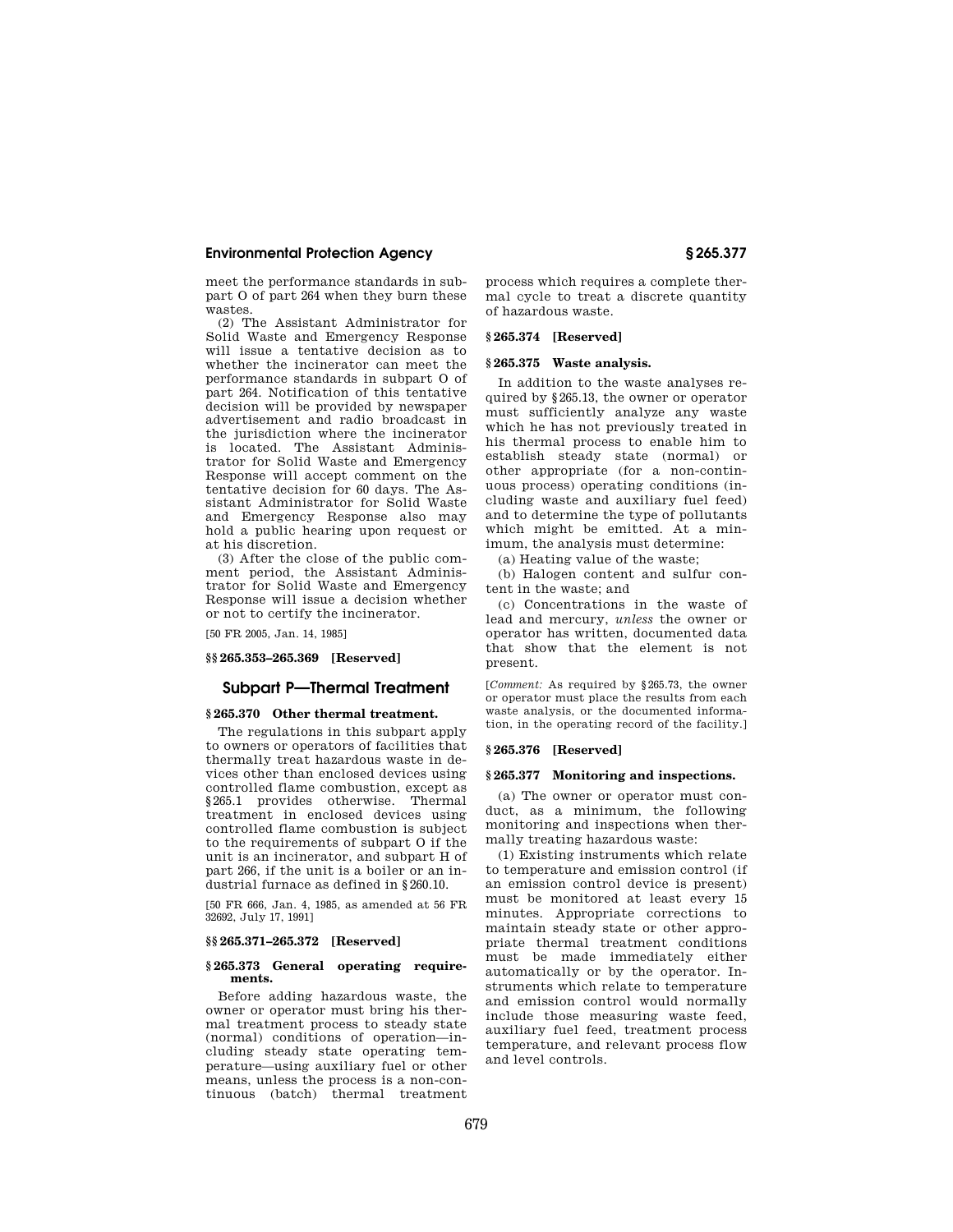meet the performance standards in subpart O of part 264 when they burn these wastes.

(2) The Assistant Administrator for Solid Waste and Emergency Response will issue a tentative decision as to whether the incinerator can meet the performance standards in subpart O of part 264. Notification of this tentative decision will be provided by newspaper advertisement and radio broadcast in the jurisdiction where the incinerator is located. The Assistant Administrator for Solid Waste and Emergency Response will accept comment on the tentative decision for 60 days. The Assistant Administrator for Solid Waste and Emergency Response also may hold a public hearing upon request or at his discretion.

(3) After the close of the public comment period, the Assistant Administrator for Solid Waste and Emergency Response will issue a decision whether or not to certify the incinerator.

[50 FR 2005, Jan. 14, 1985]

# **§§ 265.353–265.369 [Reserved]**

# **Subpart P—Thermal Treatment**

#### **§ 265.370 Other thermal treatment.**

The regulations in this subpart apply to owners or operators of facilities that thermally treat hazardous waste in devices other than enclosed devices using controlled flame combustion, except as §265.1 provides otherwise. Thermal treatment in enclosed devices using controlled flame combustion is subject to the requirements of subpart O if the unit is an incinerator, and subpart H of part 266, if the unit is a boiler or an industrial furnace as defined in §260.10.

[50 FR 666, Jan. 4, 1985, as amended at 56 FR 32692, July 17, 1991]

# **§§ 265.371–265.372 [Reserved]**

#### **§ 265.373 General operating requirements.**

Before adding hazardous waste, the owner or operator must bring his thermal treatment process to steady state (normal) conditions of operation—including steady state operating temperature—using auxiliary fuel or other means, unless the process is a non-continuous (batch) thermal treatment

process which requires a complete thermal cycle to treat a discrete quantity of hazardous waste.

# **§ 265.374 [Reserved]**

#### **§ 265.375 Waste analysis.**

In addition to the waste analyses required by §265.13, the owner or operator must sufficiently analyze any waste which he has not previously treated in his thermal process to enable him to establish steady state (normal) or other appropriate (for a non-continuous process) operating conditions (including waste and auxiliary fuel feed) and to determine the type of pollutants which might be emitted. At a minimum, the analysis must determine:

(a) Heating value of the waste;

(b) Halogen content and sulfur content in the waste; and

(c) Concentrations in the waste of lead and mercury, *unless* the owner or operator has written, documented data that show that the element is not present.

[*Comment:* As required by §265.73, the owner or operator must place the results from each waste analysis, or the documented information, in the operating record of the facility.]

#### **§ 265.376 [Reserved]**

#### **§ 265.377 Monitoring and inspections.**

(a) The owner or operator must conduct, as a minimum, the following monitoring and inspections when thermally treating hazardous waste:

(1) Existing instruments which relate to temperature and emission control (if an emission control device is present) must be monitored at least every 15 minutes. Appropriate corrections to maintain steady state or other appropriate thermal treatment conditions must be made immediately either automatically or by the operator. Instruments which relate to temperature and emission control would normally include those measuring waste feed, auxiliary fuel feed, treatment process temperature, and relevant process flow and level controls.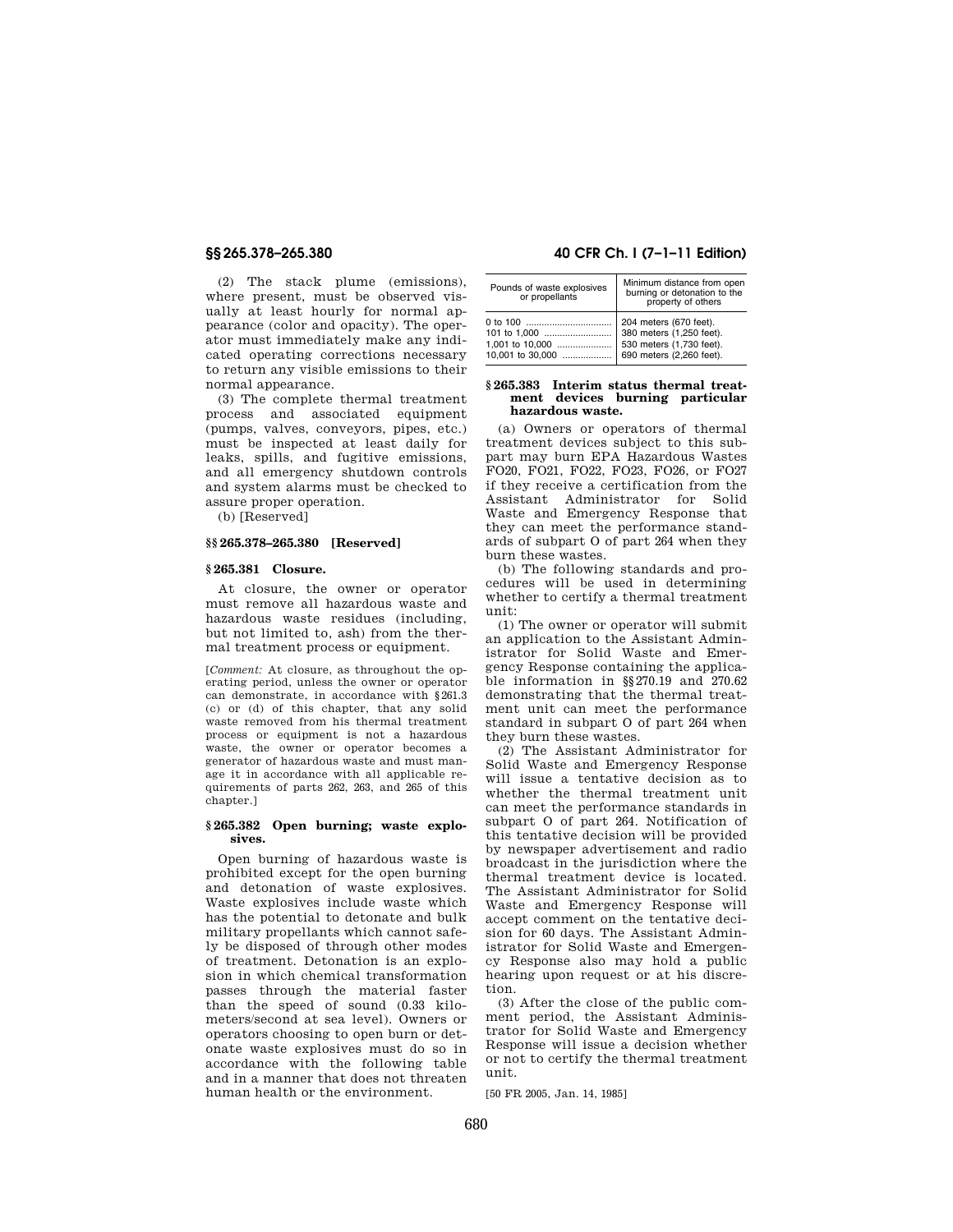(2) The stack plume (emissions), where present, must be observed visually at least hourly for normal appearance (color and opacity). The operator must immediately make any indicated operating corrections necessary to return any visible emissions to their normal appearance.

(3) The complete thermal treatment process and associated equipment (pumps, valves, conveyors, pipes, etc.) must be inspected at least daily for leaks, spills, and fugitive emissions, and all emergency shutdown controls and system alarms must be checked to assure proper operation.

(b) [Reserved]

# **§§ 265.378–265.380 [Reserved]**

#### **§ 265.381 Closure.**

At closure, the owner or operator must remove all hazardous waste and hazardous waste residues (including, but not limited to, ash) from the thermal treatment process or equipment.

[*Comment:* At closure, as throughout the operating period, unless the owner or operator can demonstrate, in accordance with §261.3 (c) or (d) of this chapter, that any solid waste removed from his thermal treatment process or equipment is not a hazardous waste, the owner or operator becomes a generator of hazardous waste and must manage it in accordance with all applicable requirements of parts 262, 263, and 265 of this chapter.]

#### **§ 265.382 Open burning; waste explosives.**

Open burning of hazardous waste is prohibited except for the open burning and detonation of waste explosives. Waste explosives include waste which has the potential to detonate and bulk military propellants which cannot safely be disposed of through other modes of treatment. Detonation is an explosion in which chemical transformation passes through the material faster than the speed of sound (0.33 kilometers/second at sea level). Owners or operators choosing to open burn or detonate waste explosives must do so in accordance with the following table and in a manner that does not threaten human health or the environment.

#### **§§ 265.378–265.380 40 CFR Ch. I (7–1–11 Edition)**

| Pounds of waste explosives<br>or propellants | Minimum distance from open<br>burning or detonation to the<br>property of others |
|----------------------------------------------|----------------------------------------------------------------------------------|
|                                              | 204 meters (670 feet).<br>380 meters (1,250 feet).                               |
| 1.001 to 10.000                              | 530 meters (1,730 feet).                                                         |

#### **§ 265.383 Interim status thermal treatment devices burning particular hazardous waste.**

(a) Owners or operators of thermal treatment devices subject to this subpart may burn EPA Hazardous Wastes FO20, FO21, FO22, FO23, FO26, or FO27 if they receive a certification from the Assistant Administrator for Solid Waste and Emergency Response that they can meet the performance standards of subpart O of part 264 when they burn these wastes.

(b) The following standards and procedures will be used in determining whether to certify a thermal treatment unit:

(1) The owner or operator will submit an application to the Assistant Administrator for Solid Waste and Emergency Response containing the applicable information in §§270.19 and 270.62 demonstrating that the thermal treatment unit can meet the performance standard in subpart O of part 264 when they burn these wastes.

(2) The Assistant Administrator for Solid Waste and Emergency Response will issue a tentative decision as to whether the thermal treatment unit can meet the performance standards in subpart O of part 264. Notification of this tentative decision will be provided by newspaper advertisement and radio broadcast in the jurisdiction where the thermal treatment device is located. The Assistant Administrator for Solid Waste and Emergency Response will accept comment on the tentative decision for 60 days. The Assistant Administrator for Solid Waste and Emergency Response also may hold a public hearing upon request or at his discretion.

(3) After the close of the public comment period, the Assistant Administrator for Solid Waste and Emergency Response will issue a decision whether or not to certify the thermal treatment unit.

[50 FR 2005, Jan. 14, 1985]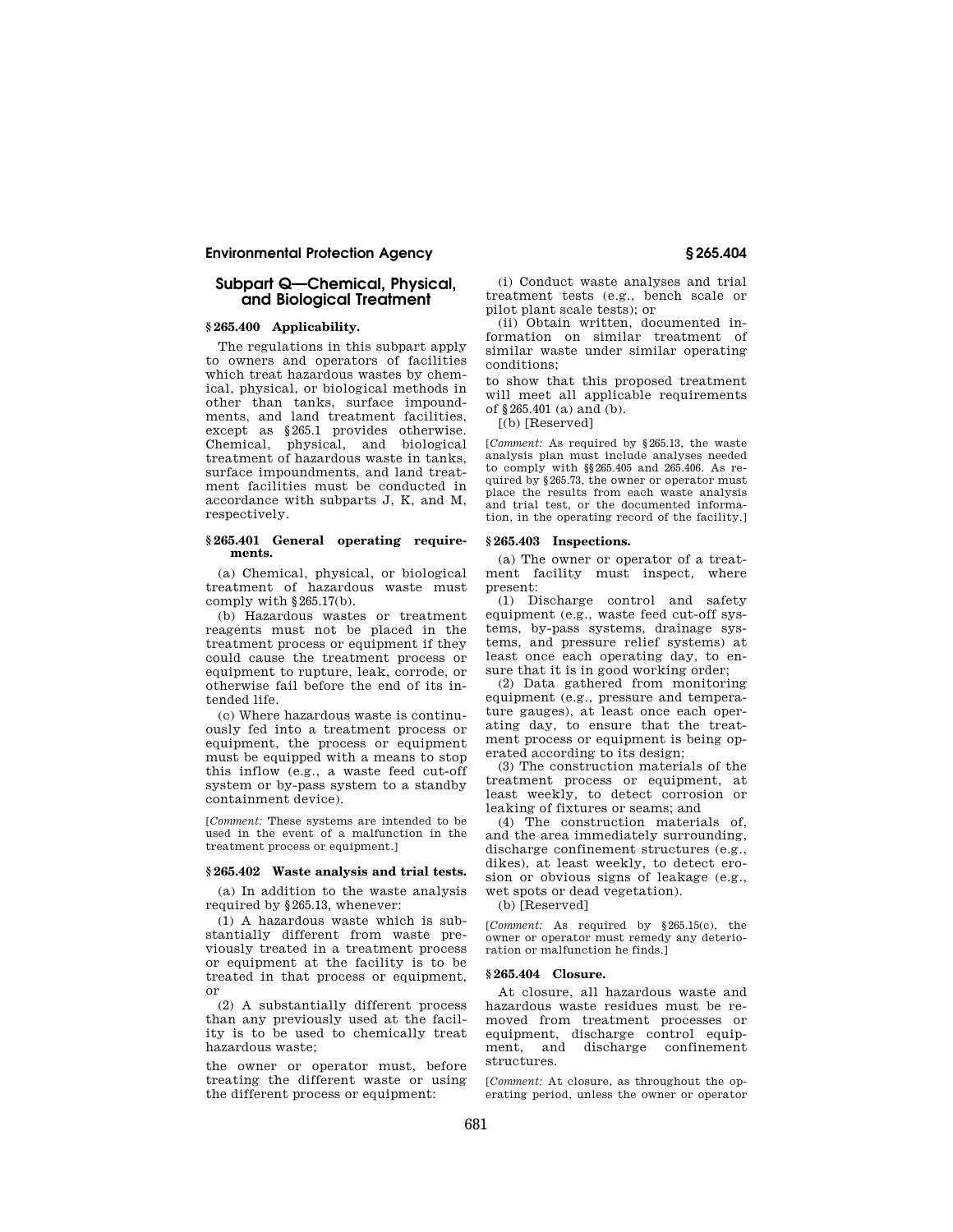# **Subpart Q—Chemical, Physical, and Biological Treatment**

# **§ 265.400 Applicability.**

The regulations in this subpart apply to owners and operators of facilities which treat hazardous wastes by chemical, physical, or biological methods in other than tanks, surface impoundments, and land treatment facilities. except as §265.1 provides otherwise. Chemical, physical, and biological treatment of hazardous waste in tanks, surface impoundments, and land treatment facilities must be conducted in accordance with subparts J, K, and M, respectively.

#### **§ 265.401 General operating requirements.**

(a) Chemical, physical, or biological treatment of hazardous waste must comply with §265.17(b).

(b) Hazardous wastes or treatment reagents must not be placed in the treatment process or equipment if they could cause the treatment process or equipment to rupture, leak, corrode, or otherwise fail before the end of its intended life.

(c) Where hazardous waste is continuously fed into a treatment process or equipment, the process or equipment must be equipped with a means to stop this inflow (e.g., a waste feed cut-off system or by-pass system to a standby containment device).

[*Comment:* These systems are intended to be used in the event of a malfunction in the treatment process or equipment.]

#### **§ 265.402 Waste analysis and trial tests.**

(a) In addition to the waste analysis required by §265.13, whenever:

(1) A hazardous waste which is substantially different from waste previously treated in a treatment process or equipment at the facility is to be treated in that process or equipment, or

(2) A substantially different process than any previously used at the facility is to be used to chemically treat hazardous waste;

the owner or operator must, before treating the different waste or using the different process or equipment:

(i) Conduct waste analyses and trial treatment tests (e.g., bench scale or pilot plant scale tests); or

(ii) Obtain written, documented information on similar treatment of similar waste under similar operating conditions;

to show that this proposed treatment will meet all applicable requirements of §265.401 (a) and (b).

[(b) [Reserved]

[*Comment:* As required by §265.13, the waste analysis plan must include analyses needed to comply with §§265.405 and 265.406. As required by §265.73, the owner or operator must place the results from each waste analysis and trial test, or the documented information, in the operating record of the facility.]

#### **§ 265.403 Inspections.**

(a) The owner or operator of a treatment facility must inspect, where present:

(1) Discharge control and safety equipment (e.g., waste feed cut-off systems, by-pass systems, drainage systems, and pressure relief systems) at least once each operating day, to ensure that it is in good working order;

(2) Data gathered from monitoring equipment (e.g., pressure and temperature gauges), at least once each operating day, to ensure that the treatment process or equipment is being operated according to its design;

(3) The construction materials of the treatment process or equipment, at least weekly, to detect corrosion or leaking of fixtures or seams; and

(4) The construction materials of, and the area immediately surrounding, discharge confinement structures (e.g., dikes), at least weekly, to detect erosion or obvious signs of leakage (e.g., wet spots or dead vegetation).

(b) [Reserved]

[*Comment:* As required by §265.15(c), the owner or operator must remedy any deterioration or malfunction he finds.]

# **§ 265.404 Closure.**

At closure, all hazardous waste and hazardous waste residues must be removed from treatment processes or equipment, discharge control equipment, and discharge confinement structures.

[*Comment:* At closure, as throughout the operating period, unless the owner or operator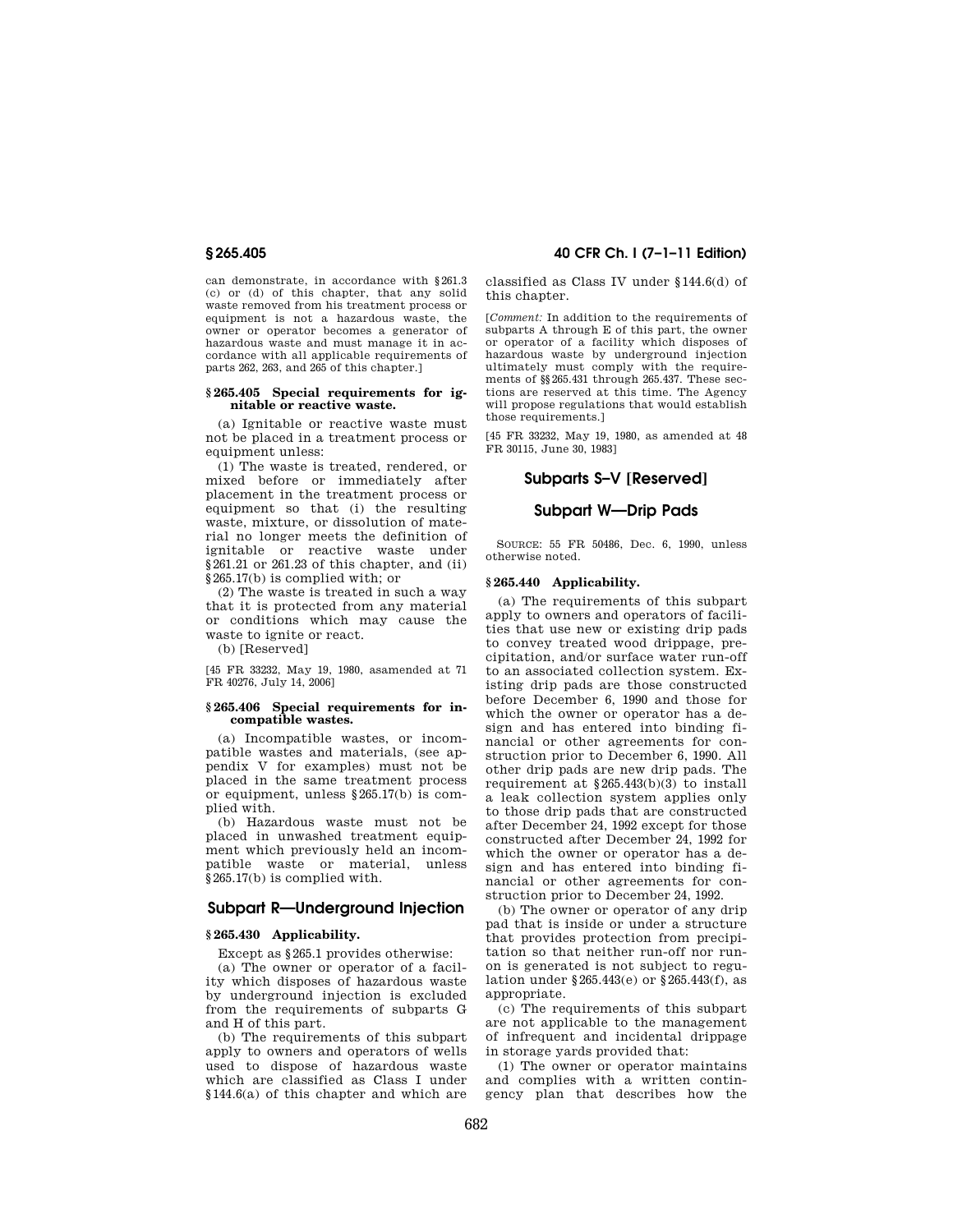can demonstrate, in accordance with §261.3 (c) or (d) of this chapter, that any solid waste removed from his treatment process or equipment is not a hazardous waste, the owner or operator becomes a generator of hazardous waste and must manage it in accordance with all applicable requirements of parts 262, 263, and 265 of this chapter.]

#### **§ 265.405 Special requirements for ignitable or reactive waste.**

(a) Ignitable or reactive waste must not be placed in a treatment process or equipment unless:

(1) The waste is treated, rendered, or mixed before or immediately after placement in the treatment process or equipment so that (i) the resulting waste, mixture, or dissolution of material no longer meets the definition of ignitable or reactive waste under §261.21 or 261.23 of this chapter, and (ii) §265.17(b) is complied with; or

(2) The waste is treated in such a way that it is protected from any material or conditions which may cause the waste to ignite or react.

(b) [Reserved]

[45 FR 33232, May 19, 1980, asamended at 71 FR 40276, July 14, 2006]

# **§ 265.406 Special requirements for incompatible wastes.**

(a) Incompatible wastes, or incompatible wastes and materials, (see appendix V for examples) must not be placed in the same treatment process or equipment, unless §265.17(b) is complied with.

(b) Hazardous waste must not be placed in unwashed treatment equipment which previously held an incompatible waste or material, unless §265.17(b) is complied with.

# **Subpart R—Underground Injection**

# **§ 265.430 Applicability.**

Except as §265.1 provides otherwise:

(a) The owner or operator of a facility which disposes of hazardous waste by underground injection is excluded from the requirements of subparts G and H of this part.

(b) The requirements of this subpart apply to owners and operators of wells used to dispose of hazardous waste which are classified as Class I under §144.6(a) of this chapter and which are

**§ 265.405 40 CFR Ch. I (7–1–11 Edition)** 

classified as Class IV under §144.6(d) of this chapter.

[*Comment:* In addition to the requirements of subparts A through E of this part, the owner or operator of a facility which disposes of hazardous waste by underground injection ultimately must comply with the requirements of §§265.431 through 265.437. These sections are reserved at this time. The Agency will propose regulations that would establish those requirements.]

[45 FR 33232, May 19, 1980, as amended at 48 FR 30115, June 30, 1983]

# **Subparts S–V [Reserved]**

# **Subpart W—Drip Pads**

SOURCE: 55 FR 50486, Dec. 6, 1990, unless otherwise noted.

# **§ 265.440 Applicability.**

(a) The requirements of this subpart apply to owners and operators of facilities that use new or existing drip pads to convey treated wood drippage, precipitation, and/or surface water run-off to an associated collection system. Existing drip pads are those constructed before December 6, 1990 and those for which the owner or operator has a design and has entered into binding financial or other agreements for construction prior to December 6, 1990. All other drip pads are new drip pads. The requirement at §265.443(b)(3) to install a leak collection system applies only to those drip pads that are constructed after December 24, 1992 except for those constructed after December 24, 1992 for which the owner or operator has a design and has entered into binding financial or other agreements for construction prior to December 24, 1992.

(b) The owner or operator of any drip pad that is inside or under a structure that provides protection from precipitation so that neither run-off nor runon is generated is not subject to regulation under §265.443(e) or §265.443(f), as appropriate.

(c) The requirements of this subpart are not applicable to the management of infrequent and incidental drippage in storage yards provided that:

(1) The owner or operator maintains and complies with a written contingency plan that describes how the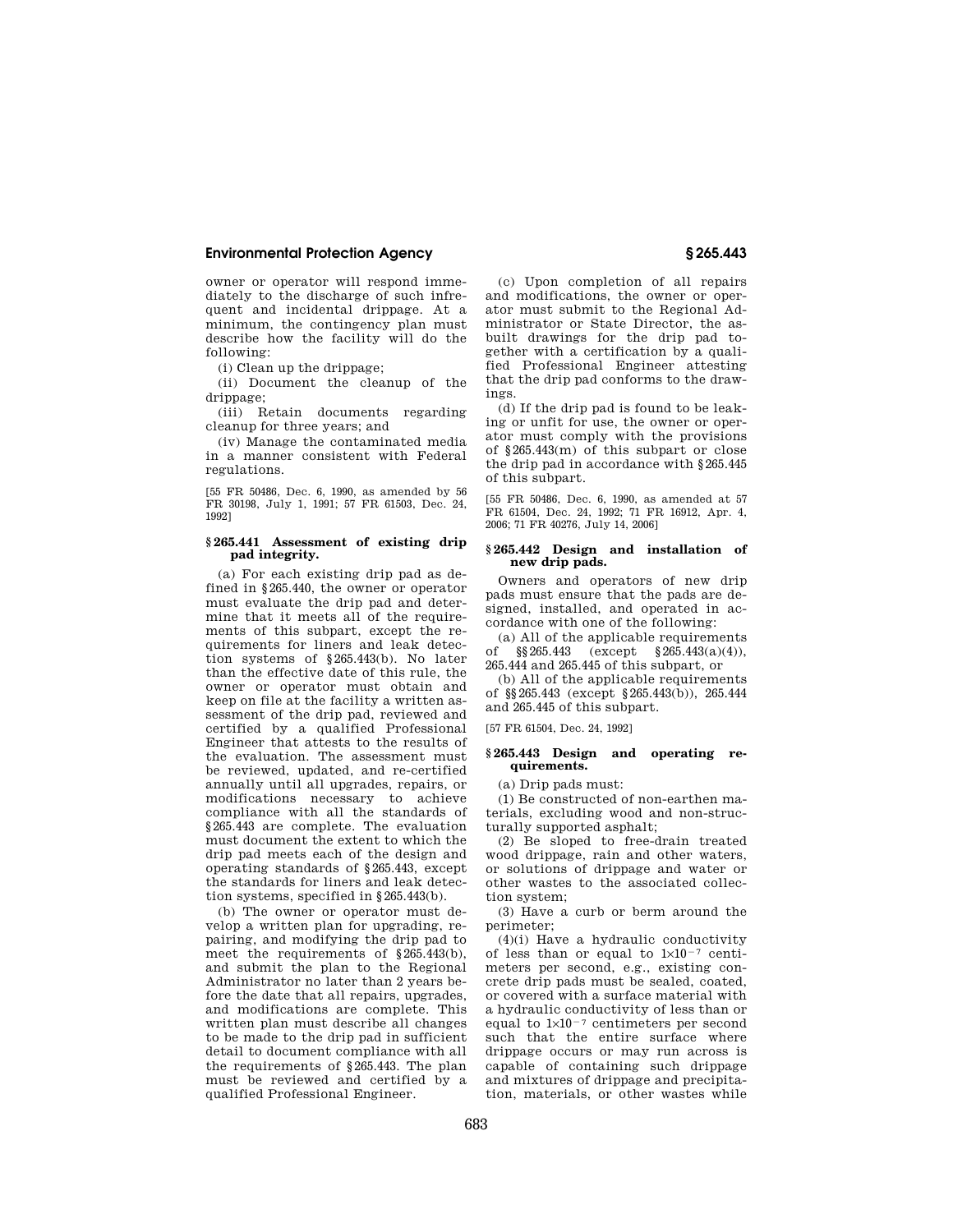owner or operator will respond immediately to the discharge of such infrequent and incidental drippage. At a minimum, the contingency plan must describe how the facility will do the following:

(i) Clean up the drippage;

(ii) Document the cleanup of the drippage;

(iii) Retain documents regarding cleanup for three years; and

(iv) Manage the contaminated media in a manner consistent with Federal regulations.

[55 FR 50486, Dec. 6, 1990, as amended by 56 FR 30198, July 1, 1991; 57 FR 61503, Dec. 24, 1992]

#### **§ 265.441 Assessment of existing drip pad integrity.**

(a) For each existing drip pad as defined in §265.440, the owner or operator must evaluate the drip pad and determine that it meets all of the requirements of this subpart, except the requirements for liners and leak detection systems of §265.443(b). No later than the effective date of this rule, the owner or operator must obtain and keep on file at the facility a written assessment of the drip pad, reviewed and certified by a qualified Professional Engineer that attests to the results of the evaluation. The assessment must be reviewed, updated, and re-certified annually until all upgrades, repairs, or modifications necessary to achieve compliance with all the standards of §265.443 are complete. The evaluation must document the extent to which the drip pad meets each of the design and operating standards of §265.443, except the standards for liners and leak detection systems, specified in §265.443(b).

(b) The owner or operator must develop a written plan for upgrading, repairing, and modifying the drip pad to meet the requirements of §265.443(b), and submit the plan to the Regional Administrator no later than 2 years before the date that all repairs, upgrades, and modifications are complete. This written plan must describe all changes to be made to the drip pad in sufficient detail to document compliance with all the requirements of §265.443. The plan must be reviewed and certified by a qualified Professional Engineer.

(c) Upon completion of all repairs and modifications, the owner or operator must submit to the Regional Administrator or State Director, the asbuilt drawings for the drip pad together with a certification by a qualified Professional Engineer attesting that the drip pad conforms to the drawings.

(d) If the drip pad is found to be leaking or unfit for use, the owner or operator must comply with the provisions of §265.443(m) of this subpart or close the drip pad in accordance with §265.445 of this subpart.

[55 FR 50486, Dec. 6, 1990, as amended at 57 FR 61504, Dec. 24, 1992; 71 FR 16912, Apr. 4, 2006; 71 FR 40276, July 14, 2006]

#### **§ 265.442 Design and installation of new drip pads.**

Owners and operators of new drip pads must ensure that the pads are designed, installed, and operated in accordance with one of the following:

(a) All of the applicable requirements of §§265.443 (except §265.443(a)(4)), 265.444 and 265.445 of this subpart, or

(b) All of the applicable requirements of §§265.443 (except §265.443(b)), 265.444 and 265.445 of this subpart.

[57 FR 61504, Dec. 24, 1992]

#### **§ 265.443 Design and operating requirements.**

(a) Drip pads must:

(1) Be constructed of non-earthen materials, excluding wood and non-structurally supported asphalt;

(2) Be sloped to free-drain treated wood drippage, rain and other waters, or solutions of drippage and water or other wastes to the associated collection system;

(3) Have a curb or berm around the perimeter;

(4)(i) Have a hydraulic conductivity of less than or equal to  $1\times10^{-7}$  centimeters per second, e.g., existing concrete drip pads must be sealed, coated, or covered with a surface material with a hydraulic conductivity of less than or equal to  $1\times10^{-7}$  centimeters per second such that the entire surface where drippage occurs or may run across is capable of containing such drippage and mixtures of drippage and precipitation, materials, or other wastes while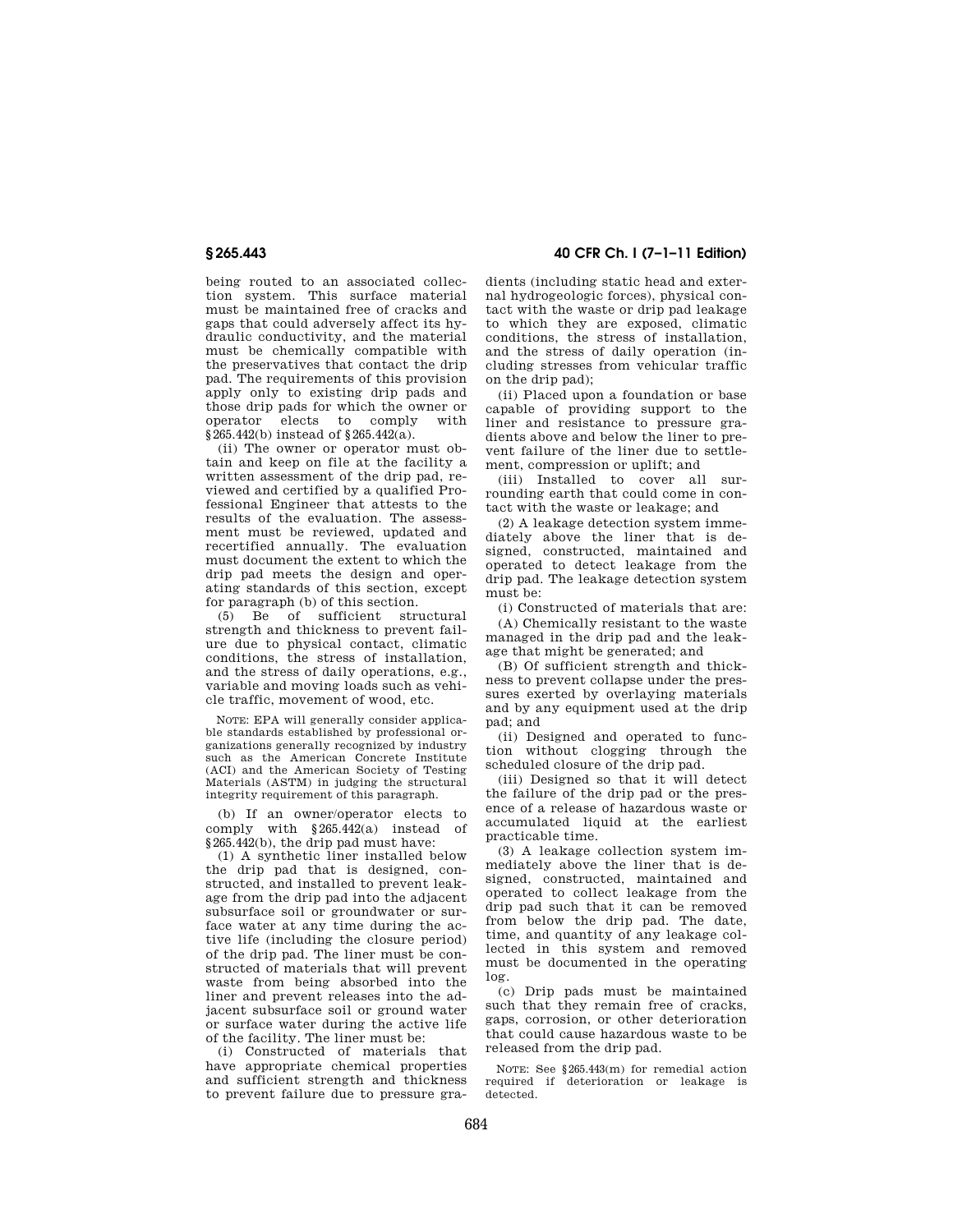being routed to an associated collection system. This surface material must be maintained free of cracks and gaps that could adversely affect its hydraulic conductivity, and the material must be chemically compatible with the preservatives that contact the drip pad. The requirements of this provision apply only to existing drip pads and those drip pads for which the owner or operator elects to comply with §265.442(b) instead of §265.442(a).

(ii) The owner or operator must obtain and keep on file at the facility a written assessment of the drip pad, reviewed and certified by a qualified Professional Engineer that attests to the results of the evaluation. The assessment must be reviewed, updated and recertified annually. The evaluation must document the extent to which the drip pad meets the design and operating standards of this section, except for paragraph (b) of this section.

(5) Be of sufficient structural strength and thickness to prevent failure due to physical contact, climatic conditions, the stress of installation, and the stress of daily operations, e.g., variable and moving loads such as vehicle traffic, movement of wood, etc.

NOTE: EPA will generally consider applicable standards established by professional organizations generally recognized by industry such as the American Concrete Institute (ACI) and the American Society of Testing Materials (ASTM) in judging the structural integrity requirement of this paragraph.

(b) If an owner/operator elects to comply with  $$265.442(a)$  instead §265.442(b), the drip pad must have:

(1) A synthetic liner installed below the drip pad that is designed, constructed, and installed to prevent leakage from the drip pad into the adjacent subsurface soil or groundwater or surface water at any time during the active life (including the closure period) of the drip pad. The liner must be constructed of materials that will prevent waste from being absorbed into the liner and prevent releases into the adjacent subsurface soil or ground water or surface water during the active life of the facility. The liner must be:

(i) Constructed of materials that have appropriate chemical properties and sufficient strength and thickness to prevent failure due to pressure gra-

**§ 265.443 40 CFR Ch. I (7–1–11 Edition)** 

dients (including static head and external hydrogeologic forces), physical contact with the waste or drip pad leakage to which they are exposed, climatic conditions, the stress of installation, and the stress of daily operation (including stresses from vehicular traffic on the drip pad);

(ii) Placed upon a foundation or base capable of providing support to the liner and resistance to pressure gradients above and below the liner to prevent failure of the liner due to settlement, compression or uplift; and

(iii) Installed to cover all surrounding earth that could come in contact with the waste or leakage; and

(2) A leakage detection system immediately above the liner that is designed, constructed, maintained and operated to detect leakage from the drip pad. The leakage detection system must be:

(i) Constructed of materials that are:

(A) Chemically resistant to the waste managed in the drip pad and the leakage that might be generated; and

(B) Of sufficient strength and thickness to prevent collapse under the pressures exerted by overlaying materials and by any equipment used at the drip pad; and

(ii) Designed and operated to function without clogging through the scheduled closure of the drip pad.

(iii) Designed so that it will detect the failure of the drip pad or the presence of a release of hazardous waste or accumulated liquid at the earliest practicable time.

(3) A leakage collection system immediately above the liner that is designed, constructed, maintained and operated to collect leakage from the drip pad such that it can be removed from below the drip pad. The date, time, and quantity of any leakage collected in this system and removed must be documented in the operating log.

(c) Drip pads must be maintained such that they remain free of cracks, gaps, corrosion, or other deterioration that could cause hazardous waste to be released from the drip pad.

NOTE: See §265.443(m) for remedial action required if deterioration or leakage is detected.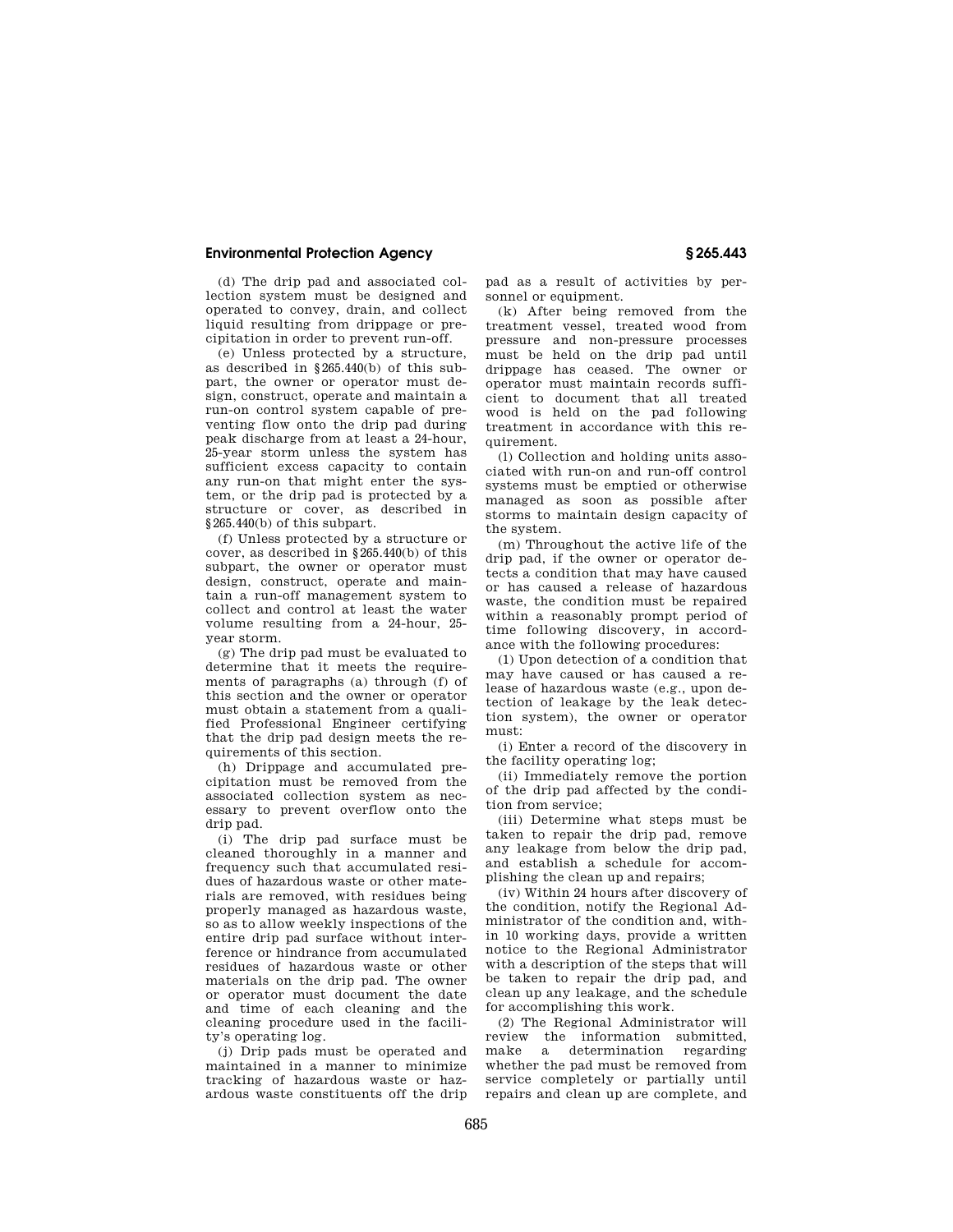(d) The drip pad and associated collection system must be designed and operated to convey, drain, and collect liquid resulting from drippage or precipitation in order to prevent run-off.

(e) Unless protected by a structure, as described in §265.440(b) of this subpart, the owner or operator must design, construct, operate and maintain a run-on control system capable of preventing flow onto the drip pad during peak discharge from at least a 24-hour, 25-year storm unless the system has sufficient excess capacity to contain any run-on that might enter the system, or the drip pad is protected by a structure or cover, as described in §265.440(b) of this subpart.

(f) Unless protected by a structure or cover, as described in §265.440(b) of this subpart, the owner or operator must design, construct, operate and maintain a run-off management system to collect and control at least the water volume resulting from a 24-hour, 25 year storm.

(g) The drip pad must be evaluated to determine that it meets the requirements of paragraphs (a) through (f) of this section and the owner or operator must obtain a statement from a qualified Professional Engineer certifying that the drip pad design meets the requirements of this section.

(h) Drippage and accumulated precipitation must be removed from the associated collection system as necessary to prevent overflow onto the drip pad.

(i) The drip pad surface must be cleaned thoroughly in a manner and frequency such that accumulated residues of hazardous waste or other materials are removed, with residues being properly managed as hazardous waste, so as to allow weekly inspections of the entire drip pad surface without interference or hindrance from accumulated residues of hazardous waste or other materials on the drip pad. The owner or operator must document the date and time of each cleaning and the cleaning procedure used in the facility's operating log.

(j) Drip pads must be operated and maintained in a manner to minimize tracking of hazardous waste or hazardous waste constituents off the drip

pad as a result of activities by personnel or equipment.

(k) After being removed from the treatment vessel, treated wood from pressure and non-pressure processes must be held on the drip pad until drippage has ceased. The owner or operator must maintain records sufficient to document that all treated wood is held on the pad following treatment in accordance with this requirement.

(l) Collection and holding units associated with run-on and run-off control systems must be emptied or otherwise managed as soon as possible after storms to maintain design capacity of the system.

(m) Throughout the active life of the drip pad, if the owner or operator detects a condition that may have caused or has caused a release of hazardous waste, the condition must be repaired within a reasonably prompt period of time following discovery, in accordance with the following procedures:

(1) Upon detection of a condition that may have caused or has caused a release of hazardous waste (e.g., upon detection of leakage by the leak detection system), the owner or operator must:

(i) Enter a record of the discovery in the facility operating log;

(ii) Immediately remove the portion of the drip pad affected by the condition from service;

(iii) Determine what steps must be taken to repair the drip pad, remove any leakage from below the drip pad, and establish a schedule for accomplishing the clean up and repairs;

(iv) Within 24 hours after discovery of the condition, notify the Regional Administrator of the condition and, within 10 working days, provide a written notice to the Regional Administrator with a description of the steps that will be taken to repair the drip pad, and clean up any leakage, and the schedule for accomplishing this work.

(2) The Regional Administrator will review the information submitted, make a determination regarding whether the pad must be removed from service completely or partially until repairs and clean up are complete, and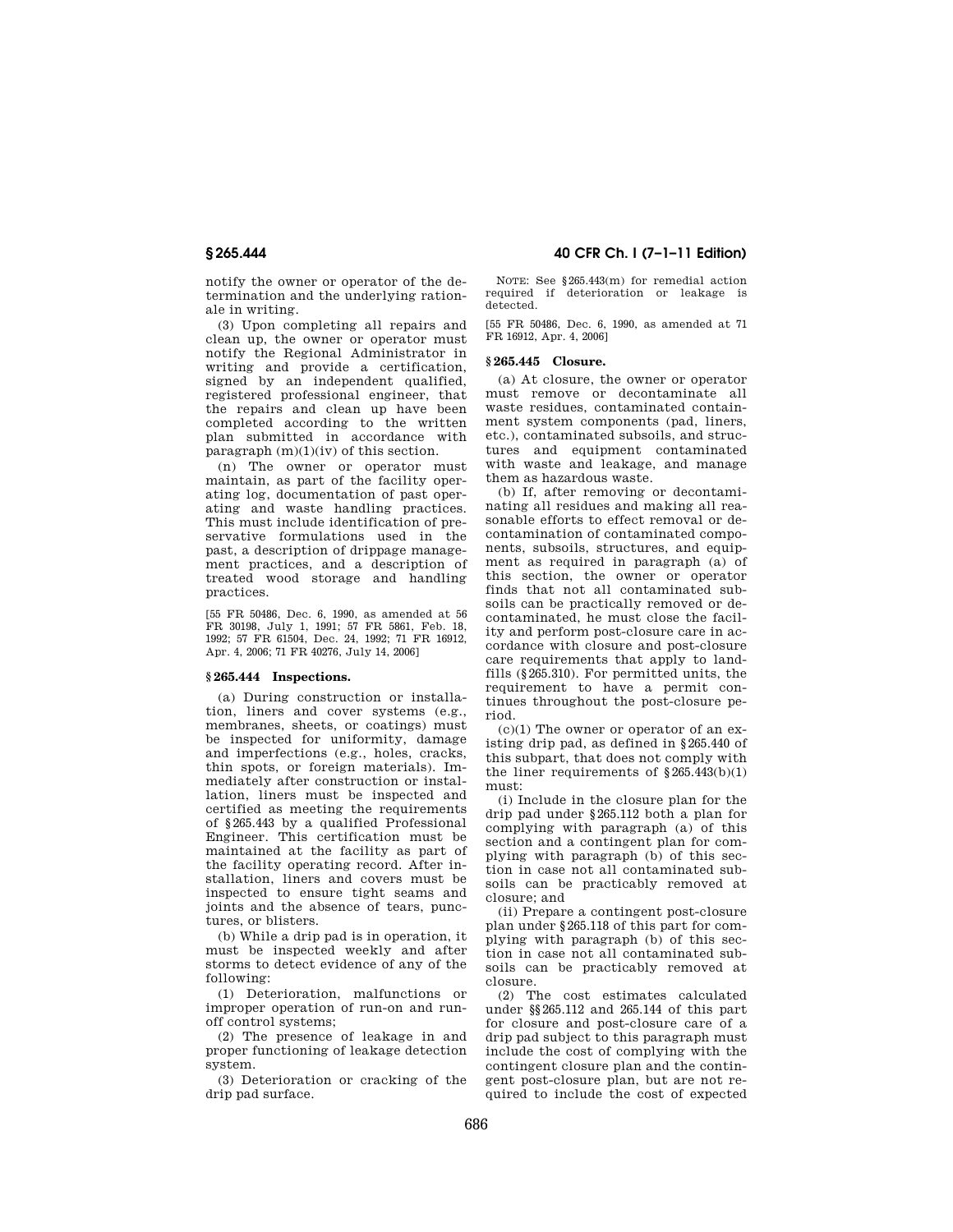notify the owner or operator of the determination and the underlying rationale in writing.

(3) Upon completing all repairs and clean up, the owner or operator must notify the Regional Administrator in writing and provide a certification, signed by an independent qualified, registered professional engineer, that the repairs and clean up have been completed according to the written plan submitted in accordance with paragraph  $(m)(1)(iv)$  of this section.

(n) The owner or operator must maintain, as part of the facility operating log, documentation of past operating and waste handling practices. This must include identification of preservative formulations used in the past, a description of drippage management practices, and a description of treated wood storage and handling practices.

[55 FR 50486, Dec. 6, 1990, as amended at 56 FR 30198, July 1, 1991; 57 FR 5861, Feb. 18, 1992; 57 FR 61504, Dec. 24, 1992; 71 FR 16912, Apr. 4, 2006; 71 FR 40276, July 14, 2006]

# **§ 265.444 Inspections.**

(a) During construction or installation, liners and cover systems (e.g., membranes, sheets, or coatings) must be inspected for uniformity, damage and imperfections (e.g., holes, cracks, thin spots, or foreign materials). Immediately after construction or installation, liners must be inspected and certified as meeting the requirements of §265.443 by a qualified Professional Engineer. This certification must be maintained at the facility as part of the facility operating record. After installation, liners and covers must be inspected to ensure tight seams and joints and the absence of tears, punctures, or blisters.

(b) While a drip pad is in operation, it must be inspected weekly and after storms to detect evidence of any of the following:

(1) Deterioration, malfunctions or improper operation of run-on and runoff control systems;

(2) The presence of leakage in and proper functioning of leakage detection system.

(3) Deterioration or cracking of the drip pad surface.

# **§ 265.444 40 CFR Ch. I (7–1–11 Edition)**

NOTE: See §265.443(m) for remedial action required if deterioration or leakage is detected.

[55 FR 50486, Dec. 6, 1990, as amended at 71 FR 16912, Apr. 4, 2006]

# **§ 265.445 Closure.**

(a) At closure, the owner or operator must remove or decontaminate all waste residues, contaminated containment system components (pad, liners, etc.), contaminated subsoils, and structures and equipment contaminated with waste and leakage, and manage them as hazardous waste.

(b) If, after removing or decontaminating all residues and making all reasonable efforts to effect removal or decontamination of contaminated components, subsoils, structures, and equipment as required in paragraph (a) of this section, the owner or operator finds that not all contaminated subsoils can be practically removed or decontaminated, he must close the facility and perform post-closure care in accordance with closure and post-closure care requirements that apply to landfills (§265.310). For permitted units, the requirement to have a permit continues throughout the post-closure period.

 $(c)(1)$  The owner or operator of an existing drip pad, as defined in §265.440 of this subpart, that does not comply with the liner requirements of  $\S 265.443(b)(1)$ must:

(i) Include in the closure plan for the drip pad under §265.112 both a plan for complying with paragraph (a) of this section and a contingent plan for complying with paragraph (b) of this section in case not all contaminated subsoils can be practicably removed at closure; and

(ii) Prepare a contingent post-closure plan under §265.118 of this part for complying with paragraph (b) of this section in case not all contaminated subsoils can be practicably removed at closure.

(2) The cost estimates calculated under §§265.112 and 265.144 of this part for closure and post-closure care of a drip pad subject to this paragraph must include the cost of complying with the contingent closure plan and the contingent post-closure plan, but are not required to include the cost of expected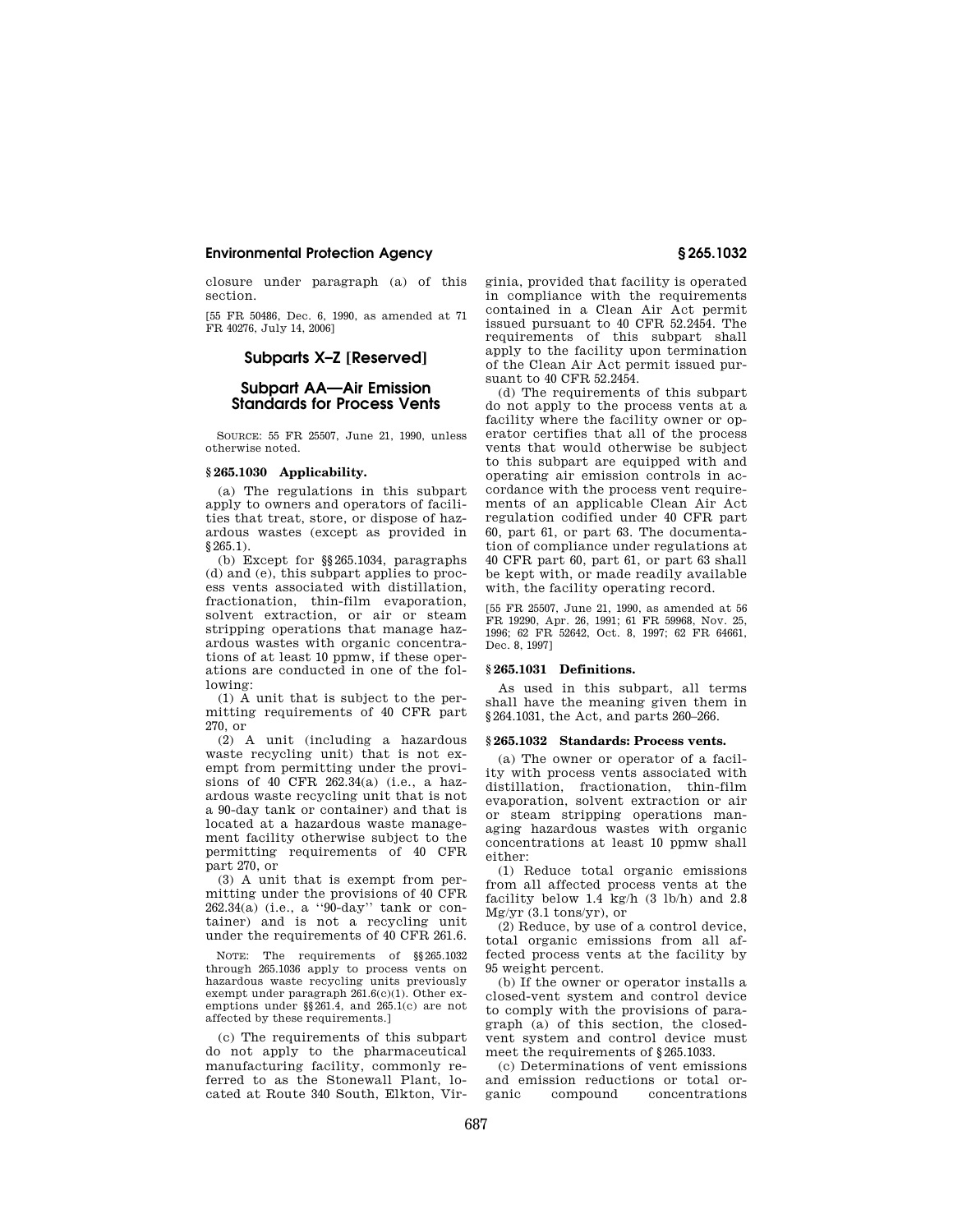closure under paragraph (a) of this section.

[55 FR 50486, Dec. 6, 1990, as amended at 71 FR 40276, July 14, 2006]

# **Subparts X–Z [Reserved]**

# **Subpart AA—Air Emission Standards for Process Vents**

SOURCE: 55 FR 25507, June 21, 1990, unless otherwise noted.

# **§ 265.1030 Applicability.**

(a) The regulations in this subpart apply to owners and operators of facilities that treat, store, or dispose of hazardous wastes (except as provided in § 265.1).

(b) Except for §§265.1034, paragraphs (d) and (e), this subpart applies to process vents associated with distillation, fractionation, thin-film evaporation, solvent extraction, or air or steam stripping operations that manage hazardous wastes with organic concentrations of at least 10 ppmw, if these operations are conducted in one of the following:

(1) A unit that is subject to the permitting requirements of 40 CFR part 270, or

(2) A unit (including a hazardous waste recycling unit) that is not exempt from permitting under the provisions of 40 CFR 262.34(a) (i.e., a hazardous waste recycling unit that is not a 90-day tank or container) and that is located at a hazardous waste management facility otherwise subject to the permitting requirements of 40 CFR part 270, or

(3) A unit that is exempt from permitting under the provisions of 40 CFR  $262.34(a)$  (i.e., a "90-day" tank or container) and is not a recycling unit under the requirements of 40 CFR 261.6.

NOTE: The requirements of §§265.1032 through 265.1036 apply to process vents on hazardous waste recycling units previously exempt under paragraph 261.6(c)(1). Other exemptions under §§261.4, and 265.1(c) are not affected by these requirements.]

(c) The requirements of this subpart do not apply to the pharmaceutical manufacturing facility, commonly referred to as the Stonewall Plant, located at Route 340 South, Elkton, Virginia, provided that facility is operated in compliance with the requirements contained in a Clean Air Act permit issued pursuant to 40 CFR 52.2454. The requirements of this subpart shall apply to the facility upon termination of the Clean Air Act permit issued pursuant to 40 CFR 52.2454.

(d) The requirements of this subpart do not apply to the process vents at a facility where the facility owner or operator certifies that all of the process vents that would otherwise be subject to this subpart are equipped with and operating air emission controls in accordance with the process vent requirements of an applicable Clean Air Act regulation codified under 40 CFR part 60, part 61, or part 63. The documentation of compliance under regulations at 40 CFR part 60, part 61, or part 63 shall be kept with, or made readily available with, the facility operating record.

[55 FR 25507, June 21, 1990, as amended at 56 FR 19290, Apr. 26, 1991; 61 FR 59968, Nov. 25, 1996; 62 FR 52642, Oct. 8, 1997; 62 FR 64661, Dec. 8, 1997]

# **§ 265.1031 Definitions.**

As used in this subpart, all terms shall have the meaning given them in §264.1031, the Act, and parts 260–266.

### **§ 265.1032 Standards: Process vents.**

(a) The owner or operator of a facility with process vents associated with distillation, fractionation, thin-film evaporation, solvent extraction or air or steam stripping operations managing hazardous wastes with organic concentrations at least 10 ppmw shall either:

(1) Reduce total organic emissions from all affected process vents at the facility below 1.4 kg/h (3 lb/h) and 2.8 Mg/yr (3.1 tons/yr), or

(2) Reduce, by use of a control device, total organic emissions from all affected process vents at the facility by 95 weight percent.

(b) If the owner or operator installs a closed-vent system and control device to comply with the provisions of paragraph (a) of this section, the closedvent system and control device must meet the requirements of §265.1033.

(c) Determinations of vent emissions and emission reductions or total orconcentrations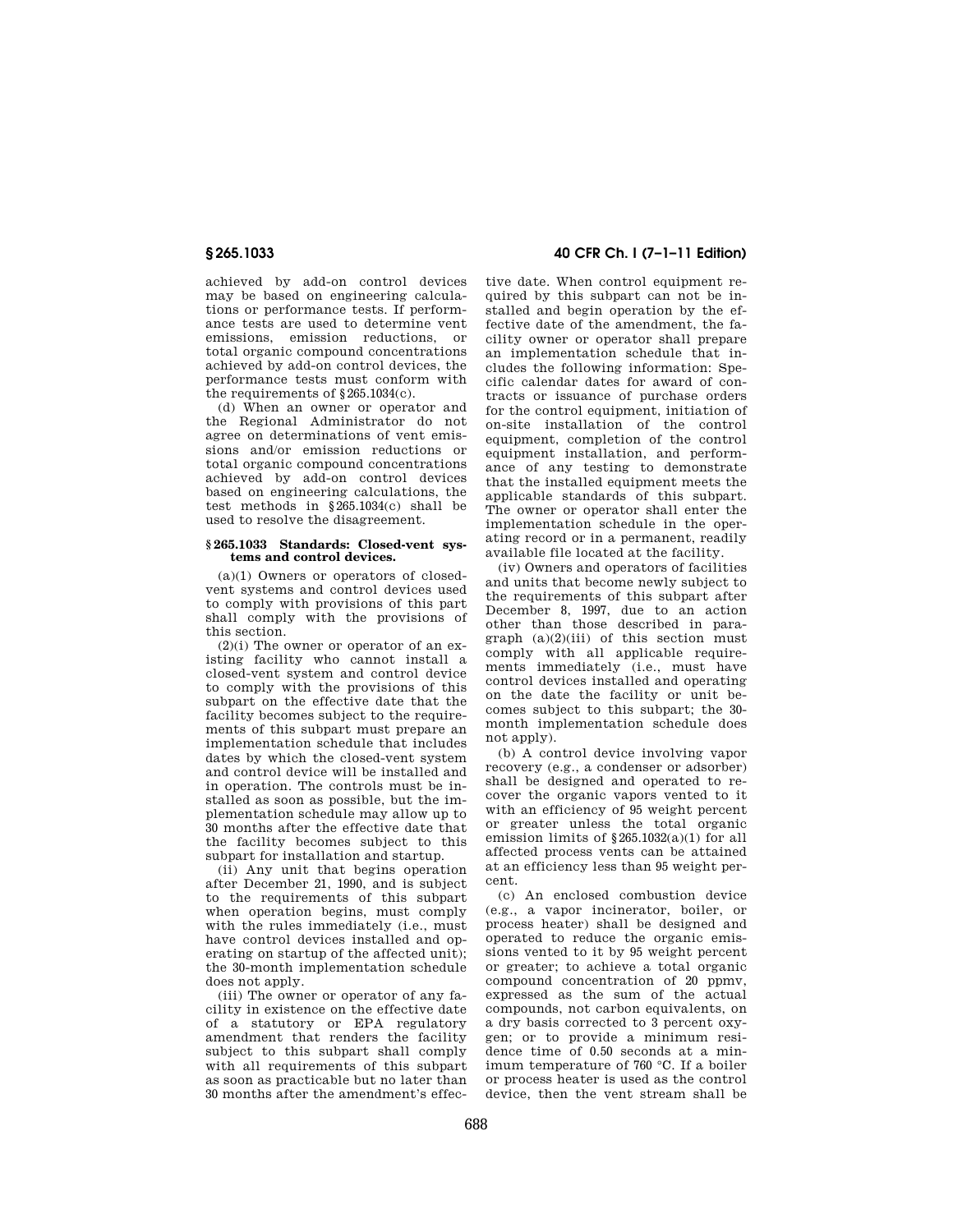achieved by add-on control devices may be based on engineering calculations or performance tests. If performance tests are used to determine vent emissions, emission reductions, or total organic compound concentrations achieved by add-on control devices, the performance tests must conform with the requirements of §265.1034(c).

(d) When an owner or operator and the Regional Administrator do not agree on determinations of vent emissions and/or emission reductions or total organic compound concentrations achieved by add-on control devices based on engineering calculations, the test methods in §265.1034(c) shall be used to resolve the disagreement.

#### **§ 265.1033 Standards: Closed-vent systems and control devices.**

(a)(1) Owners or operators of closedvent systems and control devices used to comply with provisions of this part shall comply with the provisions of this section.

 $(2)(i)$  The owner or operator of an existing facility who cannot install a closed-vent system and control device to comply with the provisions of this subpart on the effective date that the facility becomes subject to the requirements of this subpart must prepare an implementation schedule that includes dates by which the closed-vent system and control device will be installed and in operation. The controls must be installed as soon as possible, but the implementation schedule may allow up to 30 months after the effective date that the facility becomes subject to this subpart for installation and startup.

(ii) Any unit that begins operation after December 21, 1990, and is subject to the requirements of this subpart when operation begins, must comply with the rules immediately  $(i.e.$  must have control devices installed and operating on startup of the affected unit); the 30-month implementation schedule does not apply.

(iii) The owner or operator of any facility in existence on the effective date of a statutory or EPA regulatory amendment that renders the facility subject to this subpart shall comply with all requirements of this subpart as soon as practicable but no later than 30 months after the amendment's effec-

# **§ 265.1033 40 CFR Ch. I (7–1–11 Edition)**

tive date. When control equipment required by this subpart can not be installed and begin operation by the effective date of the amendment, the facility owner or operator shall prepare an implementation schedule that includes the following information: Specific calendar dates for award of contracts or issuance of purchase orders for the control equipment, initiation of on-site installation of the control equipment, completion of the control equipment installation, and performance of any testing to demonstrate that the installed equipment meets the applicable standards of this subpart. The owner or operator shall enter the implementation schedule in the operating record or in a permanent, readily available file located at the facility.

(iv) Owners and operators of facilities and units that become newly subject to the requirements of this subpart after December 8, 1997, due to an action other than those described in paragraph  $(a)(2)(iii)$  of this section must comply with all applicable requirements immediately (i.e., must have control devices installed and operating on the date the facility or unit becomes subject to this subpart; the 30 month implementation schedule does not apply).

(b) A control device involving vapor recovery (e.g., a condenser or adsorber) shall be designed and operated to recover the organic vapors vented to it with an efficiency of 95 weight percent or greater unless the total organic emission limits of  $\S 265.1032(a)(1)$  for all affected process vents can be attained at an efficiency less than 95 weight percent.

(c) An enclosed combustion device (e.g., a vapor incinerator, boiler, or process heater) shall be designed and operated to reduce the organic emissions vented to it by 95 weight percent or greater; to achieve a total organic compound concentration of 20 ppmv, expressed as the sum of the actual compounds, not carbon equivalents, on a dry basis corrected to 3 percent oxygen; or to provide a minimum residence time of 0.50 seconds at a minimum temperature of 760 °C. If a boiler or process heater is used as the control device, then the vent stream shall be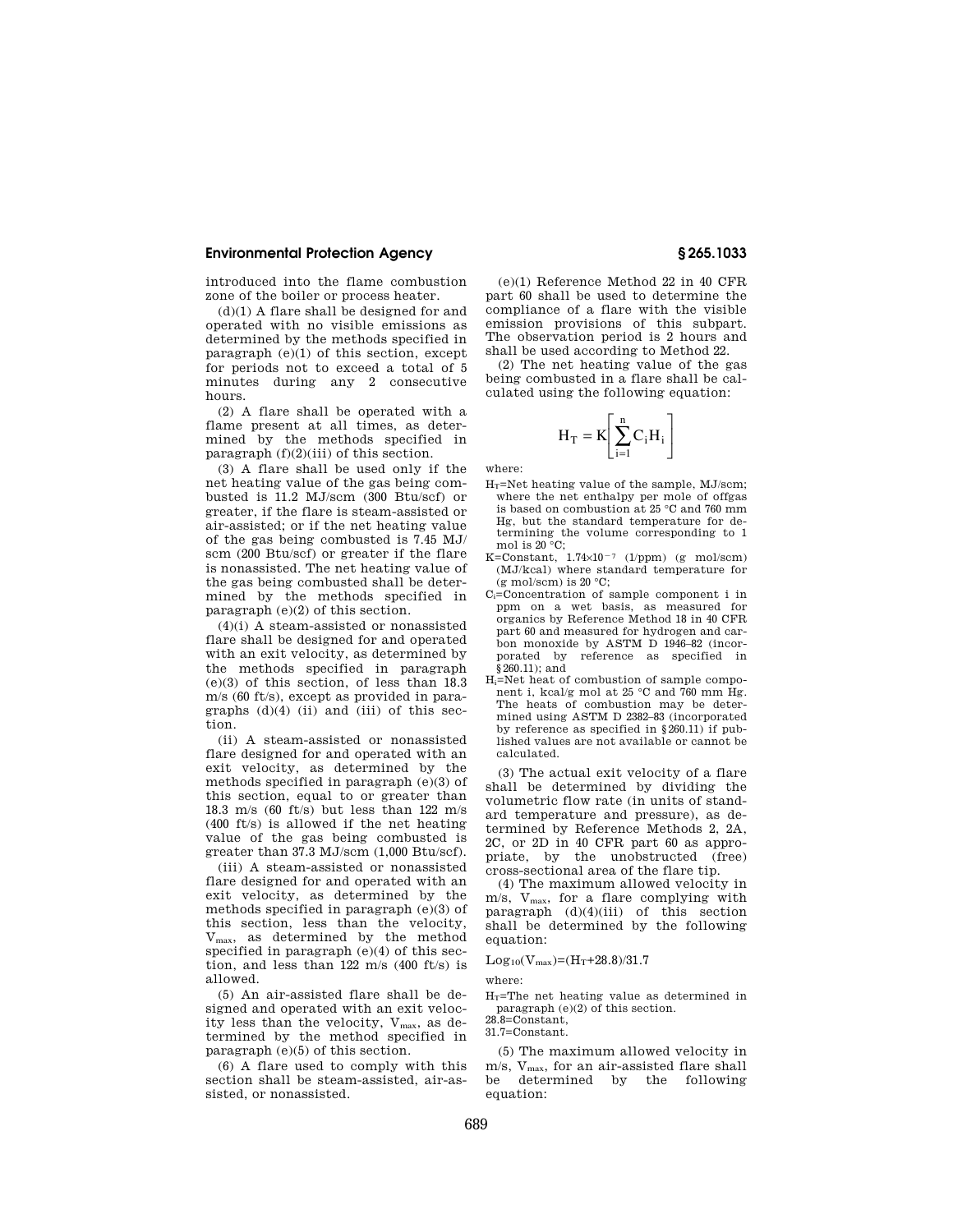introduced into the flame combustion zone of the boiler or process heater.

 $(d)(1)$  A flare shall be designed for and operated with no visible emissions as determined by the methods specified in paragraph (e)(1) of this section, except for periods not to exceed a total of 5 minutes during any 2 consecutive hours.

(2) A flare shall be operated with a flame present at all times, as determined by the methods specified in paragraph  $(f)(2)(iii)$  of this section.

(3) A flare shall be used only if the net heating value of the gas being combusted is 11.2 MJ/scm (300 Btu/scf) or greater, if the flare is steam-assisted or air-assisted; or if the net heating value of the gas being combusted is 7.45 MJ/ scm (200 Btu/scf) or greater if the flare is nonassisted. The net heating value of the gas being combusted shall be determined by the methods specified in paragraph (e)(2) of this section.

(4)(i) A steam-assisted or nonassisted flare shall be designed for and operated with an exit velocity, as determined by the methods specified in paragraph (e)(3) of this section, of less than 18.3 m/s (60 ft/s), except as provided in paragraphs  $(d)(4)$  (ii) and (iii) of this section.

(ii) A steam-assisted or nonassisted flare designed for and operated with an exit velocity, as determined by the methods specified in paragraph (e)(3) of this section, equal to or greater than 18.3 m/s (60 ft/s) but less than 122 m/s (400 ft/s) is allowed if the net heating value of the gas being combusted is greater than 37.3 MJ/scm (1,000 Btu/scf).

(iii) A steam-assisted or nonassisted flare designed for and operated with an exit velocity, as determined by the methods specified in paragraph (e)(3) of this section, less than the velocity,  $V_{\text{max}}$ , as determined by the method specified in paragraph (e)(4) of this section, and less than 122 m/s (400 ft/s) is allowed.

(5) An air-assisted flare shall be designed and operated with an exit velocity less than the velocity,  $V_{\text{max}}$ , as determined by the method specified in paragraph (e)(5) of this section.

(6) A flare used to comply with this section shall be steam-assisted, air-assisted, or nonassisted.

(e)(1) Reference Method 22 in 40 CFR part 60 shall be used to determine the compliance of a flare with the visible emission provisions of this subpart. The observation period is 2 hours and shall be used according to Method 22.

(2) The net heating value of the gas being combusted in a flare shall be calculated using the following equation:

$$
H_T = K \left[ \sum_{i=1}^{n} C_i H_i \right]
$$

where:

- $H_T$ =Net heating value of the sample, MJ/scm; where the net enthalpy per mole of offgas is based on combustion at 25 °C and 760 mm Hg, but the standard temperature for determining the volume corresponding to 1 mol is 20 °C;
- K=Constant,  $1.74\times10^{-7}$  (1/ppm) (g mol/scm) (MJ/kcal) where standard temperature for (g mol/scm) is  $20 °C$ ;
- Ci=Concentration of sample component i in ppm on a wet basis, as measured for organics by Reference Method 18 in 40 CFR part 60 and measured for hydrogen and carbon monoxide by ASTM D 1946–82 (incorporated by reference as specified in §260.11); and
- Hi=Net heat of combustion of sample component i, kcal/g mol at 25 °C and 760 mm Hg. The heats of combustion may be determined using ASTM D 2382–83 (incorporated by reference as specified in §260.11) if published values are not available or cannot be calculated.

(3) The actual exit velocity of a flare shall be determined by dividing the volumetric flow rate (in units of standard temperature and pressure), as determined by Reference Methods 2, 2A, 2C, or 2D in 40 CFR part 60 as appropriate, by the unobstructed (free) cross-sectional area of the flare tip.

(4) The maximum allowed velocity in m/s,  $V_{max}$ , for a flare complying with paragraph (d)(4)(iii) of this section shall be determined by the following equation:

# $Log_{10}(V_{max})=(H_T+28.8)/31.7$

where:

 $\rm H_T$  =The net heating value as determined in paragraph (e)(2) of this section.

28.8=Constant, 31.7=Constant.

(5) The maximum allowed velocity in m/s,  $V_{\text{max}}$ , for an air-assisted flare shall<br>be determined by the following determined by the following equation: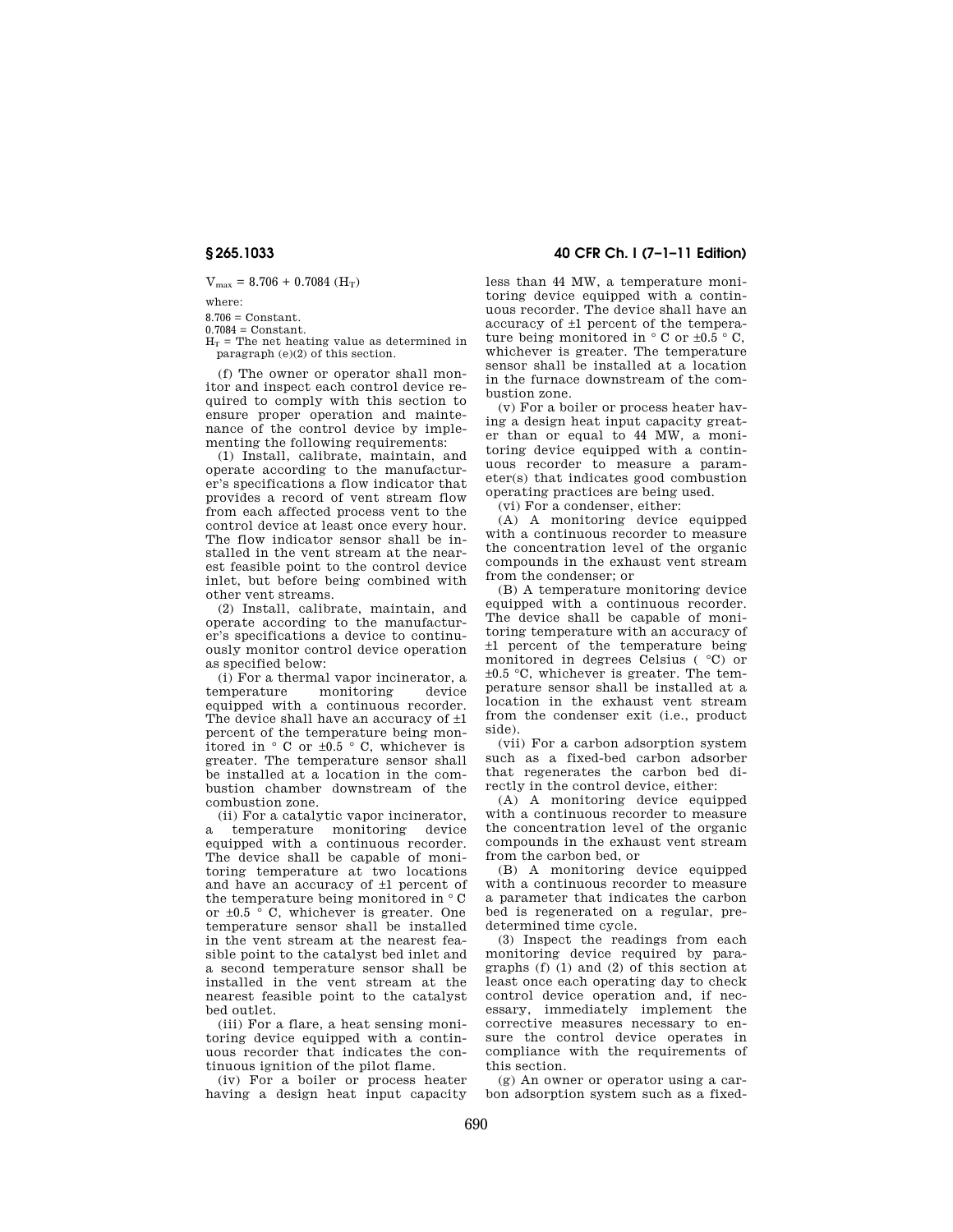$V_{max}$  = 8.706 + 0.7084 (H<sub>T</sub>)

where:

 $8.706 =$  Constant.

 $0.7084 =$ Constant.

 $H_T$  = The net heating value as determined in paragraph (e)(2) of this section.

(f) The owner or operator shall monitor and inspect each control device required to comply with this section to ensure proper operation and maintenance of the control device by implementing the following requirements:

(1) Install, calibrate, maintain, and operate according to the manufacturer's specifications a flow indicator that provides a record of vent stream flow from each affected process vent to the control device at least once every hour. The flow indicator sensor shall be installed in the vent stream at the nearest feasible point to the control device inlet, but before being combined with other vent streams.

(2) Install, calibrate, maintain, and operate according to the manufacturer's specifications a device to continuously monitor control device operation as specified below:

(i) For a thermal vapor incinerator, a<br>emperature monitoring device  $t$ emperature monitoring equipped with a continuous recorder. The device shall have an accuracy of  $\pm 1$ percent of the temperature being monitored in  $\degree$  C or  $\pm 0.5 \degree$  C, whichever is greater. The temperature sensor shall be installed at a location in the combustion chamber downstream of the combustion zone.

(ii) For a catalytic vapor incinerator, a temperature monitoring device equipped with a continuous recorder. The device shall be capable of monitoring temperature at two locations and have an accuracy of ±1 percent of the temperature being monitored in ° C or  $\pm 0.5$   $\degree$  C, whichever is greater. One temperature sensor shall be installed in the vent stream at the nearest feasible point to the catalyst bed inlet and a second temperature sensor shall be installed in the vent stream at the nearest feasible point to the catalyst bed outlet.

(iii) For a flare, a heat sensing monitoring device equipped with a continuous recorder that indicates the continuous ignition of the pilot flame.

(iv) For a boiler or process heater having a design heat input capacity

# **§ 265.1033 40 CFR Ch. I (7–1–11 Edition)**

less than 44 MW, a temperature monitoring device equipped with a continuous recorder. The device shall have an accuracy of ±1 percent of the temperature being monitored in  $\degree$  C or  $\pm 0.5$   $\degree$  C. whichever is greater. The temperature sensor shall be installed at a location in the furnace downstream of the combustion zone.

(v) For a boiler or process heater having a design heat input capacity greater than or equal to 44 MW, a monitoring device equipped with a continuous recorder to measure a parameter(s) that indicates good combustion operating practices are being used.

(vi) For a condenser, either:

(A) A monitoring device equipped with a continuous recorder to measure the concentration level of the organic compounds in the exhaust vent stream from the condenser; or

(B) A temperature monitoring device equipped with a continuous recorder. The device shall be capable of monitoring temperature with an accuracy of ±1 percent of the temperature being monitored in degrees Celsius ( °C) or  $\pm 0.5$  °C, whichever is greater. The temperature sensor shall be installed at a location in the exhaust vent stream from the condenser exit (i.e., product side).

(vii) For a carbon adsorption system such as a fixed-bed carbon adsorber that regenerates the carbon bed directly in the control device, either:

(A) A monitoring device equipped with a continuous recorder to measure the concentration level of the organic compounds in the exhaust vent stream from the carbon bed, or

(B) A monitoring device equipped with a continuous recorder to measure a parameter that indicates the carbon bed is regenerated on a regular, predetermined time cycle.

(3) Inspect the readings from each monitoring device required by paragraphs (f) (1) and (2) of this section at least once each operating day to check control device operation and, if necessary, immediately implement the corrective measures necessary to ensure the control device operates in compliance with the requirements of this section.

(g) An owner or operator using a carbon adsorption system such as a fixed-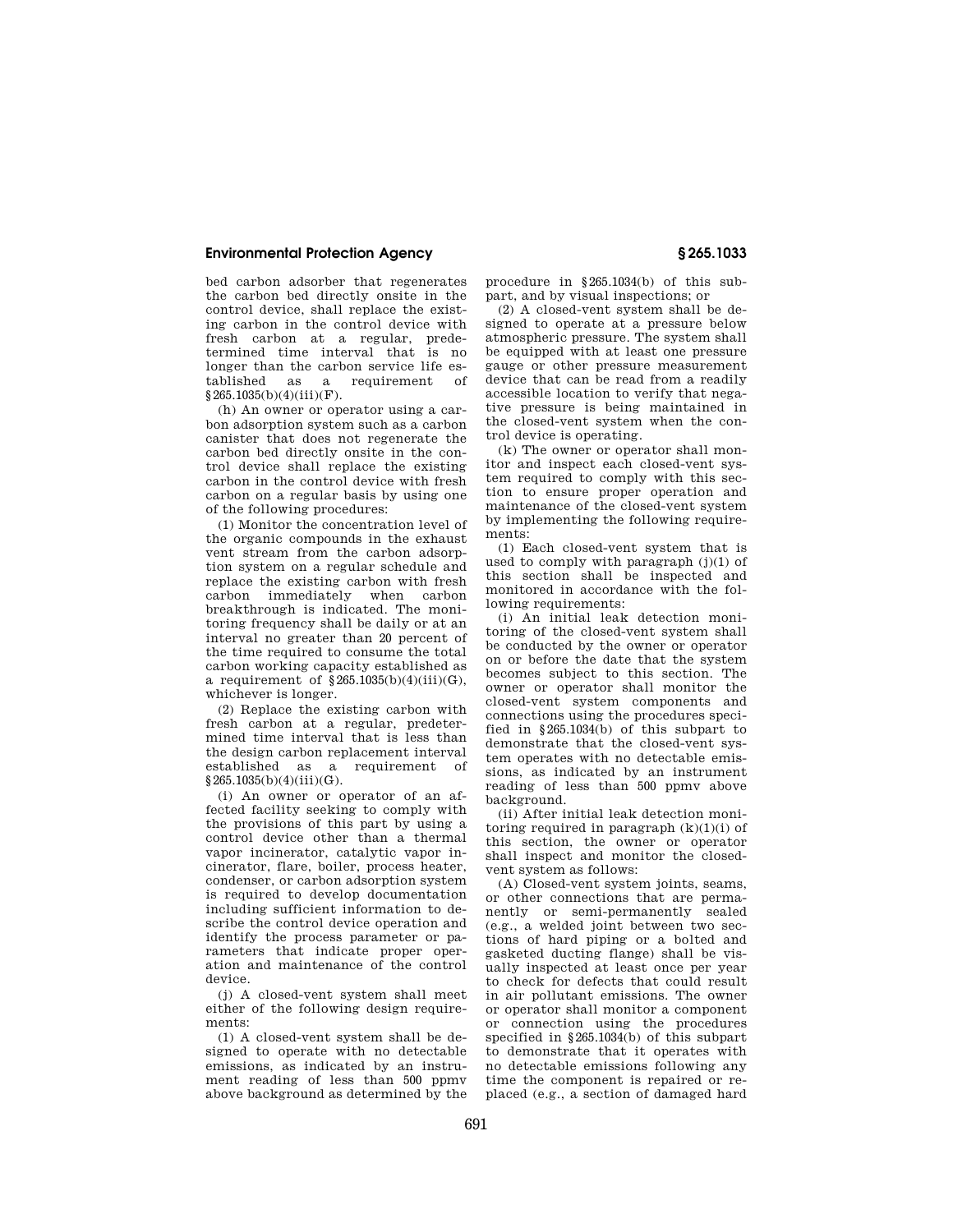bed carbon adsorber that regenerates the carbon bed directly onsite in the control device, shall replace the existing carbon in the control device with fresh carbon at a regular, predetermined time interval that is no longer than the carbon service life es-<br>tablished as a requirement of tablished as a requirement  $§265.1035(b)(4)(iii)(F).$ 

(h) An owner or operator using a carbon adsorption system such as a carbon canister that does not regenerate the carbon bed directly onsite in the control device shall replace the existing carbon in the control device with fresh carbon on a regular basis by using one of the following procedures:

(1) Monitor the concentration level of the organic compounds in the exhaust vent stream from the carbon adsorption system on a regular schedule and replace the existing carbon with fresh carbon immediately when carbon breakthrough is indicated. The monitoring frequency shall be daily or at an interval no greater than 20 percent of the time required to consume the total carbon working capacity established as a requirement of  $\S 265.1035(b)(4)(iii)(G)$ , whichever is longer.

(2) Replace the existing carbon with fresh carbon at a regular, predetermined time interval that is less than the design carbon replacement interval established as a requirement of  $§265.1035(b)(4)(iii)(G).$ 

(i) An owner or operator of an affected facility seeking to comply with the provisions of this part by using a control device other than a thermal vapor incinerator, catalytic vapor incinerator, flare, boiler, process heater, condenser, or carbon adsorption system is required to develop documentation including sufficient information to describe the control device operation and identify the process parameter or parameters that indicate proper operation and maintenance of the control device.

(j) A closed-vent system shall meet either of the following design requirements:

(1) A closed-vent system shall be designed to operate with no detectable emissions, as indicated by an instrument reading of less than 500 ppmv above background as determined by the procedure in §265.1034(b) of this subpart, and by visual inspections; or

(2) A closed-vent system shall be designed to operate at a pressure below atmospheric pressure. The system shall be equipped with at least one pressure gauge or other pressure measurement device that can be read from a readily accessible location to verify that negative pressure is being maintained in the closed-vent system when the control device is operating.

(k) The owner or operator shall monitor and inspect each closed-vent system required to comply with this section to ensure proper operation and maintenance of the closed-vent system by implementing the following requirements:

(1) Each closed-vent system that is used to comply with paragraph  $(j)(1)$  of this section shall be inspected and monitored in accordance with the following requirements:

(i) An initial leak detection monitoring of the closed-vent system shall be conducted by the owner or operator on or before the date that the system becomes subject to this section. The owner or operator shall monitor the closed-vent system components and connections using the procedures specified in §265.1034(b) of this subpart to demonstrate that the closed-vent system operates with no detectable emissions, as indicated by an instrument reading of less than 500 ppmv above background.

(ii) After initial leak detection monitoring required in paragraph  $(k)(1)(i)$  of this section, the owner or operator shall inspect and monitor the closedvent system as follows:

(A) Closed-vent system joints, seams, or other connections that are permanently or semi-permanently sealed (e.g., a welded joint between two sections of hard piping or a bolted and gasketed ducting flange) shall be visually inspected at least once per year to check for defects that could result in air pollutant emissions. The owner or operator shall monitor a component or connection using the procedures specified in §265.1034(b) of this subpart to demonstrate that it operates with no detectable emissions following any time the component is repaired or replaced (e.g., a section of damaged hard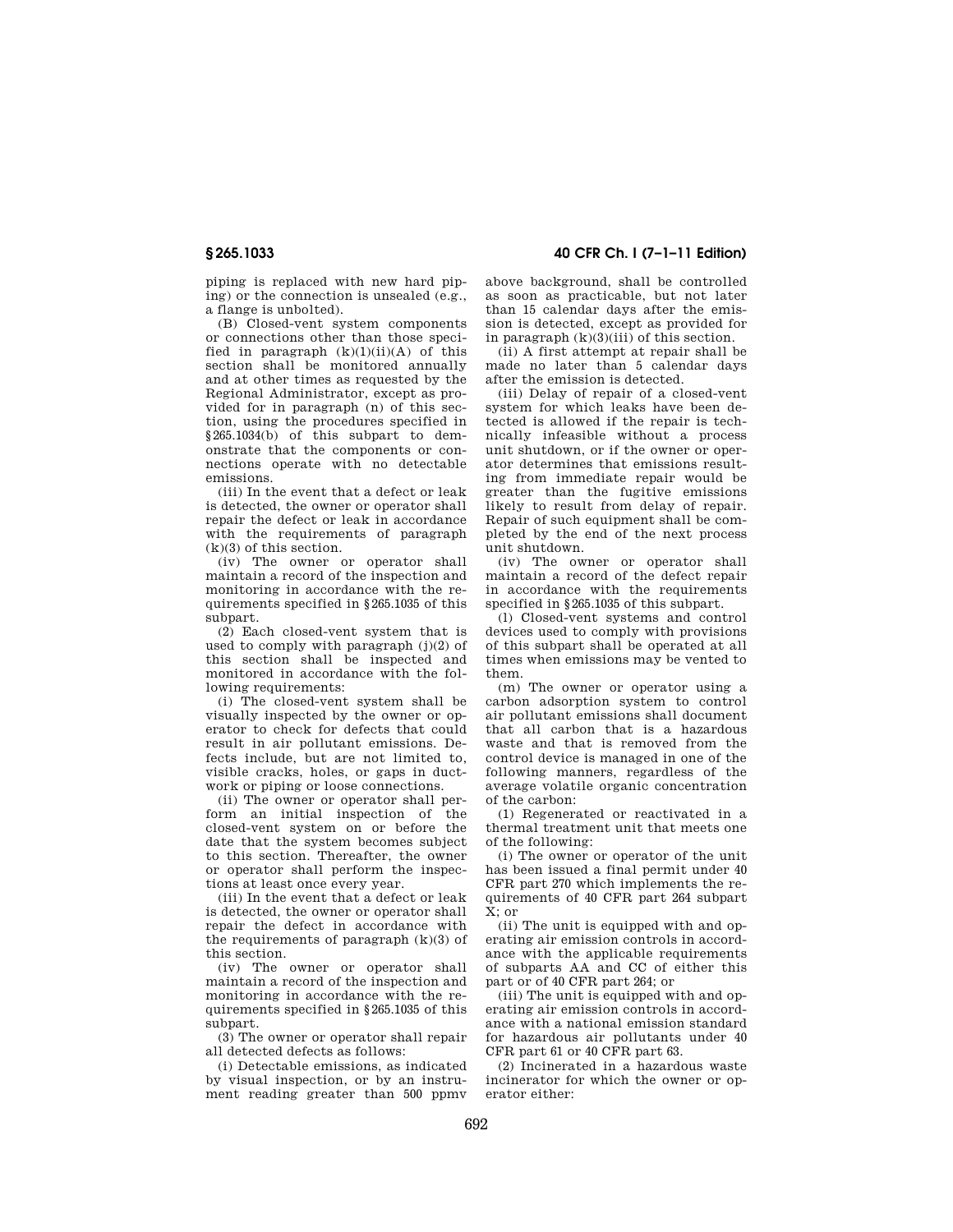piping is replaced with new hard piping) or the connection is unsealed (e.g., a flange is unbolted).

(B) Closed-vent system components or connections other than those specified in paragraph  $(k)(1)(ii)(A)$  of this section shall be monitored annually and at other times as requested by the Regional Administrator, except as provided for in paragraph (n) of this section, using the procedures specified in §265.1034(b) of this subpart to demonstrate that the components or connections operate with no detectable emissions.

(iii) In the event that a defect or leak is detected, the owner or operator shall repair the defect or leak in accordance with the requirements of paragraph (k)(3) of this section.

(iv) The owner or operator shall maintain a record of the inspection and monitoring in accordance with the requirements specified in §265.1035 of this subpart.

(2) Each closed-vent system that is used to comply with paragraph  $(i)(2)$  of this section shall be inspected and monitored in accordance with the following requirements:

(i) The closed-vent system shall be visually inspected by the owner or operator to check for defects that could result in air pollutant emissions. Defects include, but are not limited to, visible cracks, holes, or gaps in ductwork or piping or loose connections.

(ii) The owner or operator shall perform an initial inspection of the closed-vent system on or before the date that the system becomes subject to this section. Thereafter, the owner or operator shall perform the inspections at least once every year.

(iii) In the event that a defect or leak is detected, the owner or operator shall repair the defect in accordance with the requirements of paragraph  $(k)(3)$  of this section.

(iv) The owner or operator shall maintain a record of the inspection and monitoring in accordance with the requirements specified in §265.1035 of this subpart.

(3) The owner or operator shall repair all detected defects as follows:

(i) Detectable emissions, as indicated by visual inspection, or by an instrument reading greater than 500 ppmv

**§ 265.1033 40 CFR Ch. I (7–1–11 Edition)** 

above background, shall be controlled as soon as practicable, but not later than 15 calendar days after the emission is detected, except as provided for in paragraph (k)(3)(iii) of this section.

(ii) A first attempt at repair shall be made no later than 5 calendar days after the emission is detected.

(iii) Delay of repair of a closed-vent system for which leaks have been detected is allowed if the repair is technically infeasible without a process unit shutdown, or if the owner or operator determines that emissions resulting from immediate repair would be greater than the fugitive emissions likely to result from delay of repair. Repair of such equipment shall be completed by the end of the next process unit shutdown.

(iv) The owner or operator shall maintain a record of the defect repair in accordance with the requirements specified in §265.1035 of this subpart.

(l) Closed-vent systems and control devices used to comply with provisions of this subpart shall be operated at all times when emissions may be vented to them.

(m) The owner or operator using a carbon adsorption system to control air pollutant emissions shall document that all carbon that is a hazardous waste and that is removed from the control device is managed in one of the following manners, regardless of the average volatile organic concentration of the carbon:

(1) Regenerated or reactivated in a thermal treatment unit that meets one of the following:

(i) The owner or operator of the unit has been issued a final permit under 40 CFR part 270 which implements the requirements of 40 CFR part 264 subpart  $X^{\dagger}$  or

(ii) The unit is equipped with and operating air emission controls in accordance with the applicable requirements of subparts AA and CC of either this part or of 40 CFR part 264; or

(iii) The unit is equipped with and operating air emission controls in accordance with a national emission standard for hazardous air pollutants under 40 CFR part 61 or 40 CFR part 63.

(2) Incinerated in a hazardous waste incinerator for which the owner or operator either: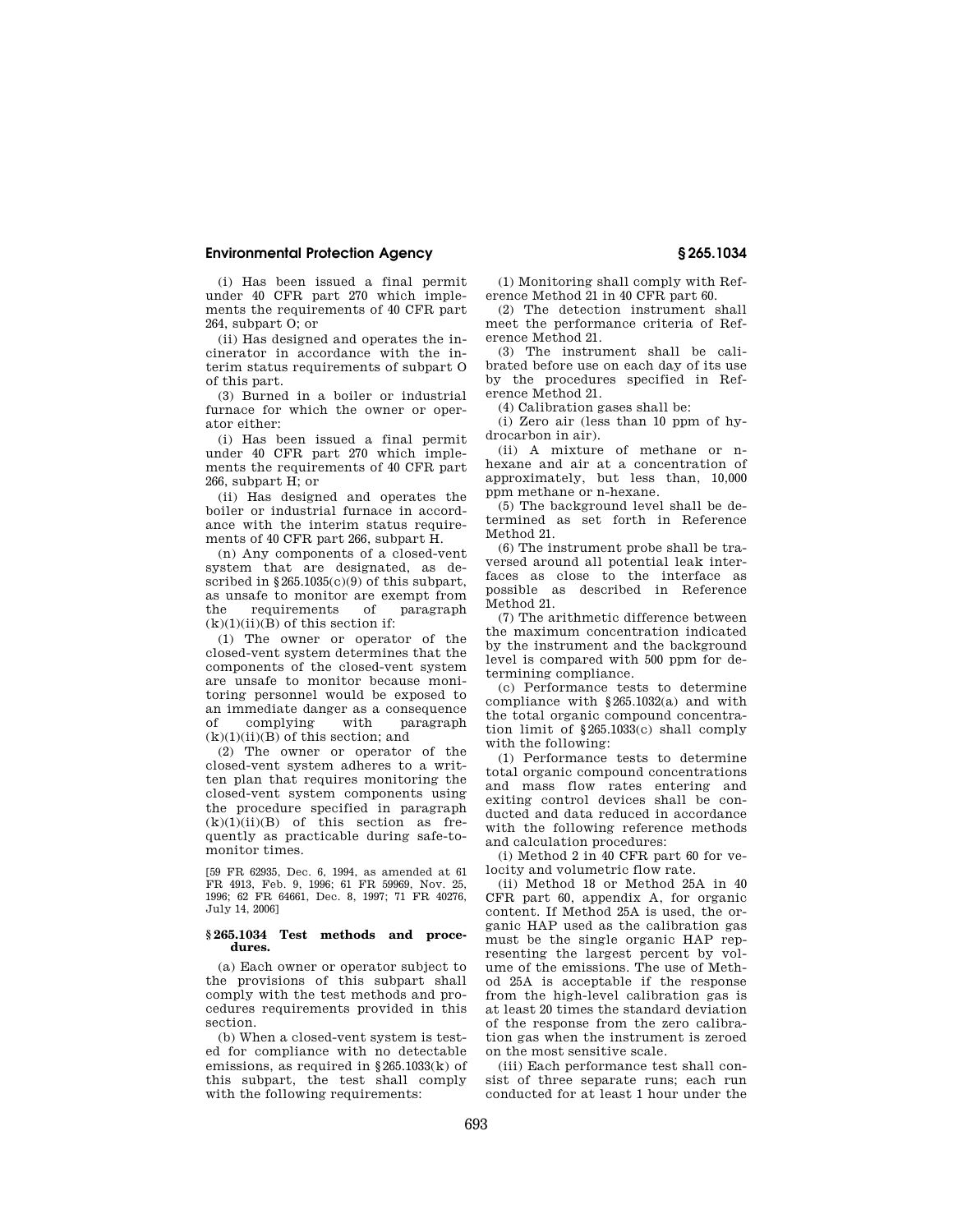(i) Has been issued a final permit under 40 CFR part 270 which implements the requirements of 40 CFR part 264, subpart O; or

(ii) Has designed and operates the incinerator in accordance with the interim status requirements of subpart O of this part.

(3) Burned in a boiler or industrial furnace for which the owner or operator either:

(i) Has been issued a final permit under 40 CFR part 270 which implements the requirements of 40 CFR part 266, subpart H; or

(ii) Has designed and operates the boiler or industrial furnace in accordance with the interim status requirements of 40 CFR part 266, subpart H.

(n) Any components of a closed-vent system that are designated, as described in §265.1035(c)(9) of this subpart, as unsafe to monitor are exempt from<br>the requirements of paragraph the requirements  $(k)(1)(ii)(B)$  of this section if:

(1) The owner or operator of the closed-vent system determines that the components of the closed-vent system are unsafe to monitor because monitoring personnel would be exposed to an immediate danger as a consequence of complying with paragraph  $(k)(1)(ii)(B)$  of this section; and

(2) The owner or operator of the closed-vent system adheres to a written plan that requires monitoring the closed-vent system components using the procedure specified in paragraph  $(k)(1)(ii)(B)$  of this section as frequently as practicable during safe-tomonitor times.

[59 FR 62935, Dec. 6, 1994, as amended at 61 FR 4913, Feb. 9, 1996; 61 FR 59969, Nov. 25, 1996; 62 FR 64661, Dec. 8, 1997; 71 FR 40276, July 14, 2006]

#### **§ 265.1034 Test methods and procedures.**

(a) Each owner or operator subject to the provisions of this subpart shall comply with the test methods and procedures requirements provided in this section.

(b) When a closed-vent system is tested for compliance with no detectable emissions, as required in §265.1033(k) of this subpart, the test shall comply with the following requirements:

(1) Monitoring shall comply with Reference Method 21 in 40 CFR part 60.

(2) The detection instrument shall meet the performance criteria of Reference Method 21.

(3) The instrument shall be calibrated before use on each day of its use by the procedures specified in Reference Method 21.

(4) Calibration gases shall be:

(i) Zero air (less than 10 ppm of hydrocarbon in air).

(ii) A mixture of methane or nhexane and air at a concentration of approximately, but less than, 10,000 ppm methane or n-hexane.

(5) The background level shall be determined as set forth in Reference Method 21.

(6) The instrument probe shall be traversed around all potential leak interfaces as close to the interface as possible as described in Reference Method 21.

(7) The arithmetic difference between the maximum concentration indicated by the instrument and the background level is compared with 500 ppm for determining compliance.

(c) Performance tests to determine compliance with §265.1032(a) and with the total organic compound concentration limit of §265.1033(c) shall comply with the following:

(1) Performance tests to determine total organic compound concentrations and mass flow rates entering and exiting control devices shall be conducted and data reduced in accordance with the following reference methods and calculation procedures:

(i) Method 2 in 40 CFR part 60 for velocity and volumetric flow rate.

(ii) Method 18 or Method 25A in 40 CFR part 60, appendix A, for organic content. If Method 25A is used, the organic HAP used as the calibration gas must be the single organic HAP representing the largest percent by volume of the emissions. The use of Method 25A is acceptable if the response from the high-level calibration gas is at least 20 times the standard deviation of the response from the zero calibration gas when the instrument is zeroed on the most sensitive scale.

(iii) Each performance test shall consist of three separate runs; each run conducted for at least 1 hour under the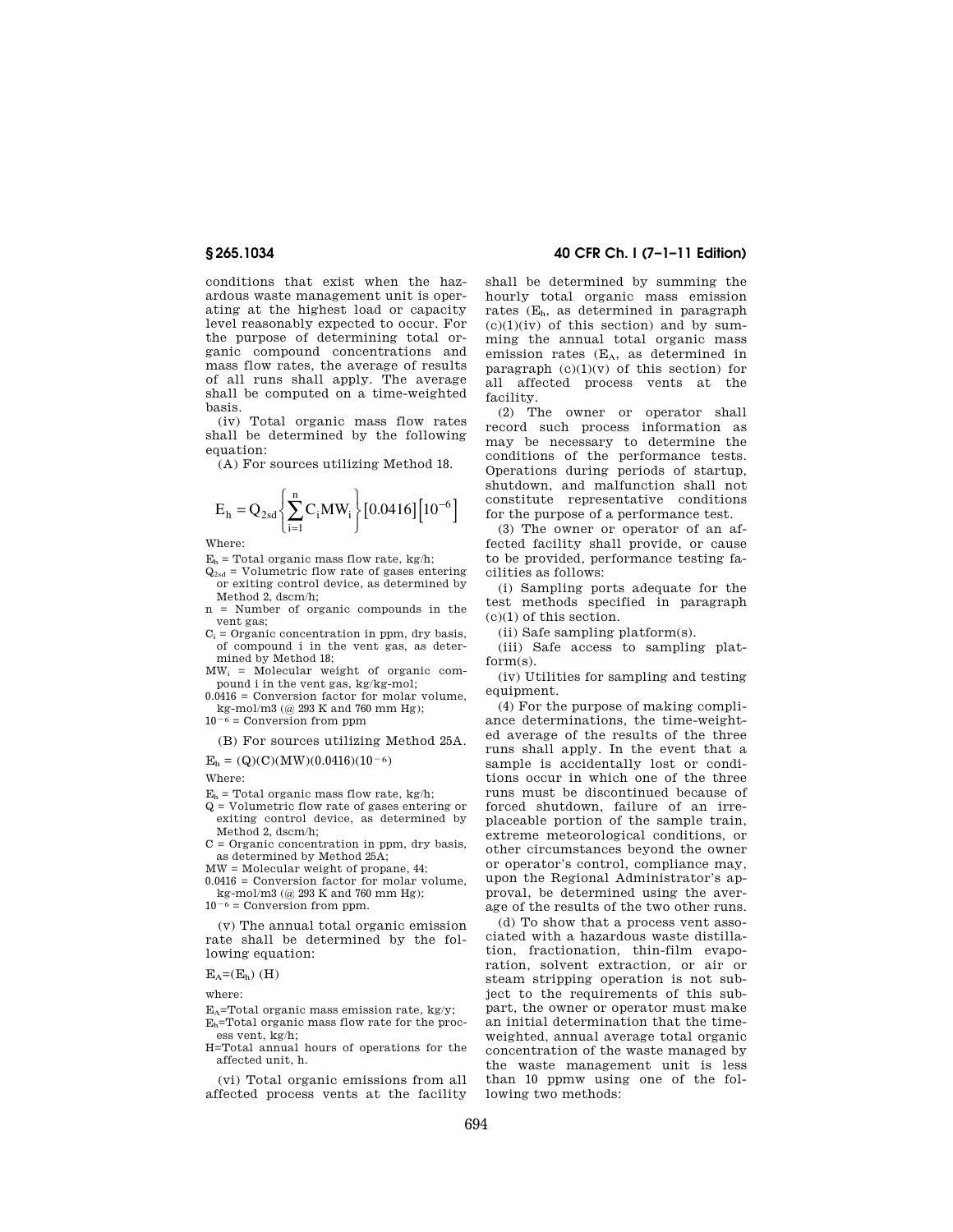conditions that exist when the hazardous waste management unit is operating at the highest load or capacity level reasonably expected to occur. For the purpose of determining total organic compound concentrations and mass flow rates, the average of results of all runs shall apply. The average shall be computed on a time-weighted basis.

(iv) Total organic mass flow rates shall be determined by the following equation:

(A) For sources utilizing Method 18.

$$
E_h = Q_{2sd} \left\{ \sum_{i=1}^{n} C_i MW_i \right\} [0.0416] [10^{-6}]
$$

Where:

 $E_h$  = Total organic mass flow rate, kg/h;

- $Q_{2sd}$  = Volumetric flow rate of gases entering or exiting control device, as determined by Method 2, dscm/h;
- n = Number of organic compounds in the vent gas;
- $C_i$  = Organic concentration in ppm, dry basis, of compound i in the vent gas, as determined by Method 18;
- $MW_i$  = Molecular weight of organic compound i in the vent gas, kg/kg-mol;
- 0.0416 = Conversion factor for molar volume, kg-mol/m3 (@ 293 K and 760 mm Hg);

 $10^{-6}$  = Conversion from ppm

## (B) For sources utilizing Method 25A.

## $E_h = (Q)(C)(MW)(0.0416)(10<sup>-6</sup>)$

Where:

 $E<sub>b</sub>$  = Total organic mass flow rate, kg/h;

Q = Volumetric flow rate of gases entering or exiting control device, as determined by Method 2, dscm/h;

C = Organic concentration in ppm, dry basis, as determined by Method 25A;

MW = Molecular weight of propane, 44;

0.0416 = Conversion factor for molar volume, kg-mol/m3 (@ 293 K and 760 mm Hg);

 $10^{-6}$  = Conversion from ppm.

(v) The annual total organic emission rate shall be determined by the following equation:

 $E_A=(E_h)$  (H)

where:

EA=Total organic mass emission rate, kg/y;

Eh=Total organic mass flow rate for the process vent, kg/h;

H=Total annual hours of operations for the affected unit, h.

(vi) Total organic emissions from all affected process vents at the facility

# **§ 265.1034 40 CFR Ch. I (7–1–11 Edition)**

shall be determined by summing the hourly total organic mass emission rates (Eh, as determined in paragraph  $(c)(1)(iv)$  of this section) and by summing the annual total organic mass emission rates (EA, as determined in paragraph  $(c)(1)(v)$  of this section) for all affected process vents at the facility.

(2) The owner or operator shall record such process information as may be necessary to determine the conditions of the performance tests. Operations during periods of startup, shutdown, and malfunction shall not constitute representative conditions for the purpose of a performance test.

(3) The owner or operator of an affected facility shall provide, or cause to be provided, performance testing facilities as follows:

(i) Sampling ports adequate for the test methods specified in paragraph (c)(1) of this section.

(ii) Safe sampling platform(s).

(iii) Safe access to sampling platform(s).

(iv) Utilities for sampling and testing equipment.

(4) For the purpose of making compliance determinations, the time-weighted average of the results of the three runs shall apply. In the event that a sample is accidentally lost or conditions occur in which one of the three runs must be discontinued because of forced shutdown, failure of an irreplaceable portion of the sample train, extreme meteorological conditions, or other circumstances beyond the owner or operator's control, compliance may, upon the Regional Administrator's approval, be determined using the average of the results of the two other runs.

(d) To show that a process vent associated with a hazardous waste distillation, fractionation, thin-film evaporation, solvent extraction, or air or steam stripping operation is not subject to the requirements of this subpart, the owner or operator must make an initial determination that the timeweighted, annual average total organic concentration of the waste managed by the waste management unit is less than 10 ppmw using one of the following two methods: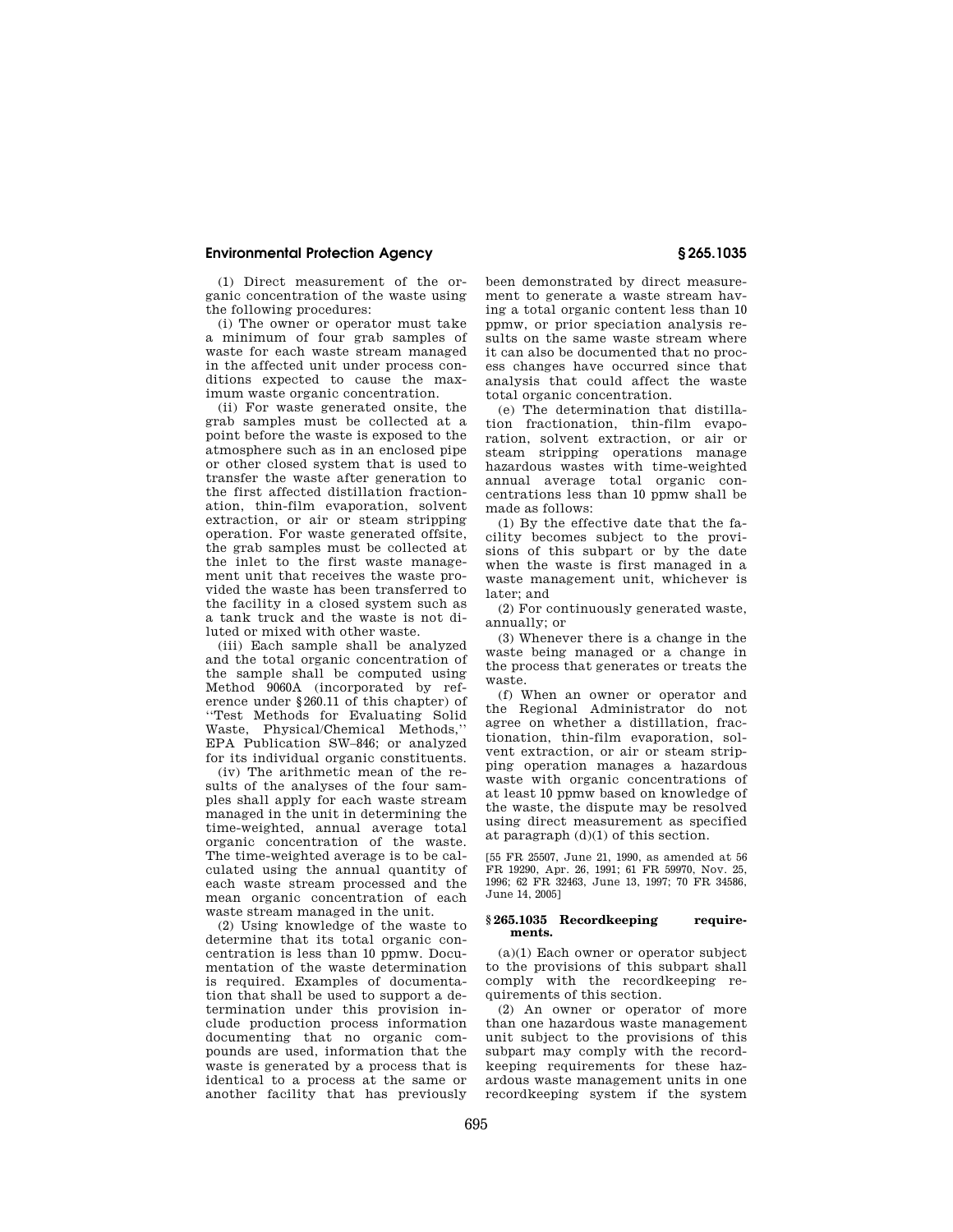(1) Direct measurement of the organic concentration of the waste using the following procedures:

(i) The owner or operator must take a minimum of four grab samples of waste for each waste stream managed in the affected unit under process conditions expected to cause the maximum waste organic concentration.

(ii) For waste generated onsite, the grab samples must be collected at a point before the waste is exposed to the atmosphere such as in an enclosed pipe or other closed system that is used to transfer the waste after generation to the first affected distillation fractionation, thin-film evaporation, solvent extraction, or air or steam stripping operation. For waste generated offsite, the grab samples must be collected at the inlet to the first waste management unit that receives the waste provided the waste has been transferred to the facility in a closed system such as a tank truck and the waste is not diluted or mixed with other waste.

(iii) Each sample shall be analyzed and the total organic concentration of the sample shall be computed using Method 9060A (incorporated by reference under §260.11 of this chapter) of ''Test Methods for Evaluating Solid Waste, Physical/Chemical Methods,'' EPA Publication SW–846; or analyzed for its individual organic constituents.

(iv) The arithmetic mean of the results of the analyses of the four samples shall apply for each waste stream managed in the unit in determining the time-weighted, annual average total organic concentration of the waste. The time-weighted average is to be calculated using the annual quantity of each waste stream processed and the mean organic concentration of each waste stream managed in the unit.

(2) Using knowledge of the waste to determine that its total organic concentration is less than 10 ppmw. Documentation of the waste determination is required. Examples of documentation that shall be used to support a determination under this provision include production process information documenting that no organic compounds are used, information that the waste is generated by a process that is identical to a process at the same or another facility that has previously

been demonstrated by direct measurement to generate a waste stream having a total organic content less than 10 ppmw, or prior speciation analysis results on the same waste stream where it can also be documented that no process changes have occurred since that analysis that could affect the waste total organic concentration.

(e) The determination that distillation fractionation, thin-film evaporation, solvent extraction, or air or steam stripping operations manage hazardous wastes with time-weighted annual average total organic concentrations less than 10 ppmw shall be made as follows:

(1) By the effective date that the facility becomes subject to the provisions of this subpart or by the date when the waste is first managed in a waste management unit, whichever is later; and

(2) For continuously generated waste, annually; or

(3) Whenever there is a change in the waste being managed or a change in the process that generates or treats the waste.

(f) When an owner or operator and the Regional Administrator do not agree on whether a distillation, fractionation, thin-film evaporation, solvent extraction, or air or steam stripping operation manages a hazardous waste with organic concentrations of at least 10 ppmw based on knowledge of the waste, the dispute may be resolved using direct measurement as specified at paragraph (d)(1) of this section.

[55 FR 25507, June 21, 1990, as amended at 56 FR 19290, Apr. 26, 1991; 61 FR 59970, Nov. 25, 1996; 62 FR 32463, June 13, 1997; 70 FR 34586, June 14, 2005]

#### **§ 265.1035 Recordkeeping requirements.**

(a)(1) Each owner or operator subject to the provisions of this subpart shall comply with the recordkeeping requirements of this section.

(2) An owner or operator of more than one hazardous waste management unit subject to the provisions of this subpart may comply with the recordkeeping requirements for these hazardous waste management units in one recordkeeping system if the system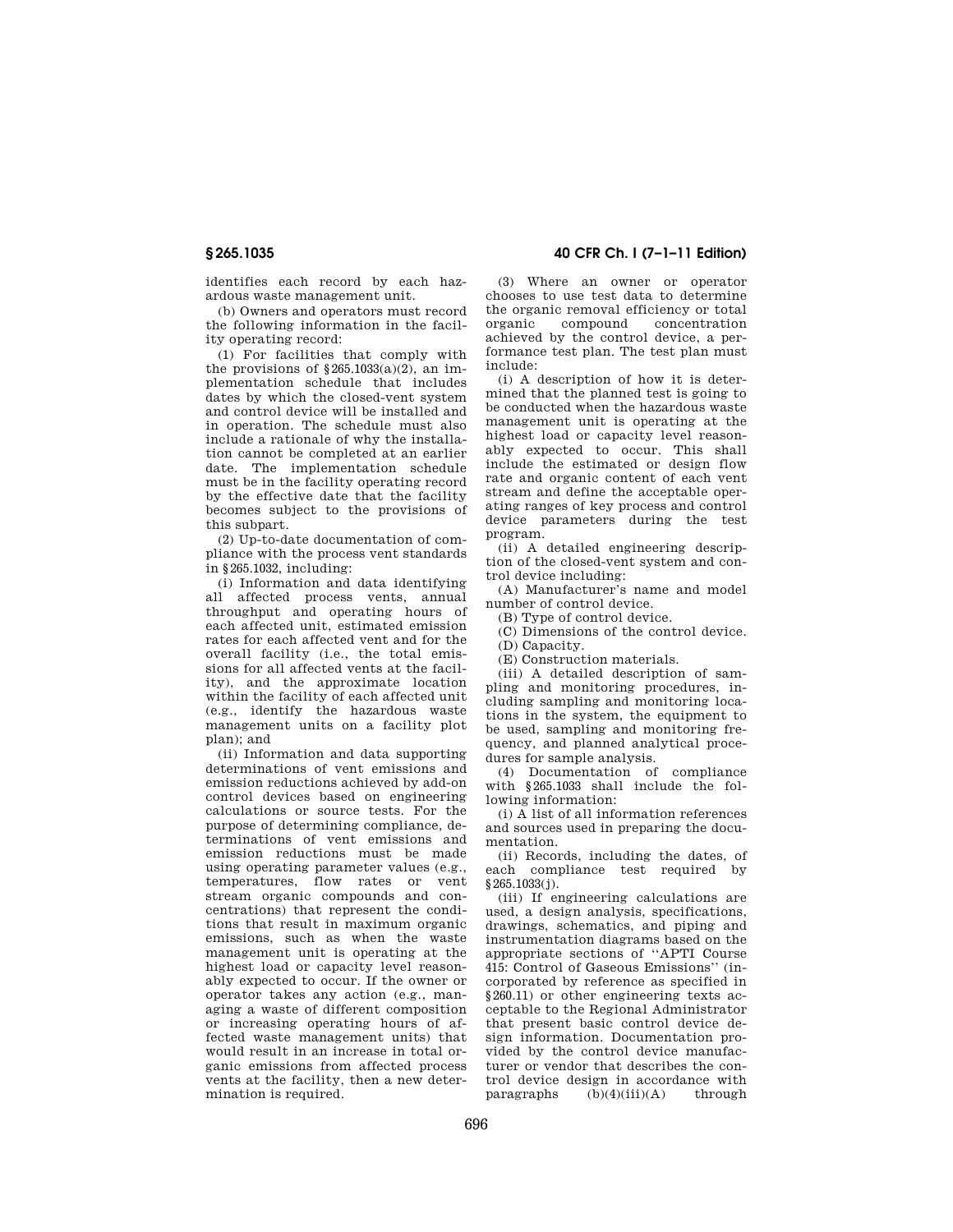identifies each record by each hazardous waste management unit.

(b) Owners and operators must record the following information in the facility operating record:

(1) For facilities that comply with the provisions of  $\S 265.1033(a)(2)$ , an implementation schedule that includes dates by which the closed-vent system and control device will be installed and in operation. The schedule must also include a rationale of why the installation cannot be completed at an earlier date. The implementation schedule must be in the facility operating record by the effective date that the facility becomes subject to the provisions of this subpart.

(2) Up-to-date documentation of compliance with the process vent standards in §265.1032, including:

(i) Information and data identifying all affected process vents, annual throughput and operating hours of each affected unit, estimated emission rates for each affected vent and for the overall facility (i.e., the total emissions for all affected vents at the facility), and the approximate location within the facility of each affected unit (e.g., identify the hazardous waste management units on a facility plot plan); and

(ii) Information and data supporting determinations of vent emissions and emission reductions achieved by add-on control devices based on engineering calculations or source tests. For the purpose of determining compliance, determinations of vent emissions and emission reductions must be made using operating parameter values (e.g., temperatures, flow rates or vent stream organic compounds and concentrations) that represent the conditions that result in maximum organic emissions, such as when the waste management unit is operating at the highest load or capacity level reasonably expected to occur. If the owner or operator takes any action (e.g., managing a waste of different composition or increasing operating hours of affected waste management units) that would result in an increase in total organic emissions from affected process vents at the facility, then a new determination is required.

# **§ 265.1035 40 CFR Ch. I (7–1–11 Edition)**

(3) Where an owner or operator chooses to use test data to determine the organic removal efficiency or total<br>organic compound concentration concentration achieved by the control device, a performance test plan. The test plan must include:

(i) A description of how it is determined that the planned test is going to be conducted when the hazardous waste management unit is operating at the highest load or capacity level reasonably expected to occur. This shall include the estimated or design flow rate and organic content of each vent stream and define the acceptable operating ranges of key process and control device parameters during the test program.

(ii) A detailed engineering description of the closed-vent system and control device including:

(A) Manufacturer's name and model number of control device.

(B) Type of control device.

(C) Dimensions of the control device.

(D) Capacity.

(E) Construction materials.

(iii) A detailed description of sampling and monitoring procedures, including sampling and monitoring locations in the system, the equipment to be used, sampling and monitoring frequency, and planned analytical procedures for sample analysis.

(4) Documentation of compliance with §265.1033 shall include the following information:

(i) A list of all information references and sources used in preparing the documentation.

(ii) Records, including the dates, of each compliance test required by  $§265.1033(j).$ 

(iii) If engineering calculations are used, a design analysis, specifications, drawings, schematics, and piping and instrumentation diagrams based on the appropriate sections of ''APTI Course 415: Control of Gaseous Emissions'' (incorporated by reference as specified in §260.11) or other engineering texts acceptable to the Regional Administrator that present basic control device design information. Documentation provided by the control device manufacturer or vendor that describes the control device design in accordance with<br>paragraphs  $(b)(4)(iii)(A)$  through  $(b)(4)(iii)(A)$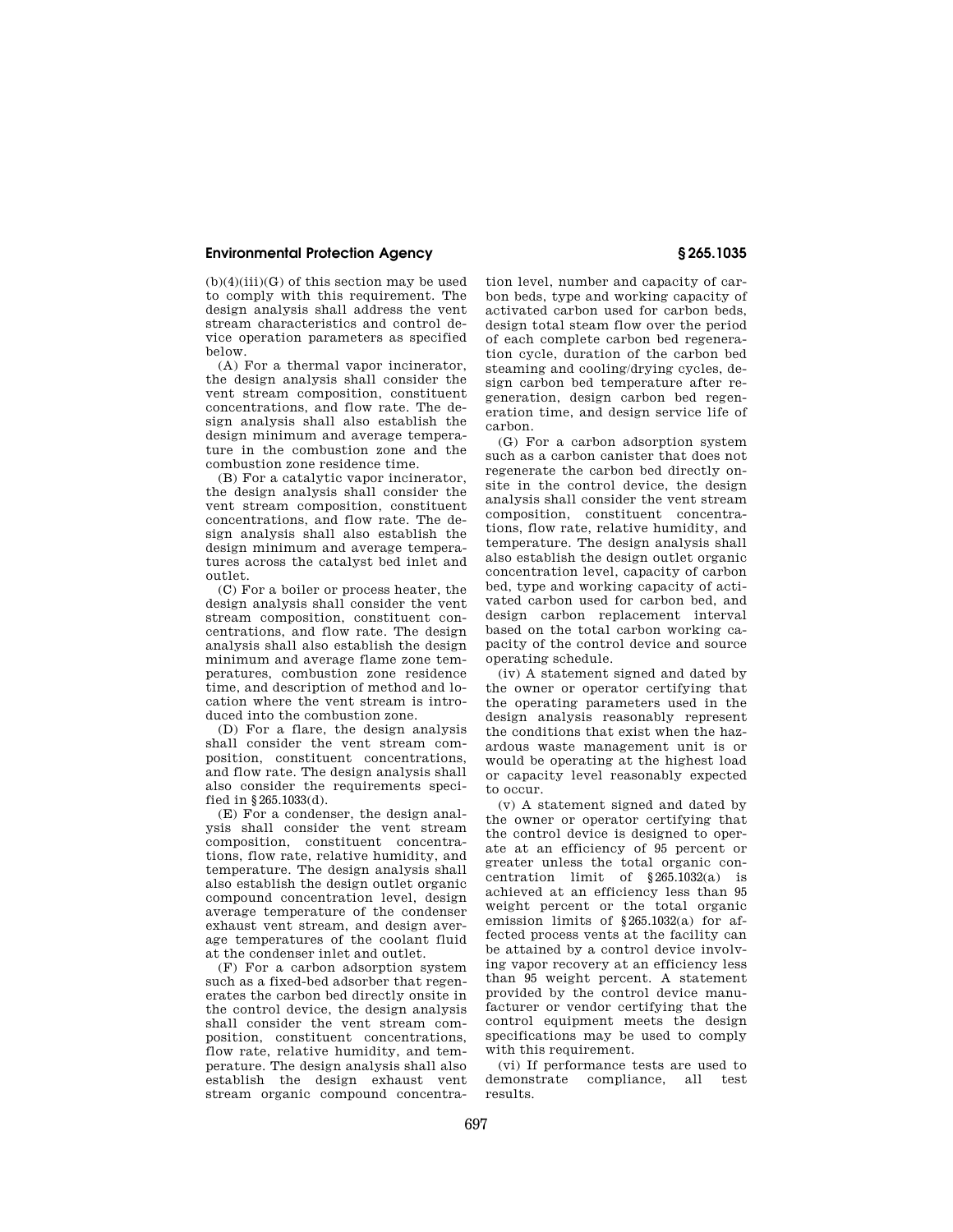$(b)(4)(iii)(G)$  of this section may be used to comply with this requirement. The design analysis shall address the vent stream characteristics and control device operation parameters as specified below.

(A) For a thermal vapor incinerator, the design analysis shall consider the vent stream composition, constituent concentrations, and flow rate. The design analysis shall also establish the design minimum and average temperature in the combustion zone and the combustion zone residence time.

(B) For a catalytic vapor incinerator, the design analysis shall consider the vent stream composition, constituent concentrations, and flow rate. The design analysis shall also establish the design minimum and average temperatures across the catalyst bed inlet and outlet.

(C) For a boiler or process heater, the design analysis shall consider the vent stream composition, constituent concentrations, and flow rate. The design analysis shall also establish the design minimum and average flame zone temperatures, combustion zone residence time, and description of method and location where the vent stream is introduced into the combustion zone.

(D) For a flare, the design analysis shall consider the vent stream composition, constituent concentrations, and flow rate. The design analysis shall also consider the requirements specified in §265.1033(d).

(E) For a condenser, the design analysis shall consider the vent stream composition, constituent concentrations, flow rate, relative humidity, and temperature. The design analysis shall also establish the design outlet organic compound concentration level, design average temperature of the condenser exhaust vent stream, and design average temperatures of the coolant fluid at the condenser inlet and outlet.

(F) For a carbon adsorption system such as a fixed-bed adsorber that regenerates the carbon bed directly onsite in the control device, the design analysis shall consider the vent stream composition, constituent concentrations, flow rate, relative humidity, and temperature. The design analysis shall also establish the design exhaust vent stream organic compound concentration level, number and capacity of carbon beds, type and working capacity of activated carbon used for carbon beds, design total steam flow over the period of each complete carbon bed regeneration cycle, duration of the carbon bed steaming and cooling/drying cycles, design carbon bed temperature after regeneration, design carbon bed regeneration time, and design service life of carbon.

(G) For a carbon adsorption system such as a carbon canister that does not regenerate the carbon bed directly onsite in the control device, the design analysis shall consider the vent stream composition, constituent concentrations, flow rate, relative humidity, and temperature. The design analysis shall also establish the design outlet organic concentration level, capacity of carbon bed, type and working capacity of activated carbon used for carbon bed, and design carbon replacement interval based on the total carbon working capacity of the control device and source operating schedule.

(iv) A statement signed and dated by the owner or operator certifying that the operating parameters used in the design analysis reasonably represent the conditions that exist when the hazardous waste management unit is or would be operating at the highest load or capacity level reasonably expected to occur.

(v) A statement signed and dated by the owner or operator certifying that the control device is designed to operate at an efficiency of 95 percent or greater unless the total organic concentration limit of §265.1032(a) is achieved at an efficiency less than 95 weight percent or the total organic emission limits of §265.1032(a) for affected process vents at the facility can be attained by a control device involving vapor recovery at an efficiency less than 95 weight percent. A statement provided by the control device manufacturer or vendor certifying that the control equipment meets the design specifications may be used to comply with this requirement.

(vi) If performance tests are used to demonstrate compliance, all test results.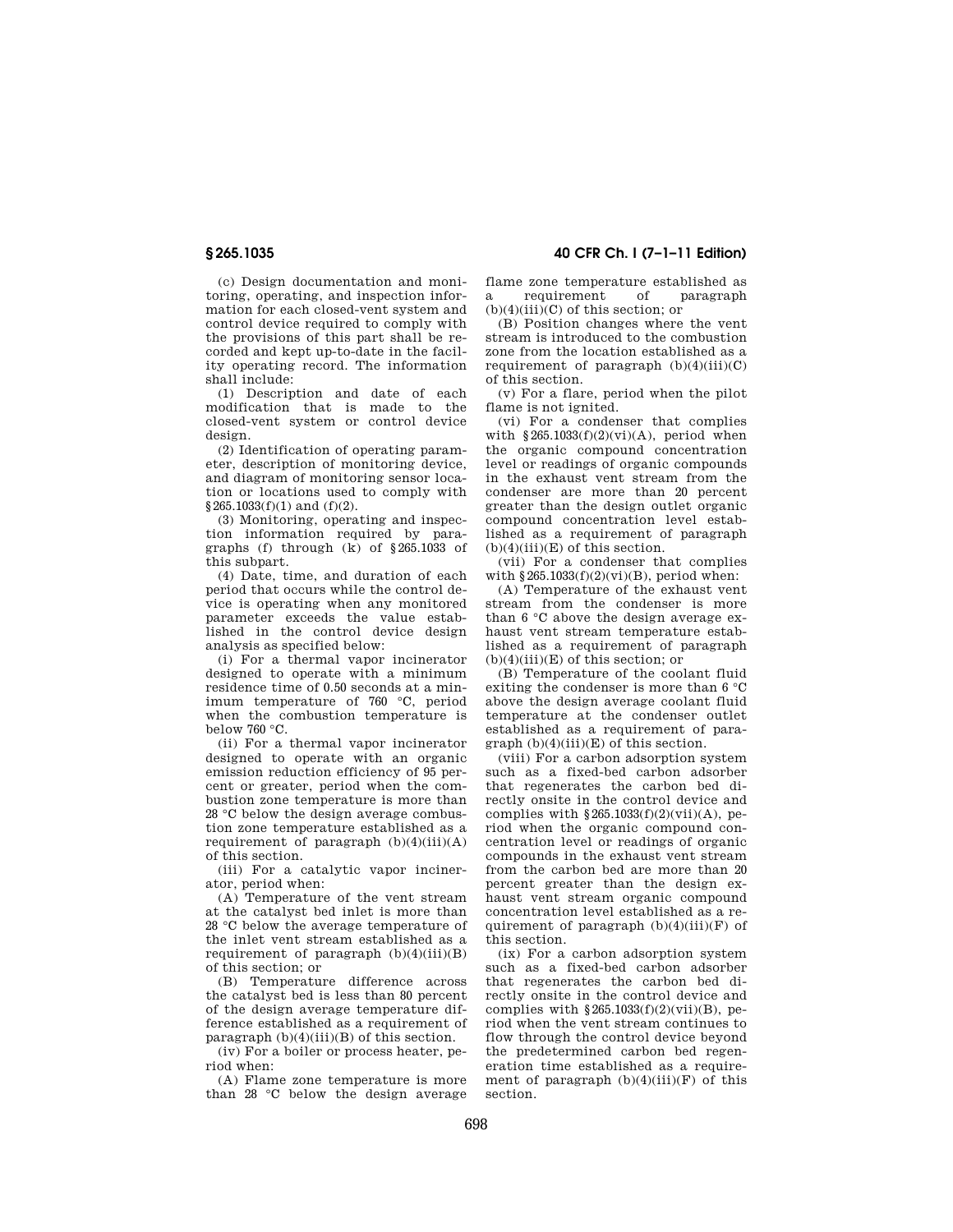(c) Design documentation and monitoring, operating, and inspection information for each closed-vent system and control device required to comply with the provisions of this part shall be recorded and kept up-to-date in the facility operating record. The information shall include:

(1) Description and date of each modification that is made to the closed-vent system or control device design.

(2) Identification of operating parameter, description of monitoring device, and diagram of monitoring sensor location or locations used to comply with §265.1033(f)(1) and (f)(2).

(3) Monitoring, operating and inspection information required by paragraphs (f) through (k) of §265.1033 of this subpart.

(4) Date, time, and duration of each period that occurs while the control device is operating when any monitored parameter exceeds the value established in the control device design analysis as specified below:

(i) For a thermal vapor incinerator designed to operate with a minimum residence time of 0.50 seconds at a minimum temperature of 760 °C, period when the combustion temperature is below 760 °C.

(ii) For a thermal vapor incinerator designed to operate with an organic emission reduction efficiency of 95 percent or greater, period when the combustion zone temperature is more than 28 °C below the design average combustion zone temperature established as a requirement of paragraph  $(b)(4)(iii)(A)$ of this section.

(iii) For a catalytic vapor incinerator, period when:

(A) Temperature of the vent stream at the catalyst bed inlet is more than 28 °C below the average temperature of the inlet vent stream established as a requirement of paragraph  $(b)(4)(iii)(B)$ of this section; or

(B) Temperature difference across the catalyst bed is less than 80 percent of the design average temperature difference established as a requirement of paragraph  $(b)(4)(iii)(B)$  of this section.

(iv) For a boiler or process heater, period when:

(A) Flame zone temperature is more than 28 °C below the design average

**§ 265.1035 40 CFR Ch. I (7–1–11 Edition)** 

flame zone temperature established as<br>a requirement of paragraph a requirement of paragraph  $(b)(4)(iii)(C)$  of this section; or

(B) Position changes where the vent stream is introduced to the combustion zone from the location established as a requirement of paragraph  $(b)(4)(iii)(C)$ of this section.

(v) For a flare, period when the pilot flame is not ignited.

(vi) For a condenser that complies with  $§265.1033(f)(2)(vi)(A)$ , period when the organic compound concentration level or readings of organic compounds in the exhaust vent stream from the condenser are more than 20 percent greater than the design outlet organic compound concentration level established as a requirement of paragraph  $(b)(4)(iii)(E)$  of this section.

(vii) For a condenser that complies with  $§265.1033(f)(2)(vi)(B)$ , period when:

(A) Temperature of the exhaust vent stream from the condenser is more than 6 °C above the design average exhaust vent stream temperature established as a requirement of paragraph  $(b)(4)(iii)(E)$  of this section; or

(B) Temperature of the coolant fluid exiting the condenser is more than 6 °C above the design average coolant fluid temperature at the condenser outlet established as a requirement of para $graph (b)(4)(iii)(E)$  of this section.

(viii) For a carbon adsorption system such as a fixed-bed carbon adsorber that regenerates the carbon bed directly onsite in the control device and complies with  $§265.1033(f)(2)(vii)(A)$ , period when the organic compound concentration level or readings of organic compounds in the exhaust vent stream from the carbon bed are more than 20 percent greater than the design exhaust vent stream organic compound concentration level established as a requirement of paragraph  $(b)(4)(iii)(F)$  of this section.

(ix) For a carbon adsorption system such as a fixed-bed carbon adsorber that regenerates the carbon bed directly onsite in the control device and complies with  $§265.1033(f)(2)(vii)(B)$ , period when the vent stream continues to flow through the control device beyond the predetermined carbon bed regeneration time established as a requirement of paragraph  $(b)(4)(iii)(F)$  of this section.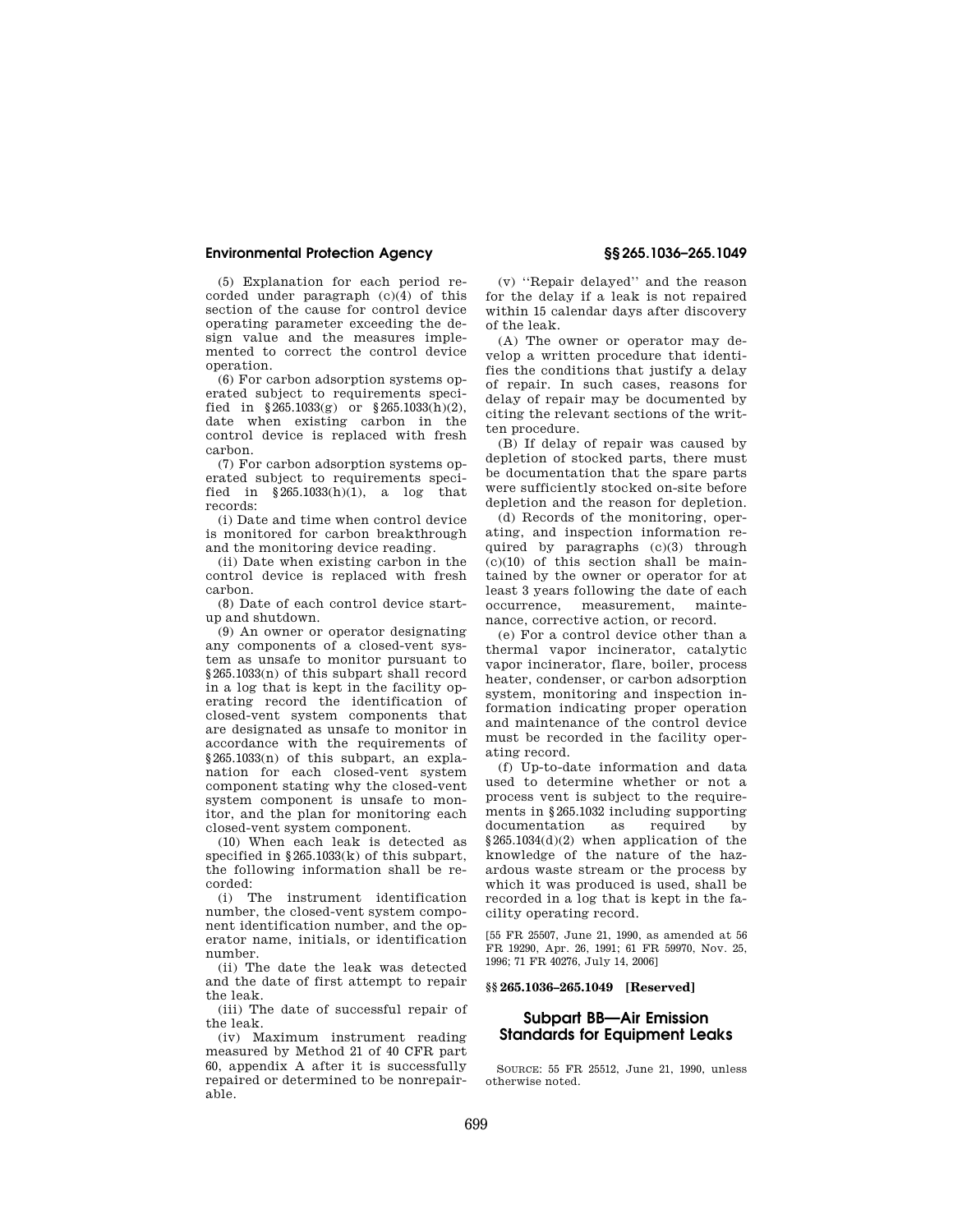# **Environmental Protection Agency §§ 265.1036–265.1049**

(5) Explanation for each period recorded under paragraph  $(c)(4)$  of this section of the cause for control device operating parameter exceeding the design value and the measures implemented to correct the control device operation.

(6) For carbon adsorption systems operated subject to requirements specified in §265.1033(g) or §265.1033(h)(2), date when existing carbon in the control device is replaced with fresh carbon.

(7) For carbon adsorption systems operated subject to requirements specified in  $$265.1033(h)(1)$ , a log that records:

(i) Date and time when control device is monitored for carbon breakthrough and the monitoring device reading.

(ii) Date when existing carbon in the control device is replaced with fresh carbon.

(8) Date of each control device startup and shutdown.

(9) An owner or operator designating any components of a closed-vent system as unsafe to monitor pursuant to §265.1033(n) of this subpart shall record in a log that is kept in the facility operating record the identification of closed-vent system components that are designated as unsafe to monitor in accordance with the requirements of §265.1033(n) of this subpart, an explanation for each closed-vent system component stating why the closed-vent system component is unsafe to monitor, and the plan for monitoring each closed-vent system component.

(10) When each leak is detected as specified in §265.1033(k) of this subpart, the following information shall be recorded:

(i) The instrument identification number, the closed-vent system component identification number, and the operator name, initials, or identification number.

(ii) The date the leak was detected and the date of first attempt to repair the leak.

(iii) The date of successful repair of the leak.

(iv) Maximum instrument reading measured by Method 21 of 40 CFR part 60, appendix A after it is successfully repaired or determined to be nonrepairable.

(v) ''Repair delayed'' and the reason for the delay if a leak is not repaired within 15 calendar days after discovery of the leak.

(A) The owner or operator may develop a written procedure that identifies the conditions that justify a delay of repair. In such cases, reasons for delay of repair may be documented by citing the relevant sections of the written procedure.

(B) If delay of repair was caused by depletion of stocked parts, there must be documentation that the spare parts were sufficiently stocked on-site before depletion and the reason for depletion.

(d) Records of the monitoring, operating, and inspection information required by paragraphs (c)(3) through  $(c)(10)$  of this section shall be maintained by the owner or operator for at least 3 years following the date of each occurrence, measurement, maintenance, corrective action, or record.

(e) For a control device other than a thermal vapor incinerator, catalytic vapor incinerator, flare, boiler, process heater, condenser, or carbon adsorption system, monitoring and inspection information indicating proper operation and maintenance of the control device must be recorded in the facility operating record.

(f) Up-to-date information and data used to determine whether or not a process vent is subject to the requirements in §265.1032 including supporting documentation as required by §265.1034(d)(2) when application of the knowledge of the nature of the hazardous waste stream or the process by which it was produced is used, shall be recorded in a log that is kept in the facility operating record.

[55 FR 25507, June 21, 1990, as amended at 56 FR 19290, Apr. 26, 1991; 61 FR 59970, Nov. 25, 1996; 71 FR 40276, July 14, 2006]

#### **§§ 265.1036–265.1049 [Reserved]**

# **Subpart BB—Air Emission Standards for Equipment Leaks**

SOURCE: 55 FR 25512, June 21, 1990, unless otherwise noted.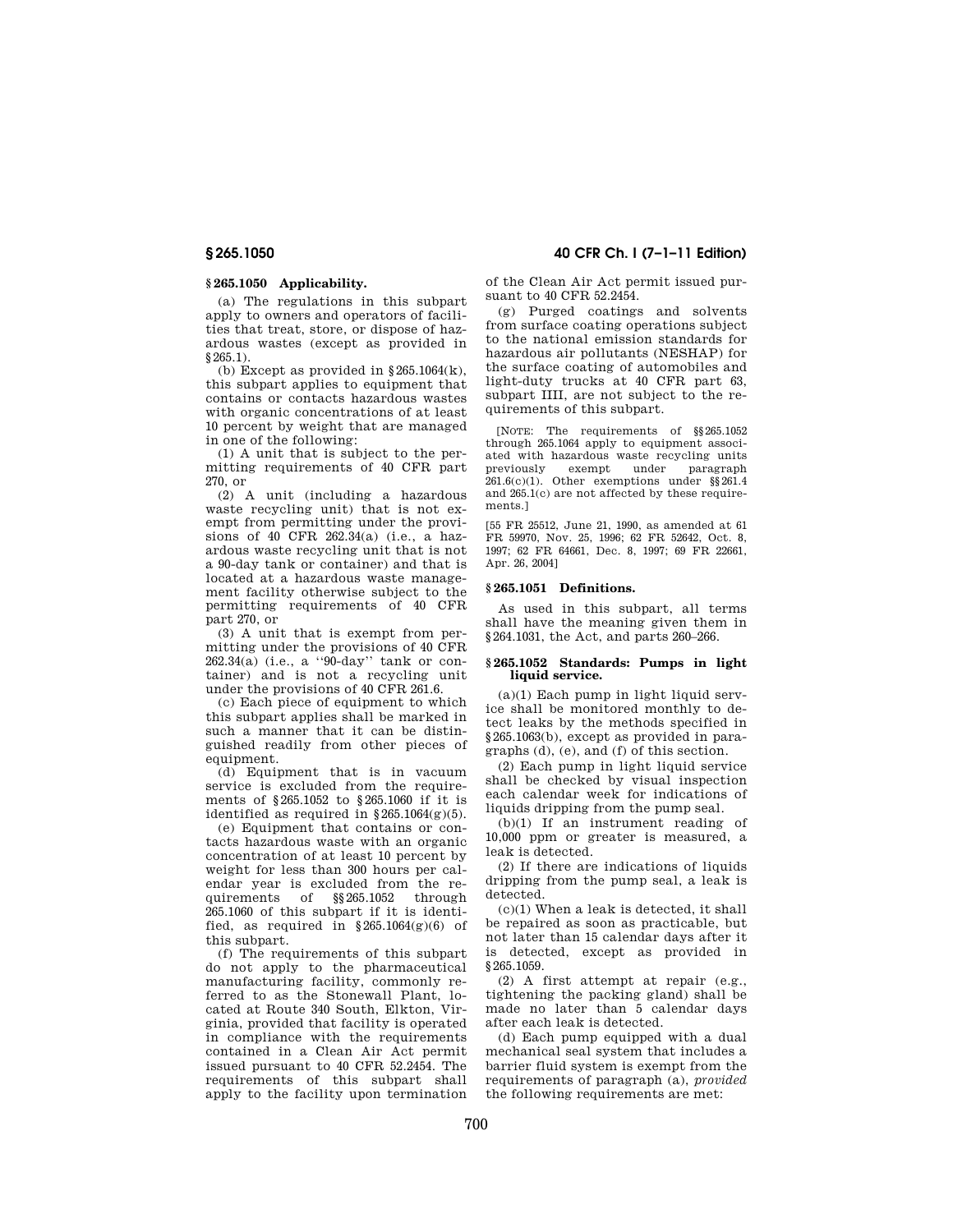## **§ 265.1050 Applicability.**

(a) The regulations in this subpart apply to owners and operators of facilities that treat, store, or dispose of hazardous wastes (except as provided in § 265.1).

(b) Except as provided in  $\S 265.1064(k)$ , this subpart applies to equipment that contains or contacts hazardous wastes with organic concentrations of at least 10 percent by weight that are managed in one of the following:

(1) A unit that is subject to the permitting requirements of 40 CFR part 270, or

(2) A unit (including a hazardous waste recycling unit) that is not exempt from permitting under the provisions of 40 CFR 262.34(a) (i.e., a hazardous waste recycling unit that is not a 90-day tank or container) and that is located at a hazardous waste management facility otherwise subject to the permitting requirements of 40 CFR part 270, or

(3) A unit that is exempt from permitting under the provisions of 40 CFR 262.34(a) (i.e., a ''90-day'' tank or container) and is not a recycling unit under the provisions of 40 CFR 261.6.

(c) Each piece of equipment to which this subpart applies shall be marked in such a manner that it can be distinguished readily from other pieces of equipment.

(d) Equipment that is in vacuum service is excluded from the requirements of §265.1052 to §265.1060 if it is identified as required in  $§265.1064(g)(5)$ .

(e) Equipment that contains or contacts hazardous waste with an organic concentration of at least 10 percent by weight for less than 300 hours per calendar year is excluded from the requirements of §§265.1052 through 265.1060 of this subpart if it is identified, as required in  $§265.1064(g)(6)$  of this subpart.

(f) The requirements of this subpart do not apply to the pharmaceutical manufacturing facility, commonly referred to as the Stonewall Plant, located at Route 340 South, Elkton, Virginia, provided that facility is operated in compliance with the requirements contained in a Clean Air Act permit issued pursuant to 40 CFR 52.2454. The requirements of this subpart shall apply to the facility upon termination

# **§ 265.1050 40 CFR Ch. I (7–1–11 Edition)**

of the Clean Air Act permit issued pursuant to 40 CFR 52.2454.

(g) Purged coatings and solvents from surface coating operations subject to the national emission standards for hazardous air pollutants (NESHAP) for the surface coating of automobiles and light-duty trucks at 40 CFR part 63, subpart IIII, are not subject to the requirements of this subpart.

[NOTE: The requirements of §§265.1052 through 265.1064 apply to equipment associated with hazardous waste recycling units previously exempt under paragraph  $261.6(c)(1)$ . Other exemptions under §§261.4 and 265.1(c) are not affected by these requirements.]

[55 FR 25512, June 21, 1990, as amended at 61 FR 59970, Nov. 25, 1996; 62 FR 52642, Oct. 8, 1997; 62 FR 64661, Dec. 8, 1997; 69 FR 22661, Apr. 26, 2004]

# **§ 265.1051 Definitions.**

As used in this subpart, all terms shall have the meaning given them in §264.1031, the Act, and parts 260–266.

### **§ 265.1052 Standards: Pumps in light liquid service.**

 $(a)(1)$  Each pump in light liquid service shall be monitored monthly to detect leaks by the methods specified in §265.1063(b), except as provided in paragraphs (d), (e), and (f) of this section.

(2) Each pump in light liquid service shall be checked by visual inspection each calendar week for indications of liquids dripping from the pump seal.

(b)(1) If an instrument reading of 10,000 ppm or greater is measured, a leak is detected.

(2) If there are indications of liquids dripping from the pump seal, a leak is detected.

(c)(1) When a leak is detected, it shall be repaired as soon as practicable, but not later than 15 calendar days after it is detected, except as provided in §265.1059.

(2) A first attempt at repair (e.g., tightening the packing gland) shall be made no later than 5 calendar days after each leak is detected.

(d) Each pump equipped with a dual mechanical seal system that includes a barrier fluid system is exempt from the requirements of paragraph (a), *provided*  the following requirements are met: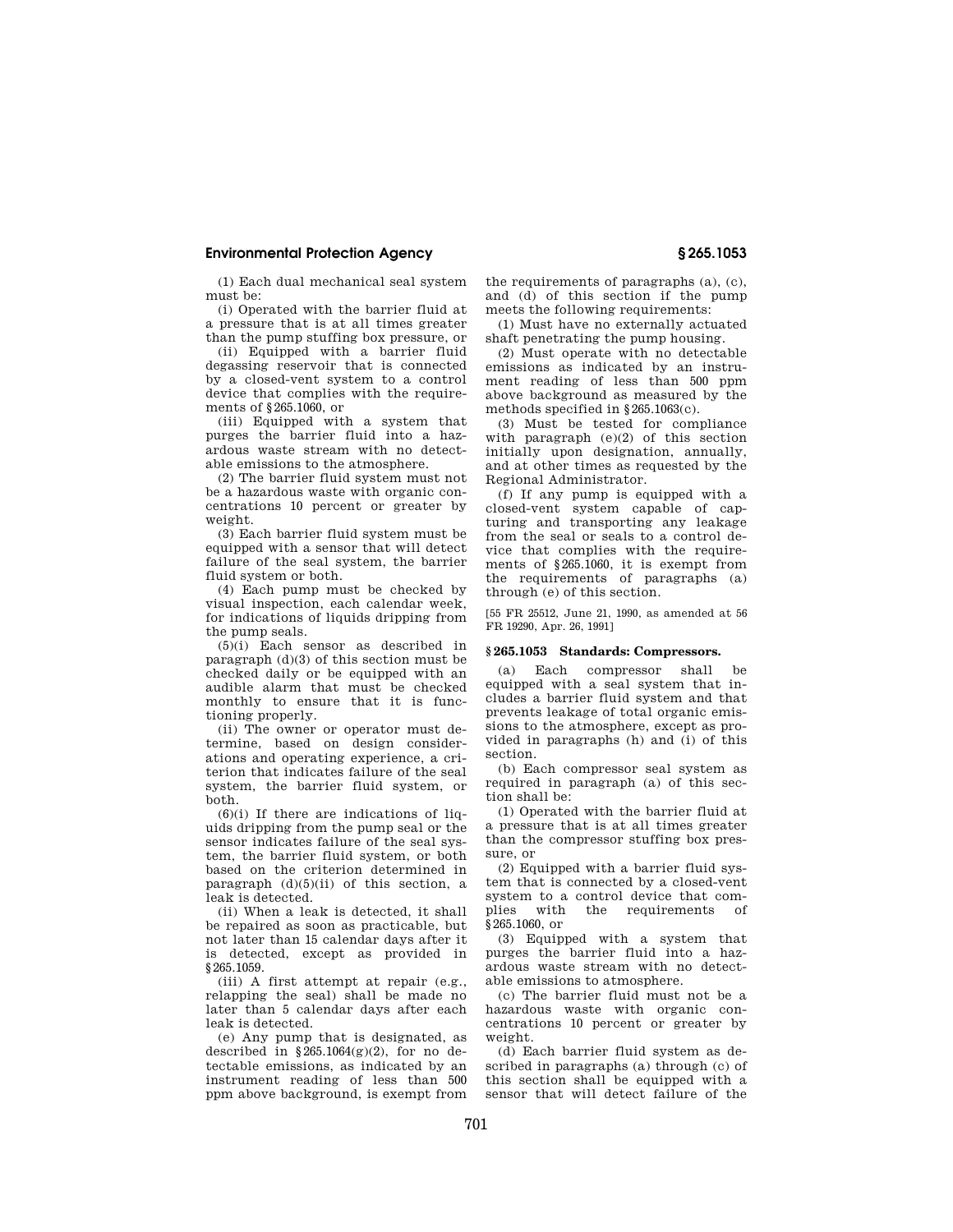(1) Each dual mechanical seal system must be:

(i) Operated with the barrier fluid at a pressure that is at all times greater than the pump stuffing box pressure, or

(ii) Equipped with a barrier fluid degassing reservoir that is connected by a closed-vent system to a control device that complies with the requirements of §265.1060, or

(iii) Equipped with a system that purges the barrier fluid into a hazardous waste stream with no detectable emissions to the atmosphere.

(2) The barrier fluid system must not be a hazardous waste with organic concentrations 10 percent or greater by weight.

(3) Each barrier fluid system must be equipped with a sensor that will detect failure of the seal system, the barrier fluid system or both.

(4) Each pump must be checked by visual inspection, each calendar week, for indications of liquids dripping from the pump seals.

(5)(i) Each sensor as described in paragraph (d)(3) of this section must be checked daily or be equipped with an audible alarm that must be checked monthly to ensure that it is functioning properly.

(ii) The owner or operator must determine, based on design considerations and operating experience, a criterion that indicates failure of the seal system, the barrier fluid system, or both.

 $(6)(i)$  If there are indications of liquids dripping from the pump seal or the sensor indicates failure of the seal system, the barrier fluid system, or both based on the criterion determined in paragraph  $(d)(5)(ii)$  of this section, a leak is detected.

(ii) When a leak is detected, it shall be repaired as soon as practicable, but not later than 15 calendar days after it is detected, except as provided in §265.1059.

(iii) A first attempt at repair (e.g., relapping the seal) shall be made no later than 5 calendar days after each leak is detected.

(e) Any pump that is designated, as described in  $\S$ 265.1064(g)(2), for no detectable emissions, as indicated by an instrument reading of less than 500 ppm above background, is exempt from the requirements of paragraphs (a), (c), and (d) of this section if the pump meets the following requirements:

(1) Must have no externally actuated shaft penetrating the pump housing.

(2) Must operate with no detectable emissions as indicated by an instrument reading of less than 500 ppm above background as measured by the methods specified in §265.1063(c).

(3) Must be tested for compliance with paragraph (e)(2) of this section initially upon designation, annually, and at other times as requested by the Regional Administrator.

(f) If any pump is equipped with a closed-vent system capable of capturing and transporting any leakage from the seal or seals to a control device that complies with the requirements of §265.1060, it is exempt from the requirements of paragraphs (a) through (e) of this section.

[55 FR 25512, June 21, 1990, as amended at 56 FR 19290, Apr. 26, 1991]

### **§ 265.1053 Standards: Compressors.**

(a) Each compressor shall be equipped with a seal system that includes a barrier fluid system and that prevents leakage of total organic emissions to the atmosphere, except as provided in paragraphs (h) and (i) of this section.

(b) Each compressor seal system as required in paragraph (a) of this section shall be:

(1) Operated with the barrier fluid at a pressure that is at all times greater than the compressor stuffing box pressure, or

(2) Equipped with a barrier fluid system that is connected by a closed-vent system to a control device that complies with the requirements of §265.1060, or

(3) Equipped with a system that purges the barrier fluid into a hazardous waste stream with no detectable emissions to atmosphere.

(c) The barrier fluid must not be a hazardous waste with organic concentrations 10 percent or greater by weight.

(d) Each barrier fluid system as described in paragraphs (a) through (c) of this section shall be equipped with a sensor that will detect failure of the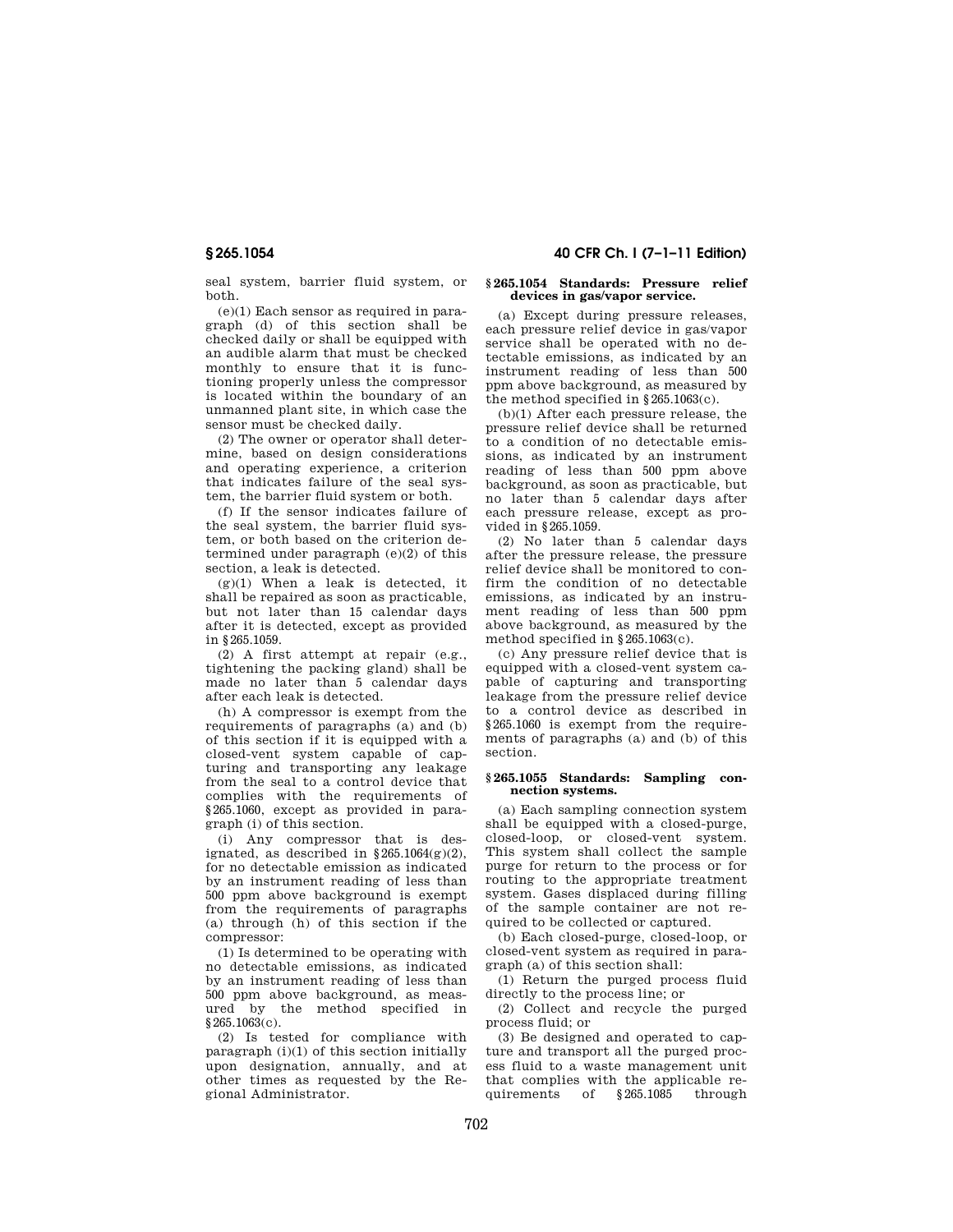seal system, barrier fluid system, or both.

(e)(1) Each sensor as required in paragraph (d) of this section shall be checked daily or shall be equipped with an audible alarm that must be checked monthly to ensure that it is functioning properly unless the compressor is located within the boundary of an unmanned plant site, in which case the sensor must be checked daily.

(2) The owner or operator shall determine, based on design considerations and operating experience, a criterion that indicates failure of the seal system, the barrier fluid system or both.

(f) If the sensor indicates failure of the seal system, the barrier fluid system, or both based on the criterion determined under paragraph (e)(2) of this section, a leak is detected.

 $(g)(1)$  When a leak is detected, it shall be repaired as soon as practicable, but not later than 15 calendar days after it is detected, except as provided in §265.1059.

(2) A first attempt at repair (e.g., tightening the packing gland) shall be made no later than 5 calendar days after each leak is detected.

(h) A compressor is exempt from the requirements of paragraphs (a) and (b) of this section if it is equipped with a closed-vent system capable of capturing and transporting any leakage from the seal to a control device that complies with the requirements of §265.1060, except as provided in paragraph (i) of this section.

(i) Any compressor that is designated, as described in  $§265.1064(g)(2),$ for no detectable emission as indicated by an instrument reading of less than 500 ppm above background is exempt from the requirements of paragraphs (a) through (h) of this section if the compressor:

(1) Is determined to be operating with no detectable emissions, as indicated by an instrument reading of less than 500 ppm above background, as measured by the method specified in §265.1063(c).

(2) Is tested for compliance with paragraph (i)(1) of this section initially upon designation, annually, and at other times as requested by the Regional Administrator.

# **§ 265.1054 40 CFR Ch. I (7–1–11 Edition)**

#### **§ 265.1054 Standards: Pressure relief devices in gas/vapor service.**

(a) Except during pressure releases, each pressure relief device in gas/vapor service shall be operated with no detectable emissions, as indicated by an instrument reading of less than 500 ppm above background, as measured by the method specified in §265.1063(c).

(b)(1) After each pressure release, the pressure relief device shall be returned to a condition of no detectable emissions, as indicated by an instrument reading of less than 500 ppm above background, as soon as practicable, but no later than 5 calendar days after each pressure release, except as provided in §265.1059.

(2) No later than 5 calendar days after the pressure release, the pressure relief device shall be monitored to confirm the condition of no detectable emissions, as indicated by an instrument reading of less than 500 ppm above background, as measured by the method specified in §265.1063(c).

(c) Any pressure relief device that is equipped with a closed-vent system capable of capturing and transporting leakage from the pressure relief device to a control device as described in §265.1060 is exempt from the requirements of paragraphs (a) and (b) of this section.

# **§ 265.1055 Standards: Sampling connection systems.**

(a) Each sampling connection system shall be equipped with a closed-purge, closed-loop, or closed-vent system. This system shall collect the sample purge for return to the process or for routing to the appropriate treatment system. Gases displaced during filling of the sample container are not required to be collected or captured.

(b) Each closed-purge, closed-loop, or closed-vent system as required in paragraph (a) of this section shall:

(1) Return the purged process fluid directly to the process line; or

(2) Collect and recycle the purged process fluid; or

(3) Be designed and operated to capture and transport all the purged process fluid to a waste management unit that complies with the applicable requirements of §265.1085 through  $quirements$  of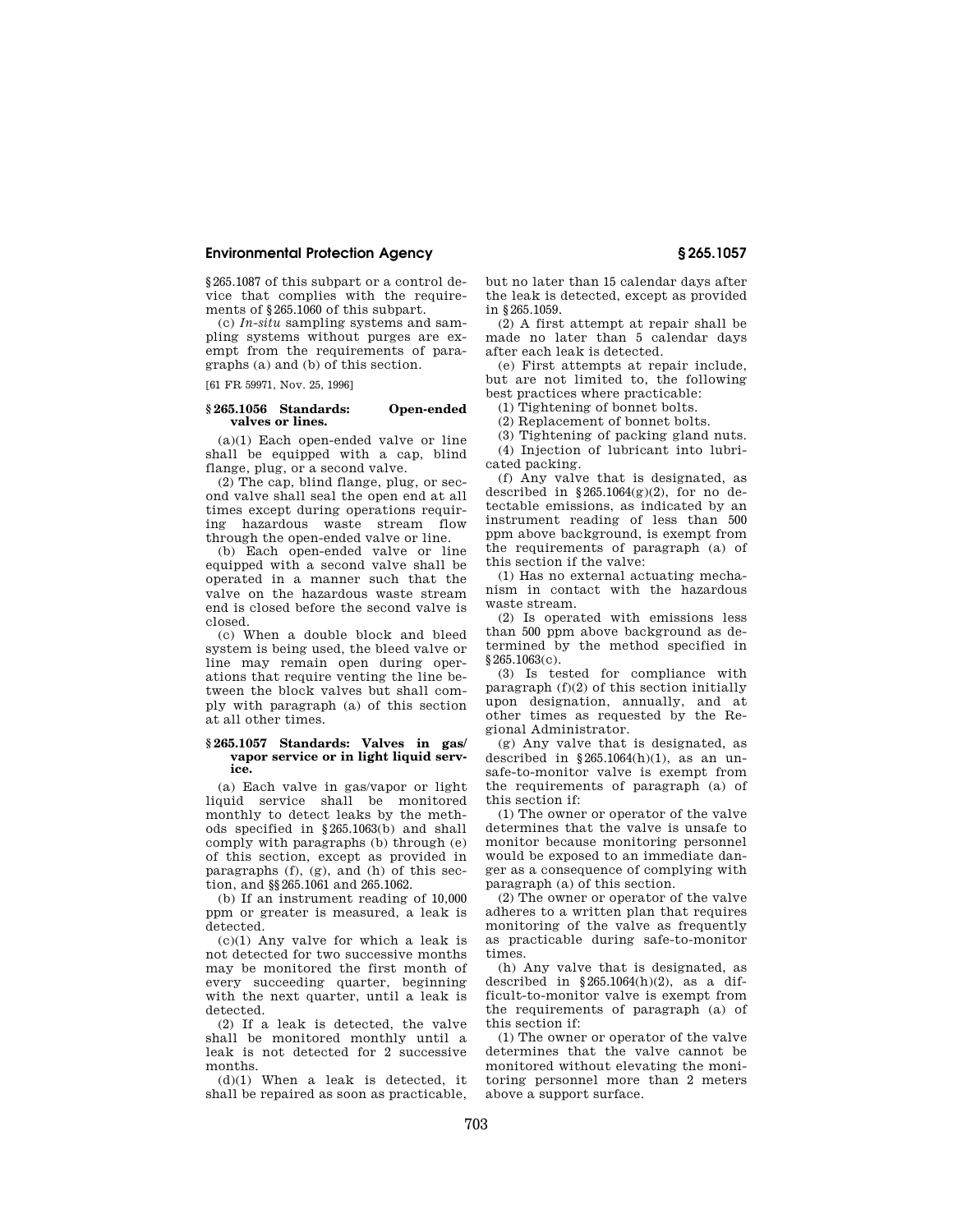§265.1087 of this subpart or a control device that complies with the requirements of §265.1060 of this subpart.

(c) *In-situ* sampling systems and sampling systems without purges are exempt from the requirements of paragraphs (a) and (b) of this section.

[61 FR 59971, Nov. 25, 1996]

#### **§ 265.1056 Standards: Open-ended valves or lines.**

(a)(1) Each open-ended valve or line shall be equipped with a cap, blind flange, plug, or a second valve.

(2) The cap, blind flange, plug, or second valve shall seal the open end at all times except during operations requiring hazardous waste stream flow through the open-ended valve or line.

(b) Each open-ended valve or line equipped with a second valve shall be operated in a manner such that the valve on the hazardous waste stream end is closed before the second valve is closed.

(c) When a double block and bleed system is being used, the bleed valve or line may remain open during operations that require venting the line between the block valves but shall comply with paragraph (a) of this section at all other times.

### **§ 265.1057 Standards: Valves in gas/ vapor service or in light liquid service.**

(a) Each valve in gas/vapor or light liquid service shall be monitored monthly to detect leaks by the methods specified in §265.1063(b) and shall comply with paragraphs (b) through (e) of this section, except as provided in paragraphs (f), (g), and (h) of this section, and §§265.1061 and 265.1062.

(b) If an instrument reading of 10,000 ppm or greater is measured, a leak is detected.

(c)(1) Any valve for which a leak is not detected for two successive months may be monitored the first month of every succeeding quarter, beginning with the next quarter, until a leak is detected.

(2) If a leak is detected, the valve shall be monitored monthly until a leak is not detected for 2 successive months.

(d)(1) When a leak is detected, it shall be repaired as soon as practicable, but no later than 15 calendar days after the leak is detected, except as provided in §265.1059.

(2) A first attempt at repair shall be made no later than 5 calendar days after each leak is detected.

(e) First attempts at repair include, but are not limited to, the following best practices where practicable:

(1) Tightening of bonnet bolts.

(2) Replacement of bonnet bolts.

(3) Tightening of packing gland nuts. (4) Injection of lubricant into lubricated packing.

(f) Any valve that is designated, as described in  $§265.1064(g)(2)$ , for no detectable emissions, as indicated by an instrument reading of less than 500 ppm above background, is exempt from the requirements of paragraph (a) of this section if the valve:

(1) Has no external actuating mechanism in contact with the hazardous waste stream.

(2) Is operated with emissions less than 500 ppm above background as determined by the method specified in §265.1063(c).

(3) Is tested for compliance with paragraph (f)(2) of this section initially upon designation, annually, and at other times as requested by the Regional Administrator.

(g) Any valve that is designated, as described in  $§265.1064(h)(1)$ , as an unsafe-to-monitor valve is exempt from the requirements of paragraph (a) of this section if:

(1) The owner or operator of the valve determines that the valve is unsafe to monitor because monitoring personnel would be exposed to an immediate danger as a consequence of complying with paragraph (a) of this section.

(2) The owner or operator of the valve adheres to a written plan that requires monitoring of the valve as frequently as practicable during safe-to-monitor times.

(h) Any valve that is designated, as described in  $§265.1064(h)(2)$ , as a difficult-to-monitor valve is exempt from the requirements of paragraph (a) of this section if:

(1) The owner or operator of the valve determines that the valve cannot be monitored without elevating the monitoring personnel more than 2 meters above a support surface.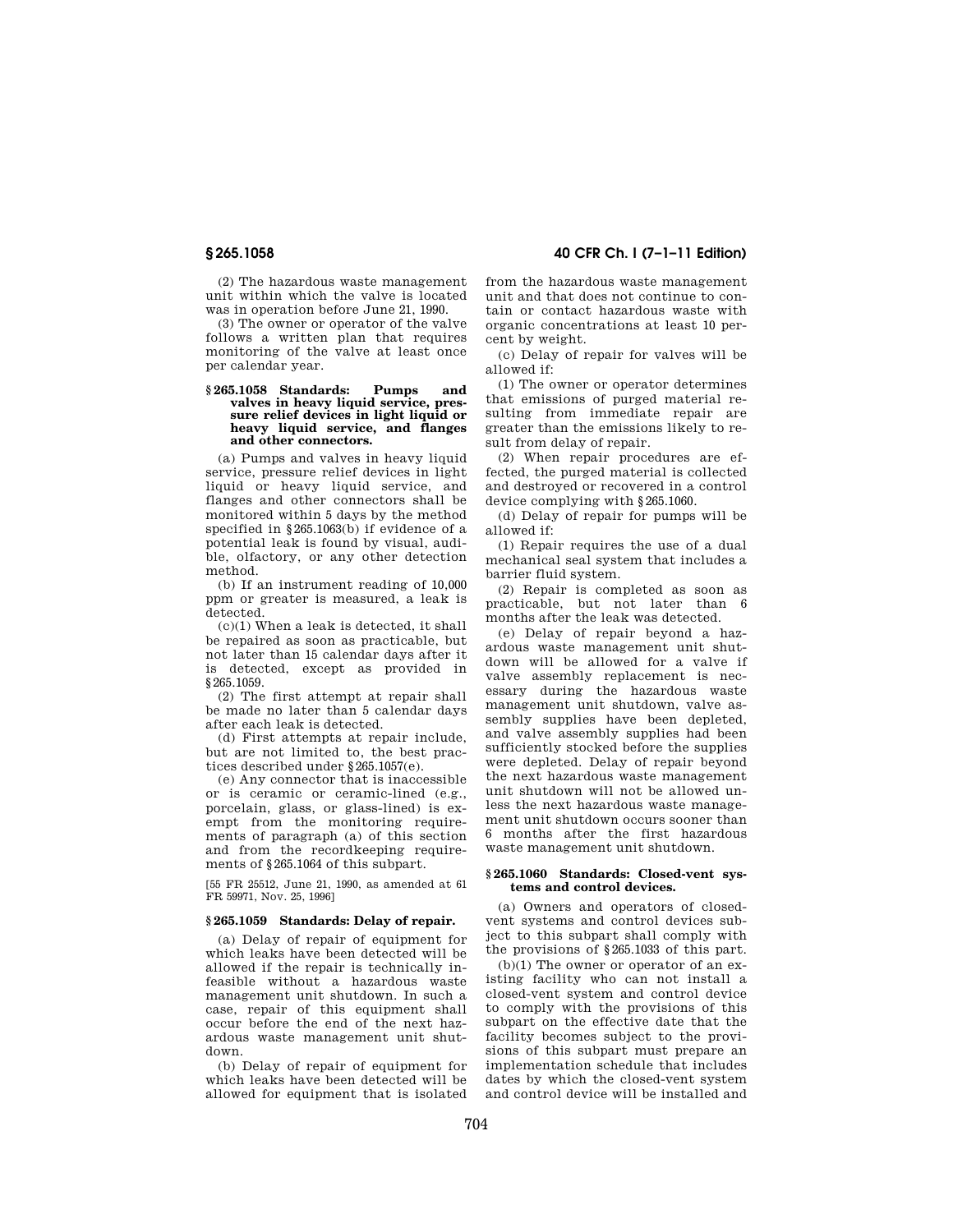(2) The hazardous waste management unit within which the valve is located was in operation before June 21, 1990.

(3) The owner or operator of the valve follows a written plan that requires monitoring of the valve at least once per calendar year.

#### **§ 265.1058 Standards: Pumps and valves in heavy liquid service, pressure relief devices in light liquid or heavy liquid service, and flanges and other connectors.**

(a) Pumps and valves in heavy liquid service, pressure relief devices in light liquid or heavy liquid service, and flanges and other connectors shall be monitored within 5 days by the method specified in §265.1063(b) if evidence of a potential leak is found by visual, audible, olfactory, or any other detection method.

(b) If an instrument reading of 10,000 ppm or greater is measured, a leak is detected.

(c)(1) When a leak is detected, it shall be repaired as soon as practicable, but not later than 15 calendar days after it is detected, except as provided in §265.1059.

(2) The first attempt at repair shall be made no later than 5 calendar days after each leak is detected.

(d) First attempts at repair include, but are not limited to, the best practices described under §265.1057(e).

(e) Any connector that is inaccessible or is ceramic or ceramic-lined (e.g., porcelain, glass, or glass-lined) is exempt from the monitoring requirements of paragraph (a) of this section and from the recordkeeping requirements of §265.1064 of this subpart.

[55 FR 25512, June 21, 1990, as amended at 61 FR 59971, Nov. 25, 1996]

# **§ 265.1059 Standards: Delay of repair.**

(a) Delay of repair of equipment for which leaks have been detected will be allowed if the repair is technically infeasible without a hazardous waste management unit shutdown. In such a case, repair of this equipment shall occur before the end of the next hazardous waste management unit shutdown.

(b) Delay of repair of equipment for which leaks have been detected will be allowed for equipment that is isolated

# **§ 265.1058 40 CFR Ch. I (7–1–11 Edition)**

from the hazardous waste management unit and that does not continue to contain or contact hazardous waste with organic concentrations at least 10 percent by weight.

(c) Delay of repair for valves will be allowed if:

(1) The owner or operator determines that emissions of purged material resulting from immediate repair are greater than the emissions likely to result from delay of repair.

(2) When repair procedures are effected, the purged material is collected and destroyed or recovered in a control device complying with §265.1060.

(d) Delay of repair for pumps will be allowed if:

(1) Repair requires the use of a dual mechanical seal system that includes a barrier fluid system.

(2) Repair is completed as soon as practicable, but not later than 6 months after the leak was detected.

(e) Delay of repair beyond a hazardous waste management unit shutdown will be allowed for a valve if valve assembly replacement is necessary during the hazardous waste management unit shutdown, valve assembly supplies have been depleted, and valve assembly supplies had been sufficiently stocked before the supplies were depleted. Delay of repair beyond the next hazardous waste management unit shutdown will not be allowed unless the next hazardous waste management unit shutdown occurs sooner than 6 months after the first hazardous waste management unit shutdown.

#### **§ 265.1060 Standards: Closed-vent systems and control devices.**

(a) Owners and operators of closedvent systems and control devices subject to this subpart shall comply with the provisions of §265.1033 of this part.

 $(b)(1)$  The owner or operator of an existing facility who can not install a closed-vent system and control device to comply with the provisions of this subpart on the effective date that the facility becomes subject to the provisions of this subpart must prepare an implementation schedule that includes dates by which the closed-vent system and control device will be installed and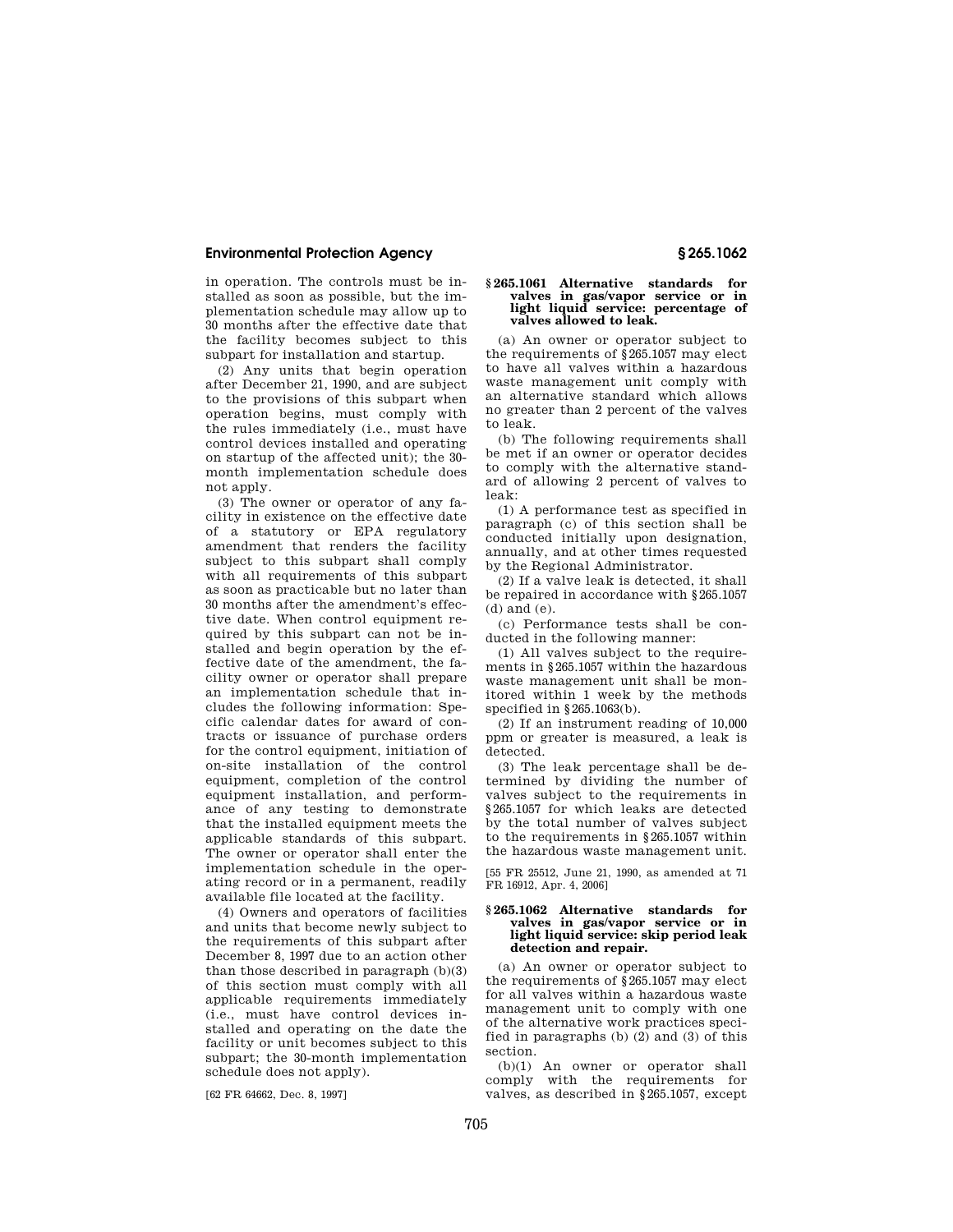in operation. The controls must be installed as soon as possible, but the implementation schedule may allow up to 30 months after the effective date that the facility becomes subject to this subpart for installation and startup.

(2) Any units that begin operation after December 21, 1990, and are subject to the provisions of this subpart when operation begins, must comply with the rules immediately (i.e., must have control devices installed and operating on startup of the affected unit); the 30 month implementation schedule does not apply.

(3) The owner or operator of any facility in existence on the effective date of a statutory or EPA regulatory amendment that renders the facility subject to this subpart shall comply with all requirements of this subpart as soon as practicable but no later than 30 months after the amendment's effective date. When control equipment required by this subpart can not be installed and begin operation by the effective date of the amendment, the facility owner or operator shall prepare an implementation schedule that includes the following information: Specific calendar dates for award of contracts or issuance of purchase orders for the control equipment, initiation of on-site installation of the control equipment, completion of the control equipment installation, and performance of any testing to demonstrate that the installed equipment meets the applicable standards of this subpart. The owner or operator shall enter the implementation schedule in the operating record or in a permanent, readily available file located at the facility.

(4) Owners and operators of facilities and units that become newly subject to the requirements of this subpart after December 8, 1997 due to an action other than those described in paragraph (b)(3) of this section must comply with all applicable requirements immediately (i.e., must have control devices installed and operating on the date the facility or unit becomes subject to this subpart; the 30-month implementation schedule does not apply).

[62 FR 64662, Dec. 8, 1997]

#### **§ 265.1061 Alternative standards for valves in gas/vapor service or in light liquid service: percentage of valves allowed to leak.**

(a) An owner or operator subject to the requirements of §265.1057 may elect to have all valves within a hazardous waste management unit comply with an alternative standard which allows no greater than 2 percent of the valves to leak.

(b) The following requirements shall be met if an owner or operator decides to comply with the alternative standard of allowing 2 percent of valves to leak:

(1) A performance test as specified in paragraph (c) of this section shall be conducted initially upon designation, annually, and at other times requested by the Regional Administrator.

(2) If a valve leak is detected, it shall be repaired in accordance with §265.1057 (d) and (e).

(c) Performance tests shall be conducted in the following manner:

(1) All valves subject to the requirements in §265.1057 within the hazardous waste management unit shall be monitored within 1 week by the methods specified in §265.1063(b).

(2) If an instrument reading of 10,000 ppm or greater is measured, a leak is detected.

(3) The leak percentage shall be determined by dividing the number of valves subject to the requirements in §265.1057 for which leaks are detected by the total number of valves subject to the requirements in §265.1057 within the hazardous waste management unit.

[55 FR 25512, June 21, 1990, as amended at 71 FR 16912, Apr. 4, 2006]

#### **§ 265.1062 Alternative standards for valves in gas/vapor service or in light liquid service: skip period leak detection and repair.**

(a) An owner or operator subject to the requirements of §265.1057 may elect for all valves within a hazardous waste management unit to comply with one of the alternative work practices specified in paragraphs (b) (2) and (3) of this section.

(b)(1) An owner or operator shall comply with the requirements for valves, as described in §265.1057, except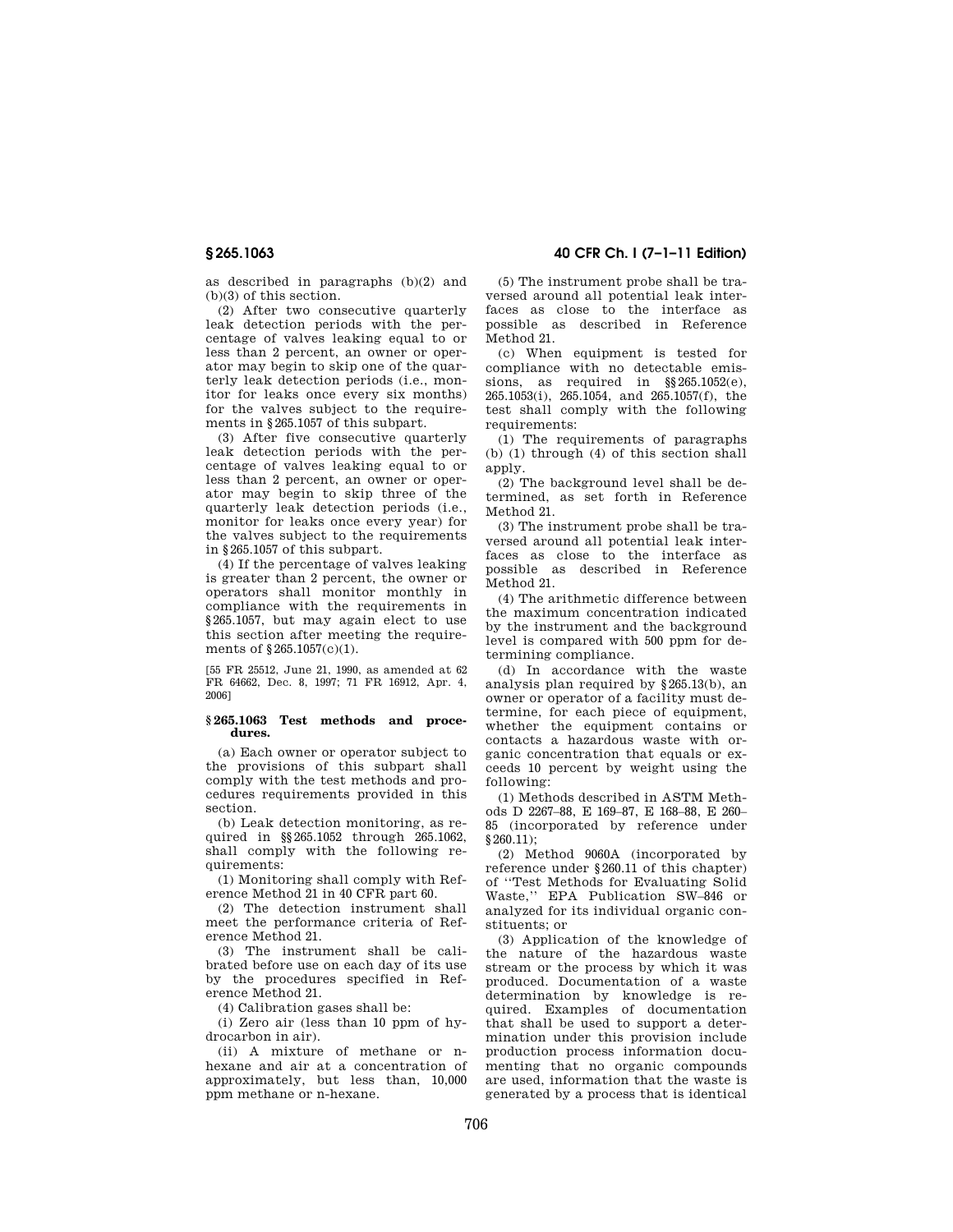**§ 265.1063 40 CFR Ch. I (7–1–11 Edition)** 

as described in paragraphs (b)(2) and (b)(3) of this section.

(2) After two consecutive quarterly leak detection periods with the percentage of valves leaking equal to or less than 2 percent, an owner or operator may begin to skip one of the quarterly leak detection periods (i.e., monitor for leaks once every six months) for the valves subject to the requirements in §265.1057 of this subpart.

(3) After five consecutive quarterly leak detection periods with the percentage of valves leaking equal to or less than 2 percent, an owner or operator may begin to skip three of the quarterly leak detection periods (i.e., monitor for leaks once every year) for the valves subject to the requirements in §265.1057 of this subpart.

(4) If the percentage of valves leaking is greater than 2 percent, the owner or operators shall monitor monthly in compliance with the requirements in §265.1057, but may again elect to use this section after meeting the requirements of §265.1057(c)(1).

[55 FR 25512, June 21, 1990, as amended at 62 FR 64662, Dec. 8, 1997; 71 FR 16912, Apr. 4, 2006]

### **§ 265.1063 Test methods and procedures.**

(a) Each owner or operator subject to the provisions of this subpart shall comply with the test methods and procedures requirements provided in this section.

(b) Leak detection monitoring, as required in §§265.1052 through 265.1062, shall comply with the following requirements:

(1) Monitoring shall comply with Reference Method 21 in 40 CFR part 60.

(2) The detection instrument shall meet the performance criteria of Reference Method 21.

(3) The instrument shall be calibrated before use on each day of its use by the procedures specified in Reference Method 21.

(4) Calibration gases shall be:

(i) Zero air (less than 10 ppm of hydrocarbon in air).

(ii) A mixture of methane or nhexane and air at a concentration of approximately, but less than, 10,000 ppm methane or n-hexane.

(5) The instrument probe shall be traversed around all potential leak interfaces as close to the interface as possible as described in Reference Method 21.

(c) When equipment is tested for compliance with no detectable emissions, as required in §§265.1052(e), 265.1053(i), 265.1054, and 265.1057(f), the test shall comply with the following requirements:

(1) The requirements of paragraphs (b) (1) through (4) of this section shall apply.

(2) The background level shall be determined, as set forth in Reference Method 21.

(3) The instrument probe shall be traversed around all potential leak interfaces as close to the interface as possible as described in Reference Method 21.

(4) The arithmetic difference between the maximum concentration indicated by the instrument and the background level is compared with 500 ppm for determining compliance.

(d) In accordance with the waste analysis plan required by §265.13(b), an owner or operator of a facility must determine, for each piece of equipment, whether the equipment contains or contacts a hazardous waste with organic concentration that equals or exceeds 10 percent by weight using the following:

(1) Methods described in ASTM Methods D 2267–88, E 169–87, E 168–88, E 260– 85 (incorporated by reference under §260.11);

(2) Method 9060A (incorporated by reference under §260.11 of this chapter) of ''Test Methods for Evaluating Solid Waste,'' EPA Publication SW–846 or analyzed for its individual organic constituents; or

(3) Application of the knowledge of the nature of the hazardous waste stream or the process by which it was produced. Documentation of a waste determination by knowledge is required. Examples of documentation that shall be used to support a determination under this provision include production process information documenting that no organic compounds are used, information that the waste is generated by a process that is identical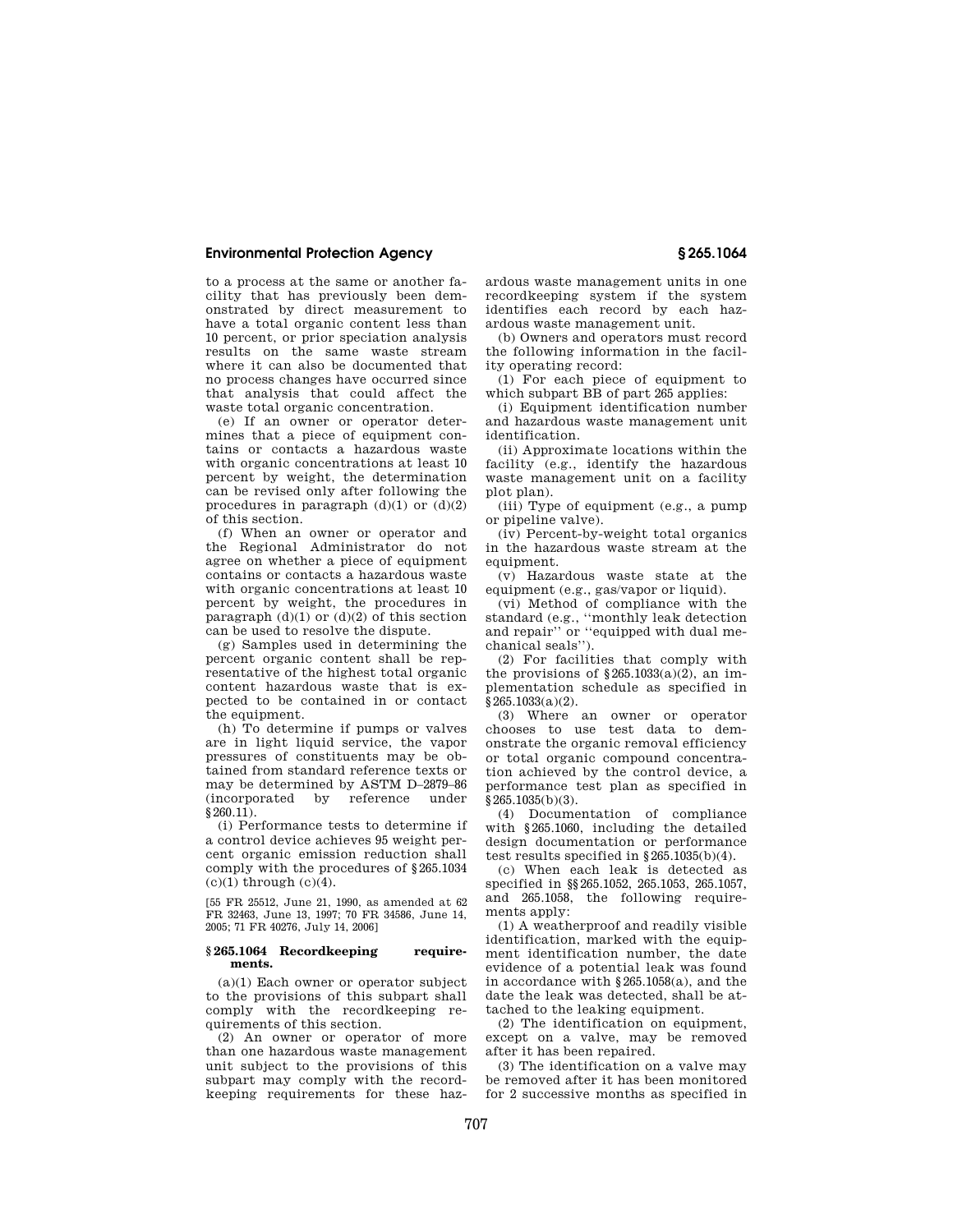to a process at the same or another facility that has previously been demonstrated by direct measurement to have a total organic content less than 10 percent, or prior speciation analysis results on the same waste stream where it can also be documented that no process changes have occurred since that analysis that could affect the waste total organic concentration.

(e) If an owner or operator determines that a piece of equipment contains or contacts a hazardous waste with organic concentrations at least 10 percent by weight, the determination can be revised only after following the procedures in paragraph  $(d)(1)$  or  $(d)(2)$ of this section.

(f) When an owner or operator and the Regional Administrator do not agree on whether a piece of equipment contains or contacts a hazardous waste with organic concentrations at least 10 percent by weight, the procedures in paragraph  $(d)(1)$  or  $(d)(2)$  of this section can be used to resolve the dispute.

(g) Samples used in determining the percent organic content shall be representative of the highest total organic content hazardous waste that is expected to be contained in or contact the equipment.

(h) To determine if pumps or valves are in light liquid service, the vapor pressures of constituents may be obtained from standard reference texts or may be determined by ASTM D–2879–86 (incorporated by reference under §260.11).

(i) Performance tests to determine if a control device achieves 95 weight percent organic emission reduction shall comply with the procedures of §265.1034  $(c)(1)$  through  $(c)(4)$ .

[55 FR 25512, June 21, 1990, as amended at 62 FR 32463, June 13, 1997; 70 FR 34586, June 14, 2005; 71 FR 40276, July 14, 2006]

#### **§ 265.1064 Recordkeeping requirements.**

(a)(1) Each owner or operator subject to the provisions of this subpart shall comply with the recordkeeping requirements of this section.

(2) An owner or operator of more than one hazardous waste management unit subject to the provisions of this subpart may comply with the recordkeeping requirements for these hazardous waste management units in one recordkeeping system if the system identifies each record by each hazardous waste management unit.

(b) Owners and operators must record the following information in the facility operating record:

(1) For each piece of equipment to which subpart BB of part 265 applies:

(i) Equipment identification number and hazardous waste management unit identification.

(ii) Approximate locations within the facility (e.g., identify the hazardous waste management unit on a facility plot plan).

(iii) Type of equipment (e.g., a pump or pipeline valve).

(iv) Percent-by-weight total organics in the hazardous waste stream at the equipment.

(v) Hazardous waste state at the equipment (e.g., gas/vapor or liquid).

(vi) Method of compliance with the standard (e.g., ''monthly leak detection and repair'' or ''equipped with dual mechanical seals'').

(2) For facilities that comply with the provisions of  $\S 265.1033(a)(2)$ , an implementation schedule as specified in  $§ 265.1033(a)(2)$ .

(3) Where an owner or operator chooses to use test data to demonstrate the organic removal efficiency or total organic compound concentration achieved by the control device, a performance test plan as specified in  $\overline{\$265.1035(b)(3)}$ .

(4) Documentation of compliance with §265.1060, including the detailed design documentation or performance test results specified in §265.1035(b)(4).

(c) When each leak is detected as specified in §§265.1052, 265.1053, 265.1057, and 265.1058, the following requirements apply:

(1) A weatherproof and readily visible identification, marked with the equipment identification number, the date evidence of a potential leak was found in accordance with §265.1058(a), and the date the leak was detected, shall be attached to the leaking equipment.

(2) The identification on equipment, except on a valve, may be removed after it has been repaired.

(3) The identification on a valve may be removed after it has been monitored for 2 successive months as specified in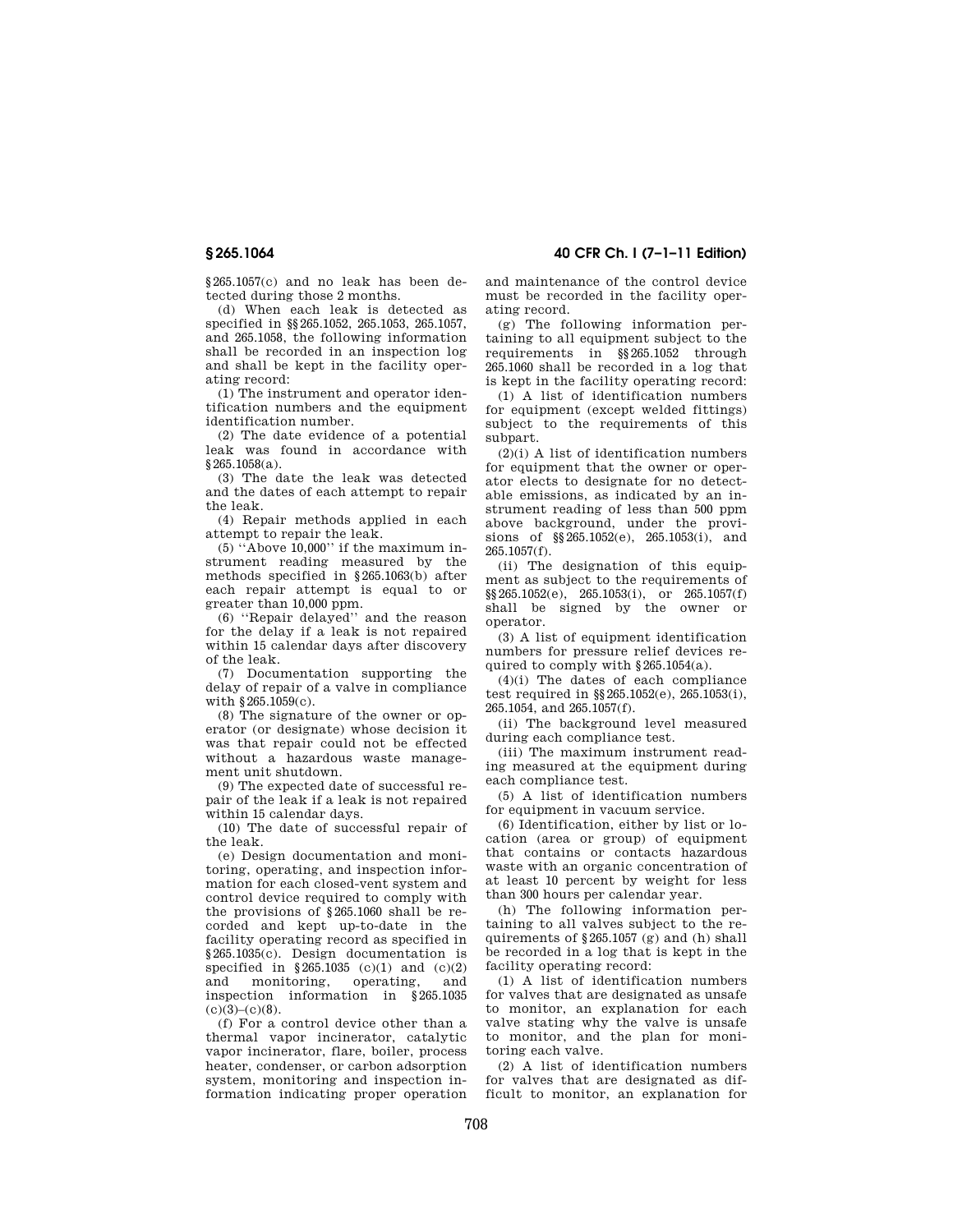**§ 265.1064 40 CFR Ch. I (7–1–11 Edition)** 

§265.1057(c) and no leak has been detected during those 2 months.

(d) When each leak is detected as specified in §§265.1052, 265.1053, 265.1057, and 265.1058, the following information shall be recorded in an inspection log and shall be kept in the facility operating record:

(1) The instrument and operator identification numbers and the equipment identification number.

(2) The date evidence of a potential leak was found in accordance with §265.1058(a).

(3) The date the leak was detected and the dates of each attempt to repair the leak.

(4) Repair methods applied in each attempt to repair the leak.

 $(5)$  "Above  $10.000$ " if the maximum instrument reading measured by the methods specified in §265.1063(b) after each repair attempt is equal to or greater than 10,000 ppm.

(6) ''Repair delayed'' and the reason for the delay if a leak is not repaired within 15 calendar days after discovery of the leak.

(7) Documentation supporting the delay of repair of a valve in compliance with §265.1059(c).

(8) The signature of the owner or operator (or designate) whose decision it was that repair could not be effected without a hazardous waste management unit shutdown.

(9) The expected date of successful repair of the leak if a leak is not repaired within 15 calendar days.

(10) The date of successful repair of the leak.

(e) Design documentation and monitoring, operating, and inspection information for each closed-vent system and control device required to comply with the provisions of §265.1060 shall be recorded and kept up-to-date in the facility operating record as specified in §265.1035(c). Design documentation is specified in  $$265.1035$  (c)(1) and (c)(2) and monitoring, operating, and and monitoring, inspection information in §265.1035  $(c)(3)$ – $(c)(8)$ .

(f) For a control device other than a thermal vapor incinerator, catalytic vapor incinerator, flare, boiler, process heater, condenser, or carbon adsorption system, monitoring and inspection information indicating proper operation

and maintenance of the control device must be recorded in the facility operating record.

(g) The following information pertaining to all equipment subject to the requirements in §§265.1052 through 265.1060 shall be recorded in a log that is kept in the facility operating record:

(1) A list of identification numbers for equipment (except welded fittings) subject to the requirements of this subpart.

(2)(i) A list of identification numbers for equipment that the owner or operator elects to designate for no detectable emissions, as indicated by an instrument reading of less than 500 ppm above background, under the provisions of §§265.1052(e), 265.1053(i), and 265.1057(f).

(ii) The designation of this equipment as subject to the requirements of §§265.1052(e), 265.1053(i), or 265.1057(f) shall be signed by the owner or operator.

(3) A list of equipment identification numbers for pressure relief devices required to comply with §265.1054(a).

(4)(i) The dates of each compliance test required in §§265.1052(e), 265.1053(i), 265.1054, and 265.1057(f).

(ii) The background level measured during each compliance test.

(iii) The maximum instrument reading measured at the equipment during each compliance test.

(5) A list of identification numbers for equipment in vacuum service.

(6) Identification, either by list or location (area or group) of equipment that contains or contacts hazardous waste with an organic concentration of at least 10 percent by weight for less than 300 hours per calendar year.

(h) The following information pertaining to all valves subject to the requirements of §265.1057 (g) and (h) shall be recorded in a log that is kept in the facility operating record:

(1) A list of identification numbers for valves that are designated as unsafe to monitor, an explanation for each valve stating why the valve is unsafe to monitor, and the plan for monitoring each valve.

(2) A list of identification numbers for valves that are designated as difficult to monitor, an explanation for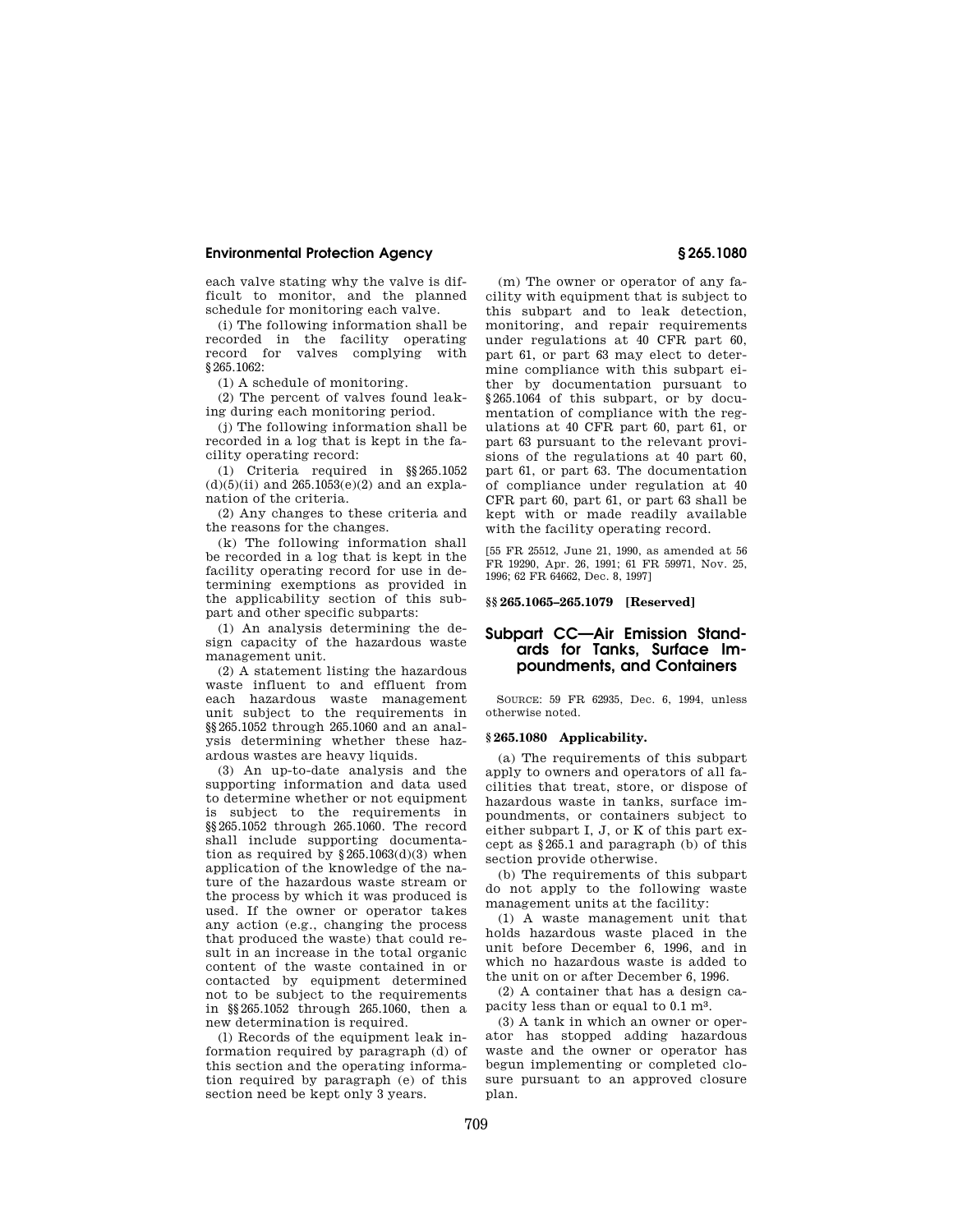each valve stating why the valve is difficult to monitor, and the planned schedule for monitoring each valve.

(i) The following information shall be recorded in the facility operating record for valves complying with §265.1062:

(1) A schedule of monitoring.

(2) The percent of valves found leaking during each monitoring period.

(j) The following information shall be recorded in a log that is kept in the facility operating record:

(1) Criteria required in §§265.1052  $(d)(5)(ii)$  and  $265.1053(e)(2)$  and an explanation of the criteria.

(2) Any changes to these criteria and the reasons for the changes.

(k) The following information shall be recorded in a log that is kept in the facility operating record for use in determining exemptions as provided in the applicability section of this subpart and other specific subparts:

(1) An analysis determining the design capacity of the hazardous waste management unit.

(2) A statement listing the hazardous waste influent to and effluent from each hazardous waste management unit subject to the requirements in §§265.1052 through 265.1060 and an analysis determining whether these hazardous wastes are heavy liquids.

(3) An up-to-date analysis and the supporting information and data used to determine whether or not equipment is subject to the requirements in §§265.1052 through 265.1060. The record shall include supporting documentation as required by  $§265.1063(d)(3)$  when application of the knowledge of the nature of the hazardous waste stream or the process by which it was produced is used. If the owner or operator takes any action (e.g., changing the process that produced the waste) that could result in an increase in the total organic content of the waste contained in or contacted by equipment determined not to be subject to the requirements in §§265.1052 through 265.1060, then a new determination is required.

(l) Records of the equipment leak information required by paragraph (d) of this section and the operating information required by paragraph (e) of this section need be kept only 3 years.

(m) The owner or operator of any facility with equipment that is subject to this subpart and to leak detection, monitoring, and repair requirements under regulations at 40 CFR part 60, part 61, or part 63 may elect to determine compliance with this subpart either by documentation pursuant to §265.1064 of this subpart, or by documentation of compliance with the regulations at 40 CFR part 60, part 61, or part 63 pursuant to the relevant provisions of the regulations at 40 part 60, part 61, or part 63. The documentation of compliance under regulation at 40 CFR part 60, part 61, or part 63 shall be kept with or made readily available with the facility operating record.

[55 FR 25512, June 21, 1990, as amended at 56 FR 19290, Apr. 26, 1991; 61 FR 59971, Nov. 25, 1996; 62 FR 64662, Dec. 8, 1997]

### **§§ 265.1065–265.1079 [Reserved]**

# **Subpart CC—Air Emission Standards for Tanks, Surface Impoundments, and Containers**

SOURCE: 59 FR 62935, Dec. 6, 1994, unless otherwise noted.

#### **§ 265.1080 Applicability.**

(a) The requirements of this subpart apply to owners and operators of all facilities that treat, store, or dispose of hazardous waste in tanks, surface impoundments, or containers subject to either subpart I, J, or K of this part except as §265.1 and paragraph (b) of this section provide otherwise.

(b) The requirements of this subpart do not apply to the following waste management units at the facility:

(1) A waste management unit that holds hazardous waste placed in the unit before December 6, 1996, and in which no hazardous waste is added to the unit on or after December 6, 1996.

(2) A container that has a design capacity less than or equal to 0.1 m3.

(3) A tank in which an owner or operator has stopped adding hazardous waste and the owner or operator has begun implementing or completed closure pursuant to an approved closure plan.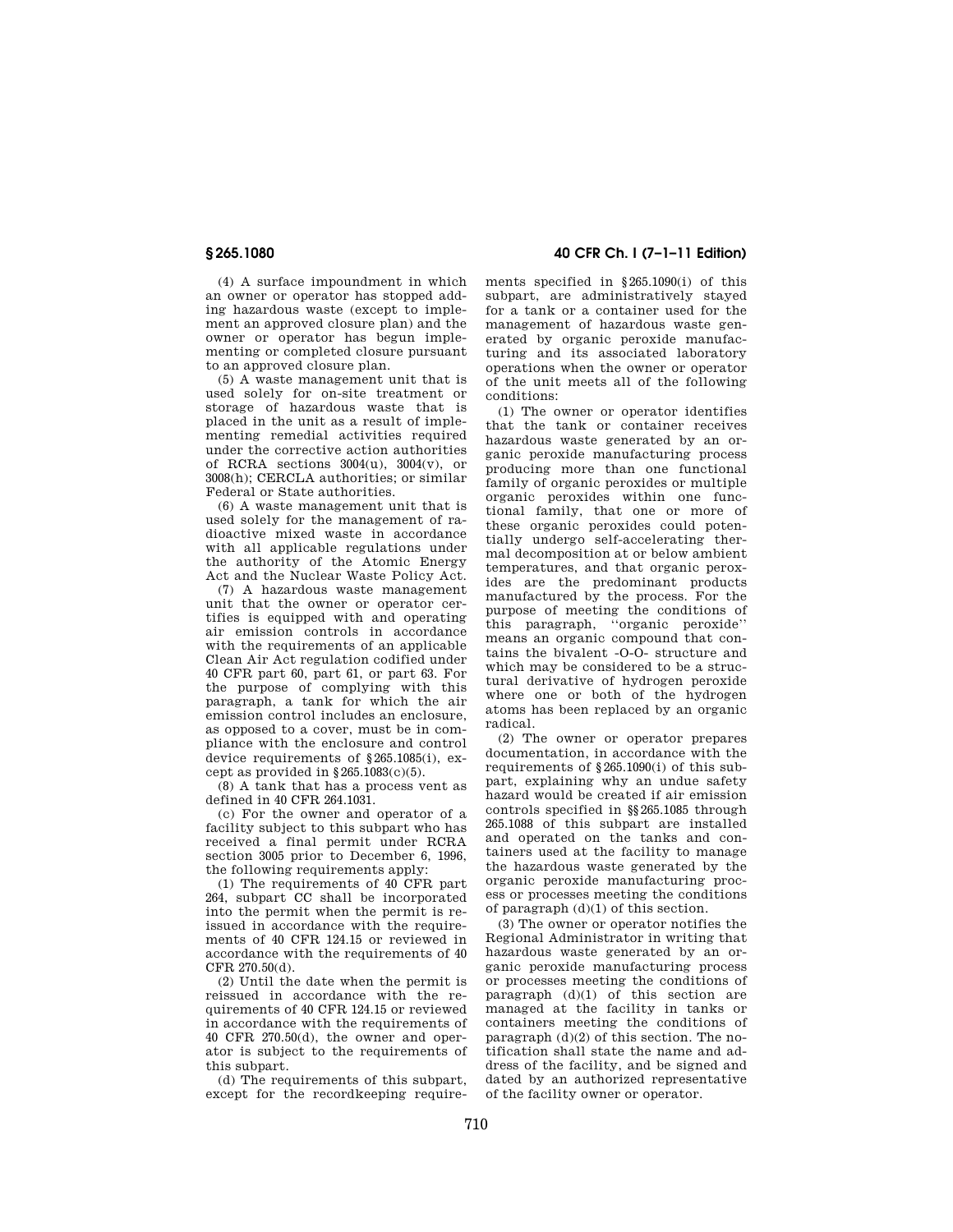(4) A surface impoundment in which an owner or operator has stopped adding hazardous waste (except to implement an approved closure plan) and the owner or operator has begun implementing or completed closure pursuant to an approved closure plan.

(5) A waste management unit that is used solely for on-site treatment or storage of hazardous waste that is placed in the unit as a result of implementing remedial activities required under the corrective action authorities of RCRA sections  $3004(u)$ ,  $3004(v)$ , or 3008(h); CERCLA authorities; or similar Federal or State authorities.

(6) A waste management unit that is used solely for the management of radioactive mixed waste in accordance with all applicable regulations under the authority of the Atomic Energy Act and the Nuclear Waste Policy Act.

(7) A hazardous waste management unit that the owner or operator certifies is equipped with and operating air emission controls in accordance with the requirements of an applicable Clean Air Act regulation codified under 40 CFR part 60, part 61, or part 63. For the purpose of complying with this paragraph, a tank for which the air emission control includes an enclosure, as opposed to a cover, must be in compliance with the enclosure and control device requirements of §265.1085(i), except as provided in  $§265.1083(c)(5)$ .

(8) A tank that has a process vent as defined in 40 CFR 264.1031.

(c) For the owner and operator of a facility subject to this subpart who has received a final permit under RCRA section 3005 prior to December 6, 1996, the following requirements apply:

(1) The requirements of 40 CFR part 264, subpart CC shall be incorporated into the permit when the permit is reissued in accordance with the requirements of 40 CFR 124.15 or reviewed in accordance with the requirements of 40 CFR 270.50(d).

(2) Until the date when the permit is reissued in accordance with the requirements of 40 CFR 124.15 or reviewed in accordance with the requirements of 40 CFR 270.50(d), the owner and operator is subject to the requirements of this subpart.

(d) The requirements of this subpart, except for the recordkeeping require-

# **§ 265.1080 40 CFR Ch. I (7–1–11 Edition)**

ments specified in §265.1090(i) of this subpart, are administratively stayed for a tank or a container used for the management of hazardous waste generated by organic peroxide manufacturing and its associated laboratory operations when the owner or operator of the unit meets all of the following conditions:

(1) The owner or operator identifies that the tank or container receives hazardous waste generated by an organic peroxide manufacturing process producing more than one functional family of organic peroxides or multiple organic peroxides within one functional family, that one or more of these organic peroxides could potentially undergo self-accelerating thermal decomposition at or below ambient temperatures, and that organic peroxides are the predominant products manufactured by the process. For the purpose of meeting the conditions of this paragraph, ''organic peroxide'' means an organic compound that contains the bivalent -O-O- structure and which may be considered to be a structural derivative of hydrogen peroxide where one or both of the hydrogen atoms has been replaced by an organic radical.

(2) The owner or operator prepares documentation, in accordance with the requirements of §265.1090(i) of this subpart, explaining why an undue safety hazard would be created if air emission controls specified in §§265.1085 through 265.1088 of this subpart are installed and operated on the tanks and containers used at the facility to manage the hazardous waste generated by the organic peroxide manufacturing process or processes meeting the conditions of paragraph (d)(1) of this section.

(3) The owner or operator notifies the Regional Administrator in writing that hazardous waste generated by an organic peroxide manufacturing process or processes meeting the conditions of paragraph  $(d)(1)$  of this section are managed at the facility in tanks or containers meeting the conditions of paragraph (d)(2) of this section. The notification shall state the name and address of the facility, and be signed and dated by an authorized representative of the facility owner or operator.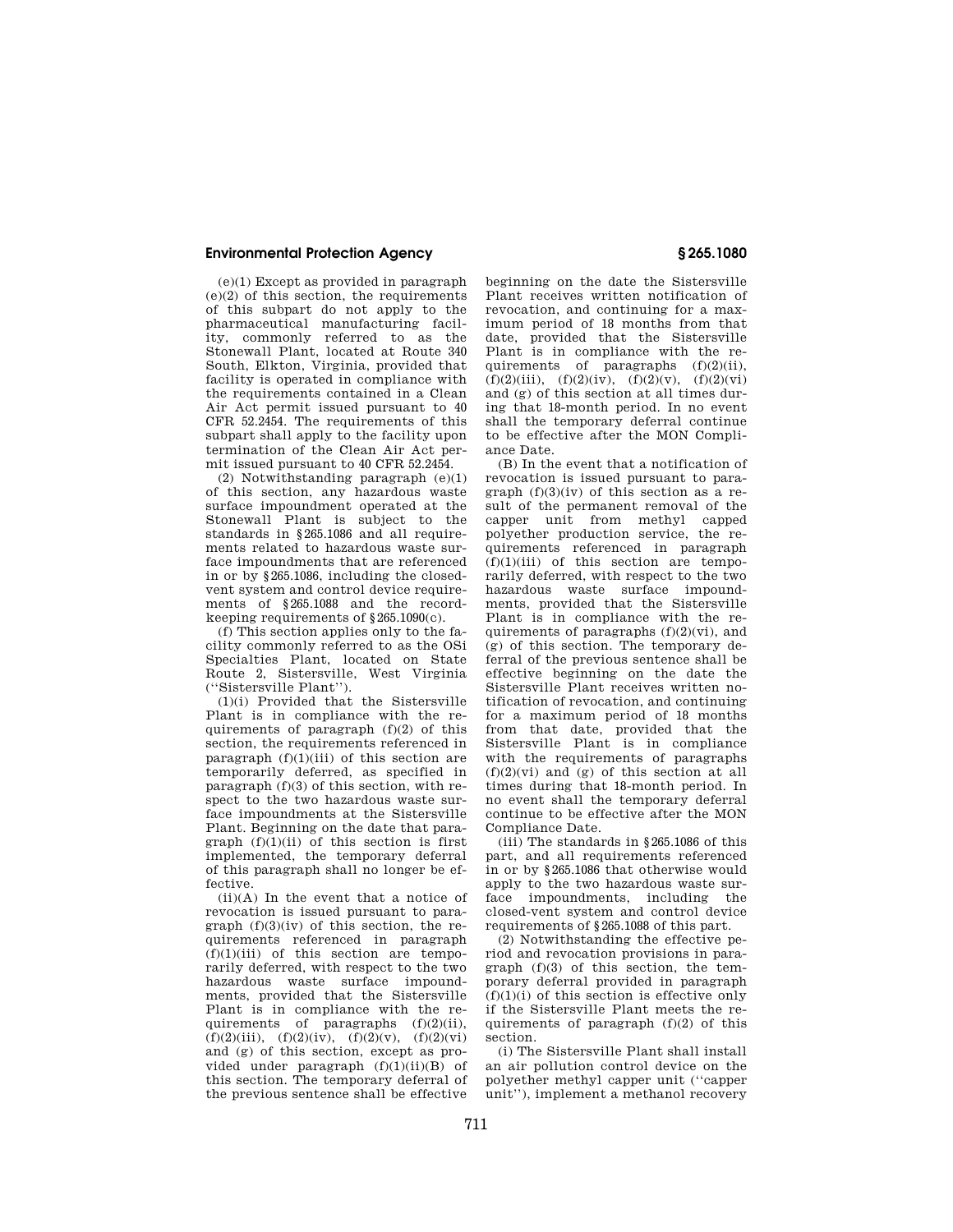(e)(1) Except as provided in paragraph (e)(2) of this section, the requirements of this subpart do not apply to the pharmaceutical manufacturing facility, commonly referred to as the Stonewall Plant, located at Route 340 South, Elkton, Virginia, provided that facility is operated in compliance with the requirements contained in a Clean Air Act permit issued pursuant to 40 CFR 52.2454. The requirements of this subpart shall apply to the facility upon termination of the Clean Air Act permit issued pursuant to 40 CFR 52.2454.

(2) Notwithstanding paragraph (e)(1) of this section, any hazardous waste surface impoundment operated at the Stonewall Plant is subject to the standards in §265.1086 and all requirements related to hazardous waste surface impoundments that are referenced in or by §265.1086, including the closedvent system and control device requirements of §265.1088 and the recordkeeping requirements of §265.1090(c).

(f) This section applies only to the facility commonly referred to as the OSi Specialties Plant, located on State Route 2, Sistersville, West Virginia (''Sistersville Plant'').

(1)(i) Provided that the Sistersville Plant is in compliance with the requirements of paragraph  $(f)(2)$  of this section, the requirements referenced in paragraph  $(f)(1)(iii)$  of this section are temporarily deferred, as specified in  $\frac{1}{2}$  paragraph  $(f)(3)$  of this section, with respect to the two hazardous waste surface impoundments at the Sistersville Plant. Beginning on the date that paragraph  $(f)(1)(ii)$  of this section is first implemented, the temporary deferral of this paragraph shall no longer be effective.

(ii)(A) In the event that a notice of revocation is issued pursuant to paragraph  $(f)(3)(iv)$  of this section, the requirements referenced in paragraph (f)(1)(iii) of this section are temporarily deferred, with respect to the two hazardous waste surface impoundments, provided that the Sistersville Plant is in compliance with the requirements of paragraphs  $(f)(2)(ii)$ ,  $(f)(2)(iii)$ ,  $(f)(2)(iv)$ ,  $(f)(2)(v)$ ,  $(f)(2)(vi)$ and (g) of this section, except as provided under paragraph  $(f)(1)(ii)(B)$  of this section. The temporary deferral of the previous sentence shall be effective

beginning on the date the Sistersville Plant receives written notification of revocation, and continuing for a maximum period of 18 months from that date, provided that the Sistersville Plant is in compliance with the requirements of paragraphs  $(f)(2)(ii)$ ,  $(f)(2)(iii)$ ,  $(f)(2)(iv)$ ,  $(f)(2)(v)$ ,  $(f)(2)(vi)$ and (g) of this section at all times during that 18-month period. In no event shall the temporary deferral continue to be effective after the MON Compliance Date.

(B) In the event that a notification of revocation is issued pursuant to paragraph  $(f)(3)(iv)$  of this section as a result of the permanent removal of the capper unit from methyl capped polyether production service, the requirements referenced in paragraph  $(f)(1)(iii)$  of this section are temporarily deferred, with respect to the two hazardous waste surface impoundments, provided that the Sistersville Plant is in compliance with the requirements of paragraphs (f)(2)(vi), and (g) of this section. The temporary deferral of the previous sentence shall be effective beginning on the date the Sistersville Plant receives written notification of revocation, and continuing for a maximum period of 18 months from that date, provided that the Sistersville Plant is in compliance with the requirements of paragraphs  $(f)(2)(vi)$  and  $(g)$  of this section at all times during that 18-month period. In no event shall the temporary deferral continue to be effective after the MON Compliance Date.

(iii) The standards in §265.1086 of this part, and all requirements referenced in or by §265.1086 that otherwise would apply to the two hazardous waste surface impoundments, including the closed-vent system and control device requirements of §265.1088 of this part.

(2) Notwithstanding the effective period and revocation provisions in paragraph  $(f)(3)$  of this section, the temporary deferral provided in paragraph  $(f)(1)(i)$  of this section is effective only if the Sistersville Plant meets the requirements of paragraph (f)(2) of this section.

(i) The Sistersville Plant shall install an air pollution control device on the polyether methyl capper unit (''capper unit''), implement a methanol recovery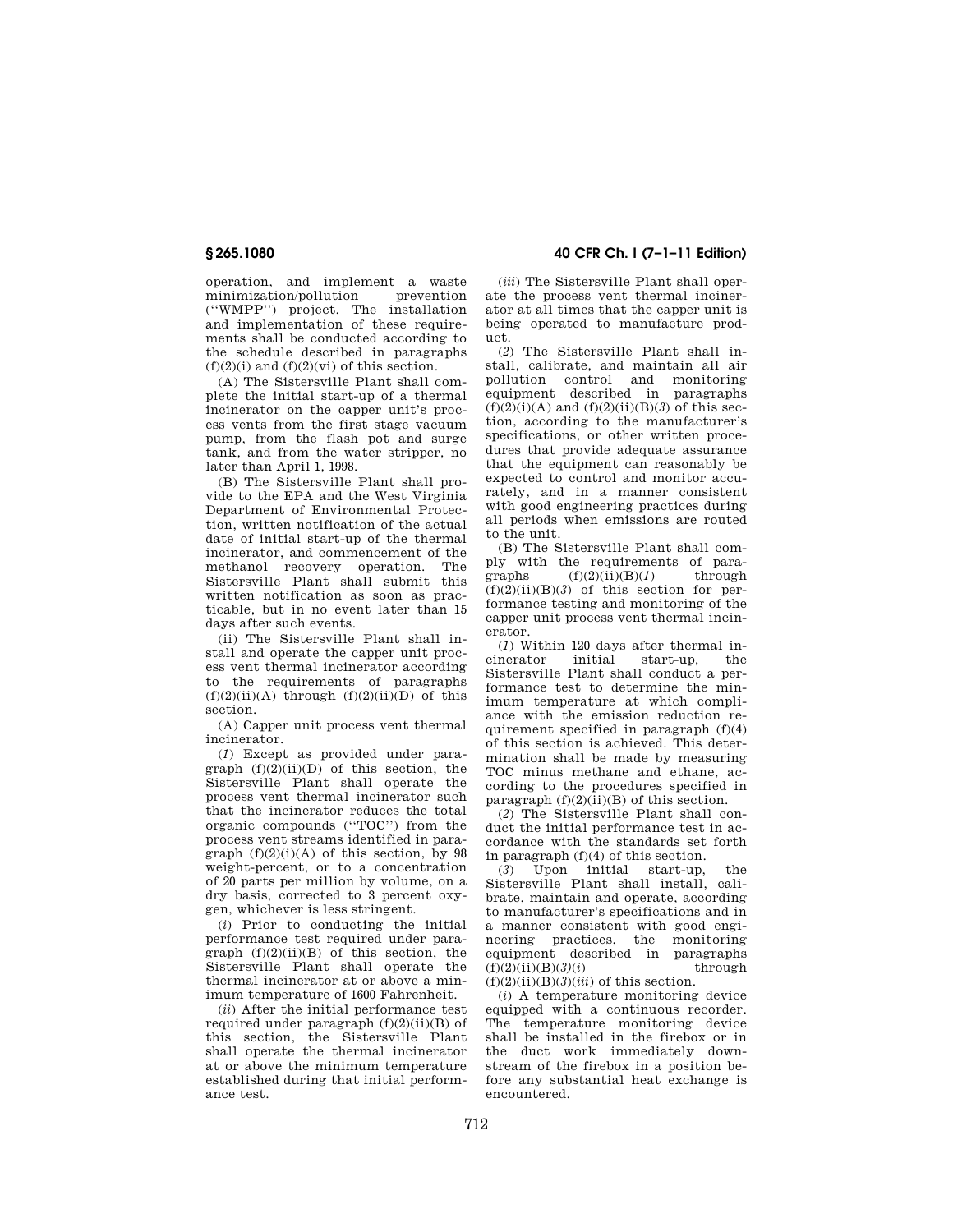operation, and implement a waste minimization/pollution prevention (''WMPP'') project. The installation and implementation of these requirements shall be conducted according to the schedule described in paragraphs  $(f)(2)(i)$  and  $(f)(2)(vi)$  of this section.

(A) The Sistersville Plant shall complete the initial start-up of a thermal incinerator on the capper unit's process vents from the first stage vacuum pump, from the flash pot and surge tank, and from the water stripper, no later than April 1, 1998.

(B) The Sistersville Plant shall provide to the EPA and the West Virginia Department of Environmental Protection, written notification of the actual date of initial start-up of the thermal incinerator, and commencement of the methanol recovery operation. The Sistersville Plant shall submit this written notification as soon as practicable, but in no event later than 15 days after such events.

(ii) The Sistersville Plant shall install and operate the capper unit process vent thermal incinerator according to the requirements of paragraphs  $(f)(2)(ii)(A)$  through  $(f)(2)(ii)(D)$  of this section.

(A) Capper unit process vent thermal incinerator.

(*1*) Except as provided under paragraph  $(f)(2)(ii)(D)$  of this section, the Sistersville Plant shall operate the process vent thermal incinerator such that the incinerator reduces the total organic compounds (''TOC'') from the process vent streams identified in paragraph  $(f)(2)(i)(A)$  of this section, by 98 weight-percent, or to a concentration of 20 parts per million by volume, on a dry basis, corrected to 3 percent oxygen, whichever is less stringent.

(*i*) Prior to conducting the initial performance test required under paragraph  $(f)(2)(ii)(B)$  of this section, the Sistersville Plant shall operate the thermal incinerator at or above a minimum temperature of 1600 Fahrenheit.

(*ii*) After the initial performance test required under paragraph  $(f)(2)(ii)(B)$  of this section, the Sistersville Plant shall operate the thermal incinerator at or above the minimum temperature established during that initial performance test.

**§ 265.1080 40 CFR Ch. I (7–1–11 Edition)** 

(*iii*) The Sistersville Plant shall operate the process vent thermal incinerator at all times that the capper unit is being operated to manufacture product.

(*2*) The Sistersville Plant shall install, calibrate, and maintain all air pollution control and monitoring equipment described in paragraphs  $(f)(2)(i)(A)$  and  $(f)(2)(ii)(B)(3)$  of this section, according to the manufacturer's specifications, or other written procedures that provide adequate assurance that the equipment can reasonably be expected to control and monitor accurately, and in a manner consistent with good engineering practices during all periods when emissions are routed to the unit.

(B) The Sistersville Plant shall comply with the requirements of para-<br>graphs  $(f)(2)(ii)(B)(I)$  through  $(f)(2)(ii)(B)(I)$  $(f)(2)(ii)(B)(3)$  of this section for performance testing and monitoring of the capper unit process vent thermal incinerator.

(*1*) Within 120 days after thermal incinerator initial start-up, the Sistersville Plant shall conduct a performance test to determine the minimum temperature at which compliance with the emission reduction requirement specified in paragraph  $(f)(4)$ of this section is achieved. This determination shall be made by measuring TOC minus methane and ethane, according to the procedures specified in paragraph  $(f)(2)(ii)(B)$  of this section.

(*2*) The Sistersville Plant shall conduct the initial performance test in accordance with the standards set forth in paragraph (f)(4) of this section.

(*3*) Upon initial start-up, the Sistersville Plant shall install, calibrate, maintain and operate, according to manufacturer's specifications and in a manner consistent with good engineering practices, the monitoring equipment described in paragraphs  $(f)(2)(ii)(B)(3)(i)$  through

 $(f)(2)(ii)(B)(3)(iii)$  of this section.

(*i*) A temperature monitoring device equipped with a continuous recorder. The temperature monitoring device shall be installed in the firebox or in the duct work immediately downstream of the firebox in a position before any substantial heat exchange is encountered.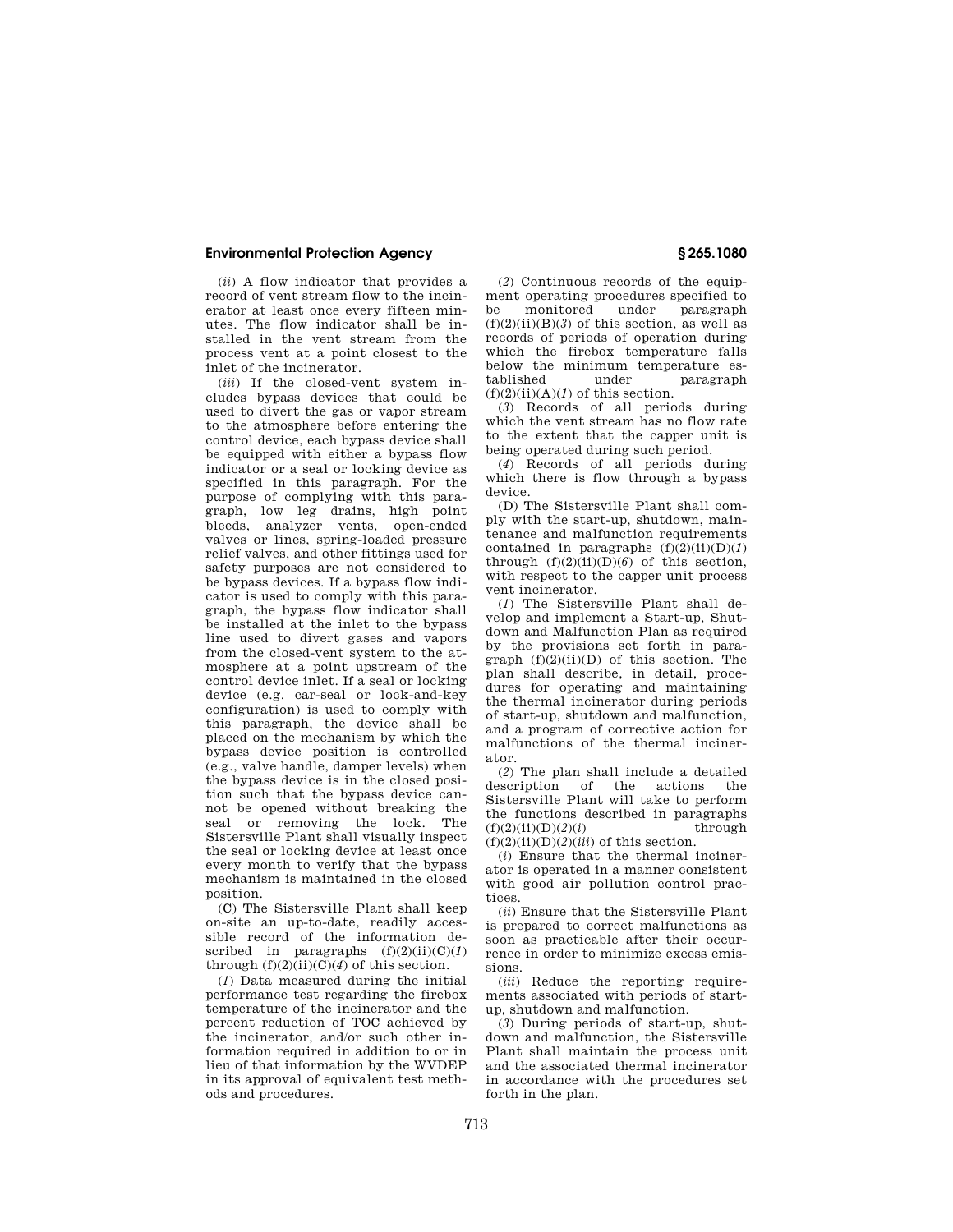(*ii*) A flow indicator that provides a record of vent stream flow to the incinerator at least once every fifteen minutes. The flow indicator shall be installed in the vent stream from the process vent at a point closest to the inlet of the incinerator.

(*iii*) If the closed-vent system includes bypass devices that could be used to divert the gas or vapor stream to the atmosphere before entering the control device, each bypass device shall be equipped with either a bypass flow indicator or a seal or locking device as specified in this paragraph. For the purpose of complying with this paragraph, low leg drains, high point bleeds, analyzer vents, open-ended valves or lines, spring-loaded pressure relief valves, and other fittings used for safety purposes are not considered to be bypass devices. If a bypass flow indicator is used to comply with this paragraph, the bypass flow indicator shall be installed at the inlet to the bypass line used to divert gases and vapors from the closed-vent system to the atmosphere at a point upstream of the control device inlet. If a seal or locking device (e.g. car-seal or lock-and-key configuration) is used to comply with this paragraph, the device shall be placed on the mechanism by which the bypass device position is controlled (e.g., valve handle, damper levels) when the bypass device is in the closed position such that the bypass device cannot be opened without breaking the seal or removing the lock. The Sistersville Plant shall visually inspect the seal or locking device at least once every month to verify that the bypass mechanism is maintained in the closed position.

(C) The Sistersville Plant shall keep on-site an up-to-date, readily accessible record of the information described in paragraphs  $(f)(2)(ii)(C)(I)$ through  $(f)(2)(ii)(C)(4)$  of this section.

(*1*) Data measured during the initial performance test regarding the firebox temperature of the incinerator and the percent reduction of TOC achieved by the incinerator, and/or such other information required in addition to or in lieu of that information by the WVDEP in its approval of equivalent test methods and procedures.

(*2*) Continuous records of the equipment operating procedures specified to be monitored under paragraph  $(f)(2)(ii)(B)(3)$  of this section, as well as records of periods of operation during which the firebox temperature falls below the minimum temperature es-<br>tablished under paragraph paragraph  $(f)(2)(ii)(A)(I)$  of this section.

(*3*) Records of all periods during which the vent stream has no flow rate to the extent that the capper unit is being operated during such period.

(*4*) Records of all periods during which there is flow through a bypass device.

(D) The Sistersville Plant shall comply with the start-up, shutdown, maintenance and malfunction requirements contained in paragraphs  $(f)(2)(ii)(D)(1)$ through  $(f)(2)(ii)(D)(6)$  of this section, with respect to the capper unit process vent incinerator.

(*1*) The Sistersville Plant shall develop and implement a Start-up, Shutdown and Malfunction Plan as required by the provisions set forth in paragraph  $(f)(2)(ii)(D)$  of this section. The plan shall describe, in detail, procedures for operating and maintaining the thermal incinerator during periods of start-up, shutdown and malfunction, and a program of corrective action for malfunctions of the thermal incinerator.

(*2*) The plan shall include a detailed description of the actions the Sistersville Plant will take to perform the functions described in paragraphs  $(f)(2)(ii)(D)(2)(i)$  through  $(f)(2)(ii)(D)(2)(iii)$  of this section.

(*i*) Ensure that the thermal incinerator is operated in a manner consistent with good air pollution control practices.

(*ii*) Ensure that the Sistersville Plant is prepared to correct malfunctions as soon as practicable after their occurrence in order to minimize excess emissions.

(*iii*) Reduce the reporting requirements associated with periods of startup, shutdown and malfunction.

(*3*) During periods of start-up, shutdown and malfunction, the Sistersville Plant shall maintain the process unit and the associated thermal incinerator in accordance with the procedures set forth in the plan.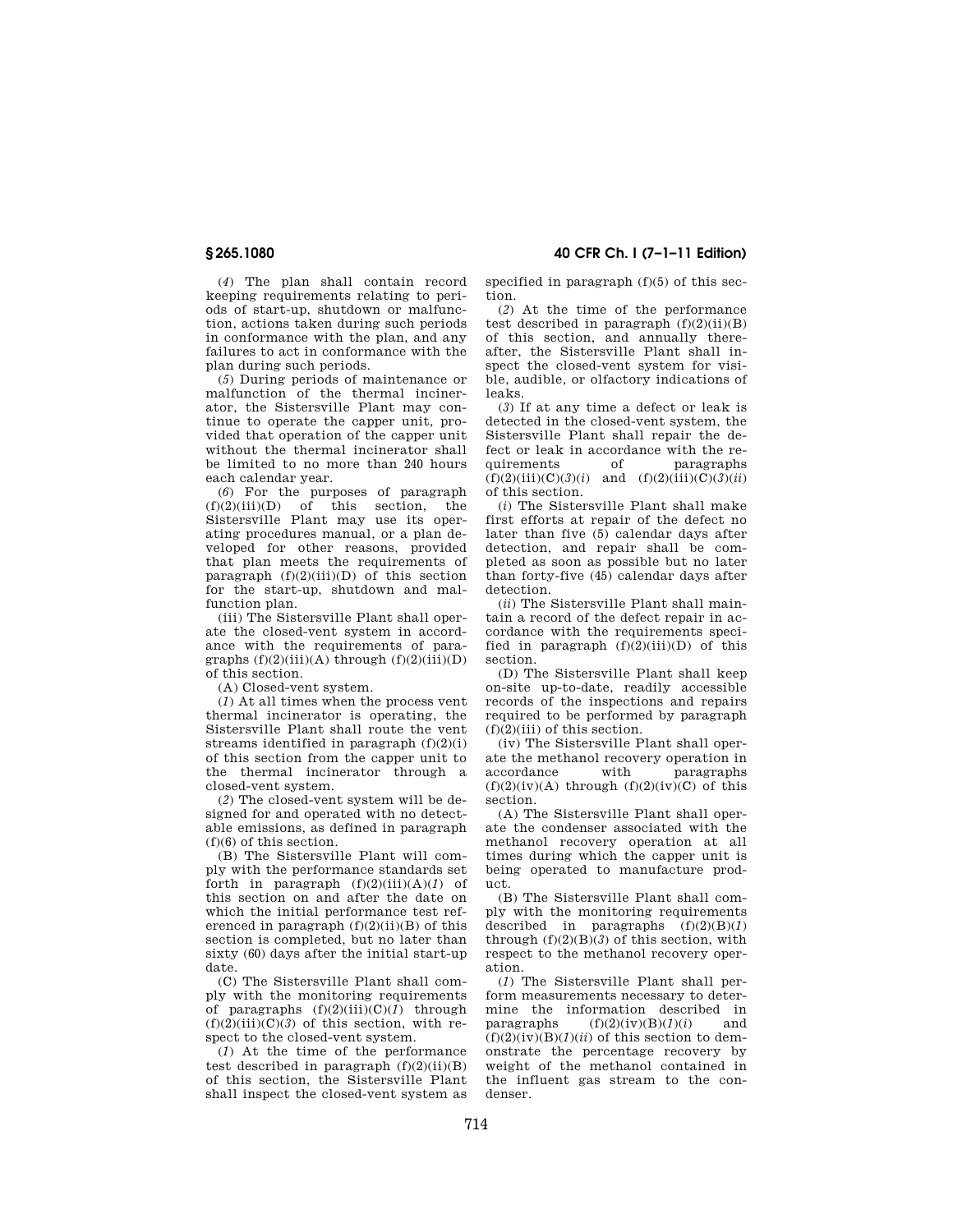(*4*) The plan shall contain record keeping requirements relating to periods of start-up, shutdown or malfunction, actions taken during such periods in conformance with the plan, and any failures to act in conformance with the plan during such periods.

(*5*) During periods of maintenance or malfunction of the thermal incinerator, the Sistersville Plant may continue to operate the capper unit, provided that operation of the capper unit without the thermal incinerator shall be limited to no more than 240 hours each calendar year.

(*6*) For the purposes of paragraph  $(f)(2)(iii)(D)$  of this section, the Sistersville Plant may use its operating procedures manual, or a plan developed for other reasons, provided that plan meets the requirements of paragraph  $(f)(2)(iii)(D)$  of this section for the start-up, shutdown and malfunction plan.

(iii) The Sistersville Plant shall operate the closed-vent system in accordance with the requirements of paragraphs  $(f)(2)(iii)(A)$  through  $(f)(2)(iii)(D)$ of this section.

(A) Closed-vent system.

(*1*) At all times when the process vent thermal incinerator is operating, the Sistersville Plant shall route the vent streams identified in paragraph  $(f)(2)(i)$ of this section from the capper unit to the thermal incinerator through a closed-vent system.

(*2*) The closed-vent system will be designed for and operated with no detectable emissions, as defined in paragraph (f)(6) of this section.

(B) The Sistersville Plant will comply with the performance standards set forth in paragraph  $(f)(2)(iii)(A)(1)$  of this section on and after the date on which the initial performance test referenced in paragraph  $(f)(2)(ii)(B)$  of this section is completed, but no later than sixty (60) days after the initial start-up date.

(C) The Sistersville Plant shall comply with the monitoring requirements of paragraphs (f)(2)(iii)(C)(*1*) through  $(f)(2)(iii)(C)(3)$  of this section, with respect to the closed-vent system.

(*1*) At the time of the performance test described in paragraph  $(f)(2)(ii)(B)$ of this section, the Sistersville Plant shall inspect the closed-vent system as

**§ 265.1080 40 CFR Ch. I (7–1–11 Edition)** 

specified in paragraph (f)(5) of this section.

(*2*) At the time of the performance test described in paragraph  $(f)(2)(ii)(B)$ of this section, and annually thereafter, the Sistersville Plant shall inspect the closed-vent system for visible, audible, or olfactory indications of leaks.

(*3*) If at any time a defect or leak is detected in the closed-vent system, the Sistersville Plant shall repair the defect or leak in accordance with the requirements of paragraphs  $(f)(2)(iii)(C)(3)(i)$  and  $(f)(2)(iii)(C)(3)(ii)$ of this section.

(*i*) The Sistersville Plant shall make first efforts at repair of the defect no later than five (5) calendar days after detection, and repair shall be completed as soon as possible but no later than forty-five (45) calendar days after detection.

(*ii*) The Sistersville Plant shall maintain a record of the defect repair in accordance with the requirements specified in paragraph  $(f)(2)(iii)(D)$  of this section.

(D) The Sistersville Plant shall keep on-site up-to-date, readily accessible records of the inspections and repairs required to be performed by paragraph  $(f)(2)(iii)$  of this section.

(iv) The Sistersville Plant shall operate the methanol recovery operation in<br>accordance with paragraphs paragraphs  $(f)(2)(iv)(A)$  through  $(f)(2)(iv)(C)$  of this section.

(A) The Sistersville Plant shall operate the condenser associated with the methanol recovery operation at all times during which the capper unit is being operated to manufacture product.

(B) The Sistersville Plant shall comply with the monitoring requirements described in paragraphs (f)(2)(B)(*1*) through  $(f)(2)(B)(3)$  of this section, with respect to the methanol recovery operation.

(*1*) The Sistersville Plant shall perform measurements necessary to determine the information described in<br>  $f(x)(2)(iy)(R)(1)(i)$  and  $(f)(2)(iv)(B)(1)(i)$  $(f)(2)(iv)(B)(1)(ii)$  of this section to demonstrate the percentage recovery by weight of the methanol contained in the influent gas stream to the condenser.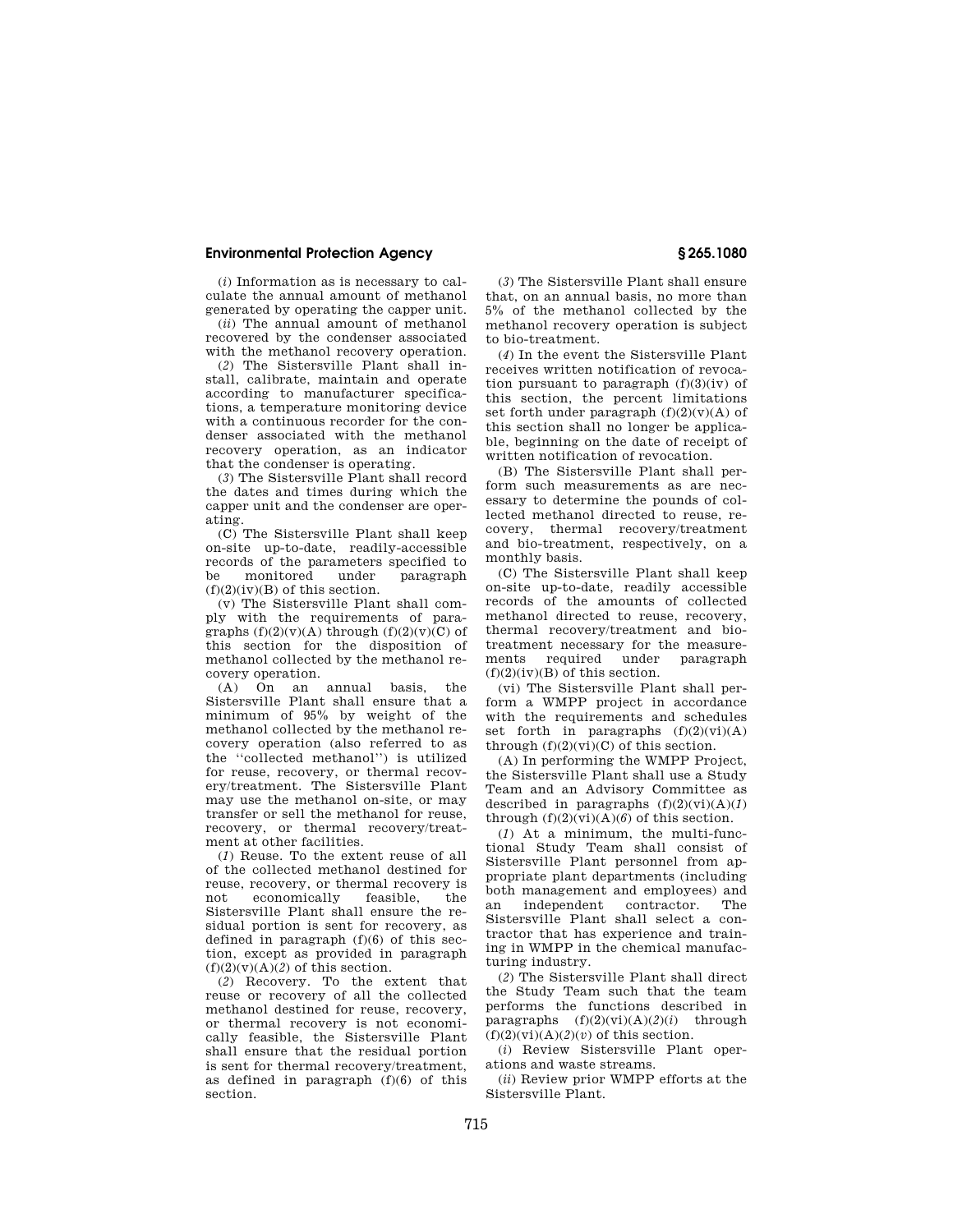(*i*) Information as is necessary to calculate the annual amount of methanol generated by operating the capper unit.

(*ii*) The annual amount of methanol recovered by the condenser associated with the methanol recovery operation.

(*2*) The Sistersville Plant shall install, calibrate, maintain and operate according to manufacturer specifications, a temperature monitoring device with a continuous recorder for the condenser associated with the methanol recovery operation, as an indicator that the condenser is operating.

(*3*) The Sistersville Plant shall record the dates and times during which the capper unit and the condenser are operating.

(C) The Sistersville Plant shall keep on-site up-to-date, readily-accessible records of the parameters specified to be monitored under paragraph  $(f)(2)(iv)(B)$  of this section.

(v) The Sistersville Plant shall comply with the requirements of paragraphs  $(f)(2)(v)(A)$  through  $(f)(2)(v)(C)$  of this section for the disposition of methanol collected by the methanol recovery operation.

(A) On an annual basis, the Sistersville Plant shall ensure that a minimum of 95% by weight of the methanol collected by the methanol recovery operation (also referred to as the ''collected methanol'') is utilized for reuse, recovery, or thermal recovery/treatment. The Sistersville Plant may use the methanol on-site, or may transfer or sell the methanol for reuse, recovery, or thermal recovery/treatment at other facilities.

(*1*) Reuse. To the extent reuse of all of the collected methanol destined for reuse, recovery, or thermal recovery is<br>not economically feasible, the not economically feasible, the Sistersville Plant shall ensure the residual portion is sent for recovery, as defined in paragraph (f)(6) of this section, except as provided in paragraph  $(f)(2)(v)(A)(2)$  of this section.

(*2*) Recovery. To the extent that reuse or recovery of all the collected methanol destined for reuse, recovery, or thermal recovery is not economically feasible, the Sistersville Plant shall ensure that the residual portion is sent for thermal recovery/treatment, as defined in paragraph (f)(6) of this section.

(*3*) The Sistersville Plant shall ensure that, on an annual basis, no more than 5% of the methanol collected by the methanol recovery operation is subject to bio-treatment.

(*4*) In the event the Sistersville Plant receives written notification of revocation pursuant to paragraph (f)(3)(iv) of this section, the percent limitations set forth under paragraph  $(f)(2)(v)(A)$  of this section shall no longer be applicable, beginning on the date of receipt of written notification of revocation.

(B) The Sistersville Plant shall perform such measurements as are necessary to determine the pounds of collected methanol directed to reuse, recovery, thermal recovery/treatment and bio-treatment, respectively, on a monthly basis.

(C) The Sistersville Plant shall keep on-site up-to-date, readily accessible records of the amounts of collected methanol directed to reuse, recovery, thermal recovery/treatment and biotreatment necessary for the measurements required under paragraph  $(f)(2)(iv)(B)$  of this section.

(vi) The Sistersville Plant shall perform a WMPP project in accordance with the requirements and schedules set forth in paragraphs  $(f)(2)(vi)(A)$ through  $(f)(2)(vi)(C)$  of this section.

(A) In performing the WMPP Project, the Sistersville Plant shall use a Study Team and an Advisory Committee as described in paragraphs  $(f)(2)(vi)(A)(I)$ through  $(f)(2)(vi)(A)(6)$  of this section.

(*1*) At a minimum, the multi-functional Study Team shall consist of Sistersville Plant personnel from appropriate plant departments (including both management and employees) and<br>an independent contractor. The an independent contractor. Sistersville Plant shall select a contractor that has experience and training in WMPP in the chemical manufacturing industry.

(*2*) The Sistersville Plant shall direct the Study Team such that the team performs the functions described in paragraphs  $(f)(2)(vi)(A)(2)(i)$  through  $(f)(2)(vi)(A)(2)(v)$  of this section.

(*i*) Review Sistersville Plant operations and waste streams.

(*ii*) Review prior WMPP efforts at the Sistersville Plant.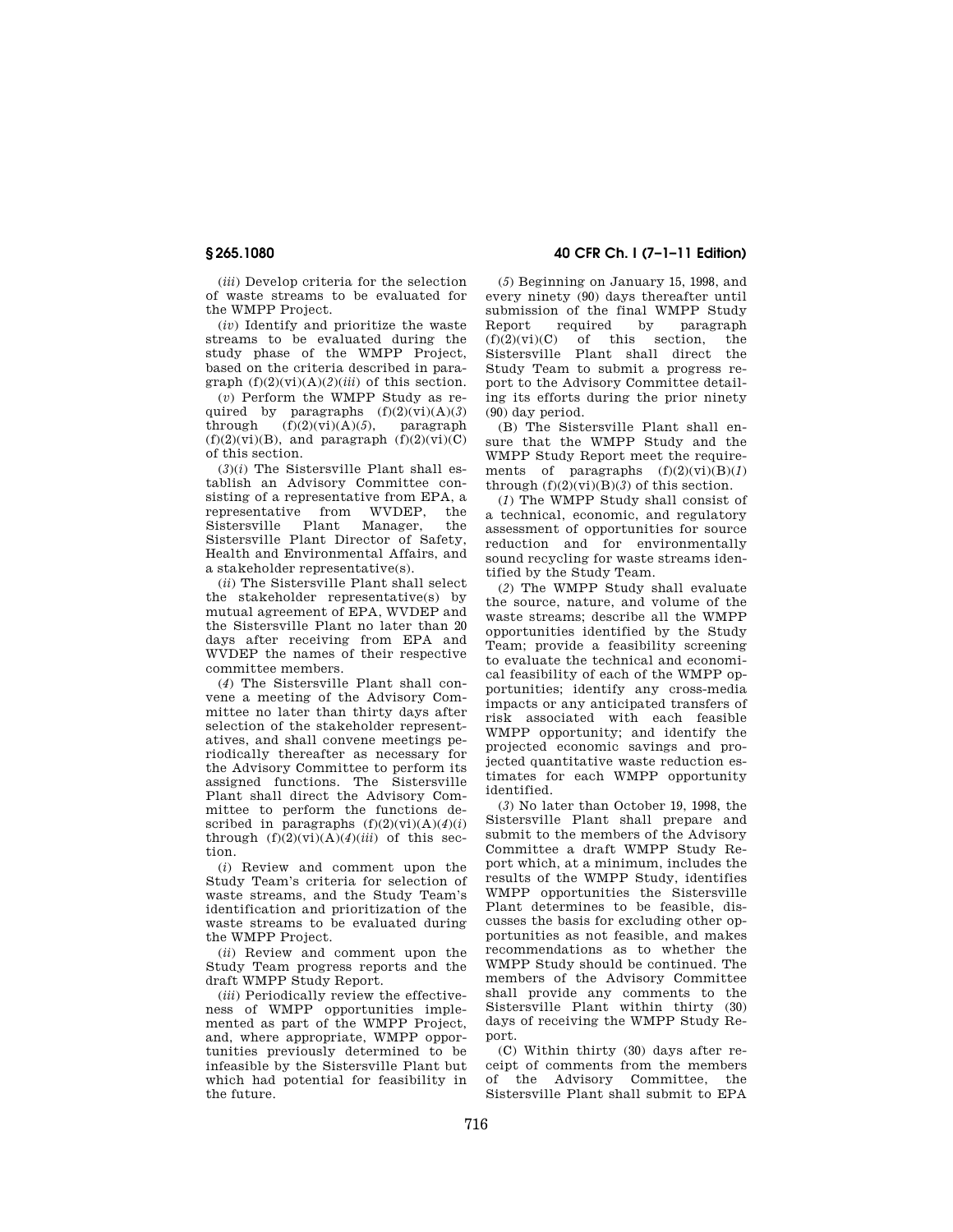(*iii*) Develop criteria for the selection of waste streams to be evaluated for the WMPP Project.

(*iv*) Identify and prioritize the waste streams to be evaluated during the study phase of the WMPP Project, based on the criteria described in paragraph  $(f)(2)(vi)(A)(2)(iii)$  of this section.

(*v*) Perform the WMPP Study as required by paragraphs  $(f)(2)(vi)(A)(3)$ through (f)(2)(vi)(A)(*5*), paragraph  $(f)(2)(vi)(B)$ , and paragraph  $(f)(2)(vi)(C)$ of this section.

 $(3)(i)$  The Sistersville Plant shall establish an Advisory Committee consisting of a representative from EPA, a<br>representative from WVDEP, the representative from<br>Sistersville Plant Sistersville Plant Manager, the Sistersville Plant Director of Safety, Health and Environmental Affairs, and a stakeholder representative(s).

(*ii*) The Sistersville Plant shall select the stakeholder representative(s) by mutual agreement of EPA, WVDEP and the Sistersville Plant no later than 20 days after receiving from EPA and WVDEP the names of their respective committee members.

(*4*) The Sistersville Plant shall convene a meeting of the Advisory Committee no later than thirty days after selection of the stakeholder representatives, and shall convene meetings periodically thereafter as necessary for the Advisory Committee to perform its assigned functions. The Sistersville Plant shall direct the Advisory Committee to perform the functions described in paragraphs  $(f)(2)(vi)(A)(4)(i)$ through  $(f)(2)(vi)(A)(4)(iii)$  of this section.

(*i*) Review and comment upon the Study Team's criteria for selection of waste streams, and the Study Team's identification and prioritization of the waste streams to be evaluated during the WMPP Project.

(*ii*) Review and comment upon the Study Team progress reports and the draft WMPP Study Report.

(*iii*) Periodically review the effectiveness of WMPP opportunities implemented as part of the WMPP Project, and, where appropriate, WMPP opportunities previously determined to be infeasible by the Sistersville Plant but which had potential for feasibility in the future.

# **§ 265.1080 40 CFR Ch. I (7–1–11 Edition)**

(*5*) Beginning on January 15, 1998, and every ninety (90) days thereafter until submission of the final WMPP Study Report required by paragraph  $(f)(2)(vi)(C)$  of this section, the Sistersville Plant shall direct the Study Team to submit a progress report to the Advisory Committee detailing its efforts during the prior ninety (90) day period.

(B) The Sistersville Plant shall ensure that the WMPP Study and the WMPP Study Report meet the requirements of paragraphs (f)(2)(vi)(B)(*1*) through  $(f)(2)(vi)(B)(3)$  of this section.

(*1*) The WMPP Study shall consist of a technical, economic, and regulatory assessment of opportunities for source reduction and for environmentally sound recycling for waste streams identified by the Study Team.

(*2*) The WMPP Study shall evaluate the source, nature, and volume of the waste streams; describe all the WMPP opportunities identified by the Study Team; provide a feasibility screening to evaluate the technical and economical feasibility of each of the WMPP opportunities; identify any cross-media impacts or any anticipated transfers of risk associated with each feasible WMPP opportunity; and identify the projected economic savings and projected quantitative waste reduction estimates for each WMPP opportunity identified.

(*3*) No later than October 19, 1998, the Sistersville Plant shall prepare and submit to the members of the Advisory Committee a draft WMPP Study Report which, at a minimum, includes the results of the WMPP Study, identifies WMPP opportunities the Sistersville Plant determines to be feasible, discusses the basis for excluding other opportunities as not feasible, and makes recommendations as to whether the WMPP Study should be continued. The members of the Advisory Committee shall provide any comments to the Sistersville Plant within thirty (30) days of receiving the WMPP Study Report.

(C) Within thirty (30) days after receipt of comments from the members of the Advisory Committee, the Sistersville Plant shall submit to EPA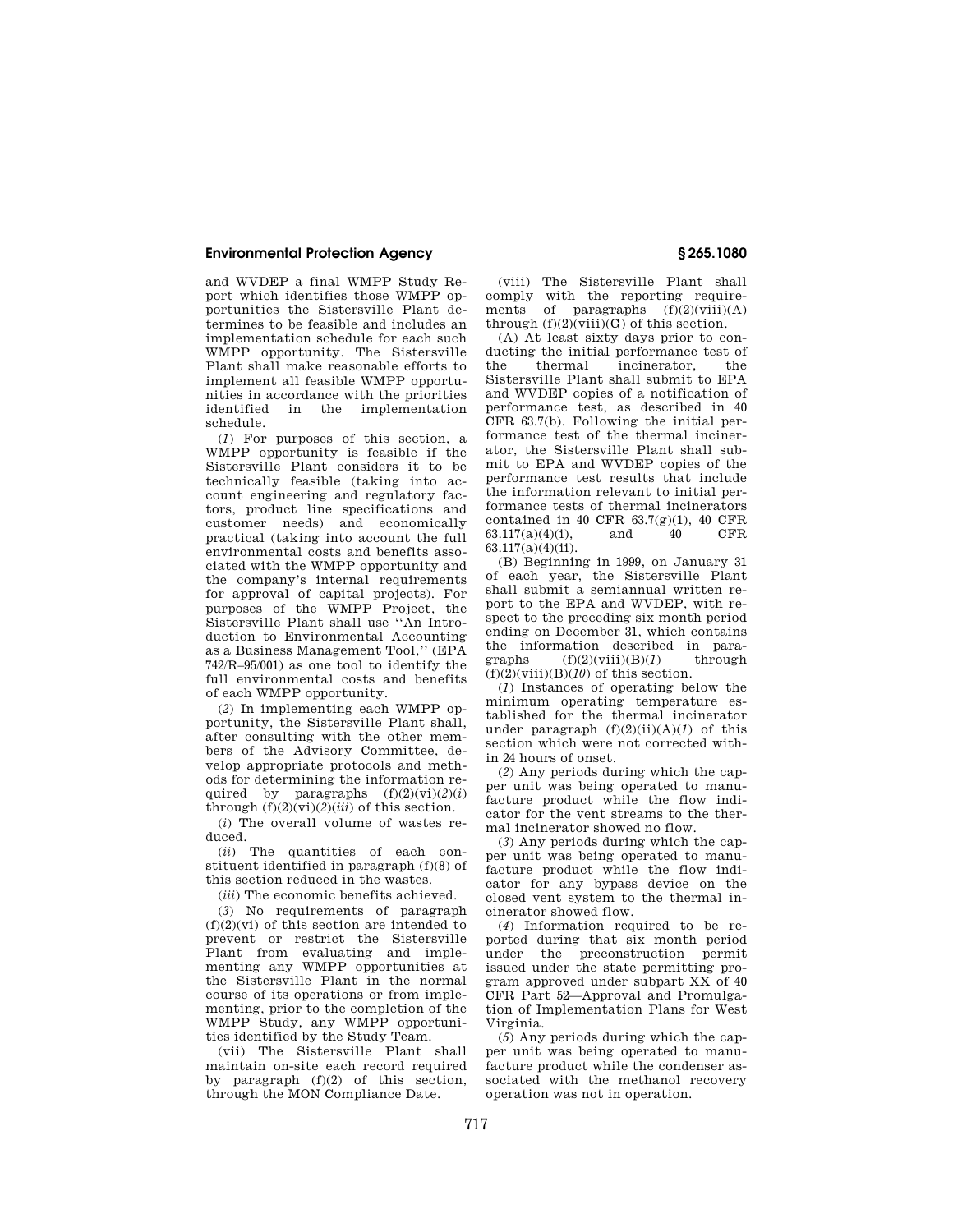and WVDEP a final WMPP Study Report which identifies those WMPP opportunities the Sistersville Plant determines to be feasible and includes an implementation schedule for each such WMPP opportunity. The Sistersville Plant shall make reasonable efforts to implement all feasible WMPP opportunities in accordance with the priorities identified in the implementation schedule.

(*1*) For purposes of this section, a WMPP opportunity is feasible if the Sistersville Plant considers it to be technically feasible (taking into account engineering and regulatory factors, product line specifications and customer needs) and economically practical (taking into account the full environmental costs and benefits associated with the WMPP opportunity and the company's internal requirements for approval of capital projects). For purposes of the WMPP Project, the Sistersville Plant shall use ''An Introduction to Environmental Accounting as a Business Management Tool,'' (EPA 742/R–95/001) as one tool to identify the full environmental costs and benefits of each WMPP opportunity.

(*2*) In implementing each WMPP opportunity, the Sistersville Plant shall, after consulting with the other members of the Advisory Committee, develop appropriate protocols and methods for determining the information required by paragraphs  $(f)(2)(vi)(2)(i)$ through  $(f)(2)(vi)(2)(iii)$  of this section.

(*i*) The overall volume of wastes reduced.

(*ii*) The quantities of each constituent identified in paragraph (f)(8) of this section reduced in the wastes.

(*iii*) The economic benefits achieved.

(*3*) No requirements of paragraph  $(f)(2)(vi)$  of this section are intended to prevent or restrict the Sistersville Plant from evaluating and implementing any WMPP opportunities at the Sistersville Plant in the normal course of its operations or from implementing, prior to the completion of the WMPP Study, any WMPP opportunities identified by the Study Team.

(vii) The Sistersville Plant shall maintain on-site each record required by paragraph (f)(2) of this section, through the MON Compliance Date.

(viii) The Sistersville Plant shall comply with the reporting requirements of paragraphs  $(f)(2)(viii)(A)$ through  $(f)(2)(viii)(G)$  of this section.

(A) At least sixty days prior to conducting the initial performance test of<br>the thermal incinerator the  $\overline{\ }$ incinerator Sistersville Plant shall submit to EPA and WVDEP copies of a notification of performance test, as described in 40 CFR 63.7(b). Following the initial performance test of the thermal incinerator, the Sistersville Plant shall submit to EPA and WVDEP copies of the performance test results that include the information relevant to initial performance tests of thermal incinerators contained in 40 CFR 63.7(g)(1), 40 CFR 63.117(a)(4)(i), and 40 CFR 63.117(a)(4)(i), and 40 CFR 63.117(a)(4)(ii).

(B) Beginning in 1999, on January 31 of each year, the Sistersville Plant shall submit a semiannual written report to the EPA and WVDEP, with respect to the preceding six month period ending on December 31, which contains the information described in para-<br>graphs  $(f)(2)(\text{viii})(R)(1)$  through  $(f)(2)(\text{viii})(B)(1)$  through  $(f)(2)(\text{viii})(B)(10)$  of this section.

(*1*) Instances of operating below the minimum operating temperature established for the thermal incinerator under paragraph  $(f)(2)(ii)(A)(I)$  of this section which were not corrected within 24 hours of onset.

(*2*) Any periods during which the capper unit was being operated to manufacture product while the flow indicator for the vent streams to the thermal incinerator showed no flow.

(*3*) Any periods during which the capper unit was being operated to manufacture product while the flow indicator for any bypass device on the closed vent system to the thermal incinerator showed flow.

(*4*) Information required to be reported during that six month period the preconstruction permit issued under the state permitting program approved under subpart XX of 40 CFR Part 52—Approval and Promulgation of Implementation Plans for West Virginia.

(*5*) Any periods during which the capper unit was being operated to manufacture product while the condenser associated with the methanol recovery operation was not in operation.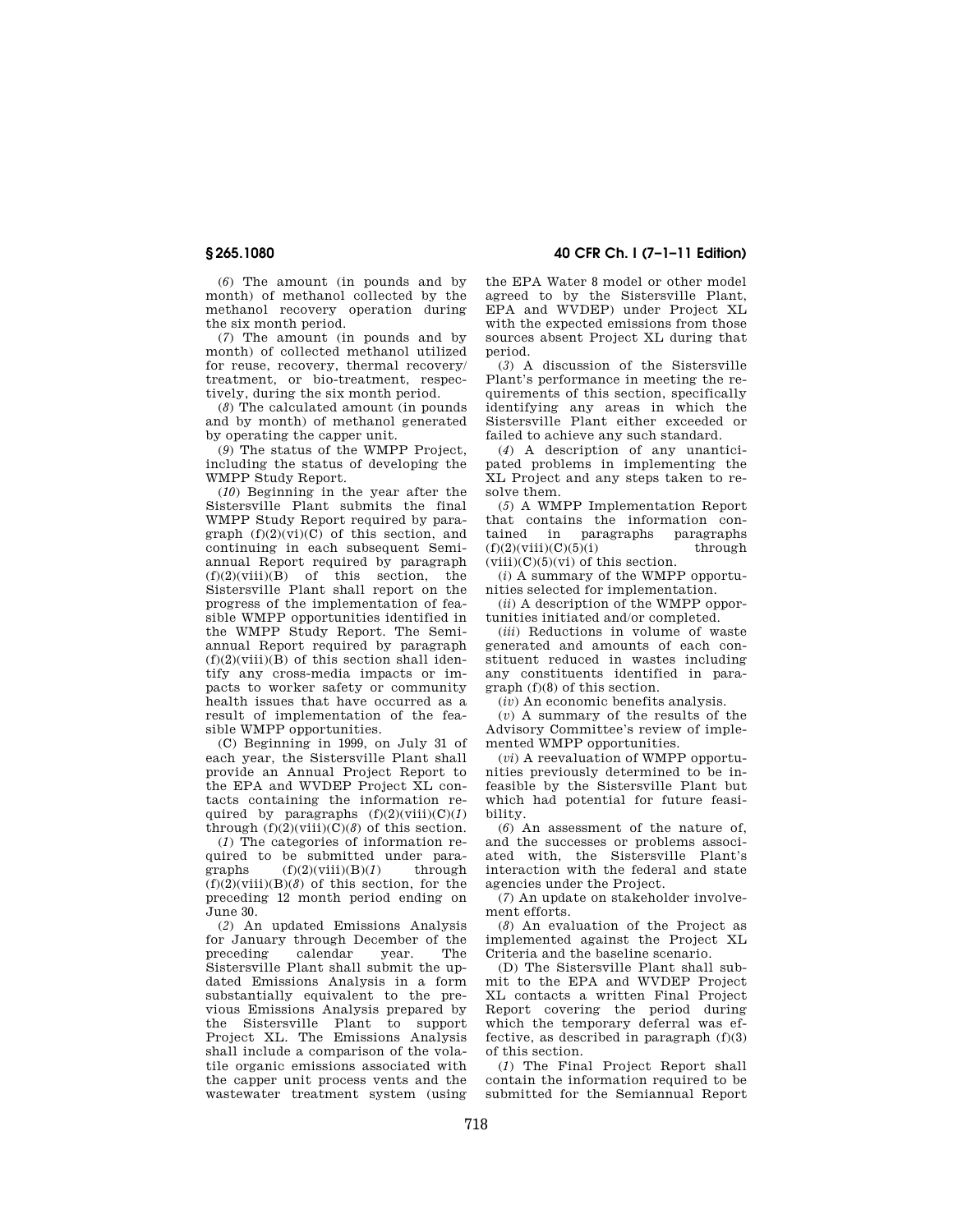(*6*) The amount (in pounds and by month) of methanol collected by the methanol recovery operation during the six month period.

(*7*) The amount (in pounds and by month) of collected methanol utilized for reuse, recovery, thermal recovery/ treatment, or bio-treatment, respectively, during the six month period.

(*8*) The calculated amount (in pounds and by month) of methanol generated by operating the capper unit.

(*9*) The status of the WMPP Project, including the status of developing the WMPP Study Report.

(*10*) Beginning in the year after the Sistersville Plant submits the final WMPP Study Report required by paragraph  $(f)(2)(vi)(C)$  of this section, and continuing in each subsequent Semiannual Report required by paragraph  $(f)(2)(viii)(B)$  of this section, the Sistersville Plant shall report on the progress of the implementation of feasible WMPP opportunities identified in the WMPP Study Report. The Semiannual Report required by paragraph  $(f)(2)(viii)(B)$  of this section shall identify any cross-media impacts or impacts to worker safety or community health issues that have occurred as a result of implementation of the feasible WMPP opportunities.

(C) Beginning in 1999, on July 31 of each year, the Sistersville Plant shall provide an Annual Project Report to the EPA and WVDEP Project XL contacts containing the information required by paragraphs  $(f)(2)(viii)(C)(1)$ through  $(f)(2)(\n \text{viii})(C)(\n \theta)$  of this section.

(*1*) The categories of information required to be submitted under para-<br>graphs  $(f)(2)(viii)(B)(I)$  through  $(f)(2)(viii)(B)(1)$  $(f)(2)(viii)(B)(\delta)$  of this section, for the preceding 12 month period ending on June 30.

(*2*) An updated Emissions Analysis for January through December of the<br>preceding calendar vear. The preceding Sistersville Plant shall submit the updated Emissions Analysis in a form substantially equivalent to the previous Emissions Analysis prepared by the Sistersville Plant to support Project XL. The Emissions Analysis shall include a comparison of the volatile organic emissions associated with the capper unit process vents and the wastewater treatment system (using

**§ 265.1080 40 CFR Ch. I (7–1–11 Edition)** 

the EPA Water 8 model or other model agreed to by the Sistersville Plant, EPA and WVDEP) under Project XL with the expected emissions from those sources absent Project XL during that period.

(*3*) A discussion of the Sistersville Plant's performance in meeting the requirements of this section, specifically identifying any areas in which the Sistersville Plant either exceeded or failed to achieve any such standard.

(*4*) A description of any unanticipated problems in implementing the XL Project and any steps taken to resolve them.

(*5*) A WMPP Implementation Report that contains the information conparagraphs paragraphs  $(f)(2)(\text{viii})(C)(5)(i)$  through  $(viii)(C)(5)(vi)$  of this section.

(*i*) A summary of the WMPP opportunities selected for implementation.

(*ii*) A description of the WMPP opportunities initiated and/or completed.

(*iii*) Reductions in volume of waste generated and amounts of each constituent reduced in wastes including any constituents identified in paragraph (f)(8) of this section.

(*iv*) An economic benefits analysis.

(*v*) A summary of the results of the Advisory Committee's review of implemented WMPP opportunities.

(*vi*) A reevaluation of WMPP opportunities previously determined to be infeasible by the Sistersville Plant but which had potential for future feasibility.

(*6*) An assessment of the nature of, and the successes or problems associated with, the Sistersville Plant's interaction with the federal and state agencies under the Project.

(*7*) An update on stakeholder involvement efforts.

(*8*) An evaluation of the Project as implemented against the Project XL Criteria and the baseline scenario.

(D) The Sistersville Plant shall submit to the EPA and WVDEP Project XL contacts a written Final Project Report covering the period during which the temporary deferral was effective, as described in paragraph  $(f)(3)$ of this section.

(*1*) The Final Project Report shall contain the information required to be submitted for the Semiannual Report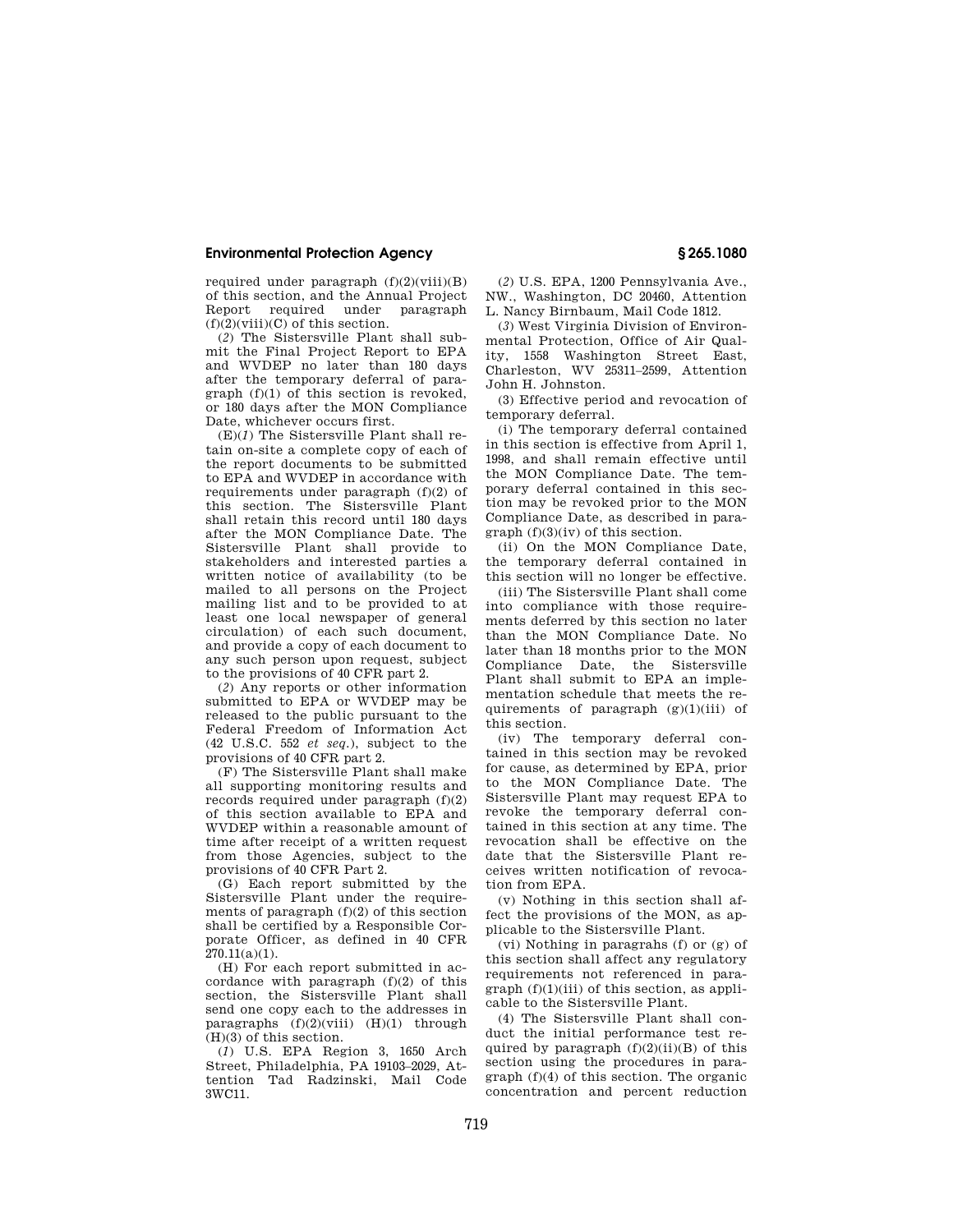required under paragraph  $(f)(2)(viii)(B)$ of this section, and the Annual Project Report required under paragraph  $(f)(2)(viii)(C)$  of this section.

(*2*) The Sistersville Plant shall submit the Final Project Report to EPA and WVDEP no later than 180 days after the temporary deferral of paragraph (f)(1) of this section is revoked, or 180 days after the MON Compliance Date, whichever occurs first.

 $(E)(I)$  The Sistersville Plant shall retain on-site a complete copy of each of the report documents to be submitted to EPA and WVDEP in accordance with requirements under paragraph (f)(2) of this section. The Sistersville Plant shall retain this record until 180 days after the MON Compliance Date. The Sistersville Plant shall provide to stakeholders and interested parties a written notice of availability (to be mailed to all persons on the Project mailing list and to be provided to at least one local newspaper of general circulation) of each such document, and provide a copy of each document to any such person upon request, subject to the provisions of 40 CFR part 2.

(*2*) Any reports or other information submitted to EPA or WVDEP may be released to the public pursuant to the Federal Freedom of Information Act (42 U.S.C. 552 *et seq.*), subject to the provisions of 40 CFR part 2.

(F) The Sistersville Plant shall make all supporting monitoring results and records required under paragraph (f)(2) of this section available to EPA and WVDEP within a reasonable amount of time after receipt of a written request from those Agencies, subject to the provisions of 40 CFR Part 2.

(G) Each report submitted by the Sistersville Plant under the requirements of paragraph  $(f)(2)$  of this section shall be certified by a Responsible Corporate Officer, as defined in 40 CFR  $270.11(a)(1)$ .

(H) For each report submitted in accordance with paragraph  $(f)(2)$  of this section, the Sistersville Plant shall send one copy each to the addresses in paragraphs  $(f)(2)(viii)$   $(H)(1)$  through (H)(3) of this section.

(*1*) U.S. EPA Region 3, 1650 Arch Street, Philadelphia, PA 19103–2029, Attention Tad Radzinski, Mail Code 3WC11.

(*2*) U.S. EPA, 1200 Pennsylvania Ave., NW., Washington, DC 20460, Attention L. Nancy Birnbaum, Mail Code 1812.

(*3*) West Virginia Division of Environmental Protection, Office of Air Quality, 1558 Washington Street East, Charleston, WV 25311–2599, Attention John H. Johnston.

(3) Effective period and revocation of temporary deferral.

(i) The temporary deferral contained in this section is effective from April 1, 1998, and shall remain effective until the MON Compliance Date. The temporary deferral contained in this section may be revoked prior to the MON Compliance Date, as described in para $graph(f)(3)(iv)$  of this section.

(ii) On the MON Compliance Date, the temporary deferral contained in this section will no longer be effective.

(iii) The Sistersville Plant shall come into compliance with those requirements deferred by this section no later than the MON Compliance Date. No later than 18 months prior to the MON Compliance Date, the Sistersville Plant shall submit to EPA an implementation schedule that meets the requirements of paragraph (g)(1)(iii) of this section.

(iv) The temporary deferral contained in this section may be revoked for cause, as determined by EPA, prior to the MON Compliance Date. The Sistersville Plant may request EPA to revoke the temporary deferral contained in this section at any time. The revocation shall be effective on the date that the Sistersville Plant receives written notification of revocation from EPA.

(v) Nothing in this section shall affect the provisions of the MON, as applicable to the Sistersville Plant.

(vi) Nothing in paragrahs (f) or (g) of this section shall affect any regulatory requirements not referenced in para $graph(f)(1)(iii)$  of this section, as applicable to the Sistersville Plant.

(4) The Sistersville Plant shall conduct the initial performance test required by paragraph  $(f)(2)(ii)(B)$  of this section using the procedures in paragraph (f)(4) of this section. The organic concentration and percent reduction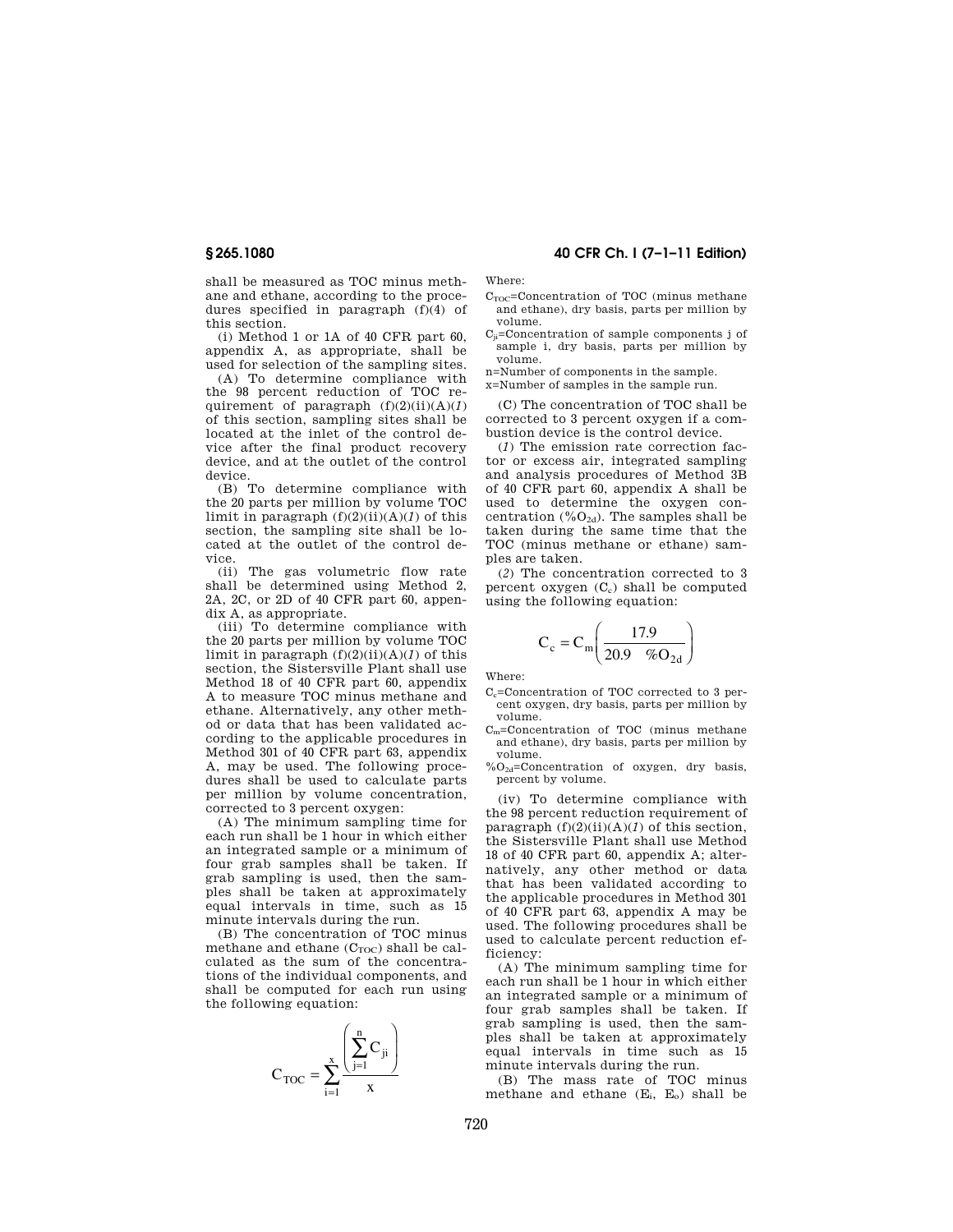shall be measured as TOC minus methane and ethane, according to the procedures specified in paragraph (f)(4) of this section.

(i) Method 1 or 1A of 40 CFR part 60, appendix A, as appropriate, shall be used for selection of the sampling sites.

(A) To determine compliance with the 98 percent reduction of TOC requirement of paragraph  $(f)(2)(ii)(A)(I)$ of this section, sampling sites shall be located at the inlet of the control device after the final product recovery device, and at the outlet of the control device.

(B) To determine compliance with the 20 parts per million by volume TOC limit in paragraph  $(f)(2)(ii)(A)(I)$  of this section, the sampling site shall be located at the outlet of the control device.

(ii) The gas volumetric flow rate shall be determined using Method 2, 2A, 2C, or 2D of 40 CFR part 60, appendix A, as appropriate.

(iii) To determine compliance with the 20 parts per million by volume TOC limit in paragraph  $(f)(2)(ii)(A)(I)$  of this section, the Sistersville Plant shall use Method 18 of 40 CFR part 60, appendix A to measure TOC minus methane and ethane. Alternatively, any other method or data that has been validated according to the applicable procedures in Method 301 of 40 CFR part 63, appendix A, may be used. The following procedures shall be used to calculate parts per million by volume concentration, corrected to 3 percent oxygen:

(A) The minimum sampling time for each run shall be 1 hour in which either an integrated sample or a minimum of four grab samples shall be taken. If grab sampling is used, then the samples shall be taken at approximately equal intervals in time, such as 15 minute intervals during the run.

(B) The concentration of TOC minus methane and ethane  $(C_{\text{TOC}})$  shall be calculated as the sum of the concentrations of the individual components, and shall be computed for each run using the following equation:

$$
C_{\text{TOC}} = \sum_{i=1}^{x} \frac{\left(\sum_{j=1}^{n} C_{ji}\right)}{x}
$$

# **§ 265.1080 40 CFR Ch. I (7–1–11 Edition)**

Where:

- $C_{\text{TOC}}$ =Concentration of TOC (minus methane and ethane), dry basis, parts per million by volume.
- Cji=Concentration of sample components j of sample i, dry basis, parts per million by volume.

n=Number of components in the sample. x=Number of samples in the sample run.

(C) The concentration of TOC shall be corrected to 3 percent oxygen if a combustion device is the control device.

(*1*) The emission rate correction factor or excess air, integrated sampling and analysis procedures of Method 3B of 40 CFR part 60, appendix A shall be used to determine the oxygen concentration  $(\%O_{2d})$ . The samples shall be taken during the same time that the TOC (minus methane or ethane) samples are taken.

(*2*) The concentration corrected to 3 percent oxygen  $(C_c)$  shall be computed using the following equation:

$$
C_c = C_m \left( \frac{17.9}{20.9 \text{ %} O_{2d}} \right)
$$

Where:

- C<sub>c</sub>=Concentration of TOC corrected to 3 percent oxygen, dry basis, parts per million by volume.
- Cm=Concentration of TOC (minus methane and ethane), dry basis, parts per million by volume.
- $\%$ O<sub>2d</sub>=Concentration of oxygen, dry basis, percent by volume.

(iv) To determine compliance with the 98 percent reduction requirement of paragraph  $(f)(2)(ii)(A)(I)$  of this section, the Sistersville Plant shall use Method 18 of 40 CFR part 60, appendix A; alternatively, any other method or data that has been validated according to the applicable procedures in Method 301 of 40 CFR part 63, appendix A may be used. The following procedures shall be used to calculate percent reduction efficiency:

(A) The minimum sampling time for each run shall be 1 hour in which either an integrated sample or a minimum of four grab samples shall be taken. If grab sampling is used, then the samples shall be taken at approximately equal intervals in time such as 15 minute intervals during the run.

(B) The mass rate of TOC minus methane and ethane  $(E_i, E_o)$  shall be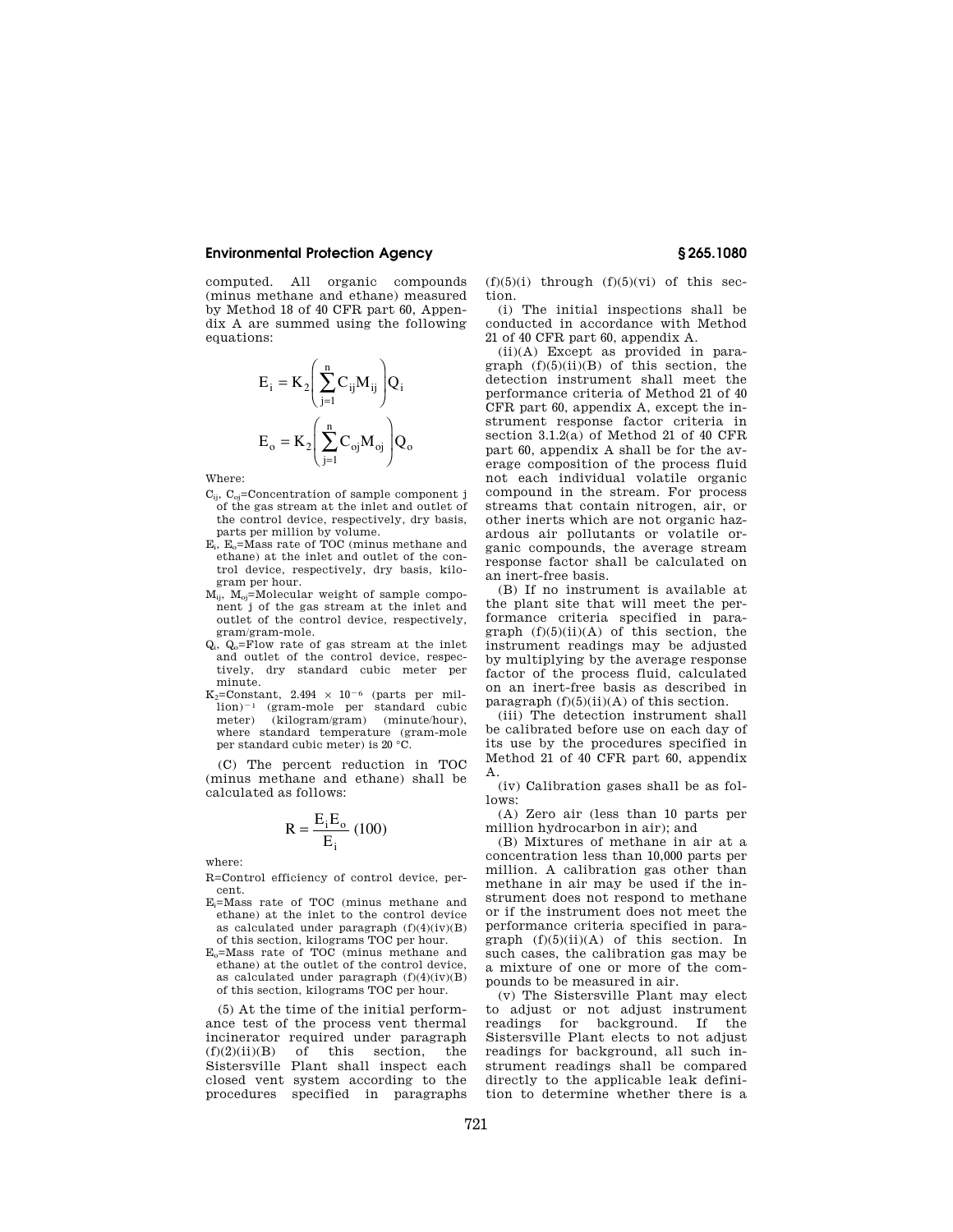computed. All organic compounds (minus methane and ethane) measured by Method 18 of 40 CFR part 60, Appendix A are summed using the following equations:

$$
\begin{aligned} E_i &= K_2 \Bigg( \sum_{j=1}^n C_{ij} M_{ij} \Bigg) Q_i \\ E_o &= K_2 \Bigg( \sum_{j=1}^n C_{oj} M_{oj} \Bigg) Q_o \end{aligned}
$$

Where:

- $C_{ii}$ ,  $C_{oi}$ =Concentration of sample component j of the gas stream at the inlet and outlet of the control device, respectively, dry basis, parts per million by volume.
- $E_i$ ,  $E_o$ =Mass rate of TOC (minus methane and ethane) at the inlet and outlet of the control device, respectively, dry basis, kilogram per hour.
- $M_{ii}$ ,  $M_{oi}$ =Molecular weight of sample component j of the gas stream at the inlet and outlet of the control device, respectively, gram/gram-mole.
- Qi, Qo=Flow rate of gas stream at the inlet and outlet of the control device, respectively, dry standard cubic meter per minute.
- K<sub>2</sub>=Constant, 2.494  $\times$  10<sup>-6</sup> (parts per mil $l$ ion) $l$  (gram-mole per standard cubic meter) (kilogram/gram) (minute/hour), where standard temperature (gram-mole per standard cubic meter) is 20 °C.

(C) The percent reduction in TOC (minus methane and ethane) shall be calculated as follows:

$$
R = \frac{E_i E_o}{E_i} (100)
$$

where:

- R=Control efficiency of control device, percent.
- Ei=Mass rate of TOC (minus methane and ethane) at the inlet to the control device as calculated under paragraph  $(f)(4)(iv)(B)$ of this section, kilograms TOC per hour.
- Eo=Mass rate of TOC (minus methane and ethane) at the outlet of the control device, as calculated under paragraph (f)(4)(iv)(B) of this section, kilograms TOC per hour.

(5) At the time of the initial performance test of the process vent thermal incinerator required under paragraph  $(f)(2)(ii)(B)$  of this section, the  $(f)(2)(ii)(B)$ Sistersville Plant shall inspect each closed vent system according to the procedures specified in paragraphs  $(f)(5)(i)$  through  $(f)(5)(vi)$  of this section.

(i) The initial inspections shall be conducted in accordance with Method 21 of 40 CFR part 60, appendix A.

(ii)(A) Except as provided in paragraph  $(f)(5)(ii)(B)$  of this section, the detection instrument shall meet the performance criteria of Method 21 of 40 CFR part 60, appendix A, except the instrument response factor criteria in section 3.1.2(a) of Method 21 of 40 CFR part 60, appendix A shall be for the average composition of the process fluid not each individual volatile organic compound in the stream. For process streams that contain nitrogen, air, or other inerts which are not organic hazardous air pollutants or volatile organic compounds, the average stream response factor shall be calculated on an inert-free basis.

(B) If no instrument is available at the plant site that will meet the performance criteria specified in paragraph  $(f)(5)(ii)(A)$  of this section, the instrument readings may be adjusted by multiplying by the average response factor of the process fluid, calculated on an inert-free basis as described in paragraph  $(f)(5)(ii)(A)$  of this section.

(iii) The detection instrument shall be calibrated before use on each day of its use by the procedures specified in Method 21 of 40 CFR part 60, appendix A.

(iv) Calibration gases shall be as follows:

(A) Zero air (less than 10 parts per million hydrocarbon in air); and

(B) Mixtures of methane in air at a concentration less than 10,000 parts per million. A calibration gas other than methane in air may be used if the instrument does not respond to methane or if the instrument does not meet the performance criteria specified in paragraph  $(f)(5)(ii)(A)$  of this section. In such cases, the calibration gas may be a mixture of one or more of the compounds to be measured in air.

(v) The Sistersville Plant may elect to adjust or not adjust instrument readings for background. If the Sistersville Plant elects to not adjust readings for background, all such instrument readings shall be compared directly to the applicable leak definition to determine whether there is a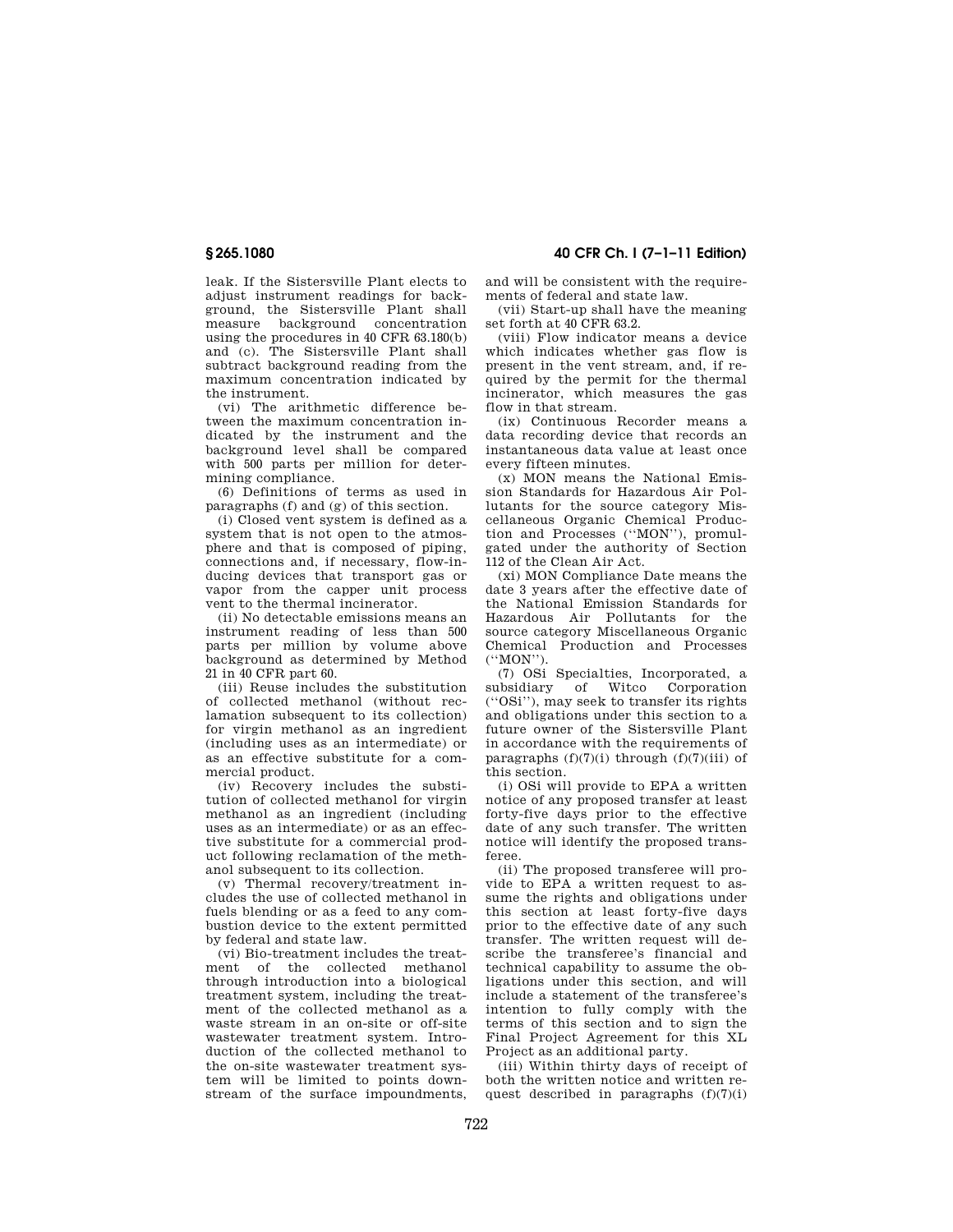leak. If the Sistersville Plant elects to adjust instrument readings for background, the Sistersville Plant shall measure background concentration using the procedures in 40 CFR 63.180(b) and (c). The Sistersville Plant shall subtract background reading from the maximum concentration indicated by the instrument.

(vi) The arithmetic difference between the maximum concentration indicated by the instrument and the background level shall be compared with 500 parts per million for determining compliance.

(6) Definitions of terms as used in paragraphs (f) and (g) of this section.

(i) Closed vent system is defined as a system that is not open to the atmosphere and that is composed of piping, connections and, if necessary, flow-inducing devices that transport gas or vapor from the capper unit process vent to the thermal incinerator.

(ii) No detectable emissions means an instrument reading of less than 500 parts per million by volume above background as determined by Method 21 in 40 CFR part 60.

(iii) Reuse includes the substitution of collected methanol (without reclamation subsequent to its collection) for virgin methanol as an ingredient (including uses as an intermediate) or as an effective substitute for a commercial product.

(iv) Recovery includes the substitution of collected methanol for virgin methanol as an ingredient (including uses as an intermediate) or as an effective substitute for a commercial product following reclamation of the methanol subsequent to its collection.

(v) Thermal recovery/treatment includes the use of collected methanol in fuels blending or as a feed to any combustion device to the extent permitted by federal and state law.

(vi) Bio-treatment includes the treatment of the collected methanol through introduction into a biological treatment system, including the treatment of the collected methanol as a waste stream in an on-site or off-site wastewater treatment system. Introduction of the collected methanol to the on-site wastewater treatment system will be limited to points downstream of the surface impoundments,

# **§ 265.1080 40 CFR Ch. I (7–1–11 Edition)**

and will be consistent with the requirements of federal and state law.

(vii) Start-up shall have the meaning set forth at 40 CFR 63.2.

(viii) Flow indicator means a device which indicates whether gas flow is present in the vent stream, and, if required by the permit for the thermal incinerator, which measures the gas flow in that stream.

(ix) Continuous Recorder means a data recording device that records an instantaneous data value at least once every fifteen minutes.

(x) MON means the National Emission Standards for Hazardous Air Pollutants for the source category Miscellaneous Organic Chemical Production and Processes (''MON''), promulgated under the authority of Section 112 of the Clean Air Act.

(xi) MON Compliance Date means the date 3 years after the effective date of the National Emission Standards for Hazardous Air Pollutants for the source category Miscellaneous Organic Chemical Production and Processes (''MON'').

(7) OSi Specialties, Incorporated, a subsidiary of Witco Corporation (''OSi''), may seek to transfer its rights and obligations under this section to a future owner of the Sistersville Plant in accordance with the requirements of paragraphs  $(f)(7)(i)$  through  $(f)(7)(iii)$  of this section.

(i) OSi will provide to EPA a written notice of any proposed transfer at least forty-five days prior to the effective date of any such transfer. The written notice will identify the proposed transferee.

(ii) The proposed transferee will provide to EPA a written request to assume the rights and obligations under this section at least forty-five days prior to the effective date of any such transfer. The written request will describe the transferee's financial and technical capability to assume the obligations under this section, and will include a statement of the transferee's intention to fully comply with the terms of this section and to sign the Final Project Agreement for this XL Project as an additional party.

(iii) Within thirty days of receipt of both the written notice and written request described in paragraphs  $(f)(7)(i)$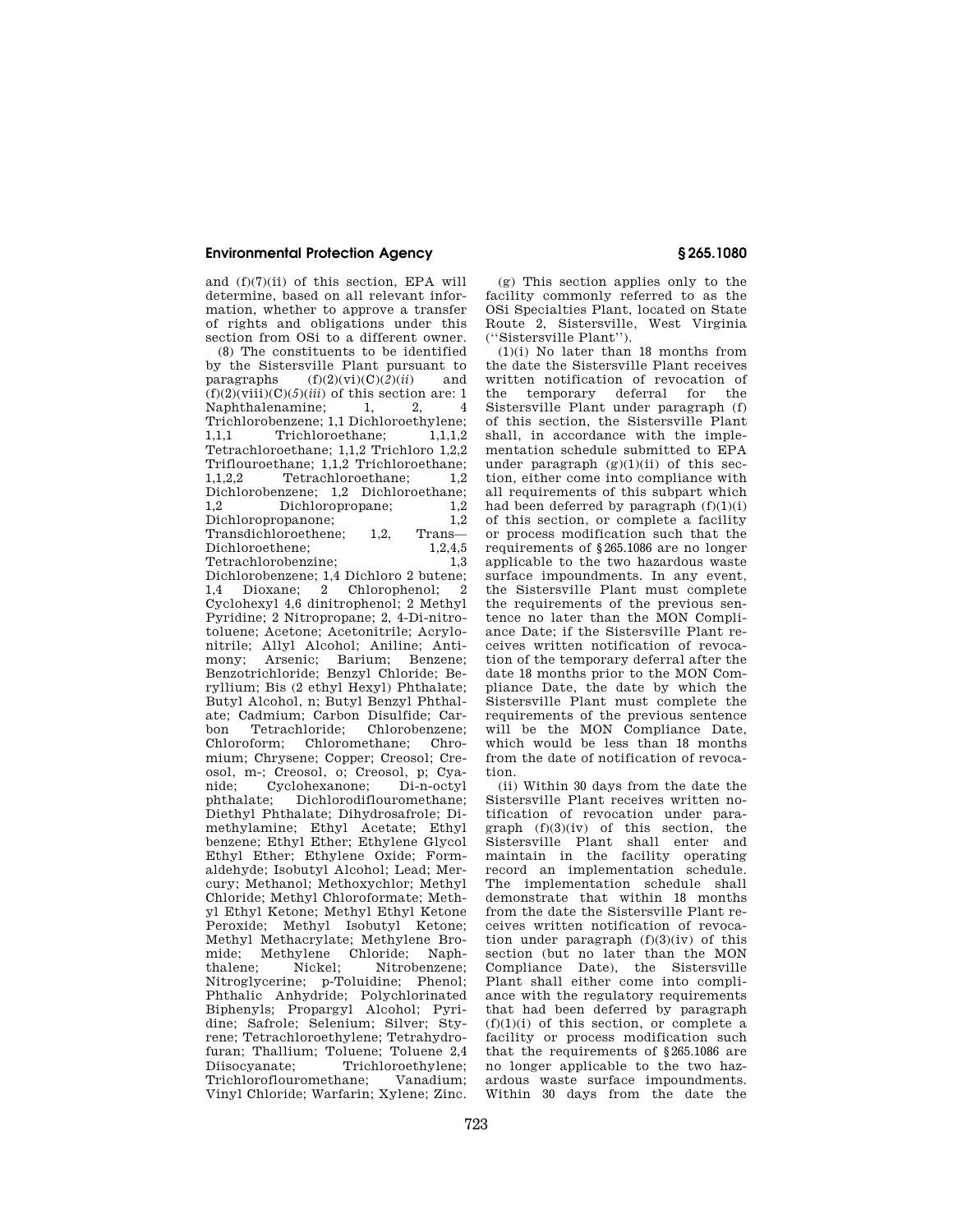and (f)(7)(ii) of this section, EPA will determine, based on all relevant information, whether to approve a transfer of rights and obligations under this section from OSi to a different owner.

(8) The constituents to be identified by the Sistersville Plant pursuant to<br>paragraphs  $(f)(2)(vi)(C)(2)(ii)$  and  $(f)(2)(vi)(C)(\overline{2})(ii)$  and  $(f)(2)(\text{viii})(C)(5)(iii)$  of this section are: 1<br>Nanhthalenamine: 1, 2, 4 Naphthalenamine: Trichlorobenzene; 1,1 Dichloroethylene; Trichloroethane; Tetrachloroethane; 1,1,2 Trichloro 1,2,2 Triflouroethane; 1,1,2 Trichloroethane;<br>1122 Tetrachloroethane; 12 Tetrachloroethane: Dichlorobenzene; 1,2 Dichloroethane;<br>1,2 Dichloropropane; 1,2 Dichloropropane; 1,2<br>
conanone; 12 Dichloropropanone; 1,2<br>Transdichloroethene; 1,2, Trans Transdichloroethene; 1,2, Trans— Dichloroethene; Tetrachlorobenzine; 1,3 Dichlorobenzene; 1,4 Dichloro 2 butene;

1,4 Dioxane; 2 Chlorophenol; 2 Cyclohexyl 4,6 dinitrophenol; 2 Methyl Pyridine; 2 Nitropropane; 2, 4-Di-nitrotoluene; Acetone; Acetonitrile; Acrylonitrile; Allyl Alcohol; Aniline; Antimony; Arsenic; Barium; Benzene; Benzotrichloride; Benzyl Chloride; Beryllium; Bis (2 ethyl Hexyl) Phthalate; Butyl Alcohol, n; Butyl Benzyl Phthalate; Cadmium; Carbon Disulfide; Carbon Tetrachloride; Chlorobenzene;<br>Chloroform: Chloromethane: Chro-Chloroform; Chloromethane; mium; Chrysene; Copper; Creosol; Creosol, m-; Creosol, o; Creosol, p; Cyanide; Cyclohexanone; phthalate; Dichlorodiflouromethane; Diethyl Phthalate; Dihydrosafrole; Dimethylamine; Ethyl Acetate; Ethyl benzene; Ethyl Ether; Ethylene Glycol Ethyl Ether; Ethylene Oxide; Formaldehyde; Isobutyl Alcohol; Lead; Mercury; Methanol; Methoxychlor; Methyl Chloride; Methyl Chloroformate; Methyl Ethyl Ketone; Methyl Ethyl Ketone Peroxide; Methyl Isobutyl Ketone; Methyl Methacrylate; Methylene Bromide; Methylene Chloride; Naph-<br>thalene; Nickel; Nitrobenzene; thalene; Nickel; Nitrobenzene; Nitroglycerine; p-Toluidine; Phenol; Phthalic Anhydride; Polychlorinated Biphenyls; Propargyl Alcohol; Pyridine; Safrole; Selenium; Silver; Styrene; Tetrachloroethylene; Tetrahydrofuran; Thallium; Toluene; Toluene 2,4 Diisocyanate; Trichloroethylene;<br>Trichloroflouromethane; Vanadium; Trichloroflouromethane; Vinyl Chloride; Warfarin; Xylene; Zinc.

(g) This section applies only to the facility commonly referred to as the OSi Specialties Plant, located on State Route 2, Sistersville, West Virginia (''Sistersville Plant'').

(1)(i) No later than 18 months from the date the Sistersville Plant receives written notification of revocation of<br>the temporary deferral for the the temporary deferral for the Sistersville Plant under paragraph (f) of this section, the Sistersville Plant shall, in accordance with the implementation schedule submitted to EPA under paragraph  $(g)(1)(ii)$  of this section, either come into compliance with all requirements of this subpart which had been deferred by paragraph  $(f)(1)(i)$ of this section, or complete a facility or process modification such that the requirements of §265.1086 are no longer applicable to the two hazardous waste surface impoundments. In any event, the Sistersville Plant must complete the requirements of the previous sentence no later than the MON Compliance Date; if the Sistersville Plant receives written notification of revocation of the temporary deferral after the date 18 months prior to the MON Compliance Date, the date by which the Sistersville Plant must complete the requirements of the previous sentence will be the MON Compliance Date, which would be less than 18 months from the date of notification of revocation.

(ii) Within 30 days from the date the Sistersville Plant receives written notification of revocation under paragraph  $(f)(3)(iv)$  of this section, the Sistersville Plant shall enter and maintain in the facility operating record an implementation schedule. The implementation schedule shall demonstrate that within 18 months from the date the Sistersville Plant receives written notification of revocation under paragraph (f)(3)(iv) of this section (but no later than the MON Compliance Date), the Sistersville Plant shall either come into compliance with the regulatory requirements that had been deferred by paragraph  $(f)(1)(i)$  of this section, or complete a facility or process modification such that the requirements of §265.1086 are no longer applicable to the two hazardous waste surface impoundments. Within 30 days from the date the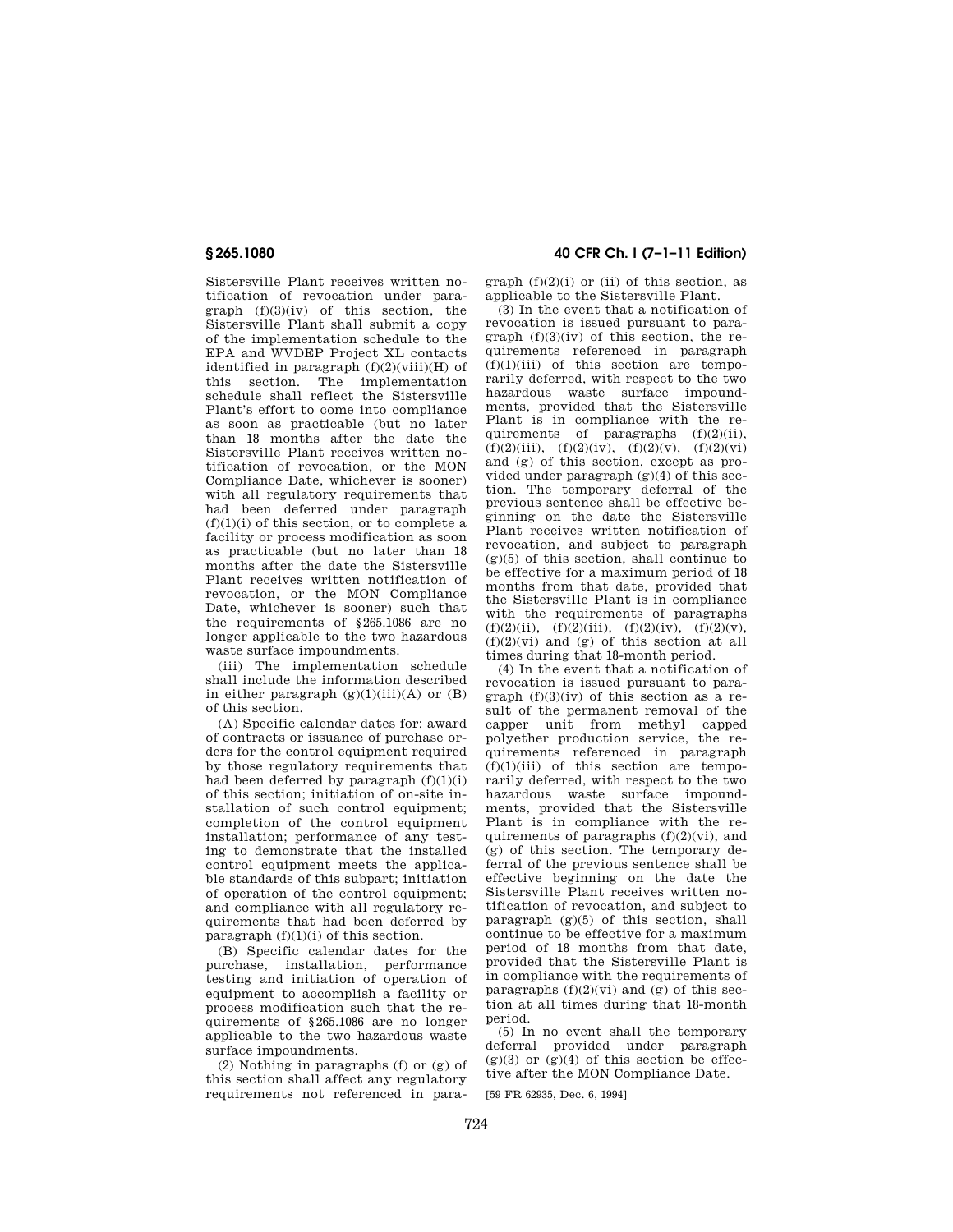Sistersville Plant receives written notification of revocation under paragraph  $(f)(3)(iv)$  of this section, the Sistersville Plant shall submit a copy of the implementation schedule to the EPA and WVDEP Project XL contacts identified in paragraph (f)(2)(viii)(H) of this section. The implementation schedule shall reflect the Sistersville Plant's effort to come into compliance as soon as practicable (but no later than 18 months after the date the Sistersville Plant receives written notification of revocation, or the MON Compliance Date, whichever is sooner) with all regulatory requirements that had been deferred under paragraph  $(f)(1)(i)$  of this section, or to complete a facility or process modification as soon as practicable (but no later than 18 months after the date the Sistersville Plant receives written notification of revocation, or the MON Compliance Date, whichever is sooner) such that the requirements of §265.1086 are no longer applicable to the two hazardous waste surface impoundments.

(iii) The implementation schedule shall include the information described in either paragraph  $(g)(1)(iii)(A)$  or  $(B)$ of this section.

(A) Specific calendar dates for: award of contracts or issuance of purchase orders for the control equipment required by those regulatory requirements that had been deferred by paragraph  $(f)(1)(i)$ of this section; initiation of on-site installation of such control equipment; completion of the control equipment installation; performance of any testing to demonstrate that the installed control equipment meets the applicable standards of this subpart; initiation of operation of the control equipment; and compliance with all regulatory requirements that had been deferred by paragraph  $(f)(1)(i)$  of this section.

(B) Specific calendar dates for the purchase, installation, performance testing and initiation of operation of equipment to accomplish a facility or process modification such that the requirements of §265.1086 are no longer applicable to the two hazardous waste surface impoundments.

(2) Nothing in paragraphs (f) or (g) of this section shall affect any regulatory requirements not referenced in para-

**§ 265.1080 40 CFR Ch. I (7–1–11 Edition)** 

graph  $(f)(2)(i)$  or  $(ii)$  of this section, as applicable to the Sistersville Plant.

(3) In the event that a notification of revocation is issued pursuant to paragraph  $(f)(3)(iv)$  of this section, the requirements referenced in paragraph  $(f)(1)(iii)$  of this section are temporarily deferred, with respect to the two hazardous waste surface impoundments, provided that the Sistersville Plant is in compliance with the requirements of paragraphs (f)(2)(ii),  $(f)(2)(iii)$ ,  $(f)(2)(iv)$ ,  $(f)(2)(v)$ ,  $(f)(2)(vi)$ and (g) of this section, except as provided under paragraph  $(g)(4)$  of this section. The temporary deferral of the previous sentence shall be effective beginning on the date the Sistersville Plant receives written notification of revocation, and subject to paragraph  $(g)(5)$  of this section, shall continue to be effective for a maximum period of 18 months from that date, provided that the Sistersville Plant is in compliance with the requirements of paragraphs  $(f)(2)(ii)$ ,  $(f)(2)(iii)$ ,  $(f)(2)(iv)$ ,  $(f)(2)(v)$ ,  $(f)(2)(vi)$  and  $(g)$  of this section at all times during that 18-month period.

(4) In the event that a notification of revocation is issued pursuant to paragraph  $(f)(3)(iv)$  of this section as a result of the permanent removal of the capper unit from methyl capped polyether production service, the requirements referenced in paragraph  $(f)(1)(iii)$  of this section are temporarily deferred, with respect to the two hazardous waste surface impoundments, provided that the Sistersville Plant is in compliance with the requirements of paragraphs (f)(2)(vi), and (g) of this section. The temporary deferral of the previous sentence shall be effective beginning on the date the Sistersville Plant receives written notification of revocation, and subject to paragraph  $(g)(5)$  of this section, shall continue to be effective for a maximum period of 18 months from that date, provided that the Sistersville Plant is in compliance with the requirements of paragraphs  $(f)(2)(vi)$  and  $(g)$  of this section at all times during that 18-month period.

(5) In no event shall the temporary deferral provided under paragraph  $(g)(3)$  or  $(g)(4)$  of this section be effective after the MON Compliance Date.

[59 FR 62935, Dec. 6, 1994]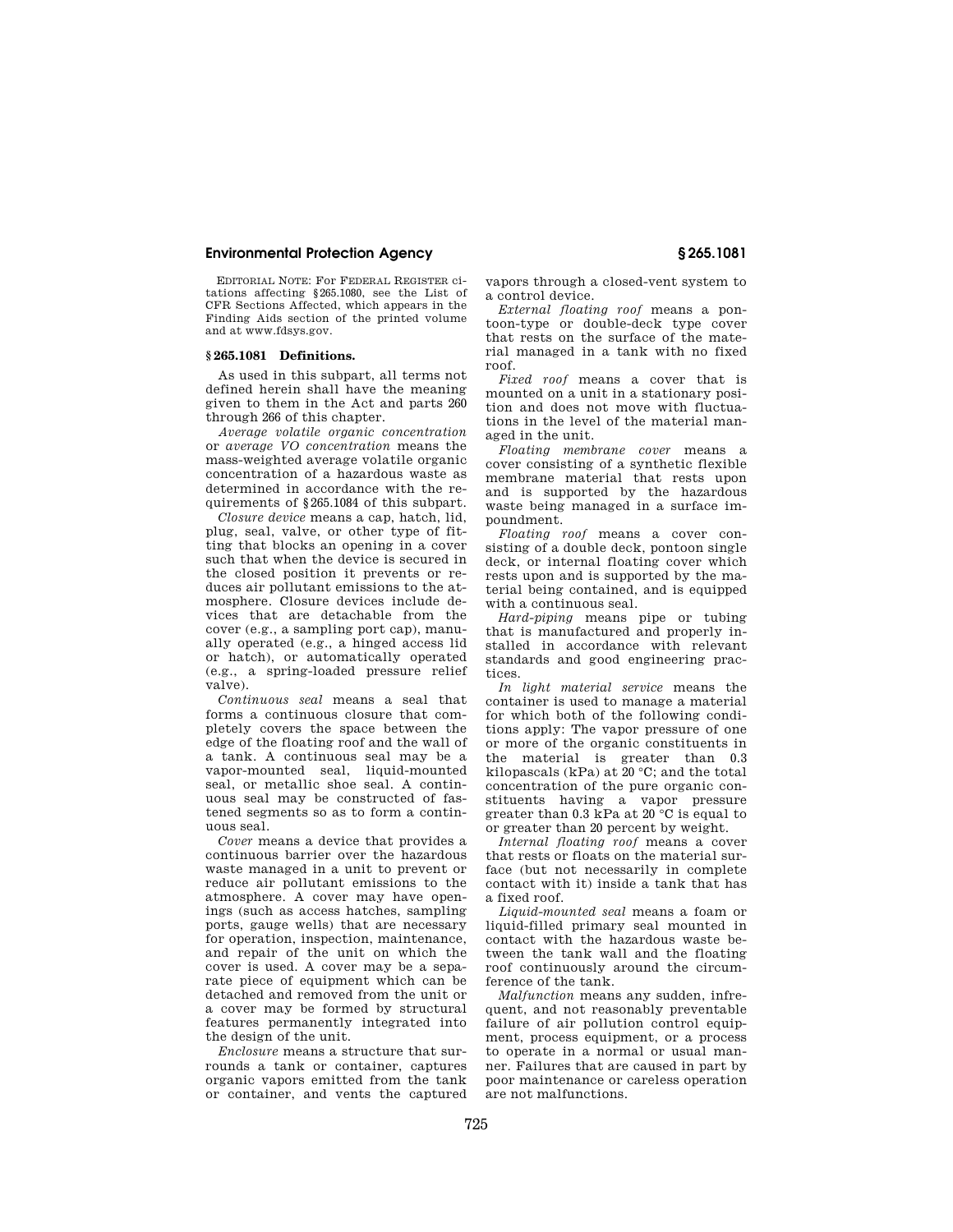EDITORIAL NOTE: For FEDERAL REGISTER citations affecting §265.1080, see the List of CFR Sections Affected, which appears in the Finding Aids section of the printed volume and at www.fdsys.gov.

### **§ 265.1081 Definitions.**

As used in this subpart, all terms not defined herein shall have the meaning given to them in the Act and parts 260 through 266 of this chapter.

*Average volatile organic concentration*  or *average VO concentration* means the mass-weighted average volatile organic concentration of a hazardous waste as determined in accordance with the requirements of §265.1084 of this subpart.

*Closure device* means a cap, hatch, lid, plug, seal, valve, or other type of fitting that blocks an opening in a cover such that when the device is secured in the closed position it prevents or reduces air pollutant emissions to the atmosphere. Closure devices include devices that are detachable from the cover (e.g., a sampling port cap), manually operated (e.g., a hinged access lid or hatch), or automatically operated (e.g., a spring-loaded pressure relief valve).

*Continuous seal* means a seal that forms a continuous closure that completely covers the space between the edge of the floating roof and the wall of a tank. A continuous seal may be a vapor-mounted seal, liquid-mounted seal, or metallic shoe seal. A continuous seal may be constructed of fastened segments so as to form a continuous seal.

*Cover* means a device that provides a continuous barrier over the hazardous waste managed in a unit to prevent or reduce air pollutant emissions to the atmosphere. A cover may have openings (such as access hatches, sampling ports, gauge wells) that are necessary for operation, inspection, maintenance, and repair of the unit on which the cover is used. A cover may be a separate piece of equipment which can be detached and removed from the unit or a cover may be formed by structural features permanently integrated into the design of the unit.

*Enclosure* means a structure that surrounds a tank or container, captures organic vapors emitted from the tank or container, and vents the captured

vapors through a closed-vent system to a control device.

*External floating roof* means a pontoon-type or double-deck type cover that rests on the surface of the material managed in a tank with no fixed roof.

*Fixed roof* means a cover that is mounted on a unit in a stationary position and does not move with fluctuations in the level of the material managed in the unit.

*Floating membrane cover* means a cover consisting of a synthetic flexible membrane material that rests upon and is supported by the hazardous waste being managed in a surface impoundment.

*Floating roof* means a cover consisting of a double deck, pontoon single deck, or internal floating cover which rests upon and is supported by the material being contained, and is equipped with a continuous seal.

*Hard-piping* means pipe or tubing that is manufactured and properly installed in accordance with relevant standards and good engineering practices.

*In light material service* means the container is used to manage a material for which both of the following conditions apply: The vapor pressure of one or more of the organic constituents in the material is greater than 0.3 kilopascals (kPa) at 20 °C; and the total concentration of the pure organic constituents having a vapor pressure greater than 0.3 kPa at  $20^{\circ}$ C is equal to or greater than 20 percent by weight.

*Internal floating roof* means a cover that rests or floats on the material surface (but not necessarily in complete contact with it) inside a tank that has a fixed roof.

*Liquid-mounted seal* means a foam or liquid-filled primary seal mounted in contact with the hazardous waste between the tank wall and the floating roof continuously around the circumference of the tank.

*Malfunction* means any sudden, infrequent, and not reasonably preventable failure of air pollution control equipment, process equipment, or a process to operate in a normal or usual manner. Failures that are caused in part by poor maintenance or careless operation are not malfunctions.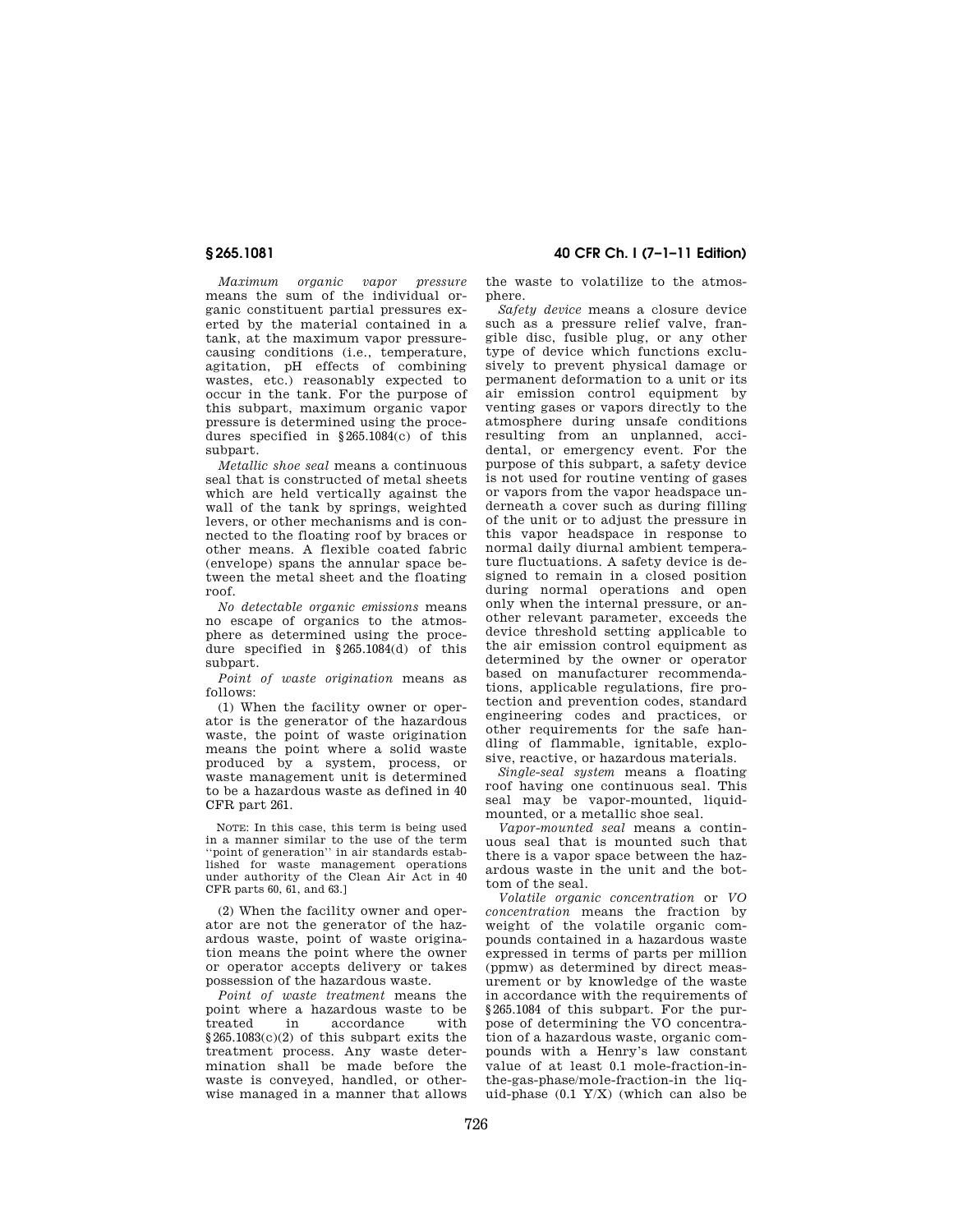*Maximum organic vapor pressure*  means the sum of the individual organic constituent partial pressures exerted by the material contained in a tank, at the maximum vapor pressurecausing conditions (i.e., temperature, agitation, pH effects of combining wastes, etc.) reasonably expected to occur in the tank. For the purpose of this subpart, maximum organic vapor pressure is determined using the procedures specified in §265.1084(c) of this subpart.

*Metallic shoe seal* means a continuous seal that is constructed of metal sheets which are held vertically against the wall of the tank by springs, weighted levers, or other mechanisms and is connected to the floating roof by braces or other means. A flexible coated fabric (envelope) spans the annular space between the metal sheet and the floating roof.

*No detectable organic emissions* means no escape of organics to the atmosphere as determined using the procedure specified in  $\S 265.1084(d)$  of this subpart.

*Point of waste origination* means as follows:

(1) When the facility owner or operator is the generator of the hazardous waste, the point of waste origination means the point where a solid waste produced by a system, process, or waste management unit is determined to be a hazardous waste as defined in 40 CFR part 261.

NOTE: In this case, this term is being used in a manner similar to the use of the term ''point of generation'' in air standards established for waste management operations under authority of the Clean Air Act in 40 CFR parts 60, 61, and 63.]

(2) When the facility owner and operator are not the generator of the hazardous waste, point of waste origination means the point where the owner or operator accepts delivery or takes possession of the hazardous waste.

*Point of waste treatment* means the point where a hazardous waste to be<br>treated in accordance with accordance §265.1083(c)(2) of this subpart exits the treatment process. Any waste determination shall be made before the waste is conveyed, handled, or otherwise managed in a manner that allows

**§ 265.1081 40 CFR Ch. I (7–1–11 Edition)** 

the waste to volatilize to the atmosphere.

*Safety device* means a closure device such as a pressure relief valve, frangible disc, fusible plug, or any other type of device which functions exclusively to prevent physical damage or permanent deformation to a unit or its air emission control equipment by venting gases or vapors directly to the atmosphere during unsafe conditions resulting from an unplanned, accidental, or emergency event. For the purpose of this subpart, a safety device is not used for routine venting of gases or vapors from the vapor headspace underneath a cover such as during filling of the unit or to adjust the pressure in this vapor headspace in response to normal daily diurnal ambient temperature fluctuations. A safety device is designed to remain in a closed position during normal operations and open only when the internal pressure, or another relevant parameter, exceeds the device threshold setting applicable to the air emission control equipment as determined by the owner or operator based on manufacturer recommendations, applicable regulations, fire protection and prevention codes, standard engineering codes and practices, or other requirements for the safe handling of flammable, ignitable, explosive, reactive, or hazardous materials.

*Single-seal system* means a floating roof having one continuous seal. This seal may be vapor-mounted, liquidmounted, or a metallic shoe seal.

*Vapor-mounted seal* means a continuous seal that is mounted such that there is a vapor space between the hazardous waste in the unit and the bottom of the seal.

*Volatile organic concentration* or *VO concentration* means the fraction by weight of the volatile organic compounds contained in a hazardous waste expressed in terms of parts per million (ppmw) as determined by direct measurement or by knowledge of the waste in accordance with the requirements of §265.1084 of this subpart. For the purpose of determining the VO concentration of a hazardous waste, organic compounds with a Henry's law constant value of at least 0.1 mole-fraction-inthe-gas-phase/mole-fraction-in the liquid-phase (0.1 Y/X) (which can also be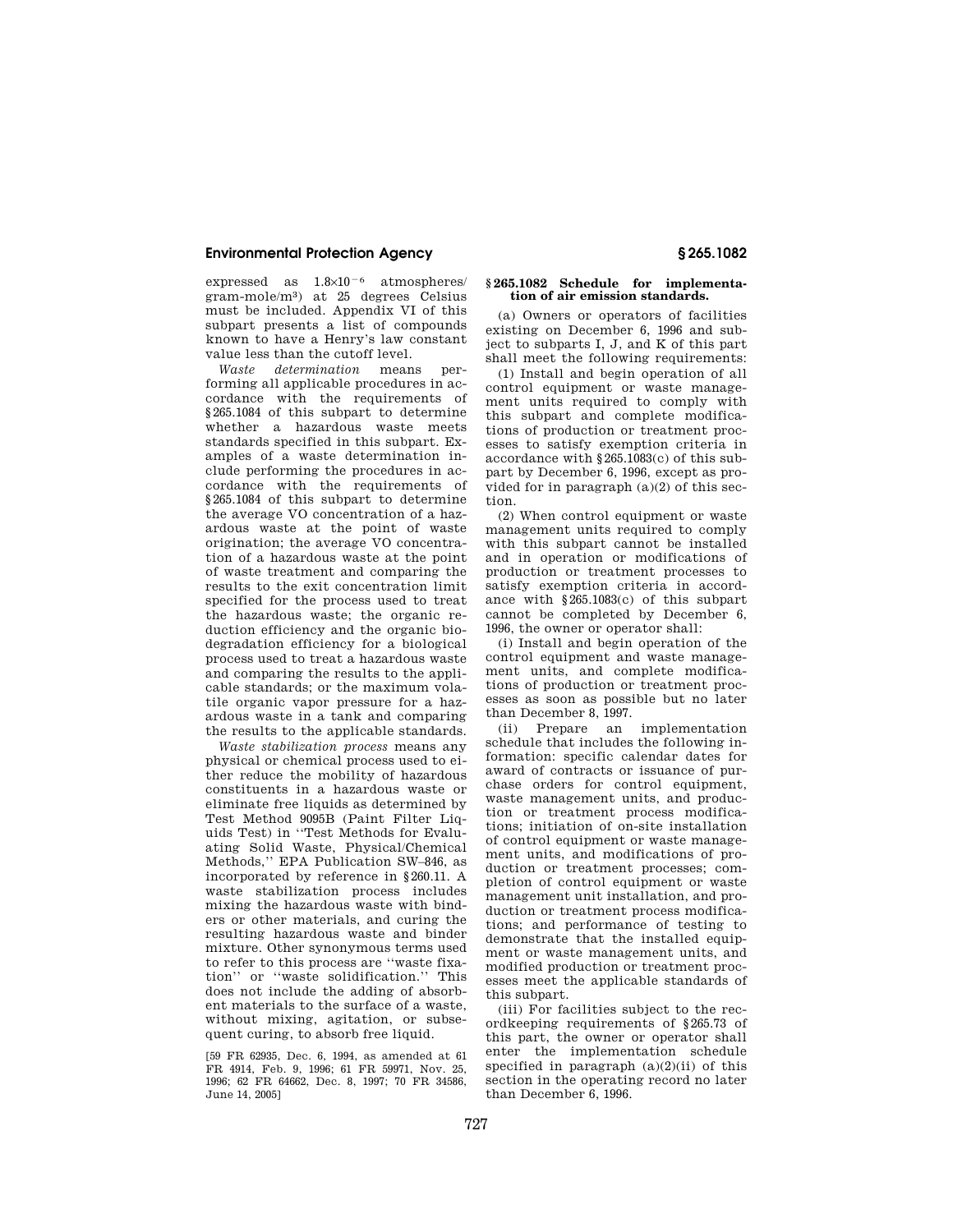expressed as  $1.8\times10^{-6}$  atmospheres/ gram-mole/m3) at 25 degrees Celsius must be included. Appendix VI of this subpart presents a list of compounds known to have a Henry's law constant value less than the cutoff level.

*Waste determination* means performing all applicable procedures in accordance with the requirements of §265.1084 of this subpart to determine whether a hazardous waste meets standards specified in this subpart. Examples of a waste determination include performing the procedures in accordance with the requirements of §265.1084 of this subpart to determine the average VO concentration of a hazardous waste at the point of waste origination; the average VO concentration of a hazardous waste at the point of waste treatment and comparing the results to the exit concentration limit specified for the process used to treat the hazardous waste; the organic reduction efficiency and the organic biodegradation efficiency for a biological process used to treat a hazardous waste and comparing the results to the applicable standards; or the maximum volatile organic vapor pressure for a hazardous waste in a tank and comparing the results to the applicable standards.

*Waste stabilization process* means any physical or chemical process used to either reduce the mobility of hazardous constituents in a hazardous waste or eliminate free liquids as determined by Test Method 9095B (Paint Filter Liquids Test) in ''Test Methods for Evaluating Solid Waste, Physical/Chemical Methods,'' EPA Publication SW–846, as incorporated by reference in §260.11. A waste stabilization process includes mixing the hazardous waste with binders or other materials, and curing the resulting hazardous waste and binder mixture. Other synonymous terms used to refer to this process are ''waste fixation'' or ''waste solidification.'' This does not include the adding of absorbent materials to the surface of a waste, without mixing, agitation, or subsequent curing, to absorb free liquid.

[59 FR 62935, Dec. 6, 1994, as amended at 61 FR 4914, Feb. 9, 1996; 61 FR 59971, Nov. 25, 1996; 62 FR 64662, Dec. 8, 1997; 70 FR 34586, June 14, 2005]

### **§ 265.1082 Schedule for implementation of air emission standards.**

(a) Owners or operators of facilities existing on December 6, 1996 and subject to subparts I, J, and K of this part shall meet the following requirements:

(1) Install and begin operation of all control equipment or waste management units required to comply with this subpart and complete modifications of production or treatment processes to satisfy exemption criteria in accordance with §265.1083(c) of this subpart by December 6, 1996, except as provided for in paragraph (a)(2) of this section.

(2) When control equipment or waste management units required to comply with this subpart cannot be installed and in operation or modifications of production or treatment processes to satisfy exemption criteria in accordance with §265.1083(c) of this subpart cannot be completed by December 6, 1996, the owner or operator shall:

(i) Install and begin operation of the control equipment and waste management units, and complete modifications of production or treatment processes as soon as possible but no later than December 8, 1997.

(ii) Prepare an implementation schedule that includes the following information: specific calendar dates for award of contracts or issuance of purchase orders for control equipment, waste management units, and production or treatment process modifications; initiation of on-site installation of control equipment or waste management units, and modifications of production or treatment processes; completion of control equipment or waste management unit installation, and production or treatment process modifications; and performance of testing to demonstrate that the installed equipment or waste management units, and modified production or treatment processes meet the applicable standards of this subpart.

(iii) For facilities subject to the recordkeeping requirements of §265.73 of this part, the owner or operator shall enter the implementation schedule specified in paragraph  $(a)(2)(ii)$  of this section in the operating record no later than December 6, 1996.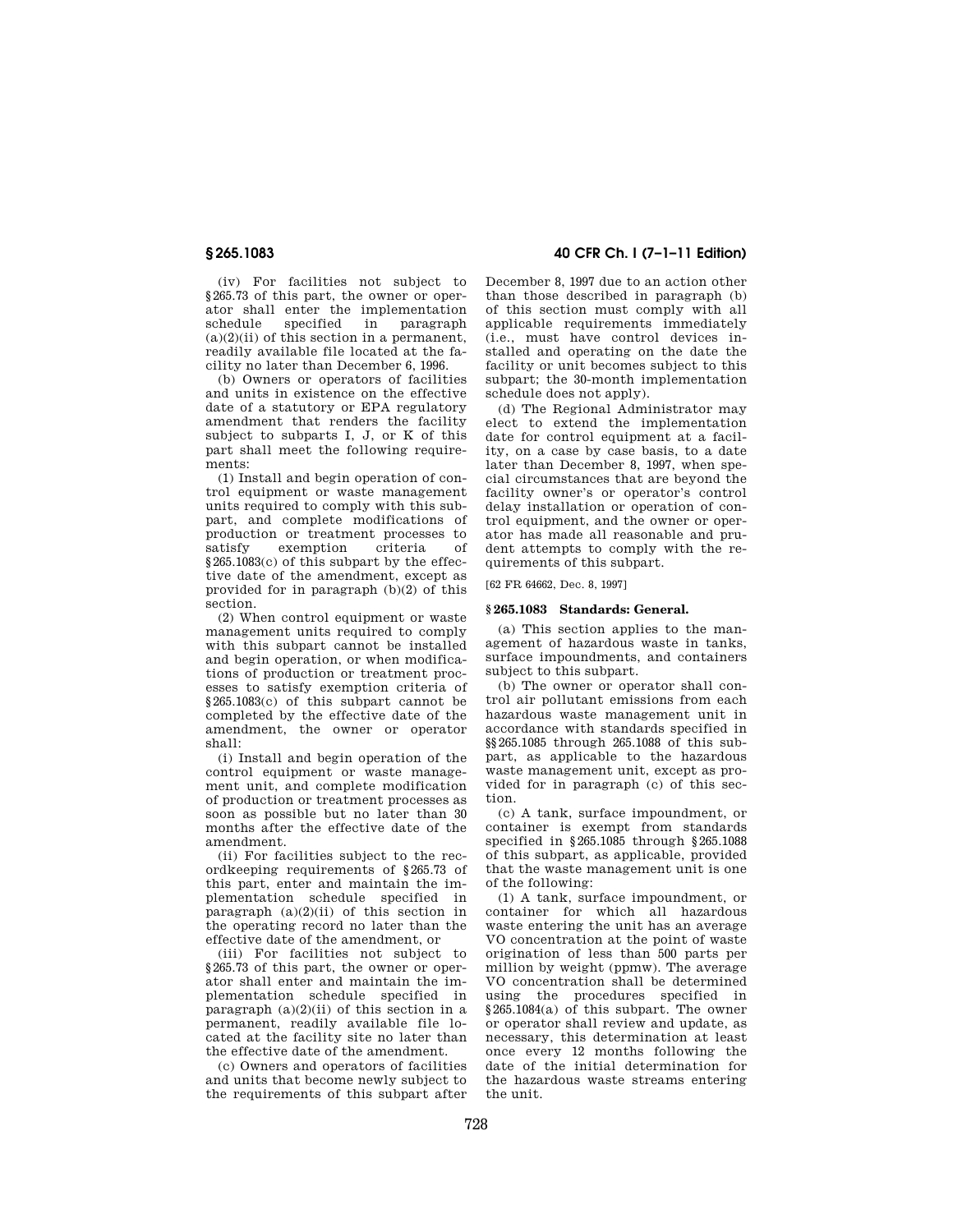(iv) For facilities not subject to §265.73 of this part, the owner or operator shall enter the implementation schedule specified in paragraph  $(a)(2)(ii)$  of this section in a permanent. readily available file located at the facility no later than December 6, 1996.

(b) Owners or operators of facilities and units in existence on the effective date of a statutory or EPA regulatory amendment that renders the facility subject to subparts I, J, or K of this part shall meet the following requirements:

(1) Install and begin operation of control equipment or waste management units required to comply with this subpart, and complete modifications of production or treatment processes to<br>satisfy exemption criteria of exemption criteria of §265.1083(c) of this subpart by the effective date of the amendment, except as provided for in paragraph (b)(2) of this section.

(2) When control equipment or waste management units required to comply with this subpart cannot be installed and begin operation, or when modifications of production or treatment processes to satisfy exemption criteria of §265.1083(c) of this subpart cannot be completed by the effective date of the amendment, the owner or operator shall:

(i) Install and begin operation of the control equipment or waste management unit, and complete modification of production or treatment processes as soon as possible but no later than 30 months after the effective date of the amendment.

(ii) For facilities subject to the recordkeeping requirements of §265.73 of this part, enter and maintain the implementation schedule specified in paragraph  $(a)(2)(ii)$  of this section in the operating record no later than the effective date of the amendment, or

(iii) For facilities not subject to §265.73 of this part, the owner or operator shall enter and maintain the implementation schedule specified in paragraph  $(a)(2)(ii)$  of this section in a permanent, readily available file located at the facility site no later than the effective date of the amendment.

(c) Owners and operators of facilities and units that become newly subject to the requirements of this subpart after

# **§ 265.1083 40 CFR Ch. I (7–1–11 Edition)**

December 8, 1997 due to an action other than those described in paragraph (b) of this section must comply with all applicable requirements immediately (i.e., must have control devices installed and operating on the date the facility or unit becomes subject to this subpart; the 30-month implementation schedule does not apply).

(d) The Regional Administrator may elect to extend the implementation date for control equipment at a facility, on a case by case basis, to a date later than December 8, 1997, when special circumstances that are beyond the facility owner's or operator's control delay installation or operation of control equipment, and the owner or operator has made all reasonable and prudent attempts to comply with the requirements of this subpart.

[62 FR 64662, Dec. 8, 1997]

## **§ 265.1083 Standards: General.**

(a) This section applies to the management of hazardous waste in tanks, surface impoundments, and containers subject to this subpart.

(b) The owner or operator shall control air pollutant emissions from each hazardous waste management unit in accordance with standards specified in §§265.1085 through 265.1088 of this subpart, as applicable to the hazardous waste management unit, except as provided for in paragraph (c) of this section.

(c) A tank, surface impoundment, or container is exempt from standards specified in §265.1085 through §265.1088 of this subpart, as applicable, provided that the waste management unit is one of the following:

(1) A tank, surface impoundment, or container for which all hazardous waste entering the unit has an average VO concentration at the point of waste origination of less than 500 parts per million by weight (ppmw). The average VO concentration shall be determined using the procedures specified in §265.1084(a) of this subpart. The owner or operator shall review and update, as necessary, this determination at least once every 12 months following the date of the initial determination for the hazardous waste streams entering the unit.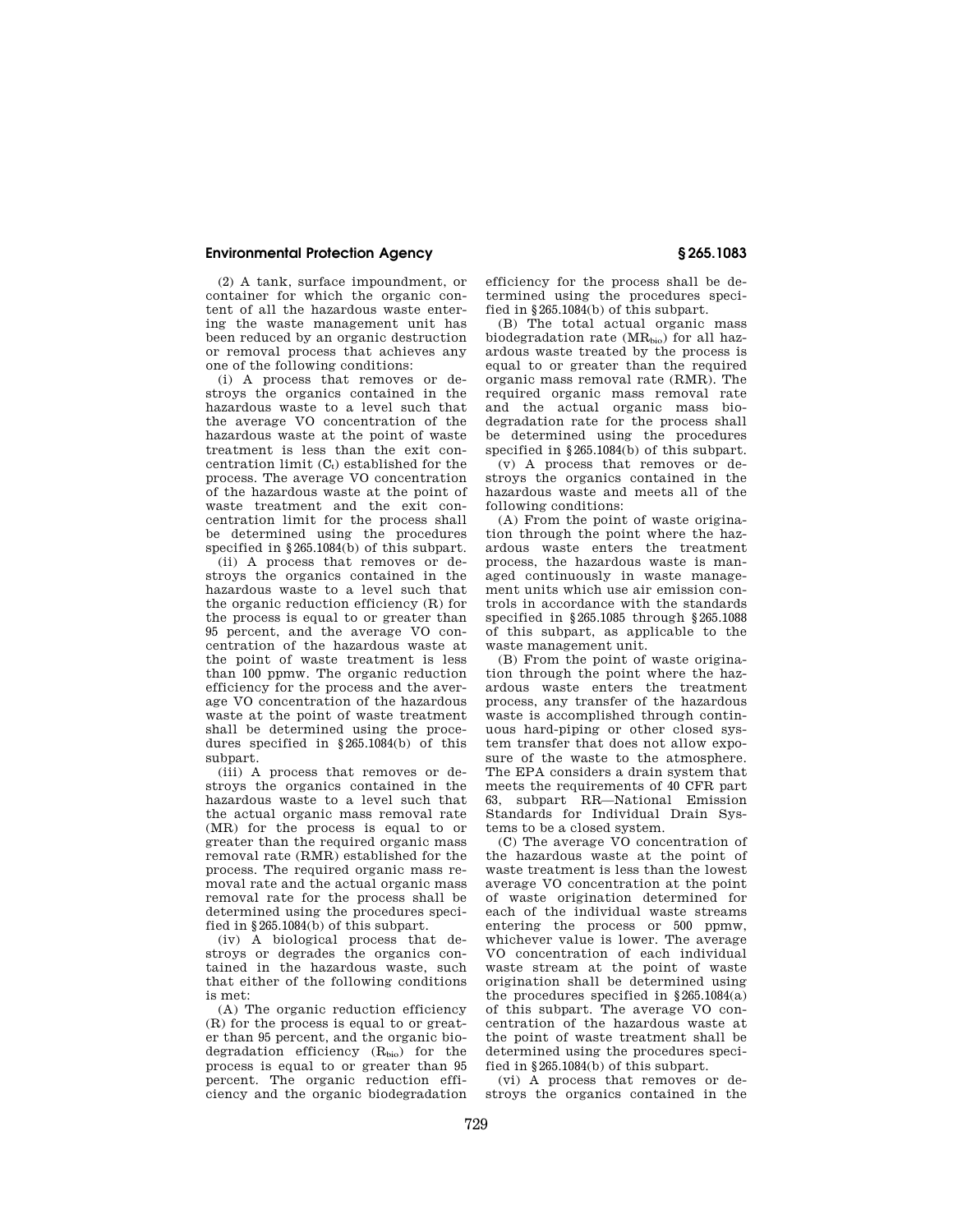(2) A tank, surface impoundment, or container for which the organic content of all the hazardous waste entering the waste management unit has been reduced by an organic destruction or removal process that achieves any one of the following conditions:

(i) A process that removes or destroys the organics contained in the hazardous waste to a level such that the average VO concentration of the hazardous waste at the point of waste treatment is less than the exit concentration limit  $(C_t)$  established for the process. The average VO concentration of the hazardous waste at the point of waste treatment and the exit concentration limit for the process shall be determined using the procedures specified in §265.1084(b) of this subpart.

(ii) A process that removes or destroys the organics contained in the hazardous waste to a level such that the organic reduction efficiency (R) for the process is equal to or greater than 95 percent, and the average VO concentration of the hazardous waste at the point of waste treatment is less than 100 ppmw. The organic reduction efficiency for the process and the average VO concentration of the hazardous waste at the point of waste treatment shall be determined using the procedures specified in  $§265.1084(b)$  of this subpart.

(iii) A process that removes or destroys the organics contained in the hazardous waste to a level such that the actual organic mass removal rate (MR) for the process is equal to or greater than the required organic mass removal rate (RMR) established for the process. The required organic mass removal rate and the actual organic mass removal rate for the process shall be determined using the procedures specified in §265.1084(b) of this subpart.

(iv) A biological process that destroys or degrades the organics contained in the hazardous waste, such that either of the following conditions is met:

(A) The organic reduction efficiency (R) for the process is equal to or greater than 95 percent, and the organic biodegradation efficiency  $(R<sub>bio</sub>)$  for the process is equal to or greater than 95 percent. The organic reduction efficiency and the organic biodegradation efficiency for the process shall be determined using the procedures specified in  $§265.1084(b)$  of this subpart.

(B) The total actual organic mass biodegradation rate  $(MR_{bio})$  for all hazardous waste treated by the process is equal to or greater than the required organic mass removal rate (RMR). The required organic mass removal rate and the actual organic mass biodegradation rate for the process shall be determined using the procedures specified in §265.1084(b) of this subpart.

(v) A process that removes or destroys the organics contained in the hazardous waste and meets all of the following conditions:

(A) From the point of waste origination through the point where the hazardous waste enters the treatment process, the hazardous waste is managed continuously in waste management units which use air emission controls in accordance with the standards specified in §265.1085 through §265.1088 of this subpart, as applicable to the waste management unit.

(B) From the point of waste origination through the point where the hazardous waste enters the treatment process, any transfer of the hazardous waste is accomplished through continuous hard-piping or other closed system transfer that does not allow exposure of the waste to the atmosphere. The EPA considers a drain system that meets the requirements of 40 CFR part 63, subpart RR—National Emission Standards for Individual Drain Systems to be a closed system.

(C) The average VO concentration of the hazardous waste at the point of waste treatment is less than the lowest average VO concentration at the point of waste origination determined for each of the individual waste streams entering the process or 500 ppmw, whichever value is lower. The average VO concentration of each individual waste stream at the point of waste origination shall be determined using the procedures specified in  $§265.1084(a)$ of this subpart. The average VO concentration of the hazardous waste at the point of waste treatment shall be determined using the procedures specified in §265.1084(b) of this subpart.

(vi) A process that removes or destroys the organics contained in the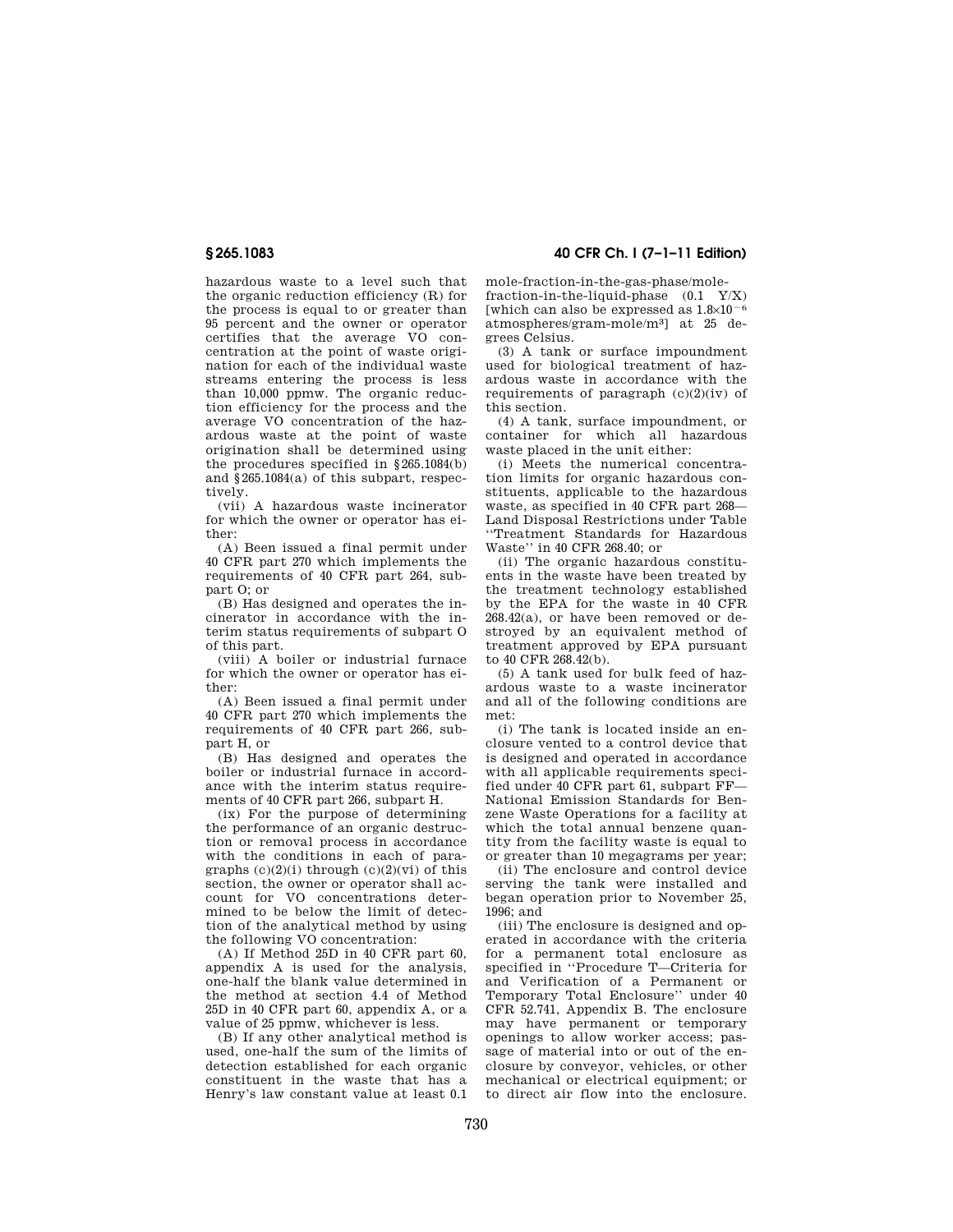hazardous waste to a level such that the organic reduction efficiency (R) for the process is equal to or greater than 95 percent and the owner or operator certifies that the average VO concentration at the point of waste origination for each of the individual waste streams entering the process is less than 10,000 ppmw. The organic reduction efficiency for the process and the average VO concentration of the hazardous waste at the point of waste origination shall be determined using the procedures specified in §265.1084(b) and §265.1084(a) of this subpart, respectively.

(vii) A hazardous waste incinerator for which the owner or operator has either:

(A) Been issued a final permit under 40 CFR part 270 which implements the requirements of 40 CFR part 264, subpart O; or

(B) Has designed and operates the incinerator in accordance with the interim status requirements of subpart O of this part.

(viii) A boiler or industrial furnace for which the owner or operator has either:

(A) Been issued a final permit under 40 CFR part 270 which implements the requirements of 40 CFR part 266, subpart H, or

(B) Has designed and operates the boiler or industrial furnace in accordance with the interim status requirements of 40 CFR part 266, subpart H.

(ix) For the purpose of determining the performance of an organic destruction or removal process in accordance with the conditions in each of paragraphs  $(c)(2)(i)$  through  $(c)(2)(vi)$  of this section, the owner or operator shall account for VO concentrations determined to be below the limit of detection of the analytical method by using the following VO concentration:

(A) If Method 25D in 40 CFR part 60, appendix A is used for the analysis, one-half the blank value determined in the method at section 4.4 of Method 25D in 40 CFR part 60, appendix A, or a value of 25 ppmw, whichever is less.

(B) If any other analytical method is used, one-half the sum of the limits of detection established for each organic constituent in the waste that has a Henry's law constant value at least 0.1

**§ 265.1083 40 CFR Ch. I (7–1–11 Edition)** 

mole-fraction-in-the-gas-phase/molefraction-in-the-liquid-phase  $(0.1 Y/X)$ [which can also be expressed as  $1.8\times10^{-6}$ atmospheres/gram-mole/m3] at 25 degrees Celsius.

(3) A tank or surface impoundment used for biological treatment of hazardous waste in accordance with the requirements of paragraph  $(c)(2)(iv)$  of this section.

(4) A tank, surface impoundment, or container for which all hazardous waste placed in the unit either:

(i) Meets the numerical concentration limits for organic hazardous constituents, applicable to the hazardous waste, as specified in 40 CFR part 268— Land Disposal Restrictions under Table ''Treatment Standards for Hazardous Waste'' in 40 CFR 268.40; or

(ii) The organic hazardous constituents in the waste have been treated by the treatment technology established by the EPA for the waste in 40 CFR  $268.42(a)$ , or have been removed or destroyed by an equivalent method of treatment approved by EPA pursuant to 40 CFR 268.42(b).

(5) A tank used for bulk feed of hazardous waste to a waste incinerator and all of the following conditions are met:

(i) The tank is located inside an enclosure vented to a control device that is designed and operated in accordance with all applicable requirements specified under 40 CFR part 61, subpart FF— National Emission Standards for Benzene Waste Operations for a facility at which the total annual benzene quantity from the facility waste is equal to or greater than 10 megagrams per year;

(ii) The enclosure and control device serving the tank were installed and began operation prior to November 25,  $1996$ ; and

(iii) The enclosure is designed and operated in accordance with the criteria for a permanent total enclosure as specified in ''Procedure T—Criteria for and Verification of a Permanent or Temporary Total Enclosure'' under 40 CFR 52.741, Appendix B. The enclosure may have permanent or temporary openings to allow worker access; passage of material into or out of the enclosure by conveyor, vehicles, or other mechanical or electrical equipment; or to direct air flow into the enclosure.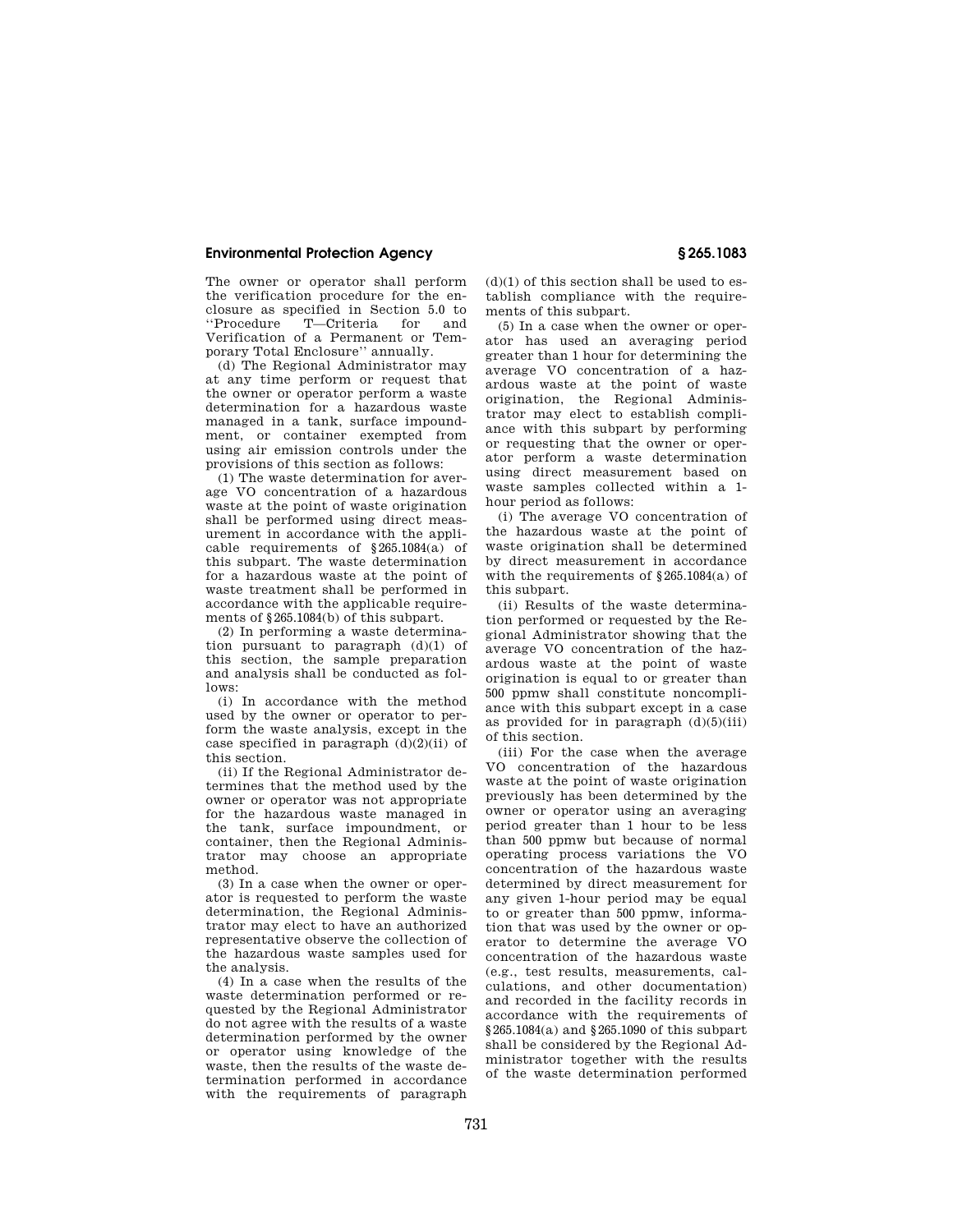The owner or operator shall perform the verification procedure for the enclosure as specified in Section 5.0 to "Procedure T—Criteria for Verification of a Permanent or Temporary Total Enclosure'' annually.

(d) The Regional Administrator may at any time perform or request that the owner or operator perform a waste determination for a hazardous waste managed in a tank, surface impoundment, or container exempted from using air emission controls under the provisions of this section as follows:

(1) The waste determination for average VO concentration of a hazardous waste at the point of waste origination shall be performed using direct measurement in accordance with the applicable requirements of §265.1084(a) of this subpart. The waste determination for a hazardous waste at the point of waste treatment shall be performed in accordance with the applicable requirements of §265.1084(b) of this subpart.

(2) In performing a waste determination pursuant to paragraph (d)(1) of this section, the sample preparation and analysis shall be conducted as follows:

(i) In accordance with the method used by the owner or operator to perform the waste analysis, except in the case specified in paragraph  $(d)(2)(ii)$  of this section.

(ii) If the Regional Administrator determines that the method used by the owner or operator was not appropriate for the hazardous waste managed in the tank, surface impoundment, or container, then the Regional Administrator may choose an appropriate method.

(3) In a case when the owner or operator is requested to perform the waste determination, the Regional Administrator may elect to have an authorized representative observe the collection of the hazardous waste samples used for the analysis.

(4) In a case when the results of the waste determination performed or requested by the Regional Administrator do not agree with the results of a waste determination performed by the owner or operator using knowledge of the waste, then the results of the waste determination performed in accordance with the requirements of paragraph

 $(d)(1)$  of this section shall be used to establish compliance with the requirements of this subpart.

 $(5)$  In a case when the owner or operator has used an averaging period greater than 1 hour for determining the average VO concentration of a hazardous waste at the point of waste origination, the Regional Administrator may elect to establish compliance with this subpart by performing or requesting that the owner or operator perform a waste determination using direct measurement based on waste samples collected within a 1 hour period as follows:

(i) The average VO concentration of the hazardous waste at the point of waste origination shall be determined by direct measurement in accordance with the requirements of §265.1084(a) of this subpart.

(ii) Results of the waste determination performed or requested by the Regional Administrator showing that the average VO concentration of the hazardous waste at the point of waste origination is equal to or greater than 500 ppmw shall constitute noncompliance with this subpart except in a case as provided for in paragraph  $(d)(5)(iii)$ of this section.

(iii) For the case when the average VO concentration of the hazardous waste at the point of waste origination previously has been determined by the owner or operator using an averaging period greater than 1 hour to be less than 500 ppmw but because of normal operating process variations the VO concentration of the hazardous waste determined by direct measurement for any given 1-hour period may be equal to or greater than 500 ppmw, information that was used by the owner or operator to determine the average VO concentration of the hazardous waste (e.g., test results, measurements, calculations, and other documentation) and recorded in the facility records in accordance with the requirements of §265.1084(a) and §265.1090 of this subpart shall be considered by the Regional Administrator together with the results of the waste determination performed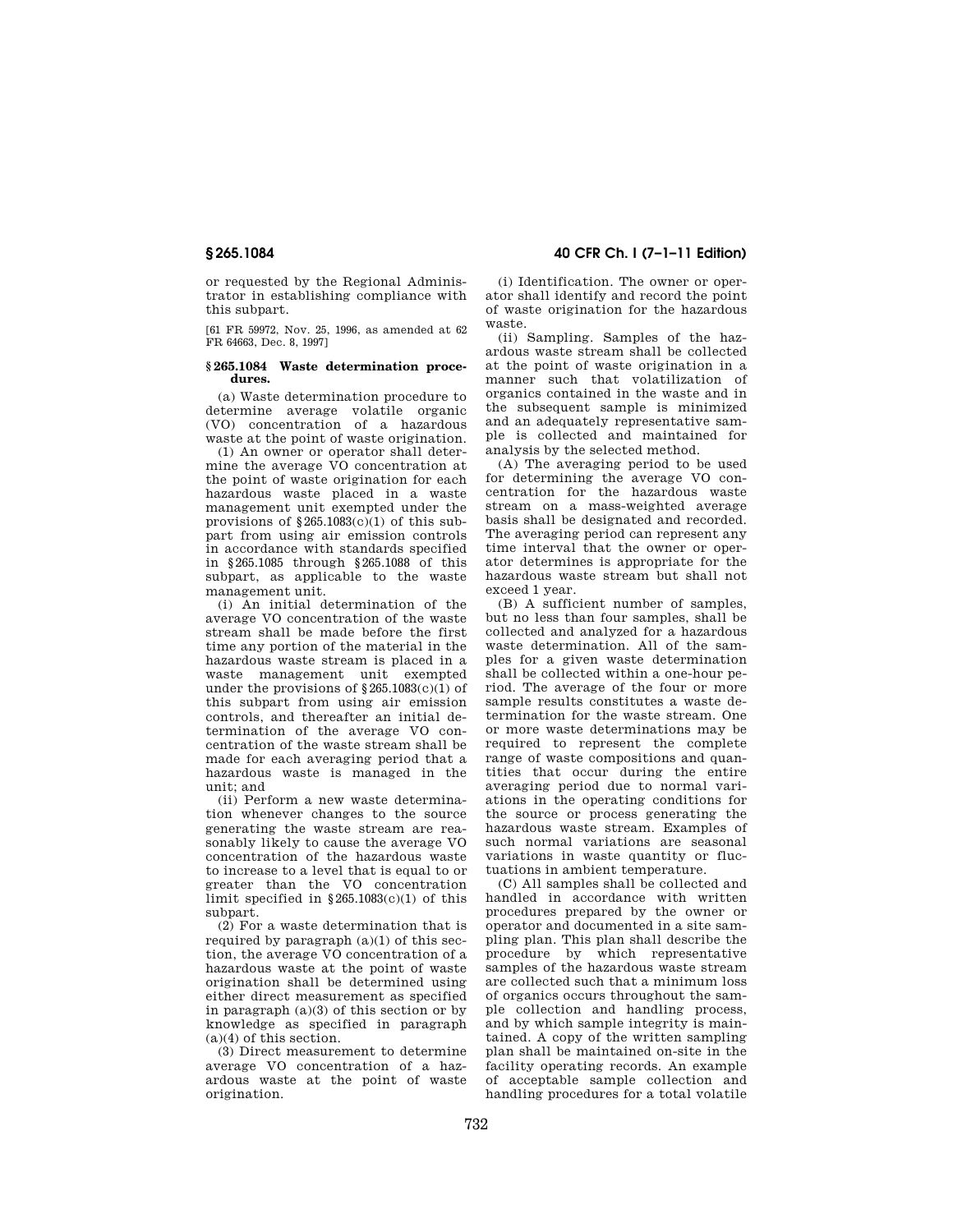or requested by the Regional Administrator in establishing compliance with this subpart.

[61 FR 59972, Nov. 25, 1996, as amended at 62 FR 64663, Dec. 8, 1997]

## **§ 265.1084 Waste determination procedures.**

(a) Waste determination procedure to determine average volatile organic (VO) concentration of a hazardous waste at the point of waste origination.

(1) An owner or operator shall determine the average VO concentration at the point of waste origination for each hazardous waste placed in a waste management unit exempted under the provisions of  $\S 265.1083(c)(1)$  of this subpart from using air emission controls in accordance with standards specified in §265.1085 through §265.1088 of this subpart, as applicable to the waste management unit.

(i) An initial determination of the average VO concentration of the waste stream shall be made before the first time any portion of the material in the hazardous waste stream is placed in a waste management unit exempted under the provisions of  $\S 265.1083(c)(1)$  of this subpart from using air emission controls, and thereafter an initial determination of the average VO concentration of the waste stream shall be made for each averaging period that a hazardous waste is managed in the unit; and

(ii) Perform a new waste determination whenever changes to the source generating the waste stream are reasonably likely to cause the average VO concentration of the hazardous waste to increase to a level that is equal to or greater than the VO concentration limit specified in §265.1083(c)(1) of this subpart.

(2) For a waste determination that is required by paragraph  $(a)(1)$  of this section, the average VO concentration of a hazardous waste at the point of waste origination shall be determined using either direct measurement as specified in paragraph (a)(3) of this section or by knowledge as specified in paragraph (a)(4) of this section.

(3) Direct measurement to determine average VO concentration of a hazardous waste at the point of waste origination.

**§ 265.1084 40 CFR Ch. I (7–1–11 Edition)** 

(i) Identification. The owner or operator shall identify and record the point of waste origination for the hazardous waste.

(ii) Sampling. Samples of the hazardous waste stream shall be collected at the point of waste origination in a manner such that volatilization of organics contained in the waste and in the subsequent sample is minimized and an adequately representative sample is collected and maintained for analysis by the selected method.

(A) The averaging period to be used for determining the average VO concentration for the hazardous waste stream on a mass-weighted average basis shall be designated and recorded. The averaging period can represent any time interval that the owner or operator determines is appropriate for the hazardous waste stream but shall not exceed 1 year.

(B) A sufficient number of samples, but no less than four samples, shall be collected and analyzed for a hazardous waste determination. All of the samples for a given waste determination shall be collected within a one-hour period. The average of the four or more sample results constitutes a waste determination for the waste stream. One or more waste determinations may be required to represent the complete range of waste compositions and quantities that occur during the entire averaging period due to normal variations in the operating conditions for the source or process generating the hazardous waste stream. Examples of such normal variations are seasonal variations in waste quantity or fluctuations in ambient temperature.

(C) All samples shall be collected and handled in accordance with written procedures prepared by the owner or operator and documented in a site sampling plan. This plan shall describe the procedure by which representative samples of the hazardous waste stream are collected such that a minimum loss of organics occurs throughout the sample collection and handling process, and by which sample integrity is maintained. A copy of the written sampling plan shall be maintained on-site in the facility operating records. An example of acceptable sample collection and handling procedures for a total volatile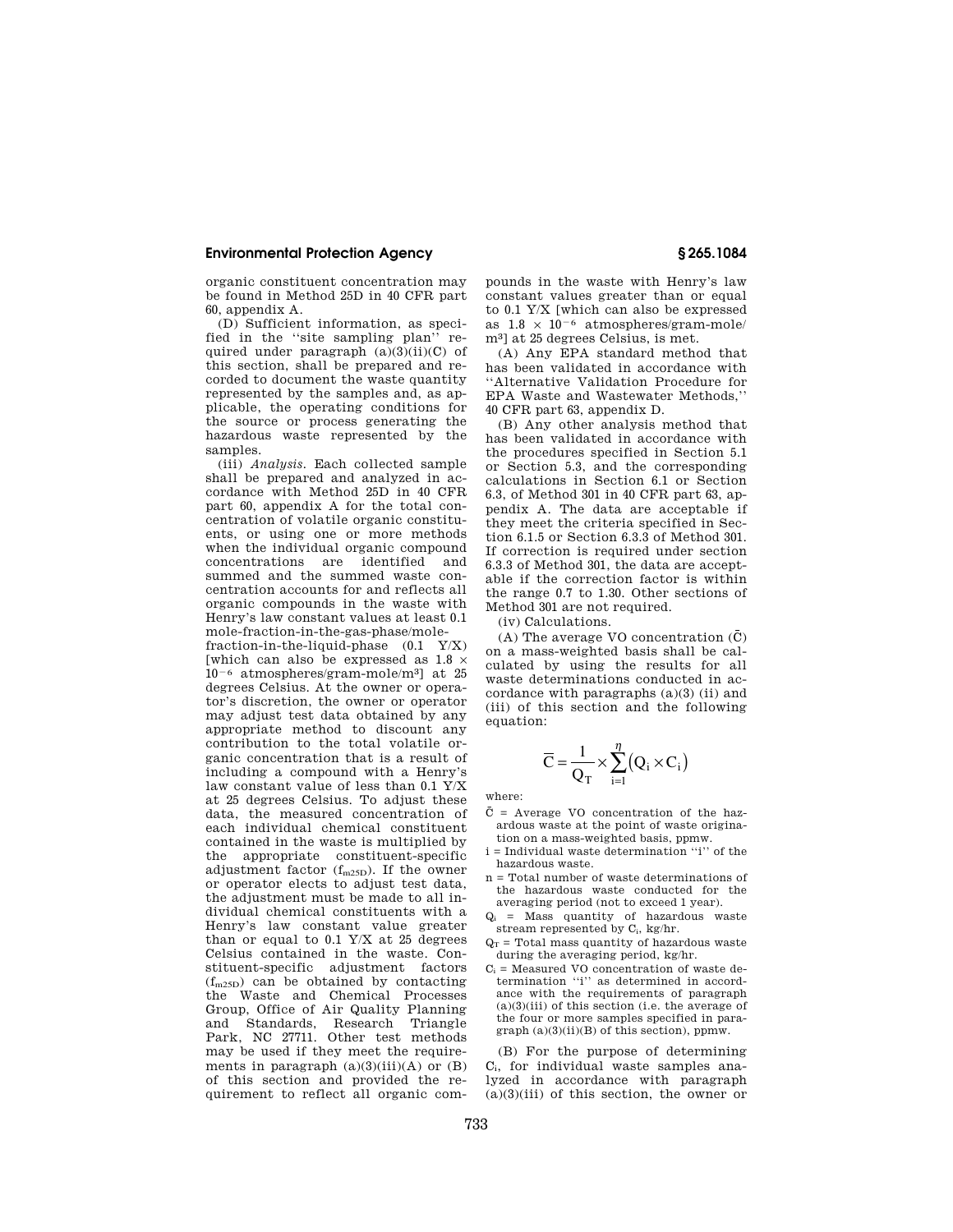organic constituent concentration may be found in Method 25D in 40 CFR part 60, appendix A.

(D) Sufficient information, as specified in the ''site sampling plan'' required under paragraph  $(a)(3)(ii)(C)$  of this section, shall be prepared and recorded to document the waste quantity represented by the samples and, as applicable, the operating conditions for the source or process generating the hazardous waste represented by the samples.

(iii) *Analysis.* Each collected sample shall be prepared and analyzed in accordance with Method 25D in 40 CFR part 60, appendix A for the total concentration of volatile organic constituents, or using one or more methods when the individual organic compound<br>concentrations are identified and concentrations are identified summed and the summed waste concentration accounts for and reflects all organic compounds in the waste with Henry's law constant values at least 0.1 mole-fraction-in-the-gas-phase/molefraction-in-the-liquid-phase  $(0.1 \, Y/X)$ [which can also be expressed as  $1.8 \times$  $10^{-6}$  atmospheres/gram-mole/m<sup>3</sup>] at 25 degrees Celsius. At the owner or operator's discretion, the owner or operator may adjust test data obtained by any appropriate method to discount any contribution to the total volatile organic concentration that is a result of including a compound with a Henry's law constant value of less than 0.1 Y/X at 25 degrees Celsius. To adjust these data, the measured concentration of each individual chemical constituent contained in the waste is multiplied by the appropriate constituent-specific adjustment factor (fm25D). If the owner or operator elects to adjust test data, the adjustment must be made to all individual chemical constituents with a Henry's law constant value greater than or equal to  $0.1$  Y/X at 25 degrees Celsius contained in the waste. Constituent-specific adjustment factors  $(f_{m25D})$  can be obtained by contacting the Waste and Chemical Processes Group, Office of Air Quality Planning and Standards, Research Triangle Park, NC 27711. Other test methods may be used if they meet the requirements in paragraph  $(a)(3)(iii)(A)$  or  $(B)$ of this section and provided the requirement to reflect all organic com-

pounds in the waste with Henry's law constant values greater than or equal to 0.1 Y/X [which can also be expressed as  $1.8 \times 10^{-6}$  atmospheres/gram-mole/ m3] at 25 degrees Celsius, is met.

(A) Any EPA standard method that has been validated in accordance with ''Alternative Validation Procedure for EPA Waste and Wastewater Methods,'' 40 CFR part 63, appendix D.

(B) Any other analysis method that has been validated in accordance with the procedures specified in Section 5.1 or Section 5.3, and the corresponding calculations in Section 6.1 or Section 6.3, of Method 301 in 40 CFR part 63, appendix A. The data are acceptable if they meet the criteria specified in Section 6.1.5 or Section 6.3.3 of Method 301. If correction is required under section 6.3.3 of Method 301, the data are acceptable if the correction factor is within the range 0.7 to 1.30. Other sections of Method 301 are not required.

(iv) Calculations.

(A) The average VO concentration  $(\bar{C})$ on a mass-weighted basis shall be calculated by using the results for all waste determinations conducted in accordance with paragraphs (a)(3) (ii) and (iii) of this section and the following equation:

$$
\overline{C} = \frac{1}{Q_T} \times \sum_{i=1}^{\eta} (Q_i \times C_i)
$$

where:

- $\overline{C}$  = Average VO concentration of the hazardous waste at the point of waste origination on a mass-weighted basis, ppmw.
- i = Individual waste determination ''i'' of the hazardous waste.
- n = Total number of waste determinations of the hazardous waste conducted for the averaging period (not to exceed 1 year).
- $Q_i$  = Mass quantity of hazardous waste stream represented by Ci, kg/hr.
- $Q_T$  = Total mass quantity of hazardous waste during the averaging period, kg/hr.
- $C_i$  = Measured VO concentration of waste determination "i" as determined in accordance with the requirements of paragraph  $(a)(3)(iii)$  of this section (i.e. the average of the four or more samples specified in para $graph (a)(3)(ii)(B)$  of this section), ppmw.

(B) For the purpose of determining Ci, for individual waste samples analyzed in accordance with paragraph  $(a)(3)(iii)$  of this section, the owner or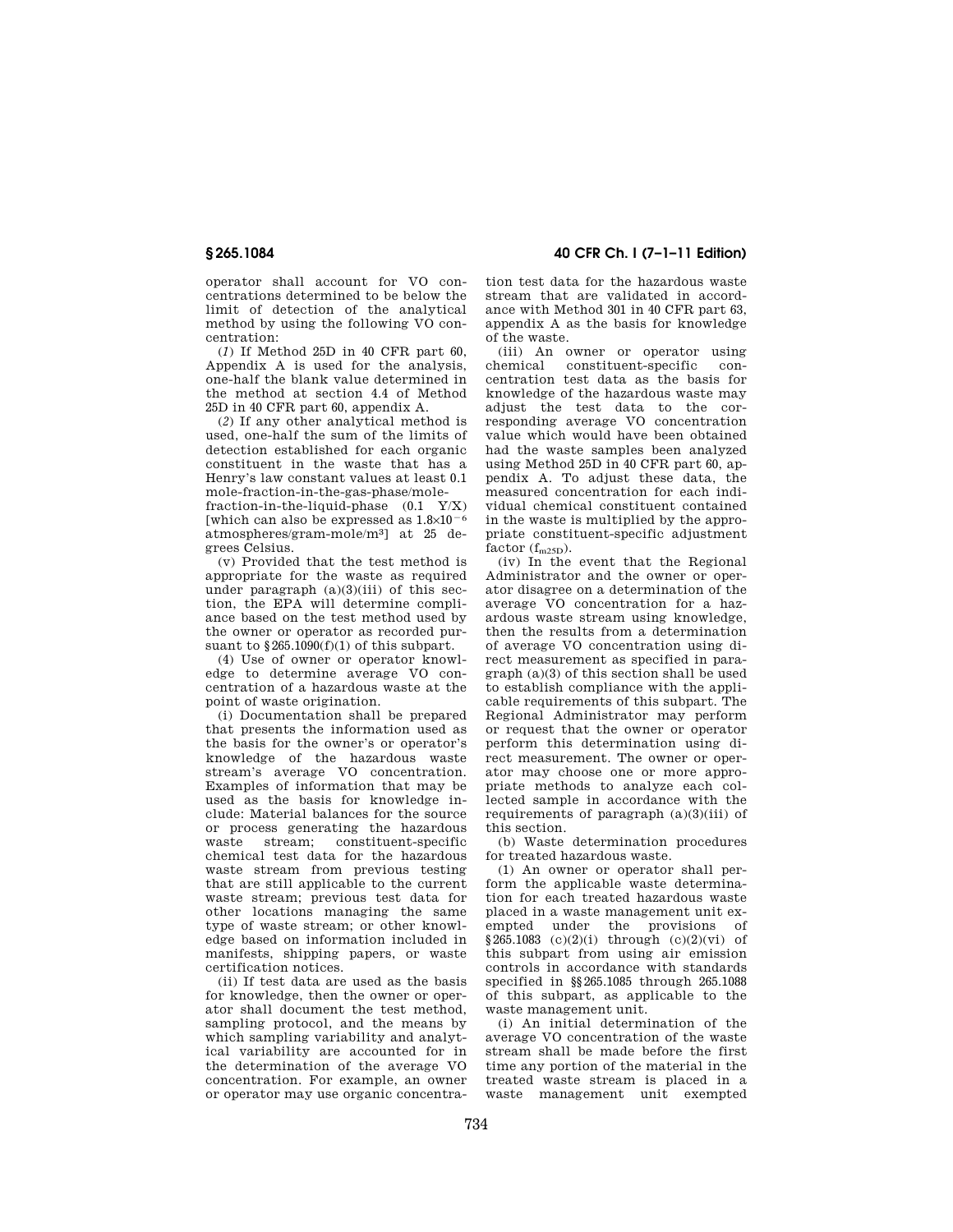operator shall account for VO concentrations determined to be below the limit of detection of the analytical method by using the following VO concentration:

(*1*) If Method 25D in 40 CFR part 60, Appendix A is used for the analysis, one-half the blank value determined in the method at section 4.4 of Method 25D in 40 CFR part 60, appendix A.

(*2*) If any other analytical method is used, one-half the sum of the limits of detection established for each organic constituent in the waste that has a Henry's law constant values at least 0.1 mole-fraction-in-the-gas-phase/mole-

fraction-in-the-liquid-phase  $(0.1 Y/X)$ [which can also be expressed as  $1.8\times10^{-6}$ atmospheres/gram-mole/m3] at 25 degrees Celsius.

(v) Provided that the test method is appropriate for the waste as required under paragraph  $(a)(3)(iii)$  of this section, the EPA will determine compliance based on the test method used by the owner or operator as recorded pursuant to §265.1090(f)(1) of this subpart.

(4) Use of owner or operator knowledge to determine average VO concentration of a hazardous waste at the point of waste origination.

(i) Documentation shall be prepared that presents the information used as the basis for the owner's or operator's knowledge of the hazardous waste stream's average VO concentration. Examples of information that may be used as the basis for knowledge include: Material balances for the source or process generating the hazardous waste stream; constituent-specific chemical test data for the hazardous waste stream from previous testing that are still applicable to the current waste stream; previous test data for other locations managing the same type of waste stream; or other knowledge based on information included in manifests, shipping papers, or waste certification notices.

(ii) If test data are used as the basis for knowledge, then the owner or operator shall document the test method, sampling protocol, and the means by which sampling variability and analytical variability are accounted for in the determination of the average VO concentration. For example, an owner or operator may use organic concentra-

**§ 265.1084 40 CFR Ch. I (7–1–11 Edition)** 

tion test data for the hazardous waste stream that are validated in accordance with Method 301 in 40 CFR part 63, appendix A as the basis for knowledge of the waste.

(iii) An owner or operator using<br>chemical constituent-specific con $constituent-specific$ centration test data as the basis for knowledge of the hazardous waste may adjust the test data to the corresponding average VO concentration value which would have been obtained had the waste samples been analyzed using Method 25D in 40 CFR part 60, appendix A. To adjust these data, the measured concentration for each individual chemical constituent contained in the waste is multiplied by the appropriate constituent-specific adjustment  $factor$  ( $f_{m25D}$ ).

(iv) In the event that the Regional Administrator and the owner or operator disagree on a determination of the average VO concentration for a hazardous waste stream using knowledge, then the results from a determination of average VO concentration using direct measurement as specified in paragraph (a)(3) of this section shall be used to establish compliance with the applicable requirements of this subpart. The Regional Administrator may perform or request that the owner or operator perform this determination using direct measurement. The owner or operator may choose one or more appropriate methods to analyze each collected sample in accordance with the requirements of paragraph (a)(3)(iii) of this section.

(b) Waste determination procedures for treated hazardous waste.

(1) An owner or operator shall perform the applicable waste determination for each treated hazardous waste placed in a waste management unit exempted under the provisions of  $$265.1083$  (c)(2)(i) through (c)(2)(vi) of this subpart from using air emission controls in accordance with standards specified in §§265.1085 through 265.1088 of this subpart, as applicable to the waste management unit.

(i) An initial determination of the average VO concentration of the waste stream shall be made before the first time any portion of the material in the treated waste stream is placed in a waste management unit exempted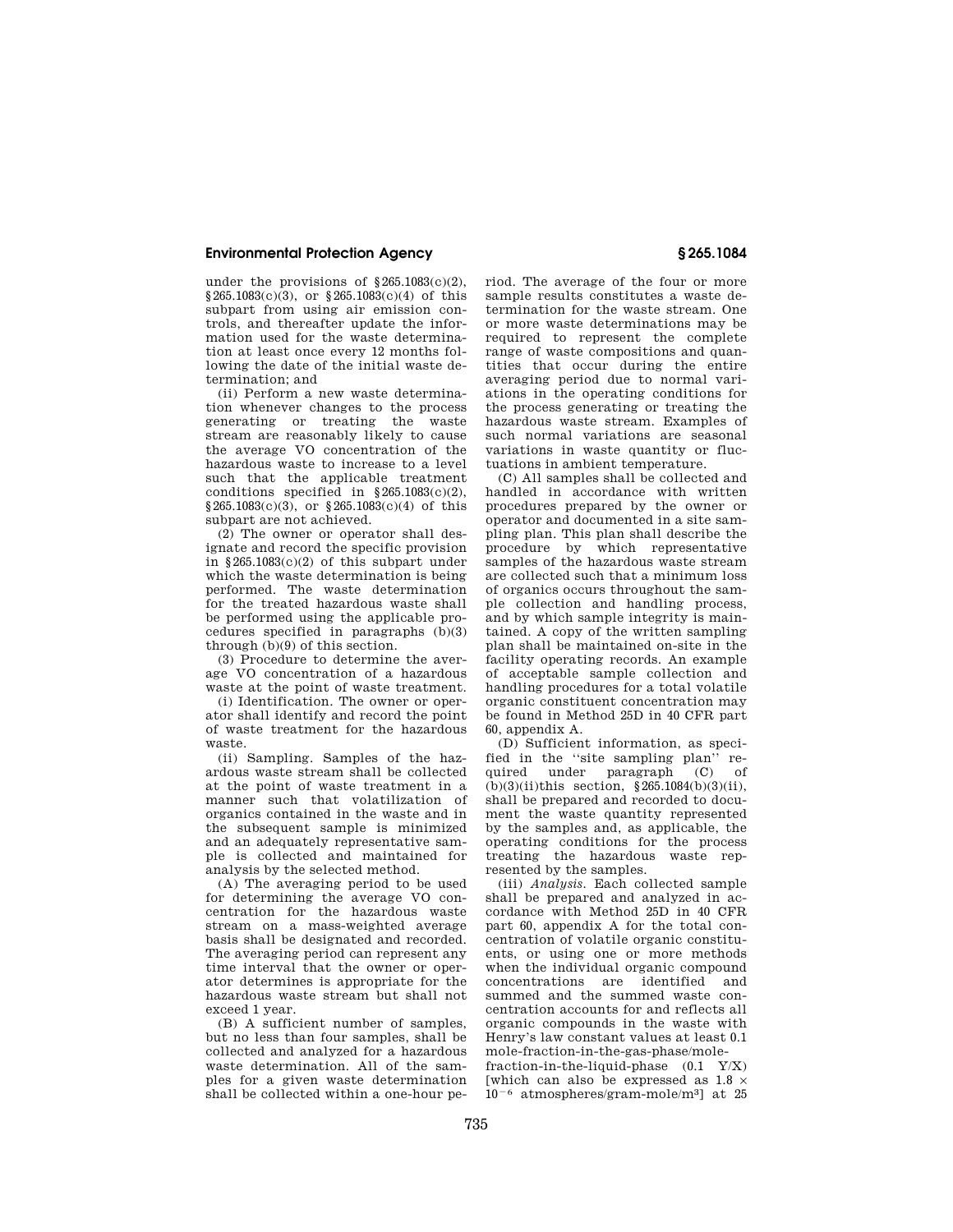under the provisions of  $\S 265.1083(c)(2)$ ,  $§265.1083(c)(3)$ , or  $§265.1083(c)(4)$  of this subpart from using air emission controls, and thereafter update the information used for the waste determination at least once every 12 months following the date of the initial waste determination; and

(ii) Perform a new waste determination whenever changes to the process generating or treating the waste stream are reasonably likely to cause the average VO concentration of the hazardous waste to increase to a level such that the applicable treatment conditions specified in  $§265.1083(c)(2),$  $§265.1083(c)(3)$ , or  $§265.1083(c)(4)$  of this subpart are not achieved.

(2) The owner or operator shall designate and record the specific provision in §265.1083(c)(2) of this subpart under which the waste determination is being performed. The waste determination for the treated hazardous waste shall be performed using the applicable procedures specified in paragraphs (b)(3) through (b)(9) of this section.

(3) Procedure to determine the average VO concentration of a hazardous waste at the point of waste treatment.

(i) Identification. The owner or operator shall identify and record the point of waste treatment for the hazardous waste.

(ii) Sampling. Samples of the hazardous waste stream shall be collected at the point of waste treatment in a manner such that volatilization of organics contained in the waste and in the subsequent sample is minimized and an adequately representative sample is collected and maintained for analysis by the selected method.

(A) The averaging period to be used for determining the average VO concentration for the hazardous waste stream on a mass-weighted average basis shall be designated and recorded. The averaging period can represent any time interval that the owner or operator determines is appropriate for the hazardous waste stream but shall not exceed 1 year.

(B) A sufficient number of samples, but no less than four samples, shall be collected and analyzed for a hazardous waste determination. All of the samples for a given waste determination shall be collected within a one-hour period. The average of the four or more sample results constitutes a waste determination for the waste stream. One or more waste determinations may be required to represent the complete range of waste compositions and quantities that occur during the entire averaging period due to normal variations in the operating conditions for the process generating or treating the hazardous waste stream. Examples of such normal variations are seasonal variations in waste quantity or fluctuations in ambient temperature.

(C) All samples shall be collected and handled in accordance with written procedures prepared by the owner or operator and documented in a site sampling plan. This plan shall describe the procedure by which representative samples of the hazardous waste stream are collected such that a minimum loss of organics occurs throughout the sample collection and handling process, and by which sample integrity is maintained. A copy of the written sampling plan shall be maintained on-site in the facility operating records. An example of acceptable sample collection and handling procedures for a total volatile organic constituent concentration may be found in Method 25D in 40 CFR part 60, appendix A.

(D) Sufficient information, as specified in the ''site sampling plan'' required under paragraph (C) of  $(b)(3)(ii)$ this section, §265.1084(b)(3)(ii), shall be prepared and recorded to document the waste quantity represented by the samples and, as applicable, the operating conditions for the process treating the hazardous waste represented by the samples.

(iii) *Analysis.* Each collected sample shall be prepared and analyzed in accordance with Method 25D in 40 CFR part 60, appendix A for the total concentration of volatile organic constituents, or using one or more methods when the individual organic compound concentrations are identified and summed and the summed waste concentration accounts for and reflects all organic compounds in the waste with Henry's law constant values at least 0.1 mole-fraction-in-the-gas-phase/molefraction-in-the-liquid-phase  $(0.1 Y/X)$ [which can also be expressed as  $1.8 \times$  $10^{-6}$  atmospheres/gram-mole/m<sup>3</sup>] at 25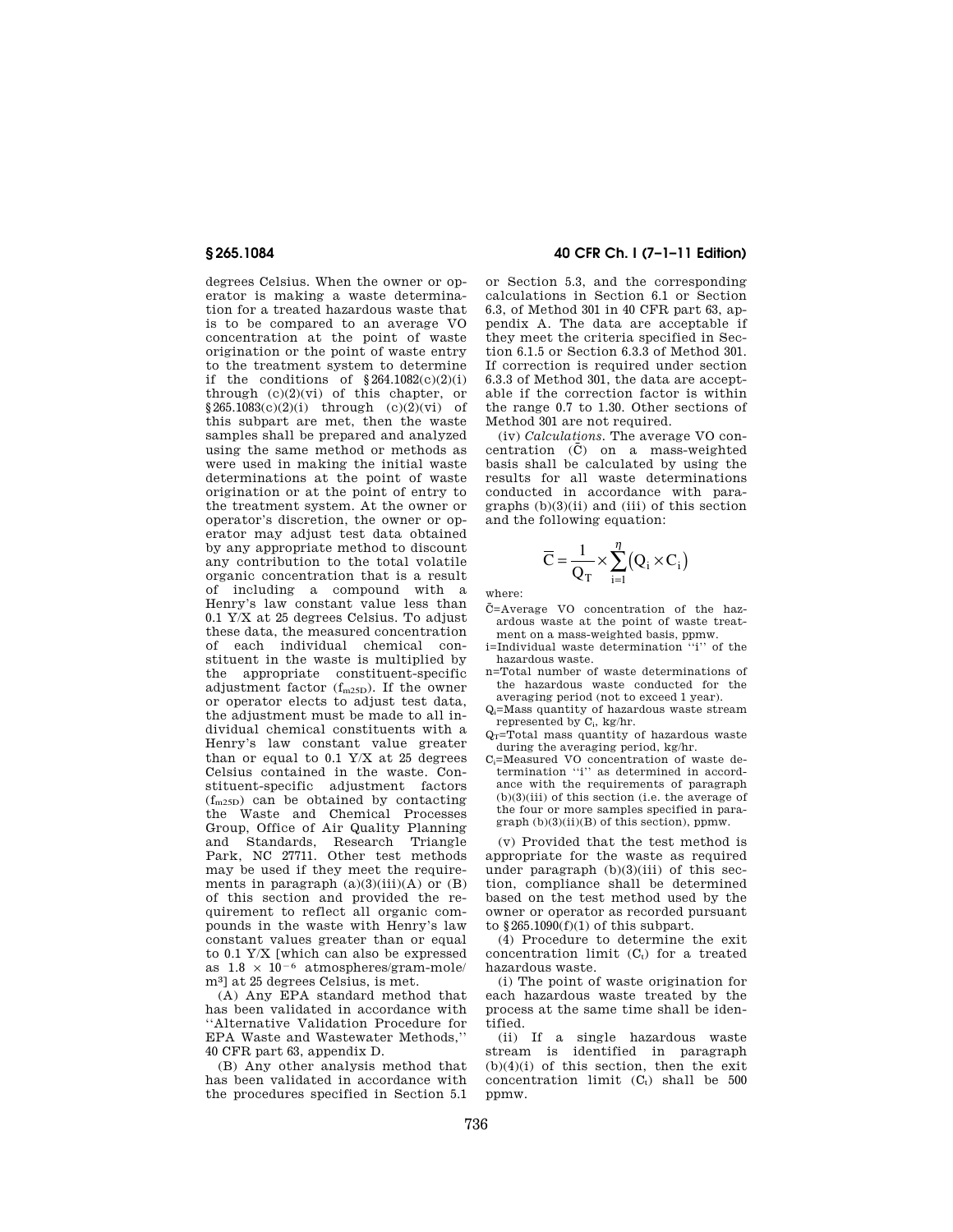degrees Celsius. When the owner or operator is making a waste determination for a treated hazardous waste that is to be compared to an average VO concentration at the point of waste origination or the point of waste entry to the treatment system to determine if the conditions of  $$264.1082(c)(2)(i)$ through  $(c)(2)(vi)$  of this chapter, or  $§265.1083(c)(2)(i)$  through  $(c)(2)(vi)$  of this subpart are met, then the waste samples shall be prepared and analyzed using the same method or methods as were used in making the initial waste determinations at the point of waste origination or at the point of entry to the treatment system. At the owner or operator's discretion, the owner or operator may adjust test data obtained by any appropriate method to discount any contribution to the total volatile organic concentration that is a result of including a compound with a Henry's law constant value less than 0.1 Y/X at 25 degrees Celsius. To adjust these data, the measured concentration of each individual chemical constituent in the waste is multiplied by the appropriate constituent-specific adjustment factor (fm25D). If the owner or operator elects to adjust test data, the adjustment must be made to all individual chemical constituents with a Henry's law constant value greater than or equal to 0.1 Y/X at 25 degrees Celsius contained in the waste. Constituent-specific adjustment factors  $(f_{m25D})$  can be obtained by contacting the Waste and Chemical Processes Group, Office of Air Quality Planning and Standards, Research Triangle Park, NC 27711. Other test methods may be used if they meet the requirements in paragraph  $(a)(3)(iii)(A)$  or  $(B)$ of this section and provided the requirement to reflect all organic compounds in the waste with Henry's law constant values greater than or equal to 0.1 Y/X [which can also be expressed as  $1.8 \times 10^{-6}$  atmospheres/gram-mole/ m3] at 25 degrees Celsius, is met.

(A) Any EPA standard method that has been validated in accordance with ''Alternative Validation Procedure for EPA Waste and Wastewater Methods,'' 40 CFR part 63, appendix D.

(B) Any other analysis method that has been validated in accordance with the procedures specified in Section 5.1

# **§ 265.1084 40 CFR Ch. I (7–1–11 Edition)**

or Section 5.3, and the corresponding calculations in Section 6.1 or Section 6.3, of Method 301 in 40 CFR part 63, appendix A. The data are acceptable if they meet the criteria specified in Section 6.1.5 or Section 6.3.3 of Method 301. If correction is required under section 6.3.3 of Method 301, the data are acceptable if the correction factor is within the range 0.7 to 1.30. Other sections of Method 301 are not required.

(iv) *Calculations.* The average VO concentration  $(\bar{C})$  on a mass-weighted basis shall be calculated by using the results for all waste determinations conducted in accordance with paragraphs  $(b)(3)(ii)$  and (iii) of this section and the following equation:

$$
\overline{C} = \frac{1}{Q_T} \times \sum_{i=1}^{\eta} (Q_i \times C_i)
$$

where:

- C¯ =Average VO concentration of the hazardous waste at the point of waste treatment on a mass-weighted basis, ppmw.
- i=Individual waste determination ''i'' of the hazardous waste.
- n=Total number of waste determinations of the hazardous waste conducted for the averaging period (not to exceed 1 year).
- Qi=Mass quantity of hazardous waste stream represented by Ci, kg/hr.
- $Q_T$ =Total mass quantity of hazardous waste during the averaging period, kg/hr.
- Ci=Measured VO concentration of waste determination ''i'' as determined in accordance with the requirements of paragraph (b)(3)(iii) of this section (i.e. the average of the four or more samples specified in para $graph (b)(3)(ii)(B)$  of this section), ppmw.

(v) Provided that the test method is appropriate for the waste as required under paragraph  $(b)(3)(iii)$  of this section, compliance shall be determined based on the test method used by the owner or operator as recorded pursuant to  $§265.1090(f)(1)$  of this subpart.

(4) Procedure to determine the exit concentration limit  $(C_t)$  for a treated hazardous waste.

(i) The point of waste origination for each hazardous waste treated by the process at the same time shall be identified.

(ii) If a single hazardous waste stream is identified in paragraph  $(b)(4)(i)$  of this section, then the exit concentration limit  $(C_t)$  shall be 500 ppmw.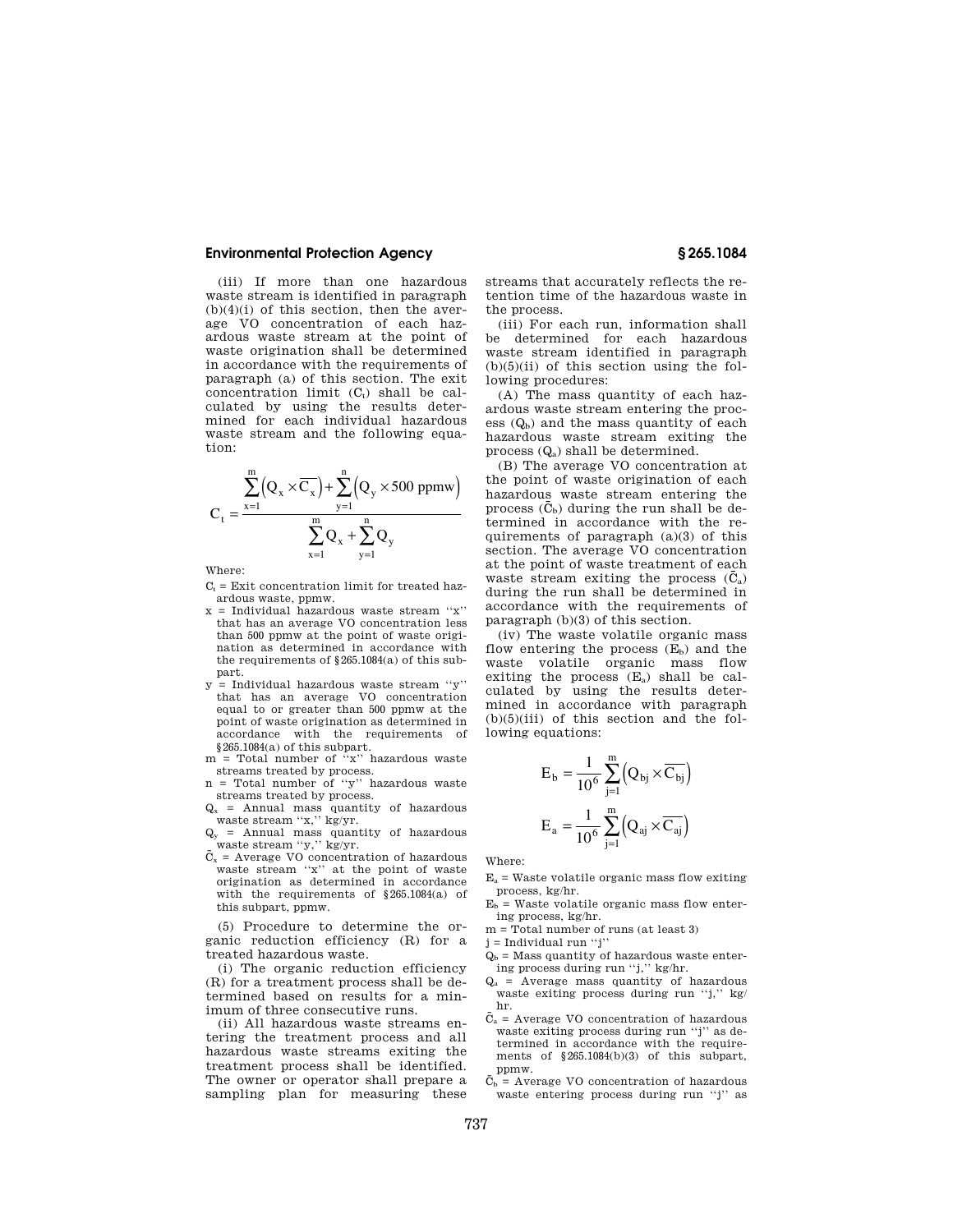(iii) If more than one hazardous waste stream is identified in paragraph  $(b)(4)(i)$  of this section, then the average VO concentration of each hazardous waste stream at the point of waste origination shall be determined in accordance with the requirements of paragraph (a) of this section. The exit concentration limit  $(C_t)$  shall be calculated by using the results determined for each individual hazardous waste stream and the following equation:

$$
C_t = \frac{\sum_{x=1}^{m} (Q_x \times \overline{C_x}) + \sum_{y=1}^{n} (Q_y \times 500 \text{ ppmw})}{\sum_{x=1}^{m} Q_x + \sum_{y=1}^{n} Q_y}
$$

Where:

- $C_t$  = Exit concentration limit for treated hazardous waste, ppmw.
- x = Individual hazardous waste stream ''x'' that has an average VO concentration less than 500 ppmw at the point of waste origination as determined in accordance with the requirements of §265.1084(a) of this subpart.
- $y =$  Individual hazardous waste stream "y" that has an average VO concentration equal to or greater than 500 ppmw at the point of waste origination as determined in accordance with the requirements of §265.1084(a) of this subpart.
- $m =$  Total number of "x" hazardous waste streams treated by process.
- n = Total number of ''y'' hazardous waste streams treated by process.
- $Q_x$  = Annual mass quantity of hazardous waste stream "x," kg/yr.
- $Q_v$  = Annual mass quantity of hazardous waste stream ''y,'' kg/yr.
- $\bar{C}_x$  = Average VO concentration of hazardous waste stream ''x'' at the point of waste origination as determined in accordance with the requirements of §265.1084(a) of this subpart, ppmw.

(5) Procedure to determine the organic reduction efficiency (R) for a treated hazardous waste.

(i) The organic reduction efficiency (R) for a treatment process shall be determined based on results for a minimum of three consecutive runs.

(ii) All hazardous waste streams entering the treatment process and all hazardous waste streams exiting the treatment process shall be identified. The owner or operator shall prepare a sampling plan for measuring these streams that accurately reflects the retention time of the hazardous waste in the process.

(iii) For each run, information shall be determined for each hazardous waste stream identified in paragraph  $(b)(5)(ii)$  of this section using the following procedures:

(A) The mass quantity of each hazardous waste stream entering the process  $(Q_b)$  and the mass quantity of each hazardous waste stream exiting the process  $(Q_a)$  shall be determined.

(B) The average VO concentration at the point of waste origination of each hazardous waste stream entering the process  $(\bar{C}_b)$  during the run shall be determined in accordance with the requirements of paragraph (a)(3) of this section. The average VO concentration at the point of waste treatment of each waste stream exiting the process  $(\bar{C}_a)$ during the run shall be determined in accordance with the requirements of paragraph (b)(3) of this section.

(iv) The waste volatile organic mass flow entering the process  $(E_b)$  and the waste volatile organic mass flow exiting the process  $(E_a)$  shall be calculated by using the results determined in accordance with paragraph  $(b)(5)(iii)$  of this section and the following equations:

$$
\begin{aligned} E_{\text{b}} &= \frac{1}{10^6} \sum_{j=1}^{m} \left( Q_{\text{bj}} \times \overline{C_{\text{bj}}} \right) \\ E_{\text{a}} &= \frac{1}{10^6} \sum_{j=1}^{m} \left( Q_{\text{aj}} \times \overline{C_{\text{aj}}} \right) \end{aligned}
$$

Where:

- $E_a$  = Waste volatile organic mass flow exiting process, kg/hr.
- $E<sub>b</sub>$  = Waste volatile organic mass flow entering process, kg/hr.
- $m =$ Total number of runs (at least 3)
- $i =$ Individual run ''i''
- $Q<sub>b</sub>$  = Mass quantity of hazardous waste entering process during run ''j,'' kg/hr.
- $Q_a$  = Average mass quantity of hazardous waste exiting process during run ''j,'' kg/ hr.
- $\overline{C}_a$  = Average VO concentration of hazardous waste exiting process during run ''j'' as determined in accordance with the requirements of §265.1084(b)(3) of this subpart, ppmw.
- $\overline{C}_b$  = Average VO concentration of hazardous waste entering process during run ''j'' as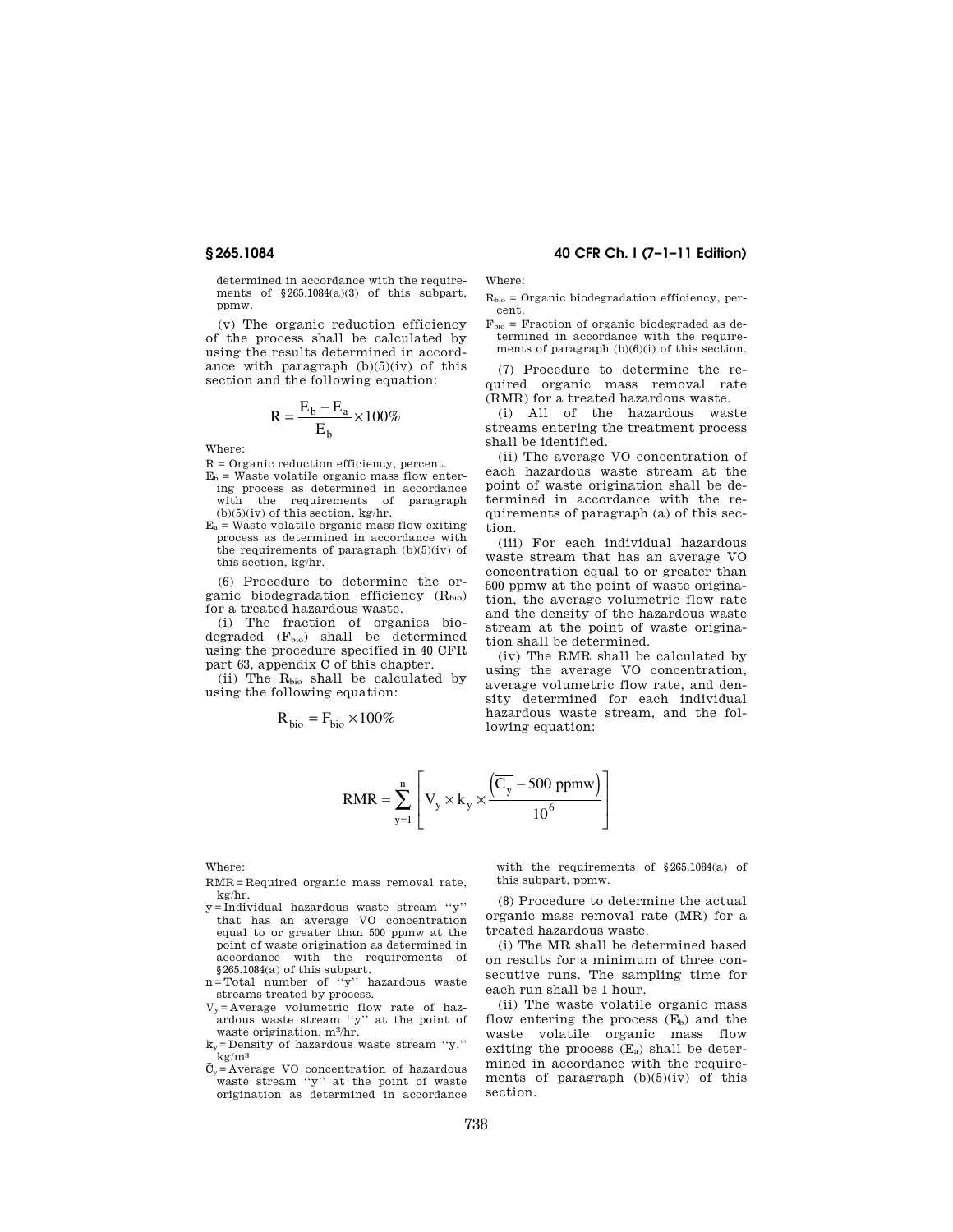determined in accordance with the requirements of §265.1084(a)(3) of this subpart, ppmw.

(v) The organic reduction efficiency of the process shall be calculated by using the results determined in accordance with paragraph  $(b)(5)(iv)$  of this section and the following equation:

$$
R = \frac{E_b - E_a}{E_b} \times 100\%
$$

Where:

R = Organic reduction efficiency, percent.

- $E_b$  = Waste volatile organic mass flow entering process as determined in accordance with the requirements of paragraph  $(b)(5)(iv)$  of this section, kg/hr.
- $E_a$  = Waste volatile organic mass flow exiting process as determined in accordance with the requirements of paragraph  $(b)(5)(iv)$  of this section, kg/hr.

(6) Procedure to determine the organic biodegradation efficiency  $(R_{bio})$ for a treated hazardous waste.

(i) The fraction of organics biodegraded  $(F_{bio})$  shall be determined using the procedure specified in 40 CFR part 63, appendix C of this chapter.

(ii) The Rbio shall be calculated by using the following equation:

$$
R_{bio} = F_{bio} \times 100\%
$$

# **§ 265.1084 40 CFR Ch. I (7–1–11 Edition)**

Where:

- $R_{\text{kin}} =$  Organic biodegradation efficiency, percent.
- $F<sub>bio</sub>$  = Fraction of organic biodegraded as determined in accordance with the requirements of paragraph (b)(6)(i) of this section.

(7) Procedure to determine the required organic mass removal rate (RMR) for a treated hazardous waste.

(i) All of the hazardous waste streams entering the treatment process shall be identified.

(ii) The average VO concentration of each hazardous waste stream at the point of waste origination shall be determined in accordance with the requirements of paragraph (a) of this section.

(iii) For each individual hazardous waste stream that has an average VO concentration equal to or greater than 500 ppmw at the point of waste origination, the average volumetric flow rate and the density of the hazardous waste stream at the point of waste origination shall be determined.

(iv) The RMR shall be calculated by using the average VO concentration, average volumetric flow rate, and density determined for each individual hazardous waste stream, and the following equation:

$$
RMR = \sum_{y=1}^{n} \left[ V_y \times k_y \times \frac{\left(\overline{C_y} - 500 \text{ ppmw}\right)}{10^6} \right]
$$

Where:

- RMR=Required organic mass removal rate, kg/hr.
- y=Individual hazardous waste stream ''y'' that has an average VO concentration equal to or greater than 500 ppmw at the point of waste origination as determined in accordance with the requirements of §265.1084(a) of this subpart.
- $n$ =Total number of "y" hazardous waste streams treated by process.
- $V_y$ = Average volumetric flow rate of hazardous waste stream ''y'' at the point of waste origination, m3/hr.
- $k_y =$ Density of hazardous waste stream "y," kg/m3
- $\bar{C}_v$  = Average VO concentration of hazardous waste stream "y" at the point of waste origination as determined in accordance

with the requirements of §265.1084(a) of this subpart, ppmw.

(8) Procedure to determine the actual organic mass removal rate (MR) for a treated hazardous waste.

(i) The MR shall be determined based on results for a minimum of three consecutive runs. The sampling time for each run shall be 1 hour.

(ii) The waste volatile organic mass flow entering the process  $(E_b)$  and the waste volatile organic mass flow exiting the process  $(E_a)$  shall be determined in accordance with the requirements of paragraph  $(b)(5)(iv)$  of this section.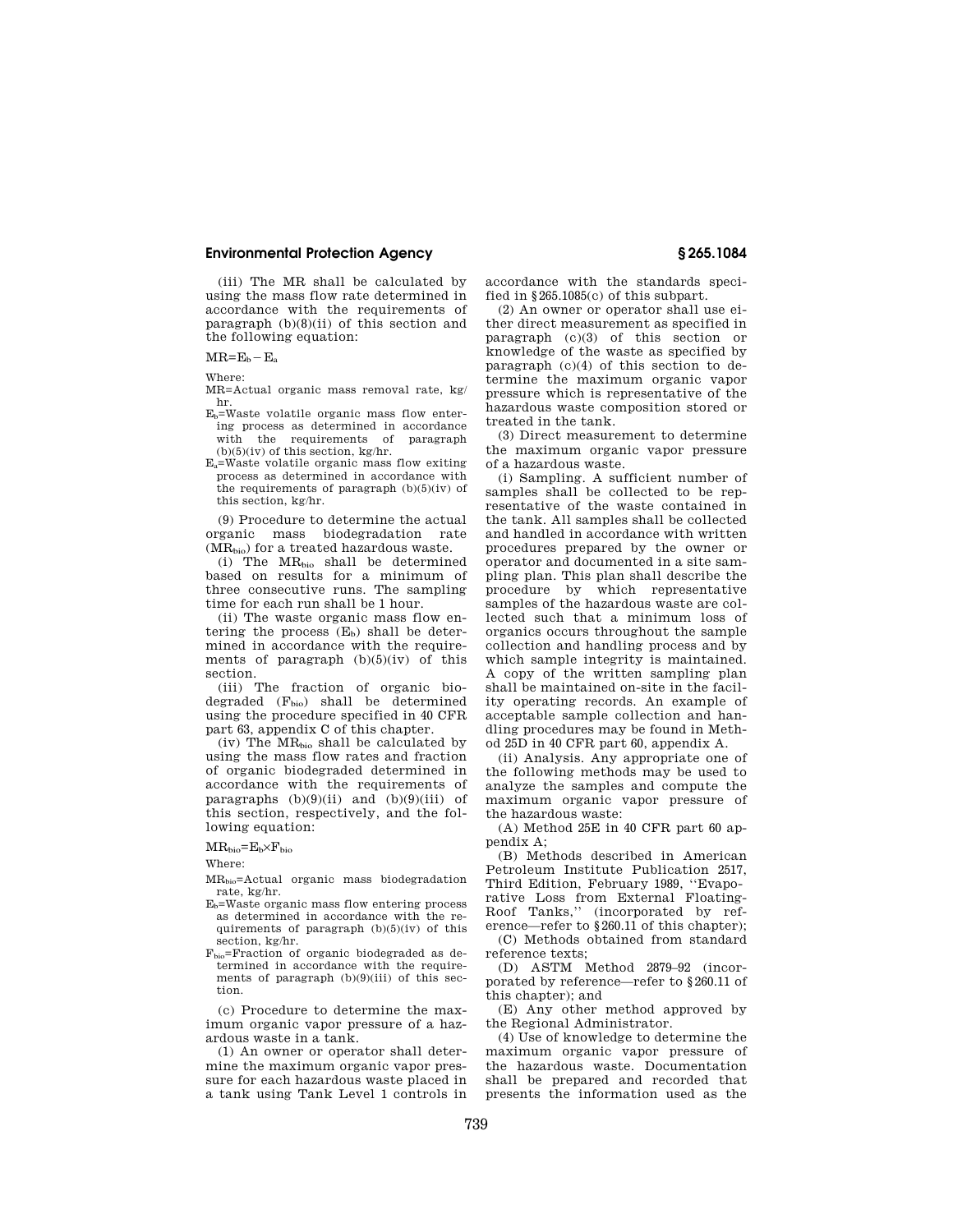(iii) The MR shall be calculated by using the mass flow rate determined in accordance with the requirements of paragraph  $(b)(8)(ii)$  of this section and

 $MR=E_b-E_a$ 

the following equation:

Where:

MR=Actual organic mass removal rate, kg/ hr.

- $E_b$ =Waste volatile organic mass flow entering process as determined in accordance with the requirements of paragraph  $(b)(5)(iv)$  of this section, kg/hr.
- Ea=Waste volatile organic mass flow exiting process as determined in accordance with the requirements of paragraph (b)(5)(iv) of this section, kg/hr.

(9) Procedure to determine the actual organic mass biodegradation rate  $(\mathrm{MR}_{\mathrm{bio}})$  for a treated hazardous waste.

(i) The MRbio shall be determined based on results for a minimum of three consecutive runs. The sampling time for each run shall be 1 hour.

(ii) The waste organic mass flow entering the process  $(E_b)$  shall be determined in accordance with the requirements of paragraph  $(b)(5)(iv)$  of this section.

(iii) The fraction of organic biodegraded  $(F_{bio})$  shall be determined using the procedure specified in 40 CFR part 63, appendix C of this chapter.

(iv) The  $MR_{bio}$  shall be calculated by using the mass flow rates and fraction of organic biodegraded determined in accordance with the requirements of paragraphs  $(b)(9)(ii)$  and  $(b)(9)(iii)$  of this section, respectively, and the following equation:

 $\rm MR_{bio}\text{=}E_{b}\!\!\times\!\!F_{bio}$ 

Where:

- MRbio=Actual organic mass biodegradation rate, kg/hr.
- Eb=Waste organic mass flow entering process as determined in accordance with the requirements of paragraph  $(b)(5)(iv)$  of this section, kg/hr.
- Fbio=Fraction of organic biodegraded as determined in accordance with the requirements of paragraph  $(b)(9)(iii)$  of this section.

(c) Procedure to determine the maximum organic vapor pressure of a hazardous waste in a tank.

(1) An owner or operator shall determine the maximum organic vapor pressure for each hazardous waste placed in a tank using Tank Level 1 controls in accordance with the standards specified in §265.1085(c) of this subpart.

(2) An owner or operator shall use either direct measurement as specified in paragraph (c)(3) of this section or knowledge of the waste as specified by paragraph  $(c)(4)$  of this section to determine the maximum organic vapor pressure which is representative of the hazardous waste composition stored or treated in the tank.

(3) Direct measurement to determine the maximum organic vapor pressure of a hazardous waste.

(i) Sampling. A sufficient number of samples shall be collected to be representative of the waste contained in the tank. All samples shall be collected and handled in accordance with written procedures prepared by the owner or operator and documented in a site sampling plan. This plan shall describe the procedure by which representative samples of the hazardous waste are collected such that a minimum loss of organics occurs throughout the sample collection and handling process and by which sample integrity is maintained. A copy of the written sampling plan shall be maintained on-site in the facility operating records. An example of acceptable sample collection and handling procedures may be found in Method 25D in 40 CFR part 60, appendix A.

(ii) Analysis. Any appropriate one of the following methods may be used to analyze the samples and compute the maximum organic vapor pressure of the hazardous waste:

(A) Method 25E in 40 CFR part 60 appendix A;

(B) Methods described in American Petroleum Institute Publication 2517, Third Edition, February 1989, ''Evaporative Loss from External Floating-Roof Tanks,'' (incorporated by reference—refer to §260.11 of this chapter);

(C) Methods obtained from standard reference texts; (D) ASTM Method 2879–92 (incor-

porated by reference—refer to §260.11 of this chapter); and

(E) Any other method approved by the Regional Administrator.

(4) Use of knowledge to determine the maximum organic vapor pressure of the hazardous waste. Documentation shall be prepared and recorded that presents the information used as the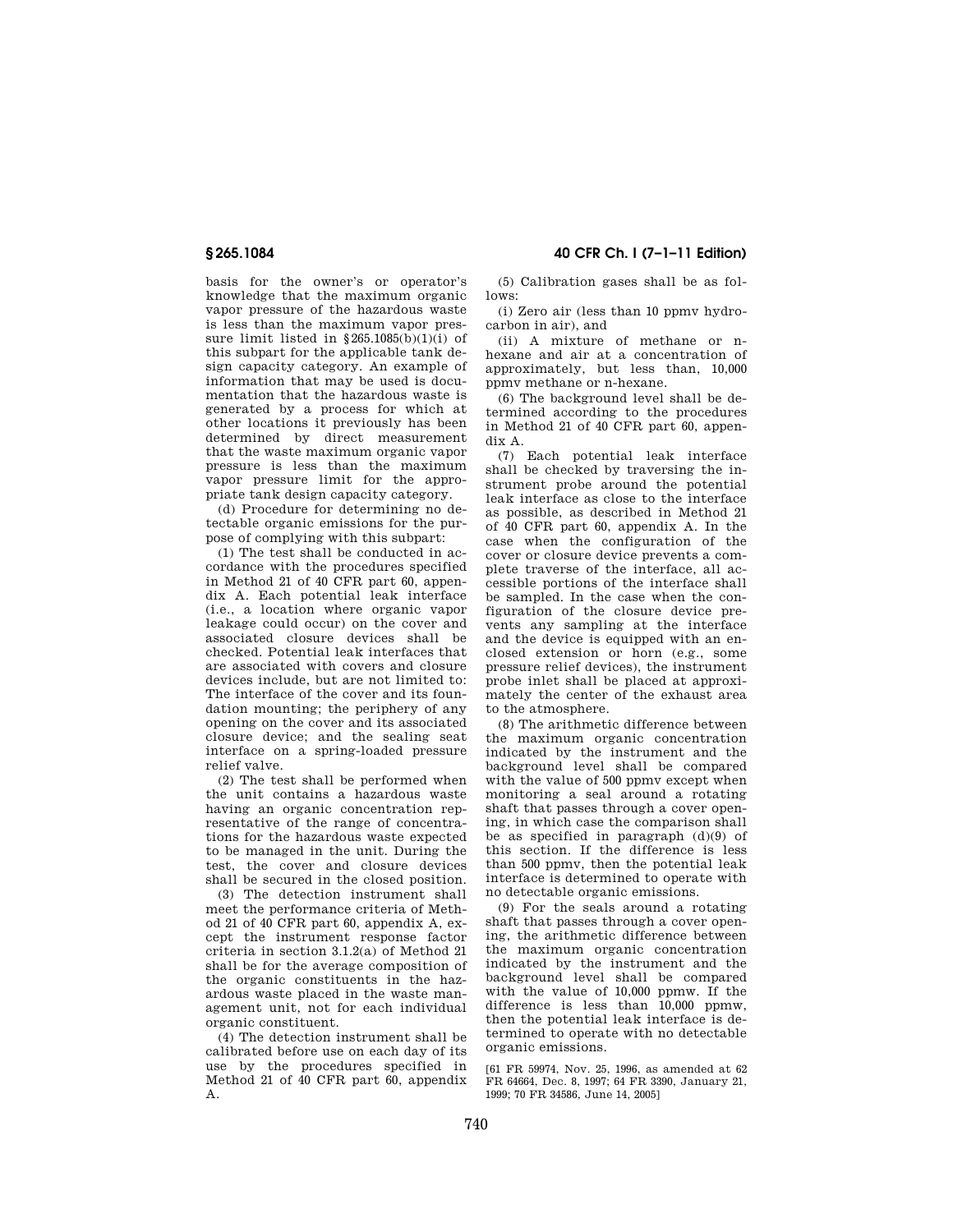basis for the owner's or operator's knowledge that the maximum organic vapor pressure of the hazardous waste is less than the maximum vapor pressure limit listed in  $§265.1085(b)(1)(i)$  of this subpart for the applicable tank design capacity category. An example of information that may be used is documentation that the hazardous waste is generated by a process for which at other locations it previously has been determined by direct measurement that the waste maximum organic vapor pressure is less than the maximum vapor pressure limit for the appropriate tank design capacity category.

(d) Procedure for determining no detectable organic emissions for the purpose of complying with this subpart:

(1) The test shall be conducted in accordance with the procedures specified in Method 21 of 40 CFR part 60, appendix A. Each potential leak interface (i.e., a location where organic vapor leakage could occur) on the cover and associated closure devices shall be checked. Potential leak interfaces that are associated with covers and closure devices include, but are not limited to: The interface of the cover and its foundation mounting; the periphery of any opening on the cover and its associated closure device; and the sealing seat interface on a spring-loaded pressure relief valve.

(2) The test shall be performed when the unit contains a hazardous waste having an organic concentration representative of the range of concentrations for the hazardous waste expected to be managed in the unit. During the test, the cover and closure devices shall be secured in the closed position.

(3) The detection instrument shall meet the performance criteria of Method 21 of 40 CFR part 60, appendix A, except the instrument response factor criteria in section 3.1.2(a) of Method 21 shall be for the average composition of the organic constituents in the hazardous waste placed in the waste management unit, not for each individual organic constituent.

(4) The detection instrument shall be calibrated before use on each day of its use by the procedures specified in Method 21 of 40 CFR part 60, appendix A.

(5) Calibration gases shall be as follows:

(i) Zero air (less than 10 ppmv hydrocarbon in air), and

(ii) A mixture of methane or nhexane and air at a concentration of approximately, but less than, 10,000 ppmv methane or n-hexane.

(6) The background level shall be determined according to the procedures in Method 21 of 40 CFR part 60, appendix A.

(7) Each potential leak interface shall be checked by traversing the instrument probe around the potential leak interface as close to the interface as possible, as described in Method 21 of 40 CFR part 60, appendix A. In the case when the configuration of the cover or closure device prevents a complete traverse of the interface, all accessible portions of the interface shall be sampled. In the case when the configuration of the closure device prevents any sampling at the interface and the device is equipped with an enclosed extension or horn (e.g., some pressure relief devices), the instrument probe inlet shall be placed at approximately the center of the exhaust area to the atmosphere.

(8) The arithmetic difference between the maximum organic concentration indicated by the instrument and the background level shall be compared with the value of 500 ppmv except when monitoring a seal around a rotating shaft that passes through a cover opening, in which case the comparison shall be as specified in paragraph  $(d)(9)$  of this section. If the difference is less than 500 ppmv, then the potential leak interface is determined to operate with no detectable organic emissions.

(9) For the seals around a rotating shaft that passes through a cover opening, the arithmetic difference between the maximum organic concentration indicated by the instrument and the background level shall be compared with the value of 10,000 ppmw. If the difference is less than 10,000 ppmw, then the potential leak interface is determined to operate with no detectable organic emissions.

[61 FR 59974, Nov. 25, 1996, as amended at 62 FR 64664, Dec. 8, 1997; 64 FR 3390, January 21, 1999; 70 FR 34586, June 14, 2005]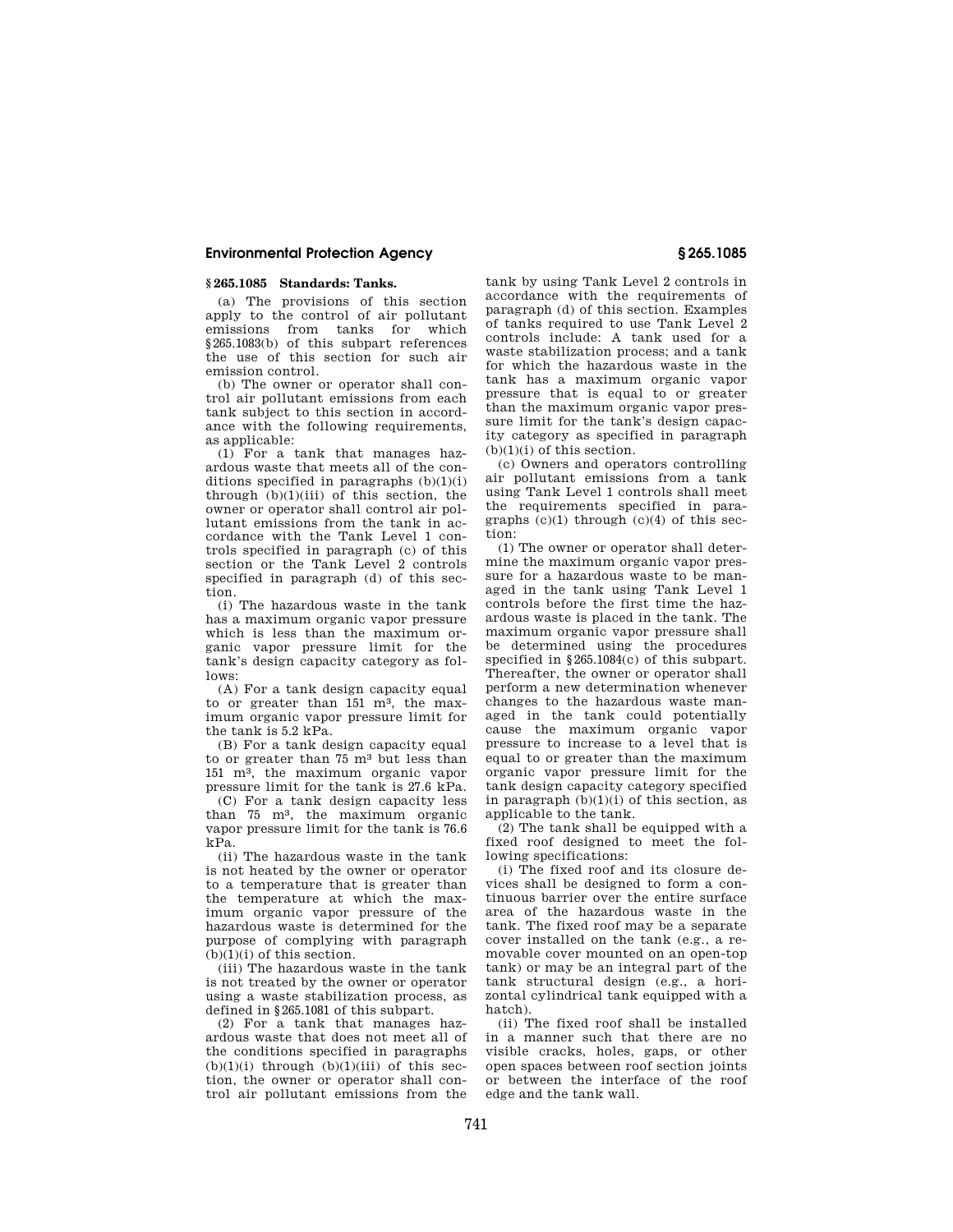## **§ 265.1085 Standards: Tanks.**

(a) The provisions of this section apply to the control of air pollutant emissions from tanks for which §265.1083(b) of this subpart references the use of this section for such air emission control.

(b) The owner or operator shall control air pollutant emissions from each tank subject to this section in accordance with the following requirements, as applicable:

(1) For a tank that manages hazardous waste that meets all of the conditions specified in paragraphs  $(b)(1)(i)$ through  $(b)(1)(iii)$  of this section, the owner or operator shall control air pollutant emissions from the tank in accordance with the Tank Level 1 controls specified in paragraph (c) of this section or the Tank Level 2 controls specified in paragraph (d) of this section.

(i) The hazardous waste in the tank has a maximum organic vapor pressure which is less than the maximum organic vapor pressure limit for the tank's design capacity category as follows:

(A) For a tank design capacity equal to or greater than 151 m3, the maximum organic vapor pressure limit for the tank is 5.2 kPa.

(B) For a tank design capacity equal to or greater than 75 m3 but less than 151 m3, the maximum organic vapor pressure limit for the tank is 27.6 kPa.

(C) For a tank design capacity less than 75 m3, the maximum organic vapor pressure limit for the tank is 76.6 kPa.

(ii) The hazardous waste in the tank is not heated by the owner or operator to a temperature that is greater than the temperature at which the maximum organic vapor pressure of the hazardous waste is determined for the purpose of complying with paragraph (b)(1)(i) of this section.

(iii) The hazardous waste in the tank is not treated by the owner or operator using a waste stabilization process, as defined in §265.1081 of this subpart.

(2) For a tank that manages hazardous waste that does not meet all of the conditions specified in paragraphs  $(b)(1)(i)$  through  $(b)(1)(iii)$  of this section, the owner or operator shall control air pollutant emissions from the

tank by using Tank Level 2 controls in accordance with the requirements of paragraph (d) of this section. Examples of tanks required to use Tank Level 2 controls include: A tank used for a waste stabilization process; and a tank for which the hazardous waste in the tank has a maximum organic vapor pressure that is equal to or greater than the maximum organic vapor pressure limit for the tank's design capacity category as specified in paragraph  $(h)(1)(i)$  of this section

(c) Owners and operators controlling air pollutant emissions from a tank using Tank Level 1 controls shall meet the requirements specified in paragraphs  $(c)(1)$  through  $(c)(4)$  of this section:

(1) The owner or operator shall determine the maximum organic vapor pressure for a hazardous waste to be managed in the tank using Tank Level 1 controls before the first time the hazardous waste is placed in the tank. The maximum organic vapor pressure shall be determined using the procedures specified in §265.1084(c) of this subpart. Thereafter, the owner or operator shall perform a new determination whenever changes to the hazardous waste managed in the tank could potentially cause the maximum organic vapor pressure to increase to a level that is equal to or greater than the maximum organic vapor pressure limit for the tank design capacity category specified in paragraph  $(b)(1)(i)$  of this section, as applicable to the tank.

(2) The tank shall be equipped with a fixed roof designed to meet the following specifications:

(i) The fixed roof and its closure devices shall be designed to form a continuous barrier over the entire surface area of the hazardous waste in the tank. The fixed roof may be a separate cover installed on the tank (e.g., a removable cover mounted on an open-top tank) or may be an integral part of the tank structural design (e.g., a horizontal cylindrical tank equipped with a hatch).

(ii) The fixed roof shall be installed in a manner such that there are no visible cracks, holes, gaps, or other open spaces between roof section joints or between the interface of the roof edge and the tank wall.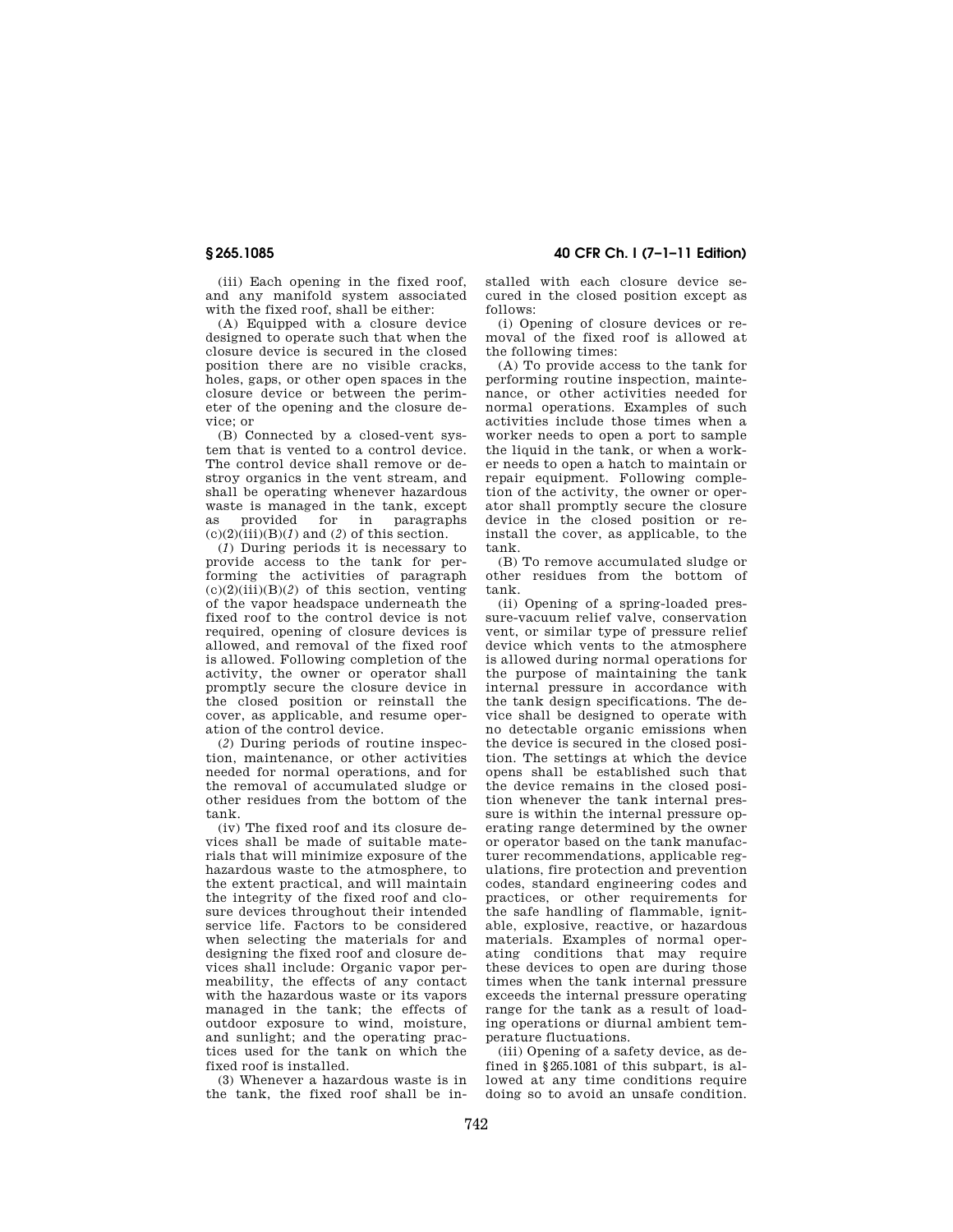(iii) Each opening in the fixed roof, and any manifold system associated with the fixed roof, shall be either:

(A) Equipped with a closure device designed to operate such that when the closure device is secured in the closed position there are no visible cracks, holes, gaps, or other open spaces in the closure device or between the perimeter of the opening and the closure device; or

(B) Connected by a closed-vent system that is vented to a control device. The control device shall remove or destroy organics in the vent stream, and shall be operating whenever hazardous waste is managed in the tank, except as provided for in paragraphs  $(c)(2)(iii)(B)(1)$  and  $(2)$  of this section.

(*1*) During periods it is necessary to provide access to the tank for performing the activities of paragraph  $(c)(2)(iii)(B)(2)$  of this section, venting of the vapor headspace underneath the fixed roof to the control device is not required, opening of closure devices is allowed, and removal of the fixed roof is allowed. Following completion of the activity, the owner or operator shall promptly secure the closure device in the closed position or reinstall the cover, as applicable, and resume operation of the control device.

(*2*) During periods of routine inspection, maintenance, or other activities needed for normal operations, and for the removal of accumulated sludge or other residues from the bottom of the tank.

(iv) The fixed roof and its closure devices shall be made of suitable materials that will minimize exposure of the hazardous waste to the atmosphere, to the extent practical, and will maintain the integrity of the fixed roof and closure devices throughout their intended service life. Factors to be considered when selecting the materials for and designing the fixed roof and closure devices shall include: Organic vapor permeability, the effects of any contact with the hazardous waste or its vapors managed in the tank; the effects of outdoor exposure to wind, moisture, and sunlight; and the operating practices used for the tank on which the fixed roof is installed.

(3) Whenever a hazardous waste is in the tank, the fixed roof shall be in-

**§ 265.1085 40 CFR Ch. I (7–1–11 Edition)** 

stalled with each closure device secured in the closed position except as follows:

(i) Opening of closure devices or removal of the fixed roof is allowed at the following times:

(A) To provide access to the tank for performing routine inspection, maintenance, or other activities needed for normal operations. Examples of such activities include those times when a worker needs to open a port to sample the liquid in the tank, or when a worker needs to open a hatch to maintain or repair equipment. Following completion of the activity, the owner or operator shall promptly secure the closure device in the closed position or reinstall the cover, as applicable, to the tank.

(B) To remove accumulated sludge or other residues from the bottom of tank.

(ii) Opening of a spring-loaded pressure-vacuum relief valve, conservation vent, or similar type of pressure relief device which vents to the atmosphere is allowed during normal operations for the purpose of maintaining the tank internal pressure in accordance with the tank design specifications. The device shall be designed to operate with no detectable organic emissions when the device is secured in the closed position. The settings at which the device opens shall be established such that the device remains in the closed position whenever the tank internal pressure is within the internal pressure operating range determined by the owner or operator based on the tank manufacturer recommendations, applicable regulations, fire protection and prevention codes, standard engineering codes and practices, or other requirements for the safe handling of flammable, ignitable, explosive, reactive, or hazardous materials. Examples of normal operating conditions that may require these devices to open are during those times when the tank internal pressure exceeds the internal pressure operating range for the tank as a result of loading operations or diurnal ambient temperature fluctuations.

(iii) Opening of a safety device, as defined in §265.1081 of this subpart, is allowed at any time conditions require doing so to avoid an unsafe condition.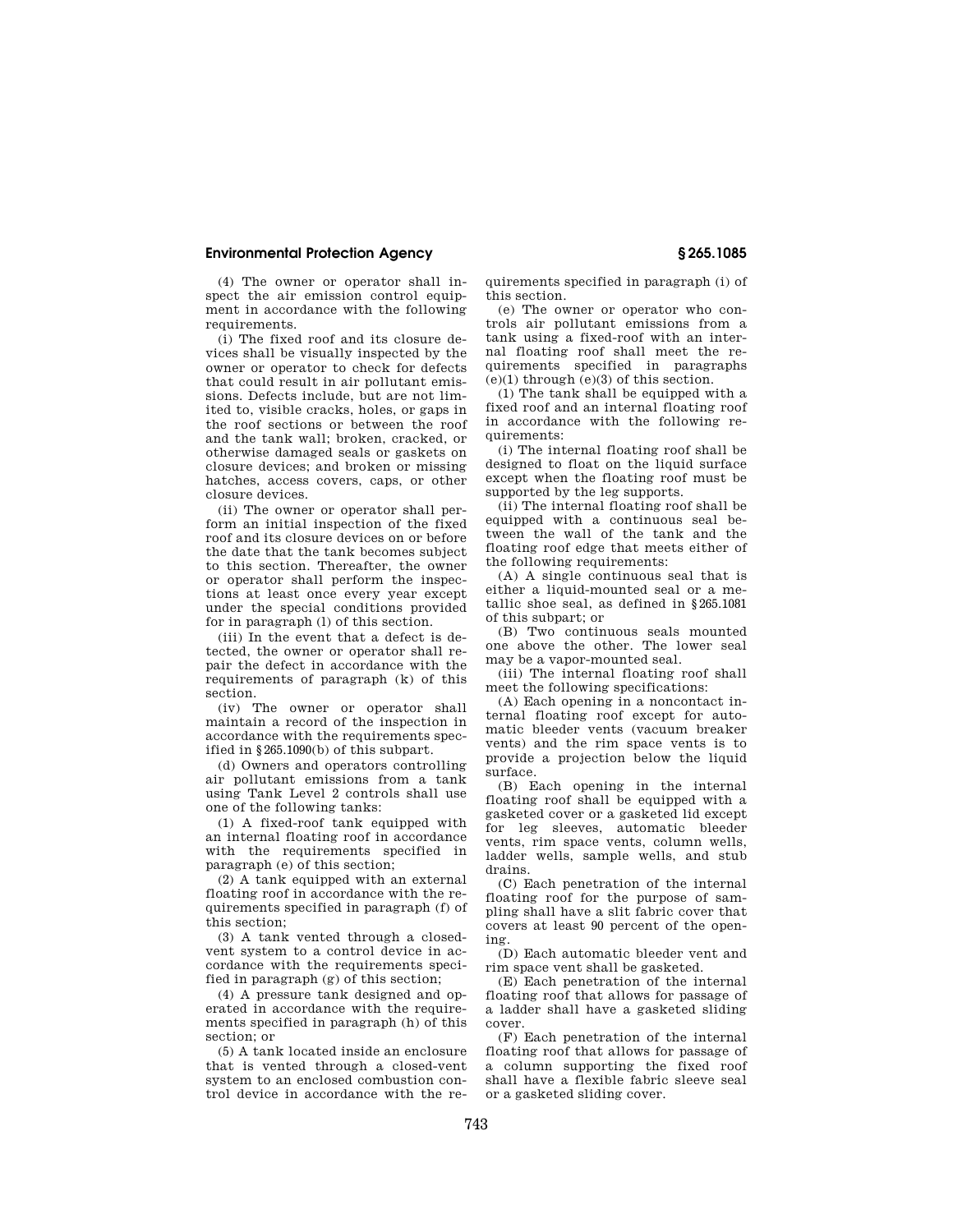(4) The owner or operator shall inspect the air emission control equipment in accordance with the following requirements.

(i) The fixed roof and its closure devices shall be visually inspected by the owner or operator to check for defects that could result in air pollutant emissions. Defects include, but are not limited to, visible cracks, holes, or gaps in the roof sections or between the roof and the tank wall; broken, cracked, or otherwise damaged seals or gaskets on closure devices; and broken or missing hatches, access covers, caps, or other closure devices.

(ii) The owner or operator shall perform an initial inspection of the fixed roof and its closure devices on or before the date that the tank becomes subject to this section. Thereafter, the owner or operator shall perform the inspections at least once every year except under the special conditions provided for in paragraph (l) of this section.

(iii) In the event that a defect is detected, the owner or operator shall repair the defect in accordance with the requirements of paragraph (k) of this section.

(iv) The owner or operator shall maintain a record of the inspection in accordance with the requirements specified in §265.1090(b) of this subpart.

(d) Owners and operators controlling air pollutant emissions from a tank using Tank Level 2 controls shall use one of the following tanks:

(1) A fixed-roof tank equipped with an internal floating roof in accordance with the requirements specified in paragraph (e) of this section;

(2) A tank equipped with an external floating roof in accordance with the requirements specified in paragraph (f) of this section;

(3) A tank vented through a closedvent system to a control device in accordance with the requirements specified in paragraph (g) of this section;

(4) A pressure tank designed and operated in accordance with the requirements specified in paragraph (h) of this section; or

(5) A tank located inside an enclosure that is vented through a closed-vent system to an enclosed combustion control device in accordance with the requirements specified in paragraph (i) of this section.

(e) The owner or operator who controls air pollutant emissions from a tank using a fixed-roof with an internal floating roof shall meet the requirements specified in paragraphs  $(e)(1)$  through  $(e)(3)$  of this section.

(1) The tank shall be equipped with a fixed roof and an internal floating roof in accordance with the following requirements:

(i) The internal floating roof shall be designed to float on the liquid surface except when the floating roof must be supported by the leg supports.

(ii) The internal floating roof shall be equipped with a continuous seal between the wall of the tank and the floating roof edge that meets either of the following requirements:

(A) A single continuous seal that is either a liquid-mounted seal or a metallic shoe seal, as defined in §265.1081 of this subpart; or

(B) Two continuous seals mounted one above the other. The lower seal may be a vapor-mounted seal.

(iii) The internal floating roof shall meet the following specifications:

(A) Each opening in a noncontact internal floating roof except for automatic bleeder vents (vacuum breaker vents) and the rim space vents is to provide a projection below the liquid surface.

(B) Each opening in the internal floating roof shall be equipped with a gasketed cover or a gasketed lid except for leg sleeves, automatic bleeder vents, rim space vents, column wells, ladder wells, sample wells, and stub drains.

(C) Each penetration of the internal floating roof for the purpose of sampling shall have a slit fabric cover that covers at least 90 percent of the opening.

(D) Each automatic bleeder vent and rim space vent shall be gasketed.

(E) Each penetration of the internal floating roof that allows for passage of a ladder shall have a gasketed sliding cover.

(F) Each penetration of the internal floating roof that allows for passage of a column supporting the fixed roof shall have a flexible fabric sleeve seal or a gasketed sliding cover.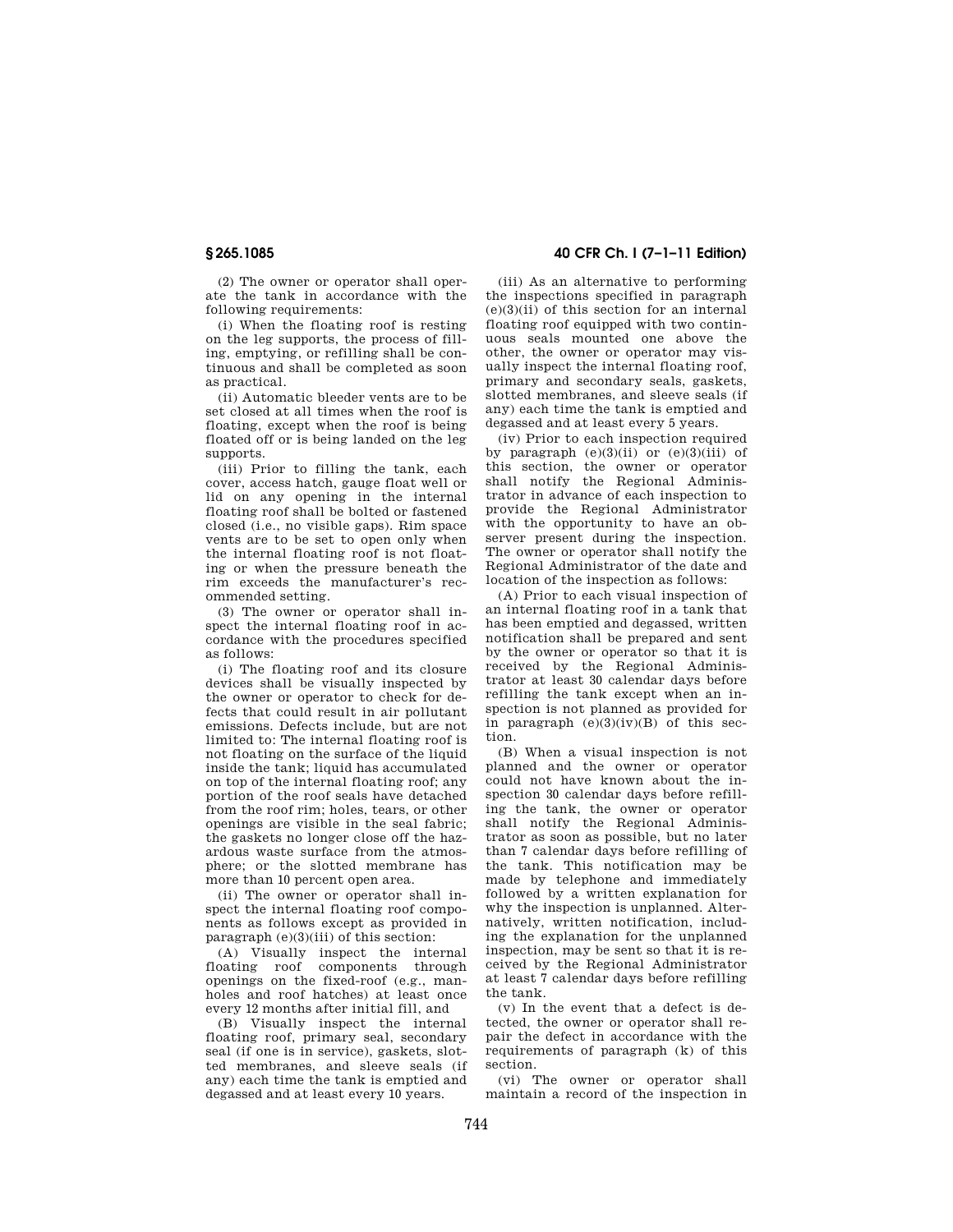(2) The owner or operator shall operate the tank in accordance with the following requirements:

(i) When the floating roof is resting on the leg supports, the process of filling, emptying, or refilling shall be continuous and shall be completed as soon as practical.

(ii) Automatic bleeder vents are to be set closed at all times when the roof is floating, except when the roof is being floated off or is being landed on the leg supports.

(iii) Prior to filling the tank, each cover, access hatch, gauge float well or lid on any opening in the internal floating roof shall be bolted or fastened closed (i.e., no visible gaps). Rim space vents are to be set to open only when the internal floating roof is not floating or when the pressure beneath the rim exceeds the manufacturer's recommended setting.

(3) The owner or operator shall inspect the internal floating roof in accordance with the procedures specified as follows:

(i) The floating roof and its closure devices shall be visually inspected by the owner or operator to check for defects that could result in air pollutant emissions. Defects include, but are not limited to: The internal floating roof is not floating on the surface of the liquid inside the tank; liquid has accumulated on top of the internal floating roof; any portion of the roof seals have detached from the roof rim; holes, tears, or other openings are visible in the seal fabric; the gaskets no longer close off the hazardous waste surface from the atmosphere; or the slotted membrane has more than 10 percent open area.

(ii) The owner or operator shall inspect the internal floating roof components as follows except as provided in paragraph (e)(3)(iii) of this section:

(A) Visually inspect the internal floating roof components through openings on the fixed-roof (e.g., manholes and roof hatches) at least once every 12 months after initial fill, and

(B) Visually inspect the internal floating roof, primary seal, secondary seal (if one is in service), gaskets, slotted membranes, and sleeve seals (if any) each time the tank is emptied and degassed and at least every 10 years.

# **§ 265.1085 40 CFR Ch. I (7–1–11 Edition)**

(iii) As an alternative to performing the inspections specified in paragraph  $(e)(3)(ii)$  of this section for an internal floating roof equipped with two continuous seals mounted one above the other, the owner or operator may visually inspect the internal floating roof, primary and secondary seals, gaskets, slotted membranes, and sleeve seals (if any) each time the tank is emptied and degassed and at least every 5 years.

(iv) Prior to each inspection required by paragraph  $(e)(3)(ii)$  or  $(e)(3)(iii)$  of this section, the owner or operator shall notify the Regional Administrator in advance of each inspection to provide the Regional Administrator with the opportunity to have an observer present during the inspection. The owner or operator shall notify the Regional Administrator of the date and location of the inspection as follows:

(A) Prior to each visual inspection of an internal floating roof in a tank that has been emptied and degassed, written notification shall be prepared and sent by the owner or operator so that it is received by the Regional Administrator at least 30 calendar days before refilling the tank except when an inspection is not planned as provided for in paragraph  $(e)(3)(iv)(B)$  of this section.

(B) When a visual inspection is not planned and the owner or operator could not have known about the inspection 30 calendar days before refilling the tank, the owner or operator shall notify the Regional Administrator as soon as possible, but no later than 7 calendar days before refilling of the tank. This notification may be made by telephone and immediately followed by a written explanation for why the inspection is unplanned. Alternatively, written notification, including the explanation for the unplanned inspection, may be sent so that it is received by the Regional Administrator at least 7 calendar days before refilling the tank.

(v) In the event that a defect is detected, the owner or operator shall repair the defect in accordance with the requirements of paragraph (k) of this section.

(vi) The owner or operator shall maintain a record of the inspection in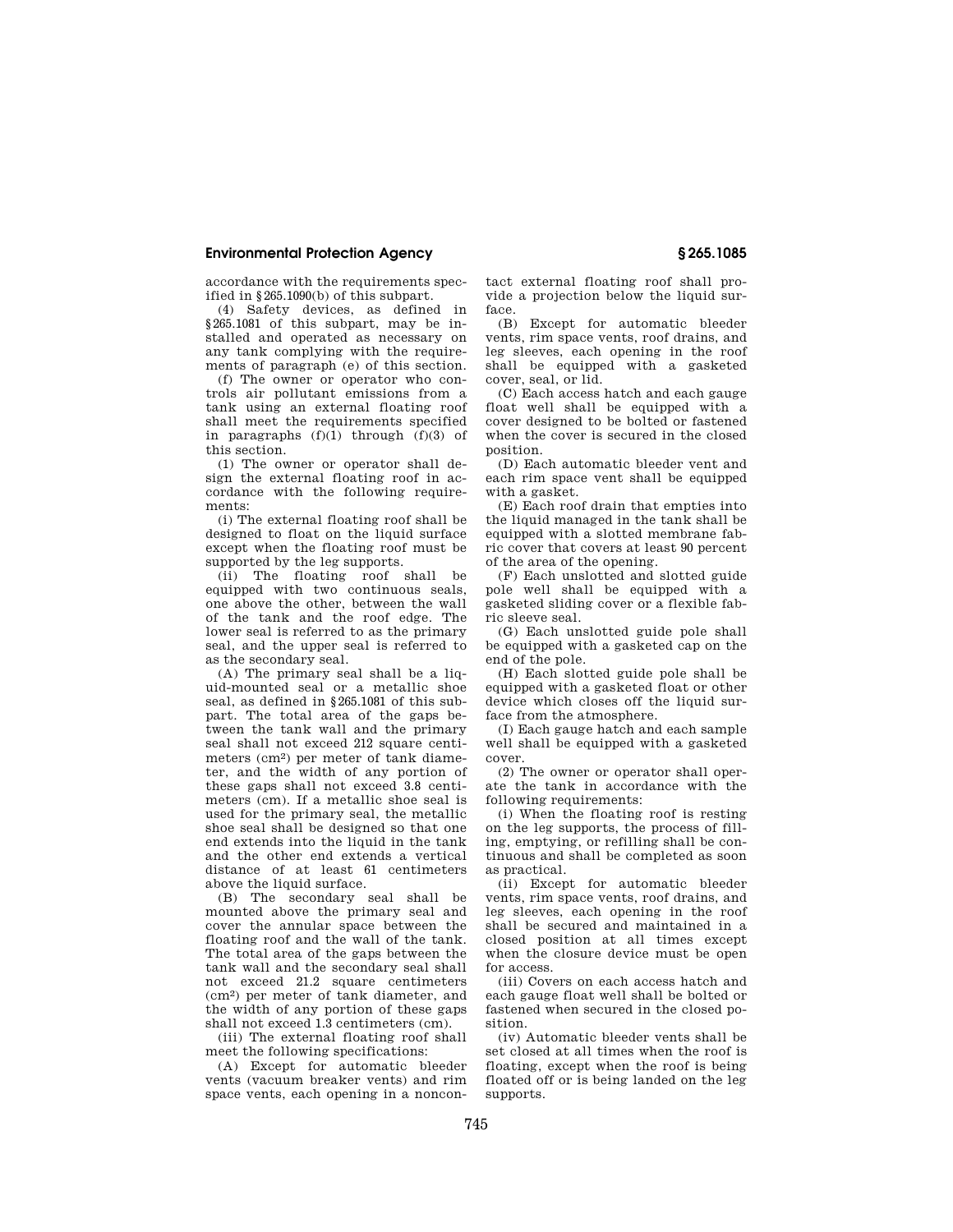accordance with the requirements specified in §265.1090(b) of this subpart.

(4) Safety devices, as defined in §265.1081 of this subpart, may be installed and operated as necessary on any tank complying with the requirements of paragraph (e) of this section.

(f) The owner or operator who controls air pollutant emissions from a tank using an external floating roof shall meet the requirements specified in paragraphs  $(f)(1)$  through  $(f)(3)$  of this section.

(1) The owner or operator shall design the external floating roof in accordance with the following requirements:

(i) The external floating roof shall be designed to float on the liquid surface except when the floating roof must be supported by the leg supports.

(ii) The floating roof shall be equipped with two continuous seals, one above the other, between the wall of the tank and the roof edge. The lower seal is referred to as the primary seal, and the upper seal is referred to as the secondary seal.

(A) The primary seal shall be a liquid-mounted seal or a metallic shoe seal, as defined in §265.1081 of this subpart. The total area of the gaps between the tank wall and the primary seal shall not exceed 212 square centimeters (cm2) per meter of tank diameter, and the width of any portion of these gaps shall not exceed 3.8 centimeters (cm). If a metallic shoe seal is used for the primary seal, the metallic shoe seal shall be designed so that one end extends into the liquid in the tank and the other end extends a vertical distance of at least 61 centimeters above the liquid surface.

(B) The secondary seal shall be mounted above the primary seal and cover the annular space between the floating roof and the wall of the tank. The total area of the gaps between the tank wall and the secondary seal shall not exceed 21.2 square centimeters (cm2) per meter of tank diameter, and the width of any portion of these gaps shall not exceed 1.3 centimeters (cm).

(iii) The external floating roof shall meet the following specifications:

(A) Except for automatic bleeder vents (vacuum breaker vents) and rim space vents, each opening in a noncontact external floating roof shall provide a projection below the liquid surface.

(B) Except for automatic bleeder vents, rim space vents, roof drains, and leg sleeves, each opening in the roof shall be equipped with a gasketed cover, seal, or lid.

(C) Each access hatch and each gauge float well shall be equipped with a cover designed to be bolted or fastened when the cover is secured in the closed position.

(D) Each automatic bleeder vent and each rim space vent shall be equipped with a gasket.

(E) Each roof drain that empties into the liquid managed in the tank shall be equipped with a slotted membrane fabric cover that covers at least 90 percent of the area of the opening.

(F) Each unslotted and slotted guide pole well shall be equipped with a gasketed sliding cover or a flexible fabric sleeve seal.

(G) Each unslotted guide pole shall be equipped with a gasketed cap on the end of the pole.

(H) Each slotted guide pole shall be equipped with a gasketed float or other device which closes off the liquid surface from the atmosphere.

(I) Each gauge hatch and each sample well shall be equipped with a gasketed cover.

(2) The owner or operator shall operate the tank in accordance with the following requirements:

(i) When the floating roof is resting on the leg supports, the process of filling, emptying, or refilling shall be continuous and shall be completed as soon as practical.

(ii) Except for automatic bleeder vents, rim space vents, roof drains, and leg sleeves, each opening in the roof shall be secured and maintained in a closed position at all times except when the closure device must be open for access.

(iii) Covers on each access hatch and each gauge float well shall be bolted or fastened when secured in the closed position.

(iv) Automatic bleeder vents shall be set closed at all times when the roof is floating, except when the roof is being floated off or is being landed on the leg supports.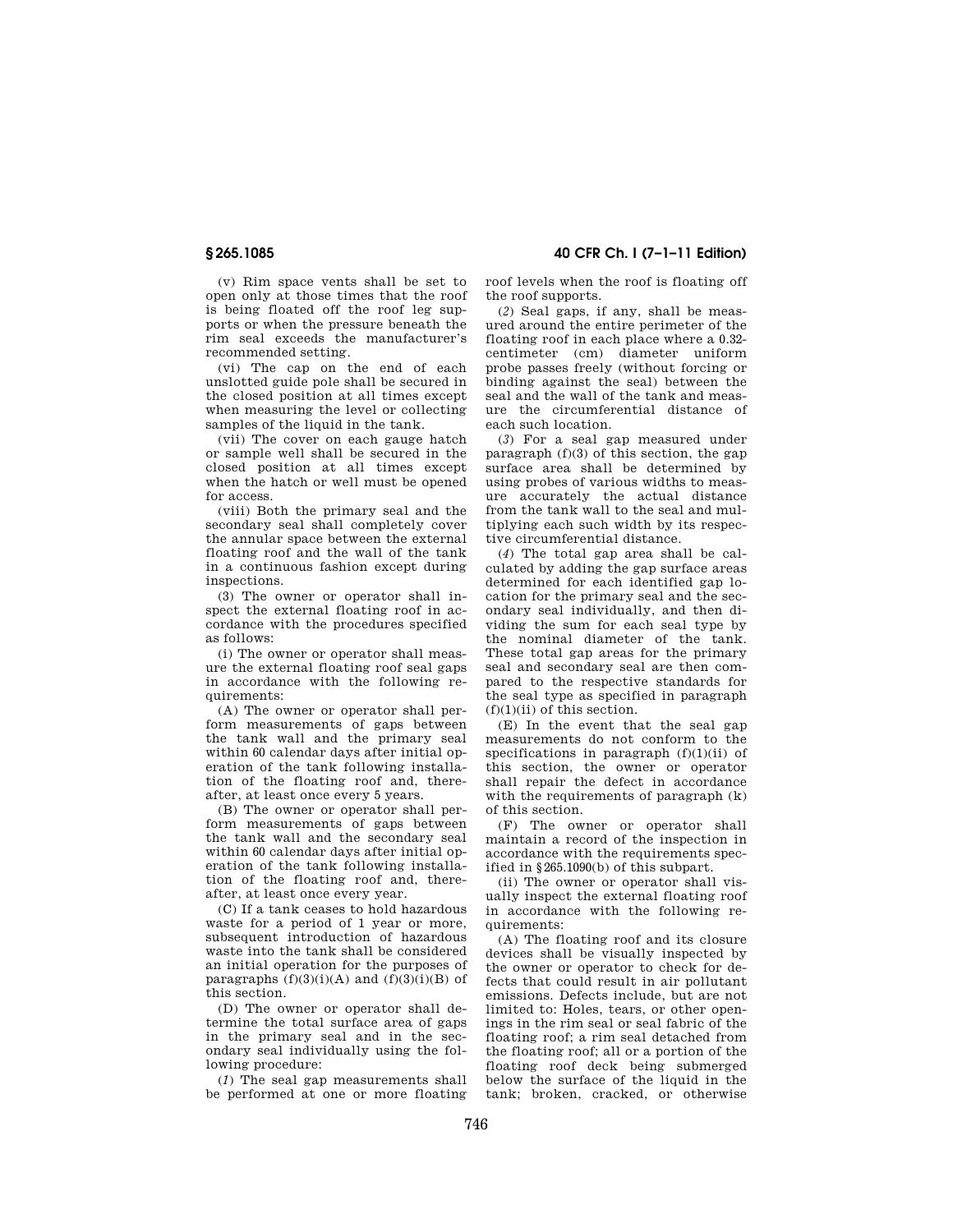(v) Rim space vents shall be set to open only at those times that the roof is being floated off the roof leg supports or when the pressure beneath the rim seal exceeds the manufacturer's recommended setting.

(vi) The cap on the end of each unslotted guide pole shall be secured in the closed position at all times except when measuring the level or collecting samples of the liquid in the tank.

(vii) The cover on each gauge hatch or sample well shall be secured in the closed position at all times except when the hatch or well must be opened for access.

(viii) Both the primary seal and the secondary seal shall completely cover the annular space between the external floating roof and the wall of the tank in a continuous fashion except during inspections.

(3) The owner or operator shall inspect the external floating roof in accordance with the procedures specified as follows:

(i) The owner or operator shall measure the external floating roof seal gaps in accordance with the following requirements:

(A) The owner or operator shall perform measurements of gaps between the tank wall and the primary seal within 60 calendar days after initial operation of the tank following installation of the floating roof and, thereafter, at least once every 5 years.

(B) The owner or operator shall perform measurements of gaps between the tank wall and the secondary seal within 60 calendar days after initial operation of the tank following installation of the floating roof and, thereafter, at least once every year.

(C) If a tank ceases to hold hazardous waste for a period of 1 year or more, subsequent introduction of hazardous waste into the tank shall be considered an initial operation for the purposes of paragraphs  $(f)(3)(i)(A)$  and  $(f)(3)(i)(B)$  of this section.

(D) The owner or operator shall determine the total surface area of gaps in the primary seal and in the secondary seal individually using the following procedure:

(*1*) The seal gap measurements shall be performed at one or more floating

**§ 265.1085 40 CFR Ch. I (7–1–11 Edition)** 

roof levels when the roof is floating off the roof supports.

(*2*) Seal gaps, if any, shall be measured around the entire perimeter of the floating roof in each place where a 0.32 centimeter (cm) diameter uniform probe passes freely (without forcing or binding against the seal) between the seal and the wall of the tank and measure the circumferential distance of each such location.

(*3*) For a seal gap measured under paragraph (f)(3) of this section, the gap surface area shall be determined by using probes of various widths to measure accurately the actual distance from the tank wall to the seal and multiplying each such width by its respective circumferential distance.

(*4*) The total gap area shall be calculated by adding the gap surface areas determined for each identified gap location for the primary seal and the secondary seal individually, and then dividing the sum for each seal type by the nominal diameter of the tank. These total gap areas for the primary seal and secondary seal are then compared to the respective standards for the seal type as specified in paragraph  $(f)(1)(ii)$  of this section.

(E) In the event that the seal gap measurements do not conform to the specifications in paragraph  $(f)(1)(ii)$  of this section, the owner or operator shall repair the defect in accordance with the requirements of paragraph (k) of this section.

(F) The owner or operator shall maintain a record of the inspection in accordance with the requirements specified in §265.1090(b) of this subpart.

(ii) The owner or operator shall visually inspect the external floating roof in accordance with the following requirements:

(A) The floating roof and its closure devices shall be visually inspected by the owner or operator to check for defects that could result in air pollutant emissions. Defects include, but are not limited to: Holes, tears, or other openings in the rim seal or seal fabric of the floating roof; a rim seal detached from the floating roof; all or a portion of the floating roof deck being submerged below the surface of the liquid in the tank; broken, cracked, or otherwise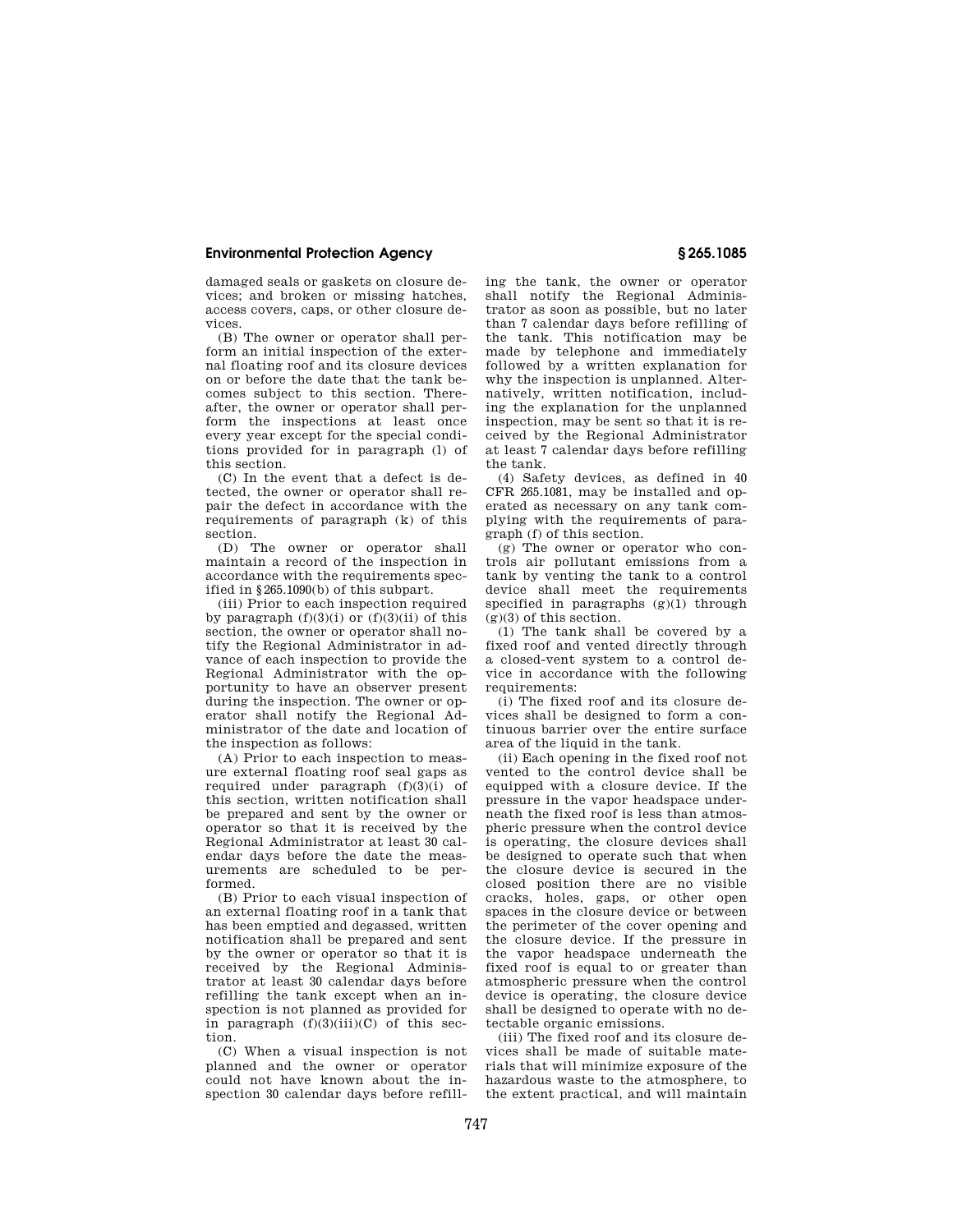damaged seals or gaskets on closure devices; and broken or missing hatches, access covers, caps, or other closure devices.

(B) The owner or operator shall perform an initial inspection of the external floating roof and its closure devices on or before the date that the tank becomes subject to this section. Thereafter, the owner or operator shall perform the inspections at least once every year except for the special conditions provided for in paragraph (l) of this section.

(C) In the event that a defect is detected, the owner or operator shall repair the defect in accordance with the requirements of paragraph (k) of this section.

(D) The owner or operator shall maintain a record of the inspection in accordance with the requirements specified in §265.1090(b) of this subpart.

(iii) Prior to each inspection required by paragraph  $(f)(3)(i)$  or  $(f)(3)(ii)$  of this section, the owner or operator shall notify the Regional Administrator in advance of each inspection to provide the Regional Administrator with the opportunity to have an observer present during the inspection. The owner or operator shall notify the Regional Administrator of the date and location of the inspection as follows:

(A) Prior to each inspection to measure external floating roof seal gaps as required under paragraph  $(f)(3)(i)$  of this section, written notification shall be prepared and sent by the owner or operator so that it is received by the Regional Administrator at least 30 calendar days before the date the measurements are scheduled to be performed.

(B) Prior to each visual inspection of an external floating roof in a tank that has been emptied and degassed, written notification shall be prepared and sent by the owner or operator so that it is received by the Regional Administrator at least 30 calendar days before refilling the tank except when an inspection is not planned as provided for in paragraph  $(f)(3)(iii)(C)$  of this section.

(C) When a visual inspection is not planned and the owner or operator could not have known about the inspection 30 calendar days before refilling the tank, the owner or operator shall notify the Regional Administrator as soon as possible, but no later than 7 calendar days before refilling of the tank. This notification may be made by telephone and immediately followed by a written explanation for why the inspection is unplanned. Alternatively, written notification, including the explanation for the unplanned inspection, may be sent so that it is received by the Regional Administrator at least 7 calendar days before refilling the tank.

(4) Safety devices, as defined in 40 CFR 265.1081, may be installed and operated as necessary on any tank complying with the requirements of paragraph (f) of this section.

(g) The owner or operator who controls air pollutant emissions from a tank by venting the tank to a control device shall meet the requirements specified in paragraphs  $(g)(1)$  through  $(g)(3)$  of this section.

(1) The tank shall be covered by a fixed roof and vented directly through a closed-vent system to a control device in accordance with the following requirements:

(i) The fixed roof and its closure devices shall be designed to form a continuous barrier over the entire surface area of the liquid in the tank.

(ii) Each opening in the fixed roof not vented to the control device shall be equipped with a closure device. If the pressure in the vapor headspace underneath the fixed roof is less than atmospheric pressure when the control device is operating, the closure devices shall be designed to operate such that when the closure device is secured in the closed position there are no visible cracks, holes, gaps, or other open spaces in the closure device or between the perimeter of the cover opening and the closure device. If the pressure in the vapor headspace underneath the fixed roof is equal to or greater than atmospheric pressure when the control device is operating, the closure device shall be designed to operate with no detectable organic emissions.

(iii) The fixed roof and its closure devices shall be made of suitable materials that will minimize exposure of the hazardous waste to the atmosphere, to the extent practical, and will maintain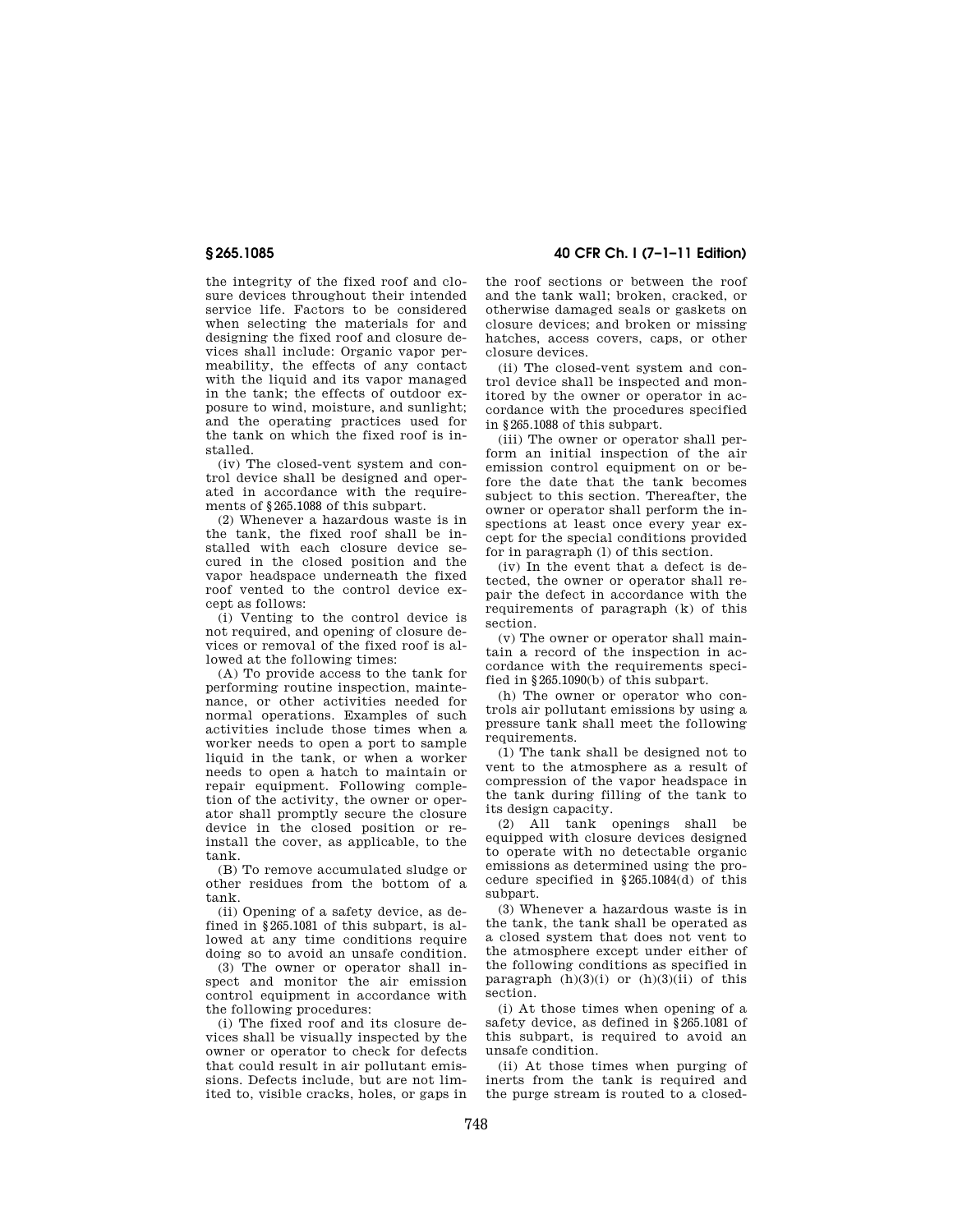the integrity of the fixed roof and closure devices throughout their intended service life. Factors to be considered when selecting the materials for and designing the fixed roof and closure devices shall include: Organic vapor permeability, the effects of any contact with the liquid and its vapor managed in the tank; the effects of outdoor exposure to wind, moisture, and sunlight; and the operating practices used for the tank on which the fixed roof is installed.

(iv) The closed-vent system and control device shall be designed and operated in accordance with the requirements of §265.1088 of this subpart.

(2) Whenever a hazardous waste is in the tank, the fixed roof shall be installed with each closure device secured in the closed position and the vapor headspace underneath the fixed roof vented to the control device except as follows:

(i) Venting to the control device is not required, and opening of closure devices or removal of the fixed roof is allowed at the following times:

(A) To provide access to the tank for performing routine inspection, maintenance, or other activities needed for normal operations. Examples of such activities include those times when a worker needs to open a port to sample liquid in the tank, or when a worker needs to open a hatch to maintain or repair equipment. Following completion of the activity, the owner or operator shall promptly secure the closure device in the closed position or reinstall the cover, as applicable, to the tank.

(B) To remove accumulated sludge or other residues from the bottom of a tank.

(ii) Opening of a safety device, as defined in §265.1081 of this subpart, is allowed at any time conditions require doing so to avoid an unsafe condition.

(3) The owner or operator shall inspect and monitor the air emission control equipment in accordance with the following procedures:

(i) The fixed roof and its closure devices shall be visually inspected by the owner or operator to check for defects that could result in air pollutant emissions. Defects include, but are not limited to, visible cracks, holes, or gaps in

**§ 265.1085 40 CFR Ch. I (7–1–11 Edition)** 

the roof sections or between the roof and the tank wall; broken, cracked, or otherwise damaged seals or gaskets on closure devices; and broken or missing hatches, access covers, caps, or other closure devices.

(ii) The closed-vent system and control device shall be inspected and monitored by the owner or operator in accordance with the procedures specified in §265.1088 of this subpart.

(iii) The owner or operator shall perform an initial inspection of the air emission control equipment on or before the date that the tank becomes subject to this section. Thereafter, the owner or operator shall perform the inspections at least once every year except for the special conditions provided for in paragraph (l) of this section.

(iv) In the event that a defect is detected, the owner or operator shall repair the defect in accordance with the requirements of paragraph (k) of this section.

(v) The owner or operator shall maintain a record of the inspection in accordance with the requirements specified in §265.1090(b) of this subpart.

(h) The owner or operator who controls air pollutant emissions by using a pressure tank shall meet the following requirements.

(1) The tank shall be designed not to vent to the atmosphere as a result of compression of the vapor headspace in the tank during filling of the tank to its design capacity.

(2) All tank openings shall be equipped with closure devices designed to operate with no detectable organic emissions as determined using the procedure specified in §265.1084(d) of this subpart.

(3) Whenever a hazardous waste is in the tank, the tank shall be operated as a closed system that does not vent to the atmosphere except under either of the following conditions as specified in paragraph  $(h)(3)(i)$  or  $(h)(3)(ii)$  of this section.

(i) At those times when opening of a safety device, as defined in §265.1081 of this subpart, is required to avoid an unsafe condition.

(ii) At those times when purging of inerts from the tank is required and the purge stream is routed to a closed-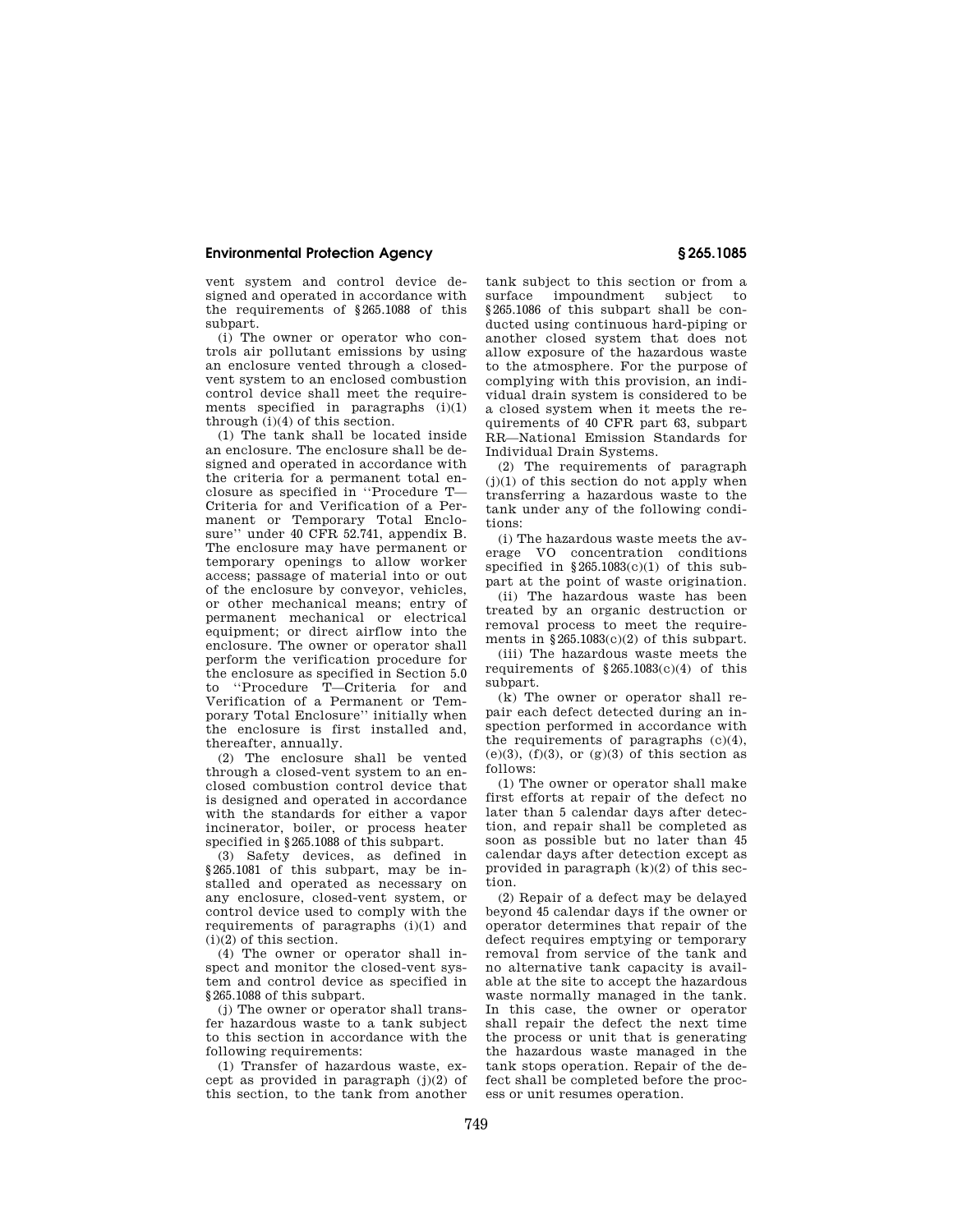vent system and control device designed and operated in accordance with the requirements of §265.1088 of this subpart.

(i) The owner or operator who controls air pollutant emissions by using an enclosure vented through a closedvent system to an enclosed combustion control device shall meet the requirements specified in paragraphs (i)(1) through (i)(4) of this section.

(1) The tank shall be located inside an enclosure. The enclosure shall be designed and operated in accordance with the criteria for a permanent total enclosure as specified in ''Procedure T— Criteria for and Verification of a Permanent or Temporary Total Enclosure'' under 40 CFR 52.741, appendix B. The enclosure may have permanent or temporary openings to allow worker access; passage of material into or out of the enclosure by conveyor, vehicles, or other mechanical means; entry of permanent mechanical or electrical equipment; or direct airflow into the enclosure. The owner or operator shall perform the verification procedure for the enclosure as specified in Section 5.0 to ''Procedure T—Criteria for and Verification of a Permanent or Temporary Total Enclosure'' initially when the enclosure is first installed and, thereafter, annually.

(2) The enclosure shall be vented through a closed-vent system to an enclosed combustion control device that is designed and operated in accordance with the standards for either a vapor incinerator, boiler, or process heater specified in §265.1088 of this subpart.

(3) Safety devices, as defined in §265.1081 of this subpart, may be installed and operated as necessary on any enclosure, closed-vent system, or control device used to comply with the requirements of paragraphs  $(i)(1)$  and  $(i)(2)$  of this section.

(4) The owner or operator shall inspect and monitor the closed-vent system and control device as specified in §265.1088 of this subpart.

(j) The owner or operator shall transfer hazardous waste to a tank subject to this section in accordance with the following requirements:

(1) Transfer of hazardous waste, except as provided in paragraph (j)(2) of this section, to the tank from another

tank subject to this section or from a surface impoundment subject to §265.1086 of this subpart shall be conducted using continuous hard-piping or another closed system that does not allow exposure of the hazardous waste to the atmosphere. For the purpose of complying with this provision, an individual drain system is considered to be a closed system when it meets the requirements of 40 CFR part 63, subpart RR—National Emission Standards for Individual Drain Systems.

(2) The requirements of paragraph  $(j)(1)$  of this section do not apply when transferring a hazardous waste to the tank under any of the following conditions:

(i) The hazardous waste meets the average VO concentration conditions specified in  $$265.1083(c)(1)$  of this subpart at the point of waste origination.

(ii) The hazardous waste has been treated by an organic destruction or removal process to meet the requirements in §265.1083(c)(2) of this subpart.

(iii) The hazardous waste meets the requirements of  $$265.1083(c)(4)$  of this subpart.

(k) The owner or operator shall repair each defect detected during an inspection performed in accordance with the requirements of paragraphs  $(c)(4)$ ,  $(e)(3)$ ,  $(f)(3)$ , or  $(g)(3)$  of this section as follows:

(1) The owner or operator shall make first efforts at repair of the defect no later than 5 calendar days after detection, and repair shall be completed as soon as possible but no later than 45 calendar days after detection except as provided in paragraph  $(k)(2)$  of this section.

(2) Repair of a defect may be delayed beyond 45 calendar days if the owner or operator determines that repair of the defect requires emptying or temporary removal from service of the tank and no alternative tank capacity is available at the site to accept the hazardous waste normally managed in the tank. In this case, the owner or operator shall repair the defect the next time the process or unit that is generating the hazardous waste managed in the tank stops operation. Repair of the defect shall be completed before the process or unit resumes operation.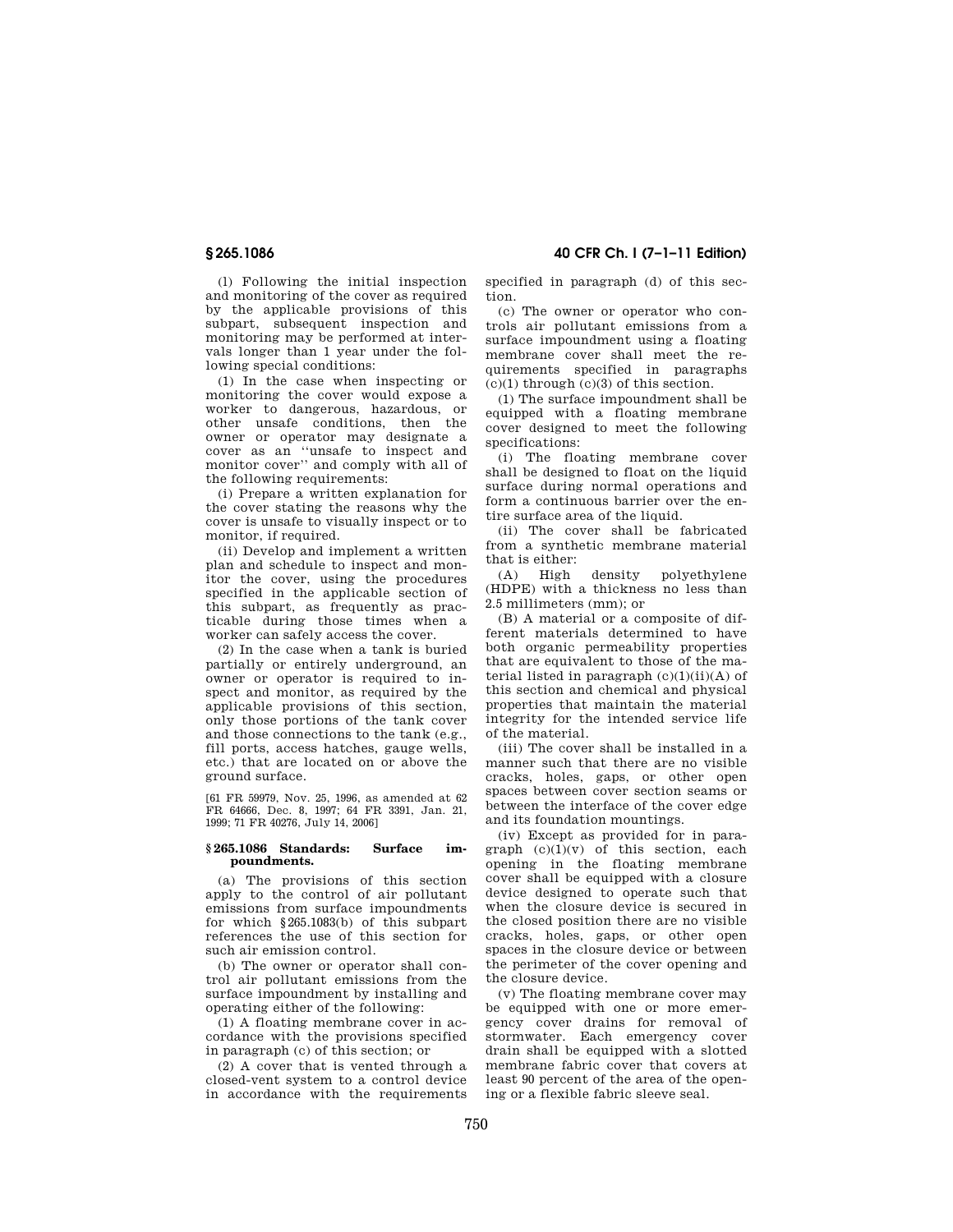**§ 265.1086 40 CFR Ch. I (7–1–11 Edition)** 

(l) Following the initial inspection and monitoring of the cover as required by the applicable provisions of this subpart, subsequent inspection and monitoring may be performed at intervals longer than 1 year under the following special conditions:

(1) In the case when inspecting or monitoring the cover would expose a worker to dangerous, hazardous, or other unsafe conditions, then the owner or operator may designate a cover as an ''unsafe to inspect and monitor cover'' and comply with all of the following requirements:

(i) Prepare a written explanation for the cover stating the reasons why the cover is unsafe to visually inspect or to monitor, if required.

(ii) Develop and implement a written plan and schedule to inspect and monitor the cover, using the procedures specified in the applicable section of this subpart, as frequently as practicable during those times when a worker can safely access the cover.

(2) In the case when a tank is buried partially or entirely underground, an owner or operator is required to inspect and monitor, as required by the applicable provisions of this section, only those portions of the tank cover and those connections to the tank (e.g., fill ports, access hatches, gauge wells, etc.) that are located on or above the ground surface.

[61 FR 59979, Nov. 25, 1996, as amended at 62 FR 64666, Dec. 8, 1997; 64 FR 3391, Jan. 21, 1999; 71 FR 40276, July 14, 2006]

## **§ 265.1086 Standards: Surface impoundments.**

(a) The provisions of this section apply to the control of air pollutant emissions from surface impoundments for which §265.1083(b) of this subpart references the use of this section for such air emission control.

(b) The owner or operator shall control air pollutant emissions from the surface impoundment by installing and operating either of the following:

(1) A floating membrane cover in accordance with the provisions specified in paragraph (c) of this section; or

(2) A cover that is vented through a closed-vent system to a control device in accordance with the requirements specified in paragraph (d) of this section.

(c) The owner or operator who controls air pollutant emissions from a surface impoundment using a floating membrane cover shall meet the requirements specified in paragraphs  $(c)(1)$  through  $(c)(3)$  of this section.

(1) The surface impoundment shall be equipped with a floating membrane cover designed to meet the following specifications:

(i) The floating membrane cover shall be designed to float on the liquid surface during normal operations and form a continuous barrier over the entire surface area of the liquid.

(ii) The cover shall be fabricated from a synthetic membrane material that is either:

(A) High density polyethylene (HDPE) with a thickness no less than 2.5 millimeters (mm); or

(B) A material or a composite of different materials determined to have both organic permeability properties that are equivalent to those of the material listed in paragraph  $(c)(1)(ii)(A)$  of this section and chemical and physical properties that maintain the material integrity for the intended service life of the material.

(iii) The cover shall be installed in a manner such that there are no visible cracks, holes, gaps, or other open spaces between cover section seams or between the interface of the cover edge and its foundation mountings.

(iv) Except as provided for in paragraph  $(c)(1)(v)$  of this section, each opening in the floating membrane cover shall be equipped with a closure device designed to operate such that when the closure device is secured in the closed position there are no visible cracks, holes, gaps, or other open spaces in the closure device or between the perimeter of the cover opening and the closure device.

(v) The floating membrane cover may be equipped with one or more emergency cover drains for removal of stormwater. Each emergency cover drain shall be equipped with a slotted membrane fabric cover that covers at least 90 percent of the area of the opening or a flexible fabric sleeve seal.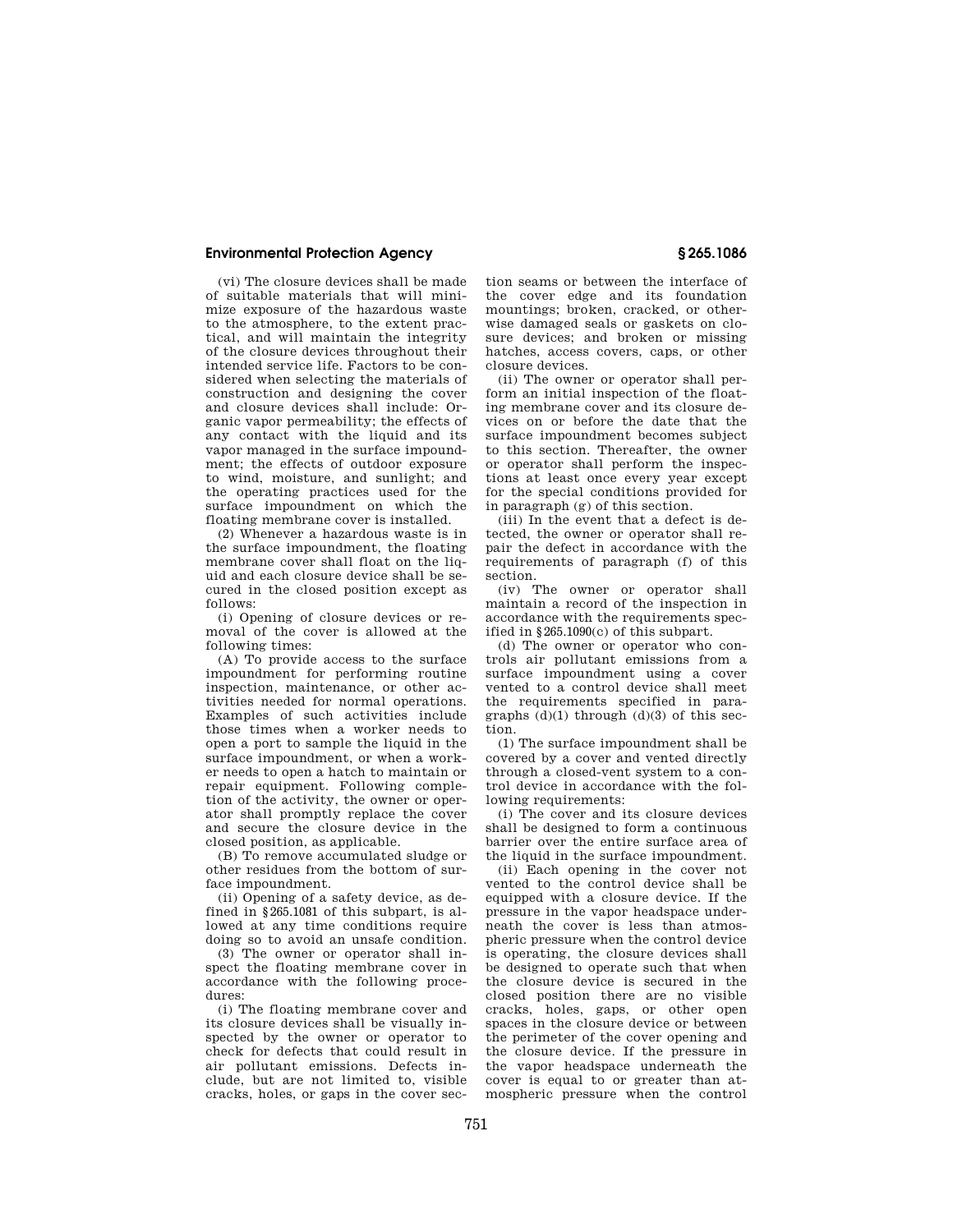(vi) The closure devices shall be made of suitable materials that will minimize exposure of the hazardous waste to the atmosphere, to the extent practical, and will maintain the integrity of the closure devices throughout their intended service life. Factors to be considered when selecting the materials of construction and designing the cover and closure devices shall include: Organic vapor permeability; the effects of any contact with the liquid and its vapor managed in the surface impoundment; the effects of outdoor exposure to wind, moisture, and sunlight; and the operating practices used for the surface impoundment on which the floating membrane cover is installed.

(2) Whenever a hazardous waste is in the surface impoundment, the floating membrane cover shall float on the liquid and each closure device shall be secured in the closed position except as follows:

(i) Opening of closure devices or removal of the cover is allowed at the following times:

(A) To provide access to the surface impoundment for performing routine inspection, maintenance, or other activities needed for normal operations. Examples of such activities include those times when a worker needs to open a port to sample the liquid in the surface impoundment, or when a worker needs to open a hatch to maintain or repair equipment. Following completion of the activity, the owner or operator shall promptly replace the cover and secure the closure device in the closed position, as applicable.

(B) To remove accumulated sludge or other residues from the bottom of surface impoundment.

(ii) Opening of a safety device, as defined in §265.1081 of this subpart, is allowed at any time conditions require doing so to avoid an unsafe condition.

(3) The owner or operator shall inspect the floating membrane cover in accordance with the following procedures:

(i) The floating membrane cover and its closure devices shall be visually inspected by the owner or operator to check for defects that could result in air pollutant emissions. Defects include, but are not limited to, visible cracks, holes, or gaps in the cover section seams or between the interface of the cover edge and its foundation mountings; broken, cracked, or otherwise damaged seals or gaskets on closure devices; and broken or missing hatches, access covers, caps, or other closure devices.

(ii) The owner or operator shall perform an initial inspection of the floating membrane cover and its closure devices on or before the date that the surface impoundment becomes subject to this section. Thereafter, the owner or operator shall perform the inspections at least once every year except for the special conditions provided for in paragraph (g) of this section.

(iii) In the event that a defect is detected, the owner or operator shall repair the defect in accordance with the requirements of paragraph (f) of this section.

(iv) The owner or operator shall maintain a record of the inspection in accordance with the requirements specified in §265.1090(c) of this subpart.

(d) The owner or operator who controls air pollutant emissions from a surface impoundment using a cover vented to a control device shall meet the requirements specified in paragraphs  $(d)(1)$  through  $(d)(3)$  of this section.

(1) The surface impoundment shall be covered by a cover and vented directly through a closed-vent system to a control device in accordance with the following requirements:

(i) The cover and its closure devices shall be designed to form a continuous barrier over the entire surface area of the liquid in the surface impoundment.

(ii) Each opening in the cover not vented to the control device shall be equipped with a closure device. If the pressure in the vapor headspace underneath the cover is less than atmospheric pressure when the control device is operating, the closure devices shall be designed to operate such that when the closure device is secured in the closed position there are no visible cracks, holes, gaps, or other open spaces in the closure device or between the perimeter of the cover opening and the closure device. If the pressure in the vapor headspace underneath the cover is equal to or greater than atmospheric pressure when the control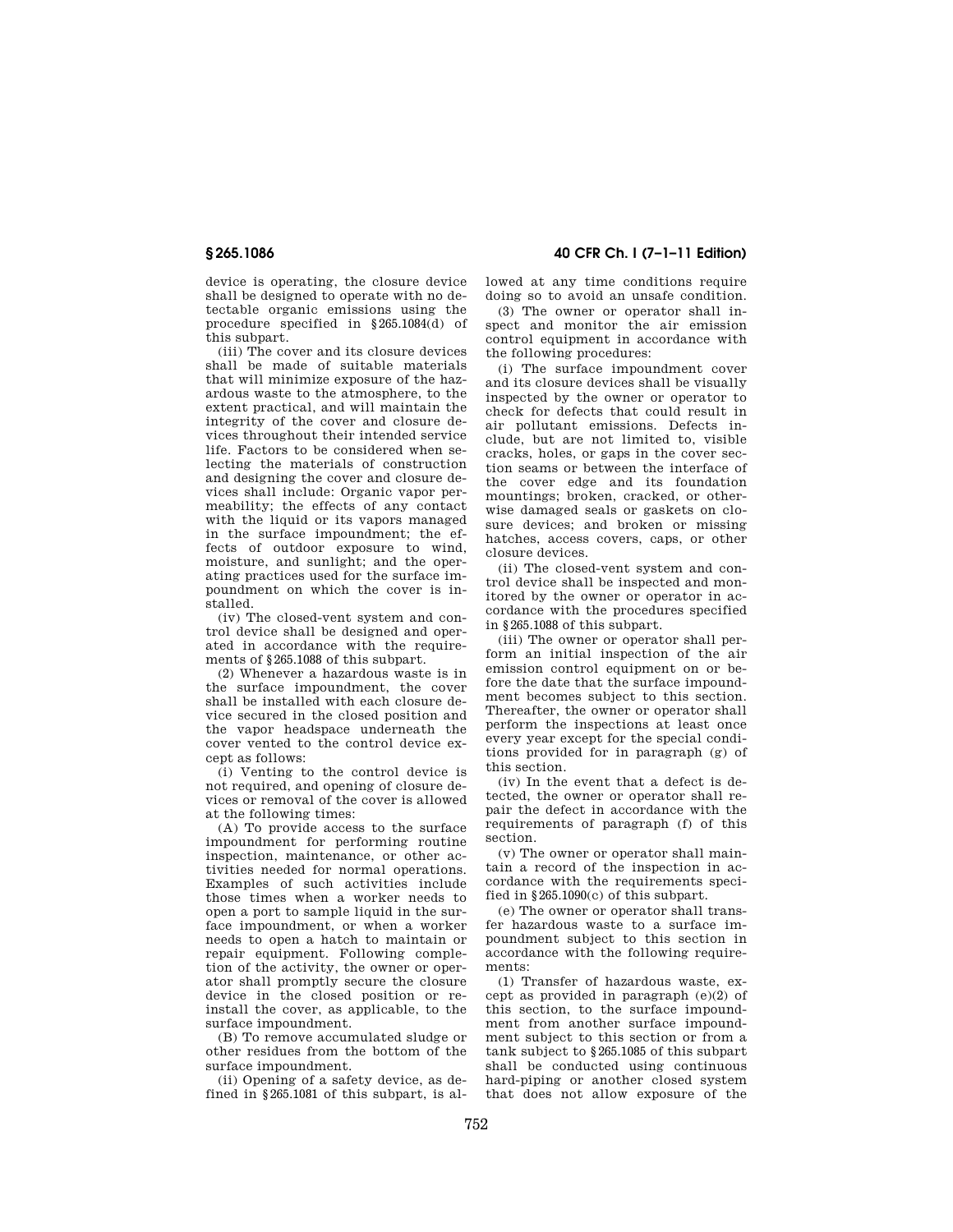device is operating, the closure device shall be designed to operate with no detectable organic emissions using the procedure specified in §265.1084(d) of this subpart.

(iii) The cover and its closure devices shall be made of suitable materials that will minimize exposure of the hazardous waste to the atmosphere, to the extent practical, and will maintain the integrity of the cover and closure devices throughout their intended service life. Factors to be considered when selecting the materials of construction and designing the cover and closure devices shall include: Organic vapor permeability; the effects of any contact with the liquid or its vapors managed in the surface impoundment; the effects of outdoor exposure to wind, moisture, and sunlight; and the operating practices used for the surface impoundment on which the cover is installed.

(iv) The closed-vent system and control device shall be designed and operated in accordance with the requirements of §265.1088 of this subpart.

(2) Whenever a hazardous waste is in the surface impoundment, the cover shall be installed with each closure device secured in the closed position and the vapor headspace underneath the cover vented to the control device except as follows:

(i) Venting to the control device is not required, and opening of closure devices or removal of the cover is allowed at the following times:

(A) To provide access to the surface impoundment for performing routine inspection, maintenance, or other activities needed for normal operations. Examples of such activities include those times when a worker needs to open a port to sample liquid in the surface impoundment, or when a worker needs to open a hatch to maintain or repair equipment. Following completion of the activity, the owner or operator shall promptly secure the closure device in the closed position or reinstall the cover, as applicable, to the surface impoundment.

(B) To remove accumulated sludge or other residues from the bottom of the surface impoundment.

(ii) Opening of a safety device, as defined in §265.1081 of this subpart, is al-

**§ 265.1086 40 CFR Ch. I (7–1–11 Edition)** 

lowed at any time conditions require doing so to avoid an unsafe condition.

(3) The owner or operator shall inspect and monitor the air emission control equipment in accordance with the following procedures:

(i) The surface impoundment cover and its closure devices shall be visually inspected by the owner or operator to check for defects that could result in air pollutant emissions. Defects include, but are not limited to, visible cracks, holes, or gaps in the cover section seams or between the interface of the cover edge and its foundation mountings; broken, cracked, or otherwise damaged seals or gaskets on closure devices; and broken or missing hatches, access covers, caps, or other closure devices.

(ii) The closed-vent system and control device shall be inspected and monitored by the owner or operator in accordance with the procedures specified in §265.1088 of this subpart.

(iii) The owner or operator shall perform an initial inspection of the air emission control equipment on or before the date that the surface impoundment becomes subject to this section. Thereafter, the owner or operator shall perform the inspections at least once every year except for the special conditions provided for in paragraph (g) of this section.

(iv) In the event that a defect is detected, the owner or operator shall repair the defect in accordance with the requirements of paragraph (f) of this section.

(v) The owner or operator shall maintain a record of the inspection in accordance with the requirements specified in §265.1090(c) of this subpart.

(e) The owner or operator shall transfer hazardous waste to a surface impoundment subject to this section in accordance with the following requirements:

(1) Transfer of hazardous waste, except as provided in paragraph (e)(2) of this section, to the surface impoundment from another surface impoundment subject to this section or from a tank subject to §265.1085 of this subpart shall be conducted using continuous hard-piping or another closed system that does not allow exposure of the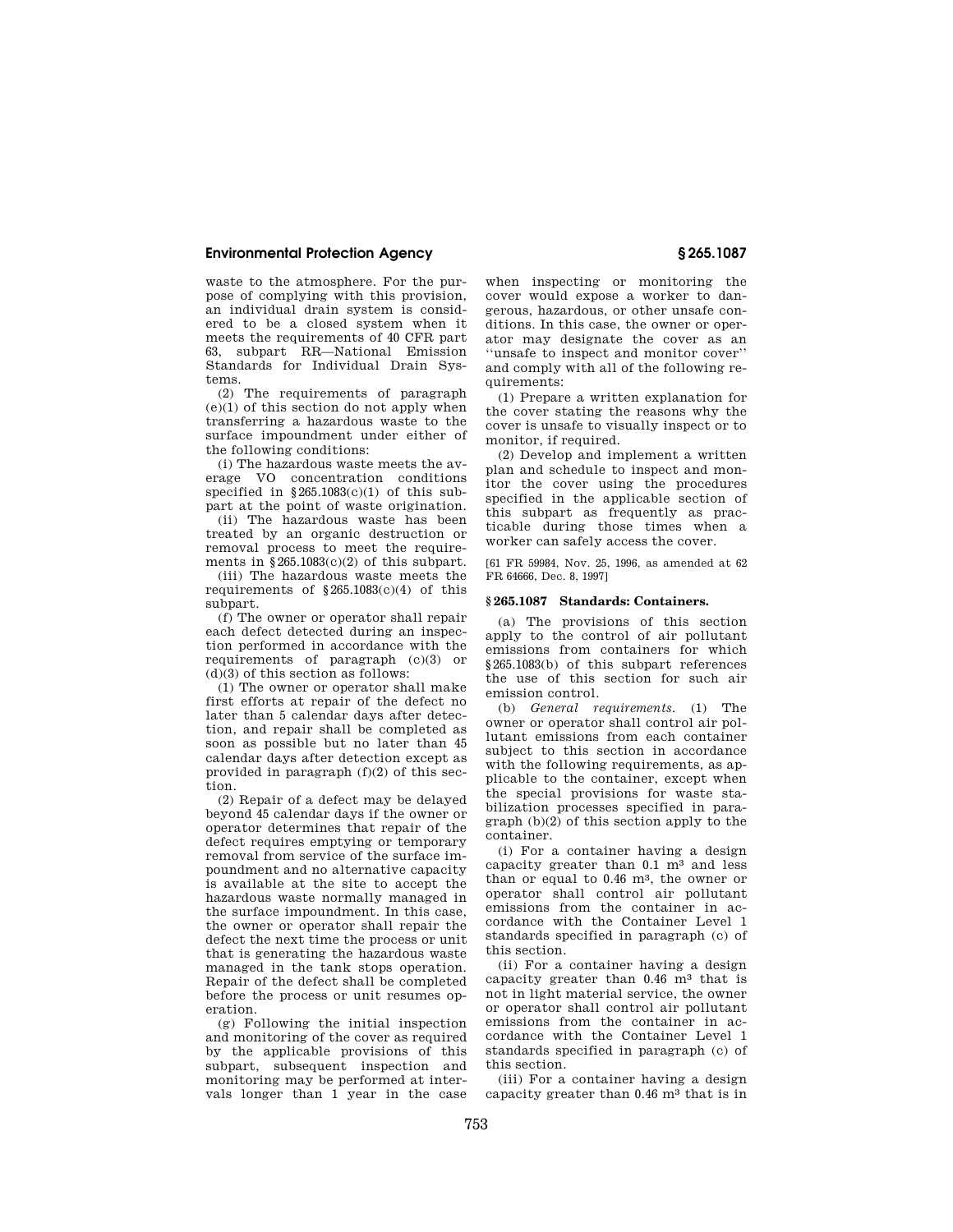waste to the atmosphere. For the purpose of complying with this provision, an individual drain system is considered to be a closed system when it meets the requirements of 40 CFR part 63, subpart RR—National Emission Standards for Individual Drain Systems.

(2) The requirements of paragraph (e)(1) of this section do not apply when transferring a hazardous waste to the surface impoundment under either of the following conditions:

(i) The hazardous waste meets the average VO concentration conditions specified in  $$265.1083(c)(1)$  of this subpart at the point of waste origination.

(ii) The hazardous waste has been treated by an organic destruction or removal process to meet the requirements in  $$265.1083(c)(2)$  of this subpart.

(iii) The hazardous waste meets the requirements of  $$265.1083(c)(4)$  of this subpart.

(f) The owner or operator shall repair each defect detected during an inspection performed in accordance with the requirements of paragraph (c)(3) or  $(d)(3)$  of this section as follows:

(1) The owner or operator shall make first efforts at repair of the defect no later than 5 calendar days after detection, and repair shall be completed as soon as possible but no later than 45 calendar days after detection except as provided in paragraph (f)(2) of this section.

(2) Repair of a defect may be delayed beyond 45 calendar days if the owner or operator determines that repair of the defect requires emptying or temporary removal from service of the surface impoundment and no alternative capacity is available at the site to accept the hazardous waste normally managed in the surface impoundment. In this case, the owner or operator shall repair the defect the next time the process or unit that is generating the hazardous waste managed in the tank stops operation. Repair of the defect shall be completed before the process or unit resumes operation.

(g) Following the initial inspection and monitoring of the cover as required by the applicable provisions of this subpart, subsequent inspection and monitoring may be performed at intervals longer than 1 year in the case

when inspecting or monitoring the cover would expose a worker to dangerous, hazardous, or other unsafe conditions. In this case, the owner or operator may designate the cover as an ''unsafe to inspect and monitor cover'' and comply with all of the following requirements:

(1) Prepare a written explanation for the cover stating the reasons why the cover is unsafe to visually inspect or to monitor, if required.

(2) Develop and implement a written plan and schedule to inspect and monitor the cover using the procedures specified in the applicable section of this subpart as frequently as practicable during those times when a worker can safely access the cover.

[61 FR 59984, Nov. 25, 1996, as amended at 62 FR 64666, Dec. 8, 1997]

# **§ 265.1087 Standards: Containers.**

(a) The provisions of this section apply to the control of air pollutant emissions from containers for which §265.1083(b) of this subpart references the use of this section for such air emission control.

(b) *General requirements.* (1) The owner or operator shall control air pollutant emissions from each container subject to this section in accordance with the following requirements, as applicable to the container, except when the special provisions for waste stabilization processes specified in paragraph (b)(2) of this section apply to the container.

(i) For a container having a design capacity greater than  $0.1 \text{ m}^3$  and less than or equal to 0.46 m3, the owner or operator shall control air pollutant emissions from the container in accordance with the Container Level 1 standards specified in paragraph (c) of this section.

(ii) For a container having a design capacity greater than 0.46 m3 that is not in light material service, the owner or operator shall control air pollutant emissions from the container in accordance with the Container Level 1 standards specified in paragraph (c) of this section.

(iii) For a container having a design capacity greater than 0.46 m3 that is in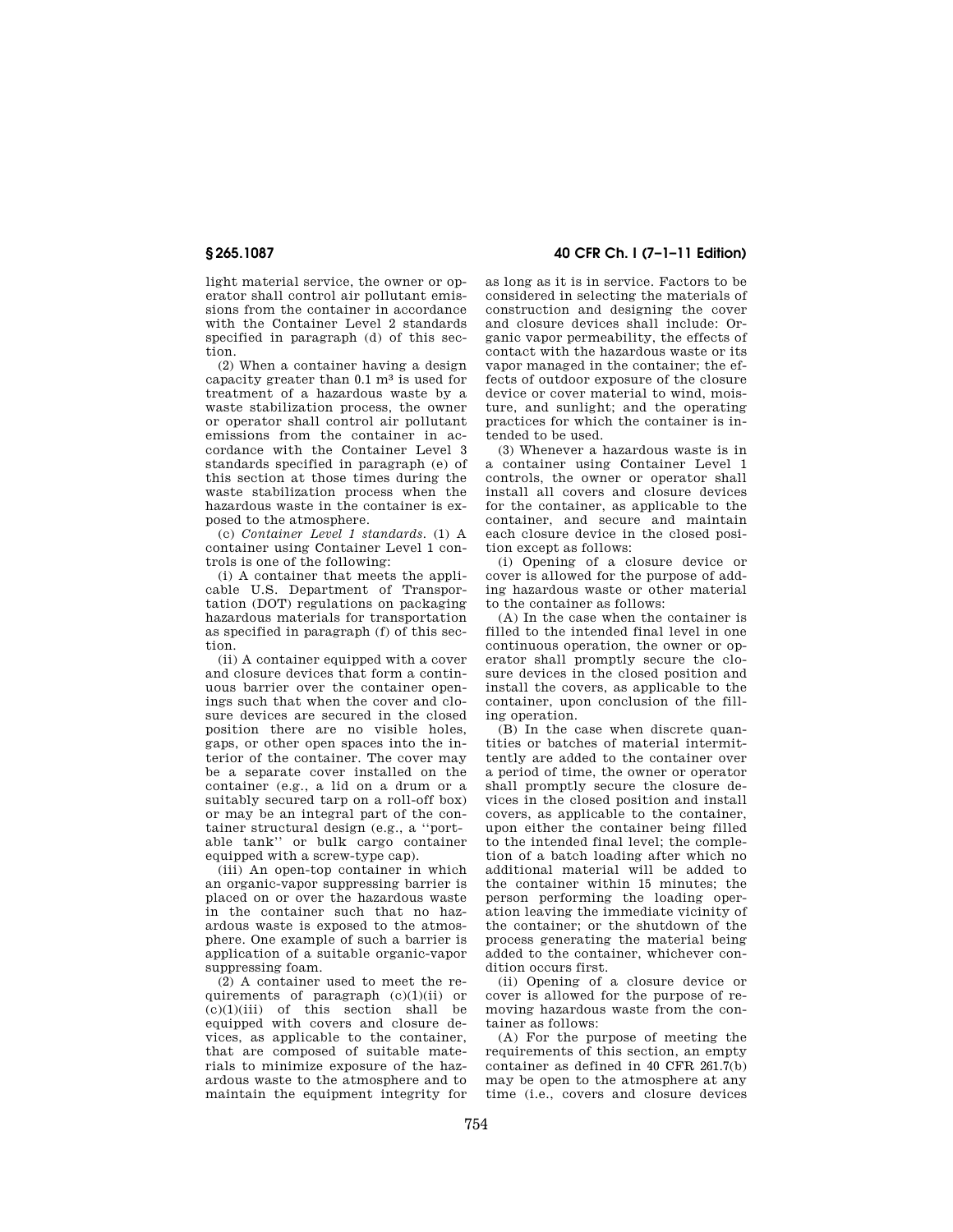light material service, the owner or operator shall control air pollutant emissions from the container in accordance with the Container Level 2 standards specified in paragraph (d) of this section.

(2) When a container having a design capacity greater than 0.1 m3 is used for treatment of a hazardous waste by a waste stabilization process, the owner or operator shall control air pollutant emissions from the container in accordance with the Container Level 3 standards specified in paragraph (e) of this section at those times during the waste stabilization process when the hazardous waste in the container is exposed to the atmosphere.

(c) *Container Level 1 standards.* (1) A container using Container Level 1 controls is one of the following:

(i) A container that meets the applicable U.S. Department of Transportation (DOT) regulations on packaging hazardous materials for transportation as specified in paragraph (f) of this section.

(ii) A container equipped with a cover and closure devices that form a continuous barrier over the container openings such that when the cover and closure devices are secured in the closed position there are no visible holes, gaps, or other open spaces into the interior of the container. The cover may be a separate cover installed on the container (e.g., a lid on a drum or a suitably secured tarp on a roll-off box) or may be an integral part of the container structural design (e.g., a ''portable tank'' or bulk cargo container equipped with a screw-type cap).

(iii) An open-top container in which an organic-vapor suppressing barrier is placed on or over the hazardous waste in the container such that no hazardous waste is exposed to the atmosphere. One example of such a barrier is application of a suitable organic-vapor suppressing foam.

(2) A container used to meet the requirements of paragraph  $(c)(1)(ii)$  or  $(c)(1)(iii)$  of this section shall be equipped with covers and closure devices, as applicable to the container, that are composed of suitable materials to minimize exposure of the hazardous waste to the atmosphere and to maintain the equipment integrity for

# **§ 265.1087 40 CFR Ch. I (7–1–11 Edition)**

as long as it is in service. Factors to be considered in selecting the materials of construction and designing the cover and closure devices shall include: Organic vapor permeability, the effects of contact with the hazardous waste or its vapor managed in the container; the effects of outdoor exposure of the closure device or cover material to wind, moisture, and sunlight; and the operating practices for which the container is intended to be used.

(3) Whenever a hazardous waste is in a container using Container Level 1 controls, the owner or operator shall install all covers and closure devices for the container, as applicable to the container, and secure and maintain each closure device in the closed position except as follows:

(i) Opening of a closure device or cover is allowed for the purpose of adding hazardous waste or other material to the container as follows:

(A) In the case when the container is filled to the intended final level in one continuous operation, the owner or operator shall promptly secure the closure devices in the closed position and install the covers, as applicable to the container, upon conclusion of the filling operation.

(B) In the case when discrete quantities or batches of material intermittently are added to the container over a period of time, the owner or operator shall promptly secure the closure devices in the closed position and install covers, as applicable to the container, upon either the container being filled to the intended final level; the completion of a batch loading after which no additional material will be added to the container within 15 minutes; the person performing the loading operation leaving the immediate vicinity of the container; or the shutdown of the process generating the material being added to the container, whichever condition occurs first.

(ii) Opening of a closure device or cover is allowed for the purpose of removing hazardous waste from the container as follows:

(A) For the purpose of meeting the requirements of this section, an empty container as defined in  $40$  CFR  $261$   $7(b)$ may be open to the atmosphere at any time (i.e., covers and closure devices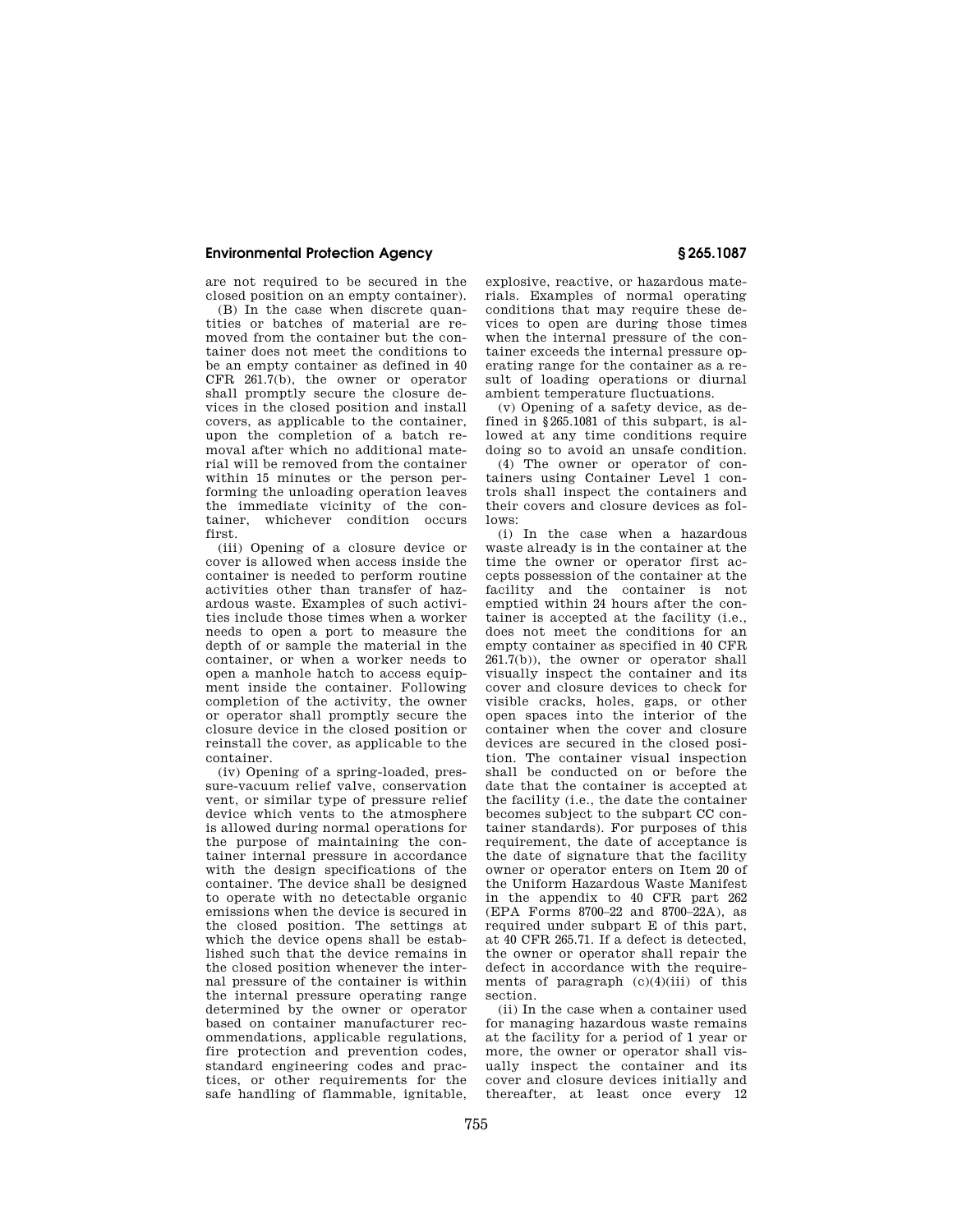are not required to be secured in the closed position on an empty container).

(B) In the case when discrete quantities or batches of material are removed from the container but the container does not meet the conditions to be an empty container as defined in 40 CFR 261.7(b), the owner or operator shall promptly secure the closure devices in the closed position and install covers, as applicable to the container, upon the completion of a batch removal after which no additional material will be removed from the container within 15 minutes or the person performing the unloading operation leaves the immediate vicinity of the container, whichever condition occurs first.

(iii) Opening of a closure device or cover is allowed when access inside the container is needed to perform routine activities other than transfer of hazardous waste. Examples of such activities include those times when a worker needs to open a port to measure the depth of or sample the material in the container, or when a worker needs to open a manhole hatch to access equipment inside the container. Following completion of the activity, the owner or operator shall promptly secure the closure device in the closed position or reinstall the cover, as applicable to the container.

(iv) Opening of a spring-loaded, pressure-vacuum relief valve, conservation vent, or similar type of pressure relief device which vents to the atmosphere is allowed during normal operations for the purpose of maintaining the container internal pressure in accordance with the design specifications of the container. The device shall be designed to operate with no detectable organic emissions when the device is secured in the closed position. The settings at which the device opens shall be established such that the device remains in the closed position whenever the internal pressure of the container is within the internal pressure operating range determined by the owner or operator based on container manufacturer recommendations, applicable regulations, fire protection and prevention codes, standard engineering codes and practices, or other requirements for the safe handling of flammable, ignitable,

explosive, reactive, or hazardous materials. Examples of normal operating conditions that may require these devices to open are during those times when the internal pressure of the container exceeds the internal pressure operating range for the container as a result of loading operations or diurnal ambient temperature fluctuations.

(v) Opening of a safety device, as defined in §265.1081 of this subpart, is allowed at any time conditions require doing so to avoid an unsafe condition.

(4) The owner or operator of containers using Container Level 1 controls shall inspect the containers and their covers and closure devices as follows:

(i) In the case when a hazardous waste already is in the container at the time the owner or operator first accepts possession of the container at the facility and the container is not emptied within 24 hours after the container is accepted at the facility (i.e., does not meet the conditions for an empty container as specified in 40 CFR 261.7(b)), the owner or operator shall visually inspect the container and its cover and closure devices to check for visible cracks, holes, gaps, or other open spaces into the interior of the container when the cover and closure devices are secured in the closed position. The container visual inspection shall be conducted on or before the date that the container is accepted at the facility (i.e., the date the container becomes subject to the subpart CC container standards). For purposes of this requirement, the date of acceptance is the date of signature that the facility owner or operator enters on Item 20 of the Uniform Hazardous Waste Manifest in the appendix to 40 CFR part 262 (EPA Forms 8700–22 and 8700–22A), as required under subpart E of this part, at 40 CFR 265.71. If a defect is detected, the owner or operator shall repair the defect in accordance with the requirements of paragraph  $(c)(4)(iii)$  of this section.

(ii) In the case when a container used for managing hazardous waste remains at the facility for a period of 1 year or more, the owner or operator shall visually inspect the container and its cover and closure devices initially and thereafter, at least once every 12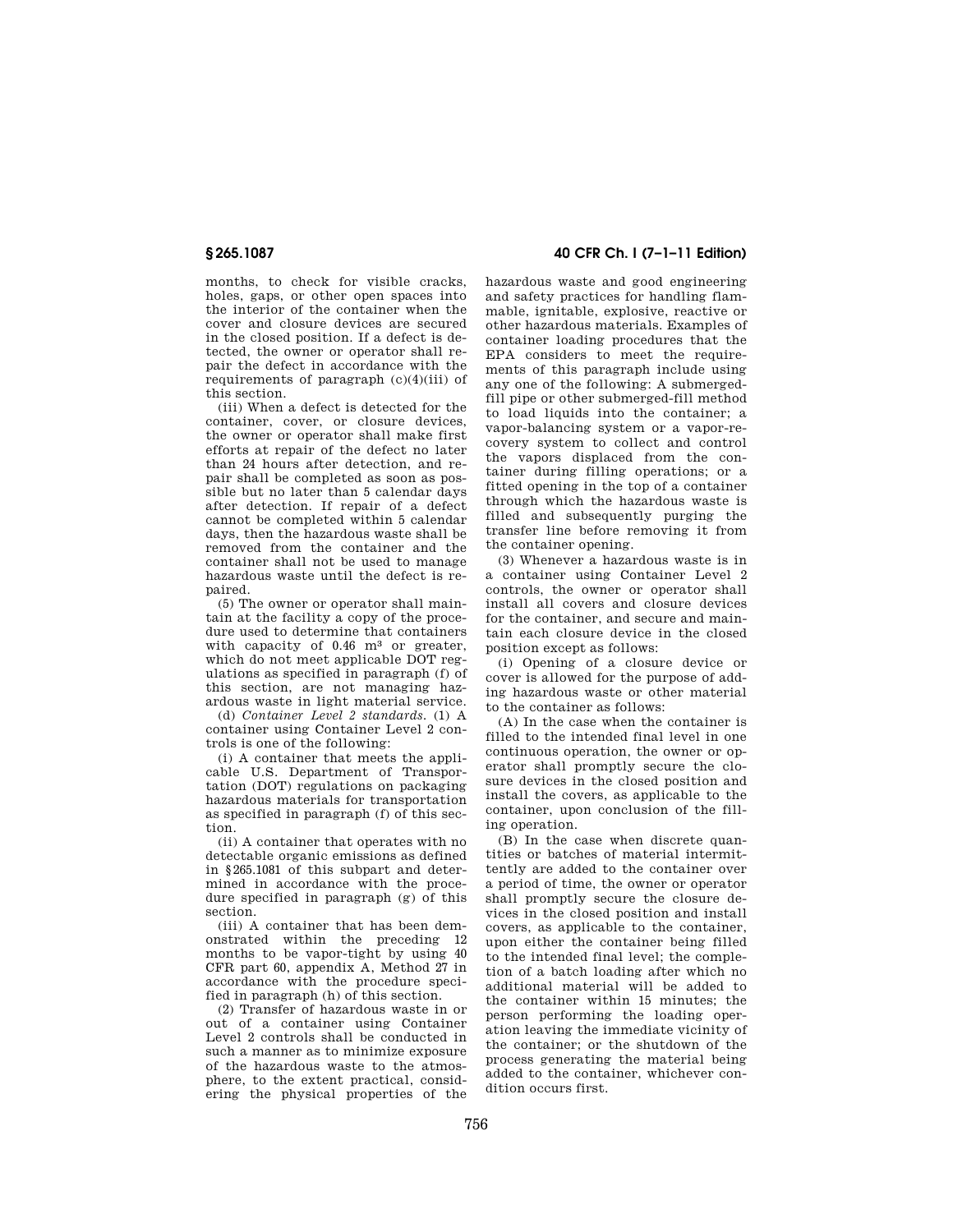months, to check for visible cracks, holes, gaps, or other open spaces into the interior of the container when the cover and closure devices are secured in the closed position. If a defect is detected, the owner or operator shall repair the defect in accordance with the requirements of paragraph  $(c)(4)(iii)$  of this section.

(iii) When a defect is detected for the container, cover, or closure devices, the owner or operator shall make first efforts at repair of the defect no later than 24 hours after detection, and repair shall be completed as soon as possible but no later than 5 calendar days after detection. If repair of a defect cannot be completed within 5 calendar days, then the hazardous waste shall be removed from the container and the container shall not be used to manage hazardous waste until the defect is repaired.

(5) The owner or operator shall maintain at the facility a copy of the procedure used to determine that containers with capacity of 0.46 m<sup>3</sup> or greater, which do not meet applicable DOT regulations as specified in paragraph (f) of this section, are not managing hazardous waste in light material service.

(d) *Container Level 2 standards.* (1) A container using Container Level 2 controls is one of the following:

(i) A container that meets the applicable U.S. Department of Transportation (DOT) regulations on packaging hazardous materials for transportation as specified in paragraph (f) of this section.

(ii) A container that operates with no detectable organic emissions as defined in §265.1081 of this subpart and determined in accordance with the procedure specified in paragraph (g) of this section.

(iii) A container that has been demonstrated within the preceding 12 months to be vapor-tight by using 40 CFR part 60, appendix A, Method 27 in accordance with the procedure specified in paragraph (h) of this section.

(2) Transfer of hazardous waste in or out of a container using Container Level 2 controls shall be conducted in such a manner as to minimize exposure of the hazardous waste to the atmosphere, to the extent practical, considering the physical properties of the

**§ 265.1087 40 CFR Ch. I (7–1–11 Edition)** 

hazardous waste and good engineering and safety practices for handling flammable, ignitable, explosive, reactive or other hazardous materials. Examples of container loading procedures that the EPA considers to meet the requirements of this paragraph include using any one of the following: A submergedfill pipe or other submerged-fill method to load liquids into the container; a vapor-balancing system or a vapor-recovery system to collect and control the vapors displaced from the container during filling operations; or a fitted opening in the top of a container through which the hazardous waste is filled and subsequently purging the transfer line before removing it from the container opening.

(3) Whenever a hazardous waste is in a container using Container Level 2 controls, the owner or operator shall install all covers and closure devices for the container, and secure and maintain each closure device in the closed position except as follows:

(i) Opening of a closure device or cover is allowed for the purpose of adding hazardous waste or other material to the container as follows:

(A) In the case when the container is filled to the intended final level in one continuous operation, the owner or operator shall promptly secure the closure devices in the closed position and install the covers, as applicable to the container, upon conclusion of the filling operation.

(B) In the case when discrete quantities or batches of material intermittently are added to the container over a period of time, the owner or operator shall promptly secure the closure devices in the closed position and install covers, as applicable to the container, upon either the container being filled to the intended final level; the completion of a batch loading after which no additional material will be added to the container within 15 minutes; the person performing the loading operation leaving the immediate vicinity of the container; or the shutdown of the process generating the material being added to the container, whichever condition occurs first.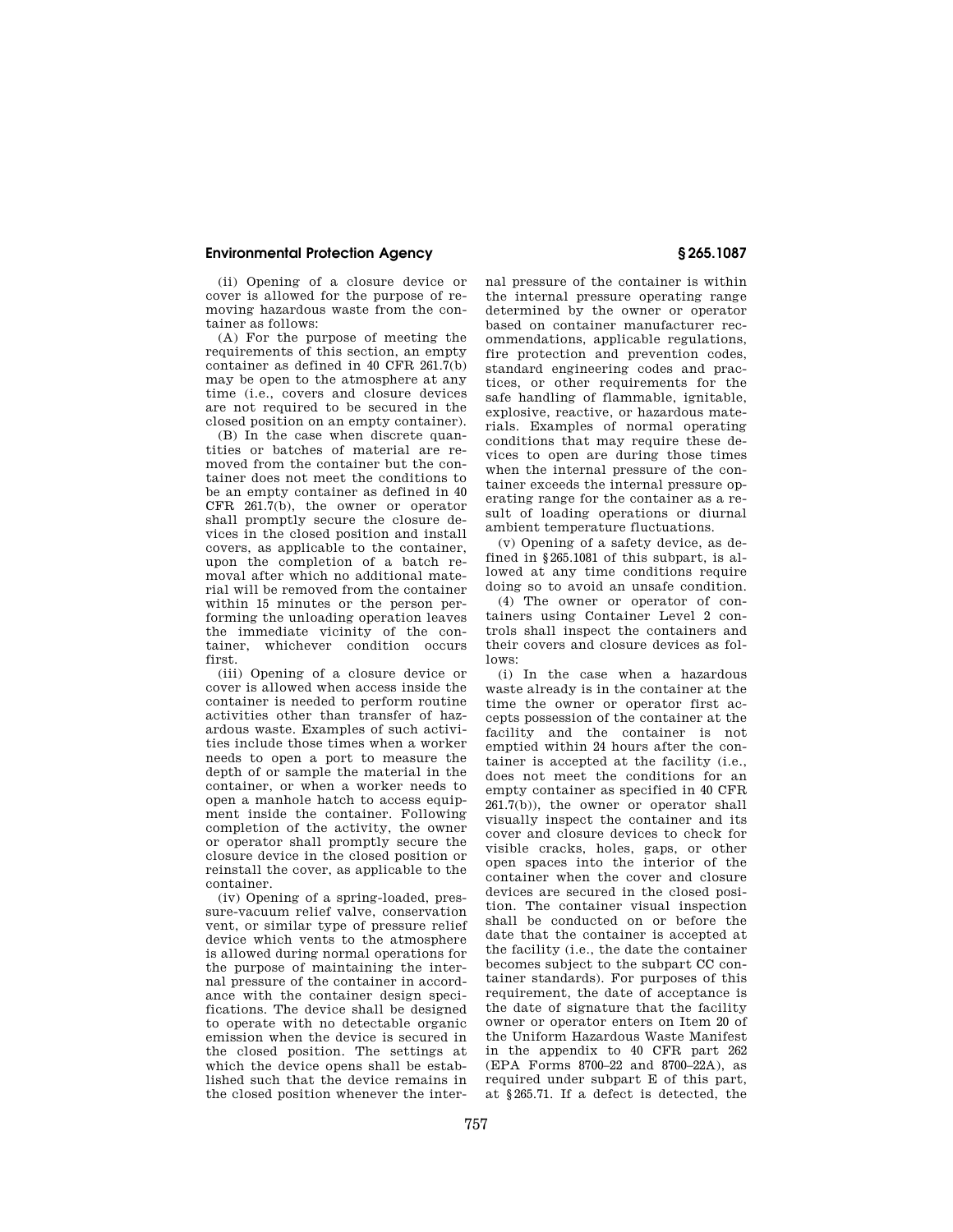(ii) Opening of a closure device or cover is allowed for the purpose of removing hazardous waste from the container as follows:

(A) For the purpose of meeting the requirements of this section, an empty container as defined in 40 CFR 261.7(b) may be open to the atmosphere at any time (i.e., covers and closure devices are not required to be secured in the closed position on an empty container).

(B) In the case when discrete quantities or batches of material are removed from the container but the container does not meet the conditions to be an empty container as defined in 40 CFR 261.7(b), the owner or operator shall promptly secure the closure devices in the closed position and install covers, as applicable to the container, upon the completion of a batch removal after which no additional material will be removed from the container within 15 minutes or the person performing the unloading operation leaves the immediate vicinity of the container, whichever condition occurs first.

(iii) Opening of a closure device or cover is allowed when access inside the container is needed to perform routine activities other than transfer of hazardous waste. Examples of such activities include those times when a worker needs to open a port to measure the depth of or sample the material in the container, or when a worker needs to open a manhole hatch to access equipment inside the container. Following completion of the activity, the owner or operator shall promptly secure the closure device in the closed position or reinstall the cover, as applicable to the container.

(iv) Opening of a spring-loaded, pressure-vacuum relief valve, conservation vent, or similar type of pressure relief device which vents to the atmosphere is allowed during normal operations for the purpose of maintaining the internal pressure of the container in accordance with the container design specifications. The device shall be designed to operate with no detectable organic emission when the device is secured in the closed position. The settings at which the device opens shall be established such that the device remains in the closed position whenever the internal pressure of the container is within the internal pressure operating range determined by the owner or operator based on container manufacturer recommendations, applicable regulations, fire protection and prevention codes, standard engineering codes and practices, or other requirements for the safe handling of flammable, ignitable, explosive, reactive, or hazardous materials. Examples of normal operating conditions that may require these devices to open are during those times when the internal pressure of the container exceeds the internal pressure operating range for the container as a result of loading operations or diurnal ambient temperature fluctuations.

(v) Opening of a safety device, as defined in §265.1081 of this subpart, is allowed at any time conditions require doing so to avoid an unsafe condition.

(4) The owner or operator of containers using Container Level 2 controls shall inspect the containers and their covers and closure devices as fol $lows$ .

(i) In the case when a hazardous waste already is in the container at the time the owner or operator first accepts possession of the container at the facility and the container is not emptied within 24 hours after the container is accepted at the facility (i.e., does not meet the conditions for an empty container as specified in 40 CFR 261.7(b)), the owner or operator shall visually inspect the container and its cover and closure devices to check for visible cracks, holes, gaps, or other open spaces into the interior of the container when the cover and closure devices are secured in the closed position. The container visual inspection shall be conducted on or before the date that the container is accepted at the facility (i.e., the date the container becomes subject to the subpart CC container standards). For purposes of this requirement, the date of acceptance is the date of signature that the facility owner or operator enters on Item 20 of the Uniform Hazardous Waste Manifest in the appendix to 40 CFR part 262 (EPA Forms 8700–22 and 8700–22A), as required under subpart E of this part, at §265.71. If a defect is detected, the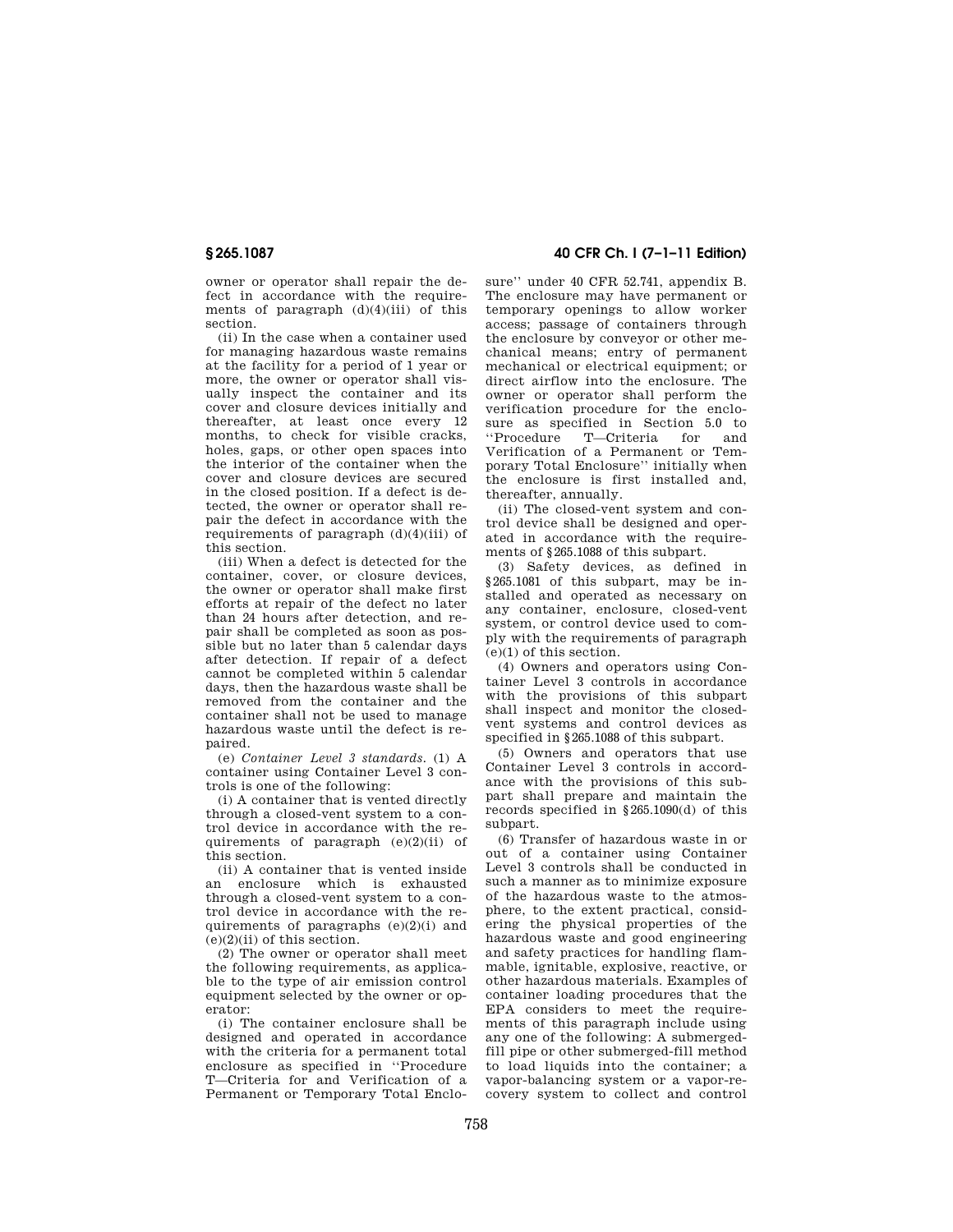owner or operator shall repair the defect in accordance with the requirements of paragraph  $(d)(4)(iii)$  of this section.

(ii) In the case when a container used for managing hazardous waste remains at the facility for a period of 1 year or more, the owner or operator shall visually inspect the container and its cover and closure devices initially and thereafter, at least once every 12 months, to check for visible cracks, holes, gaps, or other open spaces into the interior of the container when the cover and closure devices are secured in the closed position. If a defect is detected, the owner or operator shall repair the defect in accordance with the requirements of paragraph (d)(4)(iii) of this section.

(iii) When a defect is detected for the container, cover, or closure devices, the owner or operator shall make first efforts at repair of the defect no later than 24 hours after detection, and repair shall be completed as soon as possible but no later than 5 calendar days after detection. If repair of a defect cannot be completed within 5 calendar days, then the hazardous waste shall be removed from the container and the container shall not be used to manage hazardous waste until the defect is repaired.

(e) *Container Level 3 standards.* (1) A container using Container Level 3 controls is one of the following:

(i) A container that is vented directly through a closed-vent system to a control device in accordance with the requirements of paragraph  $(e)(2)(ii)$  of this section.

(ii) A container that is vented inside an enclosure which is exhausted through a closed-vent system to a control device in accordance with the requirements of paragraphs (e)(2)(i) and  $(e)(2)(ii)$  of this section.

(2) The owner or operator shall meet the following requirements, as applicable to the type of air emission control equipment selected by the owner or operator:

(i) The container enclosure shall be designed and operated in accordance with the criteria for a permanent total enclosure as specified in ''Procedure T—Criteria for and Verification of a Permanent or Temporary Total Enclo-

# **§ 265.1087 40 CFR Ch. I (7–1–11 Edition)**

sure'' under 40 CFR 52.741, appendix B. The enclosure may have permanent or temporary openings to allow worker access; passage of containers through the enclosure by conveyor or other mechanical means; entry of permanent mechanical or electrical equipment; or direct airflow into the enclosure. The owner or operator shall perform the verification procedure for the enclosure as specified in Section 5.0 to<br>
"Procedure T—Criteria for and T—Criteria for and Verification of a Permanent or Temporary Total Enclosure'' initially when the enclosure is first installed and, thereafter, annually.

(ii) The closed-vent system and control device shall be designed and operated in accordance with the requirements of §265.1088 of this subpart.

(3) Safety devices, as defined in §265.1081 of this subpart, may be installed and operated as necessary on any container, enclosure, closed-vent system, or control device used to comply with the requirements of paragraph (e)(1) of this section.

(4) Owners and operators using Container Level 3 controls in accordance with the provisions of this subpart shall inspect and monitor the closedvent systems and control devices as specified in §265.1088 of this subpart.

(5) Owners and operators that use Container Level 3 controls in accordance with the provisions of this subpart shall prepare and maintain the records specified in §265.1090(d) of this subpart.

(6) Transfer of hazardous waste in or out of a container using Container Level 3 controls shall be conducted in such a manner as to minimize exposure of the hazardous waste to the atmosphere, to the extent practical, considering the physical properties of the hazardous waste and good engineering and safety practices for handling flammable, ignitable, explosive, reactive, or other hazardous materials. Examples of container loading procedures that the EPA considers to meet the requirements of this paragraph include using any one of the following: A submergedfill pipe or other submerged-fill method to load liquids into the container; a vapor-balancing system or a vapor-recovery system to collect and control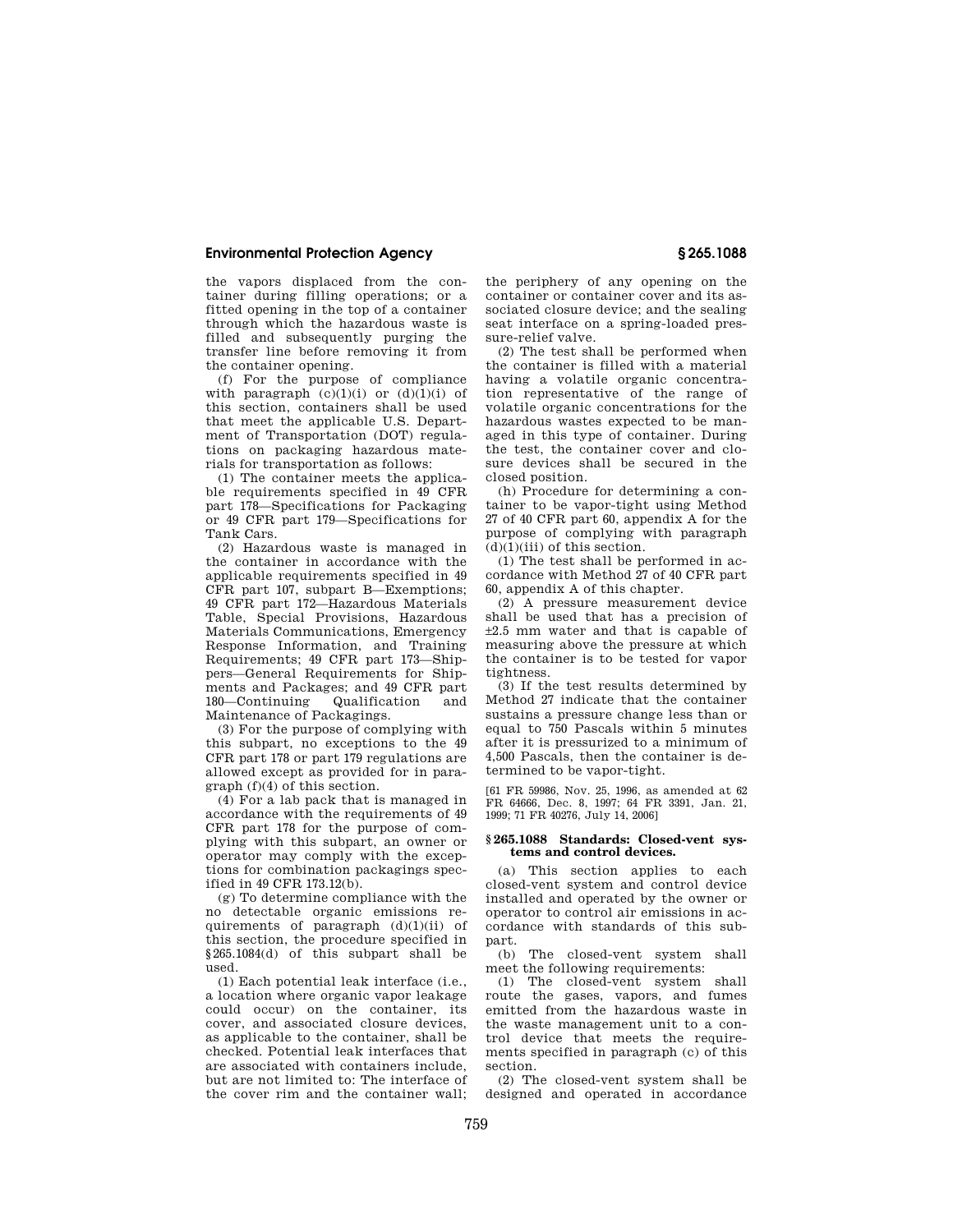the vapors displaced from the container during filling operations; or a fitted opening in the top of a container through which the hazardous waste is filled and subsequently purging the transfer line before removing it from the container opening.

(f) For the purpose of compliance with paragraph  $(c)(1)(i)$  or  $(d)(1)(i)$  of this section, containers shall be used that meet the applicable U.S. Department of Transportation (DOT) regulations on packaging hazardous materials for transportation as follows:

(1) The container meets the applicable requirements specified in 49 CFR part 178—Specifications for Packaging or 49 CFR part 179—Specifications for Tank Cars.

(2) Hazardous waste is managed in the container in accordance with the applicable requirements specified in 49 CFR part 107, subpart B—Exemptions; 49 CFR part 172—Hazardous Materials Table, Special Provisions, Hazardous Materials Communications, Emergency Response Information, and Training Requirements; 49 CFR part 173—Shippers—General Requirements for Shipments and Packages; and 49 CFR part<br>180—Continuing Qualification and 180—Continuing Qualification and Maintenance of Packagings.

(3) For the purpose of complying with this subpart, no exceptions to the 49 CFR part 178 or part 179 regulations are allowed except as provided for in paragraph (f)(4) of this section.

(4) For a lab pack that is managed in accordance with the requirements of 49 CFR part 178 for the purpose of complying with this subpart, an owner or operator may comply with the exceptions for combination packagings specified in 49 CFR 173.12(b).

(g) To determine compliance with the no detectable organic emissions requirements of paragraph  $(d)(1)(ii)$  of this section, the procedure specified in §265.1084(d) of this subpart shall be used.

(1) Each potential leak interface (i.e., a location where organic vapor leakage could occur) on the container, its cover, and associated closure devices, as applicable to the container, shall be checked. Potential leak interfaces that are associated with containers include, but are not limited to: The interface of the cover rim and the container wall;

the periphery of any opening on the container or container cover and its associated closure device; and the sealing seat interface on a spring-loaded pressure-relief valve.

(2) The test shall be performed when the container is filled with a material having a volatile organic concentration representative of the range of volatile organic concentrations for the hazardous wastes expected to be managed in this type of container. During the test, the container cover and closure devices shall be secured in the closed position.

(h) Procedure for determining a container to be vapor-tight using Method 27 of 40 CFR part 60, appendix A for the purpose of complying with paragraph  $(d)(1)(iii)$  of this section.

(1) The test shall be performed in accordance with Method 27 of 40 CFR part 60, appendix A of this chapter.

(2) A pressure measurement device shall be used that has a precision of ±2.5 mm water and that is capable of measuring above the pressure at which the container is to be tested for vapor tightness.

(3) If the test results determined by Method 27 indicate that the container sustains a pressure change less than or equal to 750 Pascals within 5 minutes after it is pressurized to a minimum of 4,500 Pascals, then the container is determined to be vapor-tight.

[61 FR 59986, Nov. 25, 1996, as amended at 62 FR 64666, Dec. 8, 1997; 64 FR 3391, Jan. 21, 1999; 71 FR 40276, July 14, 2006]

## **§ 265.1088 Standards: Closed-vent systems and control devices.**

(a) This section applies to each closed-vent system and control device installed and operated by the owner or operator to control air emissions in accordance with standards of this subpart.

(b) The closed-vent system shall meet the following requirements:

(1) The closed-vent system shall route the gases, vapors, and fumes emitted from the hazardous waste in the waste management unit to a control device that meets the requirements specified in paragraph (c) of this section.

(2) The closed-vent system shall be designed and operated in accordance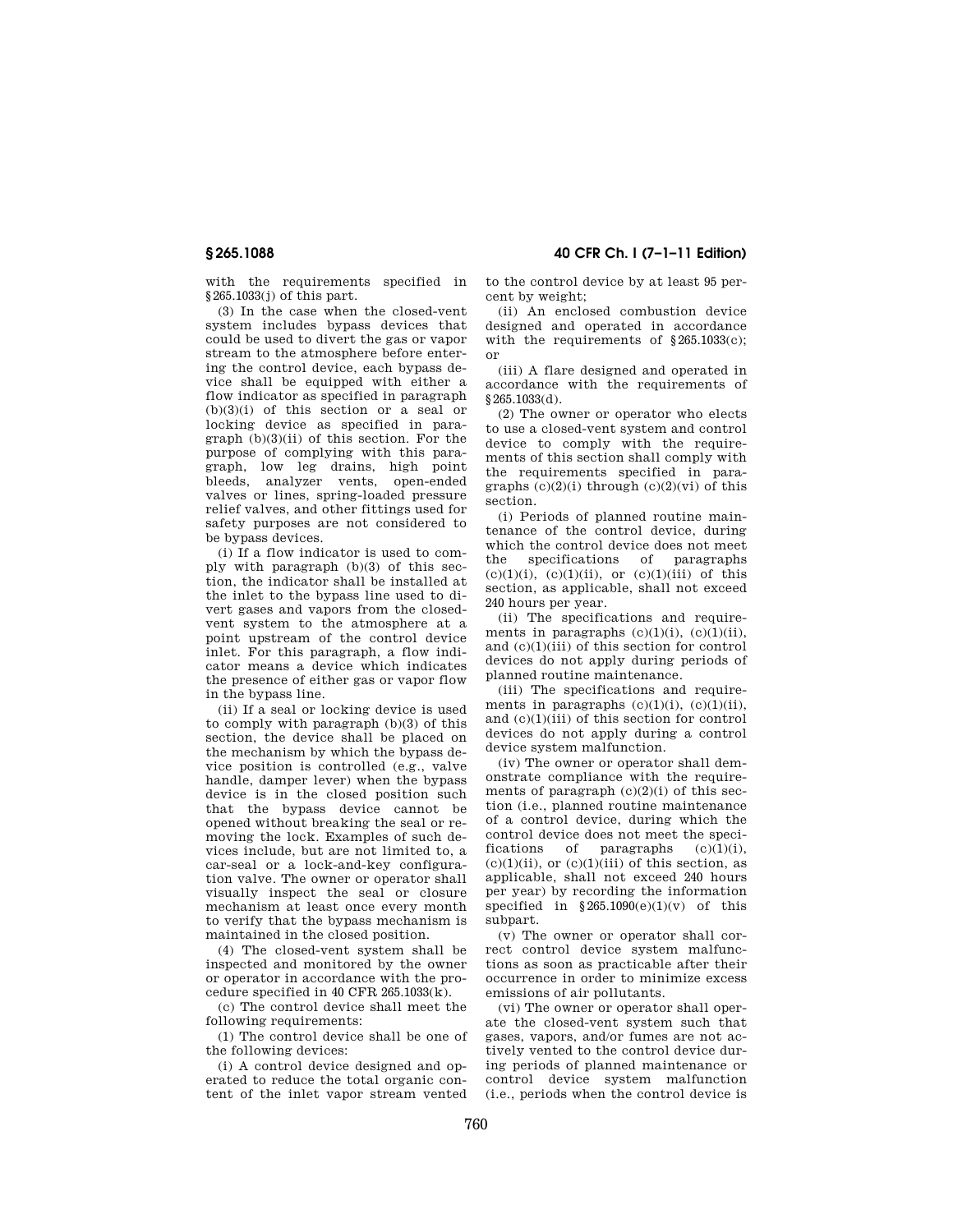with the requirements specified in §265.1033(j) of this part.

(3) In the case when the closed-vent system includes bypass devices that could be used to divert the gas or vapor stream to the atmosphere before entering the control device, each bypass device shall be equipped with either a flow indicator as specified in paragraph (b)(3)(i) of this section or a seal or locking device as specified in paragraph (b)(3)(ii) of this section. For the purpose of complying with this paragraph, low leg drains, high point bleeds, analyzer vents, open-ended valves or lines, spring-loaded pressure relief valves, and other fittings used for safety purposes are not considered to be bypass devices.

(i) If a flow indicator is used to comply with paragraph (b)(3) of this section, the indicator shall be installed at the inlet to the bypass line used to divert gases and vapors from the closedvent system to the atmosphere at a point upstream of the control device inlet. For this paragraph, a flow indicator means a device which indicates the presence of either gas or vapor flow in the bypass line.

(ii) If a seal or locking device is used to comply with paragraph (b)(3) of this section, the device shall be placed on the mechanism by which the bypass device position is controlled (e.g., valve handle, damper lever) when the bypass device is in the closed position such that the bypass device cannot be opened without breaking the seal or removing the lock. Examples of such devices include, but are not limited to, a car-seal or a lock-and-key configuration valve. The owner or operator shall visually inspect the seal or closure mechanism at least once every month to verify that the bypass mechanism is maintained in the closed position.

(4) The closed-vent system shall be inspected and monitored by the owner or operator in accordance with the procedure specified in 40 CFR 265.1033(k).

(c) The control device shall meet the following requirements:

(1) The control device shall be one of the following devices:

(i) A control device designed and operated to reduce the total organic content of the inlet vapor stream vented

**§ 265.1088 40 CFR Ch. I (7–1–11 Edition)** 

to the control device by at least 95 percent by weight;

(ii) An enclosed combustion device designed and operated in accordance with the requirements of §265.1033(c); or

(iii) A flare designed and operated in accordance with the requirements of §265.1033(d).

(2) The owner or operator who elects to use a closed-vent system and control device to comply with the requirements of this section shall comply with the requirements specified in paragraphs  $(c)(2)(i)$  through  $(c)(2)(vi)$  of this section.

(i) Periods of planned routine maintenance of the control device, during which the control device does not meet<br>the specifications of paragraphs specifications of paragraphs  $(c)(1)(i)$ ,  $(c)(1)(ii)$ , or  $(c)(1)(iii)$  of this section, as applicable, shall not exceed 240 hours per year.

(ii) The specifications and requirements in paragraphs  $(c)(1)(i)$ ,  $(c)(1)(ii)$ , and (c)(1)(iii) of this section for control devices do not apply during periods of planned routine maintenance.

(iii) The specifications and requirements in paragraphs  $(c)(1)(i)$ ,  $(c)(1)(ii)$ , and (c)(1)(iii) of this section for control devices do not apply during a control device system malfunction.

(iv) The owner or operator shall demonstrate compliance with the requirements of paragraph  $(c)(2)(i)$  of this section (i.e., planned routine maintenance of a control device, during which the control device does not meet the specifications of paragraphs  $(c)(1)(i)$ ,  $(c)(1)(ii)$ , or  $(c)(1)(iii)$  of this section, as applicable, shall not exceed 240 hours per year) by recording the information specified in  $$265.1090(e)(1)(v)$  of this subpart.

(v) The owner or operator shall correct control device system malfunctions as soon as practicable after their occurrence in order to minimize excess emissions of air pollutants.

(vi) The owner or operator shall operate the closed-vent system such that gases, vapors, and/or fumes are not actively vented to the control device during periods of planned maintenance or control device system malfunction (i.e., periods when the control device is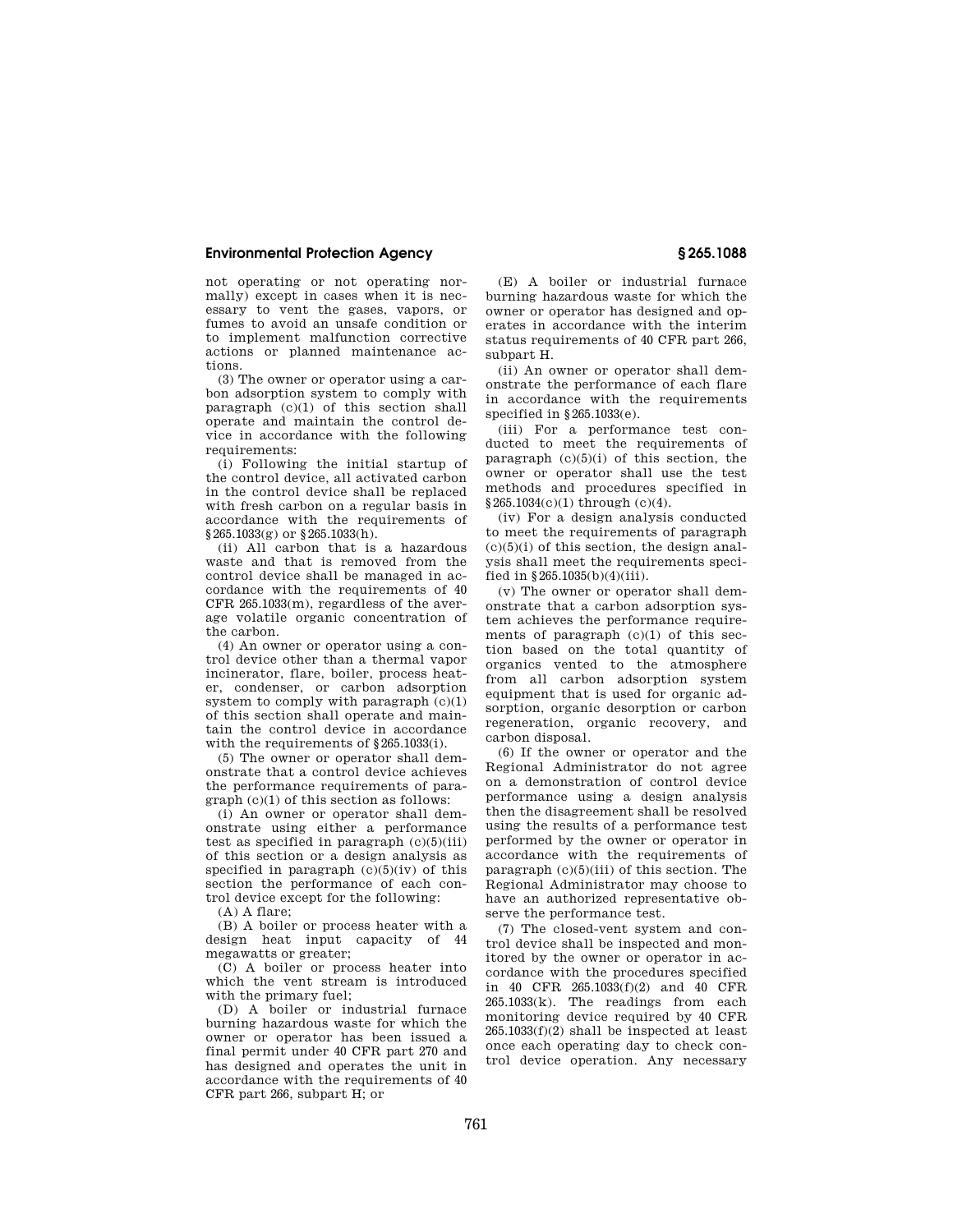not operating or not operating normally) except in cases when it is necessary to vent the gases, vapors, or fumes to avoid an unsafe condition or to implement malfunction corrective actions or planned maintenance actions.

(3) The owner or operator using a carbon adsorption system to comply with paragraph (c)(1) of this section shall operate and maintain the control device in accordance with the following requirements:

(i) Following the initial startup of the control device, all activated carbon in the control device shall be replaced with fresh carbon on a regular basis in accordance with the requirements of §265.1033(g) or §265.1033(h).

(ii) All carbon that is a hazardous waste and that is removed from the control device shall be managed in accordance with the requirements of 40 CFR 265.1033(m), regardless of the average volatile organic concentration of the carbon.

(4) An owner or operator using a control device other than a thermal vapor incinerator, flare, boiler, process heater, condenser, or carbon adsorption system to comply with paragraph  $(c)(1)$ of this section shall operate and maintain the control device in accordance with the requirements of §265.1033(i).

(5) The owner or operator shall demonstrate that a control device achieves the performance requirements of paragraph (c)(1) of this section as follows:

(i) An owner or operator shall demonstrate using either a performance test as specified in paragraph  $(c)(5)(iii)$ of this section or a design analysis as specified in paragraph  $(c)(5)(iv)$  of this section the performance of each control device except for the following:

 $(A)$  A flare;

(B) A boiler or process heater with a design heat input capacity of 44 megawatts or greater;

(C) A boiler or process heater into which the vent stream is introduced with the primary fuel;

(D) A boiler or industrial furnace burning hazardous waste for which the owner or operator has been issued a final permit under 40 CFR part 270 and has designed and operates the unit in accordance with the requirements of 40 CFR part 266, subpart H; or

(E) A boiler or industrial furnace burning hazardous waste for which the owner or operator has designed and operates in accordance with the interim status requirements of 40 CFR part 266, subpart H.

(ii) An owner or operator shall demonstrate the performance of each flare in accordance with the requirements specified in §265.1033(e).

(iii) For a performance test conducted to meet the requirements of paragraph  $(c)(5)(i)$  of this section, the owner or operator shall use the test methods and procedures specified in §265.1034(c)(1) through (c)(4).

(iv) For a design analysis conducted to meet the requirements of paragraph  $(c)(5)(i)$  of this section, the design analysis shall meet the requirements specified in §265.1035(b)(4)(iii).

(v) The owner or operator shall demonstrate that a carbon adsorption system achieves the performance requirements of paragraph  $(c)(1)$  of this section based on the total quantity of organics vented to the atmosphere from all carbon adsorption system equipment that is used for organic adsorption, organic desorption or carbon regeneration, organic recovery, and carbon disposal.

(6) If the owner or operator and the Regional Administrator do not agree on a demonstration of control device performance using a design analysis then the disagreement shall be resolved using the results of a performance test performed by the owner or operator in accordance with the requirements of paragraph  $(c)(5)(iii)$  of this section. The Regional Administrator may choose to have an authorized representative observe the performance test.

(7) The closed-vent system and control device shall be inspected and monitored by the owner or operator in accordance with the procedures specified in 40 CFR 265.1033(f)(2) and 40 CFR 265.1033(k). The readings from each monitoring device required by 40 CFR  $265.1033(f)(2)$  shall be inspected at least once each operating day to check control device operation. Any necessary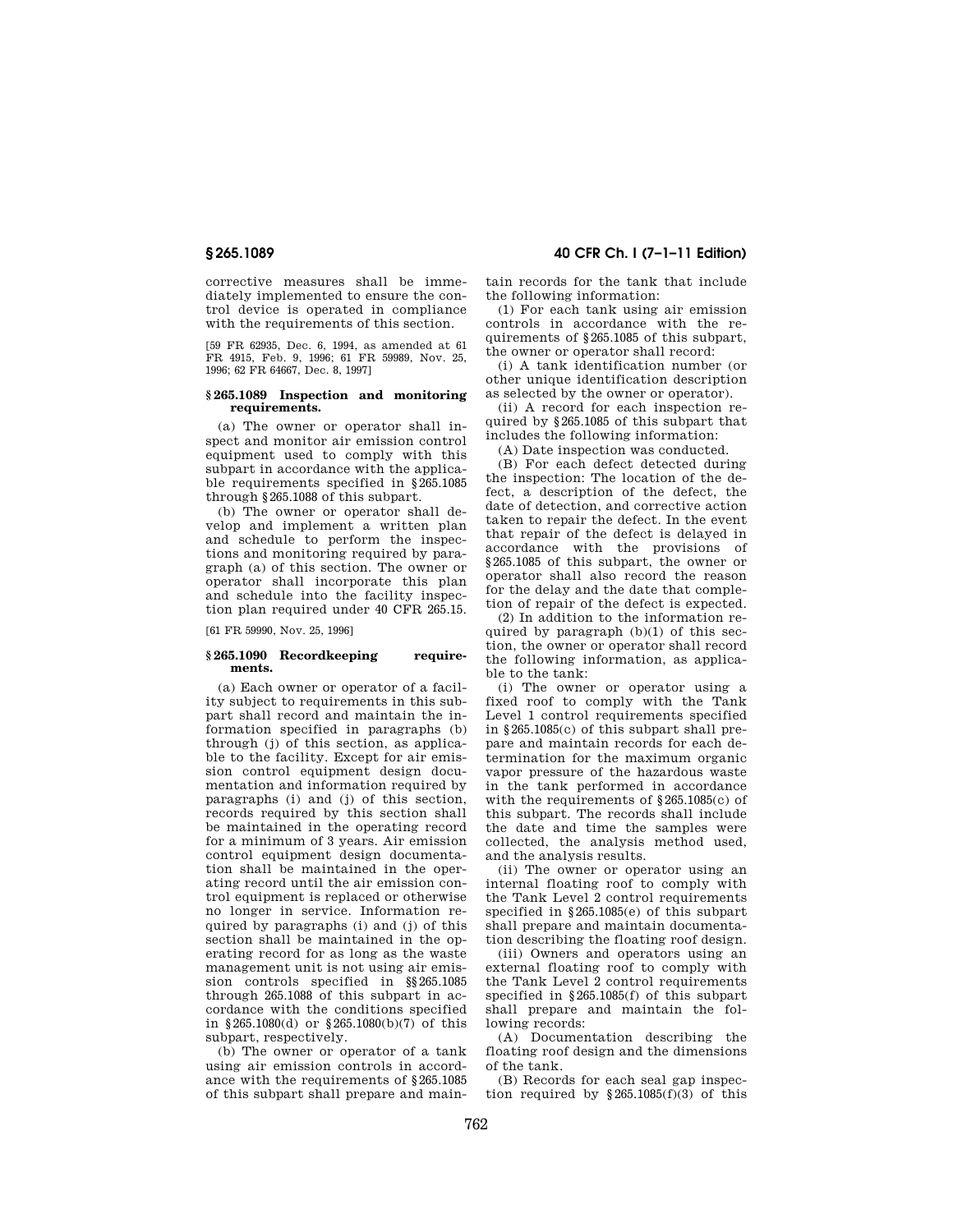corrective measures shall be immediately implemented to ensure the control device is operated in compliance with the requirements of this section.

[59 FR 62935, Dec. 6, 1994, as amended at 61 FR 4915, Feb. 9, 1996; 61 FR 59989, Nov. 25, 1996; 62 FR 64667, Dec. 8, 1997]

#### **§ 265.1089 Inspection and monitoring requirements.**

(a) The owner or operator shall inspect and monitor air emission control equipment used to comply with this subpart in accordance with the applicable requirements specified in §265.1085 through §265.1088 of this subpart.

(b) The owner or operator shall develop and implement a written plan and schedule to perform the inspections and monitoring required by paragraph (a) of this section. The owner or operator shall incorporate this plan and schedule into the facility inspection plan required under 40 CFR 265.15.

[61 FR 59990, Nov. 25, 1996]

### **§ 265.1090 Recordkeeping requirements.**

(a) Each owner or operator of a facility subject to requirements in this subpart shall record and maintain the information specified in paragraphs (b) through (j) of this section, as applicable to the facility. Except for air emission control equipment design documentation and information required by paragraphs (i) and (j) of this section, records required by this section shall be maintained in the operating record for a minimum of 3 years. Air emission control equipment design documentation shall be maintained in the operating record until the air emission control equipment is replaced or otherwise no longer in service. Information required by paragraphs (i) and (j) of this section shall be maintained in the operating record for as long as the waste management unit is not using air emission controls specified in §§265.1085 through 265.1088 of this subpart in accordance with the conditions specified in §265.1080(d) or §265.1080(b)(7) of this subpart, respectively.

(b) The owner or operator of a tank using air emission controls in accordance with the requirements of §265.1085 of this subpart shall prepare and main-

**§ 265.1089 40 CFR Ch. I (7–1–11 Edition)** 

tain records for the tank that include the following information:

(1) For each tank using air emission controls in accordance with the requirements of §265.1085 of this subpart, the owner or operator shall record:

(i) A tank identification number (or other unique identification description as selected by the owner or operator).

(ii) A record for each inspection required by §265.1085 of this subpart that includes the following information:

(A) Date inspection was conducted.

(B) For each defect detected during the inspection: The location of the defect, a description of the defect, the date of detection, and corrective action taken to repair the defect. In the event that repair of the defect is delayed in accordance with the provisions of §265.1085 of this subpart, the owner or operator shall also record the reason for the delay and the date that completion of repair of the defect is expected.

(2) In addition to the information required by paragraph  $(b)(1)$  of this section, the owner or operator shall record the following information, as applicable to the tank:

(i) The owner or operator using a fixed roof to comply with the Tank Level 1 control requirements specified in §265.1085(c) of this subpart shall prepare and maintain records for each determination for the maximum organic vapor pressure of the hazardous waste in the tank performed in accordance with the requirements of §265.1085(c) of this subpart. The records shall include the date and time the samples were collected, the analysis method used, and the analysis results.

(ii) The owner or operator using an internal floating roof to comply with the Tank Level 2 control requirements specified in §265.1085(e) of this subpart shall prepare and maintain documentation describing the floating roof design.

(iii) Owners and operators using an external floating roof to comply with the Tank Level 2 control requirements specified in §265.1085(f) of this subpart shall prepare and maintain the following records:

(A) Documentation describing the floating roof design and the dimensions of the tank.

(B) Records for each seal gap inspection required by  $\S 265.1085(f)(3)$  of this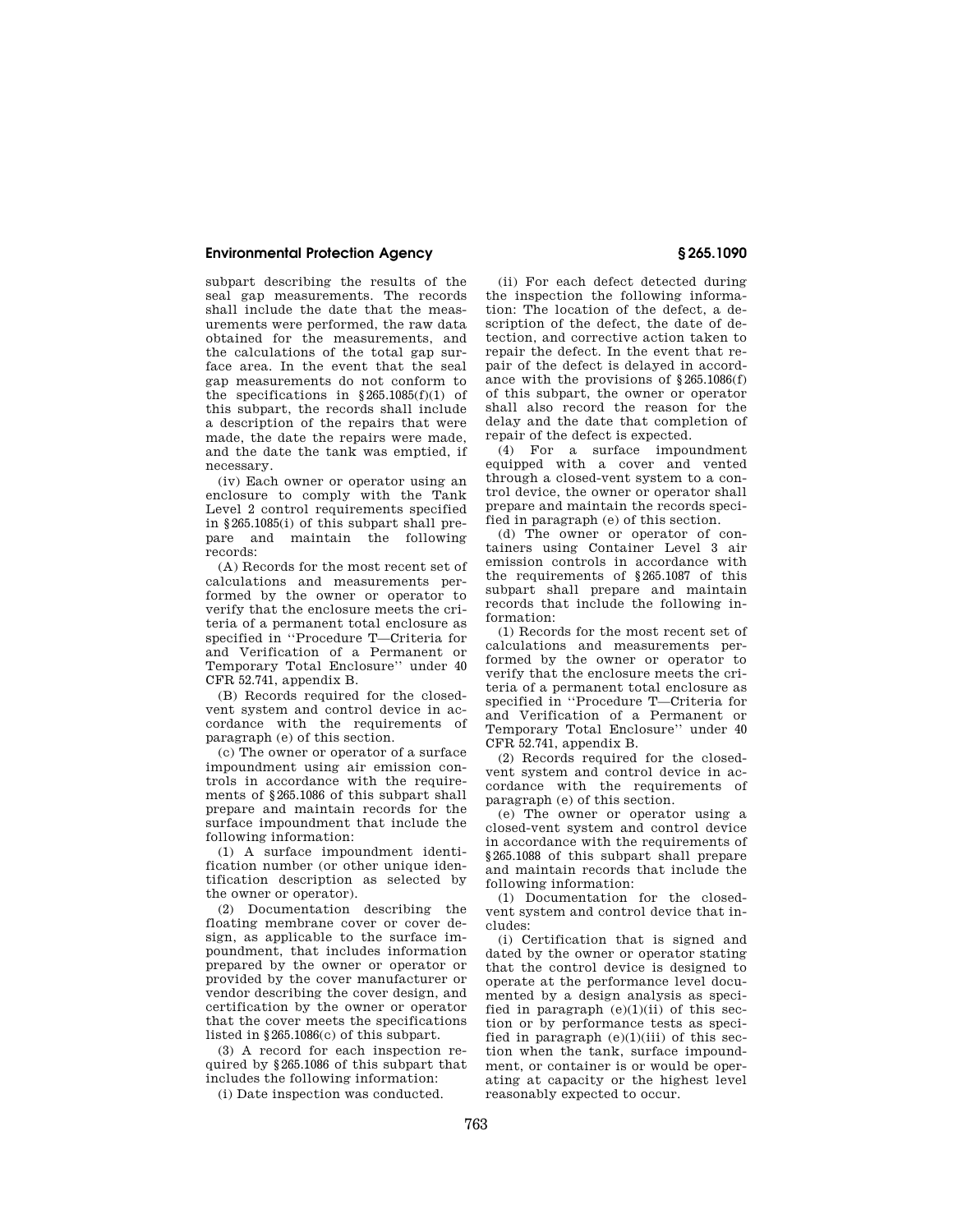subpart describing the results of the seal gap measurements. The records shall include the date that the measurements were performed, the raw data obtained for the measurements, and the calculations of the total gap surface area. In the event that the seal gap measurements do not conform to the specifications in  $§265.1085(f)(1)$  of this subpart, the records shall include a description of the repairs that were made, the date the repairs were made, and the date the tank was emptied, if necessary.

(iv) Each owner or operator using an enclosure to comply with the Tank Level 2 control requirements specified in §265.1085(i) of this subpart shall prepare and maintain the following records:

(A) Records for the most recent set of calculations and measurements performed by the owner or operator to verify that the enclosure meets the criteria of a permanent total enclosure as specified in ''Procedure T—Criteria for and Verification of a Permanent or Temporary Total Enclosure'' under 40 CFR 52.741, appendix B.

(B) Records required for the closedvent system and control device in accordance with the requirements of paragraph (e) of this section.

(c) The owner or operator of a surface impoundment using air emission controls in accordance with the requirements of §265.1086 of this subpart shall prepare and maintain records for the surface impoundment that include the following information:

(1) A surface impoundment identification number (or other unique identification description as selected by the owner or operator).

(2) Documentation describing the floating membrane cover or cover design, as applicable to the surface impoundment, that includes information prepared by the owner or operator or provided by the cover manufacturer or vendor describing the cover design, and certification by the owner or operator that the cover meets the specifications listed in §265.1086(c) of this subpart.

(3) A record for each inspection required by §265.1086 of this subpart that includes the following information:

(i) Date inspection was conducted.

(ii) For each defect detected during the inspection the following information: The location of the defect, a description of the defect, the date of detection, and corrective action taken to repair the defect. In the event that repair of the defect is delayed in accordance with the provisions of §265.1086(f) of this subpart, the owner or operator shall also record the reason for the delay and the date that completion of repair of the defect is expected.

(4) For a surface impoundment equipped with a cover and vented through a closed-vent system to a control device, the owner or operator shall prepare and maintain the records specified in paragraph (e) of this section.

(d) The owner or operator of containers using Container Level 3 air emission controls in accordance with the requirements of §265.1087 of this subpart shall prepare and maintain records that include the following information:

(1) Records for the most recent set of calculations and measurements performed by the owner or operator to verify that the enclosure meets the criteria of a permanent total enclosure as specified in ''Procedure T—Criteria for and Verification of a Permanent or Temporary Total Enclosure'' under 40 CFR 52.741, appendix B.

(2) Records required for the closedvent system and control device in accordance with the requirements of paragraph (e) of this section.

(e) The owner or operator using a closed-vent system and control device in accordance with the requirements of §265.1088 of this subpart shall prepare and maintain records that include the following information:

(1) Documentation for the closedvent system and control device that includes:

(i) Certification that is signed and dated by the owner or operator stating that the control device is designed to operate at the performance level documented by a design analysis as specified in paragraph  $(e)(1)(ii)$  of this section or by performance tests as specified in paragraph  $(e)(1)(iii)$  of this section when the tank, surface impoundment, or container is or would be operating at capacity or the highest level reasonably expected to occur.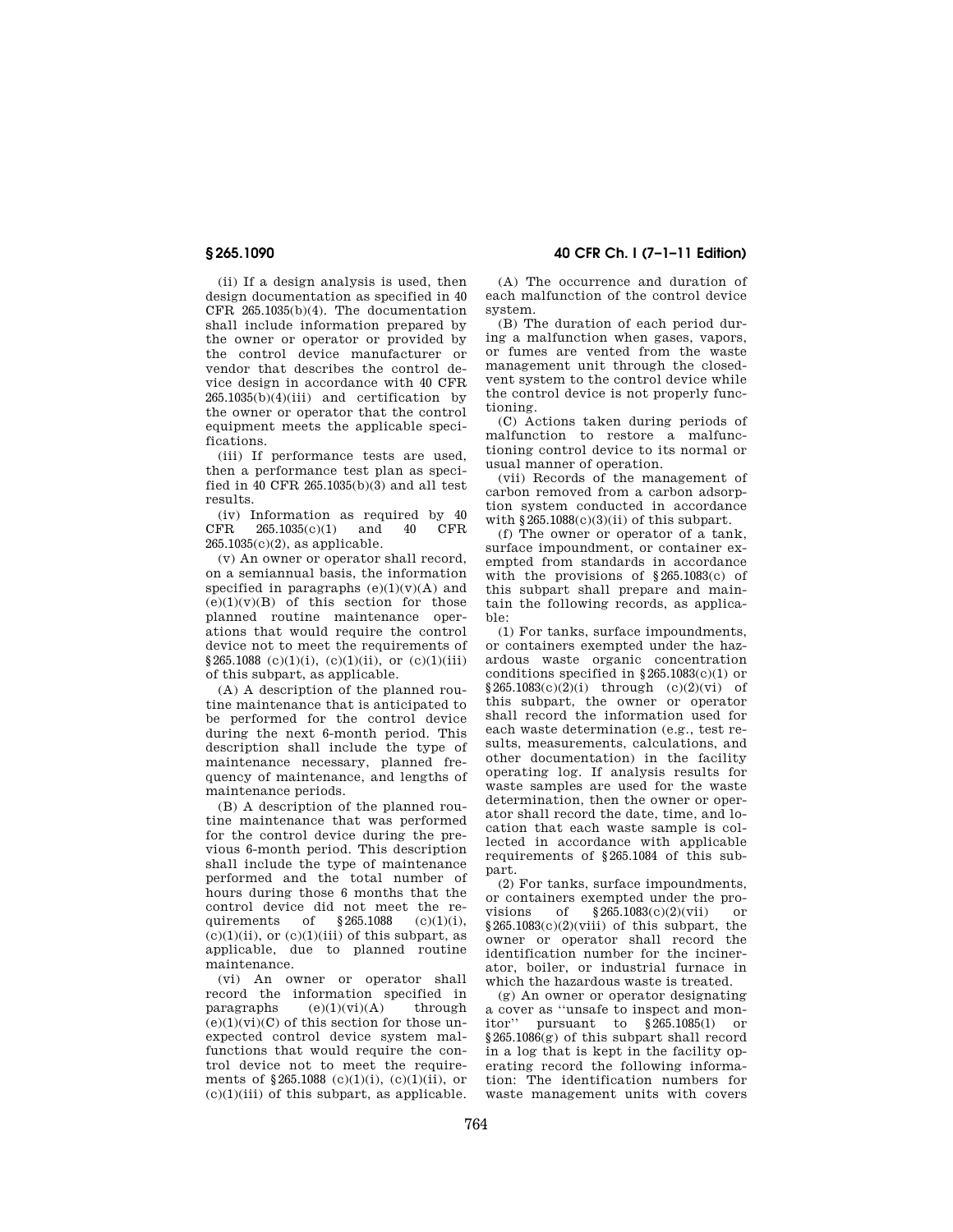(ii) If a design analysis is used, then design documentation as specified in 40 CFR 265.1035(b)(4). The documentation shall include information prepared by the owner or operator or provided by the control device manufacturer or vendor that describes the control device design in accordance with 40 CFR 265.1035(b)(4)(iii) and certification by the owner or operator that the control equipment meets the applicable specifications.

(iii) If performance tests are used, then a performance test plan as specified in 40 CFR 265.1035(b)(3) and all test results.

(iv) Information as required by 40 CFR 265.1035(c)(1) and 40 CFR 265.1035(c)(2), as applicable.

(v) An owner or operator shall record, on a semiannual basis, the information specified in paragraphs  $(e)(1)(v)(A)$  and  $(e)(1)(v)(B)$  of this section for those planned routine maintenance operations that would require the control device not to meet the requirements of §265.1088 (c)(1)(i), (c)(1)(ii), or (c)(1)(iii) of this subpart, as applicable.

(A) A description of the planned routine maintenance that is anticipated to be performed for the control device during the next 6-month period. This description shall include the type of maintenance necessary, planned frequency of maintenance, and lengths of maintenance periods.

(B) A description of the planned routine maintenance that was performed for the control device during the previous 6-month period. This description shall include the type of maintenance performed and the total number of hours during those 6 months that the control device did not meet the requirements of §265.1088 (c)(1)(i),  $(c)(1)(ii)$ , or  $(c)(1)(iii)$  of this subpart, as applicable, due to planned routine maintenance.

(vi) An owner or operator shall record the information specified in paragraphs (e)(1)(vi)(A) through  $(e)(1)(vi)(C)$  of this section for those unexpected control device system malfunctions that would require the control device not to meet the requirements of §265.1088 (c)(1)(i), (c)(1)(ii), or  $(c)(1)(iii)$  of this subpart, as applicable.

**§ 265.1090 40 CFR Ch. I (7–1–11 Edition)** 

(A) The occurrence and duration of each malfunction of the control device system.

(B) The duration of each period during a malfunction when gases, vapors, or fumes are vented from the waste management unit through the closedvent system to the control device while the control device is not properly functioning.

(C) Actions taken during periods of malfunction to restore a malfunctioning control device to its normal or usual manner of operation.

(vii) Records of the management of carbon removed from a carbon adsorption system conducted in accordance with  $\S$ 265.1088(c)(3)(ii) of this subpart.

(f) The owner or operator of a tank, surface impoundment, or container exempted from standards in accordance with the provisions of §265.1083(c) of this subpart shall prepare and maintain the following records, as applicable:

(1) For tanks, surface impoundments, or containers exempted under the hazardous waste organic concentration conditions specified in §265.1083(c)(1) or  $§265.1083(c)(2)(i)$  through  $(c)(2)(vi)$  of this subpart, the owner or operator shall record the information used for each waste determination (e.g., test results, measurements, calculations, and other documentation) in the facility operating log. If analysis results for waste samples are used for the waste determination, then the owner or operator shall record the date, time, and location that each waste sample is collected in accordance with applicable requirements of §265.1084 of this subpart.

(2) For tanks, surface impoundments, or containers exempted under the provisions of  $\S 265.1083(c)(2)(vii)$  or  $§265.1083(c)(2)(viii)$  of this subpart, the owner or operator shall record the identification number for the incinerator, boiler, or industrial furnace in which the hazardous waste is treated.

(g) An owner or operator designating a cover as ''unsafe to inspect and monitor'' pursuant to §265.1085(l) or §265.1086(g) of this subpart shall record in a log that is kept in the facility operating record the following information: The identification numbers for waste management units with covers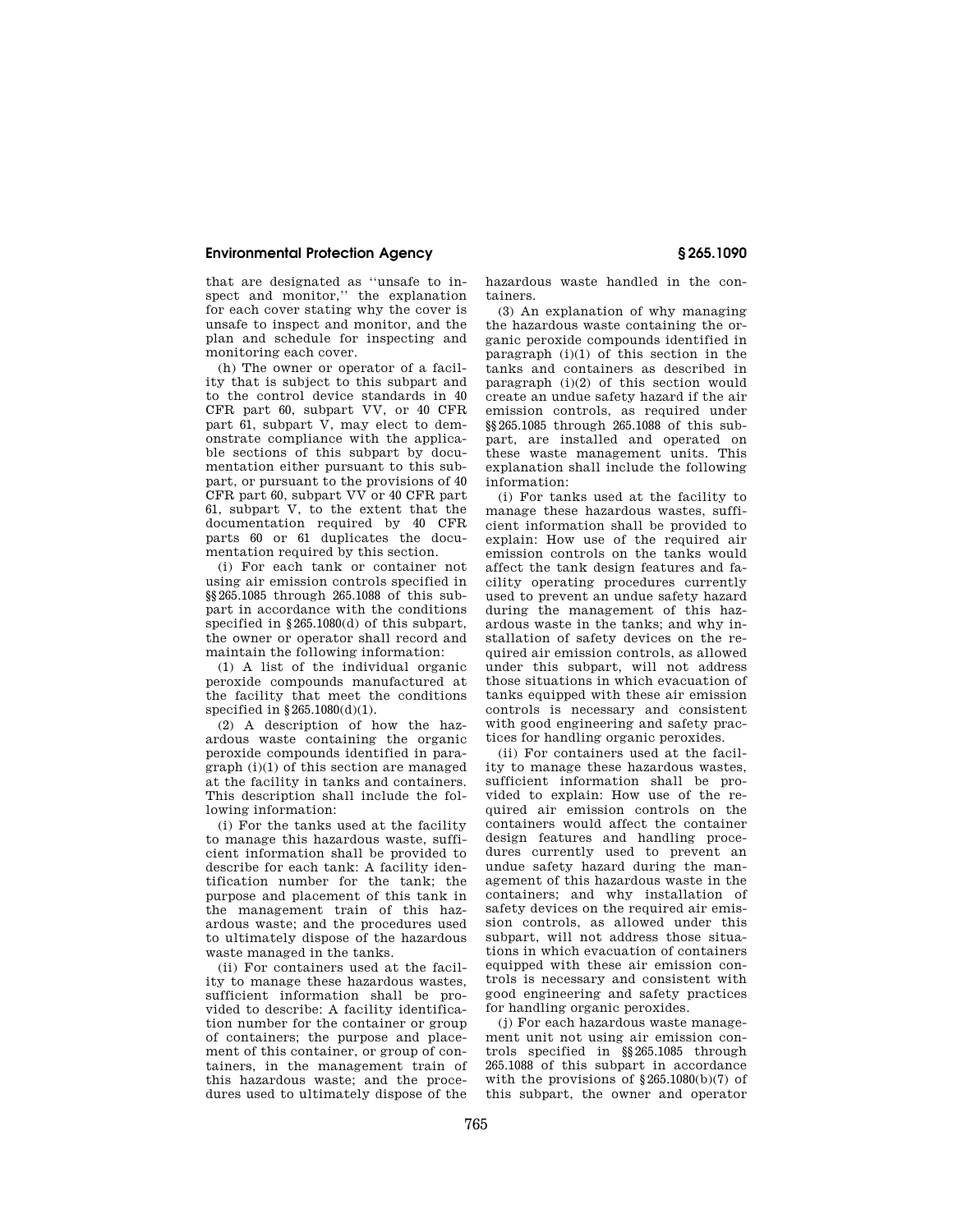that are designated as ''unsafe to inspect and monitor,'' the explanation for each cover stating why the cover is unsafe to inspect and monitor, and the plan and schedule for inspecting and monitoring each cover.

(h) The owner or operator of a facility that is subject to this subpart and to the control device standards in 40 CFR part 60, subpart VV, or 40 CFR part 61, subpart V, may elect to demonstrate compliance with the applicable sections of this subpart by documentation either pursuant to this subpart, or pursuant to the provisions of 40 CFR part 60, subpart VV or 40 CFR part 61, subpart V, to the extent that the documentation required by 40 CFR parts 60 or 61 duplicates the documentation required by this section.

(i) For each tank or container not using air emission controls specified in §§265.1085 through 265.1088 of this subpart in accordance with the conditions specified in §265.1080(d) of this subpart, the owner or operator shall record and maintain the following information:

(1) A list of the individual organic peroxide compounds manufactured at the facility that meet the conditions specified in §265.1080(d)(1).

(2) A description of how the hazardous waste containing the organic peroxide compounds identified in paragraph (i)(1) of this section are managed at the facility in tanks and containers. This description shall include the following information:

(i) For the tanks used at the facility to manage this hazardous waste, sufficient information shall be provided to describe for each tank: A facility identification number for the tank; the purpose and placement of this tank in the management train of this hazardous waste; and the procedures used to ultimately dispose of the hazardous waste managed in the tanks.

(ii) For containers used at the facility to manage these hazardous wastes, sufficient information shall be provided to describe: A facility identification number for the container or group of containers; the purpose and placement of this container, or group of containers, in the management train of this hazardous waste; and the procedures used to ultimately dispose of the

hazardous waste handled in the containers.

(3) An explanation of why managing the hazardous waste containing the organic peroxide compounds identified in paragraph  $(i)(1)$  of this section in the tanks and containers as described in paragraph (i)(2) of this section would create an undue safety hazard if the air emission controls, as required under §§265.1085 through 265.1088 of this subpart, are installed and operated on these waste management units. This explanation shall include the following information:

(i) For tanks used at the facility to manage these hazardous wastes, sufficient information shall be provided to explain: How use of the required air emission controls on the tanks would affect the tank design features and facility operating procedures currently used to prevent an undue safety hazard during the management of this hazardous waste in the tanks; and why installation of safety devices on the required air emission controls, as allowed under this subpart, will not address those situations in which evacuation of tanks equipped with these air emission controls is necessary and consistent with good engineering and safety practices for handling organic peroxides.

(ii) For containers used at the facility to manage these hazardous wastes, sufficient information shall be provided to explain: How use of the required air emission controls on the containers would affect the container design features and handling procedures currently used to prevent an undue safety hazard during the management of this hazardous waste in the containers; and why installation of safety devices on the required air emission controls, as allowed under this subpart, will not address those situations in which evacuation of containers equipped with these air emission controls is necessary and consistent with good engineering and safety practices for handling organic peroxides.

(j) For each hazardous waste management unit not using air emission controls specified in §§265.1085 through 265.1088 of this subpart in accordance with the provisions of  $\S 265.1080(b)(7)$  of this subpart, the owner and operator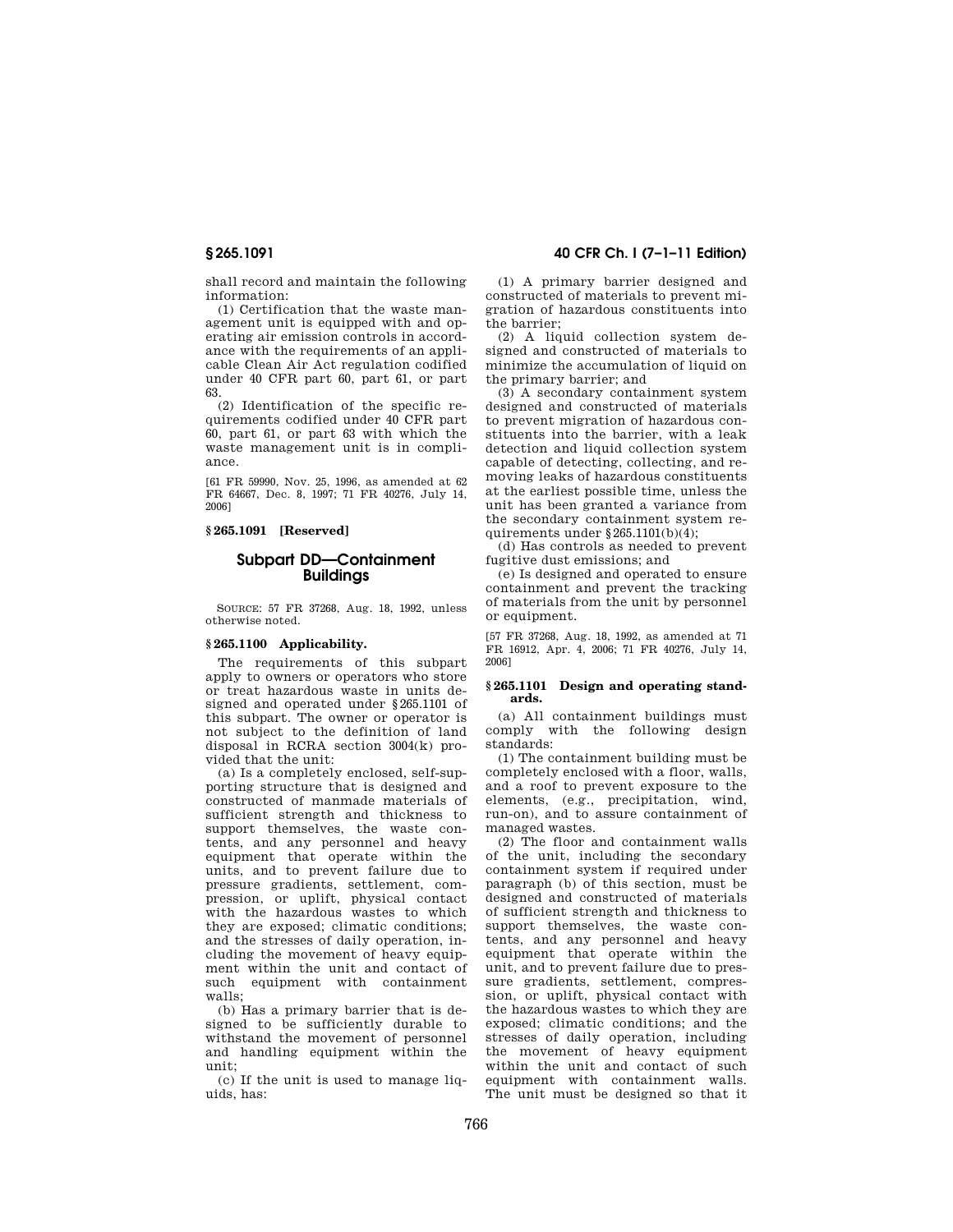shall record and maintain the following information:

(1) Certification that the waste management unit is equipped with and operating air emission controls in accordance with the requirements of an applicable Clean Air Act regulation codified under 40 CFR part 60, part 61, or part 63.

(2) Identification of the specific requirements codified under 40 CFR part 60, part 61, or part 63 with which the waste management unit is in compliance.

[61 FR 59990, Nov. 25, 1996, as amended at 62 FR 64667, Dec. 8, 1997; 71 FR 40276, July 14, 2006]

# **§ 265.1091 [Reserved]**

# **Subpart DD—Containment Buildings**

SOURCE: 57 FR 37268, Aug. 18, 1992, unless otherwise noted.

## **§ 265.1100 Applicability.**

The requirements of this subpart apply to owners or operators who store or treat hazardous waste in units designed and operated under §265.1101 of this subpart. The owner or operator is not subject to the definition of land disposal in RCRA section 3004(k) provided that the unit:

(a) Is a completely enclosed, self-supporting structure that is designed and constructed of manmade materials of sufficient strength and thickness to support themselves, the waste contents, and any personnel and heavy equipment that operate within the units, and to prevent failure due to pressure gradients, settlement, compression, or uplift, physical contact with the hazardous wastes to which they are exposed; climatic conditions; and the stresses of daily operation, including the movement of heavy equipment within the unit and contact of such equipment with containment walls;

(b) Has a primary barrier that is designed to be sufficiently durable to withstand the movement of personnel and handling equipment within the unit;

(c) If the unit is used to manage liquids, has:

# **§ 265.1091 40 CFR Ch. I (7–1–11 Edition)**

(1) A primary barrier designed and constructed of materials to prevent migration of hazardous constituents into the barrier;

(2) A liquid collection system designed and constructed of materials to minimize the accumulation of liquid on the primary barrier; and

(3) A secondary containment system designed and constructed of materials to prevent migration of hazardous constituents into the barrier, with a leak detection and liquid collection system capable of detecting, collecting, and removing leaks of hazardous constituents at the earliest possible time, unless the unit has been granted a variance from the secondary containment system requirements under §265.1101(b)(4);

(d) Has controls as needed to prevent fugitive dust emissions; and

(e) Is designed and operated to ensure containment and prevent the tracking of materials from the unit by personnel or equipment.

[57 FR 37268, Aug. 18, 1992, as amended at 71 FR 16912, Apr. 4, 2006; 71 FR 40276, July 14, 2006]

#### **§ 265.1101 Design and operating standards.**

(a) All containment buildings must comply with the following design standards:

(1) The containment building must be completely enclosed with a floor, walls, and a roof to prevent exposure to the elements, (e.g., precipitation, wind, run-on), and to assure containment of managed wastes.

(2) The floor and containment walls of the unit, including the secondary containment system if required under paragraph (b) of this section, must be designed and constructed of materials of sufficient strength and thickness to support themselves, the waste contents, and any personnel and heavy equipment that operate within the unit, and to prevent failure due to pressure gradients, settlement, compression, or uplift, physical contact with the hazardous wastes to which they are exposed; climatic conditions; and the stresses of daily operation, including the movement of heavy equipment within the unit and contact of such equipment with containment walls. The unit must be designed so that it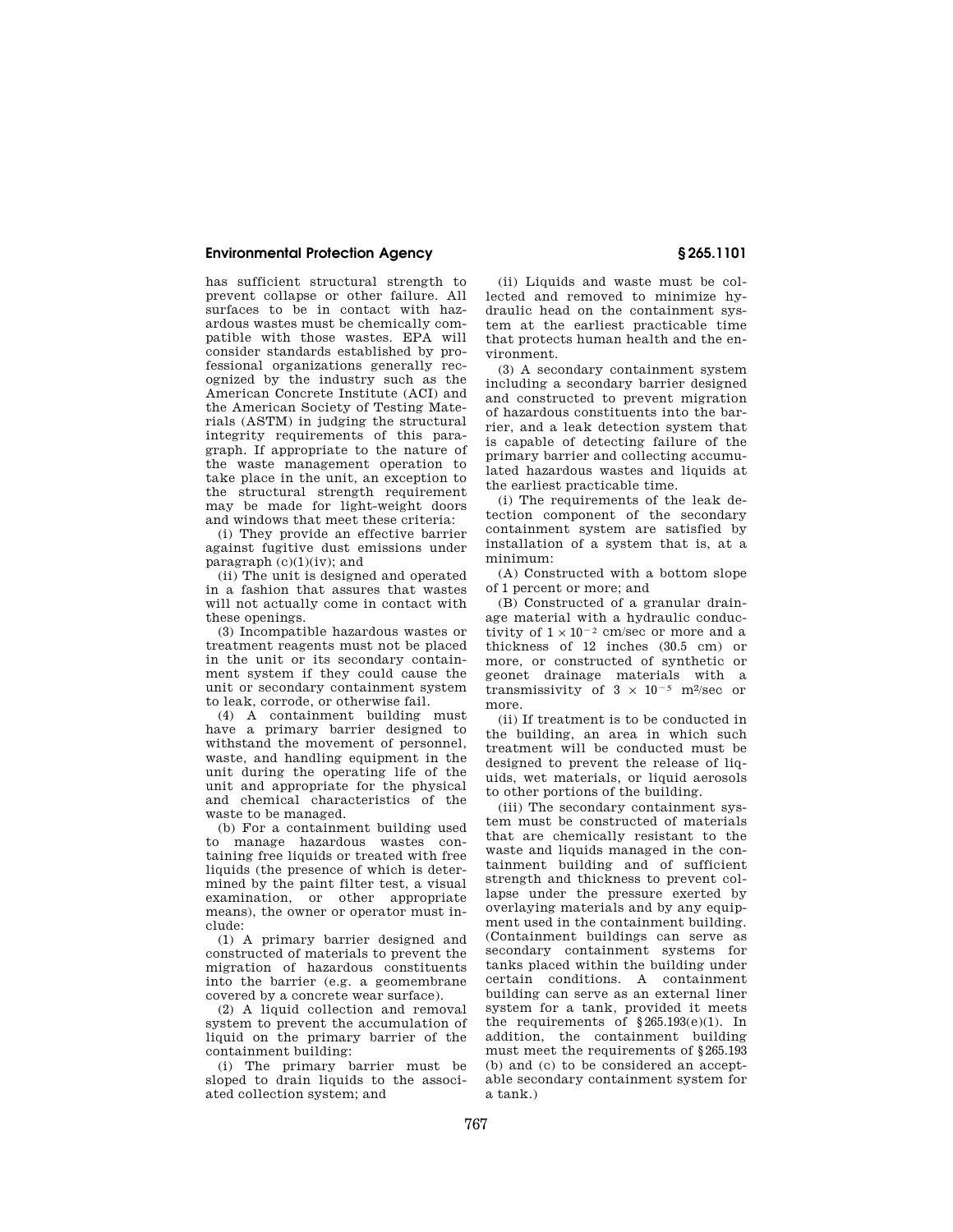has sufficient structural strength to prevent collapse or other failure. All surfaces to be in contact with hazardous wastes must be chemically compatible with those wastes. EPA will consider standards established by professional organizations generally recognized by the industry such as the American Concrete Institute (ACI) and the American Society of Testing Materials (ASTM) in judging the structural integrity requirements of this paragraph. If appropriate to the nature of the waste management operation to take place in the unit, an exception to the structural strength requirement may be made for light-weight doors and windows that meet these criteria:

(i) They provide an effective barrier against fugitive dust emissions under paragraph  $(c)(1)(iv)$ ; and

(ii) The unit is designed and operated in a fashion that assures that wastes will not actually come in contact with these openings.

(3) Incompatible hazardous wastes or treatment reagents must not be placed in the unit or its secondary containment system if they could cause the unit or secondary containment system to leak, corrode, or otherwise fail.

(4) A containment building must have a primary barrier designed to withstand the movement of personnel, waste, and handling equipment in the unit during the operating life of the unit and appropriate for the physical and chemical characteristics of the waste to be managed.

(b) For a containment building used to manage hazardous wastes containing free liquids or treated with free liquids (the presence of which is determined by the paint filter test, a visual examination, or other appropriate means), the owner or operator must include:

(1) A primary barrier designed and constructed of materials to prevent the migration of hazardous constituents into the barrier (e.g. a geomembrane covered by a concrete wear surface).

(2) A liquid collection and removal system to prevent the accumulation of liquid on the primary barrier of the containment building:

(i) The primary barrier must be sloped to drain liquids to the associated collection system; and

(ii) Liquids and waste must be collected and removed to minimize hydraulic head on the containment system at the earliest practicable time that protects human health and the environment.

(3) A secondary containment system including a secondary barrier designed and constructed to prevent migration of hazardous constituents into the barrier, and a leak detection system that is capable of detecting failure of the primary barrier and collecting accumulated hazardous wastes and liquids at the earliest practicable time.

(i) The requirements of the leak detection component of the secondary containment system are satisfied by installation of a system that is, at a minimum:

(A) Constructed with a bottom slope of 1 percent or more; and

(B) Constructed of a granular drainage material with a hydraulic conductivity of  $1 \times 10^{-2}$  cm/sec or more and a thickness of 12 inches (30.5 cm) or more, or constructed of synthetic or geonet drainage materials with a transmissivity of  $3 \times 10^{-5}$  m<sup>2</sup>/sec or more.

(ii) If treatment is to be conducted in the building, an area in which such treatment will be conducted must be designed to prevent the release of liquids, wet materials, or liquid aerosols to other portions of the building.

(iii) The secondary containment system must be constructed of materials that are chemically resistant to the waste and liquids managed in the containment building and of sufficient strength and thickness to prevent collapse under the pressure exerted by overlaying materials and by any equipment used in the containment building. (Containment buildings can serve as secondary containment systems for tanks placed within the building under certain conditions. A containment building can serve as an external liner system for a tank, provided it meets the requirements of  $$265.193(e)(1)$ . In addition, the containment building must meet the requirements of §265.193 (b) and (c) to be considered an acceptable secondary containment system for a tank.)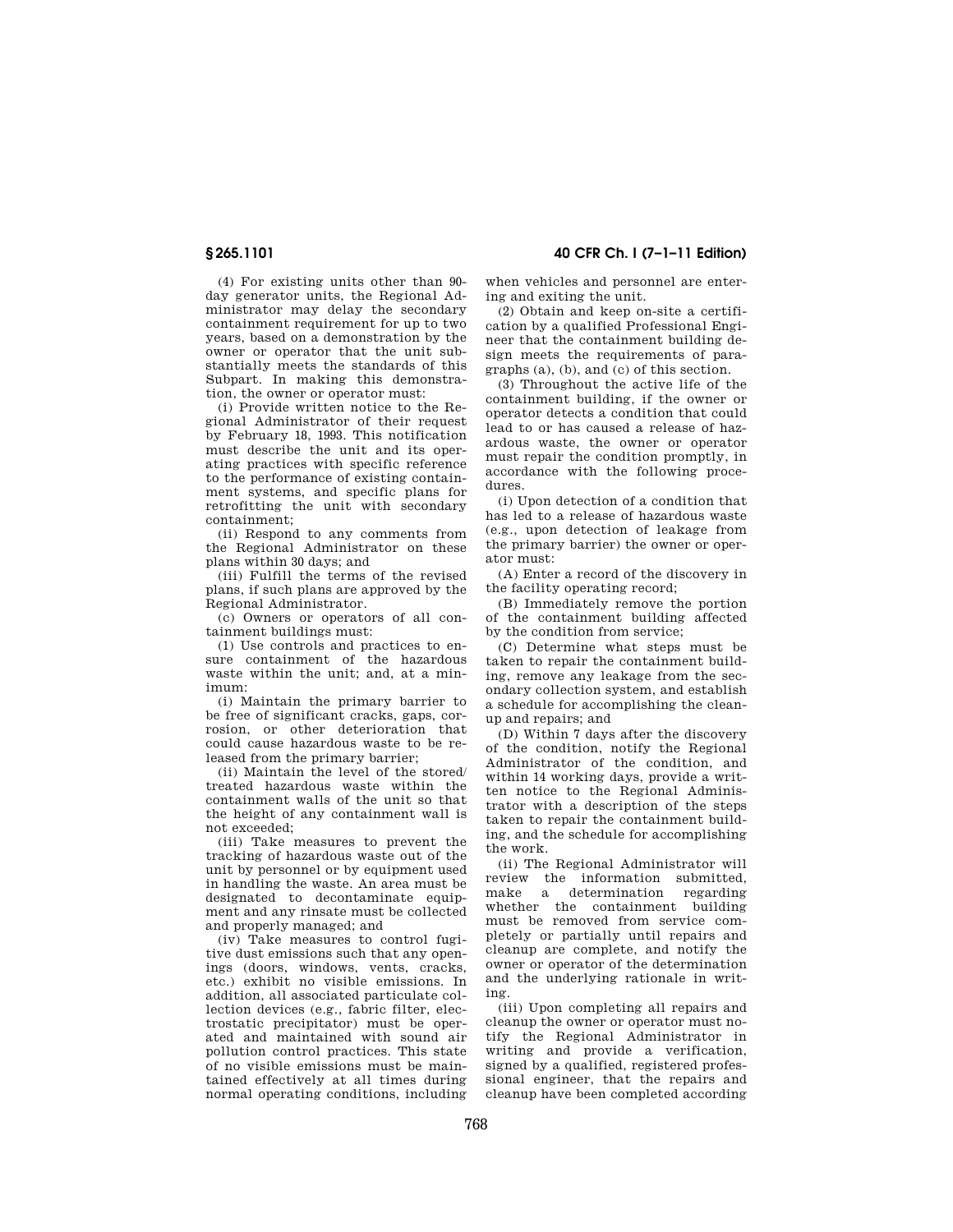(4) For existing units other than 90 day generator units, the Regional Administrator may delay the secondary containment requirement for up to two years, based on a demonstration by the owner or operator that the unit substantially meets the standards of this

Subpart. In making this demonstration, the owner or operator must:

(i) Provide written notice to the Regional Administrator of their request by February 18, 1993. This notification must describe the unit and its operating practices with specific reference to the performance of existing containment systems, and specific plans for retrofitting the unit with secondary containment;

(ii) Respond to any comments from the Regional Administrator on these plans within 30 days; and

(iii) Fulfill the terms of the revised plans, if such plans are approved by the Regional Administrator.

(c) Owners or operators of all containment buildings must:

(1) Use controls and practices to ensure containment of the hazardous waste within the unit; and, at a minimum:

(i) Maintain the primary barrier to be free of significant cracks, gaps, corrosion, or other deterioration that could cause hazardous waste to be released from the primary barrier;

(ii) Maintain the level of the stored/ treated hazardous waste within the containment walls of the unit so that the height of any containment wall is not exceeded;

(iii) Take measures to prevent the tracking of hazardous waste out of the unit by personnel or by equipment used in handling the waste. An area must be designated to decontaminate equipment and any rinsate must be collected and properly managed; and

(iv) Take measures to control fugitive dust emissions such that any openings (doors, windows, vents, cracks, etc.) exhibit no visible emissions. In addition, all associated particulate collection devices (e.g., fabric filter, electrostatic precipitator) must be operated and maintained with sound air pollution control practices. This state of no visible emissions must be maintained effectively at all times during normal operating conditions, including

**§ 265.1101 40 CFR Ch. I (7–1–11 Edition)** 

when vehicles and personnel are entering and exiting the unit.

(2) Obtain and keep on-site a certification by a qualified Professional Engineer that the containment building design meets the requirements of paragraphs (a), (b), and (c) of this section.

(3) Throughout the active life of the containment building, if the owner or operator detects a condition that could lead to or has caused a release of hazardous waste, the owner or operator must repair the condition promptly, in accordance with the following procedures.

(i) Upon detection of a condition that has led to a release of hazardous waste (e.g., upon detection of leakage from the primary barrier) the owner or operator must:

(A) Enter a record of the discovery in the facility operating record;

(B) Immediately remove the portion of the containment building affected by the condition from service;

(C) Determine what steps must be taken to repair the containment building, remove any leakage from the secondary collection system, and establish a schedule for accomplishing the cleanup and repairs; and

(D) Within 7 days after the discovery of the condition, notify the Regional Administrator of the condition, and within 14 working days, provide a written notice to the Regional Administrator with a description of the steps taken to repair the containment building, and the schedule for accomplishing the work.

(ii) The Regional Administrator will review the information submitted, make a determination regarding whether the containment building must be removed from service completely or partially until repairs and cleanup are complete, and notify the owner or operator of the determination and the underlying rationale in writing.

(iii) Upon completing all repairs and cleanup the owner or operator must notify the Regional Administrator in writing and provide a verification, signed by a qualified, registered professional engineer, that the repairs and cleanup have been completed according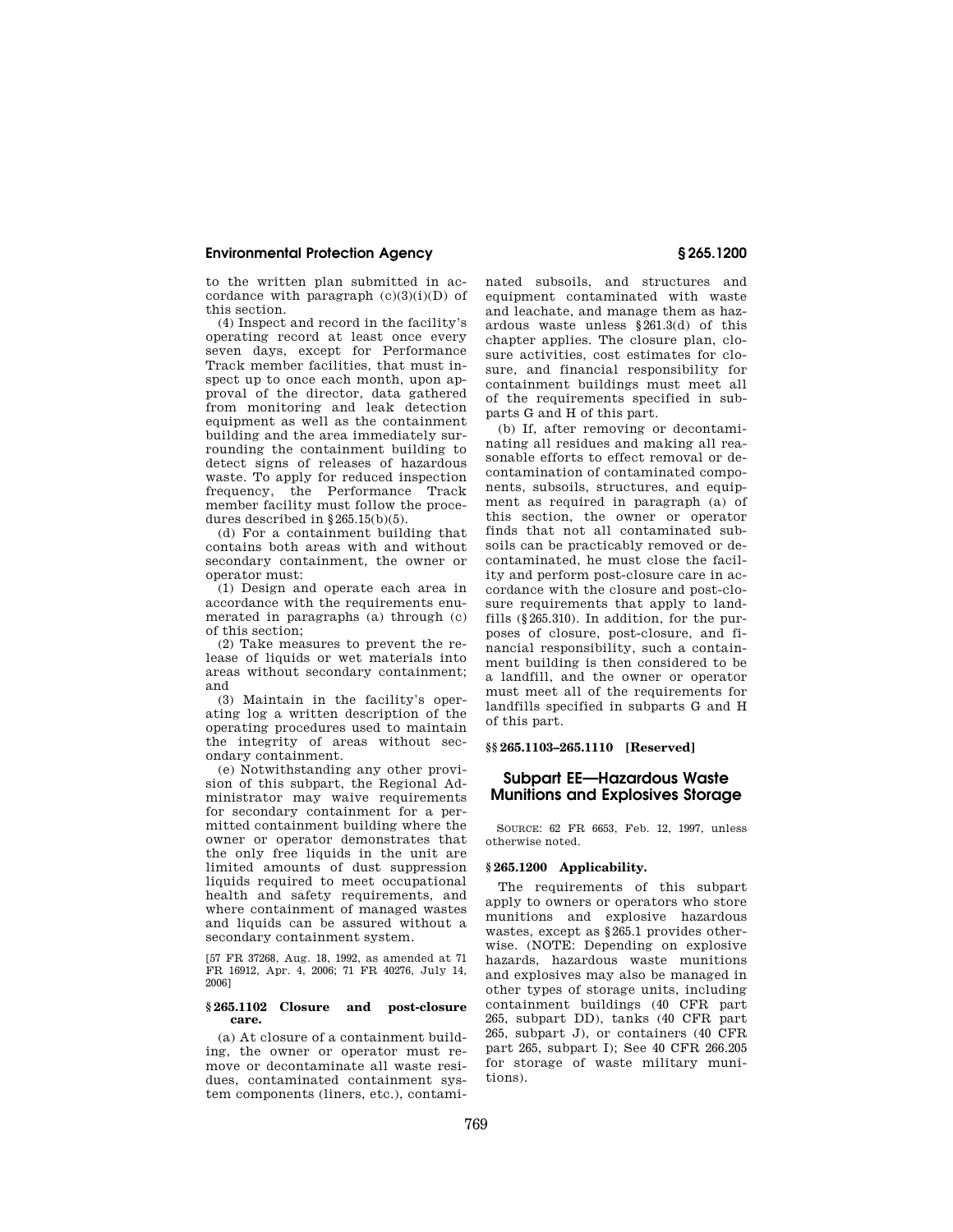to the written plan submitted in accordance with paragraph  $(c)(3)(i)(D)$  of this section.

(4) Inspect and record in the facility's operating record at least once every seven days, except for Performance Track member facilities, that must inspect up to once each month, upon approval of the director, data gathered from monitoring and leak detection equipment as well as the containment building and the area immediately surrounding the containment building to detect signs of releases of hazardous waste. To apply for reduced inspection frequency, the Performance Track member facility must follow the procedures described in §265.15(b)(5).

(d) For a containment building that contains both areas with and without secondary containment, the owner or operator must:

(1) Design and operate each area in accordance with the requirements enumerated in paragraphs (a) through (c) of this section;

(2) Take measures to prevent the release of liquids or wet materials into areas without secondary containment; and

(3) Maintain in the facility's operating log a written description of the operating procedures used to maintain the integrity of areas without secondary containment.

(e) Notwithstanding any other provision of this subpart, the Regional Administrator may waive requirements for secondary containment for a permitted containment building where the owner or operator demonstrates that the only free liquids in the unit are limited amounts of dust suppression liquids required to meet occupational health and safety requirements, and where containment of managed wastes and liquids can be assured without a secondary containment system.

[57 FR 37268, Aug. 18, 1992, as amended at 71 FR 16912, Apr. 4, 2006; 71 FR 40276, July 14, 2006]

#### **§ 265.1102 Closure and post-closure care.**

(a) At closure of a containment building, the owner or operator must remove or decontaminate all waste residues, contaminated containment system components (liners, etc.), contaminated subsoils, and structures and equipment contaminated with waste and leachate, and manage them as hazardous waste unless §261.3(d) of this chapter applies. The closure plan, closure activities, cost estimates for closure, and financial responsibility for containment buildings must meet all of the requirements specified in subparts G and H of this part.

(b) If, after removing or decontaminating all residues and making all reasonable efforts to effect removal or decontamination of contaminated components, subsoils, structures, and equipment as required in paragraph (a) of this section, the owner or operator finds that not all contaminated subsoils can be practicably removed or decontaminated, he must close the facility and perform post-closure care in accordance with the closure and post-closure requirements that apply to landfills (§265.310). In addition, for the purposes of closure, post-closure, and financial responsibility, such a containment building is then considered to be a landfill, and the owner or operator must meet all of the requirements for landfills specified in subparts G and H of this part.

## **§§ 265.1103–265.1110 [Reserved]**

# **Subpart EE—Hazardous Waste Munitions and Explosives Storage**

SOURCE: 62 FR 6653, Feb. 12, 1997, unless otherwise noted.

### **§ 265.1200 Applicability.**

The requirements of this subpart apply to owners or operators who store munitions and explosive hazardous wastes, except as §265.1 provides otherwise. (NOTE: Depending on explosive hazards, hazardous waste munitions and explosives may also be managed in other types of storage units, including containment buildings (40 CFR part 265, subpart DD), tanks (40 CFR part 265, subpart J), or containers (40 CFR part 265, subpart I); See 40 CFR 266.205 for storage of waste military munitions).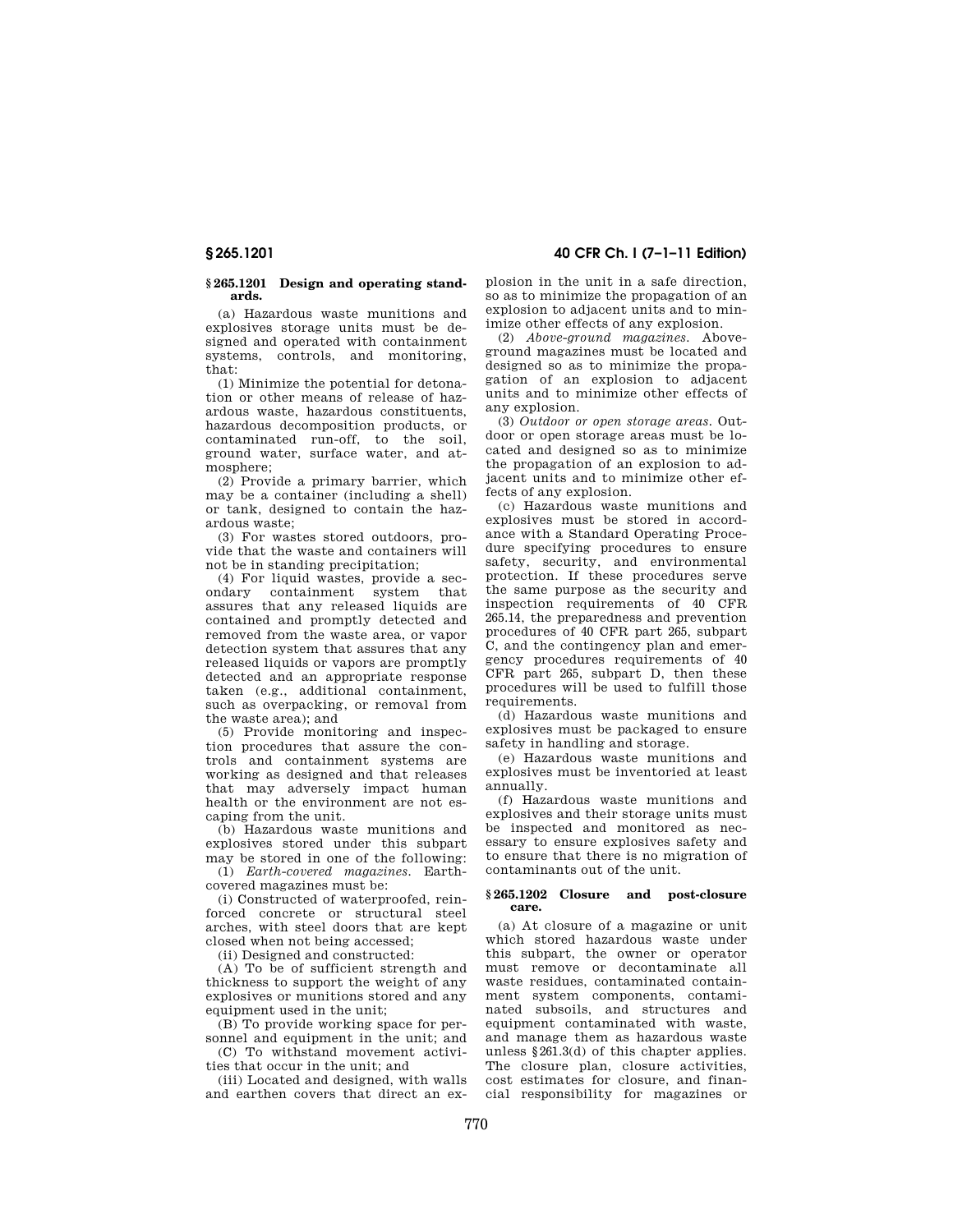### **§ 265.1201 Design and operating standards.**

(a) Hazardous waste munitions and explosives storage units must be designed and operated with containment systems, controls, and monitoring, that:

(1) Minimize the potential for detonation or other means of release of hazardous waste, hazardous constituents, hazardous decomposition products, or contaminated run-off, to the soil, ground water, surface water, and atmosphere;

(2) Provide a primary barrier, which may be a container (including a shell) or tank, designed to contain the hazardous waste;

(3) For wastes stored outdoors, provide that the waste and containers will not be in standing precipitation;

(4) For liquid wastes, provide a secondary containment system that assures that any released liquids are contained and promptly detected and removed from the waste area, or vapor detection system that assures that any released liquids or vapors are promptly detected and an appropriate response taken (e.g., additional containment, such as overpacking, or removal from the waste area); and

(5) Provide monitoring and inspection procedures that assure the controls and containment systems are working as designed and that releases that may adversely impact human health or the environment are not escaping from the unit.

(b) Hazardous waste munitions and explosives stored under this subpart may be stored in one of the following:

(1) *Earth-covered magazines.* Earthcovered magazines must be:

(i) Constructed of waterproofed, reinforced concrete or structural steel arches, with steel doors that are kept closed when not being accessed;

(ii) Designed and constructed:

(A) To be of sufficient strength and thickness to support the weight of any explosives or munitions stored and any equipment used in the unit;

(B) To provide working space for personnel and equipment in the unit; and (C) To withstand movement activi-

ties that occur in the unit; and

(iii) Located and designed, with walls and earthen covers that direct an ex-

plosion in the unit in a safe direction, so as to minimize the propagation of an explosion to adjacent units and to minimize other effects of any explosion.

(2) *Above-ground magazines.* Aboveground magazines must be located and designed so as to minimize the propagation of an explosion to adjacent units and to minimize other effects of any explosion.

(3) *Outdoor or open storage areas.* Outdoor or open storage areas must be located and designed so as to minimize the propagation of an explosion to adjacent units and to minimize other effects of any explosion.

(c) Hazardous waste munitions and explosives must be stored in accordance with a Standard Operating Procedure specifying procedures to ensure safety, security, and environmental protection. If these procedures serve the same purpose as the security and inspection requirements of 40 CFR 265.14, the preparedness and prevention procedures of 40 CFR part 265, subpart C, and the contingency plan and emergency procedures requirements of 40 CFR part 265, subpart D, then these procedures will be used to fulfill those requirements.

(d) Hazardous waste munitions and explosives must be packaged to ensure safety in handling and storage.

(e) Hazardous waste munitions and explosives must be inventoried at least annually.

(f) Hazardous waste munitions and explosives and their storage units must be inspected and monitored as necessary to ensure explosives safety and to ensure that there is no migration of contaminants out of the unit.

#### **§ 265.1202 Closure and post-closure care.**

(a) At closure of a magazine or unit which stored hazardous waste under this subpart, the owner or operator must remove or decontaminate all waste residues, contaminated containment system components, contaminated subsoils, and structures and equipment contaminated with waste, and manage them as hazardous waste unless §261.3(d) of this chapter applies. The closure plan, closure activities, cost estimates for closure, and financial responsibility for magazines or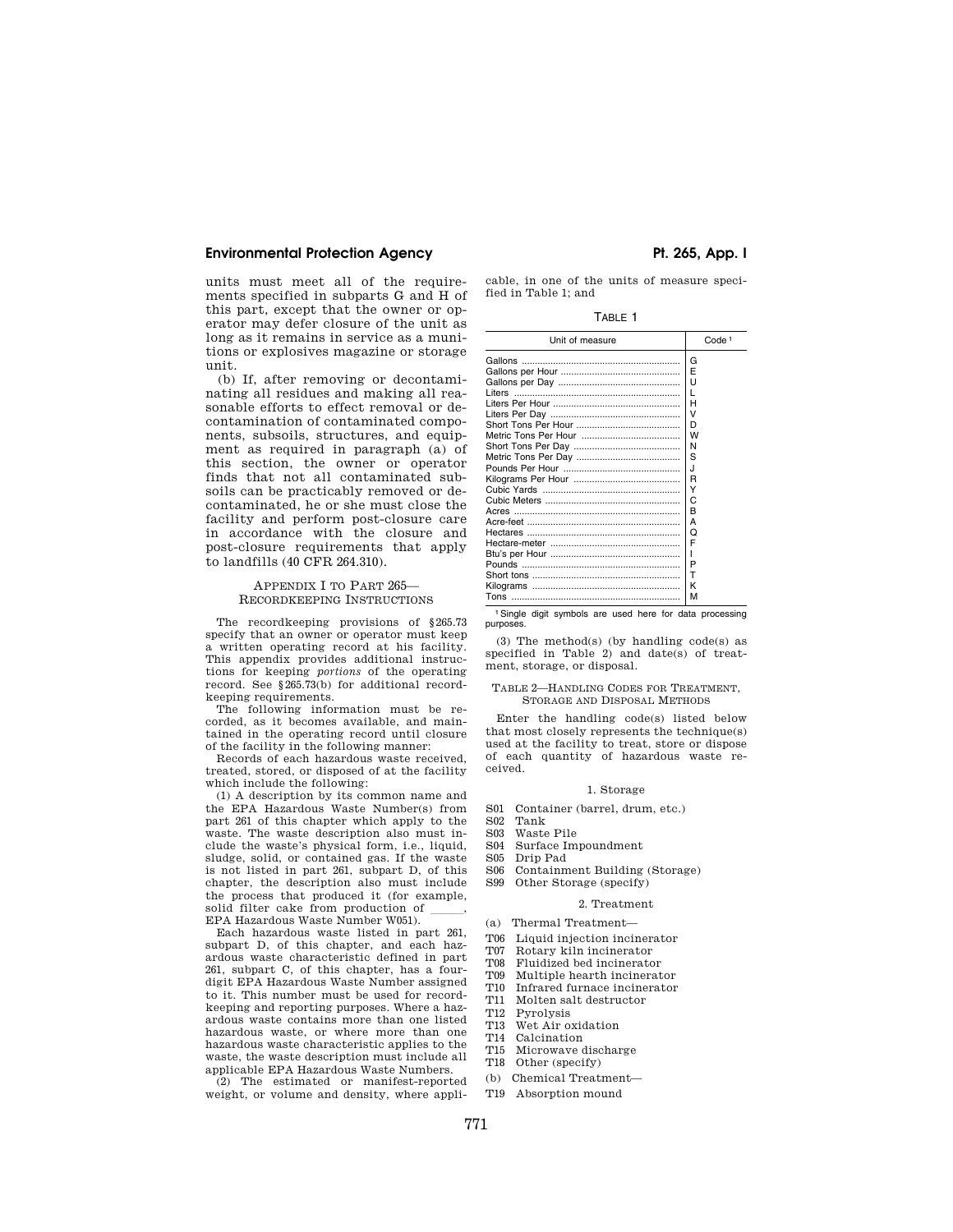## **Environmental Protection Agency**  The Contract Contract Pt. 265, App. I

units must meet all of the requirements specified in subparts G and H of this part, except that the owner or operator may defer closure of the unit as long as it remains in service as a munitions or explosives magazine or storage unit.

(b) If, after removing or decontaminating all residues and making all reasonable efforts to effect removal or decontamination of contaminated components, subsoils, structures, and equipment as required in paragraph (a) of this section, the owner or operator finds that not all contaminated subsoils can be practicably removed or decontaminated, he or she must close the facility and perform post-closure care in accordance with the closure and post-closure requirements that apply to landfills (40 CFR 264.310).

#### APPENDIX I TO PART 265— RECORDKEEPING INSTRUCTIONS

The recordkeeping provisions of §265.73 specify that an owner or operator must keep a written operating record at his facility. This appendix provides additional instructions for keeping *portions* of the operating record. See §265.73(b) for additional recordkeeping requirements.

The following information must be recorded, as it becomes available, and maintained in the operating record until closure of the facility in the following manner:

Records of each hazardous waste received, treated, stored, or disposed of at the facility which include the following:

(1) A description by its common name and the EPA Hazardous Waste Number(s) from part 261 of this chapter which apply to the waste. The waste description also must include the waste's physical form, i.e., liquid, sludge, solid, or contained gas. If the waste is not listed in part 261, subpart D, of this chapter, the description also must include the process that produced it (for example, solid filter cake from production of EPA Hazardous Waste Number W051).

Each hazardous waste listed in part 261, subpart D, of this chapter, and each hazardous waste characteristic defined in part 261, subpart C, of this chapter, has a fourdigit EPA Hazardous Waste Number assigned to it. This number must be used for recordkeeping and reporting purposes. Where a hazardous waste contains more than one listed hazardous waste, or where more than one hazardous waste characteristic applies to the waste, the waste description must include all applicable EPA Hazardous Waste Numbers.

(2) The estimated or manifest-reported weight, or volume and density, where appli-

cable, in one of the units of measure specified in Table 1; and

| ш<br>ונוי |  |  |  |  |  |  |  |  |
|-----------|--|--|--|--|--|--|--|--|
|-----------|--|--|--|--|--|--|--|--|

| Unit of measure | Code <sup>1</sup> |
|-----------------|-------------------|
|                 | G                 |
|                 | Ε                 |
|                 | U                 |
|                 | L                 |
|                 | н                 |
|                 | V                 |
|                 | D                 |
|                 | W                 |
|                 | N                 |
|                 | S                 |
|                 | J                 |
|                 | R                 |
|                 | Υ                 |
|                 | С                 |
|                 | В                 |
|                 | А                 |
|                 | Q                 |
|                 | F                 |
|                 | ı                 |
|                 | P                 |
|                 | т                 |
|                 | κ                 |
|                 | м                 |
|                 |                   |

1Single digit symbols are used here for data processing purpos

(3) The method(s) (by handling code(s) as specified in Table 2) and date(s) of treatment, storage, or disposal.

#### TABLE 2—HANDLING CODES FOR TREATMENT, STORAGE AND DISPOSAL METHODS

Enter the handling code(s) listed below that most closely represents the technique(s) used at the facility to treat, store or dispose of each quantity of hazardous waste received.

#### 1. Storage

- S01 Container (barrel, drum, etc.)<br>S02 Tank
- Tank
- S03 Waste Pile
- Surface Impoundment
- S05 Drip Pad
- Containment Building (Storage)
- S99 Other Storage (specify)

## 2. Treatment

- (a) Thermal Treatment—
- T06 Liquid injection incinerator
- T07 Rotary kiln incinerator
- T08 Fluidized bed incinerator
- T09 Multiple hearth incinerator
- T10 Infrared furnace incinerator
- T11 Molten salt destructor
- T<sub>12</sub> Pyrolysis<br>T<sub>13</sub> Wet Air o
- Wet Air oxidation
- T14 Calcination<br>T15 Microwave
- Microwave discharge
- T18 Other (specify)
- (b) Chemical Treatment—
- T19 Absorption mound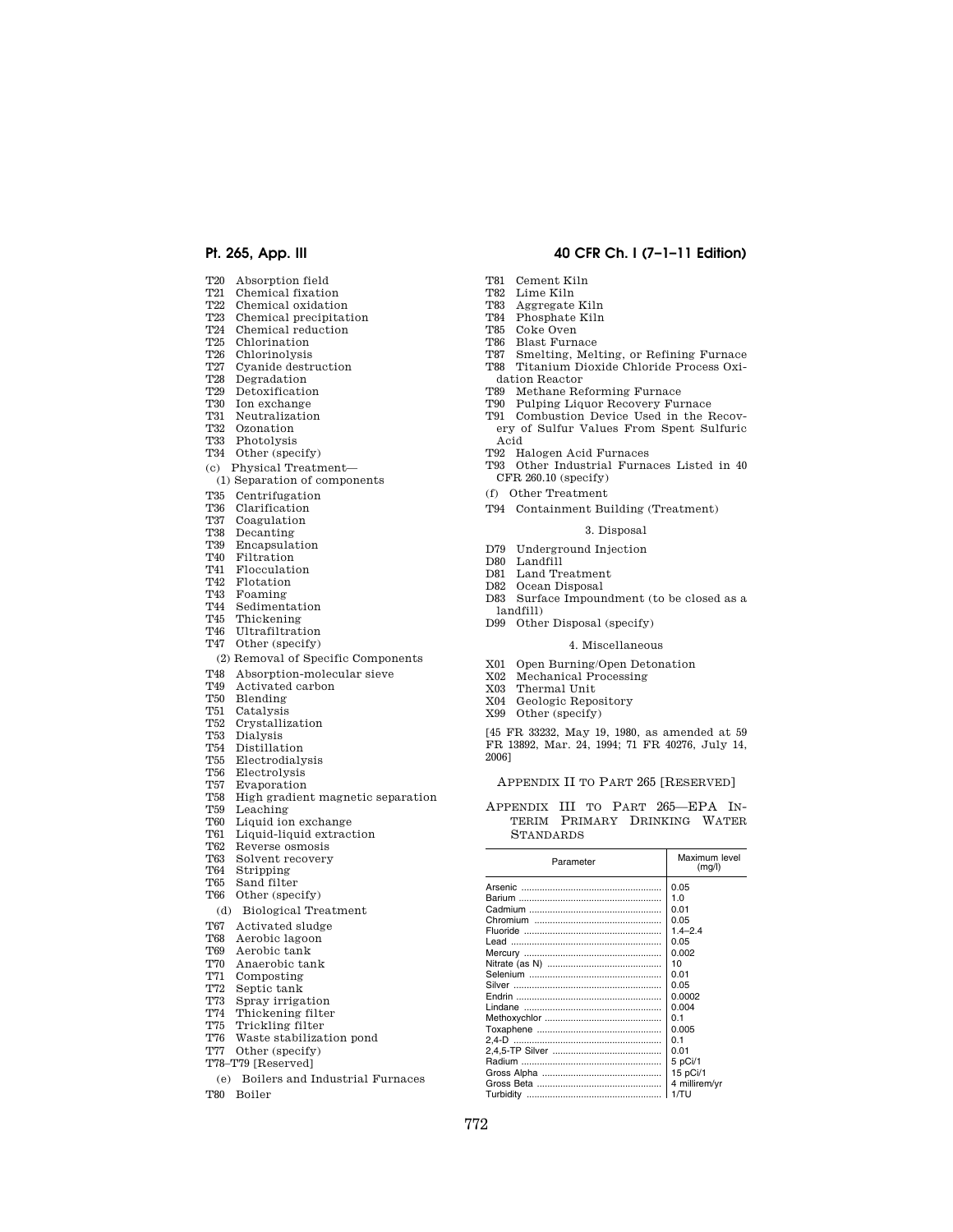- T20 Absorption field
- T21 Chemical fixation<br>T22 Chemical oxidation
- Chemical oxidation
- T23 Chemical precipitation T24 Chemical reduction
- 
- T25 Chlorination<br>T26 Chlorinolysis
- T26 Chlorinolysis Cyanide destruction
- T28 Degradation
- 
- T29 Detoxification<br>T30 Ion exchange Ion exchange
- T31 Neutralization
- Ozonation
- T33 Photolysis
- T34 Other (specify)
- (c) Physical Treatment— (1) Separation of components
- T35 Centrifugation
- T36 Clarification
- T37 Coagulation
- T38 Decanting
- T39 Encapsulation
- T40 Filtration
- T41 Flocculation
- T42 Flotation
- T43 Foaming
- T44 Sedimentation
- T45 Thickening
- T46 Ultrafiltration
- T47 Other (specify)
- (2) Removal of Specific Components
- T48 Absorption-molecular sieve
- T49 Activated carbon
- T50 Blending
- T51 Catalysis
- T52 Crystallization
- T53 Dialysis
- T54 Distillation
- 
- T55 Electrodialysis Electrolysis
- T57 Evaporation
- T58 High gradient magnetic separation
- T59 Leaching
- T60 Liquid ion exchange
- T61 Liquid-liquid extraction
- T62 Reverse osmosis
- T63 Solvent recovery Stripping
- T65 Sand filter
- T66 Other (specify)
- (d) Biological Treatment
- T67 Activated sludge
- T68 Aerobic lagoon
- T69 Aerobic tank
- T70 Anaerobic tank
- T71 Composting
- T72 Septic tank
- T73 Spray irrigation
- T74 Thickening filter
- Trickling filter
- T76 Waste stabilization pond
- T77 Other (specify)
- T78–T79 [Reserved]
- (e) Boilers and Industrial Furnaces T80 Boiler

# **Pt. 265, App. III 40 CFR Ch. I (7–1–11 Edition)**

- T81 Cement Kiln
- T82 Lime Kiln<br>T83 Aggregate
- Aggregate Kiln
- T84 Phosphate Kiln
- T85 Coke Oven
- T86 Blast Furnace
- T87 Smelting, Melting, or Refining Furnace T88 Titanium Dioxide Chloride Process Oxi
	- dation Reactor
- T89 Methane Reforming Furnace
- T90 Pulping Liquor Recovery Furnace
- T91 Combustion Device Used in the Recovery of Sulfur Values From Spent Sulfuric Acid
- 
- T92 Halogen Acid Furnaces T93 Other Industrial Furnaces Listed in 40 CFR 260.10 (specify)
- (f) Other Treatment
- T94 Containment Building (Treatment)

#### 3. Disposal

- D79 Underground Injection
- D<sub>80</sub> Landfill
- D81 Land Treatment
- D82 Ocean Disposal
- D83 Surface Impoundment (to be closed as a landfill)
- D99 Other Disposal (specify)
	- 4. Miscellaneous
	-
- X01 Open Burning/Open Detonation X02 Mechanical Processing
- X03 Thermal Unit
- X04 Geologic Repository
- X99 Other (specify)

[45 FR 33232, May 19, 1980, as amended at 59

FR 13892, Mar. 24, 1994; 71 FR 40276, July 14, 2006]

APPENDIX II TO PART 265 [RESERVED]

APPENDIX III TO PART 265—EPA IN-TERIM PRIMARY DRINKING WATER STANDARDS

| Parameter | Maximum level<br>(mg/l) |
|-----------|-------------------------|
|           | 0.05                    |
|           | 1.0                     |
|           | 0.01                    |
|           | 0.05                    |
|           | $1.4 - 2.4$             |
|           | 0.05                    |
|           | 0.002                   |
|           | 10                      |
|           | 0.01                    |
|           | 0.05                    |
|           | 0.0002                  |
|           | 0.004                   |
|           | 0.1                     |
|           | 0.005                   |
|           | 0.1                     |
|           | 0.01                    |
|           | 5 pCi/1                 |
|           | 15 pCi/1                |
|           | 4 millirem/yr           |
|           | 1/TU                    |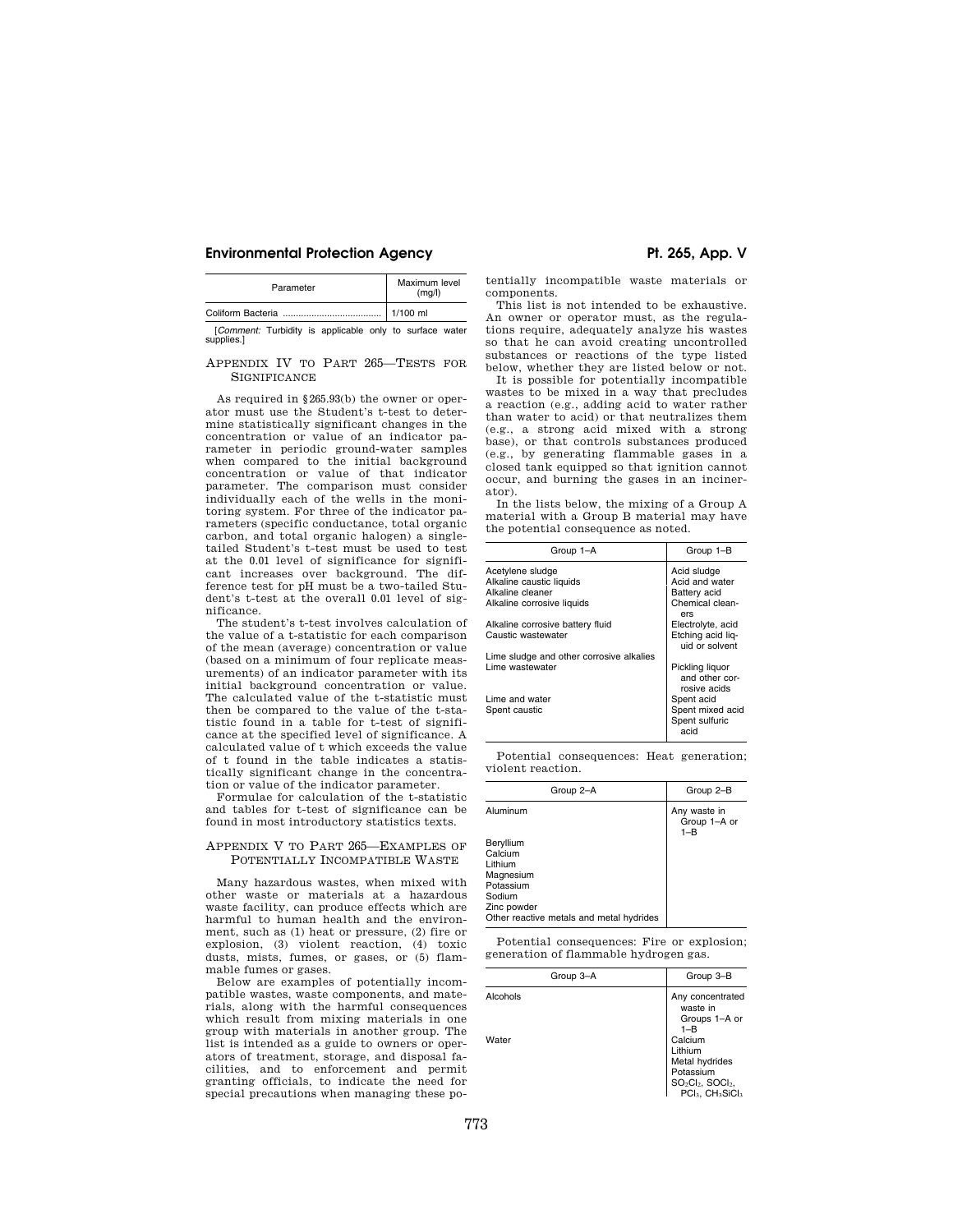## **Environmental Protection Agency**  Pt. 265, App. V

| Parameter | Maximum level<br>(mq/l) |
|-----------|-------------------------|
|           | $1/100$ ml              |
|           |                         |

[*Comment:* Turbidity is applicable only to surface water supplies.]

APPENDIX IV TO PART 265—TESTS FOR **SIGNIFICANCE** 

As required in §265.93(b) the owner or operator must use the Student's t-test to determine statistically significant changes in the concentration or value of an indicator parameter in periodic ground-water samples when compared to the initial background concentration or value of that indicator parameter. The comparison must consider individually each of the wells in the monitoring system. For three of the indicator parameters (specific conductance, total organic carbon, and total organic halogen) a singletailed Student's t-test must be used to test at the 0.01 level of significance for significant increases over background. The difference test for pH must be a two-tailed Student's t-test at the overall 0.01 level of significance.

The student's t-test involves calculation of the value of a t-statistic for each comparison of the mean (average) concentration or value (based on a minimum of four replicate measurements) of an indicator parameter with its initial background concentration or value. The calculated value of the t-statistic must then be compared to the value of the t-statistic found in a table for t-test of significance at the specified level of significance. A calculated value of t which exceeds the value of t found in the table indicates a statistically significant change in the concentration or value of the indicator parameter.

Formulae for calculation of the t-statistic and tables for t-test of significance can be found in most introductory statistics texts.

## APPENDIX V TO PART 265—EXAMPLES OF POTENTIALLY INCOMPATIBLE WASTE

Many hazardous wastes, when mixed with other waste or materials at a hazardous waste facility, can produce effects which are harmful to human health and the environment, such as (1) heat or pressure, (2) fire or explosion, (3) violent reaction, (4) toxic dusts, mists, fumes, or gases, or (5) flammable fumes or gases.

Below are examples of potentially incompatible wastes, waste components, and materials, along with the harmful consequences which result from mixing materials in one group with materials in another group. The list is intended as a guide to owners or operators of treatment, storage, and disposal facilities, and to enforcement and permit granting officials, to indicate the need for special precautions when managing these po-

tentially incompatible waste materials or components.

This list is not intended to be exhaustive. An owner or operator must, as the regulations require, adequately analyze his wastes so that he can avoid creating uncontrolled substances or reactions of the type listed below, whether they are listed below or not.

It is possible for potentially incompatible wastes to be mixed in a way that precludes a reaction (e.g., adding acid to water rather than water to acid) or that neutralizes them (e.g., a strong acid mixed with a strong base), or that controls substances produced (e.g., by generating flammable gases in a closed tank equipped so that ignition cannot occur, and burning the gases in an incinerator).

In the lists below, the mixing of a Group A material with a Group B material may have the potential consequence as noted.

| Group 1-A                                | Group 1-B                                         |
|------------------------------------------|---------------------------------------------------|
| Acetylene sludge                         | Acid sludge                                       |
| Alkaline caustic liquids                 | Acid and water                                    |
| Alkaline cleaner                         | Battery acid                                      |
| Alkaline corrosive liquids               | Chemical clean-<br>ers                            |
| Alkaline corrosive battery fluid         | Electrolyte, acid                                 |
| Caustic wastewater                       | Etching acid lig-<br>uid or solvent               |
| Lime sludge and other corrosive alkalies |                                                   |
| Lime wastewater                          | Pickling liquor<br>and other cor-<br>rosive acids |
| Lime and water                           | Spent acid                                        |
| Spent caustic                            | Spent mixed acid<br>Spent sulfuric<br>acid        |

Potential consequences: Heat generation; violent reaction.

| Group 2-A                                                                                                                      | Group 2-B                               |
|--------------------------------------------------------------------------------------------------------------------------------|-----------------------------------------|
| Aluminum                                                                                                                       | Any waste in<br>Group 1-A or<br>$1 - B$ |
| Beryllium<br>Calcium<br>Lithium<br>Magnesium<br>Potassium<br>Sodium<br>Zinc powder<br>Other reactive metals and metal hydrides |                                         |

Potential consequences: Fire or explosion; generation of flammable hydrogen gas.

| Group 3-A | Group 3-B                                                                                                                            |
|-----------|--------------------------------------------------------------------------------------------------------------------------------------|
| Alcohols  | Any concentrated<br>waste in<br>Groups 1-A or<br>$1 - B$                                                                             |
| Water     | Calcium<br>Lithium<br>Metal hydrides<br>Potassium<br>$SO_2Cl_2$ , $SOCl_2$ ,<br>PCI <sub>3</sub> , CH <sub>3</sub> SiCI <sub>3</sub> |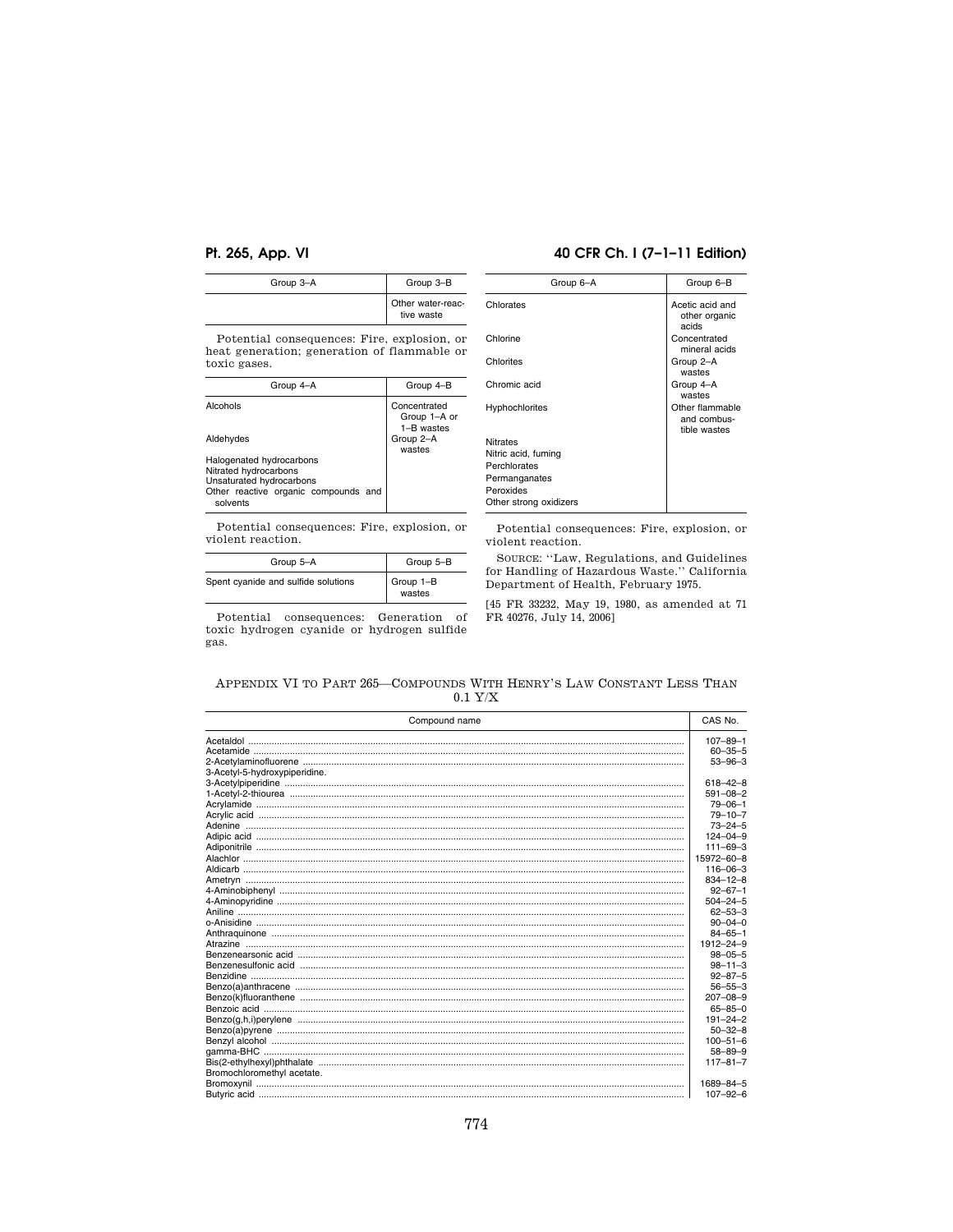# Pt. 265, App. VI

| Group 3-A | Group 3-B                       |
|-----------|---------------------------------|
|           | Other water-reac-<br>tive waste |

Potential consequences: Fire, explosion, or heat generation; generation of flammable or toxic gases.

| Group 4-A                                                                                                                         | Group 4-B                                  |
|-----------------------------------------------------------------------------------------------------------------------------------|--------------------------------------------|
| Alcohols                                                                                                                          | Concentrated<br>Group 1-A or<br>1-B wastes |
| Aldehydes                                                                                                                         | Group 2-A<br>wastes                        |
| Halogenated hydrocarbons<br>Nitrated hydrocarbons<br>Unsaturated hydrocarbons<br>Other reactive organic compounds and<br>solvents |                                            |

Potential consequences: Fire, explosion, or violent reaction.

| Group 5-A                           | Group 5-B           |
|-------------------------------------|---------------------|
| Spent cyanide and sulfide solutions | Group 1-B<br>wastes |

Potential consequences: Generation of<br>toxic hydrogen cyanide or hydrogen sulfide  $_{\rm gas.}$ 

# 40 CFR Ch. I (7-1-11 Edition)

| Group 6-A              | Group 6-B                                      |
|------------------------|------------------------------------------------|
| Chlorates              | Acetic acid and<br>other organic<br>acids      |
| Chlorine               | Concentrated<br>mineral acids                  |
| Chlorites              | Group 2-A<br>wastes                            |
| Chromic acid           | Group 4-A<br>wastes                            |
| Hyphochlorites         | Other flammable<br>and combus-<br>tible wastes |
| <b>Nitrates</b>        |                                                |
| Nitric acid, fuming    |                                                |
| Perchlorates           |                                                |
| Permanganates          |                                                |
| Peroxides              |                                                |
| Other strong oxidizers |                                                |
|                        |                                                |

Potential consequences: Fire, explosion, or violent reaction.

SOURCE: "Law, Regulations, and Guidelines for Handling of Hazardous Waste." California Department of Health, February 1975.

[45 FR 33232, May 19, 1980, as amended at 71 FR 40276, July 14, 2006]

| APPENDIX VI TO PART 265—COMPOUNDS WITH HENRY'S LAW CONSTANT LESS THAN |
|-----------------------------------------------------------------------|
| $0.1 \text{ Y/X}$                                                     |

| Compound name                 | CAS No.        |
|-------------------------------|----------------|
|                               | $107 - 89 - 1$ |
|                               | $60 - 35 - 5$  |
|                               | $53 - 96 - 3$  |
| 3-Acetyl-5-hydroxypiperidine. |                |
|                               | $618 - 42 - 8$ |
|                               | $591 - 08 - 2$ |
|                               | $79 - 06 - 1$  |
|                               | $79 - 10 - 7$  |
|                               | $73 - 24 - 5$  |
|                               | $124 - 04 - 9$ |
|                               | $111 - 69 - 3$ |
|                               | 15972-60-8     |
|                               | $116 - 06 - 3$ |
|                               | $834 - 12 - 8$ |
|                               | $92 - 67 - 1$  |
|                               | $504 - 24 - 5$ |
|                               | $62 - 53 - 3$  |
|                               | $90 - 04 - 0$  |
|                               | $84 - 65 - 1$  |
|                               | 1912-24-9      |
|                               | $98 - 05 - 5$  |
|                               | $98 - 11 - 3$  |
|                               | $92 - 87 - 5$  |
|                               | $56 - 55 - 3$  |
|                               | $207 - 08 - 9$ |
|                               | $65 - 85 - 0$  |
|                               | $191 - 24 - 2$ |
|                               | $50 - 32 - 8$  |
|                               | $100 - 51 - 6$ |
|                               | $58 - 89 - 9$  |
|                               | $117 - 81 - 7$ |
| Bromochloromethyl acetate.    |                |
|                               | 1689-84-5      |
|                               | $107 - 92 - 6$ |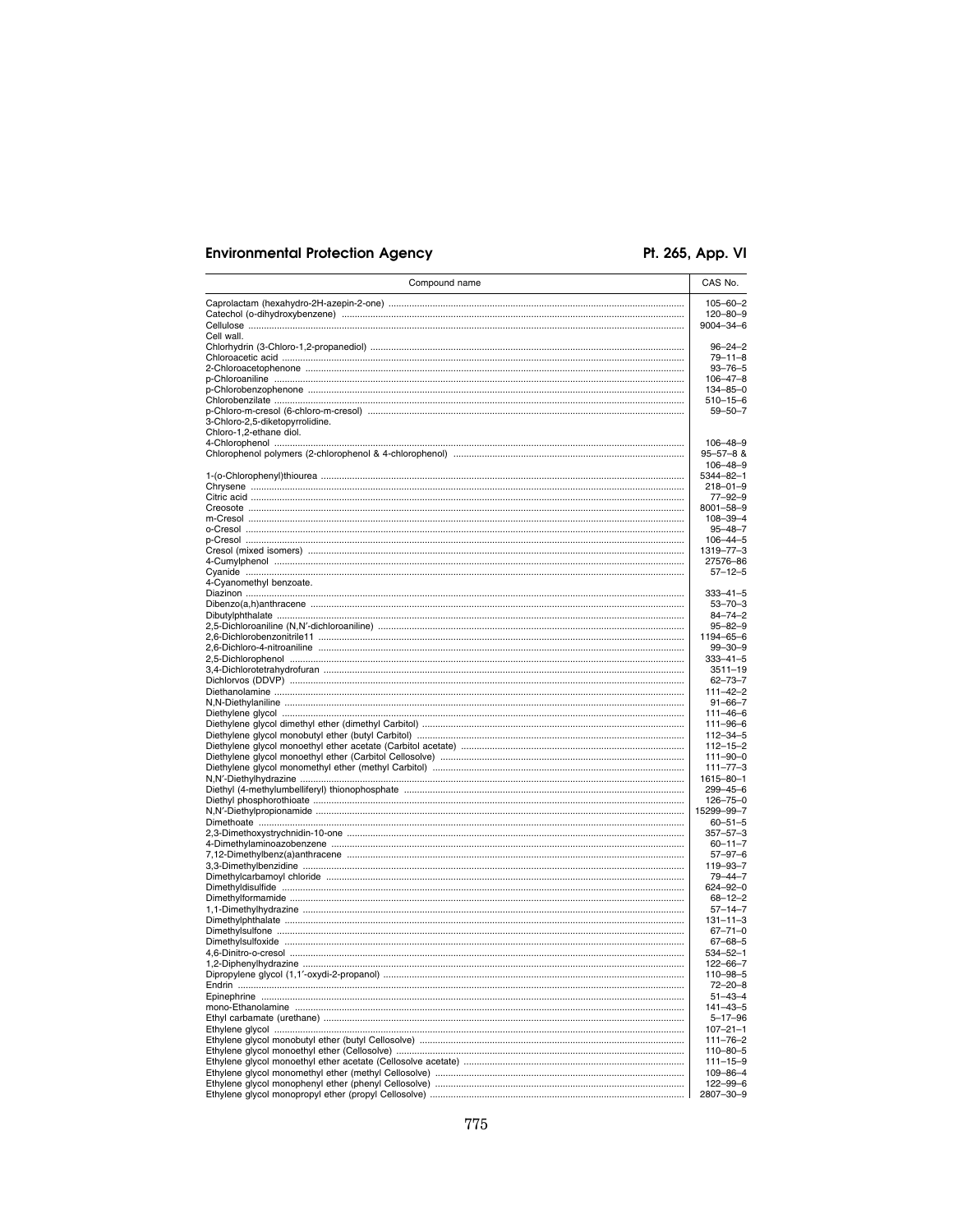# **Environmental Protection Agency**

# Pt. 265, App. VI

| Compound name                   | CAS No.                           |
|---------------------------------|-----------------------------------|
|                                 | $105 - 60 - 2$                    |
|                                 | $120 - 80 - 9$                    |
| Cell wall.                      | 9004-34-6                         |
|                                 | $96 - 24 - 2$                     |
|                                 | $79 - 11 - 8$                     |
|                                 | $93 - 76 - 5$                     |
|                                 | $106 - 47 - 8$<br>$134 - 85 - 0$  |
|                                 | $510 - 15 - 6$                    |
|                                 | $59 - 50 - 7$                     |
| 3-Chloro-2,5-diketopyrrolidine. |                                   |
| Chloro-1,2-ethane diol.         |                                   |
|                                 | $106 - 48 - 9$<br>$95 - 57 - 8$ & |
|                                 | $106 - 48 - 9$                    |
|                                 | 5344-82-1                         |
|                                 | $218 - 01 - 9$                    |
|                                 | $77 - 92 - 9$<br>8001-58-9        |
|                                 | $108 - 39 - 4$                    |
|                                 | $95 - 48 - 7$                     |
|                                 | $106 - 44 - 5$                    |
|                                 | 1319-77-3                         |
|                                 | 27576-86<br>$57 - 12 - 5$         |
| 4-Cyanomethyl benzoate.         |                                   |
|                                 | $333 - 41 - 5$                    |
|                                 | $53 - 70 - 3$                     |
|                                 | $84 - 74 - 2$                     |
|                                 | $95 - 82 - 9$                     |
|                                 | 1194-65-6<br>$99 - 30 - 9$        |
|                                 | $333 - 41 - 5$                    |
|                                 | $3511 - 19$                       |
|                                 | $62 - 73 - 7$                     |
|                                 | $111 - 42 - 2$                    |
|                                 | $91 - 66 - 7$<br>$111 - 46 - 6$   |
|                                 | $111 - 96 - 6$                    |
|                                 | $112 - 34 - 5$                    |
|                                 | $112 - 15 - 2$                    |
|                                 | $111 - 90 - 0$                    |
|                                 | $111 - 77 - 3$<br>1615-80-1       |
|                                 | $299 - 45 - 6$                    |
|                                 | $126 - 75 - 0$                    |
|                                 | 15299-99-7                        |
|                                 | $60 - 51 - 5$                     |
|                                 | $357 - 57 - 3$<br>$60 - 11 - 7$   |
|                                 | $57 - 97 - 6$                     |
|                                 | 119-93-7                          |
|                                 | $79 - 44 - 7$                     |
|                                 | $624 - 92 - 0$                    |
|                                 | $68 - 12 - 2$<br>$57 - 14 - 7$    |
|                                 | $131 - 11 - 3$                    |
|                                 | $67 - 71 - 0$                     |
|                                 | $67 - 68 - 5$                     |
|                                 | $534 - 52 - 1$                    |
|                                 | $122 - 66 - 7$<br>110-98-5        |
|                                 | $72 - 20 - 8$                     |
|                                 | $51 - 43 - 4$                     |
|                                 | $141 - 43 - 5$                    |
|                                 | $5 - 17 - 96$                     |
|                                 | $107 - 21 - 1$                    |
|                                 | $111 - 76 - 2$<br>$110 - 80 - 5$  |
|                                 | $111 - 15 - 9$                    |
|                                 | $109 - 86 - 4$                    |
|                                 | 122-99-6                          |
|                                 | 2807-30-9                         |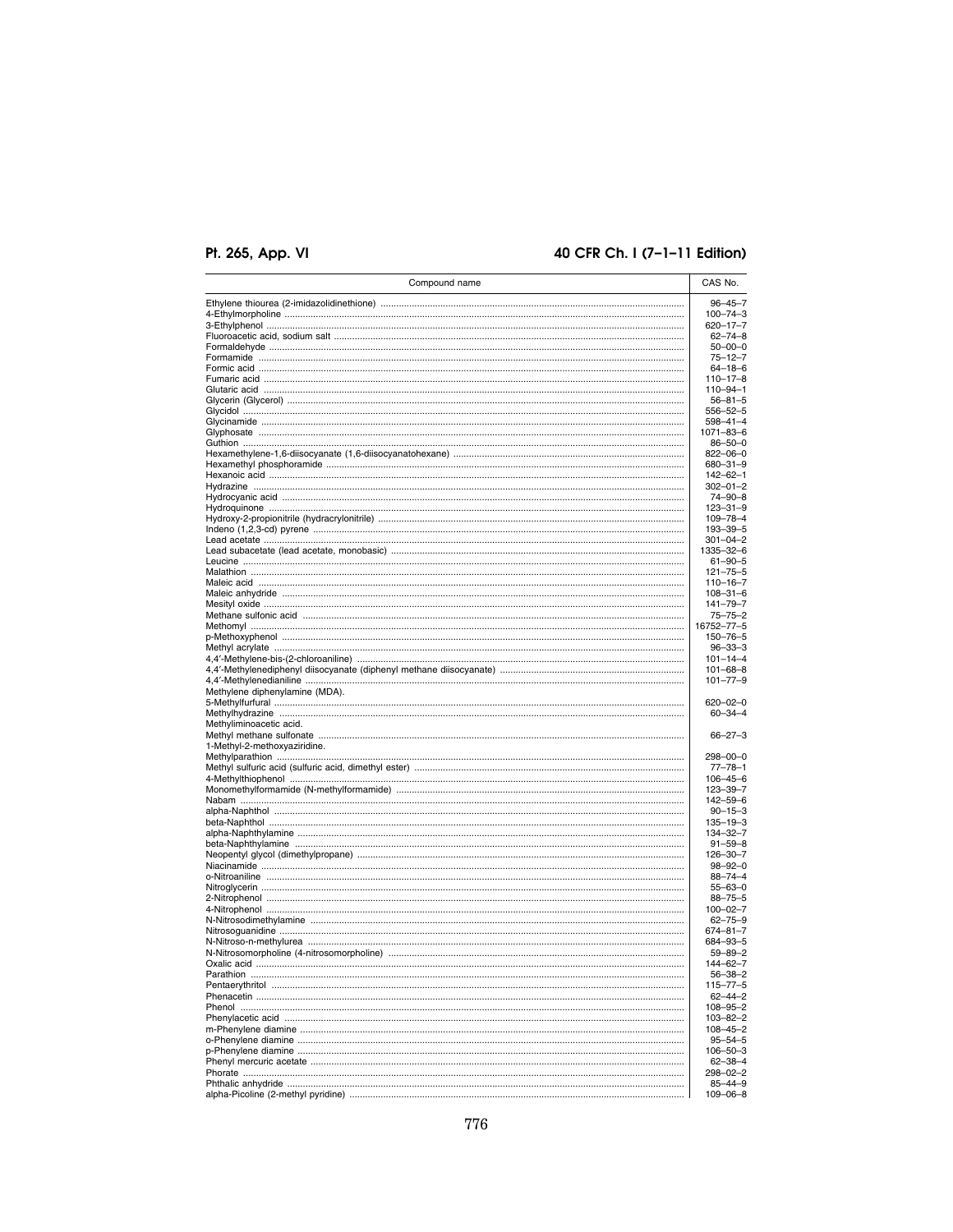# Pt. 265, App. VI

# 40 CFR Ch. I (7-1-11 Edition)

| Compound name                  | CAS No.                          |
|--------------------------------|----------------------------------|
|                                | $96 - 45 - 7$                    |
|                                | $100 - 74 - 3$                   |
|                                | $620 - 17 - 7$                   |
|                                | $62 - 74 - 8$<br>$50 - 00 - 0$   |
|                                | $75 - 12 - 7$                    |
|                                | $64 - 18 - 6$                    |
|                                | $110 - 17 - 8$                   |
|                                | $110 - 94 - 1$                   |
|                                | $56 - 81 - 5$                    |
|                                | $556 - 52 - 5$<br>$598 - 41 - 4$ |
|                                | 1071-83-6                        |
|                                | $86 - 50 - 0$                    |
|                                | $822 - 06 - 0$                   |
|                                | 680-31-9                         |
|                                | $142 - 62 - 1$<br>$302 - 01 - 2$ |
|                                | $74 - 90 - 8$                    |
|                                | $123 - 31 - 9$                   |
|                                | $109 - 78 - 4$                   |
|                                | 193-39-5                         |
|                                | $301 - 04 - 2$                   |
|                                | 1335-32-6<br>$61 - 90 - 5$       |
|                                | $121 - 75 - 5$                   |
|                                | $110 - 16 - 7$                   |
|                                | $108 - 31 - 6$                   |
|                                | $141 - 79 - 7$                   |
|                                | $75 - 75 - 2$                    |
|                                | 16752-77-5<br>$150 - 76 - 5$     |
|                                | $96 - 33 - 3$                    |
|                                | $101 - 14 - 4$                   |
|                                | $101 - 68 - 8$                   |
|                                | $101 - 77 - 9$                   |
| Methylene diphenylamine (MDA). | $620 - 02 - 0$                   |
|                                | $60 - 34 - 4$                    |
| Methyliminoacetic acid.        |                                  |
|                                | $66 - 27 - 3$                    |
| 1-Methyl-2-methoxyaziridine.   |                                  |
|                                | $298 - 00 - 0$                   |
|                                | $77 - 78 - 1$<br>$106 - 45 - 6$  |
|                                | $123 - 39 - 7$                   |
|                                | $142 - 59 - 6$                   |
|                                | $90 - 15 - 3$                    |
|                                | $135 - 19 - 3$                   |
|                                | $134 - 32 - 7$<br>$91 - 59 - 8$  |
|                                | $126 - 30 - 7$                   |
|                                | $98 - 92 - 0$                    |
|                                | $88 - 74 - 4$                    |
|                                | $55 - 63 - 0$                    |
|                                | $88 - 75 - 5$<br>$100 - 02 - 7$  |
|                                | $62 - 75 - 9$                    |
|                                | $674 - 81 - 7$                   |
|                                | 684-93-5                         |
|                                | $59 - 89 - 2$                    |
|                                | 144-62-7                         |
|                                | $56 - 38 - 2$                    |
|                                | $115 - 77 - 5$<br>$62 - 44 - 2$  |
|                                | $108 - 95 - 2$                   |
|                                | $103 - 82 - 2$                   |
|                                | $108 - 45 - 2$                   |
|                                | $95 - 54 - 5$                    |
|                                | $106 - 50 - 3$                   |
|                                | $62 - 38 - 4$<br>$298 - 02 - 2$  |
|                                | $85 - 44 - 9$                    |
|                                | $109 - 06 - 8$                   |